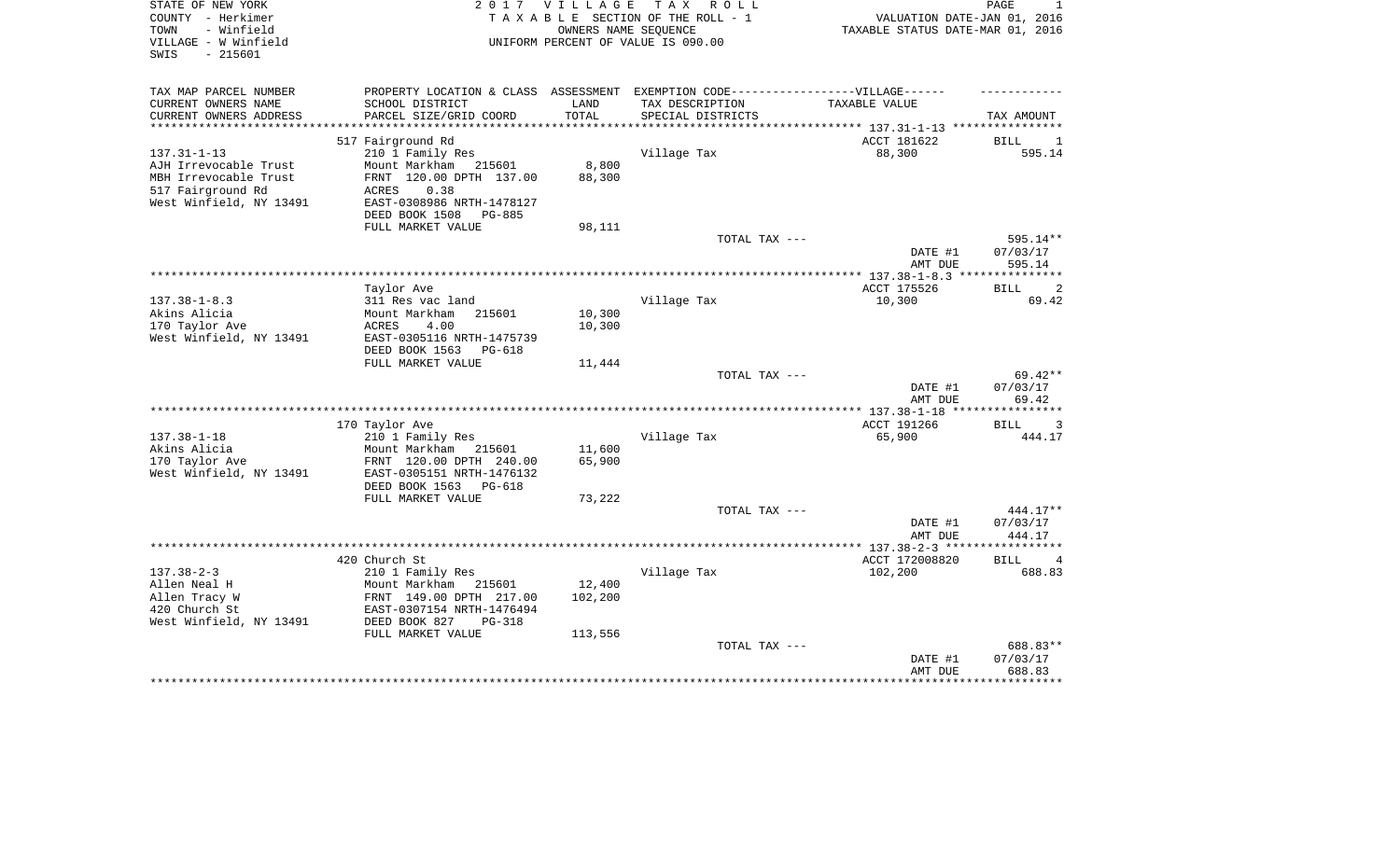| STATE OF NEW YORK<br>COUNTY - Herkimer<br>- Winfield<br>TOWN<br>VILLAGE - W Winfield<br>$-215601$<br>SWIS | 2 0 1 7                                                                                                                                                     | <b>VILLAGE</b>             | TAX ROLL<br>TAXABLE SECTION OF THE ROLL - 1<br>OWNERS NAME SEQUENCE<br>UNIFORM PERCENT OF VALUE IS 090.00 | VALUATION DATE-JAN 01, 2016<br>TAXABLE STATUS DATE-MAR 01, 2016 | PAGE<br>1                               |
|-----------------------------------------------------------------------------------------------------------|-------------------------------------------------------------------------------------------------------------------------------------------------------------|----------------------------|-----------------------------------------------------------------------------------------------------------|-----------------------------------------------------------------|-----------------------------------------|
| TAX MAP PARCEL NUMBER<br>CURRENT OWNERS NAME<br>CURRENT OWNERS ADDRESS                                    | PROPERTY LOCATION & CLASS ASSESSMENT<br>SCHOOL DISTRICT<br>PARCEL SIZE/GRID COORD                                                                           | LAND<br>TOTAL              | EXEMPTION CODE------------------VILLAGE------<br>TAX DESCRIPTION<br>SPECIAL DISTRICTS                     | TAXABLE VALUE                                                   |                                         |
|                                                                                                           |                                                                                                                                                             |                            |                                                                                                           |                                                                 | TAX AMOUNT                              |
|                                                                                                           | 517 Fairground Rd                                                                                                                                           |                            |                                                                                                           | ACCT 181622                                                     | BILL<br>1                               |
| $137.31 - 1 - 13$                                                                                         | 210 1 Family Res                                                                                                                                            |                            | Village Tax                                                                                               | 88,300                                                          | 595.14                                  |
| AJH Irrevocable Trust<br>MBH Irrevocable Trust<br>517 Fairground Rd<br>West Winfield, NY 13491            | Mount Markham 215601<br>FRNT 120.00 DPTH 137.00<br>0.38<br>ACRES<br>EAST-0308986 NRTH-1478127<br>DEED BOOK 1508<br><b>PG-885</b>                            | 8,800<br>88,300            |                                                                                                           |                                                                 |                                         |
|                                                                                                           | FULL MARKET VALUE                                                                                                                                           | 98,111                     |                                                                                                           |                                                                 |                                         |
|                                                                                                           |                                                                                                                                                             |                            | TOTAL TAX ---                                                                                             | DATE #1<br>AMT DUE                                              | 595.14**<br>07/03/17<br>595.14          |
|                                                                                                           |                                                                                                                                                             |                            |                                                                                                           |                                                                 |                                         |
|                                                                                                           | Taylor Ave                                                                                                                                                  |                            |                                                                                                           | ACCT 175526                                                     | 2<br>BILL                               |
| $137.38 - 1 - 8.3$<br>Akins Alicia<br>170 Taylor Ave<br>West Winfield, NY 13491                           | 311 Res vac land<br>Mount Markham<br>215601<br>ACRES<br>4.00<br>EAST-0305116 NRTH-1475739                                                                   | 10,300<br>10,300           | Village Tax                                                                                               | 10,300                                                          | 69.42                                   |
|                                                                                                           | DEED BOOK 1563<br>PG-618                                                                                                                                    |                            |                                                                                                           |                                                                 |                                         |
|                                                                                                           | FULL MARKET VALUE                                                                                                                                           | 11,444                     | TOTAL TAX ---                                                                                             | DATE #1<br>AMT DUE                                              | $69.42**$<br>07/03/17<br>69.42          |
|                                                                                                           |                                                                                                                                                             |                            |                                                                                                           |                                                                 |                                         |
|                                                                                                           | 170 Taylor Ave                                                                                                                                              |                            |                                                                                                           | ACCT 191266                                                     | 3<br><b>BILL</b>                        |
| $137.38 - 1 - 18$<br>Akins Alicia<br>170 Taylor Ave<br>West Winfield, NY 13491                            | 210 1 Family Res<br>Mount Markham<br>215601<br>FRNT 120.00 DPTH 240.00<br>EAST-0305151 NRTH-1476132<br>DEED BOOK 1563<br><b>PG-618</b><br>FULL MARKET VALUE | 11,600<br>65,900<br>73,222 | Village Tax                                                                                               | 65,900                                                          | 444.17                                  |
|                                                                                                           |                                                                                                                                                             |                            | TOTAL TAX ---                                                                                             |                                                                 | 444.17**                                |
|                                                                                                           |                                                                                                                                                             |                            |                                                                                                           | DATE #1<br>AMT DUE                                              | 07/03/17<br>444.17                      |
|                                                                                                           |                                                                                                                                                             |                            |                                                                                                           |                                                                 |                                         |
| $137.38 - 2 - 3$                                                                                          | 420 Church St                                                                                                                                               |                            | Village Tax                                                                                               | ACCT 172008820<br>102,200                                       | <b>BILL</b><br>$\overline{4}$<br>688.83 |
| Allen Neal H<br>Allen Tracy W<br>420 Church St<br>West Winfield, NY 13491                                 | 210 1 Family Res<br>Mount Markham<br>215601<br>FRNT 149.00 DPTH 217.00<br>EAST-0307154 NRTH-1476494<br>DEED BOOK 827<br><b>PG-318</b>                       | 12,400<br>102,200          |                                                                                                           |                                                                 |                                         |
|                                                                                                           | FULL MARKET VALUE                                                                                                                                           | 113,556                    | TOTAL TAX ---                                                                                             |                                                                 | 688.83**                                |
|                                                                                                           |                                                                                                                                                             |                            |                                                                                                           | DATE #1<br>AMT DUE                                              | 07/03/17<br>688.83                      |
|                                                                                                           |                                                                                                                                                             |                            |                                                                                                           |                                                                 |                                         |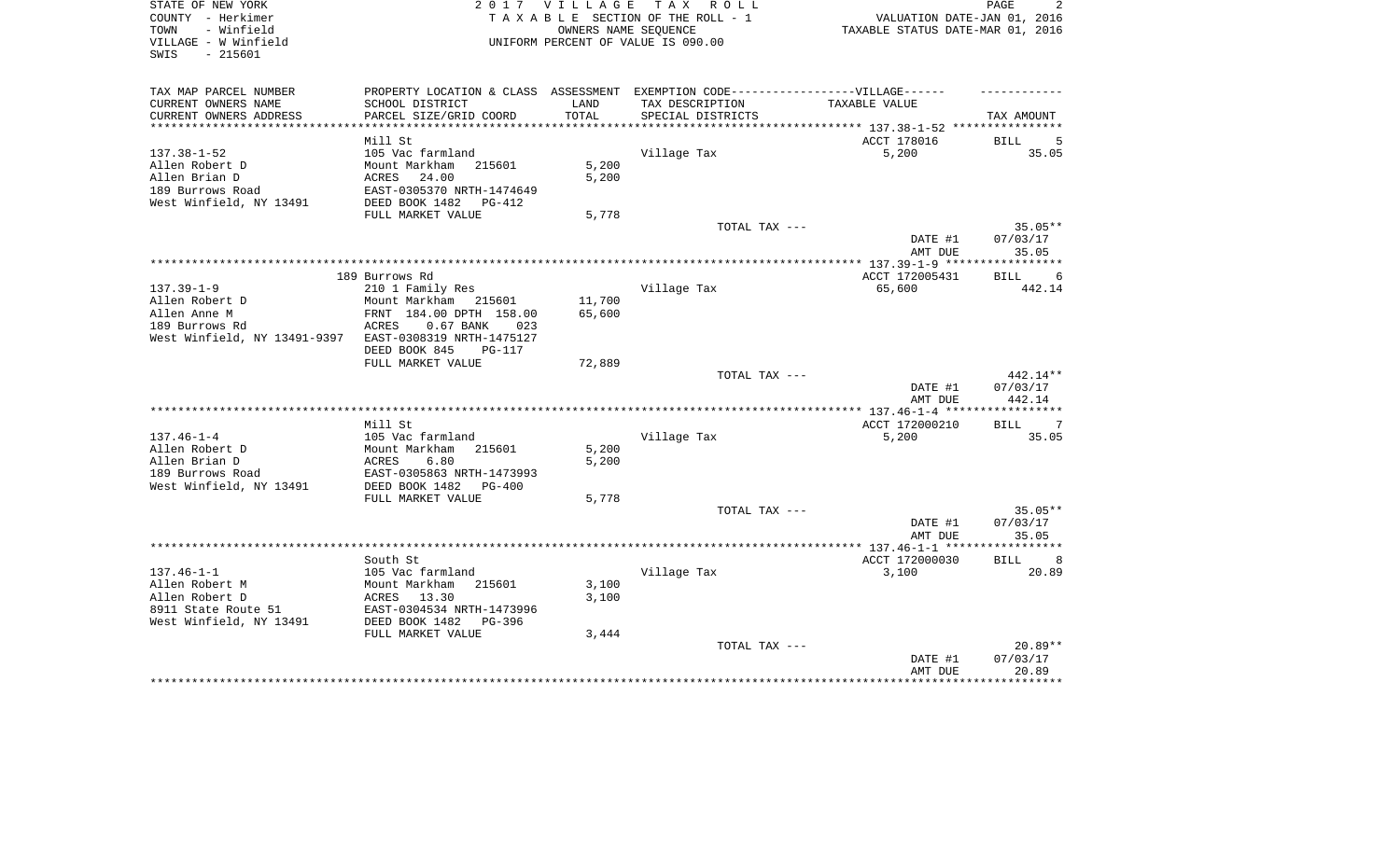| STATE OF NEW YORK            |                                                                                   |        | 2017 VILLAGE TAX ROLL              |                                  | PAGE              |
|------------------------------|-----------------------------------------------------------------------------------|--------|------------------------------------|----------------------------------|-------------------|
| COUNTY - Herkimer            |                                                                                   |        | TAXABLE SECTION OF THE ROLL - 1    | VALUATION DATE-JAN 01, 2016      |                   |
| TOWN<br>- Winfield           |                                                                                   |        | OWNERS NAME SEQUENCE               | TAXABLE STATUS DATE-MAR 01, 2016 |                   |
| VILLAGE - W Winfield         |                                                                                   |        | UNIFORM PERCENT OF VALUE IS 090.00 |                                  |                   |
| $-215601$<br>SWIS            |                                                                                   |        |                                    |                                  |                   |
|                              |                                                                                   |        |                                    |                                  |                   |
| TAX MAP PARCEL NUMBER        | PROPERTY LOCATION & CLASS ASSESSMENT EXEMPTION CODE-----------------VILLAGE------ |        |                                    |                                  |                   |
| CURRENT OWNERS NAME          | SCHOOL DISTRICT                                                                   | LAND   | TAX DESCRIPTION                    | TAXABLE VALUE                    |                   |
| CURRENT OWNERS ADDRESS       | PARCEL SIZE/GRID COORD                                                            | TOTAL  | SPECIAL DISTRICTS                  |                                  | TAX AMOUNT        |
| ************************     |                                                                                   |        |                                    |                                  |                   |
|                              | Mill St                                                                           |        |                                    | ACCT 178016                      | BILL<br>5         |
| $137.38 - 1 - 52$            | 105 Vac farmland                                                                  |        | Village Tax                        | 5,200                            | 35.05             |
| Allen Robert D               | Mount Markham<br>215601                                                           | 5,200  |                                    |                                  |                   |
| Allen Brian D                | ACRES<br>24.00                                                                    | 5,200  |                                    |                                  |                   |
| 189 Burrows Road             | EAST-0305370 NRTH-1474649                                                         |        |                                    |                                  |                   |
| West Winfield, NY 13491      | DEED BOOK 1482<br>PG-412                                                          |        |                                    |                                  |                   |
|                              | FULL MARKET VALUE                                                                 | 5,778  |                                    |                                  |                   |
|                              |                                                                                   |        | TOTAL TAX ---                      |                                  | $35.05**$         |
|                              |                                                                                   |        |                                    | DATE #1                          | 07/03/17          |
|                              |                                                                                   |        |                                    | AMT DUE                          | 35.05             |
|                              |                                                                                   |        |                                    |                                  |                   |
|                              | 189 Burrows Rd                                                                    |        |                                    | ACCT 172005431                   | BILL<br>6         |
| $137.39 - 1 - 9$             | 210 1 Family Res                                                                  |        | Village Tax                        | 65,600                           | 442.14            |
| Allen Robert D               | Mount Markham<br>215601                                                           | 11,700 |                                    |                                  |                   |
| Allen Anne M                 | FRNT 184.00 DPTH 158.00                                                           | 65,600 |                                    |                                  |                   |
| 189 Burrows Rd               | ACRES<br>$0.67$ BANK<br>023                                                       |        |                                    |                                  |                   |
| West Winfield, NY 13491-9397 | EAST-0308319 NRTH-1475127                                                         |        |                                    |                                  |                   |
|                              | DEED BOOK 845<br>PG-117                                                           |        |                                    |                                  |                   |
|                              | FULL MARKET VALUE                                                                 | 72,889 |                                    |                                  |                   |
|                              |                                                                                   |        | TOTAL TAX ---                      |                                  | 442.14**          |
|                              |                                                                                   |        |                                    | DATE #1                          | 07/03/17          |
|                              |                                                                                   |        |                                    | AMT DUE                          | 442.14            |
|                              |                                                                                   |        |                                    |                                  |                   |
|                              | Mill St                                                                           |        |                                    | ACCT 172000210                   | BILL<br>7         |
| $137.46 - 1 - 4$             | 105 Vac farmland                                                                  |        | Village Tax                        | 5,200                            | 35.05             |
| Allen Robert D               | 215601<br>Mount Markham                                                           | 5,200  |                                    |                                  |                   |
| Allen Brian D                | 6.80<br>ACRES                                                                     | 5,200  |                                    |                                  |                   |
| 189 Burrows Road             | EAST-0305863 NRTH-1473993                                                         |        |                                    |                                  |                   |
| West Winfield, NY 13491      | DEED BOOK 1482<br>PG-400                                                          |        |                                    |                                  |                   |
|                              | FULL MARKET VALUE                                                                 | 5,778  |                                    |                                  |                   |
|                              |                                                                                   |        | TOTAL TAX ---                      |                                  | 35.05**           |
|                              |                                                                                   |        |                                    | DATE #1                          | 07/03/17          |
|                              |                                                                                   |        |                                    | AMT DUE                          | 35.05             |
|                              |                                                                                   |        |                                    | ******** 137.46-1-1 *****        | *******           |
|                              | South St                                                                          |        |                                    | ACCT 172000030                   | <b>BILL</b><br>8  |
| $137.46 - 1 - 1$             | 105 Vac farmland                                                                  |        | Village Tax                        | 3,100                            | 20.89             |
|                              |                                                                                   |        |                                    |                                  |                   |
| Allen Robert M               | Mount Markham<br>215601                                                           | 3,100  |                                    |                                  |                   |
| Allen Robert D               | 13.30<br>ACRES                                                                    | 3,100  |                                    |                                  |                   |
| 8911 State Route 51          | EAST-0304534 NRTH-1473996                                                         |        |                                    |                                  |                   |
| West Winfield, NY 13491      | DEED BOOK 1482<br>PG-396                                                          |        |                                    |                                  |                   |
|                              | FULL MARKET VALUE                                                                 | 3,444  |                                    |                                  |                   |
|                              |                                                                                   |        | TOTAL TAX ---                      |                                  | 20.89**           |
|                              |                                                                                   |        |                                    |                                  |                   |
|                              |                                                                                   |        |                                    | DATE #1<br>AMT DUE               | 07/03/17<br>20.89 |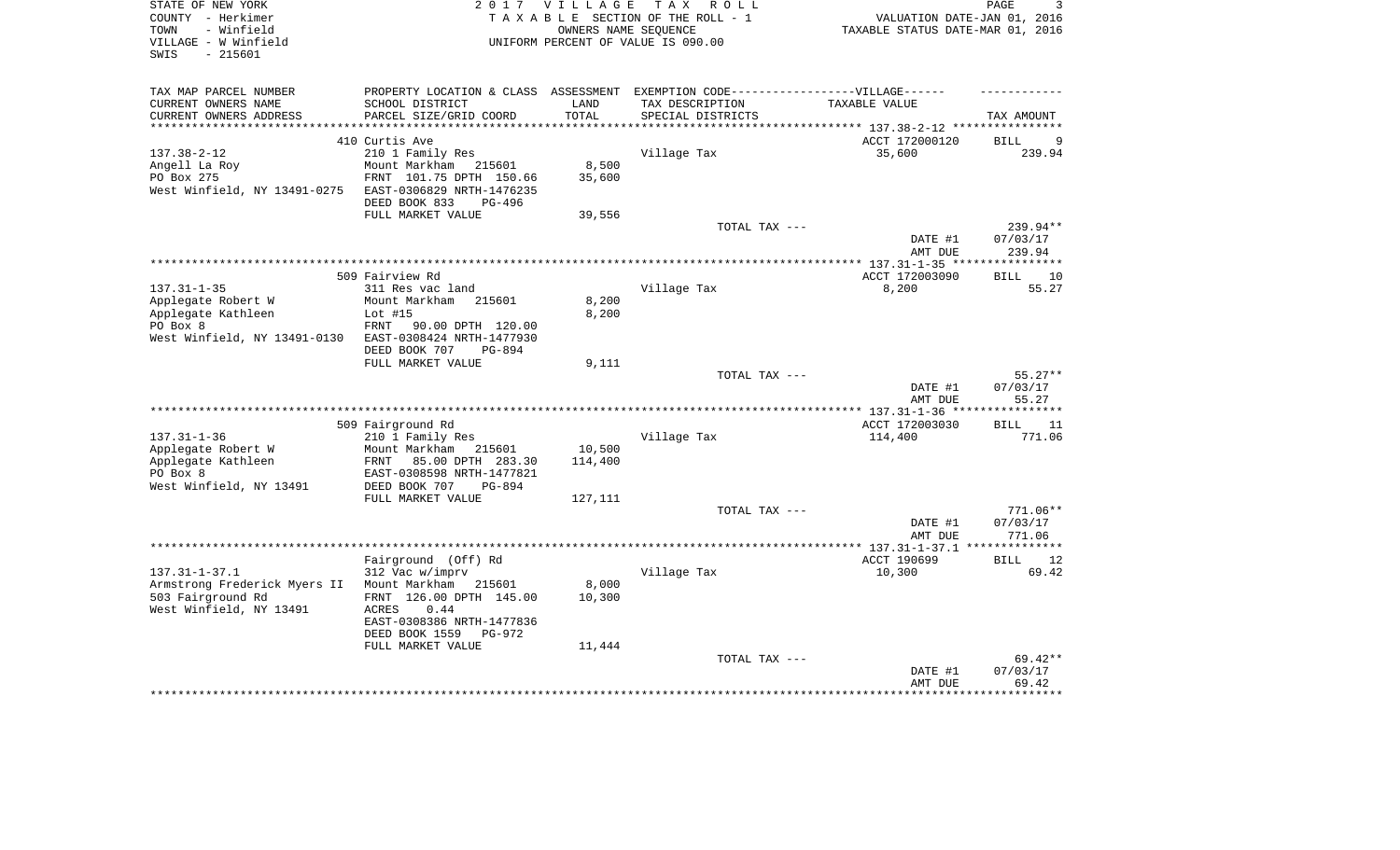| STATE OF NEW YORK<br>COUNTY - Herkimer<br>- Winfield<br>TOWN<br>VILLAGE - W Winfield | 2 0 1 7                                                                           | <b>VILLAGE</b> | T A X<br>R O L L<br>TAXABLE SECTION OF THE ROLL - 1<br>OWNERS NAME SEQUENCE<br>UNIFORM PERCENT OF VALUE IS 090.00 | VALUATION DATE-JAN 01, 2016<br>TAXABLE STATUS DATE-MAR 01, 2016 | PAGE<br>3          |
|--------------------------------------------------------------------------------------|-----------------------------------------------------------------------------------|----------------|-------------------------------------------------------------------------------------------------------------------|-----------------------------------------------------------------|--------------------|
| $-215601$<br>SWIS                                                                    |                                                                                   |                |                                                                                                                   |                                                                 |                    |
| TAX MAP PARCEL NUMBER                                                                | PROPERTY LOCATION & CLASS ASSESSMENT EXEMPTION CODE-----------------VILLAGE------ |                |                                                                                                                   |                                                                 |                    |
| CURRENT OWNERS NAME                                                                  | SCHOOL DISTRICT                                                                   | LAND           | TAX DESCRIPTION                                                                                                   | TAXABLE VALUE                                                   |                    |
| CURRENT OWNERS ADDRESS                                                               | PARCEL SIZE/GRID COORD                                                            | TOTAL          | SPECIAL DISTRICTS                                                                                                 |                                                                 | TAX AMOUNT         |
|                                                                                      |                                                                                   |                |                                                                                                                   |                                                                 |                    |
|                                                                                      | 410 Curtis Ave                                                                    |                |                                                                                                                   | ACCT 172000120                                                  | <b>BILL</b><br>9   |
| $137.38 - 2 - 12$                                                                    | 210 1 Family Res                                                                  |                | Village Tax                                                                                                       | 35,600                                                          | 239.94             |
| Angell La Roy                                                                        | Mount Markham<br>215601                                                           | 8,500          |                                                                                                                   |                                                                 |                    |
| PO Box 275                                                                           | FRNT 101.75 DPTH 150.66                                                           | 35,600         |                                                                                                                   |                                                                 |                    |
| West Winfield, NY 13491-0275                                                         | EAST-0306829 NRTH-1476235<br>DEED BOOK 833<br>PG-496                              |                |                                                                                                                   |                                                                 |                    |
|                                                                                      | FULL MARKET VALUE                                                                 | 39,556         |                                                                                                                   |                                                                 |                    |
|                                                                                      |                                                                                   |                | TOTAL TAX ---                                                                                                     |                                                                 | 239.94**           |
|                                                                                      |                                                                                   |                |                                                                                                                   | DATE #1                                                         | 07/03/17           |
|                                                                                      |                                                                                   |                |                                                                                                                   | AMT DUE                                                         | 239.94             |
|                                                                                      |                                                                                   |                |                                                                                                                   |                                                                 |                    |
|                                                                                      | 509 Fairview Rd                                                                   |                |                                                                                                                   | ACCT 172003090                                                  | <b>BILL</b><br>10  |
| $137.31 - 1 - 35$                                                                    | 311 Res vac land                                                                  |                | Village Tax                                                                                                       | 8,200                                                           | 55.27              |
| Applegate Robert W                                                                   | Mount Markham<br>215601                                                           | 8,200          |                                                                                                                   |                                                                 |                    |
| Applegate Kathleen<br>PO Box 8                                                       | Lot $#15$<br>90.00 DPTH 120.00<br>FRNT                                            | 8,200          |                                                                                                                   |                                                                 |                    |
| West Winfield, NY 13491-0130                                                         | EAST-0308424 NRTH-1477930                                                         |                |                                                                                                                   |                                                                 |                    |
|                                                                                      | DEED BOOK 707<br>PG-894                                                           |                |                                                                                                                   |                                                                 |                    |
|                                                                                      | FULL MARKET VALUE                                                                 | 9,111          |                                                                                                                   |                                                                 |                    |
|                                                                                      |                                                                                   |                | TOTAL TAX ---                                                                                                     |                                                                 | $55.27**$          |
|                                                                                      |                                                                                   |                |                                                                                                                   | DATE #1                                                         | 07/03/17           |
|                                                                                      |                                                                                   |                |                                                                                                                   | AMT DUE                                                         | 55.27              |
|                                                                                      | 509 Fairground Rd                                                                 |                |                                                                                                                   | ACCT 172003030                                                  | 11<br>BILL         |
| $137.31 - 1 - 36$                                                                    | 210 1 Family Res                                                                  |                | Village Tax                                                                                                       | 114,400                                                         | 771.06             |
| Applegate Robert W                                                                   | Mount Markham<br>215601                                                           | 10,500         |                                                                                                                   |                                                                 |                    |
| Applegate Kathleen                                                                   | FRNT<br>85.00 DPTH 283.30                                                         | 114,400        |                                                                                                                   |                                                                 |                    |
| PO Box 8                                                                             | EAST-0308598 NRTH-1477821                                                         |                |                                                                                                                   |                                                                 |                    |
| West Winfield, NY 13491                                                              | DEED BOOK 707<br><b>PG-894</b>                                                    |                |                                                                                                                   |                                                                 |                    |
|                                                                                      | FULL MARKET VALUE                                                                 | 127,111        |                                                                                                                   |                                                                 |                    |
|                                                                                      |                                                                                   |                | TOTAL TAX ---                                                                                                     |                                                                 | $771.06**$         |
|                                                                                      |                                                                                   |                |                                                                                                                   | DATE #1<br>AMT DUE                                              | 07/03/17<br>771.06 |
|                                                                                      |                                                                                   |                | ************************                                                                                          | ** $137.31 - 1 - 37.1$                                          |                    |
|                                                                                      | Fairground (Off) Rd                                                               |                |                                                                                                                   | ACCT 190699                                                     | <b>BILL</b><br>12  |
| $137.31 - 1 - 37.1$                                                                  | 312 Vac w/imprv                                                                   |                | Village Tax                                                                                                       | 10,300                                                          | 69.42              |
| Armstrong Frederick Myers II                                                         | Mount Markham<br>215601                                                           | 8,000          |                                                                                                                   |                                                                 |                    |
| 503 Fairground Rd                                                                    | FRNT 126.00 DPTH 145.00                                                           | 10,300         |                                                                                                                   |                                                                 |                    |
| West Winfield, NY 13491                                                              | <b>ACRES</b><br>0.44                                                              |                |                                                                                                                   |                                                                 |                    |
|                                                                                      | EAST-0308386 NRTH-1477836                                                         |                |                                                                                                                   |                                                                 |                    |
|                                                                                      | DEED BOOK 1559<br>PG-972<br>FULL MARKET VALUE                                     | 11,444         |                                                                                                                   |                                                                 |                    |
|                                                                                      |                                                                                   |                | TOTAL TAX ---                                                                                                     |                                                                 | $69.42**$          |
|                                                                                      |                                                                                   |                |                                                                                                                   | DATE #1                                                         | 07/03/17           |
|                                                                                      |                                                                                   |                |                                                                                                                   | AMT DUE                                                         | 69.42              |
|                                                                                      |                                                                                   |                |                                                                                                                   |                                                                 | ******             |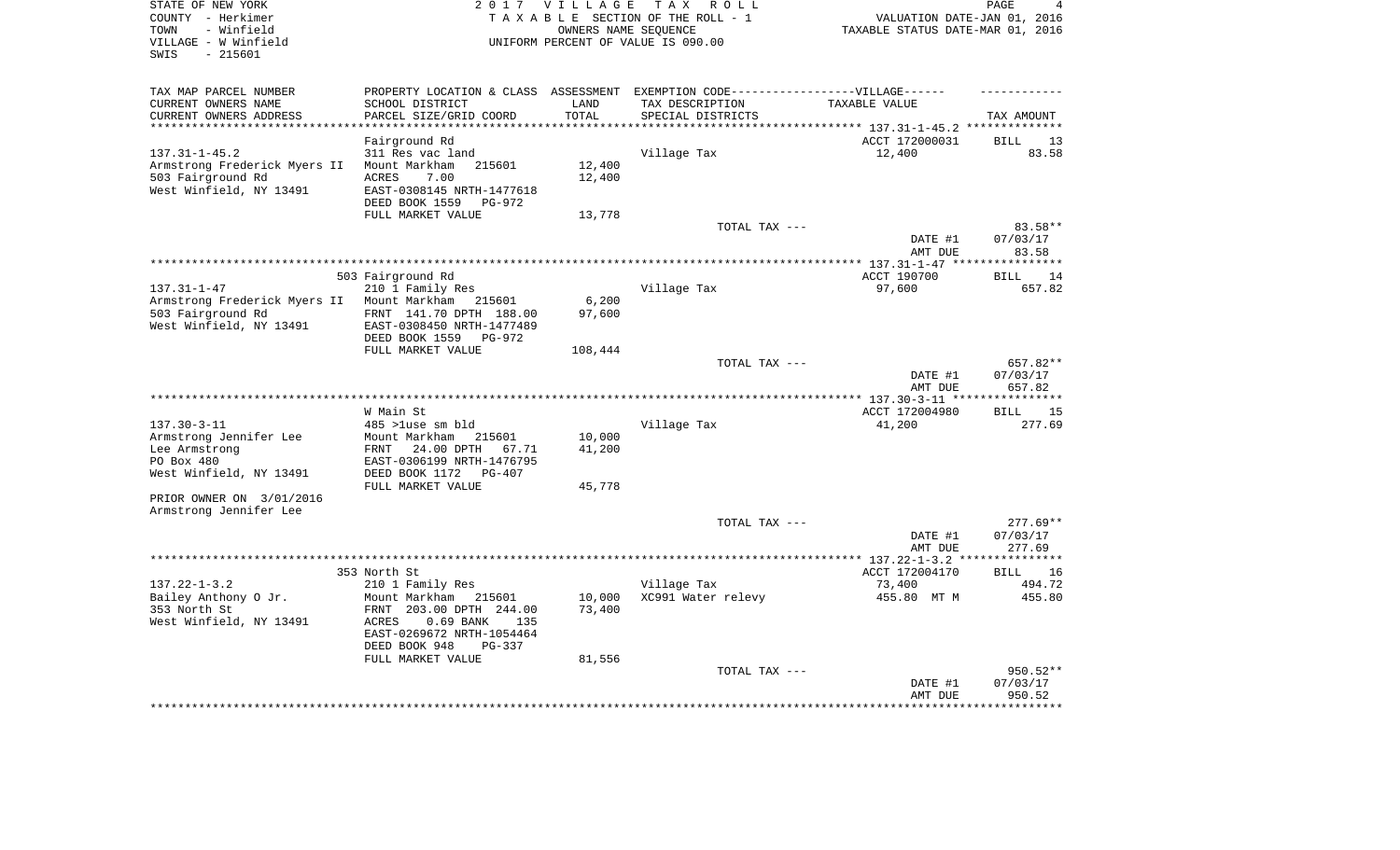| STATE OF NEW YORK<br>COUNTY - Herkimer<br>- Winfield<br>TOWN<br>VILLAGE - W Winfield<br>$-215601$<br>SWIS                         | 2017 VILLAGE<br>TAX ROLL<br>TAXABLE SECTION OF THE ROLL - 1<br>OWNERS NAME SEOUENCE<br>UNIFORM PERCENT OF VALUE IS 090.00                                                                            |                            |                                                                                                                          | PAGE<br>VALUATION DATE-JAN 01, 2016<br>TAXABLE STATUS DATE-MAR 01, 2016 |                                       |  |
|-----------------------------------------------------------------------------------------------------------------------------------|------------------------------------------------------------------------------------------------------------------------------------------------------------------------------------------------------|----------------------------|--------------------------------------------------------------------------------------------------------------------------|-------------------------------------------------------------------------|---------------------------------------|--|
| TAX MAP PARCEL NUMBER<br>CURRENT OWNERS NAME<br>CURRENT OWNERS ADDRESS                                                            | SCHOOL DISTRICT<br>PARCEL SIZE/GRID COORD                                                                                                                                                            | LAND<br>TOTAL              | PROPERTY LOCATION & CLASS ASSESSMENT EXEMPTION CODE----------------VILLAGE------<br>TAX DESCRIPTION<br>SPECIAL DISTRICTS | TAXABLE VALUE                                                           | TAX AMOUNT                            |  |
| *******************                                                                                                               |                                                                                                                                                                                                      |                            |                                                                                                                          | *************************** 137.31-1-45.2 **************                |                                       |  |
| $137.31 - 1 - 45.2$<br>Armstrong Frederick Myers II<br>503 Fairground Rd<br>West Winfield, NY 13491                               | Fairground Rd<br>311 Res vac land<br>Mount Markham<br>215601<br>7.00<br><b>ACRES</b><br>EAST-0308145 NRTH-1477618<br>DEED BOOK 1559<br>PG-972                                                        | 12,400<br>12,400           | Village Tax                                                                                                              | ACCT 172000031<br>12,400                                                | <b>BILL</b><br>13<br>83.58            |  |
|                                                                                                                                   | FULL MARKET VALUE                                                                                                                                                                                    | 13,778                     |                                                                                                                          |                                                                         |                                       |  |
|                                                                                                                                   |                                                                                                                                                                                                      |                            | TOTAL TAX ---                                                                                                            | DATE #1<br>AMT DUE                                                      | 83.58**<br>07/03/17<br>83.58          |  |
|                                                                                                                                   |                                                                                                                                                                                                      |                            |                                                                                                                          |                                                                         | ************                          |  |
|                                                                                                                                   | 503 Fairground Rd                                                                                                                                                                                    |                            |                                                                                                                          | ACCT 190700                                                             | 14<br>BILL                            |  |
| $137.31 - 1 - 47$<br>Armstrong Frederick Myers II<br>503 Fairground Rd<br>West Winfield, NY 13491                                 | 210 1 Family Res<br>Mount Markham<br>215601<br>FRNT 141.70 DPTH 188.00<br>EAST-0308450 NRTH-1477489<br>DEED BOOK 1559<br>PG-972                                                                      | 6,200<br>97,600            | Village Tax                                                                                                              | 97,600                                                                  | 657.82                                |  |
|                                                                                                                                   | FULL MARKET VALUE                                                                                                                                                                                    | 108,444                    |                                                                                                                          |                                                                         |                                       |  |
|                                                                                                                                   |                                                                                                                                                                                                      |                            | TOTAL TAX ---                                                                                                            | DATE #1<br>AMT DUE                                                      | 657.82**<br>07/03/17<br>657.82        |  |
|                                                                                                                                   |                                                                                                                                                                                                      |                            |                                                                                                                          |                                                                         | * * * * * * * * * * *                 |  |
| $137.30 - 3 - 11$<br>Armstrong Jennifer Lee<br>Lee Armstrong<br>PO Box 480<br>West Winfield, NY 13491<br>PRIOR OWNER ON 3/01/2016 | W Main St<br>485 >luse sm bld<br>Mount Markham<br>215601<br>FRNT<br>24.00 DPTH<br>67.71<br>EAST-0306199 NRTH-1476795<br>DEED BOOK 1172<br>PG-407<br>FULL MARKET VALUE                                | 10,000<br>41,200<br>45,778 | Village Tax                                                                                                              | ACCT 172004980<br>41,200                                                | 15<br>BILL<br>277.69                  |  |
| Armstrong Jennifer Lee                                                                                                            |                                                                                                                                                                                                      |                            | TOTAL TAX ---                                                                                                            |                                                                         | $277.69**$                            |  |
|                                                                                                                                   |                                                                                                                                                                                                      |                            |                                                                                                                          | DATE #1<br>AMT DUE                                                      | 07/03/17<br>277.69                    |  |
|                                                                                                                                   |                                                                                                                                                                                                      |                            |                                                                                                                          |                                                                         |                                       |  |
| $137.22 - 1 - 3.2$<br>Bailey Anthony O Jr.<br>353 North St<br>West Winfield, NY 13491                                             | 353 North St<br>210 1 Family Res<br>Mount Markham<br>215601<br>FRNT 203.00 DPTH 244.00<br>ACRES<br>$0.69$ BANK<br>135<br>EAST-0269672 NRTH-1054464<br>DEED BOOK 948<br>$PG-337$<br>FULL MARKET VALUE | 10,000<br>73,400<br>81,556 | Village Tax<br>XC991 Water relevy                                                                                        | ACCT 172004170<br>73,400<br>455.80 MT M                                 | <b>BILL</b><br>16<br>494.72<br>455.80 |  |
|                                                                                                                                   |                                                                                                                                                                                                      |                            | TOTAL TAX ---                                                                                                            | DATE #1<br>AMT DUE                                                      | 950.52**<br>07/03/17<br>950.52        |  |
|                                                                                                                                   |                                                                                                                                                                                                      |                            |                                                                                                                          |                                                                         |                                       |  |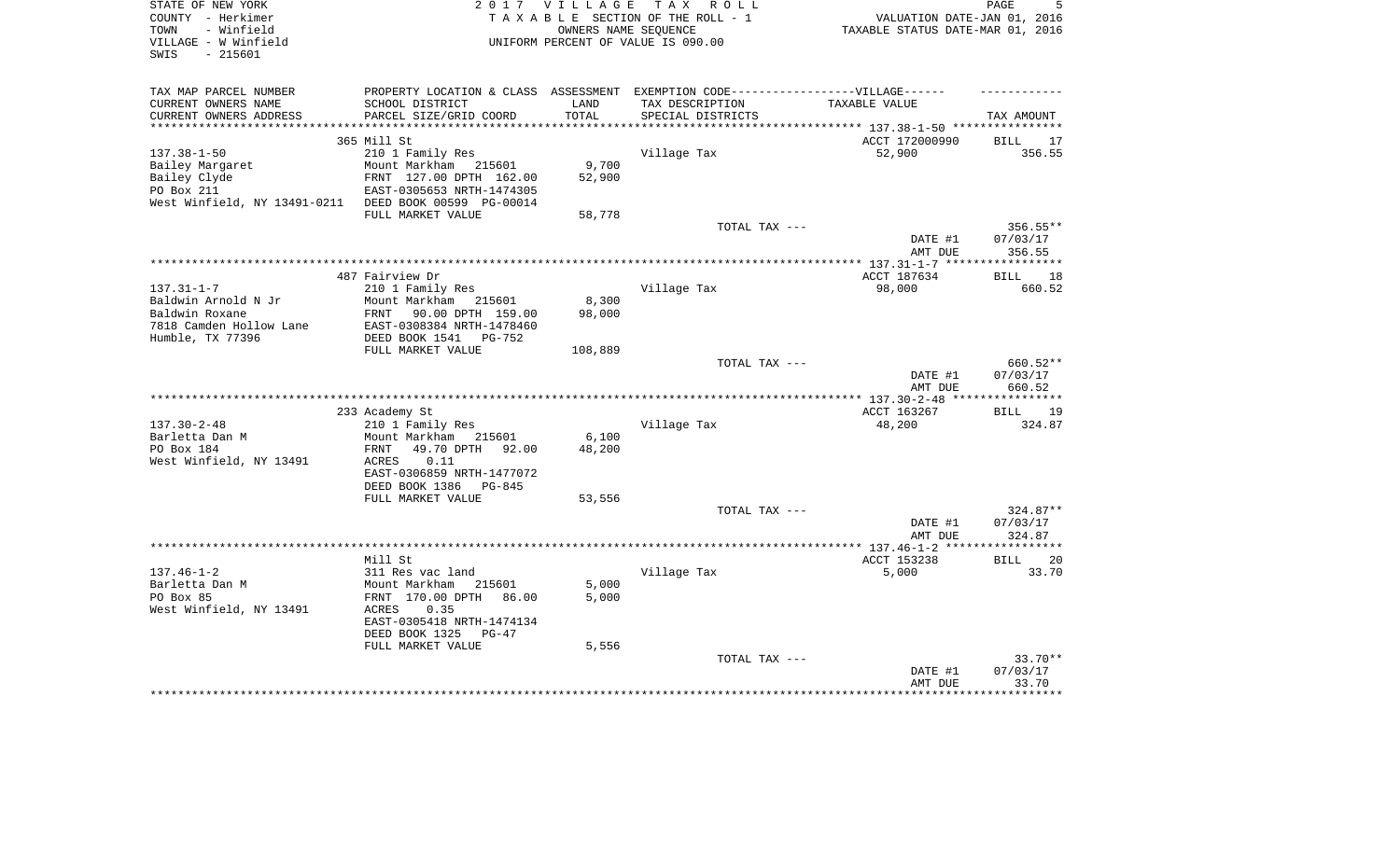| STATE OF NEW YORK                         | 2017                                                                              | VILLAGE             | T A X<br>R O L L                   |                                  | PAGE                |
|-------------------------------------------|-----------------------------------------------------------------------------------|---------------------|------------------------------------|----------------------------------|---------------------|
| COUNTY - Herkimer                         |                                                                                   |                     | TAXABLE SECTION OF THE ROLL - 1    | VALUATION DATE-JAN 01, 2016      |                     |
| TOWN<br>- Winfield                        |                                                                                   |                     | OWNERS NAME SEQUENCE               | TAXABLE STATUS DATE-MAR 01, 2016 |                     |
| VILLAGE - W Winfield                      |                                                                                   |                     | UNIFORM PERCENT OF VALUE IS 090.00 |                                  |                     |
| $-215601$<br>SWIS                         |                                                                                   |                     |                                    |                                  |                     |
|                                           |                                                                                   |                     |                                    |                                  |                     |
| TAX MAP PARCEL NUMBER                     | PROPERTY LOCATION & CLASS ASSESSMENT EXEMPTION CODE-----------------VILLAGE------ |                     |                                    |                                  |                     |
| CURRENT OWNERS NAME                       | SCHOOL DISTRICT                                                                   | LAND                | TAX DESCRIPTION                    | TAXABLE VALUE                    |                     |
| CURRENT OWNERS ADDRESS                    | PARCEL SIZE/GRID COORD                                                            | TOTAL               | SPECIAL DISTRICTS                  |                                  | TAX AMOUNT          |
| *********************                     | * * * * * * * * * * * * * * * * *                                                 | * * * * * * * * * * |                                    |                                  |                     |
|                                           | 365 Mill St                                                                       |                     |                                    | ACCT 172000990                   | <b>BILL</b><br>17   |
| $137.38 - 1 - 50$                         | 210 1 Family Res                                                                  |                     | Village Tax                        | 52,900                           | 356.55              |
| Bailey Margaret                           | Mount Markham 215601                                                              | 9,700               |                                    |                                  |                     |
| Bailey Clyde                              | FRNT 127.00 DPTH 162.00                                                           | 52,900              |                                    |                                  |                     |
| PO Box 211                                | EAST-0305653 NRTH-1474305                                                         |                     |                                    |                                  |                     |
| West Winfield, NY 13491-0211              | DEED BOOK 00599 PG-00014                                                          |                     |                                    |                                  |                     |
|                                           | FULL MARKET VALUE                                                                 | 58,778              |                                    |                                  |                     |
|                                           |                                                                                   |                     | TOTAL TAX ---                      |                                  | 356.55**            |
|                                           |                                                                                   |                     |                                    | DATE #1                          | 07/03/17            |
|                                           |                                                                                   |                     |                                    | AMT DUE                          | 356.55<br>********* |
|                                           |                                                                                   |                     |                                    |                                  |                     |
|                                           | 487 Fairview Dr                                                                   |                     |                                    | ACCT 187634                      | 18<br>BILL          |
| $137.31 - 1 - 7$                          | 210 1 Family Res                                                                  |                     | Village Tax                        | 98,000                           | 660.52              |
| Baldwin Arnold N Jr                       | Mount Markham<br>215601                                                           | 8,300               |                                    |                                  |                     |
| Baldwin Roxane<br>7818 Camden Hollow Lane | FRNT<br>90.00 DPTH 159.00<br>EAST-0308384 NRTH-1478460                            | 98,000              |                                    |                                  |                     |
| Humble, TX 77396                          | DEED BOOK 1541<br>PG-752                                                          |                     |                                    |                                  |                     |
|                                           | FULL MARKET VALUE                                                                 | 108,889             |                                    |                                  |                     |
|                                           |                                                                                   |                     | TOTAL TAX ---                      |                                  | 660.52**            |
|                                           |                                                                                   |                     |                                    | DATE #1                          | 07/03/17            |
|                                           |                                                                                   |                     |                                    | AMT DUE                          | 660.52              |
|                                           |                                                                                   |                     |                                    |                                  | ************        |
|                                           | 233 Academy St                                                                    |                     |                                    | ACCT 163267                      | <b>BILL</b><br>19   |
| $137.30 - 2 - 48$                         | 210 1 Family Res                                                                  |                     | Village Tax                        | 48,200                           | 324.87              |
| Barletta Dan M                            | Mount Markham<br>215601                                                           | 6,100               |                                    |                                  |                     |
| PO Box 184                                | FRNT<br>49.70 DPTH<br>92.00                                                       | 48,200              |                                    |                                  |                     |
| West Winfield, NY 13491                   | <b>ACRES</b><br>0.11                                                              |                     |                                    |                                  |                     |
|                                           | EAST-0306859 NRTH-1477072                                                         |                     |                                    |                                  |                     |
|                                           | DEED BOOK 1386<br>PG-845                                                          |                     |                                    |                                  |                     |
|                                           | FULL MARKET VALUE                                                                 | 53,556              |                                    |                                  |                     |
|                                           |                                                                                   |                     | TOTAL TAX ---                      |                                  | 324.87**            |
|                                           |                                                                                   |                     |                                    | DATE #1                          | 07/03/17            |
|                                           |                                                                                   |                     |                                    | AMT DUE                          | 324.87              |
|                                           |                                                                                   |                     | ************************           | ** 137.46-1-2                    |                     |
|                                           | Mill St                                                                           |                     |                                    | ACCT 153238                      | <b>BILL</b><br>20   |
| $137.46 - 1 - 2$                          | 311 Res vac land                                                                  |                     | Village Tax                        | 5,000                            | 33.70               |
| Barletta Dan M                            | Mount Markham<br>215601                                                           | 5,000               |                                    |                                  |                     |
| PO Box 85                                 | FRNT 170.00 DPTH<br>86.00                                                         | 5,000               |                                    |                                  |                     |
| West Winfield, NY 13491                   | ACRES<br>0.35                                                                     |                     |                                    |                                  |                     |
|                                           | EAST-0305418 NRTH-1474134                                                         |                     |                                    |                                  |                     |
|                                           | DEED BOOK 1325<br>$PG-47$                                                         |                     |                                    |                                  |                     |
|                                           | FULL MARKET VALUE                                                                 | 5,556               |                                    |                                  |                     |
|                                           |                                                                                   |                     | TOTAL TAX ---                      |                                  | 33.70**             |
|                                           |                                                                                   |                     |                                    | DATE #1                          | 07/03/17            |
|                                           |                                                                                   |                     |                                    | AMT DUE                          | 33.70               |
|                                           |                                                                                   |                     |                                    |                                  | ******              |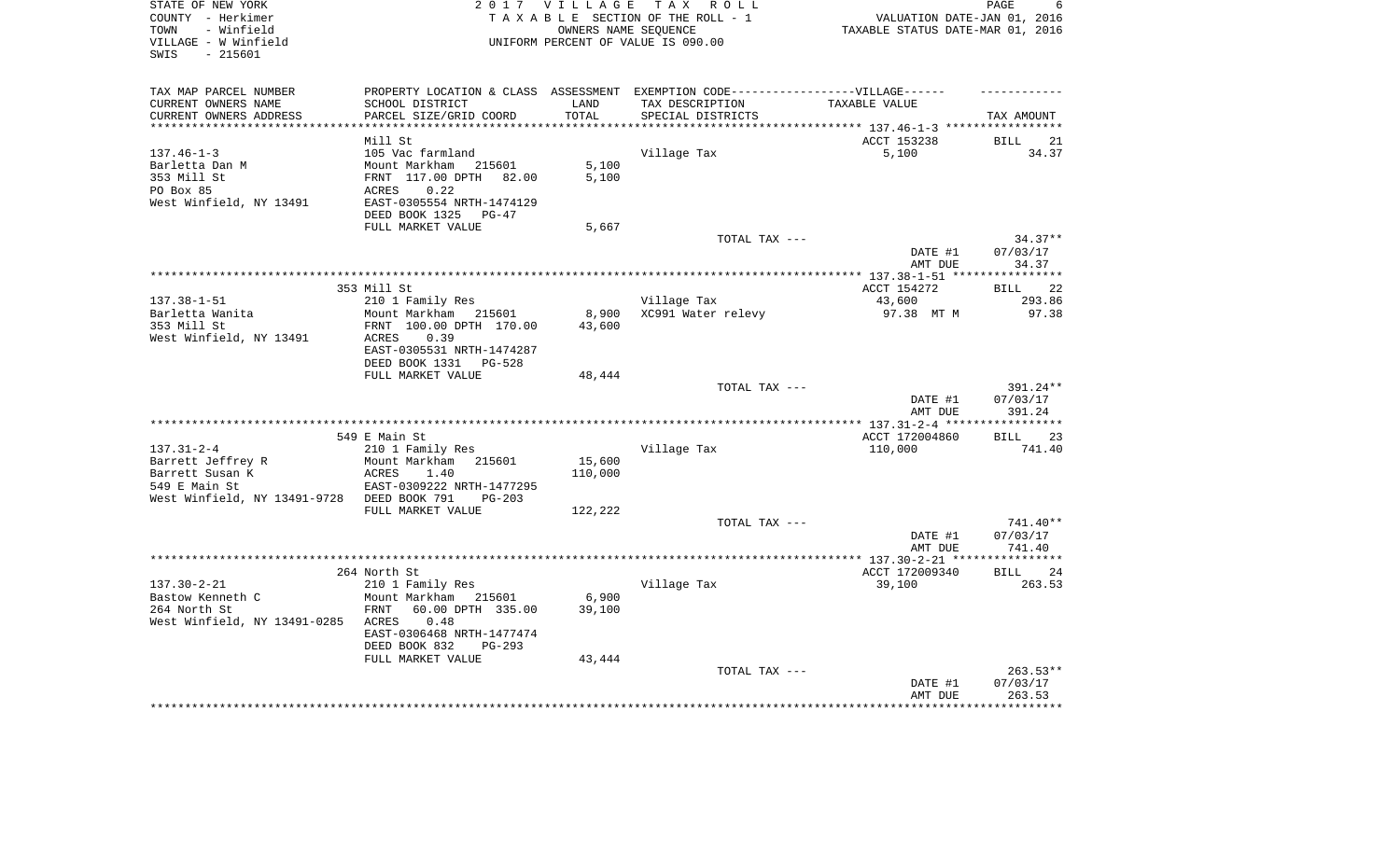| TAXABLE SECTION OF THE ROLL - 1<br>COUNTY - Herkimer                                                                                 | VALUATION DATE-JAN 01, 2016      |
|--------------------------------------------------------------------------------------------------------------------------------------|----------------------------------|
|                                                                                                                                      |                                  |
| OWNERS NAME SEQUENCE<br>TOWN<br>- Winfield                                                                                           | TAXABLE STATUS DATE-MAR 01, 2016 |
| VILLAGE - W Winfield<br>UNIFORM PERCENT OF VALUE IS 090.00                                                                           |                                  |
| SWIS<br>$-215601$                                                                                                                    |                                  |
|                                                                                                                                      |                                  |
| TAX MAP PARCEL NUMBER<br>PROPERTY LOCATION & CLASS ASSESSMENT EXEMPTION CODE----------------VILLAGE------                            |                                  |
| CURRENT OWNERS NAME<br>SCHOOL DISTRICT<br>LAND<br>TAX DESCRIPTION                                                                    | TAXABLE VALUE                    |
| CURRENT OWNERS ADDRESS<br>PARCEL SIZE/GRID COORD<br>TOTAL<br>SPECIAL DISTRICTS<br>**********************<br>************************ | TAX AMOUNT                       |
| Mill St                                                                                                                              | ACCT 153238<br><b>BILL</b>       |
| 105 Vac farmland<br>Village Tax<br>$137.46 - 1 - 3$                                                                                  | 5,100<br>34.37                   |
| 5,100<br>Barletta Dan M<br>Mount Markham 215601                                                                                      |                                  |
| 353 Mill St<br>FRNT 117.00 DPTH 82.00<br>5,100                                                                                       |                                  |
|                                                                                                                                      |                                  |
| PO Box 85<br>0.22<br>ACRES                                                                                                           |                                  |
| West Winfield, NY 13491<br>EAST-0305554 NRTH-1474129                                                                                 |                                  |
| DEED BOOK 1325<br>PG-47                                                                                                              |                                  |
| FULL MARKET VALUE<br>5,667                                                                                                           | TOTAL TAX ---<br>$34.37**$       |
|                                                                                                                                      | 07/03/17<br>DATE #1              |
|                                                                                                                                      | AMT DUE<br>34.37                 |
|                                                                                                                                      | ***********                      |
| 353 Mill St                                                                                                                          | BILL 22<br>ACCT 154272           |
| $137.38 - 1 - 51$<br>Village Tax<br>210 1 Family Res                                                                                 | 293.86<br>43,600                 |
| Barletta Wanita<br>8,900<br>XC991 Water relevy<br>Mount Markham 215601                                                               | 97.38<br>97.38 MT M              |
| 353 Mill St<br>FRNT 100.00 DPTH 170.00<br>43,600                                                                                     |                                  |
| West Winfield, NY 13491<br>ACRES<br>0.39                                                                                             |                                  |
| EAST-0305531 NRTH-1474287                                                                                                            |                                  |
| DEED BOOK 1331 PG-528                                                                                                                |                                  |
| FULL MARKET VALUE<br>48,444                                                                                                          |                                  |
|                                                                                                                                      | TOTAL TAX ---<br>391.24**        |
|                                                                                                                                      | DATE #1<br>07/03/17              |
|                                                                                                                                      | 391.24<br>AMT DUE                |
|                                                                                                                                      |                                  |
| 549 E Main St                                                                                                                        | ACCT 172004860<br><b>BILL</b>    |
| $137.31 - 2 - 4$<br>Village Tax<br>210 1 Family Res                                                                                  | 110,000<br>741.40                |
| 15,600<br>Barrett Jeffrey R<br>Mount Markham 215601                                                                                  |                                  |
| 110,000<br>Barrett Susan K<br>ACRES<br>1.40                                                                                          |                                  |
| 549 E Main St<br>EAST-0309222 NRTH-1477295                                                                                           |                                  |
| West Winfield, NY 13491-9728 DEED BOOK 791<br>$PG-203$                                                                               |                                  |
| FULL MARKET VALUE<br>122,222                                                                                                         |                                  |
|                                                                                                                                      | TOTAL TAX ---<br>741.40**        |
|                                                                                                                                      | DATE #1<br>07/03/17              |
|                                                                                                                                      | 741.40<br>AMT DUE                |
|                                                                                                                                      |                                  |
| 264 North St                                                                                                                         | ACCT 172009340<br>BILL 24        |
| $137.30 - 2 - 21$<br>Village Tax<br>210 1 Family Res                                                                                 | 39,100<br>263.53                 |
| 6,900<br>Bastow Kenneth C<br>Mount Markham 215601                                                                                    |                                  |
| 264 North St<br>60.00 DPTH 335.00<br>39,100<br>FRNT                                                                                  |                                  |
| West Winfield, NY 13491-0285 ACRES<br>0.48                                                                                           |                                  |
| EAST-0306468 NRTH-1477474                                                                                                            |                                  |
| DEED BOOK 832<br><b>PG-293</b>                                                                                                       |                                  |
| FULL MARKET VALUE<br>43,444                                                                                                          |                                  |
|                                                                                                                                      | 263.53**<br>TOTAL TAX ---        |
|                                                                                                                                      |                                  |
|                                                                                                                                      | 07/03/17<br>DATE #1              |
|                                                                                                                                      | 263.53<br>AMT DUE                |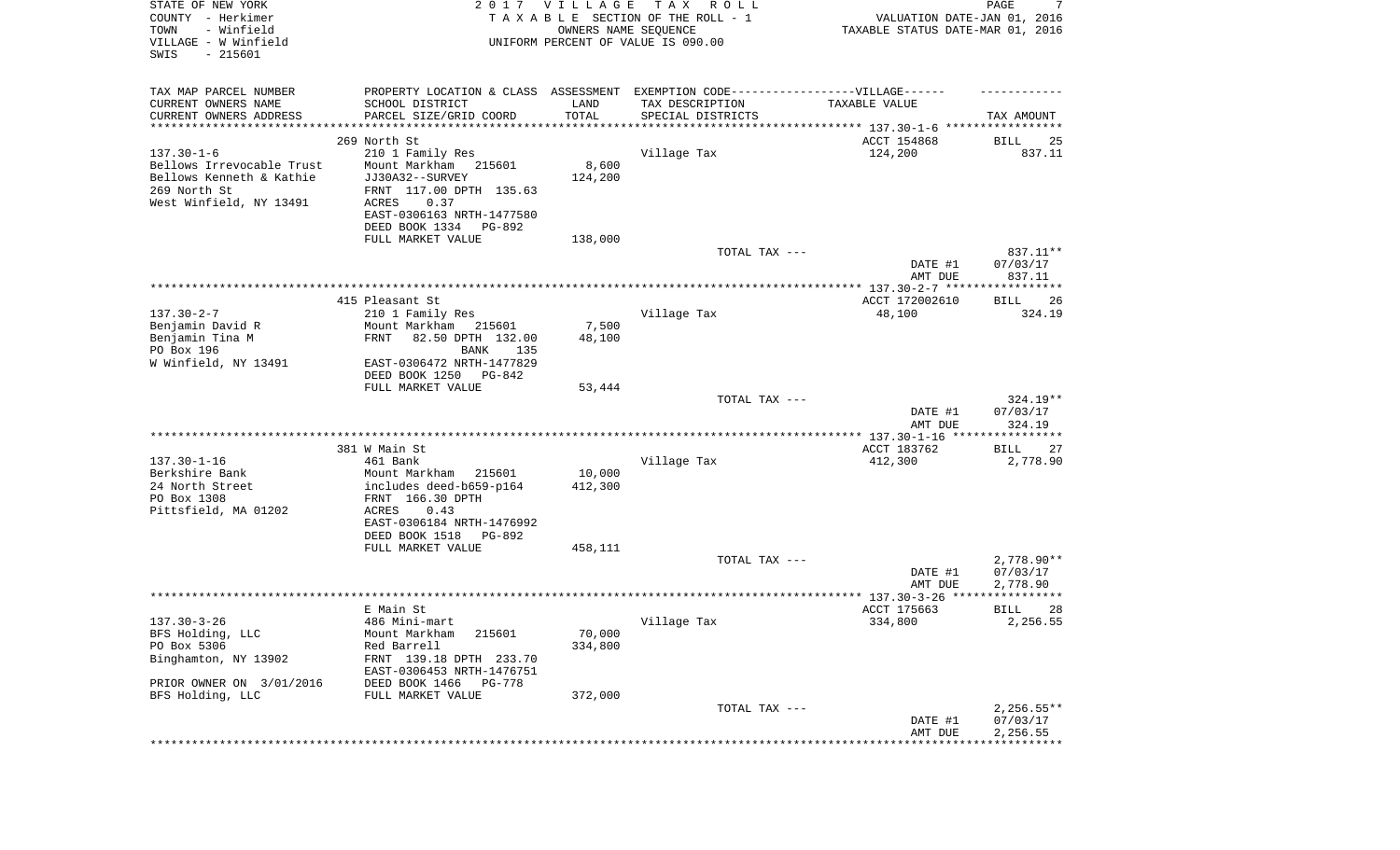| STATE OF NEW YORK<br>COUNTY - Herkimer<br>TOWN<br>- Winfield<br>VILLAGE - W Winfield<br>SWIS<br>$-215601$ |                                                                                                      | 2017 VILLAGE<br>OWNERS NAME SEQUENCE | T A X<br>R O L L<br>TAXABLE SECTION OF THE ROLL - 1<br>UNIFORM PERCENT OF VALUE IS 090.00 | VALUATION DATE-JAN 01, 2016<br>TAXABLE STATUS DATE-MAR 01, 2016 | PAGE<br>7            |
|-----------------------------------------------------------------------------------------------------------|------------------------------------------------------------------------------------------------------|--------------------------------------|-------------------------------------------------------------------------------------------|-----------------------------------------------------------------|----------------------|
| TAX MAP PARCEL NUMBER<br>CURRENT OWNERS NAME                                                              | PROPERTY LOCATION & CLASS ASSESSMENT EXEMPTION CODE-----------------VILLAGE------<br>SCHOOL DISTRICT | LAND                                 | TAX DESCRIPTION                                                                           | TAXABLE VALUE                                                   |                      |
| CURRENT OWNERS ADDRESS                                                                                    | PARCEL SIZE/GRID COORD                                                                               | TOTAL                                | SPECIAL DISTRICTS                                                                         |                                                                 | TAX AMOUNT           |
| **********************                                                                                    | *****************                                                                                    | * * * * * * * * * * *                | *********************************** 137.30-1-6 *****************                          |                                                                 |                      |
|                                                                                                           | 269 North St                                                                                         |                                      |                                                                                           | ACCT 154868                                                     | 25<br>BILL           |
| $137.30 - 1 - 6$                                                                                          | 210 1 Family Res                                                                                     |                                      | Village Tax                                                                               | 124,200                                                         | 837.11               |
| Bellows Irrevocable Trust<br>Bellows Kenneth & Kathie                                                     | Mount Markham<br>215601                                                                              | 8,600                                |                                                                                           |                                                                 |                      |
| 269 North St                                                                                              | JJ30A32--SURVEY<br>FRNT 117.00 DPTH 135.63                                                           | 124,200                              |                                                                                           |                                                                 |                      |
| West Winfield, NY 13491                                                                                   | 0.37<br>ACRES                                                                                        |                                      |                                                                                           |                                                                 |                      |
|                                                                                                           | EAST-0306163 NRTH-1477580                                                                            |                                      |                                                                                           |                                                                 |                      |
|                                                                                                           | DEED BOOK 1334<br>PG-892                                                                             |                                      |                                                                                           |                                                                 |                      |
|                                                                                                           | FULL MARKET VALUE                                                                                    | 138,000                              |                                                                                           |                                                                 |                      |
|                                                                                                           |                                                                                                      |                                      | TOTAL TAX ---                                                                             |                                                                 | 837.11**             |
|                                                                                                           |                                                                                                      |                                      |                                                                                           | DATE #1                                                         | 07/03/17             |
|                                                                                                           |                                                                                                      |                                      |                                                                                           | AMT DUE                                                         | 837.11               |
|                                                                                                           |                                                                                                      |                                      |                                                                                           |                                                                 |                      |
| $137.30 - 2 - 7$                                                                                          | 415 Pleasant St<br>210 1 Family Res                                                                  |                                      | Village Tax                                                                               | ACCT 172002610<br>48,100                                        | BILL<br>26<br>324.19 |
| Benjamin David R                                                                                          | Mount Markham<br>215601                                                                              | 7,500                                |                                                                                           |                                                                 |                      |
| Benjamin Tina M                                                                                           | 82.50 DPTH 132.00<br>FRNT                                                                            | 48,100                               |                                                                                           |                                                                 |                      |
| PO Box 196                                                                                                | 135<br>BANK                                                                                          |                                      |                                                                                           |                                                                 |                      |
| W Winfield, NY 13491                                                                                      | EAST-0306472 NRTH-1477829                                                                            |                                      |                                                                                           |                                                                 |                      |
|                                                                                                           | DEED BOOK 1250<br>PG-842                                                                             |                                      |                                                                                           |                                                                 |                      |
|                                                                                                           | FULL MARKET VALUE                                                                                    | 53,444                               |                                                                                           |                                                                 |                      |
|                                                                                                           |                                                                                                      |                                      | TOTAL TAX ---                                                                             |                                                                 | 324.19**             |
|                                                                                                           |                                                                                                      |                                      |                                                                                           | DATE #1                                                         | 07/03/17             |
|                                                                                                           |                                                                                                      |                                      |                                                                                           | AMT DUE<br>************* 137.30-1-16 *****************          | 324.19               |
|                                                                                                           | 381 W Main St                                                                                        |                                      |                                                                                           | ACCT 183762                                                     | BILL<br>27           |
| $137.30 - 1 - 16$                                                                                         | 461 Bank                                                                                             |                                      | Village Tax                                                                               | 412,300                                                         | 2,778.90             |
| Berkshire Bank                                                                                            | Mount Markham<br>215601                                                                              | 10,000                               |                                                                                           |                                                                 |                      |
| 24 North Street                                                                                           | includes deed-b659-p164                                                                              | 412,300                              |                                                                                           |                                                                 |                      |
| PO Box 1308                                                                                               | FRNT 166.30 DPTH                                                                                     |                                      |                                                                                           |                                                                 |                      |
| Pittsfield, MA 01202                                                                                      | ACRES<br>0.43                                                                                        |                                      |                                                                                           |                                                                 |                      |
|                                                                                                           | EAST-0306184 NRTH-1476992                                                                            |                                      |                                                                                           |                                                                 |                      |
|                                                                                                           | DEED BOOK 1518<br>PG-892<br>FULL MARKET VALUE                                                        | 458,111                              |                                                                                           |                                                                 |                      |
|                                                                                                           |                                                                                                      |                                      | TOTAL TAX ---                                                                             |                                                                 | $2,778.90**$         |
|                                                                                                           |                                                                                                      |                                      |                                                                                           | DATE #1                                                         | 07/03/17             |
|                                                                                                           |                                                                                                      |                                      |                                                                                           | AMT DUE                                                         | 2,778.90             |
|                                                                                                           |                                                                                                      |                                      |                                                                                           |                                                                 | ***********          |
|                                                                                                           | E Main St                                                                                            |                                      |                                                                                           | ACCT 175663                                                     | 28<br>BILL           |
| $137.30 - 3 - 26$                                                                                         | 486 Mini-mart                                                                                        |                                      | Village Tax                                                                               | 334,800                                                         | 2,256.55             |
| BFS Holding, LLC                                                                                          | Mount Markham<br>215601                                                                              | 70,000                               |                                                                                           |                                                                 |                      |
| PO Box 5306                                                                                               | Red Barrell                                                                                          | 334,800                              |                                                                                           |                                                                 |                      |
| Binghamton, NY 13902                                                                                      | FRNT 139.18 DPTH 233.70                                                                              |                                      |                                                                                           |                                                                 |                      |
| PRIOR OWNER ON 3/01/2016                                                                                  | EAST-0306453 NRTH-1476751<br>DEED BOOK 1466<br>PG-778                                                |                                      |                                                                                           |                                                                 |                      |
| BFS Holding, LLC                                                                                          | FULL MARKET VALUE                                                                                    | 372,000                              |                                                                                           |                                                                 |                      |
|                                                                                                           |                                                                                                      |                                      | TOTAL TAX ---                                                                             |                                                                 | $2,256.55**$         |
|                                                                                                           |                                                                                                      |                                      |                                                                                           | DATE #1                                                         | 07/03/17             |
|                                                                                                           |                                                                                                      |                                      |                                                                                           | AMT DUE                                                         | 2,256.55             |
|                                                                                                           |                                                                                                      |                                      |                                                                                           |                                                                 |                      |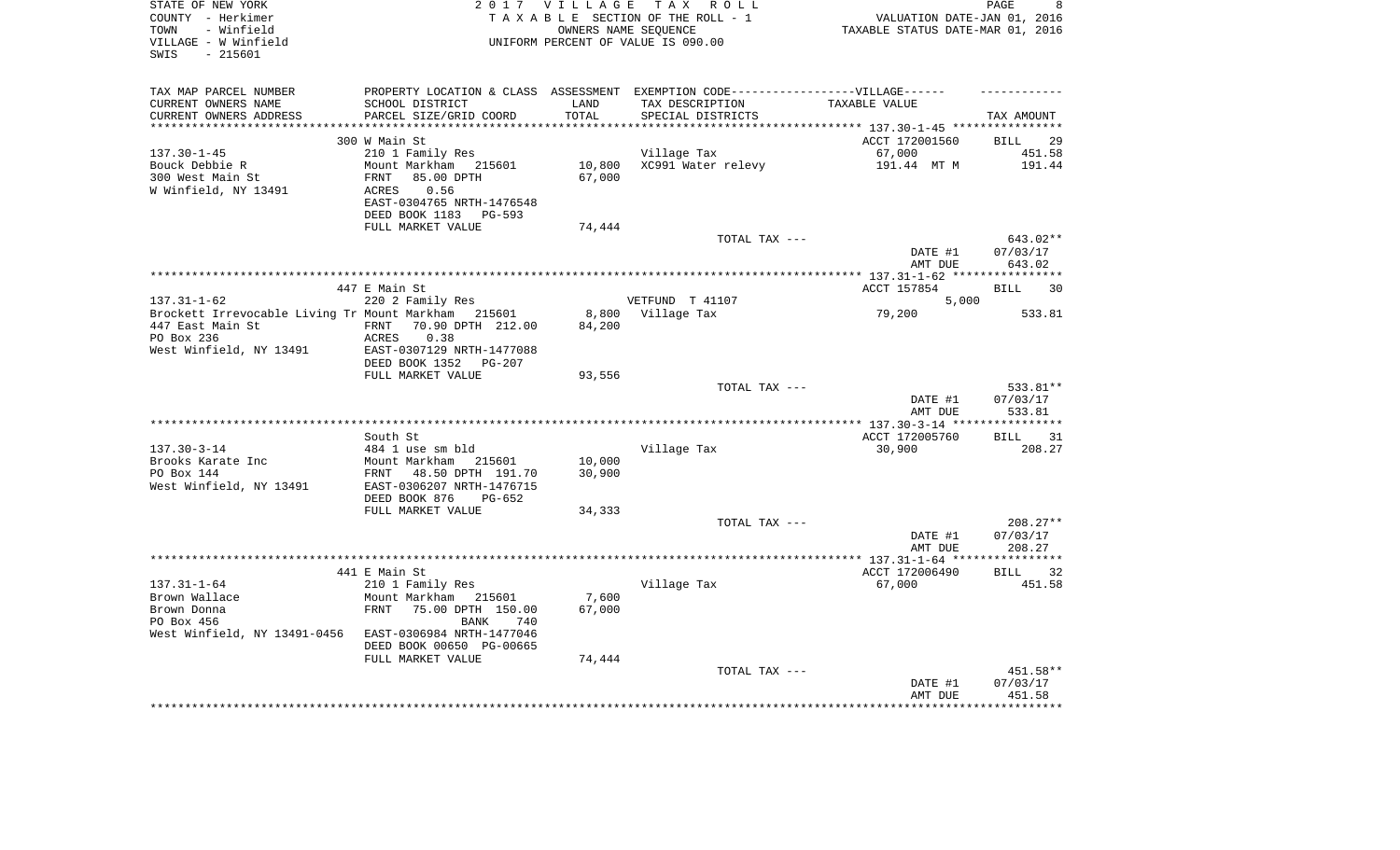| STATE OF NEW YORK                                      |                           |            | 2017 VILLAGE TAX ROLL                                                             |                                  | PAGE<br>8               |
|--------------------------------------------------------|---------------------------|------------|-----------------------------------------------------------------------------------|----------------------------------|-------------------------|
| COUNTY - Herkimer                                      |                           |            | TAXABLE SECTION OF THE ROLL - 1                                                   | VALUATION DATE-JAN 01, 2016      |                         |
| - Winfield<br>TOWN                                     |                           |            | OWNERS NAME SEOUENCE                                                              | TAXABLE STATUS DATE-MAR 01, 2016 |                         |
| VILLAGE - W Winfield                                   |                           |            | UNIFORM PERCENT OF VALUE IS 090.00                                                |                                  |                         |
| SWIS<br>$-215601$                                      |                           |            |                                                                                   |                                  |                         |
|                                                        |                           |            |                                                                                   |                                  |                         |
| TAX MAP PARCEL NUMBER                                  |                           |            | PROPERTY LOCATION & CLASS ASSESSMENT EXEMPTION CODE-----------------VILLAGE------ |                                  |                         |
| CURRENT OWNERS NAME                                    | SCHOOL DISTRICT           | LAND       | TAX DESCRIPTION                                                                   | TAXABLE VALUE                    |                         |
| CURRENT OWNERS ADDRESS                                 | PARCEL SIZE/GRID COORD    | TOTAL      | SPECIAL DISTRICTS                                                                 |                                  | TAX AMOUNT              |
|                                                        |                           | ********** | ************************************** 137.30-1-45 *****************              |                                  |                         |
|                                                        | 300 W Main St             |            |                                                                                   | ACCT 172001560                   | 29<br>BILL              |
| $137.30 - 1 - 45$                                      | 210 1 Family Res          |            | Village Tax                                                                       | 67,000                           | 451.58                  |
| Bouck Debbie R                                         | Mount Markham 215601      | 10,800     | XC991 Water relevy                                                                | 191.44 MT M                      | 191.44                  |
| 300 West Main St                                       | FRNT<br>85.00 DPTH        | 67,000     |                                                                                   |                                  |                         |
| W Winfield, NY 13491                                   | ACRES<br>0.56             |            |                                                                                   |                                  |                         |
|                                                        | EAST-0304765 NRTH-1476548 |            |                                                                                   |                                  |                         |
|                                                        | DEED BOOK 1183 PG-593     |            |                                                                                   |                                  |                         |
|                                                        | FULL MARKET VALUE         | 74,444     |                                                                                   |                                  |                         |
|                                                        |                           |            | TOTAL TAX ---                                                                     |                                  | 643.02**                |
|                                                        |                           |            |                                                                                   | DATE #1                          | 07/03/17                |
|                                                        |                           |            |                                                                                   | AMT DUE                          | 643.02                  |
|                                                        |                           |            |                                                                                   |                                  |                         |
|                                                        | 447 E Main St             |            |                                                                                   | ACCT 157854                      | 30<br><b>BILL</b>       |
| $137.31 - 1 - 62$                                      | 220 2 Family Res          |            | VETFUND T 41107                                                                   | 5,000                            |                         |
| Brockett Irrevocable Living Tr Mount Markham 215601    |                           |            | 8,800 Village Tax                                                                 | 79,200                           | 533.81                  |
| 447 East Main St                                       | FRNT 70.90 DPTH 212.00    | 84,200     |                                                                                   |                                  |                         |
| PO Box 236                                             | ACRES<br>0.38             |            |                                                                                   |                                  |                         |
| West Winfield, NY 13491                                | EAST-0307129 NRTH-1477088 |            |                                                                                   |                                  |                         |
|                                                        | DEED BOOK 1352 PG-207     |            |                                                                                   |                                  |                         |
|                                                        | FULL MARKET VALUE         | 93,556     |                                                                                   |                                  |                         |
|                                                        |                           |            | TOTAL TAX ---                                                                     |                                  | 533.81**                |
|                                                        |                           |            |                                                                                   | DATE #1                          | 07/03/17                |
|                                                        |                           |            |                                                                                   | AMT DUE                          | 533.81                  |
|                                                        | South St                  |            |                                                                                   | ACCT 172005760                   | BILL<br>31              |
| $137.30 - 3 - 14$                                      | 484 1 use sm bld          |            | Village Tax                                                                       | 30,900                           | 208.27                  |
| Brooks Karate Inc                                      | Mount Markham 215601      | 10,000     |                                                                                   |                                  |                         |
| PO Box 144                                             | FRNT 48.50 DPTH 191.70    | 30,900     |                                                                                   |                                  |                         |
| West Winfield, NY 13491                                | EAST-0306207 NRTH-1476715 |            |                                                                                   |                                  |                         |
|                                                        | DEED BOOK 876<br>PG-652   |            |                                                                                   |                                  |                         |
|                                                        | FULL MARKET VALUE         | 34,333     |                                                                                   |                                  |                         |
|                                                        |                           |            | TOTAL TAX ---                                                                     |                                  | 208.27**                |
|                                                        |                           |            |                                                                                   | DATE #1                          | 07/03/17                |
|                                                        |                           |            |                                                                                   | AMT DUE                          | 208.27                  |
|                                                        |                           |            |                                                                                   |                                  | * * * * * * * * * * * * |
|                                                        | 441 E Main St             |            |                                                                                   | ACCT 172006490                   | <b>BILL</b><br>32       |
|                                                        | 210 1 Family Res          |            | Village Tax                                                                       | 67,000                           | 451.58                  |
| 137.31-1-64<br>Brown Wallace<br>Anna                   | Mount Markham 215601      | 7,600      |                                                                                   |                                  |                         |
|                                                        | FRNT 75.00 DPTH 150.00    | 67,000     |                                                                                   |                                  |                         |
| PO Box 456                                             | BANK<br>740               |            |                                                                                   |                                  |                         |
| West Winfield, NY 13491-0456 EAST-0306984 NRTH-1477046 |                           |            |                                                                                   |                                  |                         |
|                                                        | DEED BOOK 00650 PG-00665  |            |                                                                                   |                                  |                         |
|                                                        | FULL MARKET VALUE         | 74,444     |                                                                                   |                                  |                         |
|                                                        |                           |            | TOTAL TAX ---                                                                     |                                  | 451.58**                |
|                                                        |                           |            |                                                                                   | DATE #1                          | 07/03/17                |
|                                                        |                           |            |                                                                                   | AMT DUE                          | 451.58                  |
|                                                        |                           |            |                                                                                   |                                  |                         |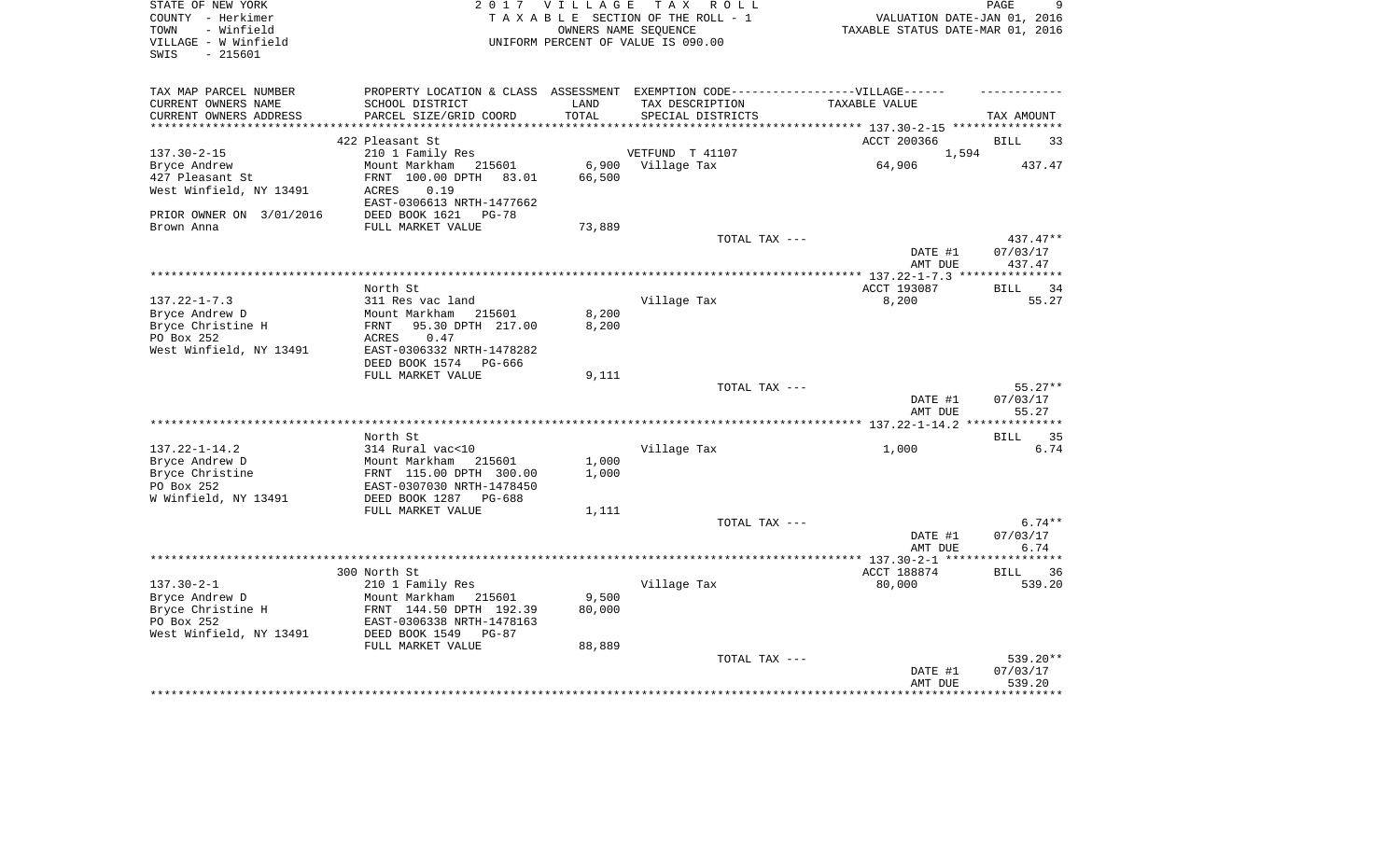| STATE OF NEW YORK<br>COUNTY - Herkimer<br>- Winfield<br>TOWN<br>VILLAGE - W Winfield<br>SWIS<br>- 215601 |                                                                                   | 2017 VILLAGE<br>OWNERS NAME SEOUENCE | TAX ROLL<br>TAXABLE SECTION OF THE ROLL - 1<br>UNIFORM PERCENT OF VALUE IS 090.00 | VALUATION DATE-JAN 01, 2016<br>TAXABLE STATUS DATE-MAR 01, 2016 | PAGE<br>9                 |
|----------------------------------------------------------------------------------------------------------|-----------------------------------------------------------------------------------|--------------------------------------|-----------------------------------------------------------------------------------|-----------------------------------------------------------------|---------------------------|
| TAX MAP PARCEL NUMBER                                                                                    | PROPERTY LOCATION & CLASS ASSESSMENT EXEMPTION CODE-----------------VILLAGE------ |                                      |                                                                                   |                                                                 |                           |
| CURRENT OWNERS NAME<br>CURRENT OWNERS ADDRESS                                                            | SCHOOL DISTRICT<br>PARCEL SIZE/GRID COORD                                         | LAND<br>TOTAL                        | TAX DESCRIPTION<br>SPECIAL DISTRICTS                                              | TAXABLE VALUE                                                   | TAX AMOUNT                |
| *************************                                                                                |                                                                                   |                                      |                                                                                   |                                                                 |                           |
| $137.30 - 2 - 15$                                                                                        | 422 Pleasant St<br>210 1 Family Res                                               |                                      | VETFUND T 41107                                                                   | ACCT 200366<br>1,594                                            | BILL<br>33                |
| Bryce Andrew                                                                                             | Mount Markham 215601                                                              | 6,900                                | Village Tax                                                                       | 64,906                                                          | 437.47                    |
| 427 Pleasant St                                                                                          | FRNT 100.00 DPTH<br>83.01                                                         | 66,500                               |                                                                                   |                                                                 |                           |
| West Winfield, NY 13491                                                                                  | ACRES<br>0.19<br>EAST-0306613 NRTH-1477662                                        |                                      |                                                                                   |                                                                 |                           |
| PRIOR OWNER ON 3/01/2016<br>Brown Anna                                                                   | DEED BOOK 1621<br>PG-78<br>FULL MARKET VALUE                                      | 73,889                               |                                                                                   |                                                                 |                           |
|                                                                                                          |                                                                                   |                                      | TOTAL TAX ---                                                                     |                                                                 | $437.47**$                |
|                                                                                                          |                                                                                   |                                      |                                                                                   | DATE #1<br>AMT DUE                                              | 07/03/17<br>437.47        |
|                                                                                                          |                                                                                   |                                      |                                                                                   |                                                                 |                           |
|                                                                                                          | North St                                                                          |                                      |                                                                                   | ACCT 193087                                                     | <b>BILL</b><br>34         |
| $137.22 - 1 - 7.3$                                                                                       | 311 Res vac land                                                                  |                                      | Village Tax                                                                       | 8,200                                                           | 55.27                     |
| Bryce Andrew D                                                                                           | Mount Markham<br>215601<br>95.30 DPTH 217.00<br>FRNT                              | 8,200<br>8,200                       |                                                                                   |                                                                 |                           |
| Bryce Christine H<br>PO Box 252                                                                          | ACRES<br>0.47                                                                     |                                      |                                                                                   |                                                                 |                           |
| West Winfield, NY 13491                                                                                  | EAST-0306332 NRTH-1478282                                                         |                                      |                                                                                   |                                                                 |                           |
|                                                                                                          | DEED BOOK 1574<br>PG-666                                                          |                                      |                                                                                   |                                                                 |                           |
|                                                                                                          | FULL MARKET VALUE                                                                 | 9,111                                |                                                                                   |                                                                 |                           |
|                                                                                                          |                                                                                   |                                      | TOTAL TAX ---                                                                     |                                                                 | $55.27**$                 |
|                                                                                                          |                                                                                   |                                      |                                                                                   | DATE #1<br>AMT DUE                                              | 07/03/17<br>55.27         |
|                                                                                                          |                                                                                   |                                      |                                                                                   |                                                                 |                           |
| $137.22 - 1 - 14.2$                                                                                      | North St<br>314 Rural vac<10                                                      |                                      | Village Tax                                                                       | 1,000                                                           | <b>BILL</b><br>35<br>6.74 |
| Bryce Andrew D                                                                                           | Mount Markham 215601                                                              | 1,000                                |                                                                                   |                                                                 |                           |
| Bryce Christine                                                                                          | FRNT 115.00 DPTH 300.00                                                           | 1,000                                |                                                                                   |                                                                 |                           |
| PO Box 252                                                                                               | EAST-0307030 NRTH-1478450                                                         |                                      |                                                                                   |                                                                 |                           |
| W Winfield, NY 13491                                                                                     | DEED BOOK 1287<br>PG-688                                                          |                                      |                                                                                   |                                                                 |                           |
|                                                                                                          | FULL MARKET VALUE                                                                 | 1,111                                |                                                                                   |                                                                 |                           |
|                                                                                                          |                                                                                   |                                      | TOTAL TAX ---                                                                     |                                                                 | $6.74**$                  |
|                                                                                                          |                                                                                   |                                      |                                                                                   | DATE #1<br>AMT DUE                                              | 07/03/17<br>6.74          |
|                                                                                                          |                                                                                   |                                      |                                                                                   |                                                                 | ******                    |
|                                                                                                          | 300 North St                                                                      |                                      |                                                                                   | ACCT 188874                                                     | 36<br>BILL                |
| $137.30 - 2 - 1$                                                                                         | 210 1 Family Res                                                                  |                                      | Village Tax                                                                       | 80,000                                                          | 539.20                    |
| Bryce Andrew D                                                                                           | Mount Markham 215601                                                              | 9,500                                |                                                                                   |                                                                 |                           |
| Bryce Christine H                                                                                        | FRNT 144.50 DPTH 192.39                                                           | 80,000                               |                                                                                   |                                                                 |                           |
| PO Box 252                                                                                               | EAST-0306338 NRTH-1478163                                                         |                                      |                                                                                   |                                                                 |                           |
| West Winfield, NY 13491                                                                                  | DEED BOOK 1549<br>$PG-87$<br>FULL MARKET VALUE                                    | 88,889                               |                                                                                   |                                                                 |                           |
|                                                                                                          |                                                                                   |                                      | TOTAL TAX ---                                                                     |                                                                 | 539.20**                  |
|                                                                                                          |                                                                                   |                                      |                                                                                   | DATE #1                                                         | 07/03/17                  |
|                                                                                                          |                                                                                   |                                      |                                                                                   | AMT DUE                                                         | 539.20                    |
|                                                                                                          |                                                                                   |                                      |                                                                                   |                                                                 |                           |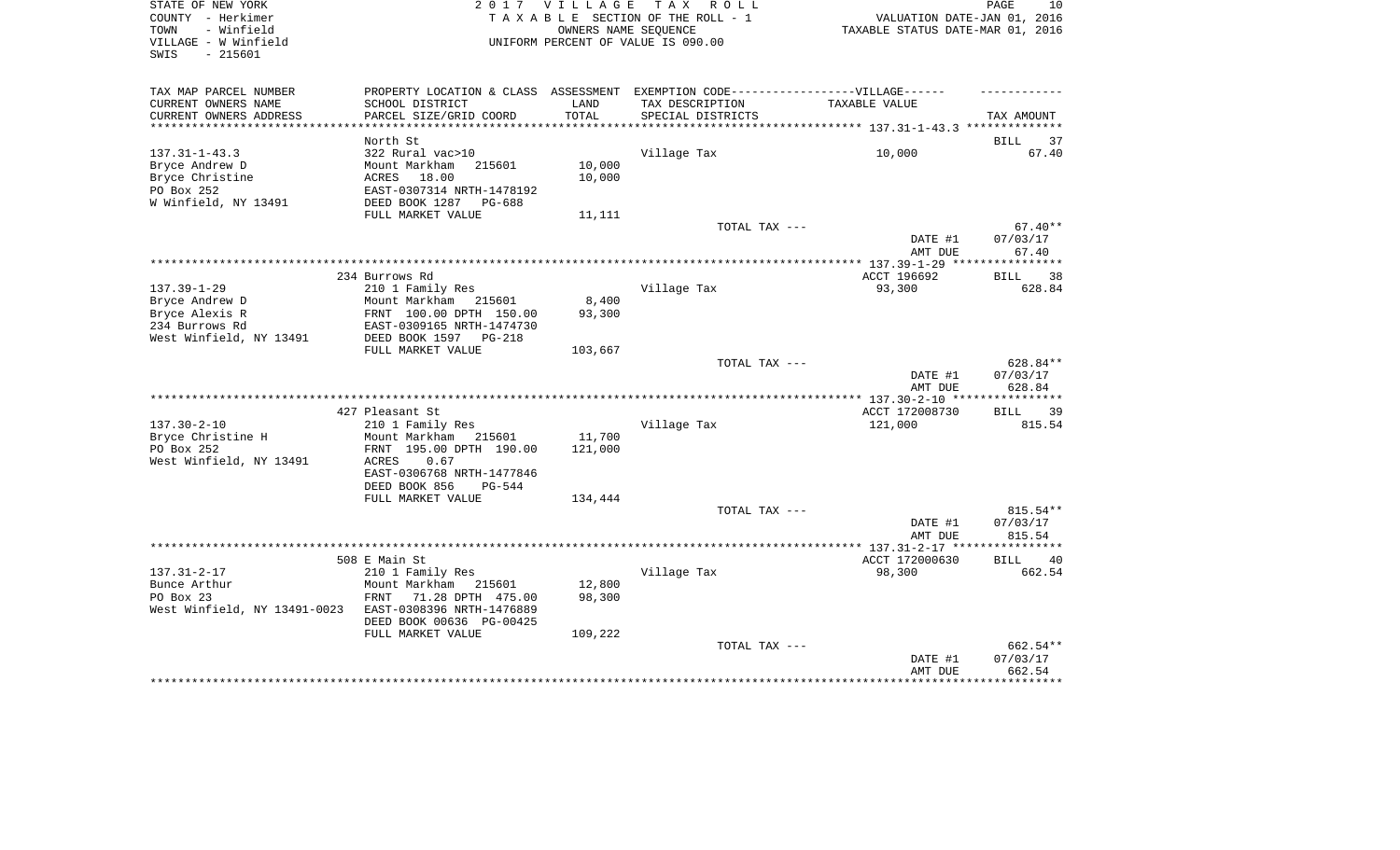| STATE OF NEW YORK<br>COUNTY - Herkimer<br>TOWN<br>- Winfield<br>VILLAGE - W Winfield<br>SWIS<br>$-215601$ | 2 0 1 7                                                                                                                                                 | <b>VILLAGE</b>              | TAX ROLL<br>TAXABLE SECTION OF THE ROLL - 1<br>OWNERS NAME SEQUENCE<br>UNIFORM PERCENT OF VALUE IS 090.00 | VALUATION DATE-JAN 01, 2016<br>TAXABLE STATUS DATE-MAR 01, 2016 | PAGE<br>10                     |
|-----------------------------------------------------------------------------------------------------------|---------------------------------------------------------------------------------------------------------------------------------------------------------|-----------------------------|-----------------------------------------------------------------------------------------------------------|-----------------------------------------------------------------|--------------------------------|
| TAX MAP PARCEL NUMBER<br>CURRENT OWNERS NAME<br>CURRENT OWNERS ADDRESS                                    | PROPERTY LOCATION & CLASS ASSESSMENT EXEMPTION CODE-----------------VILLAGE------<br>SCHOOL DISTRICT<br>PARCEL SIZE/GRID COORD                          | LAND<br>TOTAL               | TAX DESCRIPTION<br>SPECIAL DISTRICTS                                                                      | TAXABLE VALUE                                                   | TAX AMOUNT                     |
| *************************                                                                                 |                                                                                                                                                         |                             |                                                                                                           |                                                                 |                                |
| $137.31 - 1 - 43.3$<br>Bryce Andrew D<br>Bryce Christine<br>PO Box 252<br>W Winfield, NY 13491            | North St<br>322 Rural vac>10<br>Mount Markham<br>215601<br>ACRES<br>18.00<br>EAST-0307314 NRTH-1478192<br>DEED BOOK 1287<br>PG-688<br>FULL MARKET VALUE | 10,000<br>10,000<br>11,111  | Village Tax                                                                                               | 10,000                                                          | 37<br>BILL<br>67.40            |
|                                                                                                           |                                                                                                                                                         |                             | TOTAL TAX ---                                                                                             |                                                                 | $67.40**$                      |
|                                                                                                           |                                                                                                                                                         |                             |                                                                                                           | DATE #1<br>AMT DUE                                              | 07/03/17<br>67.40              |
|                                                                                                           |                                                                                                                                                         |                             |                                                                                                           | ACCT 196692                                                     |                                |
| $137.39 - 1 - 29$<br>Bryce Andrew D<br>Bryce Alexis R<br>234 Burrows Rd<br>West Winfield, NY 13491        | 234 Burrows Rd<br>210 1 Family Res<br>Mount Markham<br>215601<br>FRNT 100.00 DPTH 150.00<br>EAST-0309165 NRTH-1474730<br>DEED BOOK 1597<br>PG-218       | 8,400<br>93,300             | Village Tax                                                                                               | 93,300                                                          | BILL<br>38<br>628.84           |
|                                                                                                           | FULL MARKET VALUE                                                                                                                                       | 103,667                     |                                                                                                           |                                                                 |                                |
|                                                                                                           |                                                                                                                                                         |                             | TOTAL TAX ---                                                                                             | DATE #1<br>AMT DUE                                              | 628.84**<br>07/03/17<br>628.84 |
|                                                                                                           |                                                                                                                                                         |                             |                                                                                                           | **************** 137.30-2-10 ****                               |                                |
|                                                                                                           | 427 Pleasant St                                                                                                                                         |                             |                                                                                                           | ACCT 172008730                                                  | <b>BILL</b><br>39              |
| $137.30 - 2 - 10$<br>Bryce Christine H<br>PO Box 252<br>West Winfield, NY 13491                           | 210 1 Family Res<br>Mount Markham 215601<br>FRNT 195.00 DPTH 190.00<br>ACRES<br>0.67<br>EAST-0306768 NRTH-1477846<br>DEED BOOK 856<br>$PG-544$          | 11,700<br>121,000           | Village Tax                                                                                               | 121,000                                                         | 815.54                         |
|                                                                                                           | FULL MARKET VALUE                                                                                                                                       | 134,444                     |                                                                                                           |                                                                 |                                |
|                                                                                                           |                                                                                                                                                         |                             | TOTAL TAX ---                                                                                             | DATE #1<br>AMT DUE                                              | 815.54**<br>07/03/17<br>815.54 |
|                                                                                                           |                                                                                                                                                         |                             |                                                                                                           |                                                                 |                                |
|                                                                                                           | 508 E Main St                                                                                                                                           |                             |                                                                                                           | ACCT 172000630                                                  | <b>BILL</b><br>40              |
| $137.31 - 2 - 17$<br>Bunce Arthur<br>PO Box 23<br>West Winfield, NY 13491-0023                            | 210 1 Family Res<br>Mount Markham 215601<br>71.28 DPTH 475.00<br>FRNT<br>EAST-0308396 NRTH-1476889<br>DEED BOOK 00636 PG-00425<br>FULL MARKET VALUE     | 12,800<br>98,300<br>109,222 | Village Tax                                                                                               | 98,300                                                          | 662.54                         |
|                                                                                                           |                                                                                                                                                         |                             | TOTAL TAX ---                                                                                             | DATE #1<br>AMT DUE                                              | 662.54**<br>07/03/17<br>662.54 |
|                                                                                                           |                                                                                                                                                         |                             |                                                                                                           |                                                                 | *********                      |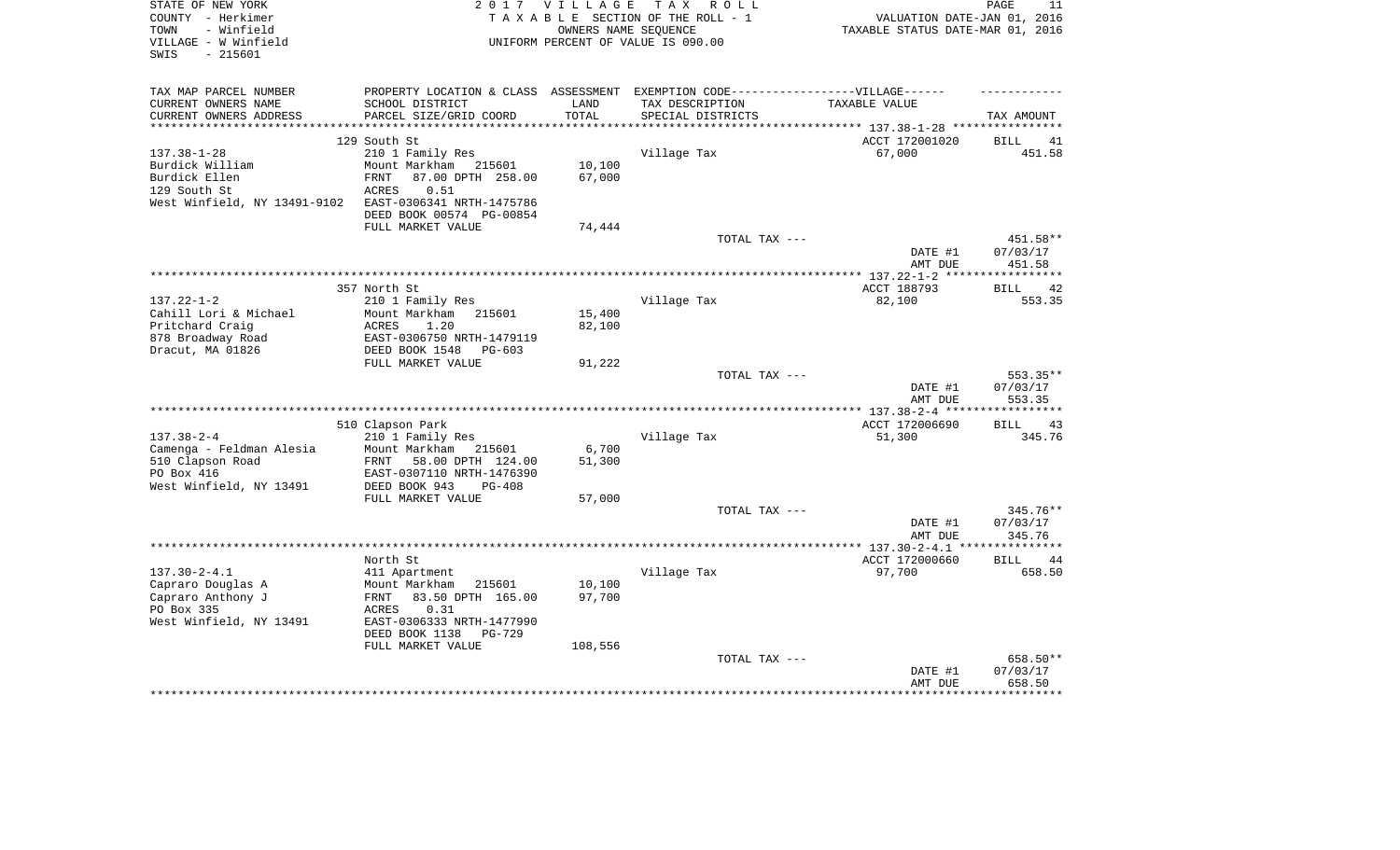| STATE OF NEW YORK<br>COUNTY - Herkimer<br>- Winfield<br>TOWN<br>VILLAGE - W Winfield<br>SWIS<br>$-215601$ | 2 0 1 7                                     | VILLAGE<br>OWNERS NAME SEOUENCE | T A X<br>R O L L<br>TAXABLE SECTION OF THE ROLL - 1<br>UNIFORM PERCENT OF VALUE IS 090.00 | VALUATION DATE-JAN 01, 2016<br>TAXABLE STATUS DATE-MAR 01, 2016 | PAGE<br>11           |
|-----------------------------------------------------------------------------------------------------------|---------------------------------------------|---------------------------------|-------------------------------------------------------------------------------------------|-----------------------------------------------------------------|----------------------|
| TAX MAP PARCEL NUMBER                                                                                     | PROPERTY LOCATION & CLASS                   |                                 | ASSESSMENT EXEMPTION CODE------------------VILLAGE------                                  |                                                                 |                      |
| CURRENT OWNERS NAME                                                                                       | SCHOOL DISTRICT                             | LAND                            | TAX DESCRIPTION                                                                           | TAXABLE VALUE                                                   |                      |
| CURRENT OWNERS ADDRESS<br>***********************                                                         | PARCEL SIZE/GRID COORD                      | TOTAL                           | SPECIAL DISTRICTS                                                                         |                                                                 | TAX AMOUNT           |
|                                                                                                           | 129 South St                                |                                 |                                                                                           | ********************************* 137.38-1-28 ****************  |                      |
| $137.38 - 1 - 28$                                                                                         | 210 1 Family Res                            |                                 | Village Tax                                                                               | ACCT 172001020<br>67,000                                        | 41<br>BILL<br>451.58 |
| Burdick William                                                                                           | Mount Markham<br>215601                     | 10,100                          |                                                                                           |                                                                 |                      |
| Burdick Ellen                                                                                             | <b>FRNT</b><br>87.00 DPTH 258.00            | 67,000                          |                                                                                           |                                                                 |                      |
| 129 South St                                                                                              | ACRES<br>0.51                               |                                 |                                                                                           |                                                                 |                      |
| West Winfield, NY 13491-9102                                                                              | EAST-0306341 NRTH-1475786                   |                                 |                                                                                           |                                                                 |                      |
|                                                                                                           | DEED BOOK 00574 PG-00854                    |                                 |                                                                                           |                                                                 |                      |
|                                                                                                           | FULL MARKET VALUE                           | 74,444                          |                                                                                           |                                                                 |                      |
|                                                                                                           |                                             |                                 | TOTAL TAX ---                                                                             |                                                                 | 451.58**             |
|                                                                                                           |                                             |                                 |                                                                                           | DATE #1<br>AMT DUE                                              | 07/03/17<br>451.58   |
|                                                                                                           |                                             |                                 |                                                                                           | *************** 137.22-1-2 ****                                 |                      |
|                                                                                                           | 357 North St                                |                                 |                                                                                           | ACCT 188793                                                     | 42<br><b>BILL</b>    |
| $137.22 - 1 - 2$<br>Cahill Lori & Michael                                                                 | 210 1 Family Res<br>Mount Markham<br>215601 | 15,400                          | Village Tax                                                                               | 82,100                                                          | 553.35               |
| Pritchard Craig                                                                                           | <b>ACRES</b><br>1.20                        | 82,100                          |                                                                                           |                                                                 |                      |
| 878 Broadway Road                                                                                         | EAST-0306750 NRTH-1479119                   |                                 |                                                                                           |                                                                 |                      |
| Dracut, MA 01826                                                                                          | DEED BOOK 1548<br>$PG-603$                  |                                 |                                                                                           |                                                                 |                      |
|                                                                                                           | FULL MARKET VALUE                           | 91,222                          |                                                                                           |                                                                 |                      |
|                                                                                                           |                                             |                                 | TOTAL TAX ---                                                                             |                                                                 | 553.35**             |
|                                                                                                           |                                             |                                 |                                                                                           | DATE #1                                                         | 07/03/17             |
|                                                                                                           |                                             |                                 |                                                                                           | AMT DUE                                                         | 553.35               |
|                                                                                                           |                                             |                                 |                                                                                           |                                                                 |                      |
| $137.38 - 2 - 4$                                                                                          | 510 Clapson Park<br>210 1 Family Res        |                                 | Village Tax                                                                               | ACCT 172006690<br>51,300                                        | 43<br>BILL<br>345.76 |
| Camenga - Feldman Alesia                                                                                  | Mount Markham<br>215601                     | 6,700                           |                                                                                           |                                                                 |                      |
| 510 Clapson Road                                                                                          | 58.00 DPTH 124.00<br>FRNT                   | 51,300                          |                                                                                           |                                                                 |                      |
| PO Box 416                                                                                                | EAST-0307110 NRTH-1476390                   |                                 |                                                                                           |                                                                 |                      |
| West Winfield, NY 13491                                                                                   | DEED BOOK 943<br>$PG-408$                   |                                 |                                                                                           |                                                                 |                      |
|                                                                                                           | FULL MARKET VALUE                           | 57,000                          |                                                                                           |                                                                 |                      |
|                                                                                                           |                                             |                                 | TOTAL TAX ---                                                                             |                                                                 | 345.76**             |
|                                                                                                           |                                             |                                 |                                                                                           | DATE #1                                                         | 07/03/17             |
|                                                                                                           |                                             |                                 |                                                                                           | AMT DUE                                                         | 345.76               |
|                                                                                                           |                                             |                                 |                                                                                           |                                                                 | *********            |
| $137.30 - 2 - 4.1$                                                                                        | North St                                    |                                 |                                                                                           | ACCT 172000660<br>97,700                                        | <b>BILL</b><br>44    |
| Capraro Douglas A                                                                                         | 411 Apartment<br>Mount Markham<br>215601    | 10,100                          | Village Tax                                                                               |                                                                 | 658.50               |
| Capraro Anthony J                                                                                         | 83.50 DPTH 165.00<br>FRNT                   | 97,700                          |                                                                                           |                                                                 |                      |
| PO Box 335                                                                                                | <b>ACRES</b><br>0.31                        |                                 |                                                                                           |                                                                 |                      |
| West Winfield, NY 13491                                                                                   | EAST-0306333 NRTH-1477990                   |                                 |                                                                                           |                                                                 |                      |
|                                                                                                           | DEED BOOK 1138<br><b>PG-729</b>             |                                 |                                                                                           |                                                                 |                      |
|                                                                                                           | FULL MARKET VALUE                           | 108,556                         |                                                                                           |                                                                 |                      |
|                                                                                                           |                                             |                                 | TOTAL TAX ---                                                                             |                                                                 | 658.50**             |
|                                                                                                           |                                             |                                 |                                                                                           | DATE #1                                                         | 07/03/17             |
|                                                                                                           |                                             |                                 |                                                                                           | AMT DUE                                                         | 658.50               |
|                                                                                                           |                                             |                                 |                                                                                           |                                                                 |                      |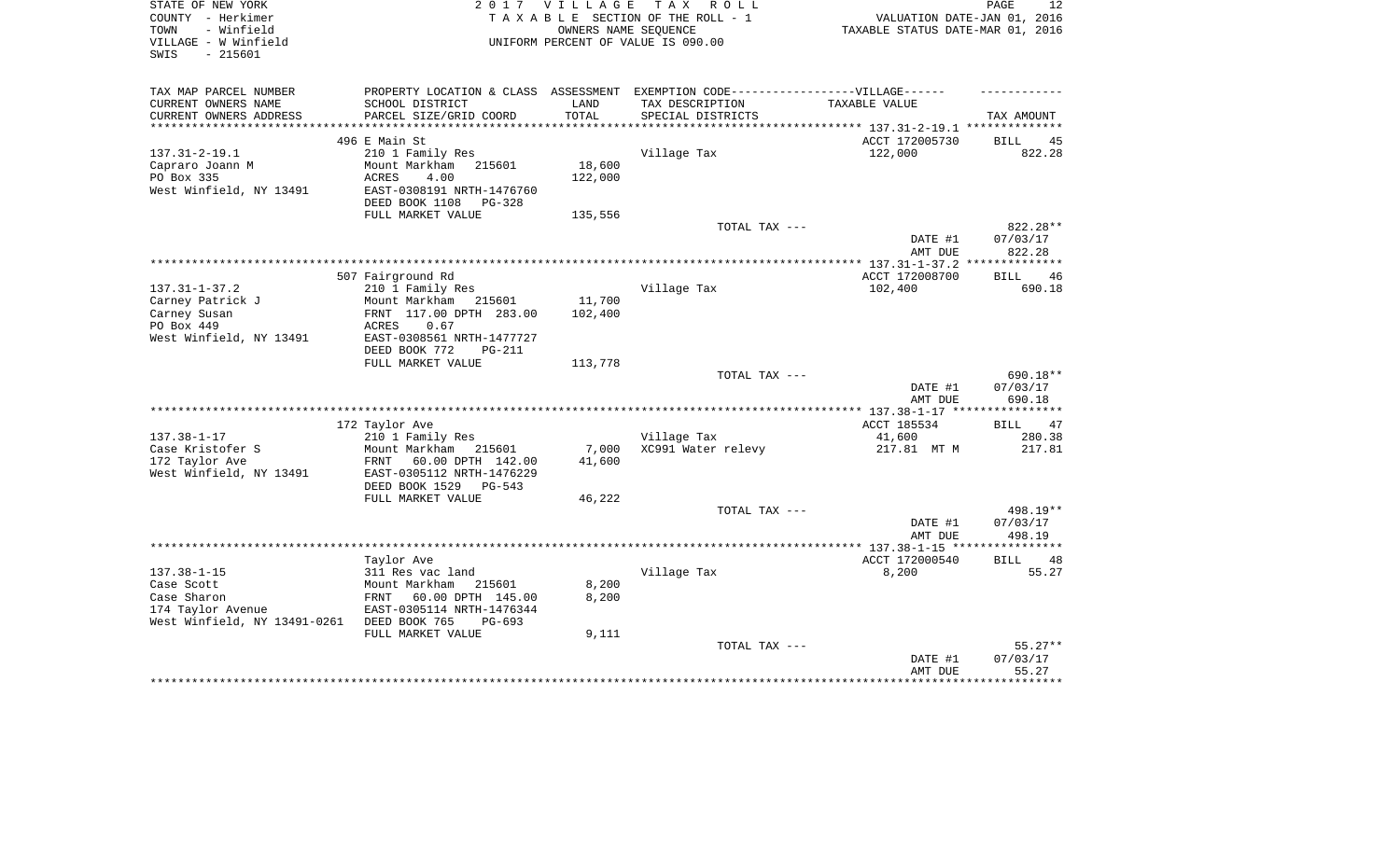| STATE OF NEW YORK<br>COUNTY - Herkimer<br>- Winfield<br>TOWN<br>VILLAGE - W Winfield<br>$-215601$<br>SWIS |                                                                                                                              | 2017 VILLAGE<br>OWNERS NAME SEQUENCE | TAX ROLL<br>TAXABLE SECTION OF THE ROLL - 1<br>UNIFORM PERCENT OF VALUE IS 090.00 | VALUATION DATE-JAN 01, 2016<br>TAXABLE STATUS DATE-MAR 01, 2016 | PAGE<br>12           |
|-----------------------------------------------------------------------------------------------------------|------------------------------------------------------------------------------------------------------------------------------|--------------------------------------|-----------------------------------------------------------------------------------|-----------------------------------------------------------------|----------------------|
| TAX MAP PARCEL NUMBER<br>CURRENT OWNERS NAME<br>CURRENT OWNERS ADDRESS                                    | PROPERTY LOCATION & CLASS ASSESSMENT EXEMPTION CODE----------------VILLAGE------<br>SCHOOL DISTRICT                          | LAND<br>TOTAL                        | TAX DESCRIPTION<br>SPECIAL DISTRICTS                                              | TAXABLE VALUE                                                   |                      |
| ********************                                                                                      | PARCEL SIZE/GRID COORD                                                                                                       | *************                        |                                                                                   | ********************************* 137.31-2-19.1 **************  | TAX AMOUNT           |
|                                                                                                           | 496 E Main St                                                                                                                |                                      |                                                                                   | ACCT 172005730                                                  | 45<br>BILL           |
| $137.31 - 2 - 19.1$<br>Capraro Joann M<br>PO Box 335<br>West Winfield, NY 13491                           | 210 1 Family Res<br>Mount Markham<br>215601<br><b>ACRES</b><br>4.00<br>EAST-0308191 NRTH-1476760<br>DEED BOOK 1108<br>PG-328 | 18,600<br>122,000                    | Village Tax                                                                       | 122,000                                                         | 822.28               |
|                                                                                                           | FULL MARKET VALUE                                                                                                            | 135,556                              |                                                                                   |                                                                 |                      |
|                                                                                                           |                                                                                                                              |                                      | TOTAL TAX ---                                                                     |                                                                 | 822.28**             |
|                                                                                                           |                                                                                                                              |                                      |                                                                                   | DATE #1                                                         | 07/03/17<br>822.28   |
|                                                                                                           |                                                                                                                              |                                      |                                                                                   | AMT DUE                                                         |                      |
|                                                                                                           | 507 Fairground Rd                                                                                                            |                                      |                                                                                   | ACCT 172008700                                                  | 46<br>BILL           |
| $137.31 - 1 - 37.2$                                                                                       | 210 1 Family Res                                                                                                             |                                      | Village Tax                                                                       | 102,400                                                         | 690.18               |
| Carney Patrick J                                                                                          | Mount Markham<br>215601                                                                                                      | 11,700                               |                                                                                   |                                                                 |                      |
| Carney Susan                                                                                              | FRNT 117.00 DPTH 283.00                                                                                                      | 102,400                              |                                                                                   |                                                                 |                      |
| PO Box 449                                                                                                | 0.67<br>ACRES                                                                                                                |                                      |                                                                                   |                                                                 |                      |
| West Winfield, NY 13491                                                                                   | EAST-0308561 NRTH-1477727                                                                                                    |                                      |                                                                                   |                                                                 |                      |
|                                                                                                           | DEED BOOK 772<br><b>PG-211</b>                                                                                               |                                      |                                                                                   |                                                                 |                      |
|                                                                                                           | FULL MARKET VALUE                                                                                                            | 113,778                              | TOTAL TAX ---                                                                     |                                                                 | 690.18**             |
|                                                                                                           |                                                                                                                              |                                      |                                                                                   | DATE #1<br>AMT DUE                                              | 07/03/17<br>690.18   |
|                                                                                                           |                                                                                                                              |                                      |                                                                                   |                                                                 |                      |
| $137.38 - 1 - 17$                                                                                         | 172 Taylor Ave                                                                                                               |                                      |                                                                                   | ACCT 185534                                                     | BILL<br>47           |
| Case Kristofer S                                                                                          | 210 1 Family Res<br>Mount Markham<br>215601                                                                                  | 7,000                                | Village Tax<br>XC991 Water relevy                                                 | 41,600<br>217.81 MT M                                           | 280.38<br>217.81     |
| 172 Taylor Ave<br>West Winfield, NY 13491                                                                 | FRNT<br>60.00 DPTH 142.00<br>EAST-0305112 NRTH-1476229<br>DEED BOOK 1529<br>$PG-543$                                         | 41,600                               |                                                                                   |                                                                 |                      |
|                                                                                                           | FULL MARKET VALUE                                                                                                            | 46,222                               |                                                                                   |                                                                 |                      |
|                                                                                                           |                                                                                                                              |                                      | TOTAL TAX ---                                                                     | DATE #1                                                         | 498.19**<br>07/03/17 |
|                                                                                                           |                                                                                                                              |                                      |                                                                                   | AMT DUE                                                         | 498.19               |
|                                                                                                           |                                                                                                                              |                                      |                                                                                   |                                                                 |                      |
|                                                                                                           | Taylor Ave                                                                                                                   |                                      |                                                                                   | ACCT 172000540                                                  | <b>BILL</b><br>48    |
| $137.38 - 1 - 15$                                                                                         | 311 Res vac land                                                                                                             |                                      | Village Tax                                                                       | 8,200                                                           | 55.27                |
| Case Scott                                                                                                | Mount Markham<br>215601                                                                                                      | 8,200                                |                                                                                   |                                                                 |                      |
| Case Sharon                                                                                               | 60.00 DPTH 145.00<br>FRNT                                                                                                    | 8,200                                |                                                                                   |                                                                 |                      |
| 174 Taylor Avenue                                                                                         | EAST-0305114 NRTH-1476344                                                                                                    |                                      |                                                                                   |                                                                 |                      |
| West Winfield, NY 13491-0261                                                                              | DEED BOOK 765<br>$PG-693$<br>FULL MARKET VALUE                                                                               | 9,111                                |                                                                                   |                                                                 |                      |
|                                                                                                           |                                                                                                                              |                                      | TOTAL TAX ---                                                                     |                                                                 | $55.27**$            |
|                                                                                                           |                                                                                                                              |                                      |                                                                                   | DATE #1                                                         | 07/03/17             |
|                                                                                                           |                                                                                                                              |                                      |                                                                                   | AMT DUE                                                         | 55.27                |
|                                                                                                           |                                                                                                                              |                                      |                                                                                   |                                                                 |                      |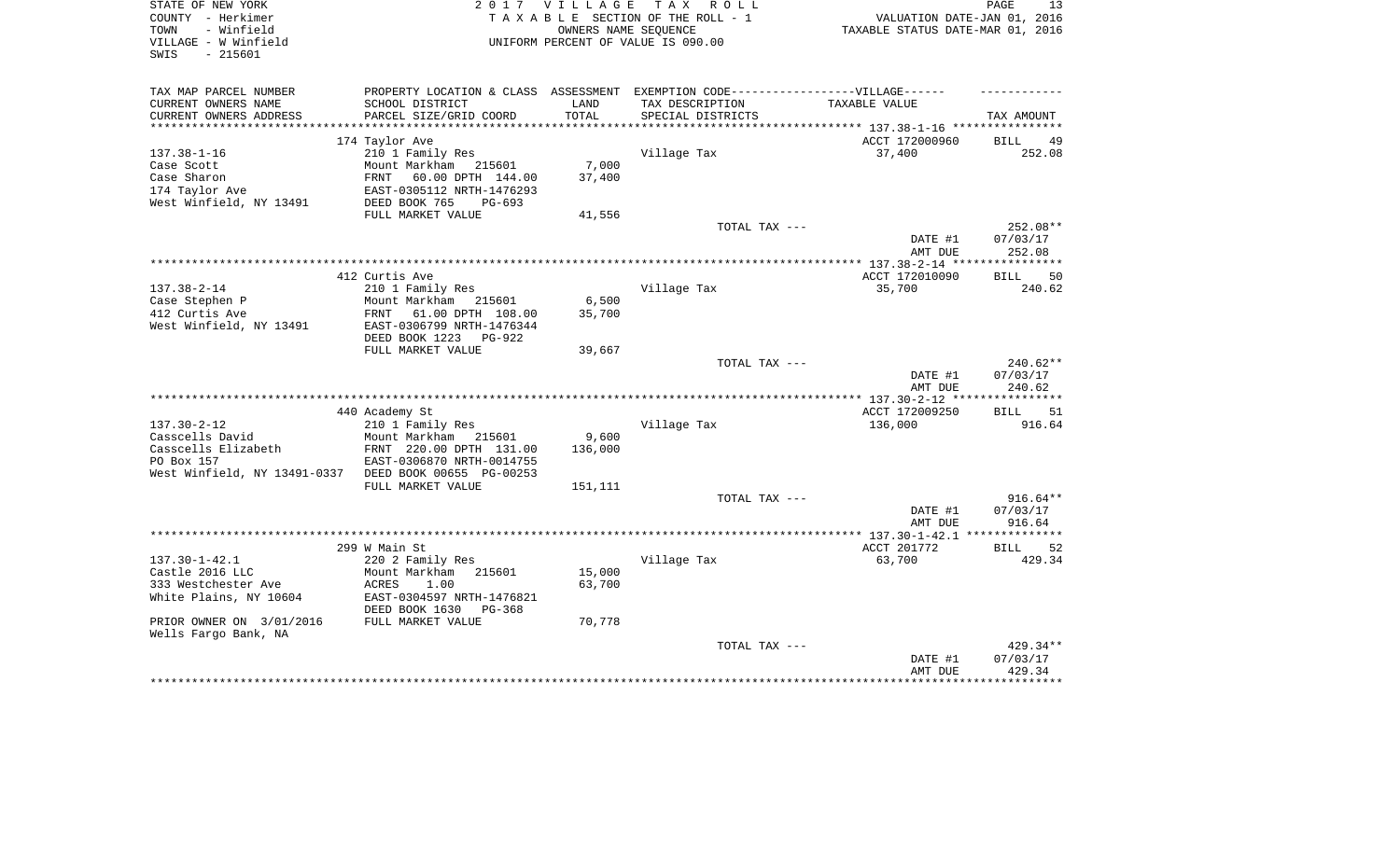| STATE OF NEW YORK<br>COUNTY - Herkimer<br>- Winfield<br>TOWN<br>VILLAGE - W Winfield<br>- 215601<br>SWIS                                    |                                                                                                                                                                      | 2017 VILLAGE<br>OWNERS NAME SEQUENCE | TAX ROLL<br>TAXABLE SECTION OF THE ROLL - 1<br>UNIFORM PERCENT OF VALUE IS 090.00 | VALUATION DATE-JAN 01, 2016<br>TAXABLE STATUS DATE-MAR 01, 2016 | PAGE<br>13                       |
|---------------------------------------------------------------------------------------------------------------------------------------------|----------------------------------------------------------------------------------------------------------------------------------------------------------------------|--------------------------------------|-----------------------------------------------------------------------------------|-----------------------------------------------------------------|----------------------------------|
| TAX MAP PARCEL NUMBER<br>CURRENT OWNERS NAME<br>CURRENT OWNERS ADDRESS                                                                      | PROPERTY LOCATION & CLASS ASSESSMENT EXEMPTION CODE-----------------VILLAGE------<br>SCHOOL DISTRICT<br>PARCEL SIZE/GRID COORD                                       | LAND<br>TOTAL                        | TAX DESCRIPTION<br>SPECIAL DISTRICTS                                              | TAXABLE VALUE                                                   | TAX AMOUNT                       |
| ***********************                                                                                                                     |                                                                                                                                                                      |                                      |                                                                                   |                                                                 |                                  |
| $137.38 - 1 - 16$<br>Case Scott<br>Case Sharon<br>174 Taylor Ave<br>West Winfield, NY 13491                                                 | 174 Taylor Ave<br>210 1 Family Res<br>Mount Markham 215601<br>FRNT<br>60.00 DPTH 144.00<br>EAST-0305112 NRTH-1476293<br>DEED BOOK 765<br>PG-693<br>FULL MARKET VALUE | 7,000<br>37,400<br>41,556            | Village Tax                                                                       | ACCT 172000960<br>37,400                                        | BILL<br>49<br>252.08             |
|                                                                                                                                             |                                                                                                                                                                      |                                      | TOTAL TAX ---                                                                     |                                                                 | 252.08**                         |
|                                                                                                                                             |                                                                                                                                                                      |                                      |                                                                                   | DATE #1<br>AMT DUE                                              | 07/03/17<br>252.08               |
|                                                                                                                                             | 412 Curtis Ave                                                                                                                                                       |                                      |                                                                                   | ACCT 172010090                                                  | <b>BILL</b><br>50                |
| $137.38 - 2 - 14$<br>Case Stephen P<br>412 Curtis Ave<br>West Winfield, NY 13491                                                            | 210 1 Family Res<br>Mount Markham<br>215601<br>FRNT 61.00 DPTH 108.00<br>EAST-0306799 NRTH-1476344<br>DEED BOOK 1223 PG-922<br>FULL MARKET VALUE                     | 6,500<br>35,700                      | Village Tax                                                                       | 35,700                                                          | 240.62                           |
|                                                                                                                                             |                                                                                                                                                                      | 39,667                               | TOTAL TAX ---                                                                     | DATE #1<br>AMT DUE                                              | 240.62**<br>07/03/17<br>240.62   |
|                                                                                                                                             |                                                                                                                                                                      |                                      |                                                                                   |                                                                 |                                  |
| $137.30 - 2 - 12$<br>Casscells David<br>Casscells Elizabeth<br>PO Box 157<br>West Winfield, NY 13491-0337 DEED BOOK 00655 PG-00253          | 440 Academy St<br>210 1 Family Res<br>Mount Markham 215601<br>FRNT 220.00 DPTH 131.00<br>EAST-0306870 NRTH-0014755                                                   | 9,600<br>136,000                     | Village Tax                                                                       | ACCT 172009250<br>136,000                                       | <b>BILL</b><br>51<br>916.64      |
|                                                                                                                                             | FULL MARKET VALUE                                                                                                                                                    | 151,111                              |                                                                                   |                                                                 |                                  |
|                                                                                                                                             |                                                                                                                                                                      |                                      | TOTAL TAX ---                                                                     | DATE #1<br>AMT DUE                                              | $916.64**$<br>07/03/17<br>916.64 |
|                                                                                                                                             |                                                                                                                                                                      |                                      |                                                                                   |                                                                 |                                  |
| $137.30 - 1 - 42.1$<br>Castle 2016 LLC<br>333 Westchester Ave<br>White Plains, NY 10604<br>PRIOR OWNER ON 3/01/2016<br>Wells Fargo Bank, NA | 299 W Main St<br>220 2 Family Res<br>Mount Markham<br>215601<br>ACRES<br>1.00<br>EAST-0304597 NRTH-1476821<br>DEED BOOK 1630<br>$PG-368$<br>FULL MARKET VALUE        | 15,000<br>63,700<br>70,778           | Village Tax                                                                       | ACCT 201772<br>63,700                                           | 52<br><b>BILL</b><br>429.34      |
|                                                                                                                                             |                                                                                                                                                                      |                                      | TOTAL TAX ---                                                                     | DATE #1<br>AMT DUE                                              | 429.34**<br>07/03/17<br>429.34   |
|                                                                                                                                             |                                                                                                                                                                      |                                      |                                                                                   |                                                                 |                                  |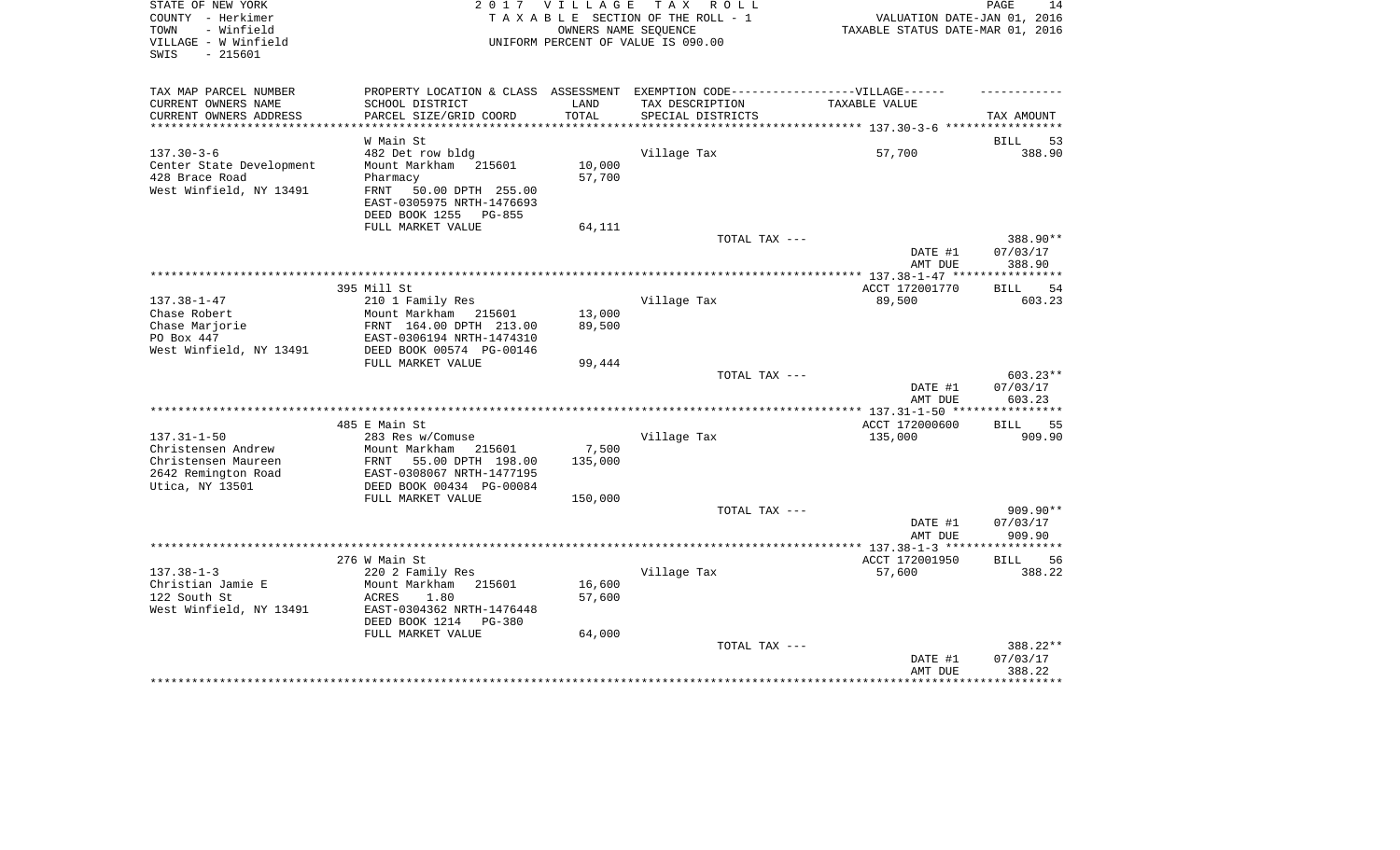| STATE OF NEW YORK<br>COUNTY - Herkimer<br>- Winfield<br>TOWN<br>VILLAGE - W Winfield<br>$-215601$<br>SWIS | 2017                                                                                                                                                                      | VILLAGE<br>OWNERS NAME SEQUENCE | TAX ROLL<br>TAXABLE SECTION OF THE ROLL - 1<br>UNIFORM PERCENT OF VALUE IS 090.00                                         | VALUATION DATE-JAN 01, 2016<br>TAXABLE STATUS DATE-MAR 01, 2016 | 14<br>PAGE                     |
|-----------------------------------------------------------------------------------------------------------|---------------------------------------------------------------------------------------------------------------------------------------------------------------------------|---------------------------------|---------------------------------------------------------------------------------------------------------------------------|-----------------------------------------------------------------|--------------------------------|
| TAX MAP PARCEL NUMBER<br>CURRENT OWNERS NAME<br>CURRENT OWNERS ADDRESS<br>*********************           | SCHOOL DISTRICT<br>PARCEL SIZE/GRID COORD                                                                                                                                 | LAND<br>TOTAL                   | PROPERTY LOCATION & CLASS ASSESSMENT EXEMPTION CODE-----------------VILLAGE------<br>TAX DESCRIPTION<br>SPECIAL DISTRICTS | TAXABLE VALUE                                                   | TAX AMOUNT                     |
|                                                                                                           | W Main St                                                                                                                                                                 |                                 |                                                                                                                           |                                                                 | 53<br>BILL                     |
| $137.30 - 3 - 6$<br>Center State Development<br>428 Brace Road<br>West Winfield, NY 13491                 | 482 Det row bldg<br>Mount Markham 215601<br>Pharmacy<br>50.00 DPTH 255.00<br>FRNT<br>EAST-0305975 NRTH-1476693<br>DEED BOOK 1255 PG-855                                   | 10,000<br>57,700                | Village Tax                                                                                                               | 57,700                                                          | 388.90                         |
|                                                                                                           | FULL MARKET VALUE                                                                                                                                                         | 64,111                          |                                                                                                                           |                                                                 |                                |
|                                                                                                           |                                                                                                                                                                           |                                 | TOTAL TAX ---                                                                                                             | DATE #1<br>AMT DUE                                              | 388.90**<br>07/03/17<br>388.90 |
|                                                                                                           |                                                                                                                                                                           |                                 |                                                                                                                           |                                                                 |                                |
| $137.38 - 1 - 47$<br>Chase Robert<br>Chase Marjorie<br>PO Box 447<br>West Winfield, NY 13491              | 395 Mill St<br>210 1 Family Res<br>Mount Markham 215601<br>FRNT 164.00 DPTH 213.00<br>EAST-0306194 NRTH-1474310<br>DEED BOOK 00574 PG-00146                               | 13,000<br>89,500                | Village Tax                                                                                                               | ACCT 172001770<br>89,500                                        | 54<br><b>BILL</b><br>603.23    |
|                                                                                                           | FULL MARKET VALUE                                                                                                                                                         | 99,444                          |                                                                                                                           |                                                                 |                                |
|                                                                                                           |                                                                                                                                                                           |                                 | TOTAL TAX ---                                                                                                             | DATE #1<br>AMT DUE                                              | 603.23**<br>07/03/17<br>603.23 |
|                                                                                                           |                                                                                                                                                                           |                                 |                                                                                                                           |                                                                 |                                |
| $137.31 - 1 - 50$<br>Christensen Andrew<br>Christensen Maureen<br>2642 Remington Road<br>Utica, NY 13501  | 485 E Main St<br>283 Res w/Comuse<br>Mount Markham<br>215601<br>FRNT<br>55.00 DPTH 198.00<br>EAST-0308067 NRTH-1477195<br>DEED BOOK 00434 PG-00084<br>FULL MARKET VALUE   | 7,500<br>135,000<br>150,000     | Village Tax                                                                                                               | ACCT 172000600<br>135,000                                       | <b>BILL</b><br>55<br>909.90    |
|                                                                                                           |                                                                                                                                                                           |                                 | TOTAL TAX ---                                                                                                             |                                                                 | 909.90**                       |
|                                                                                                           |                                                                                                                                                                           |                                 |                                                                                                                           | DATE #1<br>AMT DUE                                              | 07/03/17<br>909.90             |
|                                                                                                           |                                                                                                                                                                           |                                 |                                                                                                                           | ************ 137.38-1-3 ****                                    | * * * * * * * * *              |
| $137.38 - 1 - 3$<br>Christian Jamie E<br>122 South St<br>West Winfield, NY 13491                          | 276 W Main St<br>220 2 Family Res<br>Mount Markham<br>215601<br>1.80<br><b>ACRES</b><br>EAST-0304362 NRTH-1476448<br>DEED BOOK 1214<br><b>PG-380</b><br>FULL MARKET VALUE | 16,600<br>57,600<br>64,000      | Village Tax                                                                                                               | ACCT 172001950<br>57,600                                        | <b>BILL</b><br>56<br>388.22    |
|                                                                                                           |                                                                                                                                                                           |                                 | TOTAL TAX ---                                                                                                             | DATE #1<br>AMT DUE                                              | 388.22**<br>07/03/17<br>388.22 |
|                                                                                                           |                                                                                                                                                                           |                                 |                                                                                                                           |                                                                 |                                |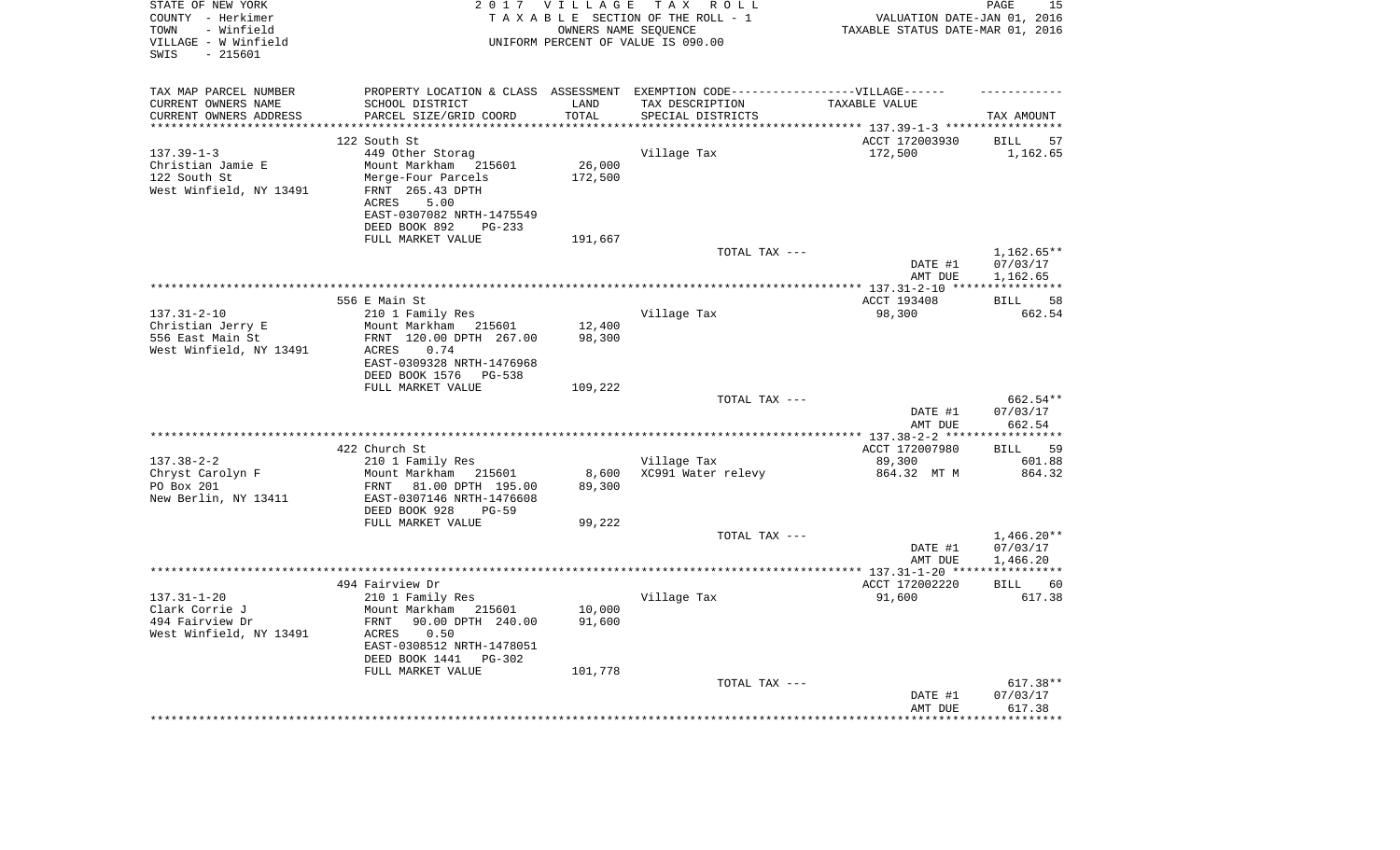| STATE OF NEW YORK<br>COUNTY - Herkimer<br>- Winfield<br>TOWN<br>VILLAGE - W Winfield<br>$-215601$<br>SWIS |                                                                                                                                                                      | 2017 VILLAGE<br>OWNERS NAME SEQUENCE | TAX ROLL<br>TAXABLE SECTION OF THE ROLL - 1<br>UNIFORM PERCENT OF VALUE IS 090.00                    | VALUATION DATE-JAN 01, 2016<br>TAXABLE STATUS DATE-MAR 01, 2016 | PAGE<br>15                           |
|-----------------------------------------------------------------------------------------------------------|----------------------------------------------------------------------------------------------------------------------------------------------------------------------|--------------------------------------|------------------------------------------------------------------------------------------------------|-----------------------------------------------------------------|--------------------------------------|
| TAX MAP PARCEL NUMBER<br>CURRENT OWNERS NAME                                                              | SCHOOL DISTRICT                                                                                                                                                      | LAND                                 | PROPERTY LOCATION & CLASS ASSESSMENT EXEMPTION CODE-----------------VILLAGE------<br>TAX DESCRIPTION | TAXABLE VALUE                                                   |                                      |
| CURRENT OWNERS ADDRESS<br>**********************                                                          | PARCEL SIZE/GRID COORD<br>*****************************                                                                                                              | TOTAL                                | SPECIAL DISTRICTS                                                                                    |                                                                 | TAX AMOUNT                           |
|                                                                                                           | 122 South St                                                                                                                                                         |                                      |                                                                                                      | ACCT 172003930                                                  | <b>BILL</b><br>57                    |
| $137.39 - 1 - 3$<br>Christian Jamie E<br>122 South St<br>West Winfield, NY 13491                          | 449 Other Storag<br>Mount Markham 215601<br>Merge-Four Parcels<br>FRNT 265.43 DPTH<br>ACRES<br>5.00<br>EAST-0307082 NRTH-1475549<br>DEED BOOK 892<br>$PG-233$        | 26,000<br>172,500                    | Village Tax                                                                                          | 172,500                                                         | 1,162.65                             |
|                                                                                                           | FULL MARKET VALUE                                                                                                                                                    | 191,667                              |                                                                                                      |                                                                 |                                      |
|                                                                                                           |                                                                                                                                                                      |                                      | TOTAL TAX ---                                                                                        | DATE #1<br>AMT DUE                                              | 1,162.65**<br>07/03/17<br>1,162.65   |
|                                                                                                           |                                                                                                                                                                      |                                      |                                                                                                      |                                                                 | ***********                          |
|                                                                                                           | 556 E Main St                                                                                                                                                        |                                      |                                                                                                      | ACCT 193408                                                     | 58<br><b>BILL</b>                    |
| $137.31 - 2 - 10$<br>Christian Jerry E                                                                    | 210 1 Family Res<br>Mount Markham 215601                                                                                                                             | 12,400                               | Village Tax                                                                                          | 98,300                                                          | 662.54                               |
| 556 East Main St                                                                                          | FRNT 120.00 DPTH 267.00                                                                                                                                              | 98,300                               |                                                                                                      |                                                                 |                                      |
| West Winfield, NY 13491                                                                                   | 0.74<br>ACRES<br>EAST-0309328 NRTH-1476968<br>DEED BOOK 1576 PG-538                                                                                                  |                                      |                                                                                                      |                                                                 |                                      |
|                                                                                                           | FULL MARKET VALUE                                                                                                                                                    | 109,222                              |                                                                                                      |                                                                 |                                      |
|                                                                                                           |                                                                                                                                                                      |                                      | TOTAL TAX ---                                                                                        |                                                                 | 662.54**                             |
|                                                                                                           |                                                                                                                                                                      |                                      |                                                                                                      | DATE #1<br>AMT DUE                                              | 07/03/17<br>662.54                   |
|                                                                                                           |                                                                                                                                                                      |                                      |                                                                                                      |                                                                 |                                      |
|                                                                                                           | 422 Church St                                                                                                                                                        |                                      |                                                                                                      | ACCT 172007980                                                  | BILL<br>59                           |
| $137.38 - 2 - 2$                                                                                          | 210 1 Family Res                                                                                                                                                     |                                      | Village Tax                                                                                          | 89,300                                                          | 601.88                               |
| Chryst Carolyn F<br>PO Box 201<br>New Berlin, NY 13411                                                    | Mount Markham 215601<br>81.00 DPTH 195.00<br>FRNT<br>EAST-0307146 NRTH-1476608<br>DEED BOOK 928<br>$PG-59$                                                           | 8,600<br>89,300                      | XC991 Water relevy                                                                                   | 864.32 MT M                                                     | 864.32                               |
|                                                                                                           | FULL MARKET VALUE                                                                                                                                                    | 99,222                               |                                                                                                      |                                                                 |                                      |
|                                                                                                           |                                                                                                                                                                      |                                      | TOTAL TAX ---                                                                                        | DATE #1<br>AMT DUE                                              | $1,466.20**$<br>07/03/17<br>1,466.20 |
|                                                                                                           |                                                                                                                                                                      |                                      |                                                                                                      |                                                                 |                                      |
|                                                                                                           | 494 Fairview Dr                                                                                                                                                      |                                      |                                                                                                      | ACCT 172002220                                                  | <b>BILL</b><br>60                    |
| $137.31 - 1 - 20$<br>Clark Corrie J<br>494 Fairview Dr<br>West Winfield, NY 13491                         | 210 1 Family Res<br>Mount Markham 215601<br>90.00 DPTH 240.00<br>FRNT<br>ACRES<br>0.50<br>EAST-0308512 NRTH-1478051<br>DEED BOOK 1441<br>PG-302<br>FULL MARKET VALUE | 10,000<br>91,600<br>101,778          | Village Tax                                                                                          | 91,600                                                          | 617.38                               |
|                                                                                                           |                                                                                                                                                                      |                                      | TOTAL TAX ---                                                                                        |                                                                 | 617.38**                             |
|                                                                                                           |                                                                                                                                                                      |                                      |                                                                                                      | DATE #1<br>AMT DUE<br>******************************            | 07/03/17<br>617.38                   |
|                                                                                                           |                                                                                                                                                                      |                                      |                                                                                                      |                                                                 |                                      |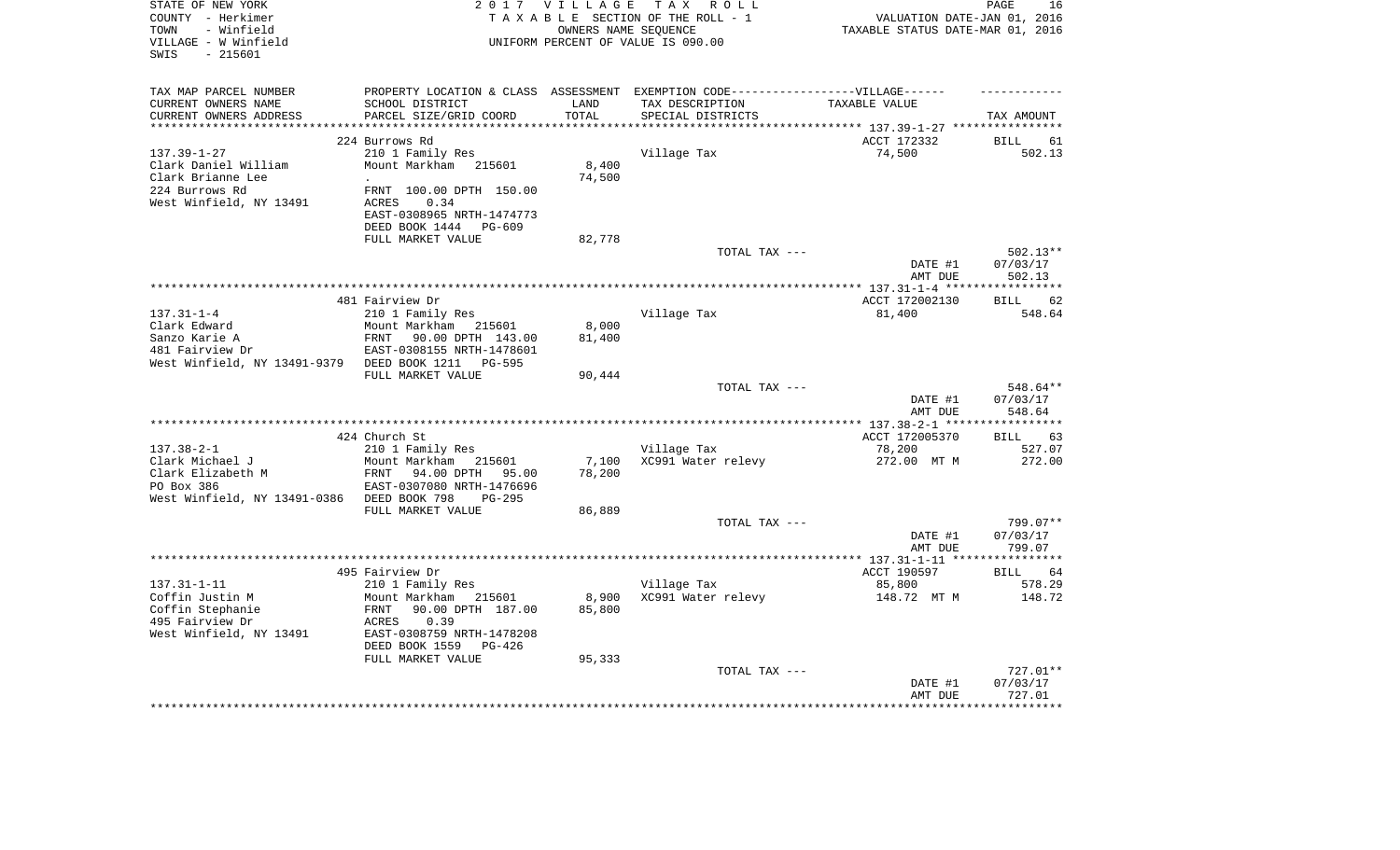| STATE OF NEW YORK            |                                                                                  | 2017 VILLAGE         | T A X<br>R O L L                   |                                        | PAGE<br>16           |
|------------------------------|----------------------------------------------------------------------------------|----------------------|------------------------------------|----------------------------------------|----------------------|
| COUNTY - Herkimer            |                                                                                  |                      | TAXABLE SECTION OF THE ROLL - 1    | VALUATION DATE-JAN 01, 2016            |                      |
| - Winfield<br>TOWN           |                                                                                  | OWNERS NAME SEOUENCE |                                    | TAXABLE STATUS DATE-MAR 01, 2016       |                      |
| VILLAGE - W Winfield         |                                                                                  |                      | UNIFORM PERCENT OF VALUE IS 090.00 |                                        |                      |
| $-215601$<br>SWIS            |                                                                                  |                      |                                    |                                        |                      |
|                              |                                                                                  |                      |                                    |                                        |                      |
| TAX MAP PARCEL NUMBER        | PROPERTY LOCATION & CLASS ASSESSMENT EXEMPTION CODE----------------VILLAGE------ |                      |                                    |                                        |                      |
| CURRENT OWNERS NAME          | SCHOOL DISTRICT                                                                  | LAND                 | TAX DESCRIPTION                    | TAXABLE VALUE                          |                      |
| CURRENT OWNERS ADDRESS       | PARCEL SIZE/GRID COORD                                                           | TOTAL                | SPECIAL DISTRICTS                  |                                        | TAX AMOUNT           |
|                              |                                                                                  |                      |                                    | ********* 137.39-1-27 ****             |                      |
|                              | 224 Burrows Rd                                                                   |                      |                                    | ACCT 172332                            | <b>BILL</b><br>61    |
| $137.39 - 1 - 27$            | 210 1 Family Res                                                                 |                      | Village Tax                        | 74,500                                 | 502.13               |
| Clark Daniel William         | Mount Markham<br>215601                                                          | 8,400                |                                    |                                        |                      |
| Clark Brianne Lee            |                                                                                  | 74,500               |                                    |                                        |                      |
| 224 Burrows Rd               | FRNT 100.00 DPTH 150.00                                                          |                      |                                    |                                        |                      |
| West Winfield, NY 13491      | <b>ACRES</b><br>0.34<br>EAST-0308965 NRTH-1474773                                |                      |                                    |                                        |                      |
|                              | DEED BOOK 1444<br>PG-609                                                         |                      |                                    |                                        |                      |
|                              | FULL MARKET VALUE                                                                |                      |                                    |                                        |                      |
|                              |                                                                                  | 82,778               | TOTAL TAX ---                      |                                        | 502.13**             |
|                              |                                                                                  |                      |                                    | DATE #1                                | 07/03/17             |
|                              |                                                                                  |                      |                                    | AMT DUE                                | 502.13               |
|                              |                                                                                  |                      |                                    |                                        | **********           |
|                              | 481 Fairview Dr                                                                  |                      |                                    | ACCT 172002130                         | <b>BILL</b><br>62    |
| $137.31 - 1 - 4$             | 210 1 Family Res                                                                 |                      | Village Tax                        | 81,400                                 | 548.64               |
| Clark Edward                 | Mount Markham 215601                                                             | 8,000                |                                    |                                        |                      |
| Sanzo Karie A                | FRNT<br>90.00 DPTH 143.00                                                        | 81,400               |                                    |                                        |                      |
| 481 Fairview Dr              | EAST-0308155 NRTH-1478601                                                        |                      |                                    |                                        |                      |
| West Winfield, NY 13491-9379 | DEED BOOK 1211<br>PG-595                                                         |                      |                                    |                                        |                      |
|                              | FULL MARKET VALUE                                                                | 90,444               |                                    |                                        |                      |
|                              |                                                                                  |                      | TOTAL TAX ---                      |                                        | 548.64**             |
|                              |                                                                                  |                      |                                    | DATE #1                                | 07/03/17             |
|                              |                                                                                  |                      |                                    | AMT DUE                                | 548.64               |
|                              |                                                                                  |                      |                                    | *********** 137.38-2-1 ***             | *********            |
|                              | 424 Church St                                                                    |                      |                                    | ACCT 172005370                         | <b>BILL</b><br>63    |
| $137.38 - 2 - 1$             | 210 1 Family Res                                                                 |                      | Village Tax                        | 78,200                                 | 527.07               |
| Clark Michael J              | Mount Markham<br>215601                                                          | 7,100                | XC991 Water relevy                 | 272.00 MT M                            | 272.00               |
| Clark Elizabeth M            | FRNT<br>94.00 DPTH<br>95.00                                                      | 78,200               |                                    |                                        |                      |
| PO Box 386                   | EAST-0307080 NRTH-1476696                                                        |                      |                                    |                                        |                      |
| West Winfield, NY 13491-0386 | DEED BOOK 798<br>$PG-295$                                                        |                      |                                    |                                        |                      |
|                              | FULL MARKET VALUE                                                                | 86,889               |                                    |                                        |                      |
|                              |                                                                                  |                      | TOTAL TAX ---                      |                                        | 799.07**             |
|                              |                                                                                  |                      |                                    | DATE #1                                | 07/03/17             |
|                              |                                                                                  |                      | **********************             | AMT DUE                                | 799.07<br>********** |
|                              |                                                                                  |                      |                                    | ** $137.31 - 1 - 11$ **<br>ACCT 190597 | <b>BILL</b><br>64    |
| $137.31 - 1 - 11$            | 495 Fairview Dr<br>210 1 Family Res                                              |                      | Village Tax                        | 85,800                                 | 578.29               |
| Coffin Justin M              | Mount Markham<br>215601                                                          | 8,900                | XC991 Water relevy                 | 148.72 MT M                            | 148.72               |
| Coffin Stephanie             | 90.00 DPTH 187.00<br>FRNT                                                        | 85,800               |                                    |                                        |                      |
| 495 Fairview Dr              | ACRES<br>0.39                                                                    |                      |                                    |                                        |                      |
| West Winfield, NY 13491      | EAST-0308759 NRTH-1478208                                                        |                      |                                    |                                        |                      |
|                              | DEED BOOK 1559<br>PG-426                                                         |                      |                                    |                                        |                      |
|                              | FULL MARKET VALUE                                                                | 95,333               |                                    |                                        |                      |
|                              |                                                                                  |                      | TOTAL TAX ---                      |                                        | 727.01**             |
|                              |                                                                                  |                      |                                    | DATE #1                                | 07/03/17             |
|                              |                                                                                  |                      |                                    | AMT DUE                                | 727.01               |
|                              |                                                                                  |                      |                                    |                                        |                      |
|                              |                                                                                  |                      |                                    |                                        |                      |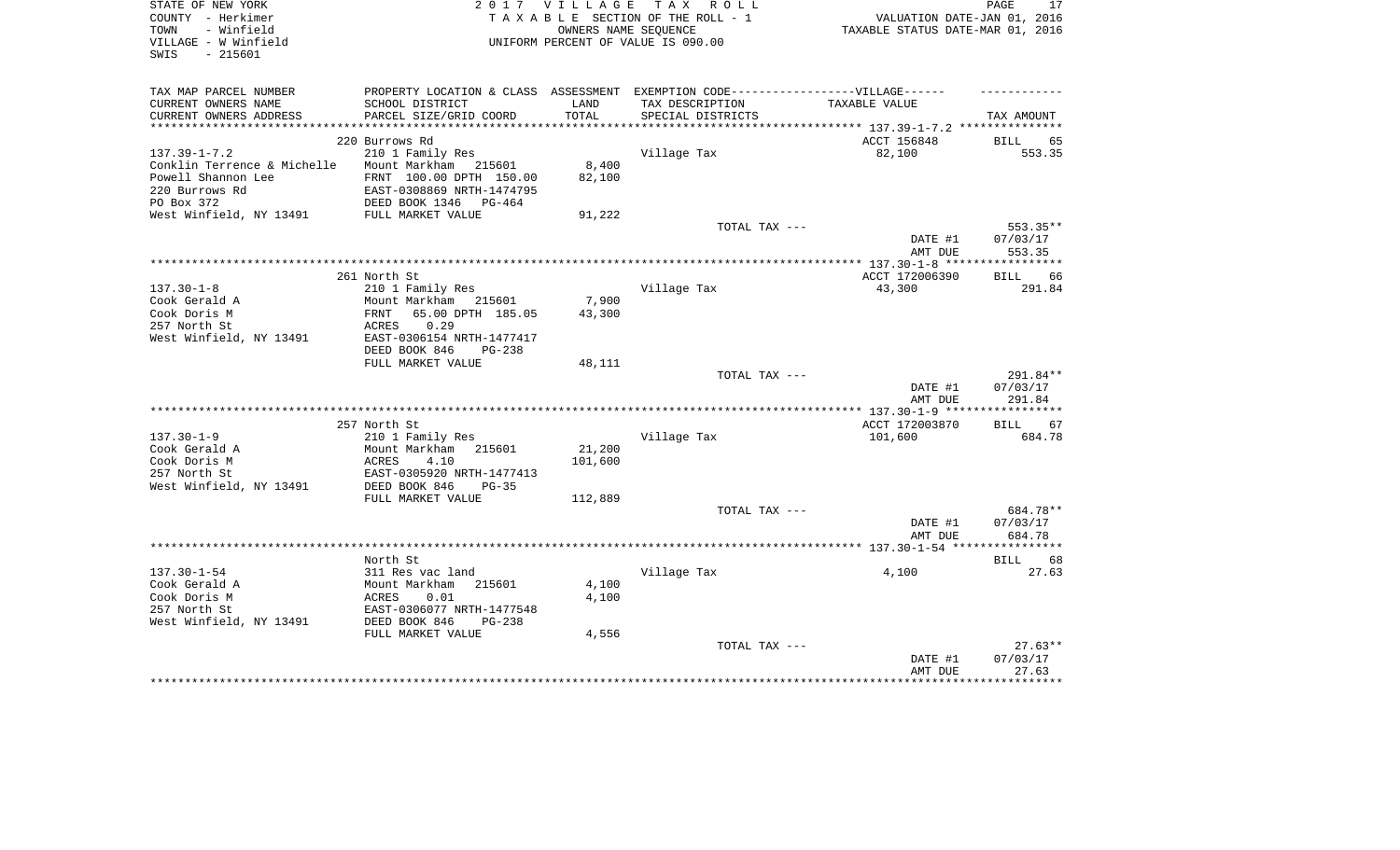| STATE OF NEW YORK<br>COUNTY - Herkimer<br>TOWN<br>- Winfield<br>VILLAGE - W Winfield<br>SWIS<br>$-215601$ | 2 0 1 7                                                                                              | OWNERS NAME SEQUENCE | VILLAGE TAX ROLL<br>TAXABLE SECTION OF THE ROLL - 1<br>UNIFORM PERCENT OF VALUE IS 090.00 | VALUATION DATE-JAN 01, 2016<br>TAXABLE STATUS DATE-MAR 01, 2016 | PAGE<br>17 |
|-----------------------------------------------------------------------------------------------------------|------------------------------------------------------------------------------------------------------|----------------------|-------------------------------------------------------------------------------------------|-----------------------------------------------------------------|------------|
| TAX MAP PARCEL NUMBER<br>CURRENT OWNERS NAME                                                              | PROPERTY LOCATION & CLASS ASSESSMENT EXEMPTION CODE-----------------VILLAGE------<br>SCHOOL DISTRICT | LAND                 | TAX DESCRIPTION                                                                           | TAXABLE VALUE                                                   |            |
| CURRENT OWNERS ADDRESS                                                                                    | PARCEL SIZE/GRID COORD                                                                               | TOTAL                | SPECIAL DISTRICTS                                                                         |                                                                 | TAX AMOUNT |
| ***********************                                                                                   |                                                                                                      |                      |                                                                                           |                                                                 |            |
|                                                                                                           | 220 Burrows Rd                                                                                       |                      |                                                                                           | ACCT 156848                                                     | BILL<br>65 |
| $137.39 - 1 - 7.2$                                                                                        | 210 1 Family Res                                                                                     |                      | Village Tax                                                                               | 82,100                                                          | 553.35     |
| Conklin Terrence & Michelle                                                                               | Mount Markham 215601                                                                                 | 8,400                |                                                                                           |                                                                 |            |
| Powell Shannon Lee                                                                                        | FRNT 100.00 DPTH 150.00                                                                              | 82,100               |                                                                                           |                                                                 |            |
| 220 Burrows Rd<br>PO Box 372                                                                              | EAST-0308869 NRTH-1474795<br>DEED BOOK 1346<br>$PG-464$                                              |                      |                                                                                           |                                                                 |            |
| West Winfield, NY 13491                                                                                   | FULL MARKET VALUE                                                                                    | 91,222               |                                                                                           |                                                                 |            |
|                                                                                                           |                                                                                                      |                      | TOTAL TAX ---                                                                             |                                                                 | 553.35**   |
|                                                                                                           |                                                                                                      |                      |                                                                                           | DATE #1                                                         | 07/03/17   |
|                                                                                                           |                                                                                                      |                      |                                                                                           | AMT DUE                                                         | 553.35     |
|                                                                                                           |                                                                                                      |                      |                                                                                           |                                                                 |            |
|                                                                                                           | 261 North St                                                                                         |                      |                                                                                           | ACCT 172006390                                                  | BILL<br>66 |
| $137.30 - 1 - 8$                                                                                          | 210 1 Family Res                                                                                     |                      | Village Tax                                                                               | 43,300                                                          | 291.84     |
| Cook Gerald A<br>Cook Doris M                                                                             | Mount Markham 215601<br>65.00 DPTH 185.05<br>FRNT                                                    | 7,900<br>43,300      |                                                                                           |                                                                 |            |
| 257 North St                                                                                              | 0.29<br>ACRES                                                                                        |                      |                                                                                           |                                                                 |            |
| West Winfield, NY 13491                                                                                   | EAST-0306154 NRTH-1477417                                                                            |                      |                                                                                           |                                                                 |            |
|                                                                                                           | DEED BOOK 846<br>$PG-238$                                                                            |                      |                                                                                           |                                                                 |            |
|                                                                                                           | FULL MARKET VALUE                                                                                    | 48,111               |                                                                                           |                                                                 |            |
|                                                                                                           |                                                                                                      |                      | TOTAL TAX ---                                                                             |                                                                 | 291.84**   |
|                                                                                                           |                                                                                                      |                      |                                                                                           | DATE #1                                                         | 07/03/17   |
|                                                                                                           |                                                                                                      |                      |                                                                                           | AMT DUE                                                         | 291.84     |
|                                                                                                           | 257 North St                                                                                         |                      |                                                                                           | ACCT 172003870                                                  | 67<br>BILL |
| $137.30 - 1 - 9$                                                                                          | 210 1 Family Res                                                                                     |                      | Village Tax                                                                               | 101,600                                                         | 684.78     |
| Cook Gerald A                                                                                             | Mount Markham<br>215601                                                                              | 21,200               |                                                                                           |                                                                 |            |
| Cook Doris M                                                                                              | ACRES<br>4.10                                                                                        | 101,600              |                                                                                           |                                                                 |            |
| 257 North St                                                                                              | EAST-0305920 NRTH-1477413                                                                            |                      |                                                                                           |                                                                 |            |
| West Winfield, NY 13491                                                                                   | DEED BOOK 846<br>$PG-35$                                                                             |                      |                                                                                           |                                                                 |            |
|                                                                                                           | FULL MARKET VALUE                                                                                    | 112,889              | TOTAL TAX ---                                                                             |                                                                 | 684.78**   |
|                                                                                                           |                                                                                                      |                      |                                                                                           | DATE #1                                                         | 07/03/17   |
|                                                                                                           |                                                                                                      |                      |                                                                                           | AMT DUE                                                         | 684.78     |
|                                                                                                           |                                                                                                      |                      |                                                                                           |                                                                 |            |
|                                                                                                           | North St                                                                                             |                      |                                                                                           |                                                                 | BILL<br>68 |
| $137.30 - 1 - 54$                                                                                         | 311 Res vac land                                                                                     |                      | Village Tax                                                                               | 4,100                                                           | 27.63      |
| Cook Gerald A                                                                                             | Mount Markham<br>215601                                                                              | 4,100                |                                                                                           |                                                                 |            |
| Cook Doris M                                                                                              | ACRES<br>0.01                                                                                        | 4,100                |                                                                                           |                                                                 |            |
| 257 North St<br>West Winfield, NY 13491                                                                   | EAST-0306077 NRTH-1477548<br>DEED BOOK 846<br>$PG-238$                                               |                      |                                                                                           |                                                                 |            |
|                                                                                                           | FULL MARKET VALUE                                                                                    | 4,556                |                                                                                           |                                                                 |            |
|                                                                                                           |                                                                                                      |                      | TOTAL TAX ---                                                                             |                                                                 | $27.63**$  |
|                                                                                                           |                                                                                                      |                      |                                                                                           | DATE #1                                                         | 07/03/17   |
|                                                                                                           |                                                                                                      |                      |                                                                                           | AMT DUE                                                         | 27.63      |
|                                                                                                           |                                                                                                      |                      |                                                                                           |                                                                 | *********  |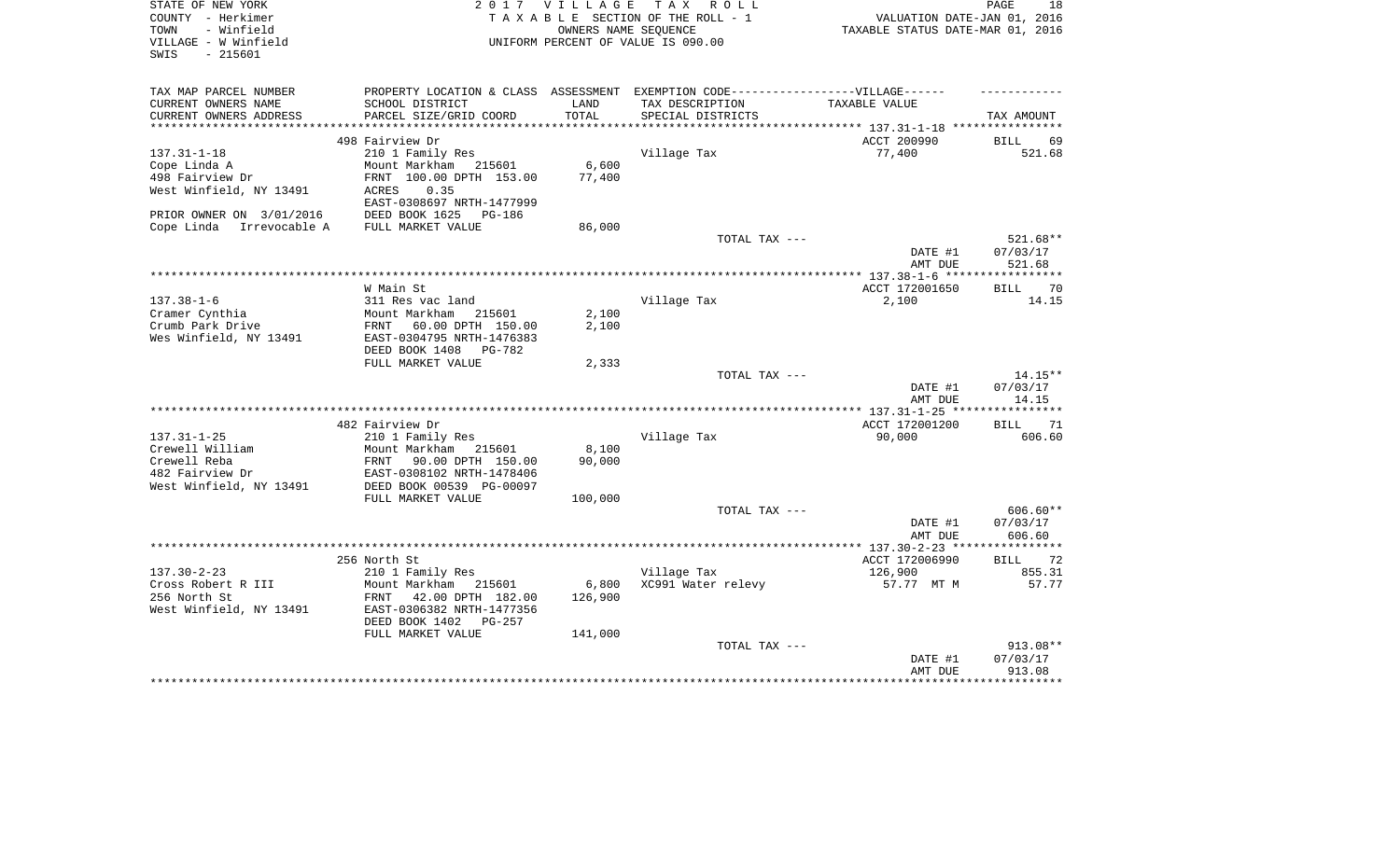| STATE OF NEW YORK<br>COUNTY - Herkimer<br>TOWN<br>- Winfield<br>VILLAGE - W Winfield<br>SWIS<br>$-215601$ | 2 0 1 7                                                 | <b>VILLAGE</b><br>OWNERS NAME SEQUENCE | T A X<br>R O L L<br>TAXABLE SECTION OF THE ROLL - 1<br>UNIFORM PERCENT OF VALUE IS 090.00 | VALUATION DATE-JAN 01, 2016<br>TAXABLE STATUS DATE-MAR 01, 2016 | PAGE<br>18            |
|-----------------------------------------------------------------------------------------------------------|---------------------------------------------------------|----------------------------------------|-------------------------------------------------------------------------------------------|-----------------------------------------------------------------|-----------------------|
| TAX MAP PARCEL NUMBER<br>CURRENT OWNERS NAME                                                              | PROPERTY LOCATION & CLASS ASSESSMENT<br>SCHOOL DISTRICT | LAND                                   | EXEMPTION CODE-----------------VILLAGE------<br>TAX DESCRIPTION                           | TAXABLE VALUE                                                   |                       |
| CURRENT OWNERS ADDRESS                                                                                    | PARCEL SIZE/GRID COORD                                  | TOTAL                                  | SPECIAL DISTRICTS                                                                         |                                                                 | TAX AMOUNT            |
| ***********************                                                                                   |                                                         |                                        |                                                                                           |                                                                 |                       |
|                                                                                                           | 498 Fairview Dr                                         |                                        |                                                                                           | ACCT 200990                                                     | 69<br>BILL            |
| $137.31 - 1 - 18$<br>Cope Linda A                                                                         | 210 1 Family Res<br>Mount Markham 215601                | 6,600                                  | Village Tax                                                                               | 77,400                                                          | 521.68                |
| 498 Fairview Dr                                                                                           | FRNT 100.00 DPTH 153.00                                 | 77,400                                 |                                                                                           |                                                                 |                       |
| West Winfield, NY 13491                                                                                   | 0.35<br>ACRES                                           |                                        |                                                                                           |                                                                 |                       |
|                                                                                                           | EAST-0308697 NRTH-1477999                               |                                        |                                                                                           |                                                                 |                       |
| PRIOR OWNER ON 3/01/2016                                                                                  | DEED BOOK 1625<br>PG-186                                |                                        |                                                                                           |                                                                 |                       |
| Cope Linda<br>Irrevocable A                                                                               | FULL MARKET VALUE                                       | 86,000                                 |                                                                                           |                                                                 |                       |
|                                                                                                           |                                                         |                                        | TOTAL TAX ---                                                                             |                                                                 | 521.68**              |
|                                                                                                           |                                                         |                                        |                                                                                           | DATE #1                                                         | 07/03/17              |
|                                                                                                           |                                                         |                                        |                                                                                           | AMT DUE                                                         | 521.68                |
|                                                                                                           | W Main St                                               |                                        |                                                                                           | ACCT 172001650                                                  | 70<br><b>BILL</b>     |
| $137.38 - 1 - 6$                                                                                          | 311 Res vac land                                        |                                        | Village Tax                                                                               | 2,100                                                           | 14.15                 |
| Cramer Cynthia                                                                                            | Mount Markham<br>215601                                 | 2,100                                  |                                                                                           |                                                                 |                       |
| Crumb Park Drive                                                                                          | 60.00 DPTH 150.00<br>FRNT                               | 2,100                                  |                                                                                           |                                                                 |                       |
| Wes Winfield, NY 13491                                                                                    | EAST-0304795 NRTH-1476383                               |                                        |                                                                                           |                                                                 |                       |
|                                                                                                           | DEED BOOK 1408<br>PG-782                                |                                        |                                                                                           |                                                                 |                       |
|                                                                                                           | FULL MARKET VALUE                                       | 2,333                                  | TOTAL TAX ---                                                                             |                                                                 | 14.15**               |
|                                                                                                           |                                                         |                                        |                                                                                           | DATE #1                                                         | 07/03/17              |
|                                                                                                           |                                                         |                                        |                                                                                           | AMT DUE                                                         | 14.15                 |
|                                                                                                           |                                                         |                                        |                                                                                           |                                                                 |                       |
|                                                                                                           | 482 Fairview Dr                                         |                                        |                                                                                           | ACCT 172001200                                                  | 71<br>BILL            |
| $137.31 - 1 - 25$                                                                                         | 210 1 Family Res                                        |                                        | Village Tax                                                                               | 90,000                                                          | 606.60                |
| Crewell William                                                                                           | Mount Markham<br>215601                                 | 8,100                                  |                                                                                           |                                                                 |                       |
| Crewell Reba<br>482 Fairview Dr                                                                           | 90.00 DPTH 150.00<br>FRNT<br>EAST-0308102 NRTH-1478406  | 90,000                                 |                                                                                           |                                                                 |                       |
| West Winfield, NY 13491                                                                                   | DEED BOOK 00539 PG-00097                                |                                        |                                                                                           |                                                                 |                       |
|                                                                                                           | FULL MARKET VALUE                                       | 100,000                                |                                                                                           |                                                                 |                       |
|                                                                                                           |                                                         |                                        | TOTAL TAX ---                                                                             |                                                                 | 606.60**              |
|                                                                                                           |                                                         |                                        |                                                                                           | DATE #1                                                         | 07/03/17              |
|                                                                                                           |                                                         |                                        |                                                                                           | AMT DUE                                                         | 606.60                |
|                                                                                                           |                                                         |                                        |                                                                                           |                                                                 | 72                    |
| $137.30 - 2 - 23$                                                                                         | 256 North St<br>210 1 Family Res                        |                                        | Village Tax                                                                               | ACCT 172006990<br>126,900                                       | <b>BILL</b><br>855.31 |
| Cross Robert R III                                                                                        | Mount Markham 215601                                    | 6,800                                  | XC991 Water relevy                                                                        | 57.77 MT M                                                      | 57.77                 |
| 256 North St                                                                                              | 42.00 DPTH 182.00<br>FRNT                               | 126,900                                |                                                                                           |                                                                 |                       |
| West Winfield, NY 13491                                                                                   | EAST-0306382 NRTH-1477356                               |                                        |                                                                                           |                                                                 |                       |
|                                                                                                           | DEED BOOK 1402<br>$PG-257$                              |                                        |                                                                                           |                                                                 |                       |
|                                                                                                           | FULL MARKET VALUE                                       | 141,000                                |                                                                                           |                                                                 |                       |
|                                                                                                           |                                                         |                                        | TOTAL TAX ---                                                                             |                                                                 | 913.08**              |
|                                                                                                           |                                                         |                                        |                                                                                           | DATE #1<br>AMT DUE                                              | 07/03/17<br>913.08    |
|                                                                                                           |                                                         |                                        |                                                                                           |                                                                 | *********             |
|                                                                                                           |                                                         |                                        |                                                                                           |                                                                 |                       |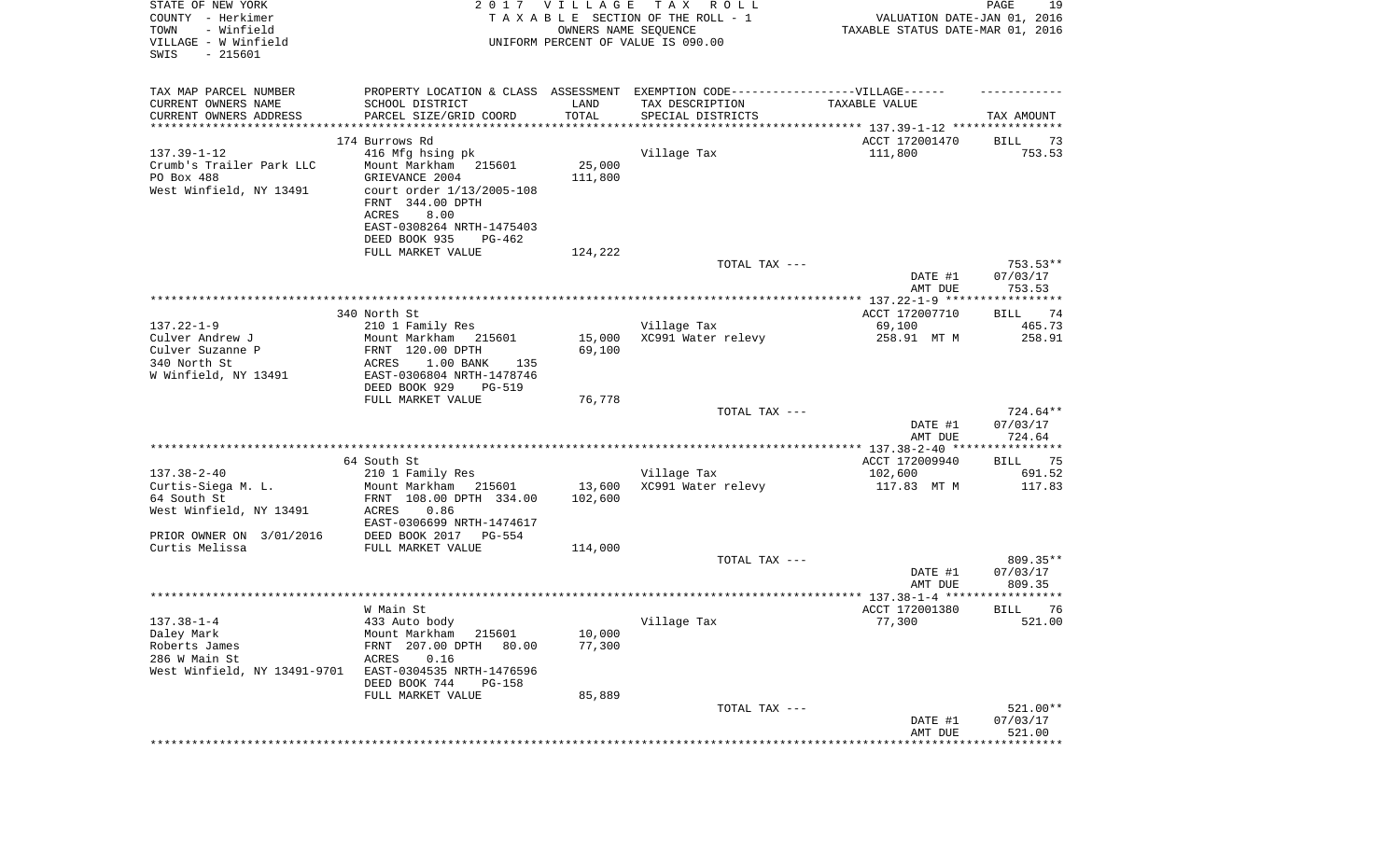| STATE OF NEW YORK<br>COUNTY - Herkimer<br>TOWN<br>- Winfield<br>VILLAGE - W Winfield<br>SWIS<br>$-215601$ |                                                     | 2017 VILLAGE<br>OWNERS NAME SEQUENCE | TAX ROLL<br>TAXABLE SECTION OF THE ROLL - 1<br>UNIFORM PERCENT OF VALUE IS 090.00 | VALUATION DATE-JAN 01, 2016<br>TAXABLE STATUS DATE-MAR 01, 2016 | PAGE<br>19             |
|-----------------------------------------------------------------------------------------------------------|-----------------------------------------------------|--------------------------------------|-----------------------------------------------------------------------------------|-----------------------------------------------------------------|------------------------|
| TAX MAP PARCEL NUMBER                                                                                     |                                                     |                                      | PROPERTY LOCATION & CLASS ASSESSMENT EXEMPTION CODE----------------VILLAGE------  |                                                                 |                        |
| CURRENT OWNERS NAME                                                                                       | SCHOOL DISTRICT                                     | LAND                                 | TAX DESCRIPTION                                                                   | TAXABLE VALUE                                                   |                        |
| CURRENT OWNERS ADDRESS<br>************************                                                        | PARCEL SIZE/GRID COORD                              | TOTAL                                | SPECIAL DISTRICTS                                                                 |                                                                 | TAX AMOUNT             |
|                                                                                                           | 174 Burrows Rd                                      |                                      |                                                                                   | ACCT 172001470                                                  | BILL<br>73             |
| $137.39 - 1 - 12$                                                                                         | 416 Mfg hsing pk                                    |                                      | Village Tax                                                                       | 111,800                                                         | 753.53                 |
| Crumb's Trailer Park LLC                                                                                  | Mount Markham<br>215601                             | 25,000                               |                                                                                   |                                                                 |                        |
| PO Box 488                                                                                                | GRIEVANCE 2004                                      | 111,800                              |                                                                                   |                                                                 |                        |
| West Winfield, NY 13491                                                                                   | court order $1/13/2005 - 108$<br>FRNT 344.00 DPTH   |                                      |                                                                                   |                                                                 |                        |
|                                                                                                           | ACRES<br>8.00                                       |                                      |                                                                                   |                                                                 |                        |
|                                                                                                           | EAST-0308264 NRTH-1475403                           |                                      |                                                                                   |                                                                 |                        |
|                                                                                                           | DEED BOOK 935<br>PG-462                             |                                      |                                                                                   |                                                                 |                        |
|                                                                                                           | FULL MARKET VALUE                                   | 124,222                              |                                                                                   |                                                                 |                        |
|                                                                                                           |                                                     |                                      | TOTAL TAX ---                                                                     | DATE #1                                                         | $753.53**$<br>07/03/17 |
|                                                                                                           |                                                     |                                      |                                                                                   | AMT DUE                                                         | 753.53                 |
|                                                                                                           |                                                     |                                      |                                                                                   |                                                                 |                        |
|                                                                                                           | 340 North St                                        |                                      |                                                                                   | ACCT 172007710                                                  | 74<br>BILL             |
| $137.22 - 1 - 9$<br>Culver Andrew J                                                                       | 210 1 Family Res<br>Mount Markham<br>215601         | 15,000                               | Village Tax<br>XC991 Water relevy                                                 | 69,100<br>258.91 MT M                                           | 465.73<br>258.91       |
| Culver Suzanne P                                                                                          | FRNT 120.00 DPTH                                    | 69,100                               |                                                                                   |                                                                 |                        |
| 340 North St                                                                                              | ACRES<br>1.00 BANK<br>135                           |                                      |                                                                                   |                                                                 |                        |
| W Winfield, NY 13491                                                                                      | EAST-0306804 NRTH-1478746                           |                                      |                                                                                   |                                                                 |                        |
|                                                                                                           | DEED BOOK 929<br><b>PG-519</b><br>FULL MARKET VALUE | 76,778                               |                                                                                   |                                                                 |                        |
|                                                                                                           |                                                     |                                      | TOTAL TAX ---                                                                     |                                                                 | 724.64**               |
|                                                                                                           |                                                     |                                      |                                                                                   | DATE #1                                                         | 07/03/17               |
|                                                                                                           |                                                     |                                      |                                                                                   | AMT DUE                                                         | 724.64                 |
|                                                                                                           | 64 South St                                         |                                      |                                                                                   | ACCT 172009940                                                  | 75<br>BILL             |
| $137.38 - 2 - 40$                                                                                         | 210 1 Family Res                                    |                                      | Village Tax                                                                       | 102,600                                                         | 691.52                 |
| Curtis-Siega M. L.                                                                                        | Mount Markham<br>215601                             | 13,600                               | XC991 Water relevy                                                                | 117.83 MT M                                                     | 117.83                 |
| 64 South St                                                                                               | FRNT 108.00 DPTH 334.00                             | 102,600                              |                                                                                   |                                                                 |                        |
| West Winfield, NY 13491                                                                                   | ACRES<br>0.86                                       |                                      |                                                                                   |                                                                 |                        |
| PRIOR OWNER ON 3/01/2016                                                                                  | EAST-0306699 NRTH-1474617<br>DEED BOOK 2017 PG-554  |                                      |                                                                                   |                                                                 |                        |
| Curtis Melissa                                                                                            | FULL MARKET VALUE                                   | 114,000                              |                                                                                   |                                                                 |                        |
|                                                                                                           |                                                     |                                      | TOTAL TAX ---                                                                     |                                                                 | $809.35**$             |
|                                                                                                           |                                                     |                                      |                                                                                   | DATE #1                                                         | 07/03/17               |
|                                                                                                           |                                                     |                                      |                                                                                   | AMT DUE                                                         | 809.35                 |
|                                                                                                           | W Main St                                           |                                      |                                                                                   | ACCT 172001380                                                  | 76<br>BILL             |
| $137.38 - 1 - 4$                                                                                          | 433 Auto body                                       |                                      | Village Tax                                                                       | 77,300                                                          | 521.00                 |
| Daley Mark                                                                                                | Mount Markham<br>215601                             | 10,000                               |                                                                                   |                                                                 |                        |
| Roberts James<br>286 W Main St                                                                            | FRNT 207.00 DPTH<br>80.00<br>ACRES<br>0.16          | 77,300                               |                                                                                   |                                                                 |                        |
| West Winfield, NY 13491-9701                                                                              | EAST-0304535 NRTH-1476596                           |                                      |                                                                                   |                                                                 |                        |
|                                                                                                           | DEED BOOK 744<br>PG-158                             |                                      |                                                                                   |                                                                 |                        |
|                                                                                                           | FULL MARKET VALUE                                   | 85,889                               |                                                                                   |                                                                 |                        |
|                                                                                                           |                                                     |                                      | TOTAL TAX ---                                                                     |                                                                 | 521.00**               |
|                                                                                                           |                                                     |                                      |                                                                                   | DATE #1<br>AMT DUE                                              | 07/03/17<br>521.00     |
|                                                                                                           |                                                     |                                      |                                                                                   |                                                                 | ***********            |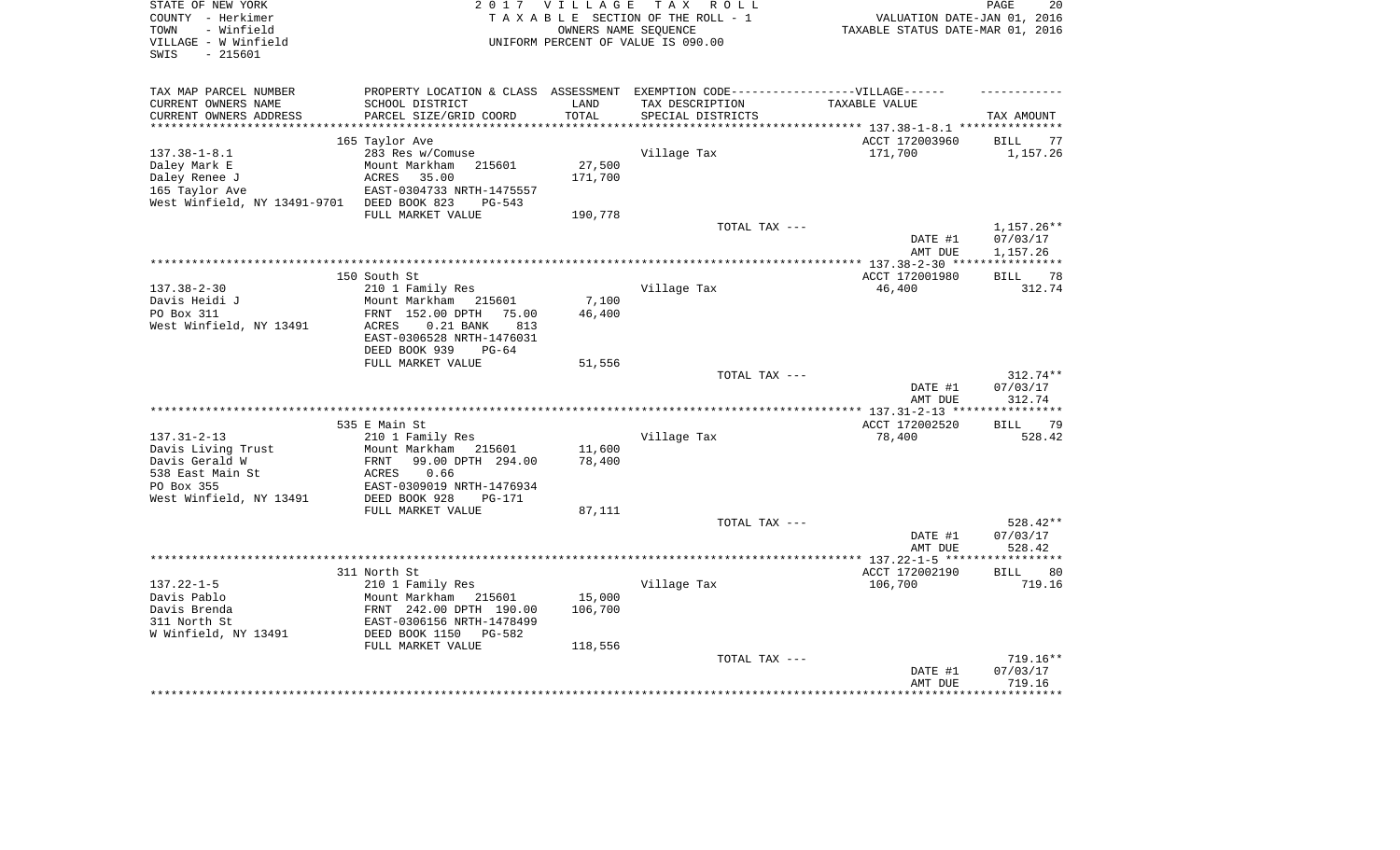| STATE OF NEW YORK<br>COUNTY - Herkimer<br>- Winfield<br>TOWN<br>VILLAGE - W Winfield<br>SWIS<br>$-215601$ | T A X<br>2017 VILLAGE<br>R O L L<br>TAXABLE SECTION OF THE ROLL - 1<br>OWNERS NAME SEOUENCE<br>UNIFORM PERCENT OF VALUE IS 090.00 |         |                                                                                     | PAGE<br>20<br>VALUATION DATE-JAN 01, 2016<br>TAXABLE STATUS DATE-MAR 01, 2016 |                                   |  |
|-----------------------------------------------------------------------------------------------------------|-----------------------------------------------------------------------------------------------------------------------------------|---------|-------------------------------------------------------------------------------------|-------------------------------------------------------------------------------|-----------------------------------|--|
| TAX MAP PARCEL NUMBER                                                                                     | PROPERTY LOCATION & CLASS ASSESSMENT EXEMPTION CODE-----------------VILLAGE------                                                 |         |                                                                                     |                                                                               |                                   |  |
| CURRENT OWNERS NAME                                                                                       | SCHOOL DISTRICT                                                                                                                   | LAND    | TAX DESCRIPTION                                                                     | TAXABLE VALUE                                                                 |                                   |  |
| CURRENT OWNERS ADDRESS<br>***********************                                                         | PARCEL SIZE/GRID COORD                                                                                                            | TOTAL   | SPECIAL DISTRICTS<br>********************************* 137.38-1-8.1 *************** |                                                                               | TAX AMOUNT                        |  |
|                                                                                                           | 165 Taylor Ave                                                                                                                    |         |                                                                                     | ACCT 172003960                                                                | 77<br>BILL                        |  |
| $137.38 - 1 - 8.1$                                                                                        | 283 Res w/Comuse                                                                                                                  |         | Village Tax                                                                         | 171,700                                                                       | 1,157.26                          |  |
| Daley Mark E                                                                                              | Mount Markham<br>215601                                                                                                           | 27,500  |                                                                                     |                                                                               |                                   |  |
| Daley Renee J                                                                                             | ACRES<br>35.00                                                                                                                    | 171,700 |                                                                                     |                                                                               |                                   |  |
| 165 Taylor Ave                                                                                            | EAST-0304733 NRTH-1475557                                                                                                         |         |                                                                                     |                                                                               |                                   |  |
| West Winfield, NY 13491-9701                                                                              | DEED BOOK 823<br>$PG-543$                                                                                                         |         |                                                                                     |                                                                               |                                   |  |
|                                                                                                           | FULL MARKET VALUE                                                                                                                 | 190,778 |                                                                                     |                                                                               |                                   |  |
|                                                                                                           |                                                                                                                                   |         | TOTAL TAX ---                                                                       | DATE #1                                                                       | $1,157.26**$<br>07/03/17          |  |
|                                                                                                           |                                                                                                                                   |         |                                                                                     | AMT DUE                                                                       | 1,157.26<br>* * * * * * * * * * * |  |
|                                                                                                           | 150 South St                                                                                                                      |         |                                                                                     | ACCT 172001980                                                                | 78<br><b>BILL</b>                 |  |
| $137.38 - 2 - 30$                                                                                         | 210 1 Family Res                                                                                                                  |         | Village Tax                                                                         | 46,400                                                                        | 312.74                            |  |
| Davis Heidi J                                                                                             | Mount Markham<br>215601                                                                                                           | 7,100   |                                                                                     |                                                                               |                                   |  |
| PO Box 311                                                                                                | FRNT 152.00 DPTH<br>75.00                                                                                                         | 46,400  |                                                                                     |                                                                               |                                   |  |
| West Winfield, NY 13491                                                                                   | ACRES<br>$0.21$ BANK<br>813                                                                                                       |         |                                                                                     |                                                                               |                                   |  |
|                                                                                                           | EAST-0306528 NRTH-1476031                                                                                                         |         |                                                                                     |                                                                               |                                   |  |
|                                                                                                           | DEED BOOK 939<br>$PG-64$                                                                                                          |         |                                                                                     |                                                                               |                                   |  |
|                                                                                                           | FULL MARKET VALUE                                                                                                                 | 51,556  | TOTAL TAX ---                                                                       |                                                                               | 312.74**                          |  |
|                                                                                                           |                                                                                                                                   |         |                                                                                     | DATE #1                                                                       | 07/03/17                          |  |
|                                                                                                           |                                                                                                                                   |         |                                                                                     | AMT DUE                                                                       | 312.74                            |  |
|                                                                                                           |                                                                                                                                   |         |                                                                                     |                                                                               | **********                        |  |
|                                                                                                           | 535 E Main St                                                                                                                     |         |                                                                                     | ACCT 172002520                                                                | 79<br>BILL                        |  |
| $137.31 - 2 - 13$                                                                                         | 210 1 Family Res                                                                                                                  |         | Village Tax                                                                         | 78,400                                                                        | 528.42                            |  |
| Davis Living Trust                                                                                        | Mount Markham<br>215601                                                                                                           | 11,600  |                                                                                     |                                                                               |                                   |  |
| Davis Gerald W                                                                                            | 99.00 DPTH 294.00<br>FRNT                                                                                                         | 78,400  |                                                                                     |                                                                               |                                   |  |
| 538 East Main St<br>PO Box 355                                                                            | <b>ACRES</b><br>0.66<br>EAST-0309019 NRTH-1476934                                                                                 |         |                                                                                     |                                                                               |                                   |  |
| West Winfield, NY 13491                                                                                   | DEED BOOK 928<br>PG-171                                                                                                           |         |                                                                                     |                                                                               |                                   |  |
|                                                                                                           | FULL MARKET VALUE                                                                                                                 | 87,111  |                                                                                     |                                                                               |                                   |  |
|                                                                                                           |                                                                                                                                   |         | TOTAL TAX ---                                                                       |                                                                               | 528.42**                          |  |
|                                                                                                           |                                                                                                                                   |         |                                                                                     | DATE #1                                                                       | 07/03/17                          |  |
|                                                                                                           |                                                                                                                                   |         |                                                                                     | AMT DUE                                                                       | 528.42                            |  |
|                                                                                                           |                                                                                                                                   |         |                                                                                     |                                                                               | ********                          |  |
|                                                                                                           | 311 North St                                                                                                                      |         |                                                                                     | ACCT 172002190                                                                | 80<br><b>BILL</b>                 |  |
| $137.22 - 1 - 5$<br>Davis Pablo                                                                           | 210 1 Family Res<br>Mount Markham                                                                                                 | 15,000  | Village Tax                                                                         | 106,700                                                                       | 719.16                            |  |
| Davis Brenda                                                                                              | 215601<br>FRNT 242.00 DPTH 190.00                                                                                                 | 106,700 |                                                                                     |                                                                               |                                   |  |
| 311 North St                                                                                              | EAST-0306156 NRTH-1478499                                                                                                         |         |                                                                                     |                                                                               |                                   |  |
| W Winfield, NY 13491                                                                                      | DEED BOOK 1150<br>PG-582                                                                                                          |         |                                                                                     |                                                                               |                                   |  |
|                                                                                                           | FULL MARKET VALUE                                                                                                                 | 118,556 |                                                                                     |                                                                               |                                   |  |
|                                                                                                           |                                                                                                                                   |         | TOTAL TAX ---                                                                       |                                                                               | 719.16**                          |  |
|                                                                                                           |                                                                                                                                   |         |                                                                                     | DATE #1                                                                       | 07/03/17                          |  |
|                                                                                                           |                                                                                                                                   |         |                                                                                     | AMT DUE                                                                       | 719.16                            |  |
|                                                                                                           |                                                                                                                                   |         |                                                                                     |                                                                               |                                   |  |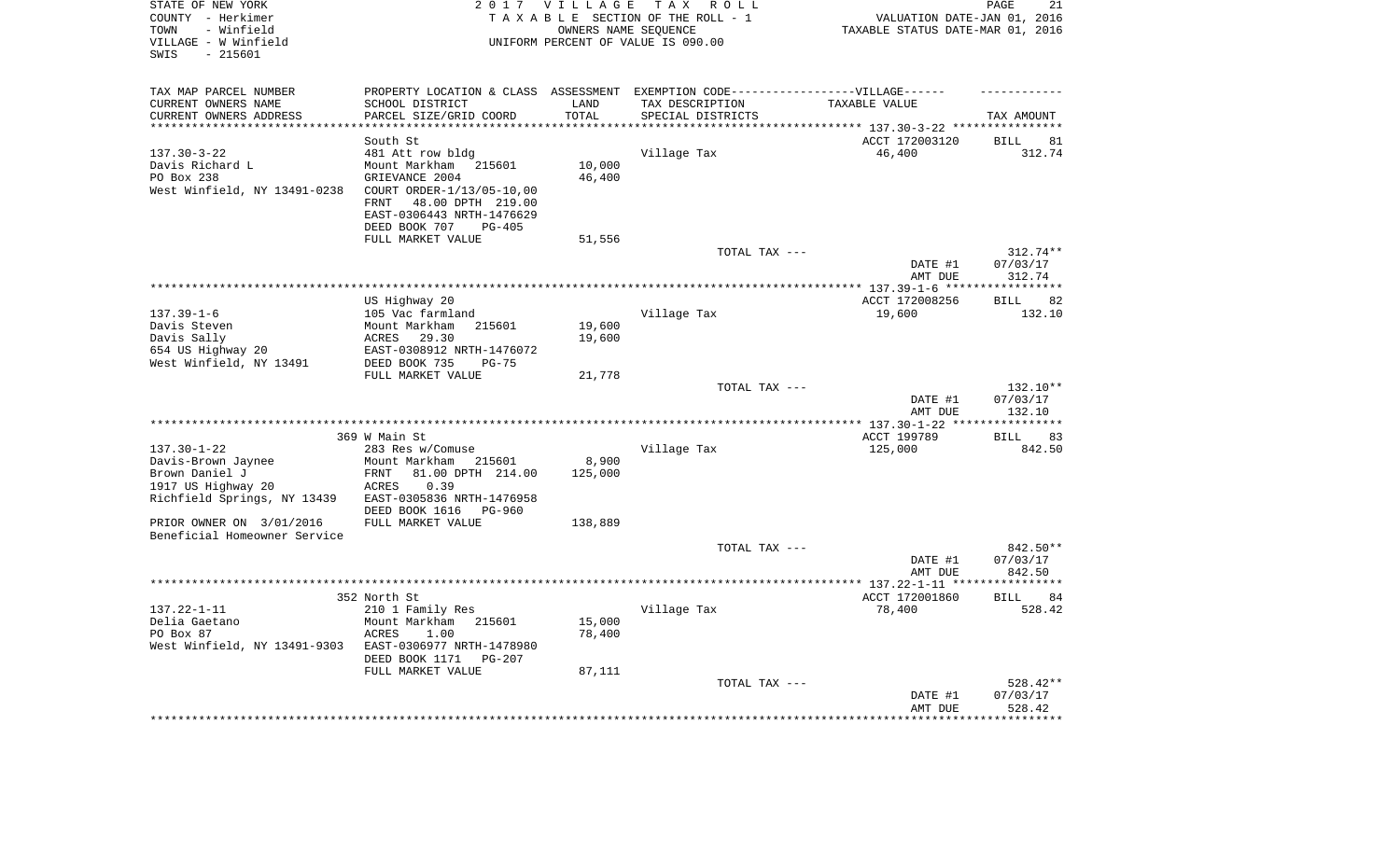| STATE OF NEW YORK<br>COUNTY - Herkimer<br>- Winfield<br>TOWN<br>VILLAGE - W Winfield<br>$-215601$<br>SWIS | 2 0 1 7                                                                             | VILLAGE<br>OWNERS NAME SEQUENCE | TAX ROLL<br>TAXABLE SECTION OF THE ROLL - 1<br>UNIFORM PERCENT OF VALUE IS 090.00 | VALUATION DATE-JAN 01, 2016<br>TAXABLE STATUS DATE-MAR 01, 2016 | PAGE<br>21                       |
|-----------------------------------------------------------------------------------------------------------|-------------------------------------------------------------------------------------|---------------------------------|-----------------------------------------------------------------------------------|-----------------------------------------------------------------|----------------------------------|
| TAX MAP PARCEL NUMBER                                                                                     | PROPERTY LOCATION & CLASS ASSESSMENT EXEMPTION CODE-----------------VILLAGE------   |                                 |                                                                                   |                                                                 |                                  |
| CURRENT OWNERS NAME                                                                                       | SCHOOL DISTRICT                                                                     | LAND                            | TAX DESCRIPTION                                                                   | TAXABLE VALUE                                                   |                                  |
| CURRENT OWNERS ADDRESS                                                                                    | PARCEL SIZE/GRID COORD<br>************************                                  | TOTAL<br>**************         | SPECIAL DISTRICTS                                                                 |                                                                 | TAX AMOUNT                       |
| **********************                                                                                    |                                                                                     |                                 | ************************************** 137.30-3-22 *****************              |                                                                 |                                  |
| $137.30 - 3 - 22$                                                                                         | South St<br>481 Att row bldg                                                        |                                 | Village Tax                                                                       | ACCT 172003120<br>46,400                                        | <b>BILL</b><br>81<br>312.74      |
| Davis Richard L                                                                                           | Mount Markham<br>215601                                                             | 10,000                          |                                                                                   |                                                                 |                                  |
| PO Box 238                                                                                                | GRIEVANCE 2004                                                                      | 46,400                          |                                                                                   |                                                                 |                                  |
| West Winfield, NY 13491-0238                                                                              | COURT ORDER-1/13/05-10,00<br>48.00 DPTH 219.00<br>FRNT<br>EAST-0306443 NRTH-1476629 |                                 |                                                                                   |                                                                 |                                  |
|                                                                                                           | DEED BOOK 707<br>$PG-405$                                                           |                                 |                                                                                   |                                                                 |                                  |
|                                                                                                           | FULL MARKET VALUE                                                                   | 51,556                          | TOTAL TAX ---                                                                     |                                                                 |                                  |
|                                                                                                           |                                                                                     |                                 |                                                                                   | DATE #1<br>AMT DUE                                              | $312.74**$<br>07/03/17<br>312.74 |
|                                                                                                           |                                                                                     |                                 |                                                                                   |                                                                 | **********                       |
|                                                                                                           | US Highway 20                                                                       |                                 |                                                                                   | ACCT 172008256                                                  | 82<br>BILL                       |
| $137.39 - 1 - 6$                                                                                          | 105 Vac farmland                                                                    |                                 | Village Tax                                                                       | 19,600                                                          | 132.10                           |
| Davis Steven<br>Davis Sally                                                                               | Mount Markham<br>215601<br>29.30                                                    | 19,600<br>19,600                |                                                                                   |                                                                 |                                  |
| 654 US Highway 20                                                                                         | ACRES<br>EAST-0308912 NRTH-1476072                                                  |                                 |                                                                                   |                                                                 |                                  |
| West Winfield, NY 13491                                                                                   | DEED BOOK 735<br>$PG-75$                                                            |                                 |                                                                                   |                                                                 |                                  |
|                                                                                                           | FULL MARKET VALUE                                                                   | 21,778                          |                                                                                   |                                                                 |                                  |
|                                                                                                           |                                                                                     |                                 | TOTAL TAX ---                                                                     |                                                                 | 132.10**                         |
|                                                                                                           |                                                                                     |                                 |                                                                                   | DATE #1                                                         | 07/03/17                         |
|                                                                                                           |                                                                                     |                                 |                                                                                   | AMT DUE                                                         | 132.10<br>***********            |
|                                                                                                           | 369 W Main St                                                                       |                                 |                                                                                   | ACCT 199789                                                     | 83<br><b>BILL</b>                |
| $137.30 - 1 - 22$                                                                                         | 283 Res w/Comuse                                                                    |                                 | Village Tax                                                                       | 125,000                                                         | 842.50                           |
| Davis-Brown Jaynee                                                                                        | Mount Markham<br>215601                                                             | 8,900                           |                                                                                   |                                                                 |                                  |
| Brown Daniel J                                                                                            | FRNT<br>81.00 DPTH 214.00                                                           | 125,000                         |                                                                                   |                                                                 |                                  |
| 1917 US Highway 20<br>Richfield Springs, NY 13439                                                         | 0.39<br>ACRES<br>EAST-0305836 NRTH-1476958                                          |                                 |                                                                                   |                                                                 |                                  |
|                                                                                                           | DEED BOOK 1616<br><b>PG-960</b>                                                     |                                 |                                                                                   |                                                                 |                                  |
| PRIOR OWNER ON 3/01/2016                                                                                  | FULL MARKET VALUE                                                                   | 138,889                         |                                                                                   |                                                                 |                                  |
| Beneficial Homeowner Service                                                                              |                                                                                     |                                 |                                                                                   |                                                                 |                                  |
|                                                                                                           |                                                                                     |                                 | TOTAL TAX ---                                                                     | DATE #1<br>AMT DUE                                              | $842.50**$<br>07/03/17<br>842.50 |
|                                                                                                           |                                                                                     |                                 |                                                                                   | *** 137.22-1-11 **                                              | ********                         |
|                                                                                                           | 352 North St                                                                        |                                 |                                                                                   | ACCT 172001860                                                  | <b>BILL</b><br>84                |
| $137.22 - 1 - 11$                                                                                         | 210 1 Family Res                                                                    |                                 | Village Tax                                                                       | 78,400                                                          | 528.42                           |
| Delia Gaetano<br>PO Box 87                                                                                | Mount Markham<br>215601<br><b>ACRES</b><br>1.00                                     | 15,000<br>78,400                |                                                                                   |                                                                 |                                  |
| West Winfield, NY 13491-9303                                                                              | EAST-0306977 NRTH-1478980                                                           |                                 |                                                                                   |                                                                 |                                  |
|                                                                                                           | DEED BOOK 1171<br>PG-207                                                            |                                 |                                                                                   |                                                                 |                                  |
|                                                                                                           | FULL MARKET VALUE                                                                   | 87,111                          |                                                                                   |                                                                 |                                  |
|                                                                                                           |                                                                                     |                                 | TOTAL TAX ---                                                                     | DATE #1<br>AMT DUE                                              | 528.42**<br>07/03/17<br>528.42   |
|                                                                                                           |                                                                                     |                                 |                                                                                   |                                                                 | ***********                      |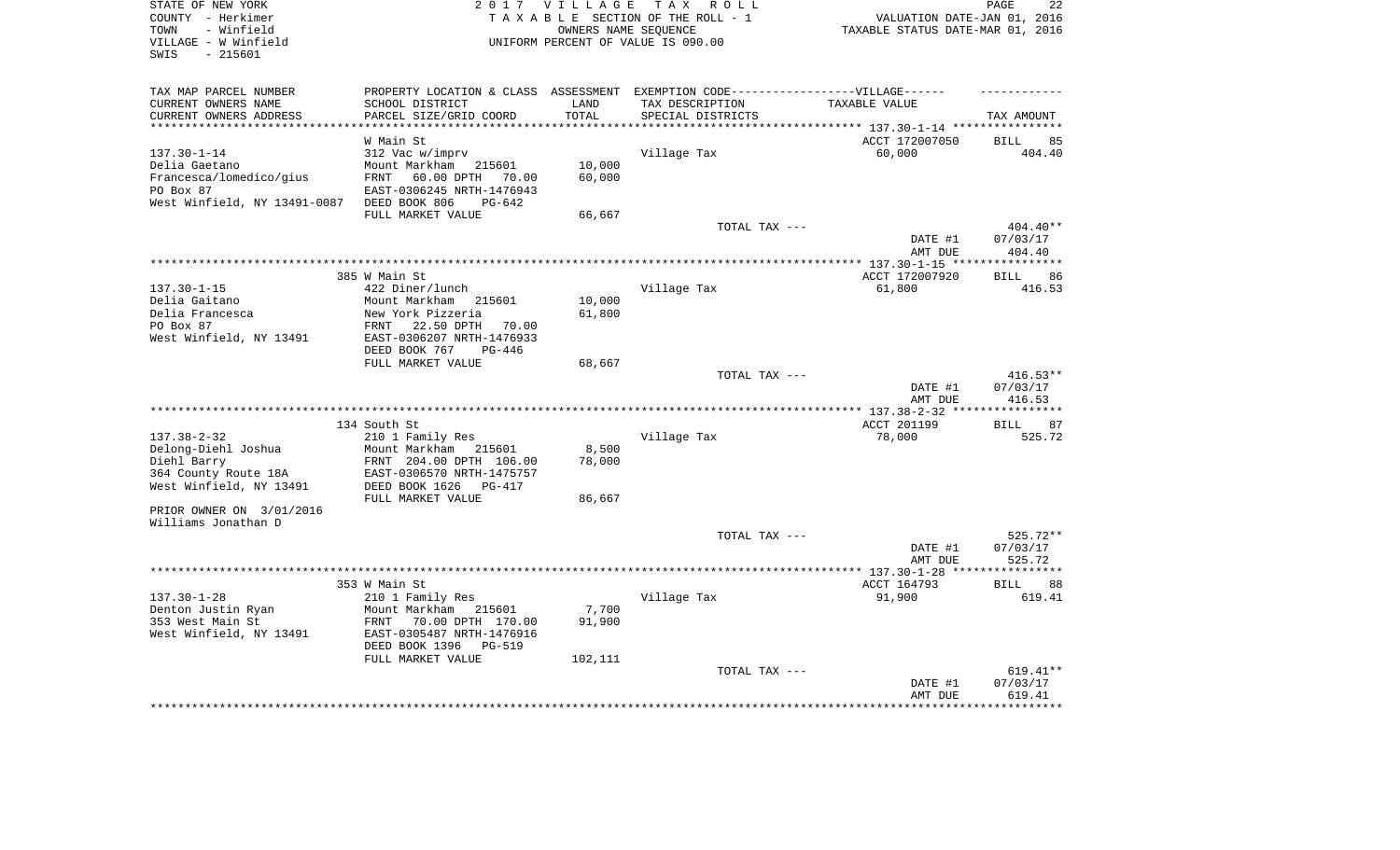| STATE OF NEW YORK<br>COUNTY - Herkimer<br>TOWN<br>- Winfield<br>VILLAGE - W Winfield<br>SWIS<br>$-215601$  | 2017 VILLAGE<br>T A X<br>R O L L<br>TAXABLE SECTION OF THE ROLL - 1<br>OWNERS NAME SEQUENCE<br>UNIFORM PERCENT OF VALUE IS 090.00                        |                  |                                               | 22<br>PAGE<br>VALUATION DATE-JAN 01, 2016<br>TAXABLE STATUS DATE-MAR 01, 2016 |                                  |  |
|------------------------------------------------------------------------------------------------------------|----------------------------------------------------------------------------------------------------------------------------------------------------------|------------------|-----------------------------------------------|-------------------------------------------------------------------------------|----------------------------------|--|
| TAX MAP PARCEL NUMBER                                                                                      | PROPERTY LOCATION & CLASS ASSESSMENT                                                                                                                     |                  | EXEMPTION CODE------------------VILLAGE------ |                                                                               |                                  |  |
| CURRENT OWNERS NAME<br>CURRENT OWNERS ADDRESS                                                              | SCHOOL DISTRICT<br>PARCEL SIZE/GRID COORD                                                                                                                | LAND<br>TOTAL    | TAX DESCRIPTION<br>SPECIAL DISTRICTS          | TAXABLE VALUE                                                                 | TAX AMOUNT                       |  |
| **********************                                                                                     |                                                                                                                                                          |                  |                                               |                                                                               |                                  |  |
|                                                                                                            | W Main St                                                                                                                                                |                  |                                               | ACCT 172007050                                                                | <b>BILL</b><br>85                |  |
| $137.30 - 1 - 14$<br>Delia Gaetano<br>Francesca/lomedico/gius<br>PO Box 87<br>West Winfield, NY 13491-0087 | 312 Vac w/imprv<br>Mount Markham<br>215601<br>FRNT<br>60.00 DPTH<br>70.00<br>EAST-0306245 NRTH-1476943<br>DEED BOOK 806<br>PG-642                        | 10,000<br>60,000 | Village Tax                                   | 60,000                                                                        | 404.40                           |  |
|                                                                                                            | FULL MARKET VALUE                                                                                                                                        | 66,667           |                                               |                                                                               |                                  |  |
|                                                                                                            |                                                                                                                                                          |                  | TOTAL TAX ---                                 | DATE #1<br>AMT DUE                                                            | 404.40**<br>07/03/17<br>404.40   |  |
|                                                                                                            |                                                                                                                                                          |                  |                                               |                                                                               |                                  |  |
|                                                                                                            | 385 W Main St                                                                                                                                            |                  |                                               | ACCT 172007920                                                                | 86<br><b>BILL</b>                |  |
| $137.30 - 1 - 15$<br>Delia Gaitano<br>Delia Francesca<br>PO Box 87<br>West Winfield, NY 13491              | 422 Diner/lunch<br>Mount Markham<br>215601<br>New York Pizzeria<br>FRNT<br>22.50 DPTH<br>70.00<br>EAST-0306207 NRTH-1476933<br>DEED BOOK 767<br>$PG-446$ | 10,000<br>61,800 | Village Tax                                   | 61,800                                                                        | 416.53                           |  |
|                                                                                                            | FULL MARKET VALUE                                                                                                                                        | 68,667           |                                               |                                                                               |                                  |  |
|                                                                                                            |                                                                                                                                                          |                  | TOTAL TAX ---                                 | DATE #1<br>AMT DUE                                                            | $416.53**$<br>07/03/17<br>416.53 |  |
|                                                                                                            |                                                                                                                                                          |                  |                                               |                                                                               |                                  |  |
| $137.38 - 2 - 32$<br>Delong-Diehl Joshua<br>Diehl Barry<br>364 County Route 18A<br>West Winfield, NY 13491 | 134 South St<br>210 1 Family Res<br>Mount Markham<br>215601<br>FRNT 204.00 DPTH 106.00<br>EAST-0306570 NRTH-1475757<br>DEED BOOK 1626<br>PG-417          | 8,500<br>78,000  | Village Tax                                   | ACCT 201199<br>78,000                                                         | <b>BILL</b><br>87<br>525.72      |  |
|                                                                                                            | FULL MARKET VALUE                                                                                                                                        | 86,667           |                                               |                                                                               |                                  |  |
| PRIOR OWNER ON 3/01/2016<br>Williams Jonathan D                                                            |                                                                                                                                                          |                  | TOTAL TAX ---                                 |                                                                               | 525.72**                         |  |
|                                                                                                            |                                                                                                                                                          |                  |                                               | DATE #1<br>AMT DUE                                                            | 07/03/17<br>525.72               |  |
|                                                                                                            |                                                                                                                                                          |                  |                                               |                                                                               | *********                        |  |
| $137.30 - 1 - 28$<br>Denton Justin Ryan<br>353 West Main St<br>West Winfield, NY 13491                     | 353 W Main St<br>210 1 Family Res<br>Mount Markham<br>215601<br>FRNT<br>70.00 DPTH 170.00<br>EAST-0305487 NRTH-1476916<br>DEED BOOK 1396<br>PG-519       | 7,700<br>91,900  | Village Tax                                   | ACCT 164793<br>91,900                                                         | 88<br><b>BILL</b><br>619.41      |  |
|                                                                                                            | FULL MARKET VALUE                                                                                                                                        | 102,111          | TOTAL TAX ---                                 | DATE #1<br>AMT DUE                                                            | 619.41**<br>07/03/17<br>619.41   |  |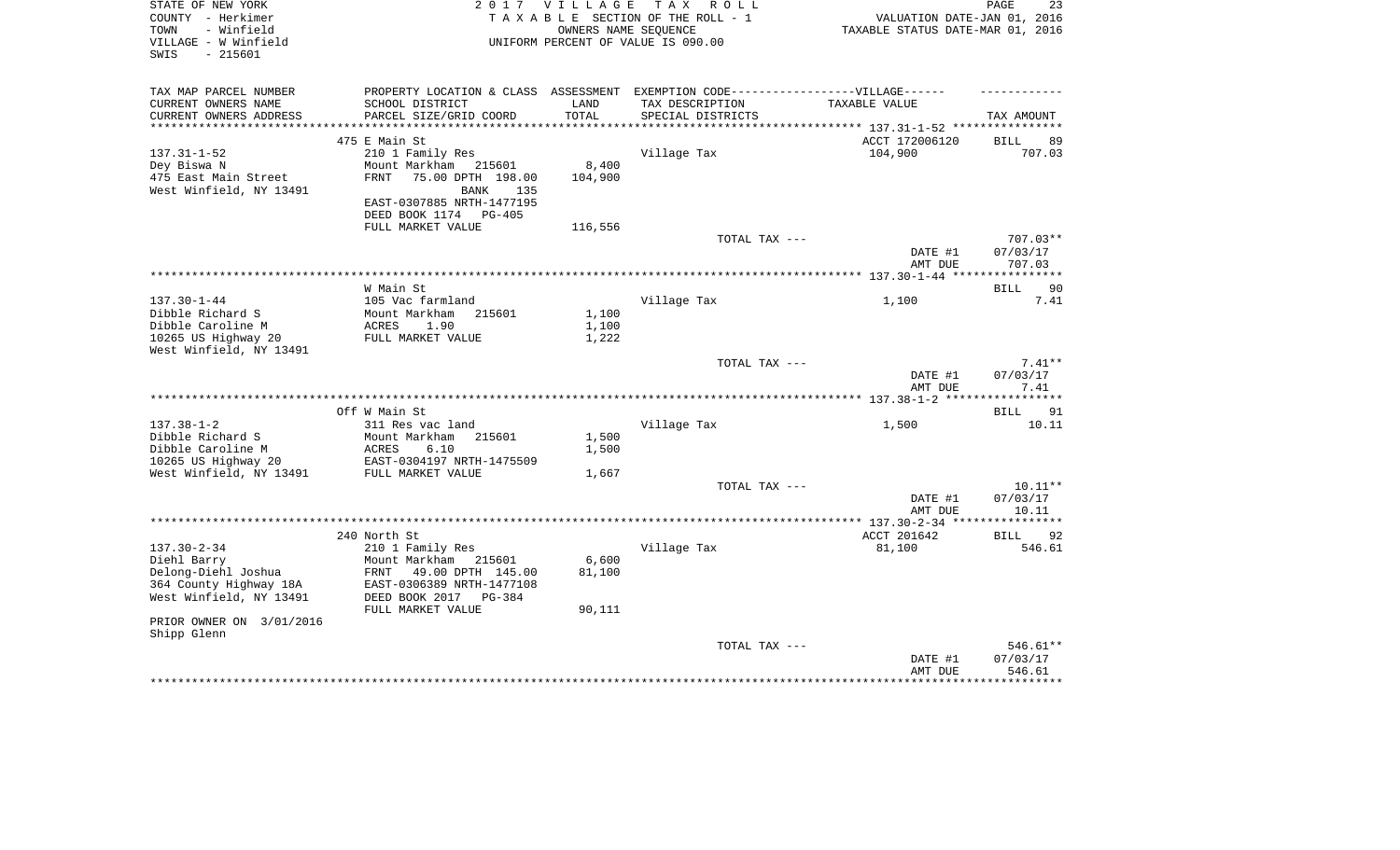| STATE OF NEW YORK<br>COUNTY - Herkimer<br>- Winfield<br>TOWN<br>VILLAGE - W Winfield<br>$-215601$<br>SWIS |                                                                                                      |                  | 2017 VILLAGE TAX ROLL<br>TAXABLE SECTION OF THE ROLL - 1<br>OWNERS NAME SEQUENCE<br>UNIFORM PERCENT OF VALUE IS 090.00 | VALUATION DATE-JAN 01, 2016<br>TAXABLE STATUS DATE-MAR 01, 2016 | 23<br>PAGE                     |
|-----------------------------------------------------------------------------------------------------------|------------------------------------------------------------------------------------------------------|------------------|------------------------------------------------------------------------------------------------------------------------|-----------------------------------------------------------------|--------------------------------|
| TAX MAP PARCEL NUMBER<br>CURRENT OWNERS NAME<br>CURRENT OWNERS ADDRESS                                    | PROPERTY LOCATION & CLASS ASSESSMENT EXEMPTION CODE-----------------VILLAGE------<br>SCHOOL DISTRICT | LAND<br>TOTAL    | TAX DESCRIPTION<br>SPECIAL DISTRICTS                                                                                   | TAXABLE VALUE                                                   |                                |
|                                                                                                           | PARCEL SIZE/GRID COORD                                                                               |                  |                                                                                                                        |                                                                 | TAX AMOUNT                     |
|                                                                                                           | 475 E Main St                                                                                        |                  |                                                                                                                        | ACCT 172006120                                                  | 89<br>BILL                     |
| $137.31 - 1 - 52$<br>Dey Biswa N<br>475 East Main Street                                                  | 210 1 Family Res<br>Mount Markham 215601<br>75.00 DPTH 198.00<br><b>FRNT</b>                         | 8,400<br>104,900 | Village Tax                                                                                                            | 104,900                                                         | 707.03                         |
| West Winfield, NY 13491                                                                                   | BANK<br>135<br>EAST-0307885 NRTH-1477195<br>DEED BOOK 1174 PG-405                                    |                  |                                                                                                                        |                                                                 |                                |
|                                                                                                           | FULL MARKET VALUE                                                                                    | 116,556          |                                                                                                                        |                                                                 |                                |
|                                                                                                           |                                                                                                      |                  | TOTAL TAX ---                                                                                                          | DATE #1                                                         | $707.03**$<br>07/03/17         |
|                                                                                                           |                                                                                                      |                  |                                                                                                                        | AMT DUE                                                         | 707.03                         |
|                                                                                                           |                                                                                                      |                  |                                                                                                                        |                                                                 | 90                             |
| $137.30 - 1 - 44$<br>Dibble Richard S                                                                     | W Main St<br>105 Vac farmland<br>Mount Markham 215601                                                | 1,100            | Village Tax                                                                                                            | 1,100                                                           | BILL<br>7.41                   |
| Dibble Caroline M                                                                                         | ACRES<br>1.90                                                                                        | 1,100            |                                                                                                                        |                                                                 |                                |
| 10265 US Highway 20<br>West Winfield, NY 13491                                                            | FULL MARKET VALUE                                                                                    | 1,222            |                                                                                                                        |                                                                 |                                |
|                                                                                                           |                                                                                                      |                  | TOTAL TAX ---                                                                                                          | DATE #1                                                         | $7.41**$<br>07/03/17           |
|                                                                                                           |                                                                                                      |                  |                                                                                                                        | AMT DUE                                                         | 7.41<br>*******                |
|                                                                                                           | Off W Main St                                                                                        |                  |                                                                                                                        |                                                                 | 91<br><b>BILL</b>              |
| $137.38 - 1 - 2$                                                                                          | 311 Res vac land                                                                                     |                  | Village Tax                                                                                                            | 1,500                                                           | 10.11                          |
| Dibble Richard S                                                                                          | Mount Markham<br>215601                                                                              | 1,500            |                                                                                                                        |                                                                 |                                |
| Dibble Caroline M<br>10265 US Highway 20                                                                  | ACRES<br>6.10<br>EAST-0304197 NRTH-1475509                                                           | 1,500            |                                                                                                                        |                                                                 |                                |
| West Winfield, NY 13491                                                                                   | FULL MARKET VALUE                                                                                    | 1,667            |                                                                                                                        |                                                                 |                                |
|                                                                                                           |                                                                                                      |                  | TOTAL TAX ---                                                                                                          | DATE #1                                                         | $10.11**$<br>07/03/17          |
|                                                                                                           |                                                                                                      |                  |                                                                                                                        | AMT DUE                                                         | 10.11                          |
|                                                                                                           | 240 North St                                                                                         |                  |                                                                                                                        | ACCT 201642                                                     | 92<br>BILL                     |
| $137.30 - 2 - 34$                                                                                         | 210 1 Family Res                                                                                     |                  | Village Tax                                                                                                            | 81,100                                                          | 546.61                         |
| Diehl Barry                                                                                               | Mount Markham 215601                                                                                 | 6,600            |                                                                                                                        |                                                                 |                                |
| Delong-Diehl Joshua<br>364 County Highway 18A<br>West Winfield, NY 13491                                  | FRNT 49.00 DPTH 145.00<br>EAST-0306389 NRTH-1477108<br>DEED BOOK 2017 PG-384                         | 81,100           |                                                                                                                        |                                                                 |                                |
| PRIOR OWNER ON 3/01/2016                                                                                  | FULL MARKET VALUE                                                                                    | 90,111           |                                                                                                                        |                                                                 |                                |
| Shipp Glenn                                                                                               |                                                                                                      |                  |                                                                                                                        |                                                                 |                                |
|                                                                                                           |                                                                                                      |                  | TOTAL TAX ---                                                                                                          | DATE #1<br>AMT DUE                                              | 546.61**<br>07/03/17<br>546.61 |
|                                                                                                           |                                                                                                      |                  |                                                                                                                        |                                                                 | ***********                    |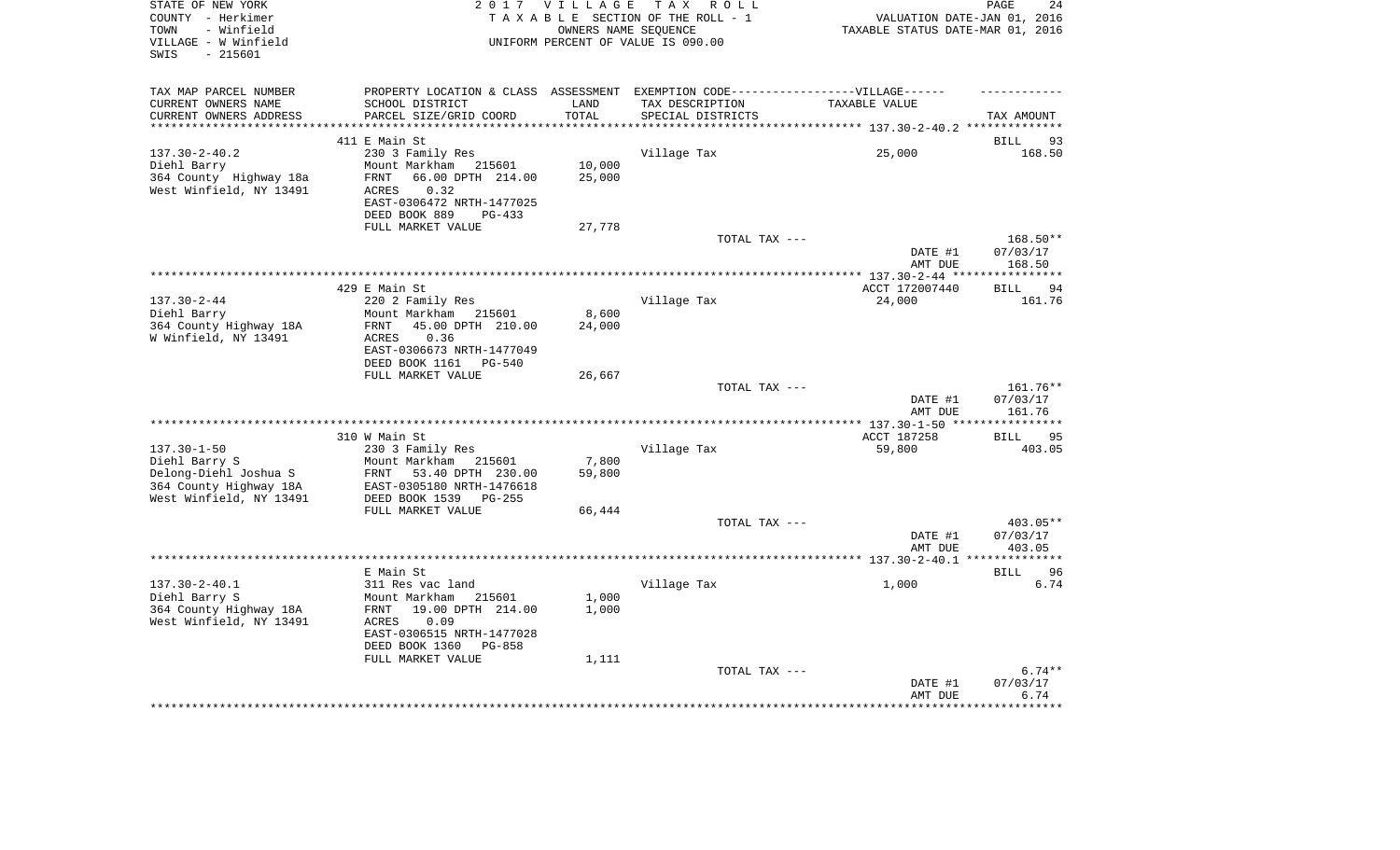| STATE OF NEW YORK<br>COUNTY - Herkimer<br>- Winfield<br>TOWN<br>VILLAGE - W Winfield<br>$-215601$<br>SWIS |                                                                                   | 2017 VILLAGE       | TAX ROLL<br>TAXABLE SECTION OF THE ROLL - 1<br>OWNERS NAME SEOUENCE<br>UNIFORM PERCENT OF VALUE IS 090.00 | VALUATION DATE-JAN 01, 2016<br>TAXABLE STATUS DATE-MAR 01, 2016 | 24<br>PAGE           |
|-----------------------------------------------------------------------------------------------------------|-----------------------------------------------------------------------------------|--------------------|-----------------------------------------------------------------------------------------------------------|-----------------------------------------------------------------|----------------------|
| TAX MAP PARCEL NUMBER                                                                                     | PROPERTY LOCATION & CLASS ASSESSMENT EXEMPTION CODE-----------------VILLAGE------ |                    |                                                                                                           |                                                                 |                      |
| CURRENT OWNERS NAME                                                                                       | SCHOOL DISTRICT                                                                   | LAND               | TAX DESCRIPTION                                                                                           | TAXABLE VALUE                                                   |                      |
| CURRENT OWNERS ADDRESS                                                                                    | PARCEL SIZE/GRID COORD                                                            | TOTAL<br>********* | SPECIAL DISTRICTS                                                                                         |                                                                 | TAX AMOUNT           |
|                                                                                                           | 411 E Main St                                                                     |                    |                                                                                                           |                                                                 | BILL<br>93           |
| $137.30 - 2 - 40.2$                                                                                       | 230 3 Family Res                                                                  |                    | Village Tax                                                                                               | 25,000                                                          | 168.50               |
| Diehl Barry                                                                                               | Mount Markham 215601                                                              | 10,000             |                                                                                                           |                                                                 |                      |
| 364 County Highway 18a                                                                                    | 66.00 DPTH 214.00<br>FRNT                                                         | 25,000             |                                                                                                           |                                                                 |                      |
| West Winfield, NY 13491                                                                                   | 0.32<br>ACRES                                                                     |                    |                                                                                                           |                                                                 |                      |
|                                                                                                           | EAST-0306472 NRTH-1477025<br>DEED BOOK 889<br>$PG-433$                            |                    |                                                                                                           |                                                                 |                      |
|                                                                                                           | FULL MARKET VALUE                                                                 | 27,778             |                                                                                                           |                                                                 |                      |
|                                                                                                           |                                                                                   |                    | TOTAL TAX ---                                                                                             |                                                                 | 168.50**             |
|                                                                                                           |                                                                                   |                    |                                                                                                           | DATE #1                                                         | 07/03/17             |
|                                                                                                           |                                                                                   |                    |                                                                                                           | AMT DUE                                                         | 168.50               |
|                                                                                                           | 429 E Main St                                                                     |                    |                                                                                                           | ACCT 172007440                                                  | 94<br>BILL           |
| $137.30 - 2 - 44$                                                                                         | 220 2 Family Res                                                                  |                    | Village Tax                                                                                               | 24,000                                                          | 161.76               |
| Diehl Barry                                                                                               | Mount Markham 215601                                                              | 8,600              |                                                                                                           |                                                                 |                      |
| 364 County Highway 18A                                                                                    | FRNT<br>45.00 DPTH 210.00                                                         | 24,000             |                                                                                                           |                                                                 |                      |
| W Winfield, NY 13491                                                                                      | 0.36<br>ACRES<br>EAST-0306673 NRTH-1477049                                        |                    |                                                                                                           |                                                                 |                      |
|                                                                                                           | DEED BOOK 1161 PG-540                                                             |                    |                                                                                                           |                                                                 |                      |
|                                                                                                           | FULL MARKET VALUE                                                                 | 26,667             |                                                                                                           |                                                                 |                      |
|                                                                                                           |                                                                                   |                    | TOTAL TAX ---                                                                                             |                                                                 | 161.76**             |
|                                                                                                           |                                                                                   |                    |                                                                                                           | DATE #1                                                         | 07/03/17             |
|                                                                                                           |                                                                                   |                    |                                                                                                           | AMT DUE<br>****** 137.30-1-50 ***                               | 161.76<br>********** |
|                                                                                                           | 310 W Main St                                                                     |                    |                                                                                                           | ACCT 187258                                                     | <b>BILL</b><br>95    |
| $137.30 - 1 - 50$                                                                                         | 230 3 Family Res                                                                  |                    | Village Tax                                                                                               | 59,800                                                          | 403.05               |
| Diehl Barry S                                                                                             | Mount Markham<br>215601                                                           | 7,800              |                                                                                                           |                                                                 |                      |
| Delong-Diehl Joshua S                                                                                     | FRNT 53.40 DPTH 230.00                                                            | 59,800             |                                                                                                           |                                                                 |                      |
| 364 County Highway 18A<br>West Winfield, NY 13491                                                         | EAST-0305180 NRTH-1476618<br>DEED BOOK 1539 PG-255                                |                    |                                                                                                           |                                                                 |                      |
|                                                                                                           | FULL MARKET VALUE                                                                 | 66,444             |                                                                                                           |                                                                 |                      |
|                                                                                                           |                                                                                   |                    | TOTAL TAX ---                                                                                             |                                                                 | 403.05**             |
|                                                                                                           |                                                                                   |                    |                                                                                                           | DATE #1                                                         | 07/03/17             |
|                                                                                                           |                                                                                   |                    |                                                                                                           | AMT DUE                                                         | 403.05               |
|                                                                                                           | E Main St                                                                         |                    |                                                                                                           |                                                                 | 96<br>BILL           |
| $137.30 - 2 - 40.1$                                                                                       | 311 Res vac land                                                                  |                    | Village Tax                                                                                               | 1,000                                                           | 6.74                 |
| Diehl Barry S                                                                                             | Mount Markham 215601                                                              | 1,000              |                                                                                                           |                                                                 |                      |
| 364 County Highway 18A                                                                                    | 19.00 DPTH 214.00<br>FRNT                                                         | 1,000              |                                                                                                           |                                                                 |                      |
| West Winfield, NY 13491                                                                                   | 0.09<br>ACRES                                                                     |                    |                                                                                                           |                                                                 |                      |
|                                                                                                           | EAST-0306515 NRTH-1477028<br>DEED BOOK 1360<br>PG-858                             |                    |                                                                                                           |                                                                 |                      |
|                                                                                                           | FULL MARKET VALUE                                                                 | 1,111              |                                                                                                           |                                                                 |                      |
|                                                                                                           |                                                                                   |                    | TOTAL TAX ---                                                                                             |                                                                 | $6.74**$             |
|                                                                                                           |                                                                                   |                    |                                                                                                           | DATE #1                                                         | 07/03/17             |
|                                                                                                           |                                                                                   |                    |                                                                                                           | AMT DUE                                                         | 6.74                 |
|                                                                                                           |                                                                                   |                    |                                                                                                           |                                                                 |                      |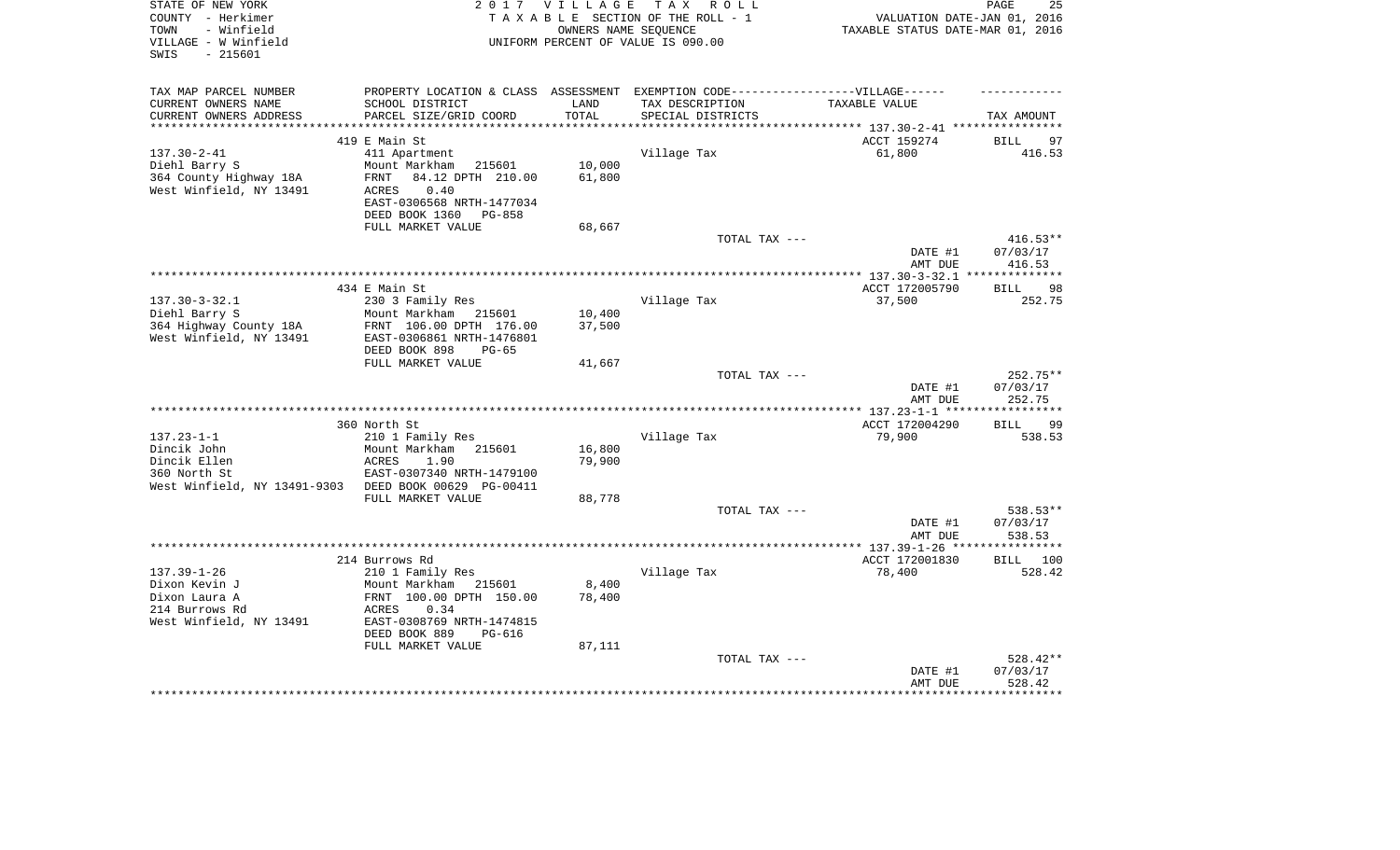| STATE OF NEW YORK<br>COUNTY - Herkimer<br>- Winfield<br>TOWN<br>VILLAGE - W Winfield<br>$-215601$<br>SWIS | 2017 VILLAGE<br>TAX ROLL<br>TAXABLE SECTION OF THE ROLL - 1<br>OWNERS NAME SEOUENCE<br>UNIFORM PERCENT OF VALUE IS 090.00 |                 |                   | PAGE<br>25<br>VALUATION DATE-JAN 01, 2016<br>TAXABLE STATUS DATE-MAR 01, 2016 |                             |  |
|-----------------------------------------------------------------------------------------------------------|---------------------------------------------------------------------------------------------------------------------------|-----------------|-------------------|-------------------------------------------------------------------------------|-----------------------------|--|
| TAX MAP PARCEL NUMBER<br>CURRENT OWNERS NAME                                                              | PROPERTY LOCATION & CLASS ASSESSMENT EXEMPTION CODE-----------------VILLAGE------<br>SCHOOL DISTRICT                      | LAND            | TAX DESCRIPTION   | TAXABLE VALUE                                                                 |                             |  |
| CURRENT OWNERS ADDRESS                                                                                    | PARCEL SIZE/GRID COORD                                                                                                    | TOTAL           | SPECIAL DISTRICTS |                                                                               | TAX AMOUNT                  |  |
| ***********************                                                                                   |                                                                                                                           |                 |                   | ************************************** 137.30-2-41 *****************          |                             |  |
| $137.30 - 2 - 41$                                                                                         | 419 E Main St<br>411 Apartment                                                                                            |                 | Village Tax       | ACCT 159274<br>61,800                                                         | <b>BILL</b><br>97<br>416.53 |  |
| Diehl Barry S                                                                                             | Mount Markham<br>215601                                                                                                   | 10,000          |                   |                                                                               |                             |  |
| 364 County Highway 18A                                                                                    | 84.12 DPTH 210.00<br>FRNT                                                                                                 | 61,800          |                   |                                                                               |                             |  |
| West Winfield, NY 13491                                                                                   | <b>ACRES</b><br>0.40                                                                                                      |                 |                   |                                                                               |                             |  |
|                                                                                                           | EAST-0306568 NRTH-1477034                                                                                                 |                 |                   |                                                                               |                             |  |
|                                                                                                           | DEED BOOK 1360<br>PG-858<br>FULL MARKET VALUE                                                                             | 68,667          |                   |                                                                               |                             |  |
|                                                                                                           |                                                                                                                           |                 | TOTAL TAX ---     |                                                                               | $416.53**$                  |  |
|                                                                                                           |                                                                                                                           |                 |                   | DATE #1<br>AMT DUE                                                            | 07/03/17<br>416.53          |  |
|                                                                                                           |                                                                                                                           |                 |                   | ******* 137.30-3-32.1 ***                                                     | *********                   |  |
| $137.30 - 3 - 32.1$                                                                                       | 434 E Main St<br>230 3 Family Res                                                                                         |                 | Village Tax       | ACCT 172005790<br>37,500                                                      | <b>BILL</b><br>98<br>252.75 |  |
| Diehl Barry S                                                                                             | Mount Markham<br>215601                                                                                                   | 10,400          |                   |                                                                               |                             |  |
| 364 Highway County 18A                                                                                    | FRNT 106.00 DPTH 176.00                                                                                                   | 37,500          |                   |                                                                               |                             |  |
| West Winfield, NY 13491                                                                                   | EAST-0306861 NRTH-1476801                                                                                                 |                 |                   |                                                                               |                             |  |
|                                                                                                           | DEED BOOK 898<br>$PG-65$                                                                                                  |                 |                   |                                                                               |                             |  |
|                                                                                                           | FULL MARKET VALUE                                                                                                         | 41,667          | TOTAL TAX ---     |                                                                               | 252.75**                    |  |
|                                                                                                           |                                                                                                                           |                 |                   | DATE #1                                                                       | 07/03/17                    |  |
|                                                                                                           |                                                                                                                           |                 |                   | AMT DUE                                                                       | 252.75                      |  |
|                                                                                                           |                                                                                                                           |                 |                   |                                                                               |                             |  |
|                                                                                                           | 360 North St                                                                                                              |                 |                   | ACCT 172004290                                                                | <b>BILL</b><br>99           |  |
| $137.23 - 1 - 1$<br>Dincik John                                                                           | 210 1 Family Res<br>Mount Markham 215601                                                                                  | 16,800          | Village Tax       | 79,900                                                                        | 538.53                      |  |
| Dincik Ellen                                                                                              | <b>ACRES</b><br>1.90                                                                                                      | 79,900          |                   |                                                                               |                             |  |
| 360 North St                                                                                              | EAST-0307340 NRTH-1479100                                                                                                 |                 |                   |                                                                               |                             |  |
| West Winfield, NY 13491-9303                                                                              | DEED BOOK 00629 PG-00411                                                                                                  |                 |                   |                                                                               |                             |  |
|                                                                                                           | FULL MARKET VALUE                                                                                                         | 88,778          |                   |                                                                               |                             |  |
|                                                                                                           |                                                                                                                           |                 | TOTAL TAX ---     | DATE #1                                                                       | 538.53**<br>07/03/17        |  |
|                                                                                                           |                                                                                                                           |                 |                   | AMT DUE                                                                       | 538.53                      |  |
|                                                                                                           |                                                                                                                           |                 |                   |                                                                               |                             |  |
|                                                                                                           | 214 Burrows Rd                                                                                                            |                 |                   | ACCT 172001830                                                                | BILL 100                    |  |
| $137.39 - 1 - 26$                                                                                         | 210 1 Family Res                                                                                                          |                 | Village Tax       | 78,400                                                                        | 528.42                      |  |
| Dixon Kevin J<br>Dixon Laura A                                                                            | Mount Markham<br>215601<br>FRNT 100.00 DPTH 150.00                                                                        | 8,400<br>78,400 |                   |                                                                               |                             |  |
| 214 Burrows Rd                                                                                            | 0.34<br>ACRES                                                                                                             |                 |                   |                                                                               |                             |  |
| West Winfield, NY 13491                                                                                   | EAST-0308769 NRTH-1474815                                                                                                 |                 |                   |                                                                               |                             |  |
|                                                                                                           | DEED BOOK 889<br>PG-616                                                                                                   |                 |                   |                                                                               |                             |  |
|                                                                                                           | FULL MARKET VALUE                                                                                                         | 87,111          |                   |                                                                               |                             |  |
|                                                                                                           |                                                                                                                           |                 | TOTAL TAX ---     | DATE #1                                                                       | 528.42**<br>07/03/17        |  |
|                                                                                                           |                                                                                                                           |                 |                   | AMT DUE                                                                       | 528.42                      |  |
|                                                                                                           |                                                                                                                           |                 |                   |                                                                               |                             |  |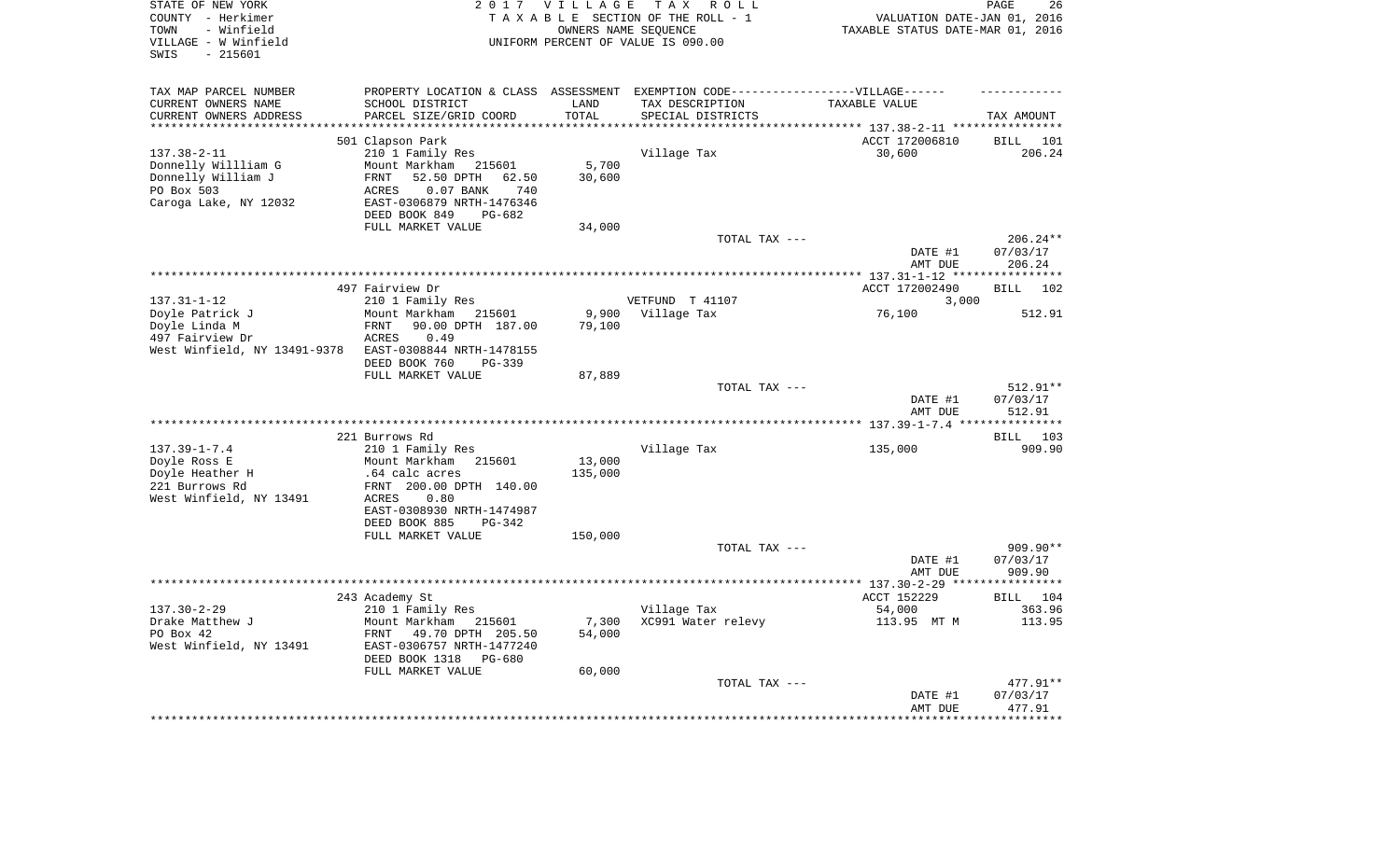| STATE OF NEW YORK<br>COUNTY - Herkimer<br>- Winfield<br>TOWN<br>VILLAGE - W Winfield<br>$-215601$<br>SWIS |                                                        | 2017 VILLAGE<br>OWNERS NAME SEQUENCE | T A X<br>R O L L<br>TAXABLE SECTION OF THE ROLL - 1<br>UNIFORM PERCENT OF VALUE IS 090.00 | VALUATION DATE-JAN 01, 2016<br>TAXABLE STATUS DATE-MAR 01, 2016 | PAGE<br>26             |
|-----------------------------------------------------------------------------------------------------------|--------------------------------------------------------|--------------------------------------|-------------------------------------------------------------------------------------------|-----------------------------------------------------------------|------------------------|
| TAX MAP PARCEL NUMBER                                                                                     |                                                        |                                      | PROPERTY LOCATION & CLASS ASSESSMENT EXEMPTION CODE----------------VILLAGE------          |                                                                 |                        |
| CURRENT OWNERS NAME                                                                                       | SCHOOL DISTRICT                                        | LAND                                 | TAX DESCRIPTION                                                                           | TAXABLE VALUE                                                   |                        |
| CURRENT OWNERS ADDRESS<br>**********************                                                          | PARCEL SIZE/GRID COORD                                 | TOTAL                                | SPECIAL DISTRICTS                                                                         |                                                                 | TAX AMOUNT             |
|                                                                                                           | 501 Clapson Park                                       |                                      |                                                                                           | ACCT 172006810                                                  | BILL<br>101            |
| $137.38 - 2 - 11$                                                                                         | 210 1 Family Res                                       |                                      | Village Tax                                                                               | 30,600                                                          | 206.24                 |
| Donnelly Willliam G                                                                                       | Mount Markham<br>215601                                | 5,700                                |                                                                                           |                                                                 |                        |
| Donnelly William J                                                                                        | 52.50 DPTH<br>62.50<br>FRNT                            | 30,600                               |                                                                                           |                                                                 |                        |
| PO Box 503                                                                                                | 0.07 BANK<br>740<br>ACRES                              |                                      |                                                                                           |                                                                 |                        |
| Caroga Lake, NY 12032                                                                                     | EAST-0306879 NRTH-1476346<br>DEED BOOK 849<br>$PG-682$ |                                      |                                                                                           |                                                                 |                        |
|                                                                                                           | FULL MARKET VALUE                                      | 34,000                               |                                                                                           |                                                                 |                        |
|                                                                                                           |                                                        |                                      | TOTAL TAX ---                                                                             |                                                                 | 206.24**               |
|                                                                                                           |                                                        |                                      |                                                                                           | DATE #1                                                         | 07/03/17               |
|                                                                                                           |                                                        |                                      |                                                                                           | AMT DUE                                                         | 206.24                 |
|                                                                                                           | 497 Fairview Dr                                        |                                      |                                                                                           | ACCT 172002490                                                  | <b>BILL</b><br>102     |
| $137.31 - 1 - 12$                                                                                         | 210 1 Family Res                                       |                                      | VETFUND T 41107                                                                           | 3,000                                                           |                        |
| Doyle Patrick J                                                                                           | Mount Markham<br>215601                                | 9,900                                | Village Tax                                                                               | 76,100                                                          | 512.91                 |
| Doyle Linda M                                                                                             | 90.00 DPTH 187.00<br>FRNT                              | 79,100                               |                                                                                           |                                                                 |                        |
| 497 Fairview Dr                                                                                           | <b>ACRES</b><br>0.49                                   |                                      |                                                                                           |                                                                 |                        |
| West Winfield, NY 13491-9378                                                                              | EAST-0308844 NRTH-1478155<br>DEED BOOK 760<br>PG-339   |                                      |                                                                                           |                                                                 |                        |
|                                                                                                           | FULL MARKET VALUE                                      | 87,889                               |                                                                                           |                                                                 |                        |
|                                                                                                           |                                                        |                                      | TOTAL TAX ---                                                                             |                                                                 | 512.91**               |
|                                                                                                           |                                                        |                                      |                                                                                           | DATE #1                                                         | 07/03/17               |
|                                                                                                           |                                                        |                                      |                                                                                           | AMT DUE                                                         | 512.91                 |
|                                                                                                           | 221 Burrows Rd                                         |                                      |                                                                                           |                                                                 | 103<br>BILL            |
| $137.39 - 1 - 7.4$                                                                                        | 210 1 Family Res                                       |                                      | Village Tax                                                                               | 135,000                                                         | 909.90                 |
| Doyle Ross E                                                                                              | Mount Markham<br>215601                                | 13,000                               |                                                                                           |                                                                 |                        |
| Doyle Heather H                                                                                           | .64 calc acres                                         | 135,000                              |                                                                                           |                                                                 |                        |
| 221 Burrows Rd                                                                                            | FRNT 200.00 DPTH 140.00                                |                                      |                                                                                           |                                                                 |                        |
| West Winfield, NY 13491                                                                                   | <b>ACRES</b><br>0.80<br>EAST-0308930 NRTH-1474987      |                                      |                                                                                           |                                                                 |                        |
|                                                                                                           | DEED BOOK 885<br>PG-342                                |                                      |                                                                                           |                                                                 |                        |
|                                                                                                           | FULL MARKET VALUE                                      | 150,000                              |                                                                                           |                                                                 |                        |
|                                                                                                           |                                                        |                                      | TOTAL TAX ---                                                                             |                                                                 | $909.90**$             |
|                                                                                                           |                                                        |                                      |                                                                                           | DATE #1                                                         | 07/03/17               |
|                                                                                                           |                                                        |                                      |                                                                                           | AMT DUE                                                         | 909.90<br>*********    |
|                                                                                                           | 243 Academy St                                         |                                      |                                                                                           | ACCT 152229                                                     | BILL 104               |
| $137.30 - 2 - 29$                                                                                         | 210 1 Family Res                                       |                                      | Village Tax                                                                               | 54,000                                                          | 363.96                 |
| Drake Matthew J                                                                                           | Mount Markham<br>215601                                | 7,300                                | XC991 Water relevy                                                                        | 113.95 MT M                                                     | 113.95                 |
| PO Box 42                                                                                                 | FRNT<br>49.70 DPTH 205.50                              | 54,000                               |                                                                                           |                                                                 |                        |
| West Winfield, NY 13491                                                                                   | EAST-0306757 NRTH-1477240<br>DEED BOOK 1318<br>PG-680  |                                      |                                                                                           |                                                                 |                        |
|                                                                                                           | FULL MARKET VALUE                                      | 60,000                               |                                                                                           |                                                                 |                        |
|                                                                                                           |                                                        |                                      | TOTAL TAX ---                                                                             |                                                                 | 477.91**               |
|                                                                                                           |                                                        |                                      |                                                                                           | DATE #1                                                         | 07/03/17               |
|                                                                                                           |                                                        |                                      |                                                                                           | AMT DUE<br>* * * * * * * * * * * * * * *                        | 477.91<br>************ |
|                                                                                                           |                                                        |                                      |                                                                                           |                                                                 |                        |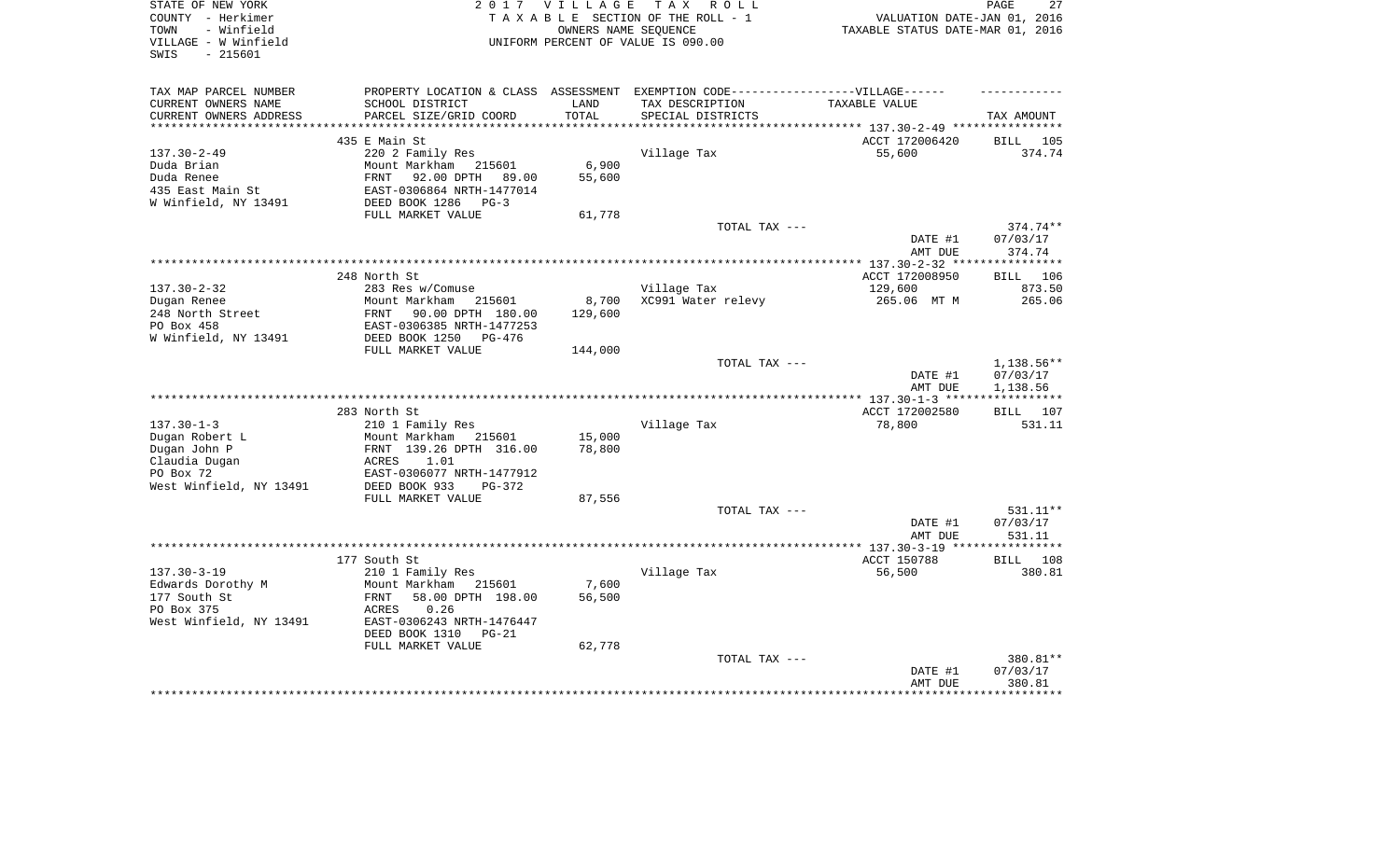| STATE OF NEW YORK<br>COUNTY - Herkimer<br>- Winfield<br>TOWN<br>VILLAGE - W Winfield<br>- 215601<br>SWIS |                                                                                   | 2017 VILLAGE  | T A X<br>R O L L<br>TAXABLE SECTION OF THE ROLL - 1<br>OWNERS NAME SEQUENCE<br>UNIFORM PERCENT OF VALUE IS 090.00 | VALUATION DATE-JAN 01, 2016<br>TAXABLE STATUS DATE-MAR 01, 2016 | 27<br>PAGE            |
|----------------------------------------------------------------------------------------------------------|-----------------------------------------------------------------------------------|---------------|-------------------------------------------------------------------------------------------------------------------|-----------------------------------------------------------------|-----------------------|
| TAX MAP PARCEL NUMBER                                                                                    | PROPERTY LOCATION & CLASS ASSESSMENT EXEMPTION CODE-----------------VILLAGE------ |               |                                                                                                                   |                                                                 |                       |
| CURRENT OWNERS NAME<br>CURRENT OWNERS ADDRESS                                                            | SCHOOL DISTRICT<br>PARCEL SIZE/GRID COORD                                         | LAND<br>TOTAL | TAX DESCRIPTION<br>SPECIAL DISTRICTS                                                                              | TAXABLE VALUE                                                   | TAX AMOUNT            |
|                                                                                                          |                                                                                   |               |                                                                                                                   |                                                                 |                       |
|                                                                                                          | 435 E Main St                                                                     |               |                                                                                                                   | ACCT 172006420                                                  | <b>BILL</b><br>105    |
| $137.30 - 2 - 49$                                                                                        | 220 2 Family Res                                                                  |               | Village Tax                                                                                                       | 55,600                                                          | 374.74                |
| Duda Brian                                                                                               | Mount Markham 215601                                                              | 6,900         |                                                                                                                   |                                                                 |                       |
| Duda Renee                                                                                               | <b>FRNT</b><br>92.00 DPTH<br>89.00                                                | 55,600        |                                                                                                                   |                                                                 |                       |
| 435 East Main St                                                                                         | EAST-0306864 NRTH-1477014                                                         |               |                                                                                                                   |                                                                 |                       |
| W Winfield, NY 13491                                                                                     | DEED BOOK 1286<br>$PG-3$                                                          |               |                                                                                                                   |                                                                 |                       |
|                                                                                                          | FULL MARKET VALUE                                                                 | 61,778        |                                                                                                                   |                                                                 |                       |
|                                                                                                          |                                                                                   |               | TOTAL TAX ---                                                                                                     |                                                                 | 374.74**              |
|                                                                                                          |                                                                                   |               |                                                                                                                   | DATE #1                                                         | 07/03/17              |
|                                                                                                          |                                                                                   |               |                                                                                                                   | AMT DUE                                                         | 374.74                |
|                                                                                                          | 248 North St                                                                      |               |                                                                                                                   | ACCT 172008950                                                  | 106<br><b>BILL</b>    |
| $137.30 - 2 - 32$                                                                                        | 283 Res w/Comuse                                                                  |               | Village Tax                                                                                                       | 129,600                                                         | 873.50                |
| Dugan Renee                                                                                              | Mount Markham<br>215601                                                           | 8,700         | XC991 Water relevy                                                                                                | 265.06 MT M                                                     | 265.06                |
| 248 North Street                                                                                         | FRNT<br>90.00 DPTH 180.00                                                         | 129,600       |                                                                                                                   |                                                                 |                       |
| PO Box 458                                                                                               | EAST-0306385 NRTH-1477253                                                         |               |                                                                                                                   |                                                                 |                       |
| W Winfield, NY 13491                                                                                     | DEED BOOK 1250<br>$PG-476$                                                        |               |                                                                                                                   |                                                                 |                       |
|                                                                                                          | FULL MARKET VALUE                                                                 | 144,000       |                                                                                                                   |                                                                 |                       |
|                                                                                                          |                                                                                   |               | TOTAL TAX ---                                                                                                     |                                                                 | 1,138.56**            |
|                                                                                                          |                                                                                   |               |                                                                                                                   | DATE #1                                                         | 07/03/17              |
|                                                                                                          |                                                                                   |               |                                                                                                                   | AMT DUE                                                         | 1,138.56              |
|                                                                                                          |                                                                                   |               |                                                                                                                   | ************* 137.30-1-3 *****                                  | * * * * * * * * * * * |
|                                                                                                          | 283 North St                                                                      |               |                                                                                                                   | ACCT 172002580                                                  | 107<br><b>BILL</b>    |
| $137.30 - 1 - 3$                                                                                         | 210 1 Family Res                                                                  |               | Village Tax                                                                                                       | 78,800                                                          | 531.11                |
| Dugan Robert L                                                                                           | Mount Markham<br>215601                                                           | 15,000        |                                                                                                                   |                                                                 |                       |
| Dugan John P                                                                                             | FRNT 139.26 DPTH 316.00                                                           | 78,800        |                                                                                                                   |                                                                 |                       |
| Claudia Dugan                                                                                            | 1.01<br>ACRES                                                                     |               |                                                                                                                   |                                                                 |                       |
| PO Box 72                                                                                                | EAST-0306077 NRTH-1477912                                                         |               |                                                                                                                   |                                                                 |                       |
| West Winfield, NY 13491                                                                                  | DEED BOOK 933<br>$PG-372$<br>FULL MARKET VALUE                                    |               |                                                                                                                   |                                                                 |                       |
|                                                                                                          |                                                                                   | 87,556        | TOTAL TAX ---                                                                                                     |                                                                 | 531.11**              |
|                                                                                                          |                                                                                   |               |                                                                                                                   | DATE #1                                                         | 07/03/17              |
|                                                                                                          |                                                                                   |               |                                                                                                                   | AMT DUE                                                         | 531.11                |
|                                                                                                          |                                                                                   |               | ***********************                                                                                           | ** $137.30 - 3 - 19$ **                                         |                       |
|                                                                                                          | 177 South St                                                                      |               |                                                                                                                   | ACCT 150788                                                     | 108<br><b>BILL</b>    |
| $137.30 - 3 - 19$                                                                                        | 210 1 Family Res                                                                  |               | Village Tax                                                                                                       | 56,500                                                          | 380.81                |
| Edwards Dorothy M                                                                                        | Mount Markham<br>215601                                                           | 7,600         |                                                                                                                   |                                                                 |                       |
| 177 South St                                                                                             | 58.00 DPTH 198.00<br>FRNT                                                         | 56,500        |                                                                                                                   |                                                                 |                       |
| PO Box 375                                                                                               | <b>ACRES</b><br>0.26                                                              |               |                                                                                                                   |                                                                 |                       |
| West Winfield, NY 13491                                                                                  | EAST-0306243 NRTH-1476447                                                         |               |                                                                                                                   |                                                                 |                       |
|                                                                                                          | DEED BOOK 1310<br>$PG-21$                                                         |               |                                                                                                                   |                                                                 |                       |
|                                                                                                          | FULL MARKET VALUE                                                                 | 62,778        |                                                                                                                   |                                                                 |                       |
|                                                                                                          |                                                                                   |               | TOTAL TAX ---                                                                                                     |                                                                 | 380.81**              |
|                                                                                                          |                                                                                   |               |                                                                                                                   | DATE #1                                                         | 07/03/17              |
|                                                                                                          |                                                                                   |               |                                                                                                                   | AMT DUE                                                         | 380.81                |
|                                                                                                          |                                                                                   |               |                                                                                                                   |                                                                 | ********              |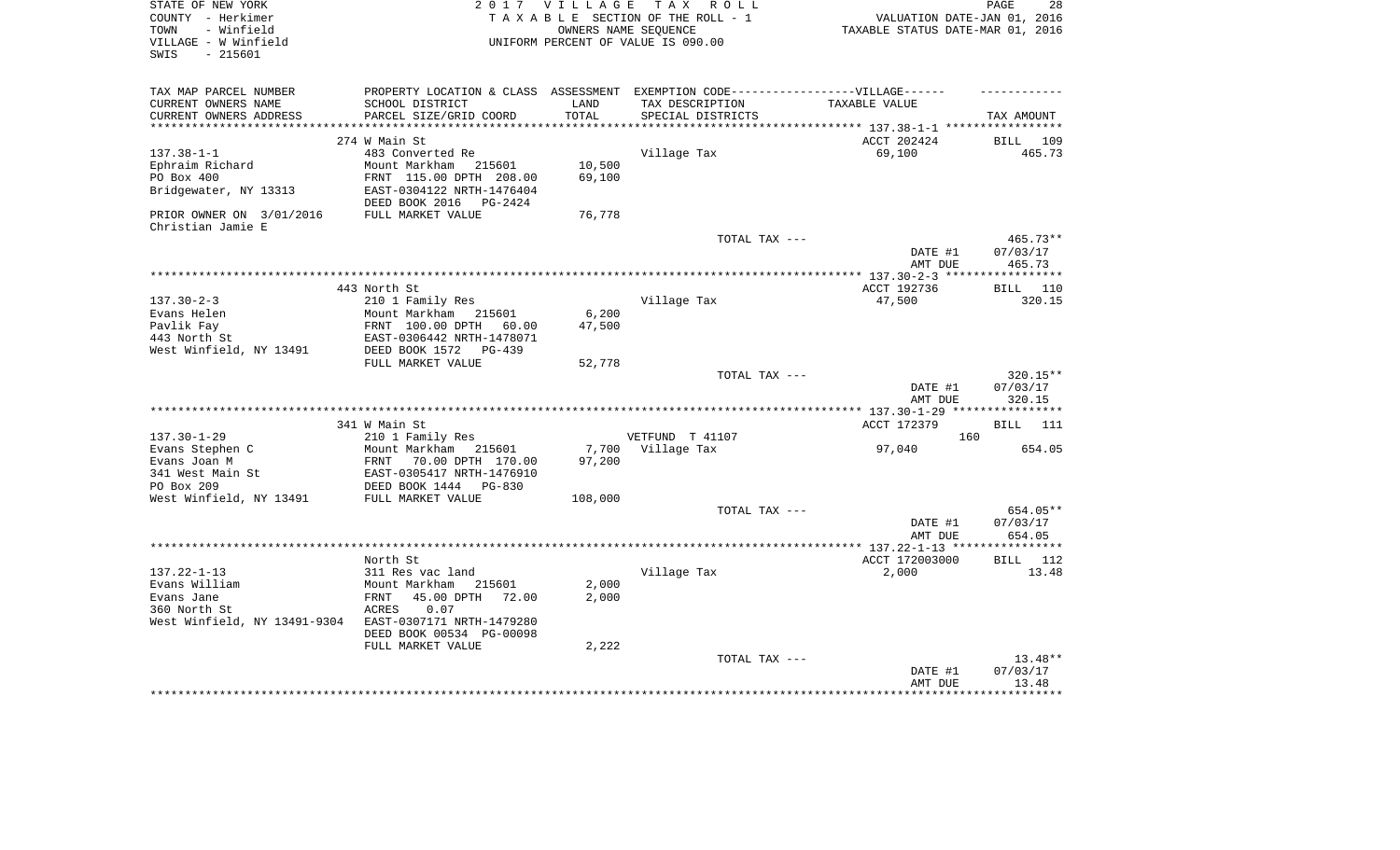| STATE OF NEW YORK                   | 2 0 1 7                                                                           | <b>VILLAGE</b> | T A X<br>R O L L                       |                                  | 28<br>PAGE           |
|-------------------------------------|-----------------------------------------------------------------------------------|----------------|----------------------------------------|----------------------------------|----------------------|
| COUNTY - Herkimer                   |                                                                                   |                | TAXABLE SECTION OF THE ROLL - 1        | VALUATION DATE-JAN 01, 2016      |                      |
| - Winfield<br>TOWN                  |                                                                                   |                | OWNERS NAME SEQUENCE                   | TAXABLE STATUS DATE-MAR 01, 2016 |                      |
| VILLAGE - W Winfield                |                                                                                   |                | UNIFORM PERCENT OF VALUE IS 090.00     |                                  |                      |
| $-215601$<br>SWIS                   |                                                                                   |                |                                        |                                  |                      |
|                                     |                                                                                   |                |                                        |                                  |                      |
| TAX MAP PARCEL NUMBER               | PROPERTY LOCATION & CLASS ASSESSMENT EXEMPTION CODE-----------------VILLAGE------ |                |                                        |                                  |                      |
| CURRENT OWNERS NAME                 | SCHOOL DISTRICT                                                                   | LAND           | TAX DESCRIPTION                        | TAXABLE VALUE                    |                      |
| CURRENT OWNERS ADDRESS              | PARCEL SIZE/GRID COORD                                                            | TOTAL          | SPECIAL DISTRICTS                      |                                  | TAX AMOUNT           |
|                                     | 274 W Main St                                                                     |                |                                        |                                  |                      |
|                                     |                                                                                   |                |                                        | ACCT 202424                      | 109<br>BILL          |
| $137.38 - 1 - 1$<br>Ephraim Richard | 483 Converted Re<br>Mount Markham<br>215601                                       | 10,500         | Village Tax                            | 69,100                           | 465.73               |
| PO Box 400                          | FRNT 115.00 DPTH 208.00                                                           | 69,100         |                                        |                                  |                      |
| Bridgewater, NY 13313               | EAST-0304122 NRTH-1476404                                                         |                |                                        |                                  |                      |
|                                     | DEED BOOK 2016<br><b>PG-2424</b>                                                  |                |                                        |                                  |                      |
| PRIOR OWNER ON 3/01/2016            | FULL MARKET VALUE                                                                 | 76,778         |                                        |                                  |                      |
| Christian Jamie E                   |                                                                                   |                |                                        |                                  |                      |
|                                     |                                                                                   |                | TOTAL TAX ---                          | DATE #1                          | 465.73**<br>07/03/17 |
|                                     |                                                                                   |                |                                        | AMT DUE                          | 465.73               |
|                                     |                                                                                   |                |                                        |                                  |                      |
|                                     | 443 North St                                                                      |                |                                        | ACCT 192736                      | 110<br><b>BILL</b>   |
| $137.30 - 2 - 3$                    | 210 1 Family Res                                                                  |                | Village Tax                            | 47,500                           | 320.15               |
| Evans Helen                         | Mount Markham<br>215601                                                           | 6,200          |                                        |                                  |                      |
| Pavlik Fay                          | FRNT 100.00 DPTH<br>60.00                                                         | 47,500         |                                        |                                  |                      |
| 443 North St                        | EAST-0306442 NRTH-1478071                                                         |                |                                        |                                  |                      |
| West Winfield, NY 13491             | DEED BOOK 1572<br>$PG-439$                                                        |                |                                        |                                  |                      |
|                                     | FULL MARKET VALUE                                                                 | 52,778         |                                        |                                  |                      |
|                                     |                                                                                   |                | TOTAL TAX ---                          |                                  | $320.15**$           |
|                                     |                                                                                   |                |                                        | DATE #1                          | 07/03/17             |
|                                     |                                                                                   |                |                                        | AMT DUE                          | 320.15               |
|                                     |                                                                                   |                |                                        |                                  |                      |
|                                     | 341 W Main St                                                                     |                |                                        | ACCT 172379                      | 111<br>BILL          |
| $137.30 - 1 - 29$                   | 210 1 Family Res                                                                  |                | VETFUND T 41107                        | 160                              |                      |
| Evans Stephen C                     | Mount Markham 215601                                                              | 7,700          | Village Tax                            | 97,040                           | 654.05               |
| Evans Joan M                        | FRNT<br>70.00 DPTH 170.00                                                         | 97,200         |                                        |                                  |                      |
| 341 West Main St                    | EAST-0305417 NRTH-1476910                                                         |                |                                        |                                  |                      |
| PO Box 209                          | DEED BOOK 1444<br>PG-830                                                          |                |                                        |                                  |                      |
| West Winfield, NY 13491             | FULL MARKET VALUE                                                                 | 108,000        |                                        |                                  | 654.05**             |
|                                     |                                                                                   |                | TOTAL TAX ---                          | DATE #1                          | 07/03/17             |
|                                     |                                                                                   |                |                                        | AMT DUE                          | 654.05               |
|                                     |                                                                                   |                | ************************************** | ************* 137.22-1-13 **     | **********           |
|                                     | North St                                                                          |                |                                        | ACCT 172003000                   | 112<br>BILL          |
| $137.22 - 1 - 13$                   | 311 Res vac land                                                                  |                | Village Tax                            | 2,000                            | 13.48                |
| Evans William                       | Mount Markham<br>215601                                                           | 2,000          |                                        |                                  |                      |
| Evans Jane                          | FRNT<br>45.00 DPTH<br>72.00                                                       | 2,000          |                                        |                                  |                      |
| 360 North St                        | ACRES<br>0.07                                                                     |                |                                        |                                  |                      |
| West Winfield, NY 13491-9304        | EAST-0307171 NRTH-1479280                                                         |                |                                        |                                  |                      |
|                                     | DEED BOOK 00534 PG-00098                                                          |                |                                        |                                  |                      |
|                                     | FULL MARKET VALUE                                                                 | 2,222          |                                        |                                  |                      |
|                                     |                                                                                   |                | TOTAL TAX ---                          |                                  | $13.48**$            |
|                                     |                                                                                   |                |                                        | DATE #1                          | 07/03/17             |
|                                     |                                                                                   |                |                                        | AMT DUE                          | 13.48                |
|                                     |                                                                                   |                |                                        |                                  | ********             |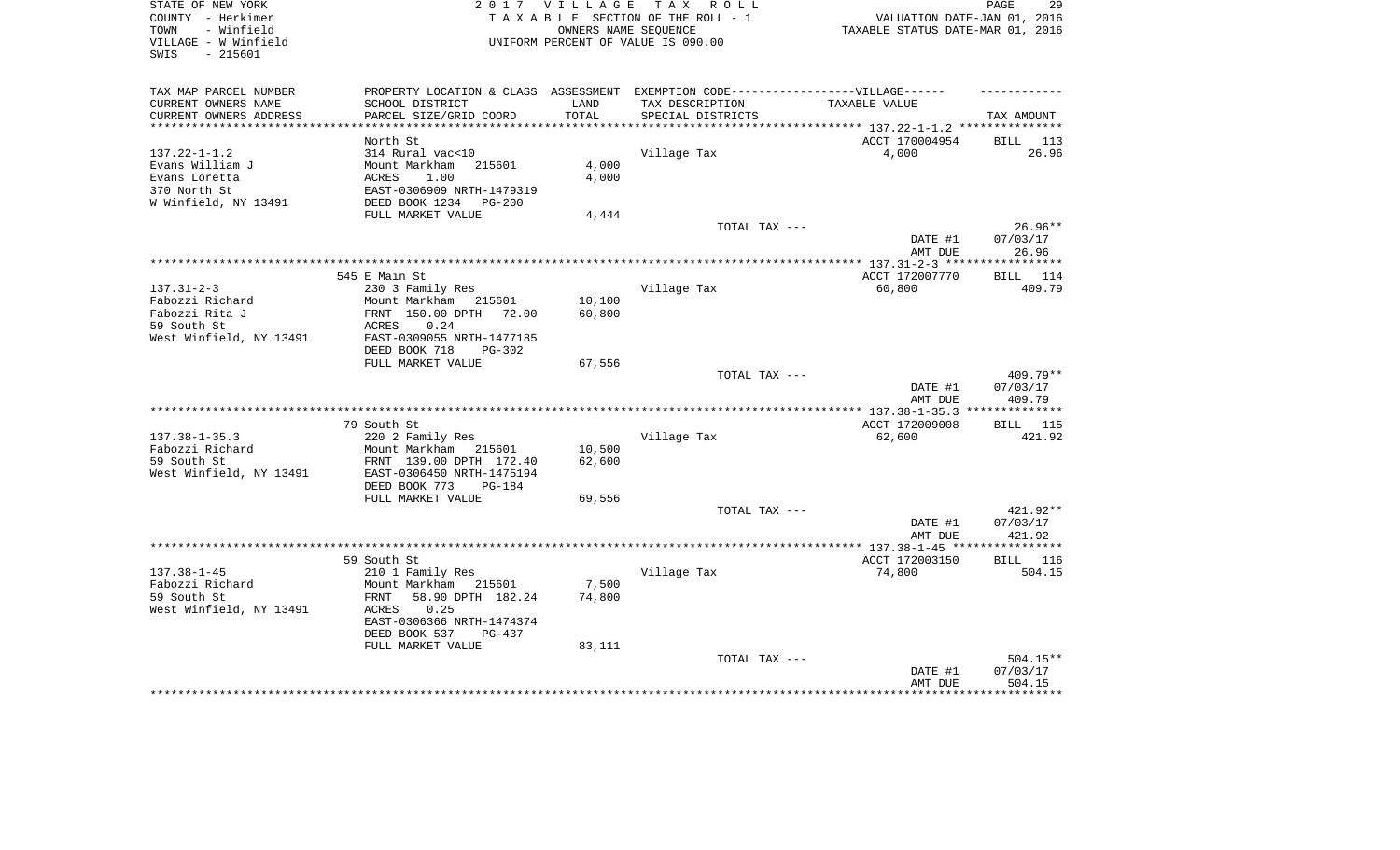| STATE OF NEW YORK<br>COUNTY - Herkimer<br>- Winfield<br>TOWN<br>VILLAGE - W Winfield<br>SWIS<br>$-215601$ | T A X<br>2 0 1 7<br><b>VILLAGE</b><br>R O L L<br>TAXABLE SECTION OF THE ROLL - 1<br>OWNERS NAME SEQUENCE<br>UNIFORM PERCENT OF VALUE IS 090.00 |        |                                               | 29<br>PAGE<br>VALUATION DATE-JAN 01, 2016<br>TAXABLE STATUS DATE-MAR 01, 2016 |                    |  |
|-----------------------------------------------------------------------------------------------------------|------------------------------------------------------------------------------------------------------------------------------------------------|--------|-----------------------------------------------|-------------------------------------------------------------------------------|--------------------|--|
| TAX MAP PARCEL NUMBER                                                                                     | PROPERTY LOCATION & CLASS ASSESSMENT                                                                                                           |        | EXEMPTION CODE------------------VILLAGE------ |                                                                               |                    |  |
| CURRENT OWNERS NAME                                                                                       | SCHOOL DISTRICT                                                                                                                                | LAND   | TAX DESCRIPTION                               | TAXABLE VALUE                                                                 |                    |  |
| CURRENT OWNERS ADDRESS<br>**********************                                                          | PARCEL SIZE/GRID COORD<br>***************************                                                                                          | TOTAL  | SPECIAL DISTRICTS                             |                                                                               | TAX AMOUNT         |  |
|                                                                                                           | North St                                                                                                                                       |        |                                               | ACCT 170004954                                                                | 113                |  |
| $137.22 - 1 - 1.2$                                                                                        | 314 Rural vac<10                                                                                                                               |        | Village Tax                                   | 4,000                                                                         | BILL<br>26.96      |  |
| Evans William J                                                                                           | Mount Markham<br>215601                                                                                                                        | 4,000  |                                               |                                                                               |                    |  |
| Evans Loretta                                                                                             | <b>ACRES</b><br>1.00                                                                                                                           | 4,000  |                                               |                                                                               |                    |  |
| 370 North St                                                                                              | EAST-0306909 NRTH-1479319                                                                                                                      |        |                                               |                                                                               |                    |  |
| W Winfield, NY 13491                                                                                      | DEED BOOK 1234<br>$PG-200$                                                                                                                     |        |                                               |                                                                               |                    |  |
|                                                                                                           | FULL MARKET VALUE                                                                                                                              | 4,444  |                                               |                                                                               |                    |  |
|                                                                                                           |                                                                                                                                                |        | TOTAL TAX ---                                 |                                                                               | 26.96**            |  |
|                                                                                                           |                                                                                                                                                |        |                                               | DATE #1                                                                       | 07/03/17           |  |
|                                                                                                           |                                                                                                                                                |        |                                               | AMT DUE<br>*********** 137.31-2-3 ***                                         | 26.96<br>*******   |  |
|                                                                                                           | 545 E Main St                                                                                                                                  |        |                                               | ACCT 172007770                                                                | 114<br>BILL        |  |
| $137.31 - 2 - 3$                                                                                          | 230 3 Family Res                                                                                                                               |        | Village Tax                                   | 60,800                                                                        | 409.79             |  |
| Fabozzi Richard                                                                                           | Mount Markham<br>215601                                                                                                                        | 10,100 |                                               |                                                                               |                    |  |
| Fabozzi Rita J                                                                                            | FRNT 150.00 DPTH<br>72.00                                                                                                                      | 60,800 |                                               |                                                                               |                    |  |
| 59 South St                                                                                               | 0.24<br>ACRES                                                                                                                                  |        |                                               |                                                                               |                    |  |
| West Winfield, NY 13491                                                                                   | EAST-0309055 NRTH-1477185                                                                                                                      |        |                                               |                                                                               |                    |  |
|                                                                                                           | DEED BOOK 718<br>PG-302                                                                                                                        |        |                                               |                                                                               |                    |  |
|                                                                                                           | FULL MARKET VALUE                                                                                                                              | 67,556 | TOTAL TAX ---                                 |                                                                               | 409.79**           |  |
|                                                                                                           |                                                                                                                                                |        |                                               | DATE #1                                                                       | 07/03/17           |  |
|                                                                                                           |                                                                                                                                                |        |                                               | AMT DUE                                                                       | 409.79             |  |
|                                                                                                           |                                                                                                                                                |        | *************************                     | ******* 137.38-1-35.3                                                         | **********         |  |
|                                                                                                           | 79 South St                                                                                                                                    |        |                                               | ACCT 172009008                                                                | 115<br>BILL        |  |
| $137.38 - 1 - 35.3$                                                                                       | 220 2 Family Res                                                                                                                               |        | Village Tax                                   | 62,600                                                                        | 421.92             |  |
| Fabozzi Richard                                                                                           | Mount Markham<br>215601                                                                                                                        | 10,500 |                                               |                                                                               |                    |  |
| 59 South St<br>West Winfield, NY 13491                                                                    | FRNT 139.00 DPTH 172.40<br>EAST-0306450 NRTH-1475194                                                                                           | 62,600 |                                               |                                                                               |                    |  |
|                                                                                                           | DEED BOOK 773<br>$PG-184$                                                                                                                      |        |                                               |                                                                               |                    |  |
|                                                                                                           | FULL MARKET VALUE                                                                                                                              | 69,556 |                                               |                                                                               |                    |  |
|                                                                                                           |                                                                                                                                                |        | TOTAL TAX ---                                 |                                                                               | 421.92**           |  |
|                                                                                                           |                                                                                                                                                |        |                                               | DATE #1                                                                       | 07/03/17           |  |
|                                                                                                           |                                                                                                                                                |        |                                               | AMT DUE                                                                       | 421.92             |  |
|                                                                                                           |                                                                                                                                                |        |                                               |                                                                               | **********         |  |
|                                                                                                           | 59 South St                                                                                                                                    |        |                                               | ACCT 172003150                                                                | <b>BILL</b><br>116 |  |
| $137.38 - 1 - 45$<br>Fabozzi Richard                                                                      | 210 1 Family Res<br>Mount Markham<br>215601                                                                                                    | 7,500  | Village Tax                                   | 74,800                                                                        | 504.15             |  |
| 59 South St                                                                                               | FRNT<br>58.90 DPTH 182.24                                                                                                                      | 74,800 |                                               |                                                                               |                    |  |
| West Winfield, NY 13491                                                                                   | ACRES<br>0.25                                                                                                                                  |        |                                               |                                                                               |                    |  |
|                                                                                                           | EAST-0306366 NRTH-1474374                                                                                                                      |        |                                               |                                                                               |                    |  |
|                                                                                                           | DEED BOOK 537<br>PG-437                                                                                                                        |        |                                               |                                                                               |                    |  |
|                                                                                                           | FULL MARKET VALUE                                                                                                                              | 83,111 |                                               |                                                                               |                    |  |
|                                                                                                           |                                                                                                                                                |        | TOTAL TAX ---                                 |                                                                               | $504.15**$         |  |
|                                                                                                           |                                                                                                                                                |        |                                               | DATE #1                                                                       | 07/03/17           |  |
|                                                                                                           |                                                                                                                                                |        |                                               | AMT DUE                                                                       | 504.15             |  |
|                                                                                                           |                                                                                                                                                |        |                                               |                                                                               |                    |  |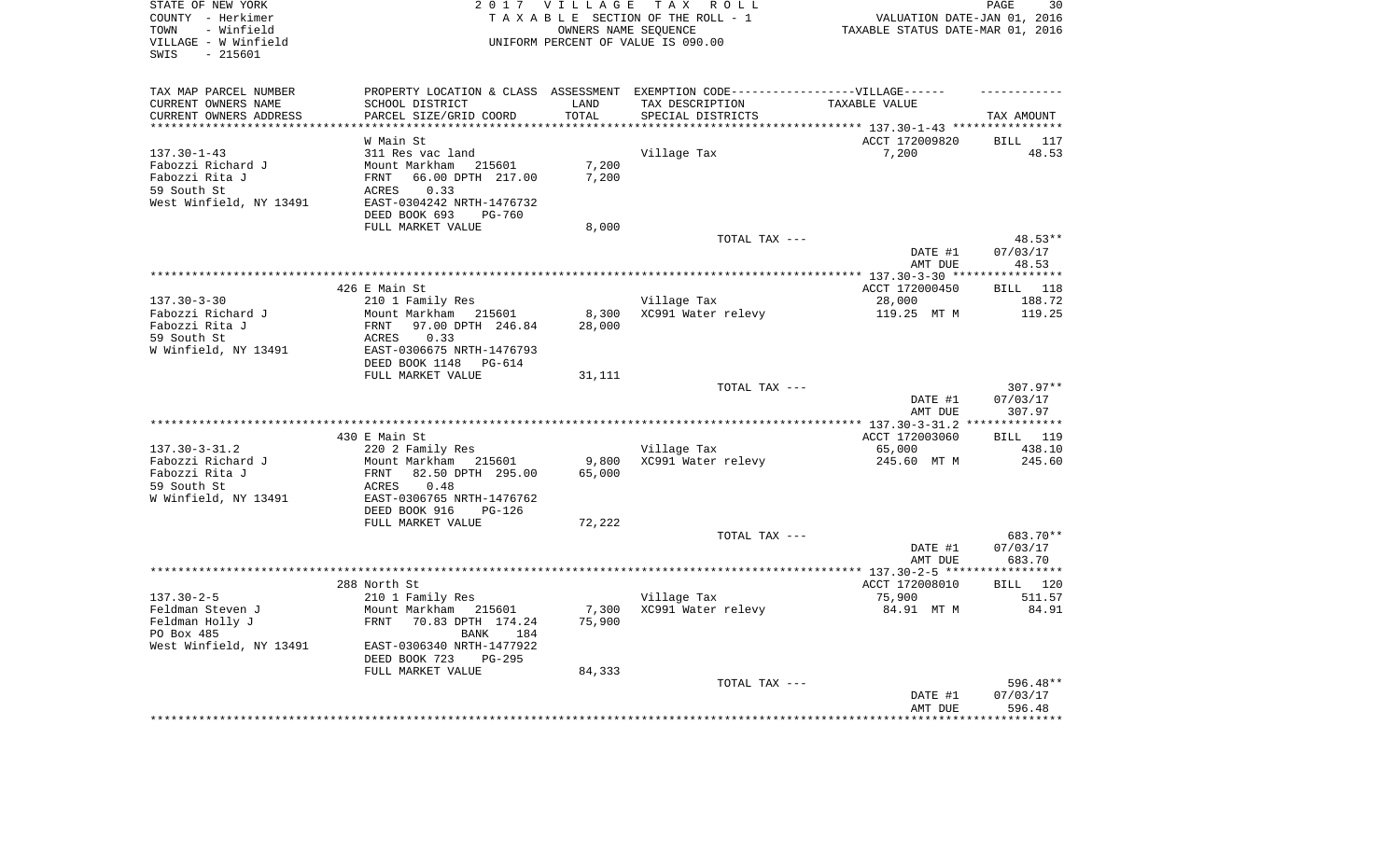| STATE OF NEW YORK<br>COUNTY - Herkimer<br>- Winfield<br>TOWN<br>VILLAGE - W Winfield<br>$-215601$<br>SWIS |                                                        | 2017 VILLAGE<br>OWNERS NAME SEQUENCE | TAX ROLL<br>TAXABLE SECTION OF THE ROLL - 1<br>UNIFORM PERCENT OF VALUE IS 090.00 | VALUATION DATE-JAN 01, 2016<br>TAXABLE STATUS DATE-MAR 01, 2016 | 30<br>PAGE         |
|-----------------------------------------------------------------------------------------------------------|--------------------------------------------------------|--------------------------------------|-----------------------------------------------------------------------------------|-----------------------------------------------------------------|--------------------|
| TAX MAP PARCEL NUMBER                                                                                     |                                                        |                                      | PROPERTY LOCATION & CLASS ASSESSMENT EXEMPTION CODE----------------VILLAGE------  |                                                                 |                    |
| CURRENT OWNERS NAME                                                                                       | SCHOOL DISTRICT                                        | LAND                                 | TAX DESCRIPTION                                                                   | TAXABLE VALUE                                                   |                    |
| CURRENT OWNERS ADDRESS<br>**********************                                                          | PARCEL SIZE/GRID COORD<br>***********************      | TOTAL<br>***************             | SPECIAL DISTRICTS                                                                 |                                                                 | TAX AMOUNT         |
|                                                                                                           | W Main St                                              |                                      |                                                                                   | ACCT 172009820                                                  | BILL 117           |
| $137.30 - 1 - 43$                                                                                         | 311 Res vac land                                       |                                      | Village Tax                                                                       | 7,200                                                           | 48.53              |
| Fabozzi Richard J                                                                                         | Mount Markham<br>215601                                | 7,200                                |                                                                                   |                                                                 |                    |
| Fabozzi Rita J                                                                                            | 66.00 DPTH 217.00<br>FRNT                              | 7,200                                |                                                                                   |                                                                 |                    |
| 59 South St                                                                                               | 0.33<br><b>ACRES</b>                                   |                                      |                                                                                   |                                                                 |                    |
| West Winfield, NY 13491                                                                                   | EAST-0304242 NRTH-1476732                              |                                      |                                                                                   |                                                                 |                    |
|                                                                                                           | DEED BOOK 693<br><b>PG-760</b>                         |                                      |                                                                                   |                                                                 |                    |
|                                                                                                           | FULL MARKET VALUE                                      | 8,000                                | TOTAL TAX ---                                                                     |                                                                 | 48.53**            |
|                                                                                                           |                                                        |                                      |                                                                                   | DATE #1                                                         | 07/03/17           |
|                                                                                                           |                                                        |                                      |                                                                                   | AMT DUE                                                         | 48.53              |
|                                                                                                           |                                                        |                                      |                                                                                   |                                                                 |                    |
|                                                                                                           | 426 E Main St                                          |                                      |                                                                                   | ACCT 172000450                                                  | 118<br>BILL        |
| $137.30 - 3 - 30$                                                                                         | 210 1 Family Res                                       |                                      | Village Tax                                                                       | 28,000                                                          | 188.72             |
| Fabozzi Richard J<br>Fabozzi Rita J                                                                       | Mount Markham 215601<br>97.00 DPTH 246.84<br>FRNT      | 8,300<br>28,000                      | XC991 Water relevy                                                                | 119.25 MT M                                                     | 119.25             |
| 59 South St                                                                                               | 0.33<br>ACRES                                          |                                      |                                                                                   |                                                                 |                    |
| W Winfield, NY 13491                                                                                      | EAST-0306675 NRTH-1476793                              |                                      |                                                                                   |                                                                 |                    |
|                                                                                                           | DEED BOOK 1148<br>PG-614                               |                                      |                                                                                   |                                                                 |                    |
|                                                                                                           | FULL MARKET VALUE                                      | 31,111                               |                                                                                   |                                                                 |                    |
|                                                                                                           |                                                        |                                      | TOTAL TAX ---                                                                     |                                                                 | $307.97**$         |
|                                                                                                           |                                                        |                                      |                                                                                   | DATE #1<br>AMT DUE                                              | 07/03/17<br>307.97 |
|                                                                                                           |                                                        |                                      |                                                                                   |                                                                 | ***********        |
|                                                                                                           | 430 E Main St                                          |                                      |                                                                                   | ACCT 172003060                                                  | BILL 119           |
| $137.30 - 3 - 31.2$                                                                                       | 220 2 Family Res                                       |                                      | Village Tax                                                                       | 65,000                                                          | 438.10             |
| Fabozzi Richard J                                                                                         | Mount Markham 215601                                   | 9,800                                | XC991 Water relevy                                                                | 245.60 MT M                                                     | 245.60             |
| Fabozzi Rita J                                                                                            | 82.50 DPTH 295.00<br>FRNT                              | 65,000                               |                                                                                   |                                                                 |                    |
| 59 South St<br>W Winfield, NY 13491                                                                       | 0.48<br>ACRES                                          |                                      |                                                                                   |                                                                 |                    |
|                                                                                                           | EAST-0306765 NRTH-1476762<br>DEED BOOK 916<br>$PG-126$ |                                      |                                                                                   |                                                                 |                    |
|                                                                                                           | FULL MARKET VALUE                                      | 72,222                               |                                                                                   |                                                                 |                    |
|                                                                                                           |                                                        |                                      | TOTAL TAX ---                                                                     |                                                                 | 683.70**           |
|                                                                                                           |                                                        |                                      |                                                                                   | DATE #1                                                         | 07/03/17           |
|                                                                                                           |                                                        |                                      |                                                                                   | AMT DUE                                                         | 683.70             |
|                                                                                                           |                                                        |                                      |                                                                                   |                                                                 |                    |
| $137.30 - 2 - 5$                                                                                          | 288 North St<br>210 1 Family Res                       |                                      | Village Tax                                                                       | ACCT 172008010<br>75,900                                        | BILL 120<br>511.57 |
| Feldman Steven J                                                                                          | Mount Markham 215601                                   | 7,300                                | XC991 Water relevy                                                                | 84.91 MT M                                                      | 84.91              |
| Feldman Holly J                                                                                           | FRNT<br>70.83 DPTH 174.24                              | 75,900                               |                                                                                   |                                                                 |                    |
| PO Box 485                                                                                                | BANK<br>184                                            |                                      |                                                                                   |                                                                 |                    |
| West Winfield, NY 13491                                                                                   | EAST-0306340 NRTH-1477922                              |                                      |                                                                                   |                                                                 |                    |
|                                                                                                           | DEED BOOK 723<br>$PG-295$                              |                                      |                                                                                   |                                                                 |                    |
|                                                                                                           | FULL MARKET VALUE                                      | 84,333                               | TOTAL TAX ---                                                                     |                                                                 | 596.48**           |
|                                                                                                           |                                                        |                                      |                                                                                   | DATE #1                                                         | 07/03/17           |
|                                                                                                           |                                                        |                                      |                                                                                   | AMT DUE                                                         | 596.48             |
|                                                                                                           |                                                        |                                      |                                                                                   |                                                                 | ************       |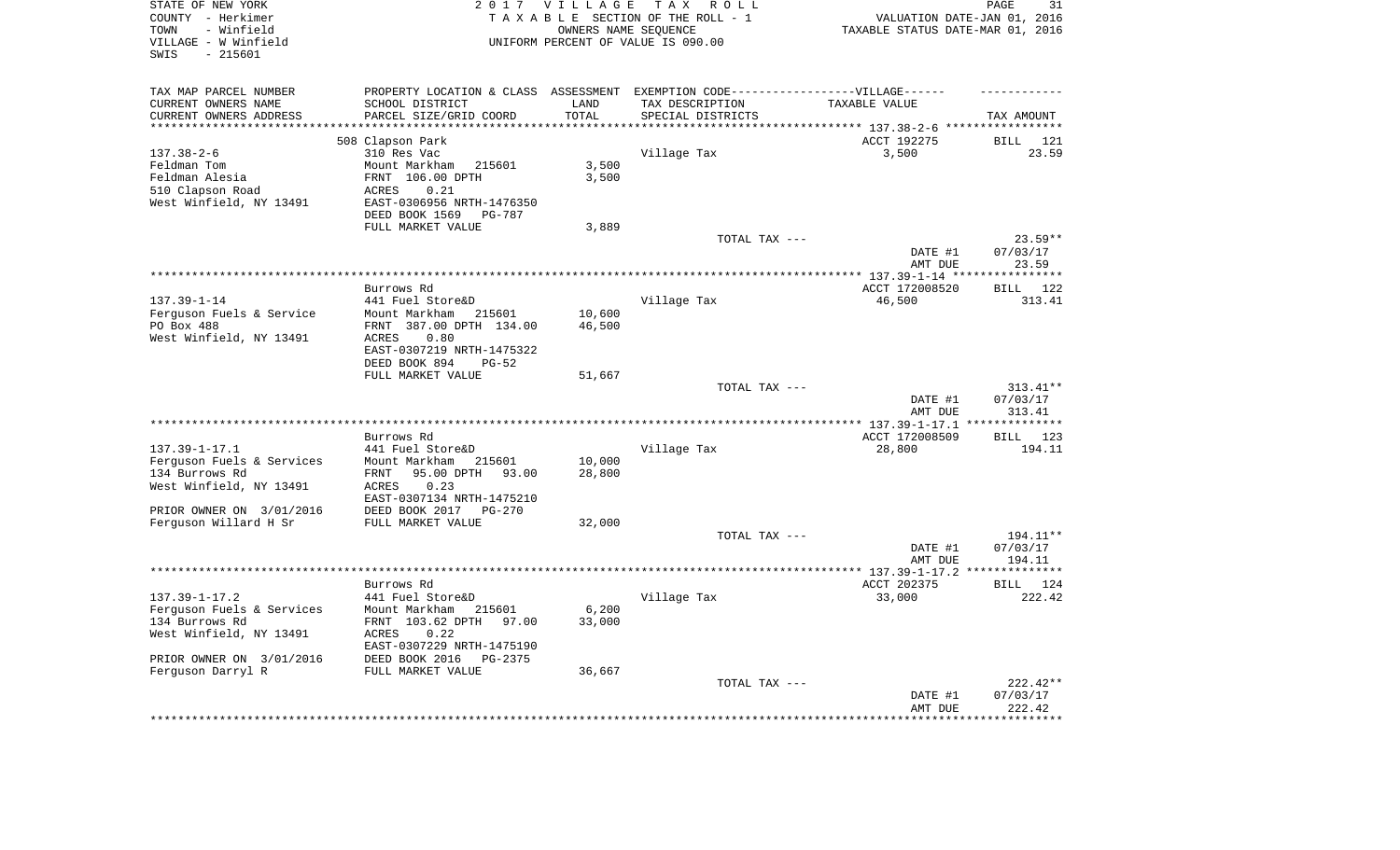| STATE OF NEW YORK<br>COUNTY - Herkimer<br>TOWN          | 2017 VILLAGE<br>T A X<br>R O L L<br>TAXABLE SECTION OF THE ROLL - 1<br>OWNERS NAME SEQUENCE |                     |                                    | 31<br>PAGE<br>VALUATION DATE-JAN 01, 2016<br>TAXABLE STATUS DATE-MAR 01, 2016 |                              |  |
|---------------------------------------------------------|---------------------------------------------------------------------------------------------|---------------------|------------------------------------|-------------------------------------------------------------------------------|------------------------------|--|
| - Winfield<br>VILLAGE - W Winfield<br>$-215601$<br>SWIS |                                                                                             |                     | UNIFORM PERCENT OF VALUE IS 090.00 |                                                                               |                              |  |
| TAX MAP PARCEL NUMBER                                   | PROPERTY LOCATION & CLASS ASSESSMENT EXEMPTION CODE-----------------VILLAGE------           |                     |                                    |                                                                               |                              |  |
| CURRENT OWNERS NAME                                     | SCHOOL DISTRICT                                                                             | LAND                | TAX DESCRIPTION                    | TAXABLE VALUE                                                                 |                              |  |
| CURRENT OWNERS ADDRESS<br>**************                | PARCEL SIZE/GRID COORD<br>**********************                                            | TOTAL<br>********** | SPECIAL DISTRICTS                  |                                                                               | TAX AMOUNT                   |  |
|                                                         | 508 Clapson Park                                                                            |                     |                                    | ACCT 192275                                                                   | BILL 121                     |  |
| $137.38 - 2 - 6$                                        | 310 Res Vac                                                                                 |                     | Village Tax                        | 3,500                                                                         | 23.59                        |  |
| Feldman Tom                                             | Mount Markham<br>215601                                                                     | 3,500               |                                    |                                                                               |                              |  |
| Feldman Alesia                                          | FRNT 106.00 DPTH                                                                            | 3,500               |                                    |                                                                               |                              |  |
| 510 Clapson Road                                        | 0.21<br>ACRES                                                                               |                     |                                    |                                                                               |                              |  |
| West Winfield, NY 13491                                 | EAST-0306956 NRTH-1476350                                                                   |                     |                                    |                                                                               |                              |  |
|                                                         | DEED BOOK 1569<br>PG-787                                                                    |                     |                                    |                                                                               |                              |  |
|                                                         | FULL MARKET VALUE                                                                           | 3,889               | TOTAL TAX ---                      |                                                                               | $23.59**$                    |  |
|                                                         |                                                                                             |                     |                                    | DATE #1                                                                       | 07/03/17                     |  |
|                                                         |                                                                                             |                     |                                    | AMT DUE                                                                       | 23.59                        |  |
|                                                         |                                                                                             |                     |                                    |                                                                               | **********                   |  |
| $137.39 - 1 - 14$                                       | Burrows Rd<br>441 Fuel Store&D                                                              |                     | Village Tax                        | ACCT 172008520<br>46,500                                                      | <b>BILL</b><br>122<br>313.41 |  |
| Ferguson Fuels & Service                                | Mount Markham<br>215601                                                                     | 10,600              |                                    |                                                                               |                              |  |
| PO Box 488                                              | FRNT 387.00 DPTH 134.00                                                                     | 46,500              |                                    |                                                                               |                              |  |
| West Winfield, NY 13491                                 | ACRES<br>0.80                                                                               |                     |                                    |                                                                               |                              |  |
|                                                         | EAST-0307219 NRTH-1475322                                                                   |                     |                                    |                                                                               |                              |  |
|                                                         | DEED BOOK 894<br>$PG-52$                                                                    |                     |                                    |                                                                               |                              |  |
|                                                         | FULL MARKET VALUE                                                                           | 51,667              |                                    |                                                                               |                              |  |
|                                                         |                                                                                             |                     | TOTAL TAX ---                      | DATE #1                                                                       | $313.41**$<br>07/03/17       |  |
|                                                         |                                                                                             |                     |                                    | AMT DUE                                                                       | 313.41                       |  |
|                                                         |                                                                                             |                     |                                    |                                                                               | **************               |  |
|                                                         | Burrows Rd                                                                                  |                     |                                    | ACCT 172008509                                                                | <b>BILL</b> 123              |  |
| $137.39 - 1 - 17.1$                                     | 441 Fuel Store&D                                                                            |                     | Village Tax                        | 28,800                                                                        | 194.11                       |  |
| Ferguson Fuels & Services                               | Mount Markham<br>215601                                                                     | 10,000              |                                    |                                                                               |                              |  |
| 134 Burrows Rd<br>West Winfield, NY 13491               | 95.00 DPTH<br>FRNT<br>93.00<br>ACRES<br>0.23                                                | 28,800              |                                    |                                                                               |                              |  |
|                                                         | EAST-0307134 NRTH-1475210                                                                   |                     |                                    |                                                                               |                              |  |
| PRIOR OWNER ON 3/01/2016                                | DEED BOOK 2017<br>PG-270                                                                    |                     |                                    |                                                                               |                              |  |
| Ferguson Willard H Sr                                   | FULL MARKET VALUE                                                                           | 32,000              |                                    |                                                                               |                              |  |
|                                                         |                                                                                             |                     | TOTAL TAX ---                      |                                                                               | 194.11**                     |  |
|                                                         |                                                                                             |                     |                                    | DATE #1                                                                       | 07/03/17                     |  |
|                                                         | *********************                                                                       |                     | ********************************** | AMT DUE<br>**************** 137.39-1-17.2 ****                                | 194.11<br>**********         |  |
|                                                         | Burrows Rd                                                                                  |                     |                                    | ACCT 202375                                                                   | <b>BILL</b> 124              |  |
| $137.39 - 1 - 17.2$                                     | 441 Fuel Store&D                                                                            |                     | Village Tax                        | 33,000                                                                        | 222.42                       |  |
| Ferguson Fuels & Services                               | Mount Markham<br>215601                                                                     | 6,200               |                                    |                                                                               |                              |  |
| 134 Burrows Rd                                          | FRNT 103.62 DPTH<br>97.00                                                                   | 33,000              |                                    |                                                                               |                              |  |
| West Winfield, NY 13491                                 | ACRES<br>0.22                                                                               |                     |                                    |                                                                               |                              |  |
|                                                         | EAST-0307229 NRTH-1475190                                                                   |                     |                                    |                                                                               |                              |  |
| PRIOR OWNER ON 3/01/2016<br>Ferguson Darryl R           | DEED BOOK 2016<br>PG-2375<br>FULL MARKET VALUE                                              | 36,667              |                                    |                                                                               |                              |  |
|                                                         |                                                                                             |                     | TOTAL TAX ---                      |                                                                               | 222.42**                     |  |
|                                                         |                                                                                             |                     |                                    | DATE #1                                                                       | 07/03/17                     |  |
|                                                         |                                                                                             |                     |                                    | AMT DUE                                                                       | 222.42                       |  |
|                                                         |                                                                                             |                     |                                    |                                                                               | ********                     |  |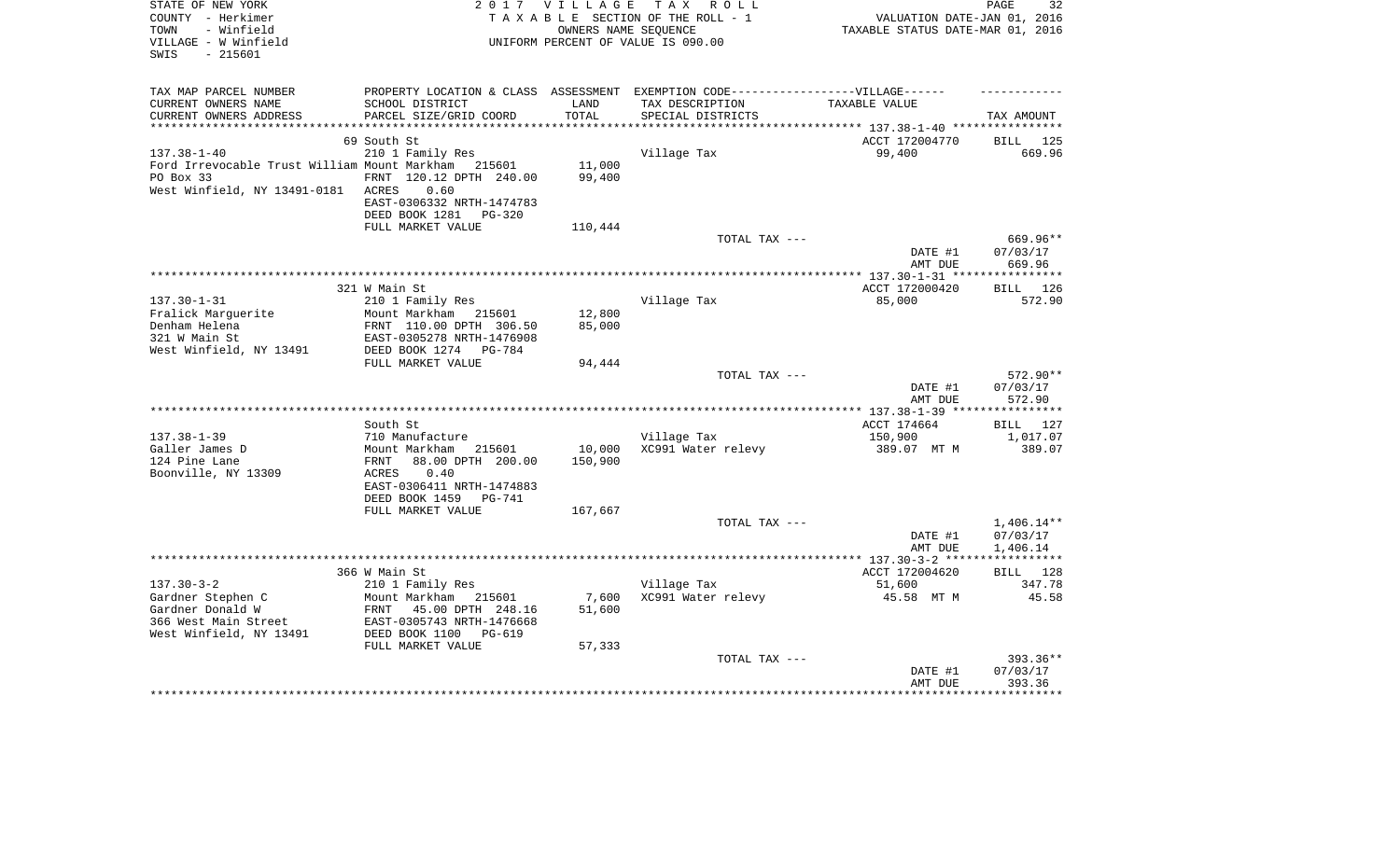| STATE OF NEW YORK<br>COUNTY - Herkimer<br>- Winfield<br>TOWN<br>VILLAGE - W Winfield<br>$-215601$<br>SWIS | 2017 VILLAGE<br>TAX ROLL<br>TAXABLE SECTION OF THE ROLL - 1<br>OWNERS NAME SEOUENCE<br>UNIFORM PERCENT OF VALUE IS 090.00 |                 |                                   | PAGE<br>32<br>VALUATION DATE-JAN 01, 2016<br>TAXABLE STATUS DATE-MAR 01, 2016 |                          |  |
|-----------------------------------------------------------------------------------------------------------|---------------------------------------------------------------------------------------------------------------------------|-----------------|-----------------------------------|-------------------------------------------------------------------------------|--------------------------|--|
| TAX MAP PARCEL NUMBER                                                                                     | PROPERTY LOCATION & CLASS ASSESSMENT EXEMPTION CODE-----------------VILLAGE------                                         |                 |                                   |                                                                               |                          |  |
| CURRENT OWNERS NAME                                                                                       | SCHOOL DISTRICT                                                                                                           | LAND            | TAX DESCRIPTION                   | TAXABLE VALUE                                                                 |                          |  |
| CURRENT OWNERS ADDRESS<br>***********************                                                         | PARCEL SIZE/GRID COORD                                                                                                    | TOTAL           | SPECIAL DISTRICTS                 |                                                                               | TAX AMOUNT               |  |
|                                                                                                           | 69 South St                                                                                                               |                 |                                   | ACCT 172004770                                                                | 125<br>BILL              |  |
| $137.38 - 1 - 40$                                                                                         | 210 1 Family Res                                                                                                          |                 | Village Tax                       | 99,400                                                                        | 669.96                   |  |
| Ford Irrevocable Trust William Mount Markham 215601                                                       |                                                                                                                           | 11,000          |                                   |                                                                               |                          |  |
| PO Box 33                                                                                                 | FRNT 120.12 DPTH 240.00                                                                                                   | 99,400          |                                   |                                                                               |                          |  |
| West Winfield, NY 13491-0181                                                                              | 0.60<br>ACRES                                                                                                             |                 |                                   |                                                                               |                          |  |
|                                                                                                           | EAST-0306332 NRTH-1474783                                                                                                 |                 |                                   |                                                                               |                          |  |
|                                                                                                           | DEED BOOK 1281<br><b>PG-320</b><br>FULL MARKET VALUE                                                                      | 110,444         |                                   |                                                                               |                          |  |
|                                                                                                           |                                                                                                                           |                 | TOTAL TAX ---                     |                                                                               | $669.96**$               |  |
|                                                                                                           |                                                                                                                           |                 |                                   | DATE #1                                                                       | 07/03/17                 |  |
|                                                                                                           |                                                                                                                           |                 |                                   | AMT DUE                                                                       | 669.96                   |  |
|                                                                                                           | 321 W Main St                                                                                                             |                 |                                   | ******************** 137.30-1-31 *****************<br>ACCT 172000420          | <b>BILL</b><br>126       |  |
| $137.30 - 1 - 31$                                                                                         | 210 1 Family Res                                                                                                          |                 | Village Tax                       | 85,000                                                                        | 572.90                   |  |
| Fralick Marguerite                                                                                        | Mount Markham<br>215601                                                                                                   | 12,800          |                                   |                                                                               |                          |  |
| Denham Helena                                                                                             | FRNT 110.00 DPTH 306.50                                                                                                   | 85,000          |                                   |                                                                               |                          |  |
| 321 W Main St                                                                                             | EAST-0305278 NRTH-1476908                                                                                                 |                 |                                   |                                                                               |                          |  |
| West Winfield, NY 13491                                                                                   | DEED BOOK 1274<br>PG-784                                                                                                  |                 |                                   |                                                                               |                          |  |
|                                                                                                           | FULL MARKET VALUE                                                                                                         | 94,444          | TOTAL TAX ---                     |                                                                               | 572.90**                 |  |
|                                                                                                           |                                                                                                                           |                 |                                   | DATE #1                                                                       | 07/03/17                 |  |
|                                                                                                           |                                                                                                                           |                 |                                   | AMT DUE                                                                       | 572.90                   |  |
|                                                                                                           |                                                                                                                           |                 |                                   |                                                                               | **********               |  |
|                                                                                                           | South St                                                                                                                  |                 |                                   | ACCT 174664                                                                   | 127<br>BILL              |  |
| $137.38 - 1 - 39$<br>Galler James D                                                                       | 710 Manufacture<br>Mount Markham 215601                                                                                   | 10,000          | Village Tax<br>XC991 Water relevy | 150,900<br>389.07 MT M                                                        | 1,017.07<br>389.07       |  |
| 124 Pine Lane                                                                                             | 88.00 DPTH 200.00<br>FRNT                                                                                                 | 150,900         |                                   |                                                                               |                          |  |
| Boonville, NY 13309                                                                                       | 0.40<br>ACRES                                                                                                             |                 |                                   |                                                                               |                          |  |
|                                                                                                           | EAST-0306411 NRTH-1474883                                                                                                 |                 |                                   |                                                                               |                          |  |
|                                                                                                           | DEED BOOK 1459<br>PG-741                                                                                                  |                 |                                   |                                                                               |                          |  |
|                                                                                                           | FULL MARKET VALUE                                                                                                         | 167,667         |                                   |                                                                               |                          |  |
|                                                                                                           |                                                                                                                           |                 | TOTAL TAX ---                     | DATE #1                                                                       | $1,406.14**$<br>07/03/17 |  |
|                                                                                                           |                                                                                                                           |                 |                                   | AMT DUE                                                                       | 1,406.14                 |  |
|                                                                                                           |                                                                                                                           |                 |                                   |                                                                               |                          |  |
|                                                                                                           | 366 W Main St                                                                                                             |                 |                                   | ACCT 172004620                                                                | 128<br><b>BILL</b>       |  |
| $137.30 - 3 - 2$                                                                                          | 210 1 Family Res                                                                                                          |                 | Village Tax                       | 51,600                                                                        | 347.78                   |  |
| Gardner Stephen C<br>Gardner Donald W                                                                     | Mount Markham 215601<br>FRNT<br>45.00 DPTH 248.16                                                                         | 7,600<br>51,600 | XC991 Water relevy                | 45.58 MT M                                                                    | 45.58                    |  |
| 366 West Main Street                                                                                      | EAST-0305743 NRTH-1476668                                                                                                 |                 |                                   |                                                                               |                          |  |
| West Winfield, NY 13491                                                                                   | DEED BOOK 1100<br>PG-619                                                                                                  |                 |                                   |                                                                               |                          |  |
|                                                                                                           | FULL MARKET VALUE                                                                                                         | 57,333          |                                   |                                                                               |                          |  |
|                                                                                                           |                                                                                                                           |                 | TOTAL TAX ---                     |                                                                               | 393.36**                 |  |
|                                                                                                           |                                                                                                                           |                 |                                   | DATE #1                                                                       | 07/03/17                 |  |
|                                                                                                           |                                                                                                                           |                 |                                   | AMT DUE                                                                       | 393.36                   |  |
|                                                                                                           |                                                                                                                           |                 |                                   |                                                                               |                          |  |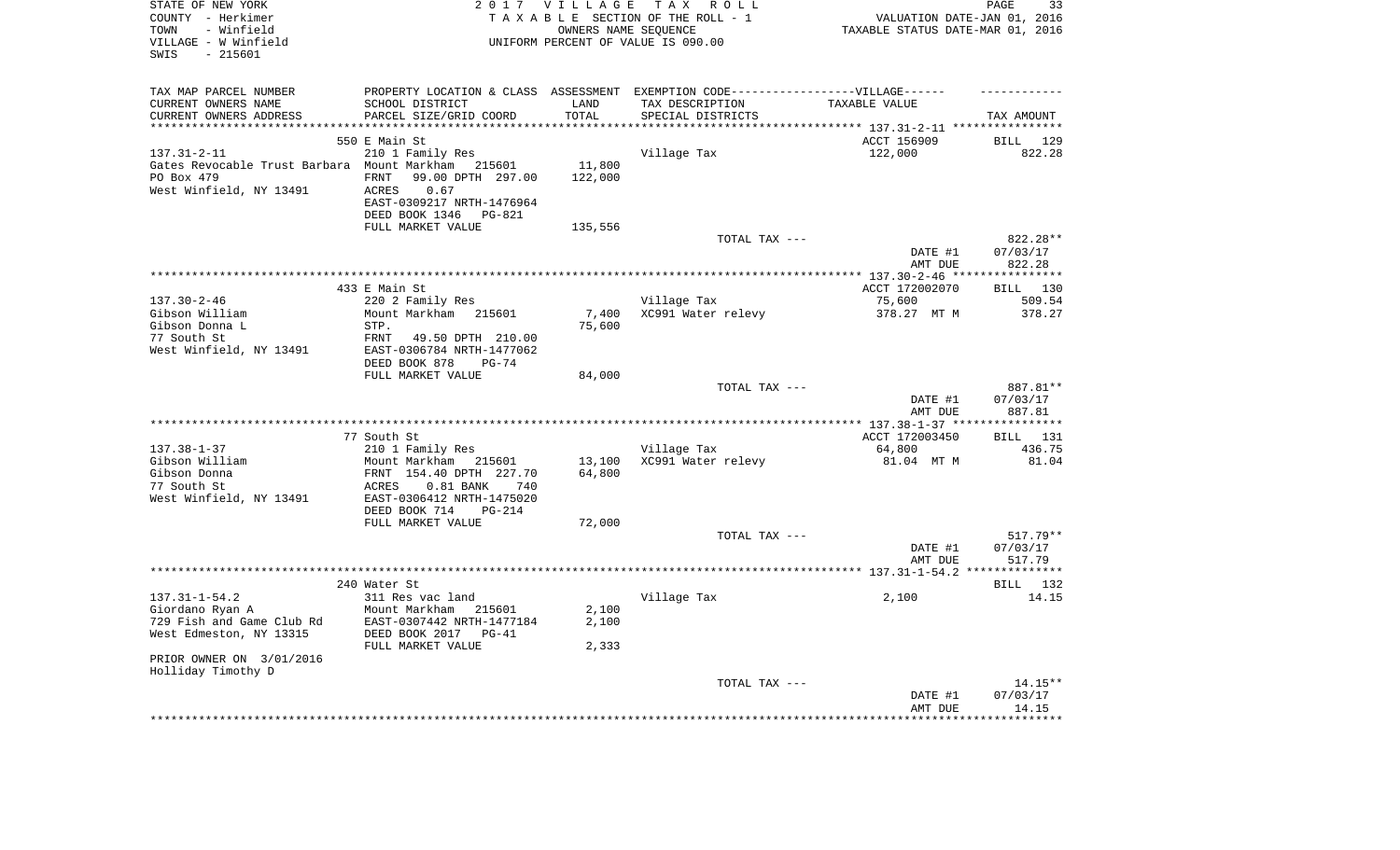| STATE OF NEW YORK<br>COUNTY - Herkimer<br>- Winfield<br>TOWN<br>VILLAGE - W Winfield<br>SWIS<br>- 215601 |                                                | 2017 VILLAGE     | TAX ROLL<br>TAXABLE SECTION OF THE ROLL - 1<br>OWNERS NAME SEQUENCE<br>UNIFORM PERCENT OF VALUE IS 090.00 | VALUATION DATE-JAN 01, 2016<br>TAXABLE STATUS DATE-MAR 01, 2016 | PAGE<br>33            |
|----------------------------------------------------------------------------------------------------------|------------------------------------------------|------------------|-----------------------------------------------------------------------------------------------------------|-----------------------------------------------------------------|-----------------------|
| TAX MAP PARCEL NUMBER                                                                                    |                                                |                  | PROPERTY LOCATION & CLASS ASSESSMENT EXEMPTION CODE----------------VILLAGE------                          |                                                                 |                       |
| CURRENT OWNERS NAME                                                                                      | SCHOOL DISTRICT                                | LAND             | TAX DESCRIPTION                                                                                           | TAXABLE VALUE                                                   |                       |
| CURRENT OWNERS ADDRESS                                                                                   | PARCEL SIZE/GRID COORD                         | TOTAL<br>******* | SPECIAL DISTRICTS                                                                                         | ******* 137.31-2-11 ***                                         | TAX AMOUNT            |
|                                                                                                          | 550 E Main St                                  |                  |                                                                                                           | ACCT 156909                                                     | 129<br>BILL           |
| $137.31 - 2 - 11$                                                                                        | 210 1 Family Res                               |                  | Village Tax                                                                                               | 122,000                                                         | 822.28                |
| Gates Revocable Trust Barbara Mount Markham                                                              | 215601                                         | 11,800           |                                                                                                           |                                                                 |                       |
| PO Box 479                                                                                               | 99.00 DPTH 297.00<br><b>FRNT</b>               | 122,000          |                                                                                                           |                                                                 |                       |
| West Winfield, NY 13491                                                                                  | 0.67<br>ACRES                                  |                  |                                                                                                           |                                                                 |                       |
|                                                                                                          | EAST-0309217 NRTH-1476964                      |                  |                                                                                                           |                                                                 |                       |
|                                                                                                          | DEED BOOK 1346<br><b>PG-821</b>                |                  |                                                                                                           |                                                                 |                       |
|                                                                                                          | FULL MARKET VALUE                              | 135,556          | TOTAL TAX $---$                                                                                           |                                                                 | 822.28**              |
|                                                                                                          |                                                |                  |                                                                                                           | DATE #1                                                         | 07/03/17              |
|                                                                                                          |                                                |                  |                                                                                                           | AMT DUE                                                         | 822.28                |
|                                                                                                          |                                                |                  |                                                                                                           |                                                                 |                       |
|                                                                                                          | 433 E Main St                                  |                  |                                                                                                           | ACCT 172002070                                                  | BILL 130              |
| $137.30 - 2 - 46$                                                                                        | 220 2 Family Res                               |                  | Village Tax                                                                                               | 75,600                                                          | 509.54                |
| Gibson William<br>Gibson Donna L                                                                         | Mount Markham 215601<br>STP.                   | 7,400<br>75,600  | XC991 Water relevy                                                                                        | 378.27 MT M                                                     | 378.27                |
| 77 South St                                                                                              | FRNT<br>49.50 DPTH 210.00                      |                  |                                                                                                           |                                                                 |                       |
| West Winfield, NY 13491                                                                                  | EAST-0306784 NRTH-1477062                      |                  |                                                                                                           |                                                                 |                       |
|                                                                                                          | DEED BOOK 878<br>$PG-74$                       |                  |                                                                                                           |                                                                 |                       |
|                                                                                                          | FULL MARKET VALUE                              | 84,000           |                                                                                                           |                                                                 |                       |
|                                                                                                          |                                                |                  | TOTAL TAX ---                                                                                             |                                                                 | 887.81**              |
|                                                                                                          |                                                |                  |                                                                                                           | DATE #1                                                         | 07/03/17              |
|                                                                                                          |                                                |                  |                                                                                                           | AMT DUE                                                         | 887.81                |
|                                                                                                          | 77 South St                                    |                  |                                                                                                           | ACCT 172003450                                                  | BILL 131              |
| $137.38 - 1 - 37$                                                                                        | 210 1 Family Res                               |                  | Village Tax                                                                                               | 64,800                                                          | 436.75                |
| Gibson William                                                                                           | Mount Markham 215601                           | 13,100           | XC991 Water relevy                                                                                        | 81.04 MT M                                                      | 81.04                 |
| Gibson Donna                                                                                             | FRNT 154.40 DPTH 227.70                        | 64,800           |                                                                                                           |                                                                 |                       |
| 77 South St                                                                                              | $0.81$ BANK<br>ACRES<br>740                    |                  |                                                                                                           |                                                                 |                       |
| West Winfield, NY 13491                                                                                  | EAST-0306412 NRTH-1475020                      |                  |                                                                                                           |                                                                 |                       |
|                                                                                                          | DEED BOOK 714<br>$PG-214$<br>FULL MARKET VALUE | 72,000           |                                                                                                           |                                                                 |                       |
|                                                                                                          |                                                |                  | TOTAL TAX ---                                                                                             |                                                                 | 517.79**              |
|                                                                                                          |                                                |                  |                                                                                                           | DATE #1                                                         | 07/03/17              |
|                                                                                                          |                                                |                  |                                                                                                           | AMT DUE                                                         | 517.79                |
|                                                                                                          |                                                |                  |                                                                                                           |                                                                 | ***********           |
| $137.31 - 1 - 54.2$                                                                                      | 240 Water St                                   |                  |                                                                                                           |                                                                 | BILL 132              |
| Giordano Ryan A                                                                                          | 311 Res vac land<br>Mount Markham<br>215601    | 2,100            | Village Tax                                                                                               | 2,100                                                           | 14.15                 |
| 729 Fish and Game Club Rd                                                                                | EAST-0307442 NRTH-1477184                      | 2,100            |                                                                                                           |                                                                 |                       |
| West Edmeston, NY 13315                                                                                  | DEED BOOK 2017<br>$PG-41$                      |                  |                                                                                                           |                                                                 |                       |
|                                                                                                          | FULL MARKET VALUE                              | 2,333            |                                                                                                           |                                                                 |                       |
| PRIOR OWNER ON 3/01/2016                                                                                 |                                                |                  |                                                                                                           |                                                                 |                       |
| Holliday Timothy D                                                                                       |                                                |                  |                                                                                                           |                                                                 |                       |
|                                                                                                          |                                                |                  | TOTAL TAX ---                                                                                             | DATE #1                                                         | $14.15**$<br>07/03/17 |
|                                                                                                          |                                                |                  |                                                                                                           | AMT DUE                                                         | 14.15                 |
|                                                                                                          |                                                |                  |                                                                                                           |                                                                 | * * * * * * * *       |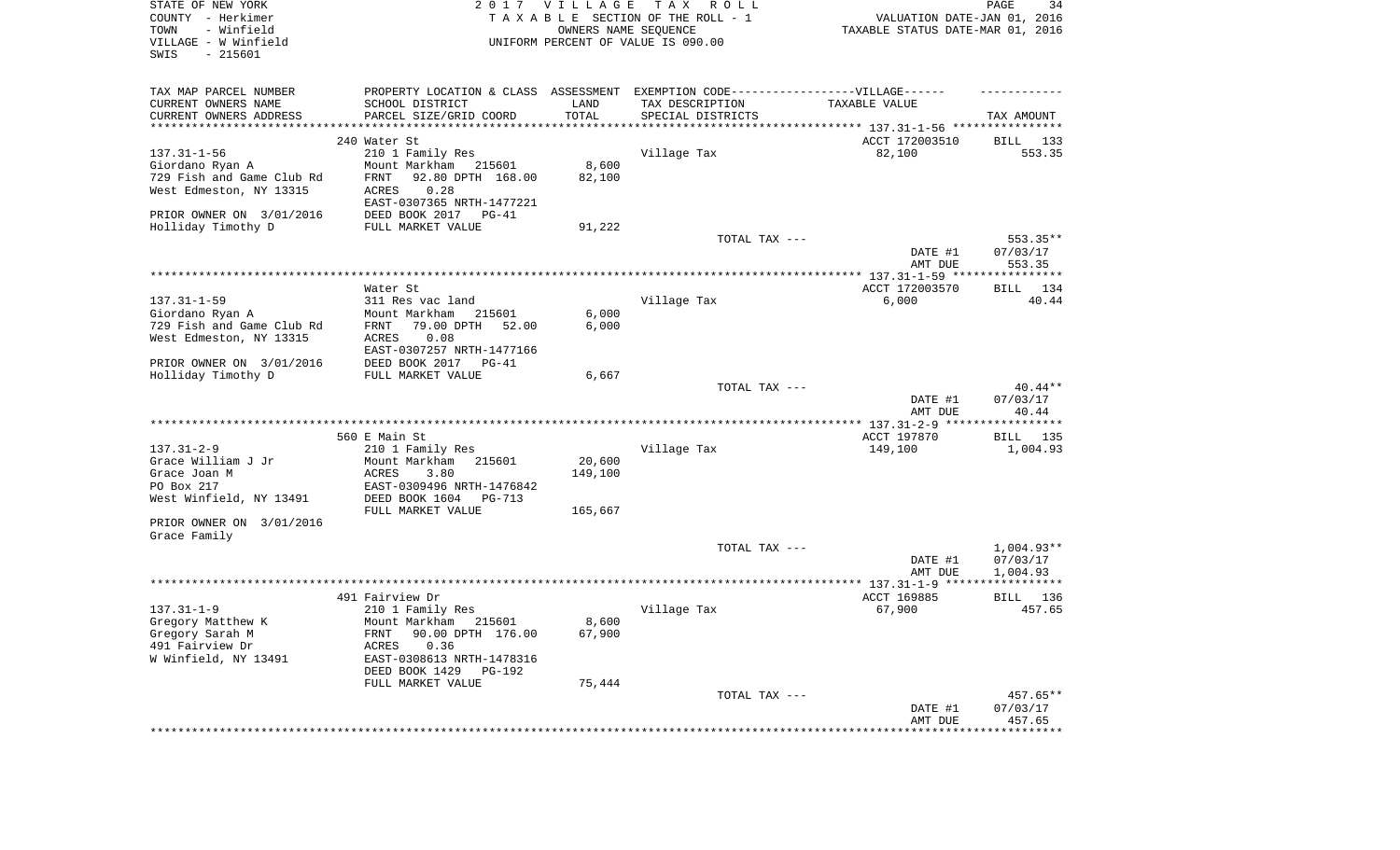| STATE OF NEW YORK<br>COUNTY - Herkimer<br>TOWN<br>- Winfield<br>VILLAGE - W Winfield<br>SWIS<br>$-215601$ |                                                                                   | 2017 VILLAGE      | TAX ROLL<br>TAXABLE SECTION OF THE ROLL - 1<br>OWNERS NAME SEQUENCE<br>UNIFORM PERCENT OF VALUE IS 090.00 | VALUATION DATE-JAN 01, 2016<br>TAXABLE STATUS DATE-MAR 01, 2016 | PAGE<br>34                     |
|-----------------------------------------------------------------------------------------------------------|-----------------------------------------------------------------------------------|-------------------|-----------------------------------------------------------------------------------------------------------|-----------------------------------------------------------------|--------------------------------|
| TAX MAP PARCEL NUMBER                                                                                     | PROPERTY LOCATION & CLASS ASSESSMENT EXEMPTION CODE-----------------VILLAGE------ |                   |                                                                                                           |                                                                 |                                |
| CURRENT OWNERS NAME                                                                                       | SCHOOL DISTRICT                                                                   | LAND              | TAX DESCRIPTION                                                                                           | TAXABLE VALUE                                                   |                                |
| CURRENT OWNERS ADDRESS                                                                                    | PARCEL SIZE/GRID COORD                                                            | TOTAL             | SPECIAL DISTRICTS                                                                                         |                                                                 | TAX AMOUNT                     |
|                                                                                                           | 240 Water St                                                                      |                   |                                                                                                           | ACCT 172003510                                                  | BILL 133                       |
| $137.31 - 1 - 56$                                                                                         | 210 1 Family Res                                                                  |                   | Village Tax                                                                                               | 82,100                                                          | 553.35                         |
| Giordano Ryan A                                                                                           | Mount Markham 215601                                                              | 8,600             |                                                                                                           |                                                                 |                                |
| 729 Fish and Game Club Rd                                                                                 | FRNT<br>92.80 DPTH 168.00                                                         | 82,100            |                                                                                                           |                                                                 |                                |
| West Edmeston, NY 13315                                                                                   | 0.28<br>ACRES                                                                     |                   |                                                                                                           |                                                                 |                                |
|                                                                                                           | EAST-0307365 NRTH-1477221                                                         |                   |                                                                                                           |                                                                 |                                |
| PRIOR OWNER ON 3/01/2016                                                                                  | DEED BOOK 2017<br>PG-41                                                           |                   |                                                                                                           |                                                                 |                                |
| Holliday Timothy D                                                                                        | FULL MARKET VALUE                                                                 | 91,222            |                                                                                                           |                                                                 |                                |
|                                                                                                           |                                                                                   |                   | TOTAL TAX ---                                                                                             | DATE #1<br>AMT DUE                                              | 553.35**<br>07/03/17<br>553.35 |
|                                                                                                           |                                                                                   |                   |                                                                                                           |                                                                 |                                |
|                                                                                                           | Water St                                                                          |                   |                                                                                                           | ACCT 172003570                                                  | <b>BILL</b><br>134             |
| $137.31 - 1 - 59$                                                                                         | 311 Res vac land                                                                  |                   | Village Tax                                                                                               | 6,000                                                           | 40.44                          |
| Giordano Ryan A                                                                                           | Mount Markham<br>215601                                                           | 6,000             |                                                                                                           |                                                                 |                                |
| 729 Fish and Game Club Rd                                                                                 | 79.00 DPTH<br>52.00<br>FRNT                                                       | 6,000             |                                                                                                           |                                                                 |                                |
| West Edmeston, NY 13315                                                                                   | 0.08<br>ACRES                                                                     |                   |                                                                                                           |                                                                 |                                |
| PRIOR OWNER ON 3/01/2016                                                                                  | EAST-0307257 NRTH-1477166<br>DEED BOOK 2017 PG-41                                 |                   |                                                                                                           |                                                                 |                                |
| Holliday Timothy D                                                                                        | FULL MARKET VALUE                                                                 | 6,667             |                                                                                                           |                                                                 |                                |
|                                                                                                           |                                                                                   |                   | TOTAL TAX ---                                                                                             |                                                                 | $40.44**$                      |
|                                                                                                           |                                                                                   |                   |                                                                                                           | DATE #1                                                         | 07/03/17                       |
|                                                                                                           |                                                                                   |                   |                                                                                                           | AMT DUE                                                         | 40.44                          |
|                                                                                                           |                                                                                   |                   |                                                                                                           |                                                                 |                                |
|                                                                                                           | 560 E Main St                                                                     |                   |                                                                                                           | ACCT 197870                                                     | BILL 135                       |
| $137.31 - 2 - 9$                                                                                          | 210 1 Family Res                                                                  |                   | Village Tax                                                                                               | 149,100                                                         | 1,004.93                       |
| Grace William J Jr<br>Grace Joan M                                                                        | Mount Markham<br>215601<br>ACRES<br>3.80                                          | 20,600<br>149,100 |                                                                                                           |                                                                 |                                |
| PO Box 217                                                                                                | EAST-0309496 NRTH-1476842                                                         |                   |                                                                                                           |                                                                 |                                |
| West Winfield, NY 13491                                                                                   | DEED BOOK 1604<br>PG-713                                                          |                   |                                                                                                           |                                                                 |                                |
|                                                                                                           | FULL MARKET VALUE                                                                 | 165,667           |                                                                                                           |                                                                 |                                |
| PRIOR OWNER ON 3/01/2016<br>Grace Family                                                                  |                                                                                   |                   |                                                                                                           |                                                                 |                                |
|                                                                                                           |                                                                                   |                   | TOTAL TAX ---                                                                                             |                                                                 | 1,004.93**                     |
|                                                                                                           |                                                                                   |                   |                                                                                                           | DATE #1                                                         | 07/03/17                       |
|                                                                                                           |                                                                                   |                   |                                                                                                           | AMT DUE                                                         | 1,004.93                       |
|                                                                                                           | 491 Fairview Dr                                                                   |                   |                                                                                                           | ACCT 169885                                                     | 136<br>BILL                    |
| $137.31 - 1 - 9$                                                                                          | 210 1 Family Res                                                                  |                   | Village Tax                                                                                               | 67,900                                                          | 457.65                         |
| Gregory Matthew K                                                                                         | Mount Markham 215601                                                              | 8,600             |                                                                                                           |                                                                 |                                |
| Gregory Sarah M                                                                                           | 90.00 DPTH 176.00<br>FRNT                                                         | 67,900            |                                                                                                           |                                                                 |                                |
| 491 Fairview Dr                                                                                           | ACRES<br>0.36                                                                     |                   |                                                                                                           |                                                                 |                                |
| W Winfield, NY 13491                                                                                      | EAST-0308613 NRTH-1478316                                                         |                   |                                                                                                           |                                                                 |                                |
|                                                                                                           | DEED BOOK 1429<br>PG-192                                                          |                   |                                                                                                           |                                                                 |                                |
|                                                                                                           | FULL MARKET VALUE                                                                 | 75,444            |                                                                                                           |                                                                 |                                |
|                                                                                                           |                                                                                   |                   | TOTAL TAX ---                                                                                             |                                                                 | 457.65**                       |
|                                                                                                           |                                                                                   |                   |                                                                                                           | DATE #1<br>AMT DUE                                              | 07/03/17<br>457.65             |
|                                                                                                           |                                                                                   |                   |                                                                                                           |                                                                 |                                |
|                                                                                                           |                                                                                   |                   |                                                                                                           |                                                                 |                                |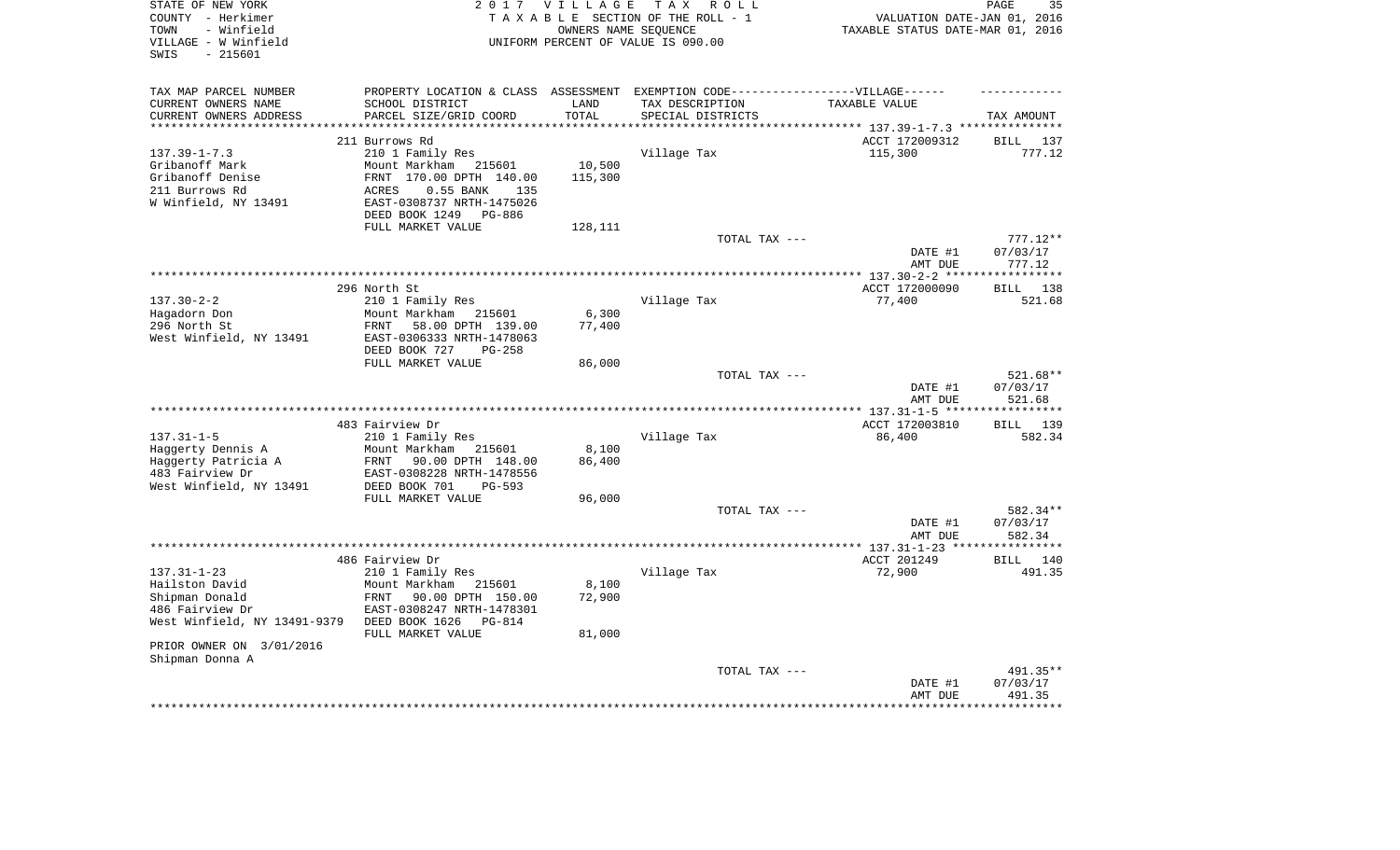| STATE OF NEW YORK<br>COUNTY - Herkimer<br>- Winfield<br>TOWN<br>VILLAGE - W Winfield<br>- 215601<br>SWIS |                                                                                                     | 2017 VILLAGE    | TAX ROLL<br>TAXABLE SECTION OF THE ROLL - 1<br>OWNERS NAME SEOUENCE<br>UNIFORM PERCENT OF VALUE IS 090.00 | VALUATION DATE-JAN 01, 2016<br>TAXABLE STATUS DATE-MAR 01, 2016 | 35<br>PAGE            |
|----------------------------------------------------------------------------------------------------------|-----------------------------------------------------------------------------------------------------|-----------------|-----------------------------------------------------------------------------------------------------------|-----------------------------------------------------------------|-----------------------|
|                                                                                                          |                                                                                                     |                 |                                                                                                           |                                                                 |                       |
| TAX MAP PARCEL NUMBER<br>CURRENT OWNERS NAME                                                             | PROPERTY LOCATION & CLASS ASSESSMENT EXEMPTION CODE----------------VILLAGE------<br>SCHOOL DISTRICT | LAND            | TAX DESCRIPTION                                                                                           | TAXABLE VALUE                                                   |                       |
| CURRENT OWNERS ADDRESS                                                                                   | PARCEL SIZE/GRID COORD                                                                              | TOTAL           | SPECIAL DISTRICTS                                                                                         |                                                                 | TAX AMOUNT            |
| *****************                                                                                        |                                                                                                     |                 |                                                                                                           | *************************** 137.39-1-7.3 ***************        |                       |
|                                                                                                          | 211 Burrows Rd                                                                                      |                 |                                                                                                           | ACCT 172009312                                                  | BILL<br>137           |
| $137.39 - 1 - 7.3$                                                                                       | 210 1 Family Res                                                                                    |                 | Village Tax                                                                                               | 115,300                                                         | 777.12                |
| Gribanoff Mark                                                                                           | Mount Markham 215601                                                                                | 10,500          |                                                                                                           |                                                                 |                       |
| Gribanoff Denise                                                                                         | FRNT 170.00 DPTH 140.00                                                                             | 115,300         |                                                                                                           |                                                                 |                       |
| 211 Burrows Rd<br>W Winfield, NY 13491                                                                   | $0.55$ BANK<br>ACRES<br>135<br>EAST-0308737 NRTH-1475026                                            |                 |                                                                                                           |                                                                 |                       |
|                                                                                                          | DEED BOOK 1249 PG-886                                                                               |                 |                                                                                                           |                                                                 |                       |
|                                                                                                          | FULL MARKET VALUE                                                                                   | 128,111         |                                                                                                           |                                                                 |                       |
|                                                                                                          |                                                                                                     |                 | TOTAL TAX ---                                                                                             |                                                                 | $777.12**$            |
|                                                                                                          |                                                                                                     |                 |                                                                                                           | DATE #1<br>AMT DUE                                              | 07/03/17<br>777.12    |
|                                                                                                          |                                                                                                     |                 |                                                                                                           | ***************** 137.30-2-2 ****                               | * * * * * * * * * * * |
|                                                                                                          | 296 North St                                                                                        |                 |                                                                                                           | ACCT 172000090                                                  | BILL 138              |
| $137.30 - 2 - 2$                                                                                         | 210 1 Family Res<br>Mount Markham                                                                   |                 | Village Tax                                                                                               | 77,400                                                          | 521.68                |
| Hagadorn Don<br>296 North St                                                                             | 215601<br>FRNT 58.00 DPTH 139.00                                                                    | 6,300<br>77,400 |                                                                                                           |                                                                 |                       |
| West Winfield, NY 13491                                                                                  | EAST-0306333 NRTH-1478063                                                                           |                 |                                                                                                           |                                                                 |                       |
|                                                                                                          | DEED BOOK 727<br>$PG-258$                                                                           |                 |                                                                                                           |                                                                 |                       |
|                                                                                                          | FULL MARKET VALUE                                                                                   | 86,000          |                                                                                                           |                                                                 |                       |
|                                                                                                          |                                                                                                     |                 | TOTAL TAX ---                                                                                             |                                                                 | $521.68**$            |
|                                                                                                          |                                                                                                     |                 |                                                                                                           | DATE #1<br>AMT DUE                                              | 07/03/17<br>521.68    |
|                                                                                                          |                                                                                                     |                 |                                                                                                           |                                                                 |                       |
|                                                                                                          | 483 Fairview Dr                                                                                     |                 |                                                                                                           | ACCT 172003810                                                  | BILL 139              |
| $137.31 - 1 - 5$                                                                                         | 210 1 Family Res                                                                                    |                 | Village Tax                                                                                               | 86,400                                                          | 582.34                |
| Haggerty Dennis A                                                                                        | Mount Markham 215601                                                                                | 8,100           |                                                                                                           |                                                                 |                       |
| Haggerty Patricia A                                                                                      | FRNT<br>90.00 DPTH 148.00                                                                           | 86,400          |                                                                                                           |                                                                 |                       |
| 483 Fairview Dr<br>West Winfield, NY 13491                                                               | EAST-0308228 NRTH-1478556<br>DEED BOOK 701<br>$PG-593$                                              |                 |                                                                                                           |                                                                 |                       |
|                                                                                                          | FULL MARKET VALUE                                                                                   | 96,000          |                                                                                                           |                                                                 |                       |
|                                                                                                          |                                                                                                     |                 | TOTAL TAX ---                                                                                             |                                                                 | 582.34**              |
|                                                                                                          |                                                                                                     |                 |                                                                                                           | DATE #1                                                         | 07/03/17              |
|                                                                                                          |                                                                                                     |                 |                                                                                                           | AMT DUE                                                         | 582.34                |
|                                                                                                          |                                                                                                     |                 |                                                                                                           |                                                                 |                       |
| $137.31 - 1 - 23$                                                                                        | 486 Fairview Dr                                                                                     |                 |                                                                                                           | ACCT 201249                                                     | BILL 140              |
| Hailston David                                                                                           | 210 1 Family Res<br>Mount Markham 215601                                                            | 8,100           | Village Tax                                                                                               | 72,900                                                          | 491.35                |
| Shipman Donald                                                                                           | FRNT<br>90.00 DPTH 150.00                                                                           | 72,900          |                                                                                                           |                                                                 |                       |
| 486 Fairview Dr                                                                                          | EAST-0308247 NRTH-1478301                                                                           |                 |                                                                                                           |                                                                 |                       |
| West Winfield, NY 13491-9379                                                                             | DEED BOOK 1626<br>PG-814<br>FULL MARKET VALUE                                                       | 81,000          |                                                                                                           |                                                                 |                       |
| PRIOR OWNER ON 3/01/2016                                                                                 |                                                                                                     |                 |                                                                                                           |                                                                 |                       |
| Shipman Donna A                                                                                          |                                                                                                     |                 |                                                                                                           |                                                                 |                       |
|                                                                                                          |                                                                                                     |                 | TOTAL TAX ---                                                                                             |                                                                 | 491.35**              |
|                                                                                                          |                                                                                                     |                 |                                                                                                           | DATE #1<br>AMT DUE                                              | 07/03/17<br>491.35    |
|                                                                                                          |                                                                                                     |                 |                                                                                                           |                                                                 |                       |
|                                                                                                          |                                                                                                     |                 |                                                                                                           |                                                                 |                       |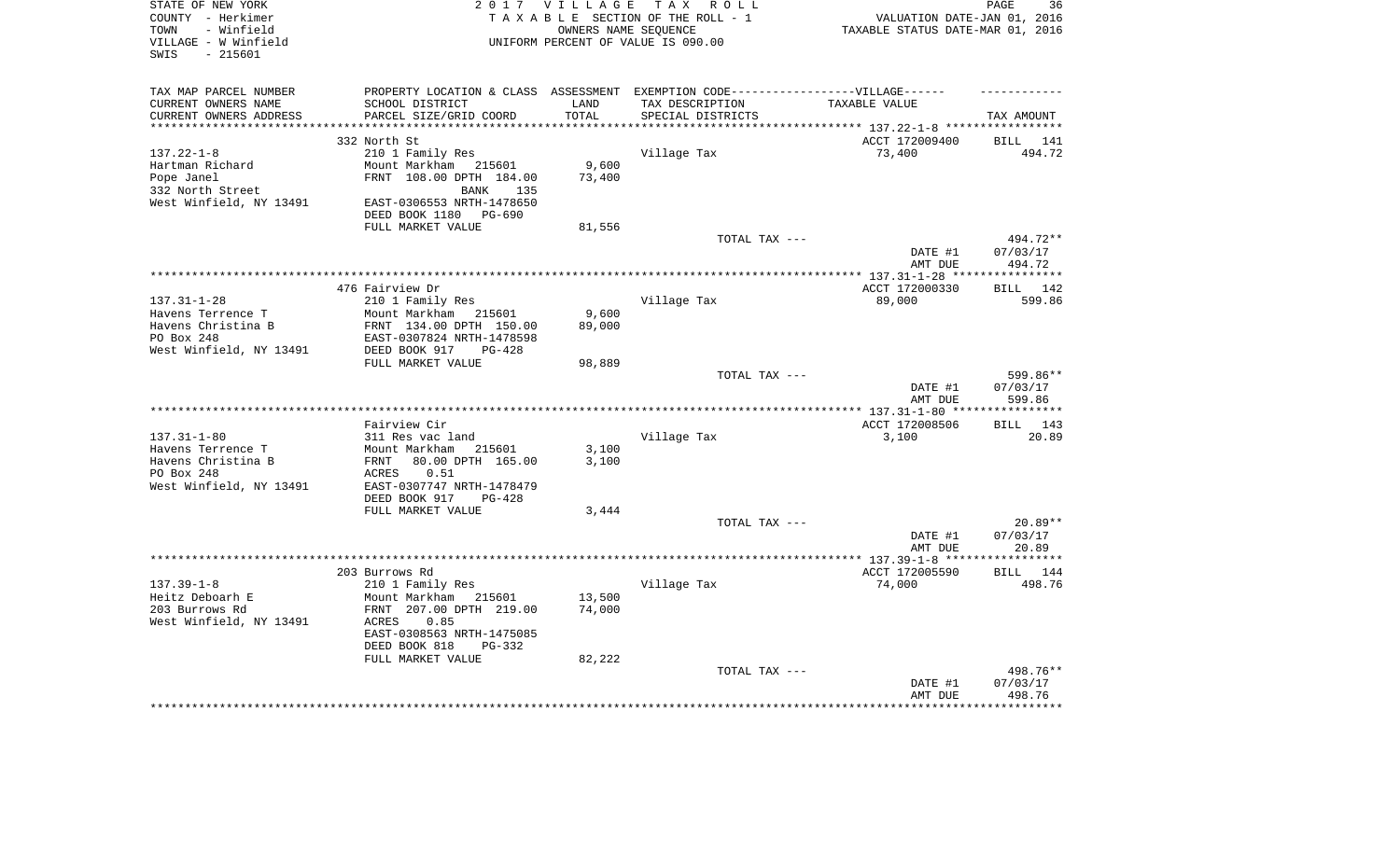| STATE OF NEW YORK<br>COUNTY - Herkimer     |                                                                                   |                 | 2017 VILLAGE TAX ROLL<br>TAXABLE SECTION OF THE ROLL - 1   | VALUATION DATE-JAN 01, 2016               | PAGE<br>36               |
|--------------------------------------------|-----------------------------------------------------------------------------------|-----------------|------------------------------------------------------------|-------------------------------------------|--------------------------|
| - Winfield<br>TOWN<br>VILLAGE - W Winfield |                                                                                   |                 | OWNERS NAME SEOUENCE<br>UNIFORM PERCENT OF VALUE IS 090.00 | TAXABLE STATUS DATE-MAR 01, 2016          |                          |
| $-215601$<br>SWIS                          |                                                                                   |                 |                                                            |                                           |                          |
| TAX MAP PARCEL NUMBER                      | PROPERTY LOCATION & CLASS ASSESSMENT EXEMPTION CODE-----------------VILLAGE------ |                 |                                                            |                                           |                          |
| CURRENT OWNERS NAME                        | SCHOOL DISTRICT                                                                   | LAND            | TAX DESCRIPTION                                            | TAXABLE VALUE                             |                          |
| CURRENT OWNERS ADDRESS                     | PARCEL SIZE/GRID COORD                                                            | TOTAL           | SPECIAL DISTRICTS                                          |                                           | TAX AMOUNT               |
|                                            | 332 North St                                                                      |                 |                                                            | *********** 137.22-1-8 ****************** |                          |
| $137.22 - 1 - 8$                           | 210 1 Family Res                                                                  |                 | Village Tax                                                | ACCT 172009400<br>73,400                  | BILL 141<br>494.72       |
| Hartman Richard                            | Mount Markham 215601                                                              | 9,600           |                                                            |                                           |                          |
| Pope Janel                                 | FRNT 108.00 DPTH 184.00                                                           | 73,400          |                                                            |                                           |                          |
| 332 North Street                           | BANK<br>135                                                                       |                 |                                                            |                                           |                          |
| West Winfield, NY 13491                    | EAST-0306553 NRTH-1478650                                                         |                 |                                                            |                                           |                          |
|                                            | DEED BOOK 1180 PG-690                                                             |                 |                                                            |                                           |                          |
|                                            | FULL MARKET VALUE                                                                 | 81,556          |                                                            |                                           |                          |
|                                            |                                                                                   |                 | TOTAL TAX ---                                              |                                           | 494.72**                 |
|                                            |                                                                                   |                 |                                                            | DATE #1<br>AMT DUE                        | 07/03/17<br>494.72       |
|                                            |                                                                                   |                 |                                                            | ***************** 137.31-1-28 ****        | ************             |
|                                            | 476 Fairview Dr                                                                   |                 |                                                            | ACCT 172000330                            | BILL 142                 |
| $137.31 - 1 - 28$                          | 210 1 Family Res                                                                  |                 | Village Tax                                                | 89,000                                    | 599.86                   |
| Havens Terrence T<br>Havens Christina B    | Mount Markham<br>215601<br>FRNT 134.00 DPTH 150.00                                | 9,600<br>89,000 |                                                            |                                           |                          |
| PO Box 248                                 | EAST-0307824 NRTH-1478598                                                         |                 |                                                            |                                           |                          |
| West Winfield, NY 13491                    | DEED BOOK 917<br>$PG-428$                                                         |                 |                                                            |                                           |                          |
|                                            | FULL MARKET VALUE                                                                 | 98,889          |                                                            |                                           |                          |
|                                            |                                                                                   |                 | TOTAL TAX ---                                              |                                           | 599.86**                 |
|                                            |                                                                                   |                 |                                                            | DATE #1                                   | 07/03/17                 |
|                                            |                                                                                   |                 |                                                            | AMT DUE                                   | 599.86                   |
|                                            |                                                                                   |                 |                                                            |                                           |                          |
| $137.31 - 1 - 80$                          | Fairview Cir<br>311 Res vac land                                                  |                 | Village Tax                                                | ACCT 172008506<br>3,100                   | BILL 143<br>20.89        |
| Havens Terrence T                          | Mount Markham 215601                                                              | 3,100           |                                                            |                                           |                          |
| Havens Christina B                         | 80.00 DPTH 165.00<br>FRNT                                                         | 3,100           |                                                            |                                           |                          |
| PO Box 248                                 | 0.51<br>ACRES                                                                     |                 |                                                            |                                           |                          |
| West Winfield, NY 13491                    | EAST-0307747 NRTH-1478479                                                         |                 |                                                            |                                           |                          |
|                                            | DEED BOOK 917<br>PG-428                                                           |                 |                                                            |                                           |                          |
|                                            | FULL MARKET VALUE                                                                 | 3,444           |                                                            |                                           |                          |
|                                            |                                                                                   |                 | TOTAL TAX ---                                              |                                           | $20.89**$                |
|                                            |                                                                                   |                 |                                                            | DATE #1                                   | 07/03/17                 |
|                                            |                                                                                   |                 |                                                            | AMT DUE<br>*************** 137.39-1-8 *** | 20.89<br>* * * * * * * * |
|                                            | 203 Burrows Rd                                                                    |                 |                                                            | ACCT 172005590                            | BILL 144                 |
| $137.39 - 1 - 8$                           | 210 1 Family Res                                                                  |                 | Village Tax                                                | 74,000                                    | 498.76                   |
| Heitz Deboarh E                            | Mount Markham 215601                                                              | 13,500          |                                                            |                                           |                          |
| 203 Burrows Rd                             | FRNT 207.00 DPTH 219.00                                                           | 74,000          |                                                            |                                           |                          |
| West Winfield, NY 13491                    | ACRES<br>0.85                                                                     |                 |                                                            |                                           |                          |
|                                            | EAST-0308563 NRTH-1475085                                                         |                 |                                                            |                                           |                          |
|                                            | DEED BOOK 818<br>PG-332                                                           |                 |                                                            |                                           |                          |
|                                            | FULL MARKET VALUE                                                                 | 82,222          |                                                            |                                           |                          |
|                                            |                                                                                   |                 | TOTAL TAX ---                                              | DATE #1                                   | 498.76**<br>07/03/17     |
|                                            |                                                                                   |                 |                                                            | AMT DUE                                   | 498.76                   |
|                                            |                                                                                   |                 |                                                            |                                           |                          |
|                                            |                                                                                   |                 |                                                            |                                           |                          |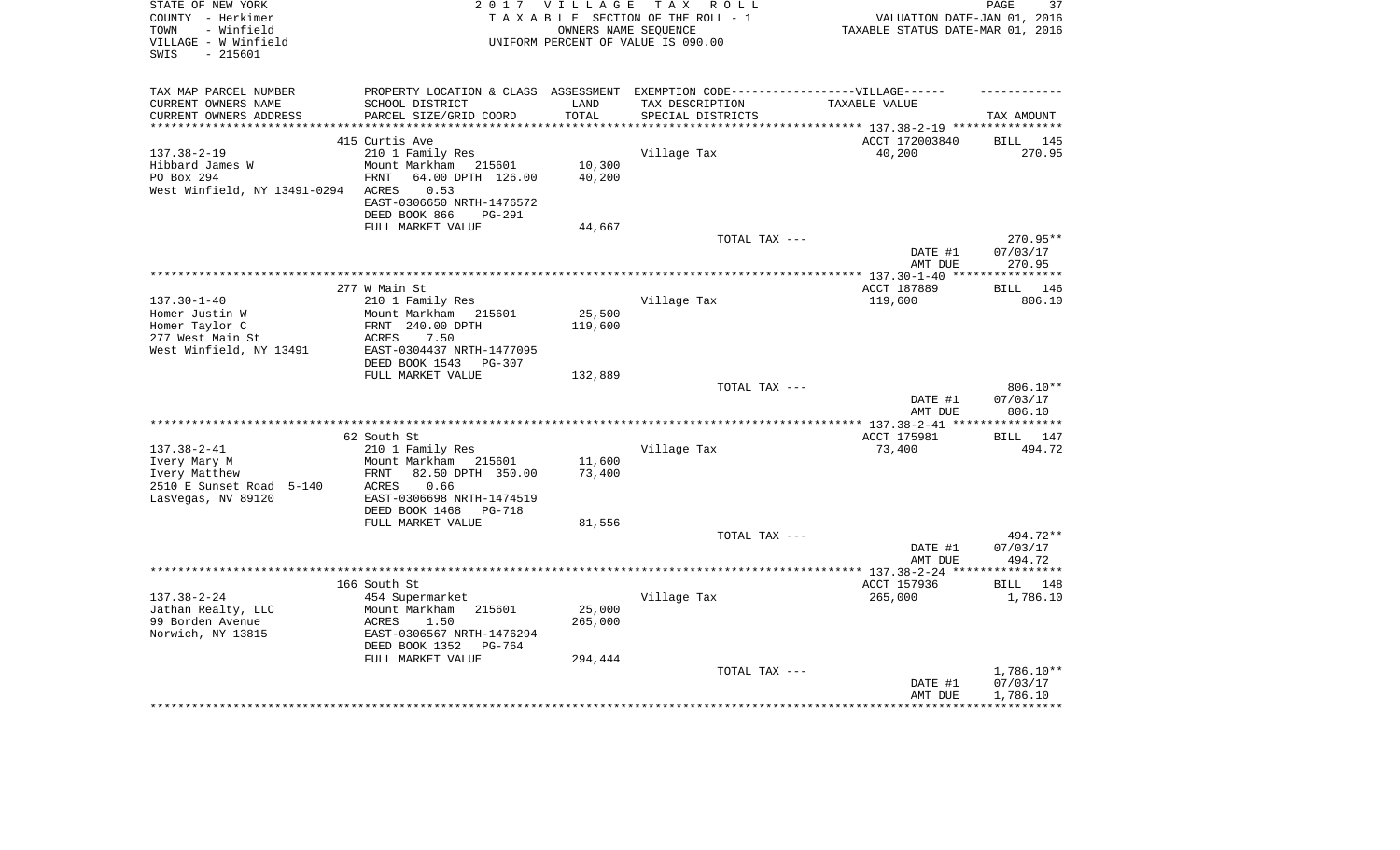| STATE OF NEW YORK<br>COUNTY - Herkimer       |                                   | 2017 VILLAGE | TAX ROLL<br>TAXABLE SECTION OF THE ROLL - 1                                                          | VALUATION DATE-JAN 01, 2016        | 37<br>PAGE            |
|----------------------------------------------|-----------------------------------|--------------|------------------------------------------------------------------------------------------------------|------------------------------------|-----------------------|
| - Winfield<br>TOWN                           |                                   |              | OWNERS NAME SEOUENCE                                                                                 | TAXABLE STATUS DATE-MAR 01, 2016   |                       |
| VILLAGE - W Winfield                         |                                   |              | UNIFORM PERCENT OF VALUE IS 090.00                                                                   |                                    |                       |
| $-215601$<br>SWIS                            |                                   |              |                                                                                                      |                                    |                       |
|                                              |                                   |              |                                                                                                      |                                    |                       |
| TAX MAP PARCEL NUMBER<br>CURRENT OWNERS NAME | SCHOOL DISTRICT                   | LAND         | PROPERTY LOCATION & CLASS ASSESSMENT EXEMPTION CODE-----------------VILLAGE------<br>TAX DESCRIPTION | TAXABLE VALUE                      |                       |
| CURRENT OWNERS ADDRESS                       | PARCEL SIZE/GRID COORD            | TOTAL        | SPECIAL DISTRICTS                                                                                    |                                    | TAX AMOUNT            |
| *******************                          |                                   | **********   |                                                                                                      |                                    |                       |
|                                              | 415 Curtis Ave                    |              |                                                                                                      | ACCT 172003840                     | BILL 145              |
| $137.38 - 2 - 19$                            | 210 1 Family Res                  |              | Village Tax                                                                                          | 40,200                             | 270.95                |
| Hibbard James W                              | Mount Markham 215601              | 10,300       |                                                                                                      |                                    |                       |
| PO Box 294                                   | 64.00 DPTH 126.00<br>FRNT         | 40,200       |                                                                                                      |                                    |                       |
| West Winfield, NY 13491-0294                 | 0.53<br>ACRES                     |              |                                                                                                      |                                    |                       |
|                                              | EAST-0306650 NRTH-1476572         |              |                                                                                                      |                                    |                       |
|                                              | DEED BOOK 866<br><b>PG-291</b>    |              |                                                                                                      |                                    |                       |
|                                              | FULL MARKET VALUE                 | 44,667       |                                                                                                      |                                    |                       |
|                                              |                                   |              | TOTAL TAX ---                                                                                        |                                    | 270.95**              |
|                                              |                                   |              |                                                                                                      | DATE #1                            | 07/03/17              |
|                                              |                                   |              |                                                                                                      | AMT DUE                            | 270.95                |
|                                              | *****************                 |              |                                                                                                      | ***************** 137.30-1-40 **** | ***********           |
|                                              | 277 W Main St                     |              |                                                                                                      | ACCT 187889                        | BILL 146              |
| $137.30 - 1 - 40$                            | 210 1 Family Res                  |              | Village Tax                                                                                          | 119,600                            | 806.10                |
| Homer Justin W                               | Mount Markham 215601              | 25,500       |                                                                                                      |                                    |                       |
| Homer Taylor C<br>277 West Main St           | FRNT 240.00 DPTH<br>7.50<br>ACRES | 119,600      |                                                                                                      |                                    |                       |
| West Winfield, NY 13491                      | EAST-0304437 NRTH-1477095         |              |                                                                                                      |                                    |                       |
|                                              | DEED BOOK 1543<br>PG-307          |              |                                                                                                      |                                    |                       |
|                                              | FULL MARKET VALUE                 | 132,889      |                                                                                                      |                                    |                       |
|                                              |                                   |              | TOTAL TAX ---                                                                                        |                                    | 806.10**              |
|                                              |                                   |              |                                                                                                      | DATE #1                            | 07/03/17              |
|                                              |                                   |              |                                                                                                      | AMT DUE                            | 806.10                |
|                                              |                                   |              |                                                                                                      | ****** 137.38-2-41 ***             | **********            |
|                                              | 62 South St                       |              |                                                                                                      | ACCT 175981                        | BILL 147              |
| $137.38 - 2 - 41$                            | 210 1 Family Res                  |              | Village Tax                                                                                          | 73,400                             | 494.72                |
| Ivery Mary M                                 | Mount Markham 215601              | 11,600       |                                                                                                      |                                    |                       |
| Ivery Matthew                                | FRNT<br>82.50 DPTH 350.00         | 73,400       |                                                                                                      |                                    |                       |
| 2510 E Sunset Road 5-140                     | ACRES<br>0.66                     |              |                                                                                                      |                                    |                       |
| LasVegas, NV 89120                           | EAST-0306698 NRTH-1474519         |              |                                                                                                      |                                    |                       |
|                                              | DEED BOOK 1468<br><b>PG-718</b>   |              |                                                                                                      |                                    |                       |
|                                              | FULL MARKET VALUE                 | 81,556       |                                                                                                      |                                    |                       |
|                                              |                                   |              | TOTAL TAX ---                                                                                        | DATE #1                            | 494.72**<br>07/03/17  |
|                                              |                                   |              |                                                                                                      | AMT DUE                            | 494.72                |
|                                              |                                   |              |                                                                                                      |                                    | * * * * * * * * * * * |
|                                              | 166 South St                      |              |                                                                                                      | ACCT 157936                        | BILL 148              |
| $137.38 - 2 - 24$                            | 454 Supermarket                   |              | Village Tax                                                                                          | 265,000                            | 1,786.10              |
| Jathan Realty, LLC                           | Mount Markham<br>215601           | 25,000       |                                                                                                      |                                    |                       |
| 99 Borden Avenue                             | 1.50<br><b>ACRES</b>              | 265,000      |                                                                                                      |                                    |                       |
| Norwich, NY 13815                            | EAST-0306567 NRTH-1476294         |              |                                                                                                      |                                    |                       |
|                                              | DEED BOOK 1352<br>PG-764          |              |                                                                                                      |                                    |                       |
|                                              | FULL MARKET VALUE                 | 294,444      |                                                                                                      |                                    |                       |
|                                              |                                   |              | TOTAL TAX ---                                                                                        |                                    | $1,786.10**$          |
|                                              |                                   |              |                                                                                                      | DATE #1                            | 07/03/17              |
|                                              |                                   |              |                                                                                                      | AMT DUE                            | 1,786.10              |
|                                              |                                   |              |                                                                                                      |                                    |                       |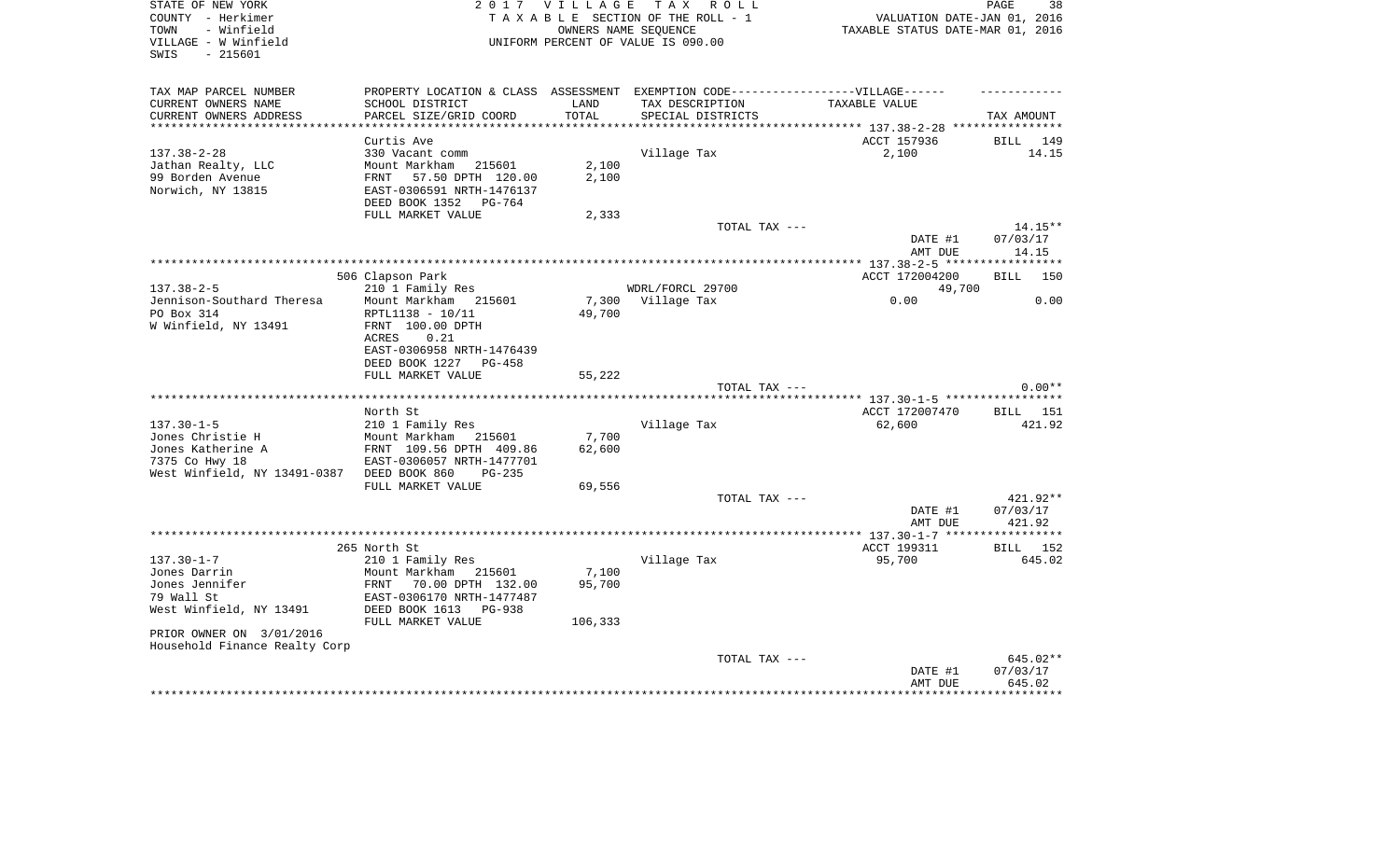| STATE OF NEW YORK<br>COUNTY - Herkimer<br>- Winfield<br>TOWN | 2 0 1 7<br><b>VILLAGE</b><br>TAXABLE SECTION OF THE ROLL - 1                      | PAGE<br>38<br>VALUATION DATE-JAN 01, 2016<br>TAXABLE STATUS DATE-MAR 01, 2016 |                                                            |                    |                    |
|--------------------------------------------------------------|-----------------------------------------------------------------------------------|-------------------------------------------------------------------------------|------------------------------------------------------------|--------------------|--------------------|
| VILLAGE - W Winfield<br>$-215601$<br>SWIS                    |                                                                                   |                                                                               | OWNERS NAME SEQUENCE<br>UNIFORM PERCENT OF VALUE IS 090.00 |                    |                    |
| TAX MAP PARCEL NUMBER                                        | PROPERTY LOCATION & CLASS ASSESSMENT EXEMPTION CODE-----------------VILLAGE------ |                                                                               |                                                            |                    |                    |
| CURRENT OWNERS NAME                                          | SCHOOL DISTRICT                                                                   | LAND                                                                          | TAX DESCRIPTION                                            | TAXABLE VALUE      |                    |
| CURRENT OWNERS ADDRESS                                       | PARCEL SIZE/GRID COORD                                                            | TOTAL                                                                         | SPECIAL DISTRICTS                                          |                    | TAX AMOUNT         |
| *************************                                    |                                                                                   |                                                                               |                                                            |                    |                    |
|                                                              | Curtis Ave                                                                        |                                                                               |                                                            | ACCT 157936        | BILL 149           |
| $137.38 - 2 - 28$<br>Jathan Realty, LLC                      | 330 Vacant comm<br>215601<br>Mount Markham                                        | 2,100                                                                         | Village Tax                                                | 2,100              | 14.15              |
| 99 Borden Avenue                                             | 57.50 DPTH 120.00<br>FRNT                                                         | 2,100                                                                         |                                                            |                    |                    |
| Norwich, NY 13815                                            | EAST-0306591 NRTH-1476137<br>DEED BOOK 1352<br>PG-764                             |                                                                               |                                                            |                    |                    |
|                                                              | FULL MARKET VALUE                                                                 | 2,333                                                                         |                                                            |                    |                    |
|                                                              |                                                                                   |                                                                               | TOTAL TAX ---                                              |                    | $14.15**$          |
|                                                              |                                                                                   |                                                                               |                                                            | DATE #1<br>AMT DUE | 07/03/17<br>14.15  |
|                                                              |                                                                                   |                                                                               |                                                            |                    |                    |
|                                                              | 506 Clapson Park                                                                  |                                                                               |                                                            | ACCT 172004200     | <b>BILL</b><br>150 |
| $137.38 - 2 - 5$                                             | 210 1 Family Res                                                                  |                                                                               | WDRL/FORCL 29700                                           | 49,700             |                    |
| Jennison-Southard Theresa                                    | Mount Markham<br>215601                                                           | 7,300                                                                         | Village Tax                                                | 0.00               | 0.00               |
| PO Box 314                                                   | RPTL1138 - 10/11                                                                  | 49,700                                                                        |                                                            |                    |                    |
| W Winfield, NY 13491                                         | FRNT 100.00 DPTH                                                                  |                                                                               |                                                            |                    |                    |
|                                                              | <b>ACRES</b><br>0.21<br>EAST-0306958 NRTH-1476439                                 |                                                                               |                                                            |                    |                    |
|                                                              | DEED BOOK 1227<br>PG-458                                                          |                                                                               |                                                            |                    |                    |
|                                                              | FULL MARKET VALUE                                                                 | 55,222                                                                        |                                                            |                    |                    |
|                                                              |                                                                                   |                                                                               | TOTAL TAX ---                                              |                    | $0.00**$           |
|                                                              |                                                                                   |                                                                               |                                                            |                    |                    |
|                                                              | North St                                                                          |                                                                               |                                                            | ACCT 172007470     | <b>BILL</b> 151    |
| $137.30 - 1 - 5$                                             | 210 1 Family Res                                                                  |                                                                               | Village Tax                                                | 62,600             | 421.92             |
| Jones Christie H                                             | Mount Markham<br>215601                                                           | 7,700                                                                         |                                                            |                    |                    |
| Jones Katherine A                                            | FRNT 109.56 DPTH 409.86                                                           | 62,600                                                                        |                                                            |                    |                    |
| 7375 Co Hwy 18<br>West Winfield, NY 13491-0387               | EAST-0306057 NRTH-1477701<br>DEED BOOK 860<br>$PG-235$                            |                                                                               |                                                            |                    |                    |
|                                                              | FULL MARKET VALUE                                                                 | 69,556                                                                        |                                                            |                    |                    |
|                                                              |                                                                                   |                                                                               | TOTAL TAX ---                                              |                    | 421.92**           |
|                                                              |                                                                                   |                                                                               |                                                            | DATE #1            | 07/03/17           |
|                                                              |                                                                                   |                                                                               |                                                            | AMT DUE            | 421.92             |
|                                                              |                                                                                   |                                                                               |                                                            |                    |                    |
|                                                              | 265 North St                                                                      |                                                                               |                                                            | ACCT 199311        | <b>BILL</b><br>152 |
| $137.30 - 1 - 7$                                             | 210 1 Family Res                                                                  |                                                                               | Village Tax                                                | 95,700             | 645.02             |
| Jones Darrin<br>Jones Jennifer                               | Mount Markham<br>215601<br>70.00 DPTH 132.00<br>FRNT                              | 7,100<br>95,700                                                               |                                                            |                    |                    |
| 79 Wall St                                                   | EAST-0306170 NRTH-1477487                                                         |                                                                               |                                                            |                    |                    |
| West Winfield, NY 13491                                      | DEED BOOK 1613<br><b>PG-938</b>                                                   |                                                                               |                                                            |                    |                    |
|                                                              | FULL MARKET VALUE                                                                 | 106,333                                                                       |                                                            |                    |                    |
| PRIOR OWNER ON 3/01/2016                                     |                                                                                   |                                                                               |                                                            |                    |                    |
| Household Finance Realty Corp                                |                                                                                   |                                                                               |                                                            |                    |                    |
|                                                              |                                                                                   |                                                                               | TOTAL TAX ---                                              |                    | 645.02**           |
|                                                              |                                                                                   |                                                                               |                                                            | DATE #1            | 07/03/17           |
|                                                              |                                                                                   |                                                                               |                                                            | AMT DUE            | 645.02             |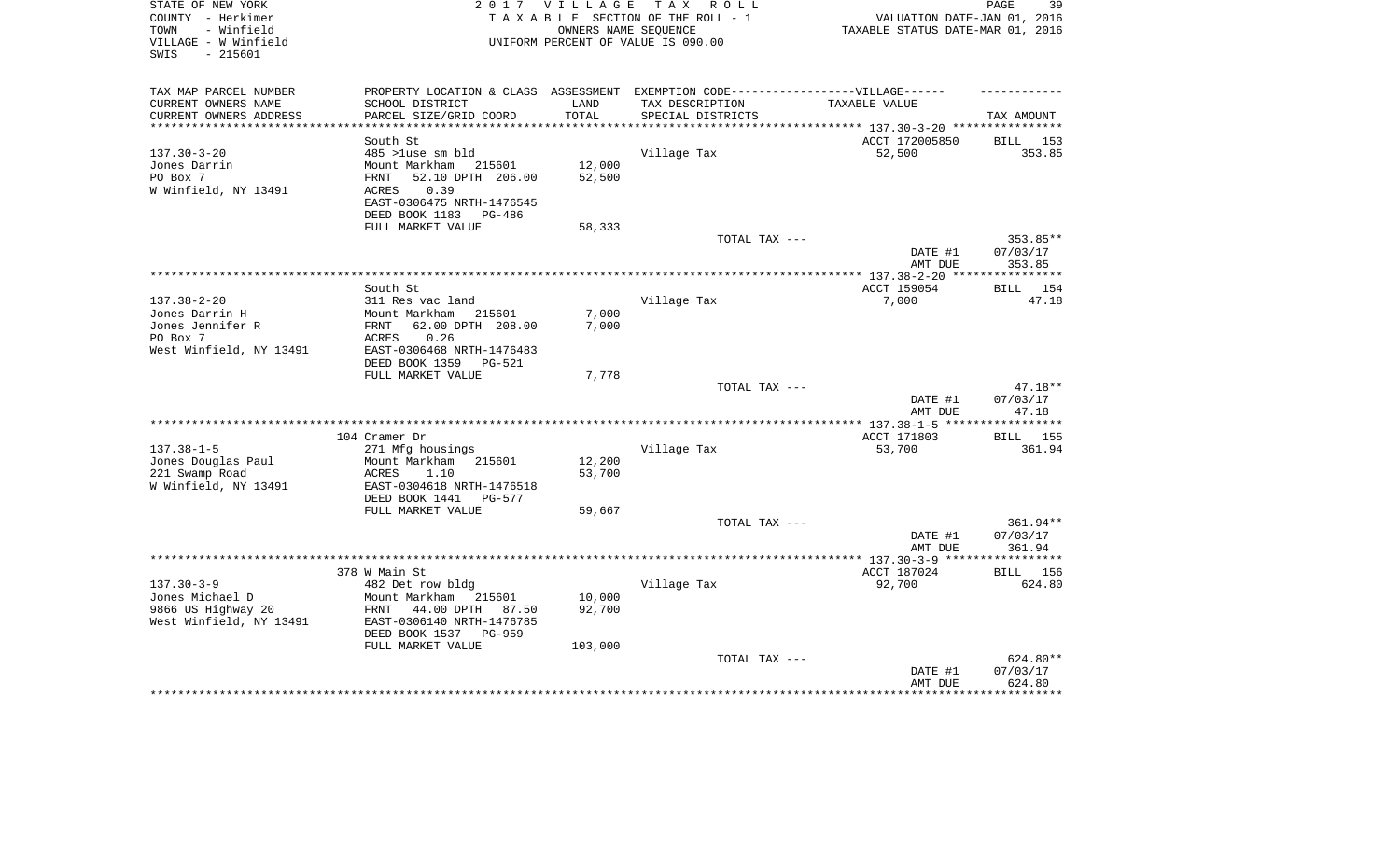| STATE OF NEW YORK<br>COUNTY - Herkimer<br>- Winfield<br>TOWN | 2 0 1 7                                                | <b>VILLAGE</b>   | TAX ROLL<br>TAXABLE SECTION OF THE ROLL - 1<br>OWNERS NAME SEQUENCE | VALUATION DATE-JAN 01, 2016<br>TAXABLE STATUS DATE-MAR 01, 2016 | PAGE<br>39            |
|--------------------------------------------------------------|--------------------------------------------------------|------------------|---------------------------------------------------------------------|-----------------------------------------------------------------|-----------------------|
| VILLAGE - W Winfield<br>SWIS<br>$-215601$                    |                                                        |                  | UNIFORM PERCENT OF VALUE IS 090.00                                  |                                                                 |                       |
| TAX MAP PARCEL NUMBER                                        | PROPERTY LOCATION & CLASS ASSESSMENT                   |                  | EXEMPTION CODE------------------VILLAGE------                       |                                                                 |                       |
| CURRENT OWNERS NAME                                          | SCHOOL DISTRICT                                        | LAND             | TAX DESCRIPTION                                                     | TAXABLE VALUE                                                   |                       |
| CURRENT OWNERS ADDRESS<br>***********************            | PARCEL SIZE/GRID COORD                                 | TOTAL            | SPECIAL DISTRICTS                                                   |                                                                 | TAX AMOUNT            |
|                                                              |                                                        |                  |                                                                     |                                                                 |                       |
| $137.30 - 3 - 20$                                            | South St<br>485 >luse sm bld                           |                  | Village Tax                                                         | ACCT 172005850<br>52,500                                        | BILL<br>153<br>353.85 |
| Jones Darrin                                                 | Mount Markham<br>215601                                | 12,000           |                                                                     |                                                                 |                       |
| PO Box 7                                                     | 52.10 DPTH 206.00<br>FRNT                              | 52,500           |                                                                     |                                                                 |                       |
| W Winfield, NY 13491                                         | ACRES<br>0.39                                          |                  |                                                                     |                                                                 |                       |
|                                                              | EAST-0306475 NRTH-1476545                              |                  |                                                                     |                                                                 |                       |
|                                                              | DEED BOOK 1183<br>PG-486                               |                  |                                                                     |                                                                 |                       |
|                                                              | FULL MARKET VALUE                                      | 58,333           |                                                                     |                                                                 |                       |
|                                                              |                                                        |                  | TOTAL TAX ---                                                       |                                                                 | 353.85**              |
|                                                              |                                                        |                  |                                                                     | DATE #1<br>AMT DUE                                              | 07/03/17<br>353.85    |
|                                                              |                                                        |                  |                                                                     |                                                                 |                       |
|                                                              | South St                                               |                  |                                                                     | ACCT 159054                                                     | <b>BILL</b><br>154    |
| $137.38 - 2 - 20$<br>Jones Darrin H                          | 311 Res vac land                                       |                  | Village Tax                                                         | 7,000                                                           | 47.18                 |
| Jones Jennifer R                                             | Mount Markham<br>215601<br>62.00 DPTH 208.00<br>FRNT   | 7,000<br>7,000   |                                                                     |                                                                 |                       |
| PO Box 7                                                     | 0.26<br>ACRES                                          |                  |                                                                     |                                                                 |                       |
| West Winfield, NY 13491                                      | EAST-0306468 NRTH-1476483                              |                  |                                                                     |                                                                 |                       |
|                                                              | DEED BOOK 1359<br><b>PG-521</b>                        |                  |                                                                     |                                                                 |                       |
|                                                              | FULL MARKET VALUE                                      | 7,778            |                                                                     |                                                                 |                       |
|                                                              |                                                        |                  | TOTAL TAX ---                                                       |                                                                 | 47.18**               |
|                                                              |                                                        |                  |                                                                     | DATE #1<br>AMT DUE                                              | 07/03/17<br>47.18     |
|                                                              |                                                        |                  |                                                                     |                                                                 |                       |
|                                                              | 104 Cramer Dr                                          |                  |                                                                     | ACCT 171803                                                     | BILL 155              |
| $137.38 - 1 - 5$                                             | 271 Mfg housings                                       |                  | Village Tax                                                         | 53,700                                                          | 361.94                |
| Jones Douglas Paul<br>221 Swamp Road                         | Mount Markham<br>215601<br>1.10                        | 12,200<br>53,700 |                                                                     |                                                                 |                       |
| W Winfield, NY 13491                                         | ACRES<br>EAST-0304618 NRTH-1476518                     |                  |                                                                     |                                                                 |                       |
|                                                              | DEED BOOK 1441<br>PG-577                               |                  |                                                                     |                                                                 |                       |
|                                                              | FULL MARKET VALUE                                      | 59,667           |                                                                     |                                                                 |                       |
|                                                              |                                                        |                  | TOTAL TAX ---                                                       |                                                                 | 361.94**              |
|                                                              |                                                        |                  |                                                                     | DATE #1                                                         | 07/03/17              |
|                                                              |                                                        |                  |                                                                     | AMT DUE                                                         | 361.94                |
|                                                              |                                                        |                  |                                                                     | *************** 137.30-3-9 *****                                | * * * * * * * *       |
|                                                              | 378 W Main St                                          |                  |                                                                     | ACCT 187024                                                     | BILL<br>156           |
| $137.30 - 3 - 9$                                             | 482 Det row bldg                                       |                  | Village Tax                                                         | 92,700                                                          | 624.80                |
| Jones Michael D<br>9866 US Highway 20                        | Mount Markham<br>215601<br>FRNT<br>44.00 DPTH<br>87.50 | 10,000<br>92,700 |                                                                     |                                                                 |                       |
| West Winfield, NY 13491                                      | EAST-0306140 NRTH-1476785                              |                  |                                                                     |                                                                 |                       |
|                                                              | DEED BOOK 1537<br><b>PG-959</b>                        |                  |                                                                     |                                                                 |                       |
|                                                              | FULL MARKET VALUE                                      | 103,000          |                                                                     |                                                                 |                       |
|                                                              |                                                        |                  | TOTAL TAX ---                                                       |                                                                 | 624.80**              |
|                                                              |                                                        |                  |                                                                     | DATE #1                                                         | 07/03/17              |
|                                                              |                                                        |                  |                                                                     | AMT DUE                                                         | 624.80                |
|                                                              |                                                        |                  |                                                                     |                                                                 |                       |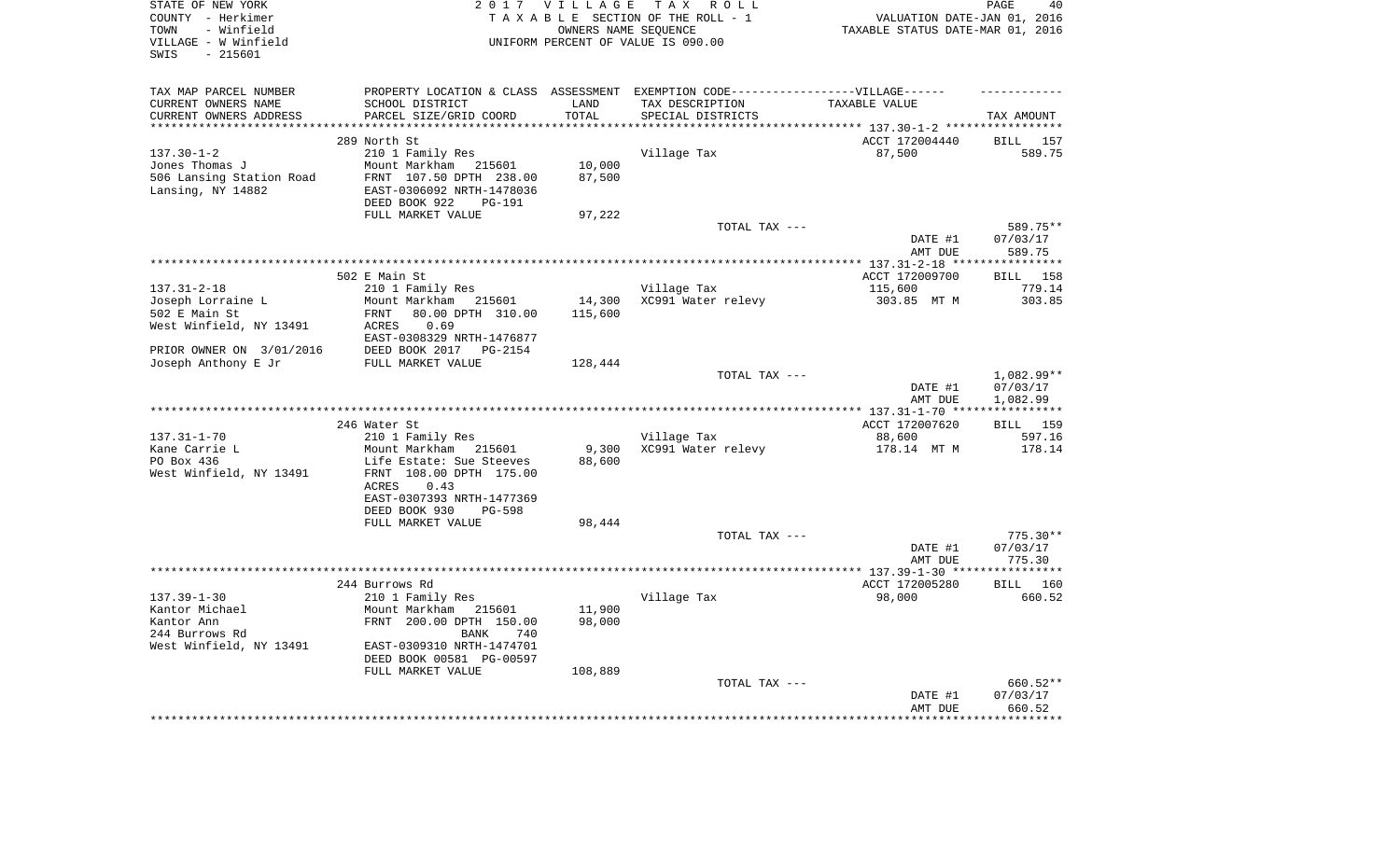| STATE OF NEW YORK<br>COUNTY - Herkimer<br>- Winfield<br>TOWN<br>VILLAGE - W Winfield<br>$-215601$<br>SWIS |                                                     | 2017 VILLAGE      | TAX ROLL<br>TAXABLE SECTION OF THE ROLL - 1<br>OWNERS NAME SEQUENCE<br>UNIFORM PERCENT OF VALUE IS 090.00 | VALUATION DATE-JAN 01, 2016<br>TAXABLE STATUS DATE-MAR 01, 2016 | PAGE<br>40             |
|-----------------------------------------------------------------------------------------------------------|-----------------------------------------------------|-------------------|-----------------------------------------------------------------------------------------------------------|-----------------------------------------------------------------|------------------------|
| TAX MAP PARCEL NUMBER<br>CURRENT OWNERS NAME                                                              | SCHOOL DISTRICT                                     | LAND              | PROPERTY LOCATION & CLASS ASSESSMENT EXEMPTION CODE-----------------VILLAGE------<br>TAX DESCRIPTION      | TAXABLE VALUE                                                   |                        |
| CURRENT OWNERS ADDRESS                                                                                    | PARCEL SIZE/GRID COORD                              | TOTAL             | SPECIAL DISTRICTS                                                                                         |                                                                 | TAX AMOUNT             |
| **********************                                                                                    | ****************************                        | **************    | ************************************** 137.30-1-2 *****************                                       |                                                                 |                        |
|                                                                                                           | 289 North St                                        |                   |                                                                                                           | ACCT 172004440                                                  | BILL<br>157            |
| $137.30 - 1 - 2$<br>Jones Thomas J                                                                        | 210 1 Family Res<br>Mount Markham<br>215601         | 10,000            | Village Tax                                                                                               | 87,500                                                          | 589.75                 |
| 506 Lansing Station Road                                                                                  | FRNT 107.50 DPTH 238.00                             | 87,500            |                                                                                                           |                                                                 |                        |
| Lansing, NY 14882                                                                                         | EAST-0306092 NRTH-1478036                           |                   |                                                                                                           |                                                                 |                        |
|                                                                                                           | DEED BOOK 922<br>PG-191                             |                   |                                                                                                           |                                                                 |                        |
|                                                                                                           | FULL MARKET VALUE                                   | 97,222            |                                                                                                           |                                                                 |                        |
|                                                                                                           |                                                     |                   | TOTAL TAX ---                                                                                             | DATE #1                                                         | 589.75**<br>07/03/17   |
|                                                                                                           |                                                     |                   |                                                                                                           | AMT DUE                                                         | 589.75                 |
|                                                                                                           |                                                     |                   |                                                                                                           |                                                                 |                        |
|                                                                                                           | 502 E Main St                                       |                   |                                                                                                           | ACCT 172009700                                                  | <b>BILL</b><br>158     |
| $137.31 - 2 - 18$                                                                                         | 210 1 Family Res                                    |                   | Village Tax                                                                                               | 115,600                                                         | 779.14                 |
| Joseph Lorraine L<br>502 E Main St                                                                        | Mount Markham<br>215601<br>80.00 DPTH 310.00        | 14,300<br>115,600 | XC991 Water relevy                                                                                        | 303.85 MT M                                                     | 303.85                 |
| West Winfield, NY 13491                                                                                   | FRNT<br>0.69<br>ACRES                               |                   |                                                                                                           |                                                                 |                        |
|                                                                                                           | EAST-0308329 NRTH-1476877                           |                   |                                                                                                           |                                                                 |                        |
| PRIOR OWNER ON 3/01/2016                                                                                  | DEED BOOK 2017<br>PG-2154                           |                   |                                                                                                           |                                                                 |                        |
| Joseph Anthony E Jr                                                                                       | FULL MARKET VALUE                                   | 128,444           |                                                                                                           |                                                                 |                        |
|                                                                                                           |                                                     |                   | TOTAL TAX ---                                                                                             | DATE #1                                                         | 1,082.99**<br>07/03/17 |
|                                                                                                           |                                                     |                   |                                                                                                           | AMT DUE                                                         | 1,082.99               |
|                                                                                                           |                                                     |                   |                                                                                                           |                                                                 |                        |
|                                                                                                           | 246 Water St                                        |                   |                                                                                                           | ACCT 172007620                                                  | BILL 159               |
| $137.31 - 1 - 70$                                                                                         | 210 1 Family Res                                    |                   | Village Tax                                                                                               | 88,600                                                          | 597.16                 |
| Kane Carrie L<br>PO Box 436                                                                               | Mount Markham<br>215601<br>Life Estate: Sue Steeves | 9,300<br>88,600   | XC991 Water relevy                                                                                        | 178.14 MT M                                                     | 178.14                 |
| West Winfield, NY 13491                                                                                   | FRNT 108.00 DPTH 175.00                             |                   |                                                                                                           |                                                                 |                        |
|                                                                                                           | ACRES<br>0.43                                       |                   |                                                                                                           |                                                                 |                        |
|                                                                                                           | EAST-0307393 NRTH-1477369                           |                   |                                                                                                           |                                                                 |                        |
|                                                                                                           | DEED BOOK 930<br><b>PG-598</b>                      |                   |                                                                                                           |                                                                 |                        |
|                                                                                                           | FULL MARKET VALUE                                   | 98,444            | TOTAL TAX ---                                                                                             |                                                                 | $775.30**$             |
|                                                                                                           |                                                     |                   |                                                                                                           | DATE #1                                                         | 07/03/17               |
|                                                                                                           |                                                     |                   |                                                                                                           | AMT DUE                                                         | 775.30                 |
|                                                                                                           |                                                     |                   |                                                                                                           |                                                                 |                        |
| $137.39 - 1 - 30$                                                                                         | 244 Burrows Rd                                      |                   |                                                                                                           | ACCT 172005280                                                  | <b>BILL</b> 160        |
| Kantor Michael                                                                                            | 210 1 Family Res<br>Mount Markham<br>215601         | 11,900            | Village Tax                                                                                               | 98,000                                                          | 660.52                 |
| Kantor Ann                                                                                                | FRNT 200.00 DPTH 150.00                             | 98,000            |                                                                                                           |                                                                 |                        |
| 244 Burrows Rd                                                                                            | <b>BANK</b><br>740                                  |                   |                                                                                                           |                                                                 |                        |
| West Winfield, NY 13491                                                                                   | EAST-0309310 NRTH-1474701                           |                   |                                                                                                           |                                                                 |                        |
|                                                                                                           | DEED BOOK 00581 PG-00597                            |                   |                                                                                                           |                                                                 |                        |
|                                                                                                           | FULL MARKET VALUE                                   | 108,889           | TOTAL TAX ---                                                                                             |                                                                 | 660.52**               |
|                                                                                                           |                                                     |                   |                                                                                                           | DATE #1                                                         | 07/03/17               |
|                                                                                                           |                                                     |                   |                                                                                                           | AMT DUE                                                         | 660.52                 |
|                                                                                                           |                                                     |                   |                                                                                                           |                                                                 | * * * * * * * * *      |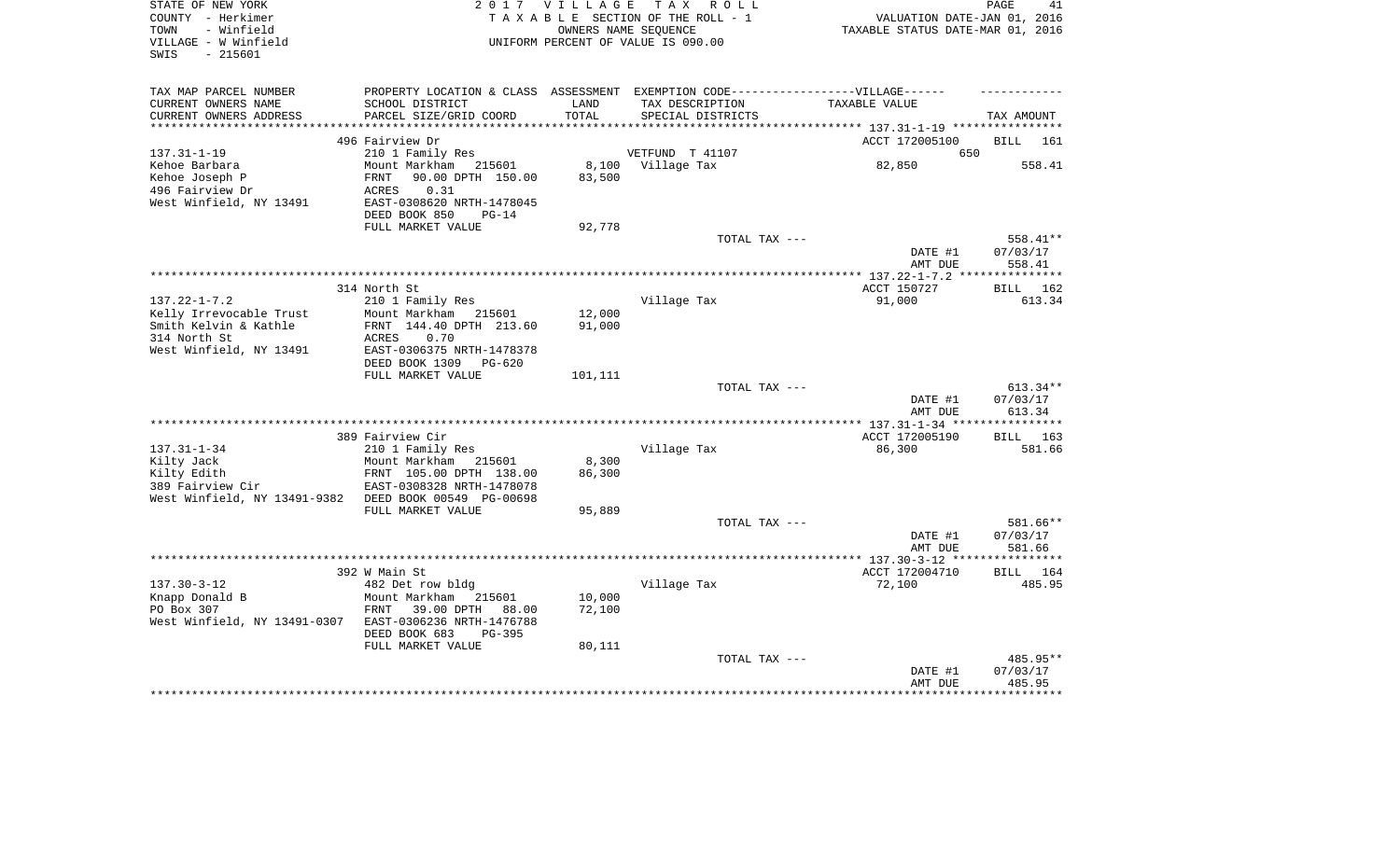| STATE OF NEW YORK<br>COUNTY - Herkimer<br>- Winfield<br>TOWN<br>VILLAGE - W Winfield<br>$-215601$<br>SWIS |                                                                                   | 2017 VILLAGE    | TAX ROLL<br>TAXABLE SECTION OF THE ROLL - 1<br>OWNERS NAME SEOUENCE<br>UNIFORM PERCENT OF VALUE IS 090.00 | VALUATION DATE-JAN 01, 2016<br>TAXABLE STATUS DATE-MAR 01, 2016 | PAGE<br>41            |
|-----------------------------------------------------------------------------------------------------------|-----------------------------------------------------------------------------------|-----------------|-----------------------------------------------------------------------------------------------------------|-----------------------------------------------------------------|-----------------------|
| TAX MAP PARCEL NUMBER                                                                                     | PROPERTY LOCATION & CLASS ASSESSMENT EXEMPTION CODE-----------------VILLAGE------ |                 |                                                                                                           |                                                                 |                       |
| CURRENT OWNERS NAME                                                                                       | SCHOOL DISTRICT                                                                   | LAND            | TAX DESCRIPTION                                                                                           | TAXABLE VALUE                                                   |                       |
| CURRENT OWNERS ADDRESS<br>***********************                                                         | PARCEL SIZE/GRID COORD                                                            | TOTAL           | SPECIAL DISTRICTS                                                                                         |                                                                 | TAX AMOUNT            |
|                                                                                                           | 496 Fairview Dr                                                                   |                 |                                                                                                           | ACCT 172005100                                                  | <b>BILL</b><br>161    |
| $137.31 - 1 - 19$                                                                                         | 210 1 Family Res                                                                  |                 | VETFUND T 41107                                                                                           | 650                                                             |                       |
| Kehoe Barbara                                                                                             | Mount Markham<br>215601                                                           | 8,100           | Village Tax                                                                                               | 82,850                                                          | 558.41                |
| Kehoe Joseph P                                                                                            | FRNT<br>90.00 DPTH 150.00                                                         | 83,500          |                                                                                                           |                                                                 |                       |
| 496 Fairview Dr                                                                                           | 0.31<br>ACRES                                                                     |                 |                                                                                                           |                                                                 |                       |
| West Winfield, NY 13491                                                                                   | EAST-0308620 NRTH-1478045                                                         |                 |                                                                                                           |                                                                 |                       |
|                                                                                                           | DEED BOOK 850<br>$PG-14$<br>FULL MARKET VALUE                                     | 92,778          |                                                                                                           |                                                                 |                       |
|                                                                                                           |                                                                                   |                 | TOTAL TAX ---                                                                                             |                                                                 | 558.41**              |
|                                                                                                           |                                                                                   |                 |                                                                                                           | DATE #1<br>AMT DUE                                              | 07/03/17<br>558.41    |
|                                                                                                           |                                                                                   |                 |                                                                                                           | **************** 137.22-1-7.2 ****************                  |                       |
| $137.22 - 1 - 7.2$                                                                                        | 314 North St<br>210 1 Family Res                                                  |                 | Village Tax                                                                                               | ACCT 150727<br>91,000                                           | BILL<br>162<br>613.34 |
| Kelly Irrevocable Trust                                                                                   | Mount Markham<br>215601                                                           | 12,000          |                                                                                                           |                                                                 |                       |
| Smith Kelvin & Kathle                                                                                     | FRNT 144.40 DPTH 213.60                                                           | 91,000          |                                                                                                           |                                                                 |                       |
| 314 North St                                                                                              | 0.70<br>ACRES                                                                     |                 |                                                                                                           |                                                                 |                       |
| West Winfield, NY 13491                                                                                   | EAST-0306375 NRTH-1478378                                                         |                 |                                                                                                           |                                                                 |                       |
|                                                                                                           | DEED BOOK 1309<br><b>PG-620</b>                                                   |                 |                                                                                                           |                                                                 |                       |
|                                                                                                           | FULL MARKET VALUE                                                                 | 101,111         | TOTAL TAX ---                                                                                             |                                                                 | 613.34**              |
|                                                                                                           |                                                                                   |                 |                                                                                                           | DATE #1                                                         | 07/03/17              |
|                                                                                                           |                                                                                   |                 |                                                                                                           | AMT DUE                                                         | 613.34                |
|                                                                                                           |                                                                                   |                 |                                                                                                           |                                                                 |                       |
|                                                                                                           | 389 Fairview Cir                                                                  |                 |                                                                                                           | ACCT 172005190                                                  | BILL 163              |
| $137.31 - 1 - 34$                                                                                         | 210 1 Family Res                                                                  |                 | Village Tax                                                                                               | 86,300                                                          | 581.66                |
| Kilty Jack<br>Kilty Edith                                                                                 | Mount Markham<br>215601<br>FRNT 105.00 DPTH 138.00                                | 8,300<br>86,300 |                                                                                                           |                                                                 |                       |
| 389 Fairview Cir                                                                                          | EAST-0308328 NRTH-1478078                                                         |                 |                                                                                                           |                                                                 |                       |
| West Winfield, NY 13491-9382                                                                              | DEED BOOK 00549 PG-00698                                                          |                 |                                                                                                           |                                                                 |                       |
|                                                                                                           | FULL MARKET VALUE                                                                 | 95,889          |                                                                                                           |                                                                 |                       |
|                                                                                                           |                                                                                   |                 | TOTAL TAX ---                                                                                             |                                                                 | 581.66**              |
|                                                                                                           |                                                                                   |                 |                                                                                                           | DATE #1<br>AMT DUE                                              | 07/03/17<br>581.66    |
|                                                                                                           |                                                                                   |                 |                                                                                                           |                                                                 |                       |
|                                                                                                           | 392 W Main St                                                                     |                 |                                                                                                           | ACCT 172004710                                                  | <b>BILL</b><br>164    |
| $137.30 - 3 - 12$                                                                                         | 482 Det row bldg                                                                  |                 | Village Tax                                                                                               | 72,100                                                          | 485.95                |
| Knapp Donald B                                                                                            | Mount Markham<br>215601                                                           | 10,000          |                                                                                                           |                                                                 |                       |
| PO Box 307                                                                                                | FRNT<br>39.00 DPTH<br>88.00                                                       | 72,100          |                                                                                                           |                                                                 |                       |
| West Winfield, NY 13491-0307                                                                              | EAST-0306236 NRTH-1476788<br>DEED BOOK 683<br>PG-395                              |                 |                                                                                                           |                                                                 |                       |
|                                                                                                           | FULL MARKET VALUE                                                                 | 80,111          |                                                                                                           |                                                                 |                       |
|                                                                                                           |                                                                                   |                 | TOTAL TAX ---                                                                                             |                                                                 | 485.95**              |
|                                                                                                           |                                                                                   |                 |                                                                                                           | DATE #1                                                         | 07/03/17              |
|                                                                                                           |                                                                                   |                 |                                                                                                           | AMT DUE                                                         | 485.95                |
|                                                                                                           |                                                                                   |                 |                                                                                                           |                                                                 |                       |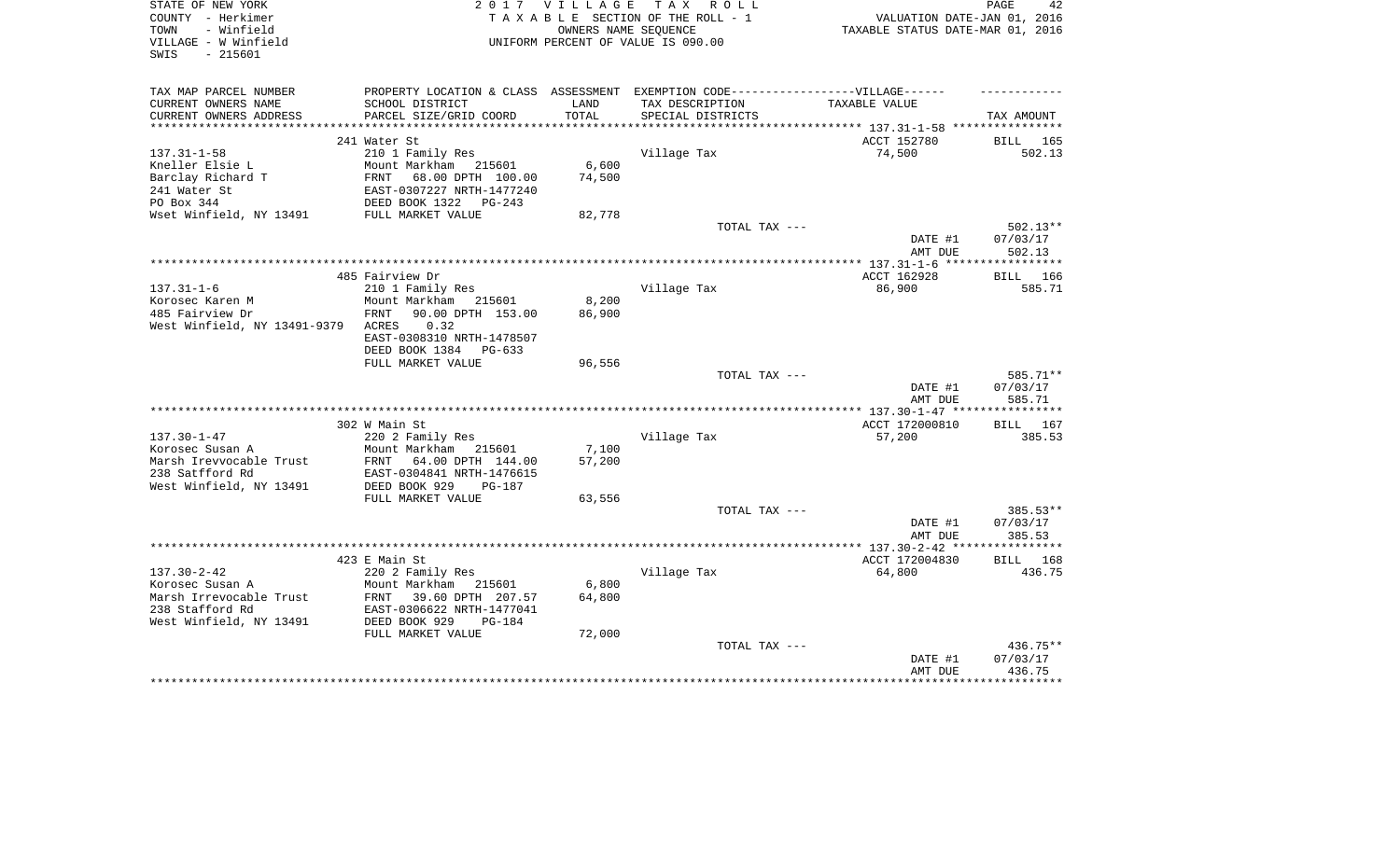| STATE OF NEW YORK<br>COUNTY - Herkimer<br>- Winfield<br>TOWN | 2 0 1 7                                                                          | VILLAGE<br>OWNERS NAME SEQUENCE | TAX ROLL<br>TAXABLE SECTION OF THE ROLL - 1 | VALUATION DATE-JAN 01, 2016<br>TAXABLE STATUS DATE-MAR 01, 2016 | PAGE<br>42         |
|--------------------------------------------------------------|----------------------------------------------------------------------------------|---------------------------------|---------------------------------------------|-----------------------------------------------------------------|--------------------|
| VILLAGE - W Winfield<br>$-215601$<br>SWIS                    |                                                                                  |                                 | UNIFORM PERCENT OF VALUE IS 090.00          |                                                                 |                    |
| TAX MAP PARCEL NUMBER                                        | PROPERTY LOCATION & CLASS ASSESSMENT EXEMPTION CODE----------------VILLAGE------ |                                 |                                             |                                                                 |                    |
| CURRENT OWNERS NAME                                          | SCHOOL DISTRICT                                                                  | LAND                            | TAX DESCRIPTION                             | TAXABLE VALUE                                                   |                    |
| CURRENT OWNERS ADDRESS                                       | PARCEL SIZE/GRID COORD                                                           | TOTAL                           | SPECIAL DISTRICTS                           |                                                                 | TAX AMOUNT         |
|                                                              | 241 Water St                                                                     |                                 |                                             | ACCT 152780                                                     | BILL 165           |
| $137.31 - 1 - 58$                                            | 210 1 Family Res                                                                 |                                 | Village Tax                                 | 74,500                                                          | 502.13             |
| Kneller Elsie L                                              | Mount Markham 215601                                                             | 6,600                           |                                             |                                                                 |                    |
| Barclay Richard T                                            | FRNT<br>68.00 DPTH 100.00                                                        | 74,500                          |                                             |                                                                 |                    |
| 241 Water St                                                 | EAST-0307227 NRTH-1477240                                                        |                                 |                                             |                                                                 |                    |
| PO Box 344                                                   | DEED BOOK 1322<br>PG-243                                                         |                                 |                                             |                                                                 |                    |
| Wset Winfield, NY 13491                                      | FULL MARKET VALUE                                                                | 82,778                          |                                             |                                                                 |                    |
|                                                              |                                                                                  |                                 | TOTAL TAX ---                               |                                                                 | 502.13**           |
|                                                              |                                                                                  |                                 |                                             | DATE #1                                                         | 07/03/17           |
|                                                              |                                                                                  |                                 |                                             | AMT DUE                                                         | 502.13             |
|                                                              |                                                                                  |                                 |                                             |                                                                 |                    |
| $137.31 - 1 - 6$                                             | 485 Fairview Dr<br>210 1 Family Res                                              |                                 | Village Tax                                 | ACCT 162928<br>86,900                                           | BILL 166<br>585.71 |
| Korosec Karen M                                              | Mount Markham 215601                                                             | 8,200                           |                                             |                                                                 |                    |
| 485 Fairview Dr                                              | 90.00 DPTH 153.00<br>FRNT                                                        | 86,900                          |                                             |                                                                 |                    |
| West Winfield, NY 13491-9379                                 | ACRES<br>0.32                                                                    |                                 |                                             |                                                                 |                    |
|                                                              | EAST-0308310 NRTH-1478507                                                        |                                 |                                             |                                                                 |                    |
|                                                              | DEED BOOK 1384<br>PG-633                                                         |                                 |                                             |                                                                 |                    |
|                                                              | FULL MARKET VALUE                                                                | 96,556                          |                                             |                                                                 |                    |
|                                                              |                                                                                  |                                 | TOTAL TAX ---                               |                                                                 | 585.71**           |
|                                                              |                                                                                  |                                 |                                             | DATE #1                                                         | 07/03/17           |
|                                                              |                                                                                  |                                 |                                             | AMT DUE                                                         | 585.71             |
|                                                              |                                                                                  |                                 |                                             |                                                                 |                    |
| $137.30 - 1 - 47$                                            | 302 W Main St<br>220 2 Family Res                                                |                                 | Village Tax                                 | ACCT 172000810<br>57,200                                        | BILL 167<br>385.53 |
| Korosec Susan A                                              | Mount Markham 215601                                                             | 7,100                           |                                             |                                                                 |                    |
| Marsh Irevvocable Trust                                      | FRNT 64.00 DPTH 144.00                                                           | 57,200                          |                                             |                                                                 |                    |
| 238 Satfford Rd                                              | EAST-0304841 NRTH-1476615                                                        |                                 |                                             |                                                                 |                    |
| West Winfield, NY 13491                                      | DEED BOOK 929<br>$PG-187$                                                        |                                 |                                             |                                                                 |                    |
|                                                              | FULL MARKET VALUE                                                                | 63,556                          |                                             |                                                                 |                    |
|                                                              |                                                                                  |                                 | TOTAL TAX ---                               |                                                                 | 385.53**           |
|                                                              |                                                                                  |                                 |                                             | DATE #1                                                         | 07/03/17           |
|                                                              |                                                                                  |                                 |                                             | AMT DUE                                                         | 385.53             |
|                                                              |                                                                                  |                                 |                                             |                                                                 | **********         |
|                                                              | 423 E Main St                                                                    |                                 |                                             | ACCT 172004830                                                  | BILL 168           |
| $137.30 - 2 - 42$<br>Korosec Susan A                         | 220 2 Family Res<br>Mount Markham 215601                                         | 6,800                           | Village Tax                                 | 64,800                                                          | 436.75             |
| Marsh Irrevocable Trust                                      | FRNT<br>39.60 DPTH 207.57                                                        | 64,800                          |                                             |                                                                 |                    |
| 238 Stafford Rd                                              | EAST-0306622 NRTH-1477041                                                        |                                 |                                             |                                                                 |                    |
| West Winfield, NY 13491                                      | DEED BOOK 929<br>$PG-184$                                                        |                                 |                                             |                                                                 |                    |
|                                                              | FULL MARKET VALUE                                                                | 72,000                          |                                             |                                                                 |                    |
|                                                              |                                                                                  |                                 | TOTAL TAX ---                               |                                                                 | 436.75**           |
|                                                              |                                                                                  |                                 |                                             | DATE #1                                                         | 07/03/17           |
|                                                              |                                                                                  |                                 |                                             | AMT DUE                                                         | 436.75             |
|                                                              |                                                                                  |                                 |                                             |                                                                 |                    |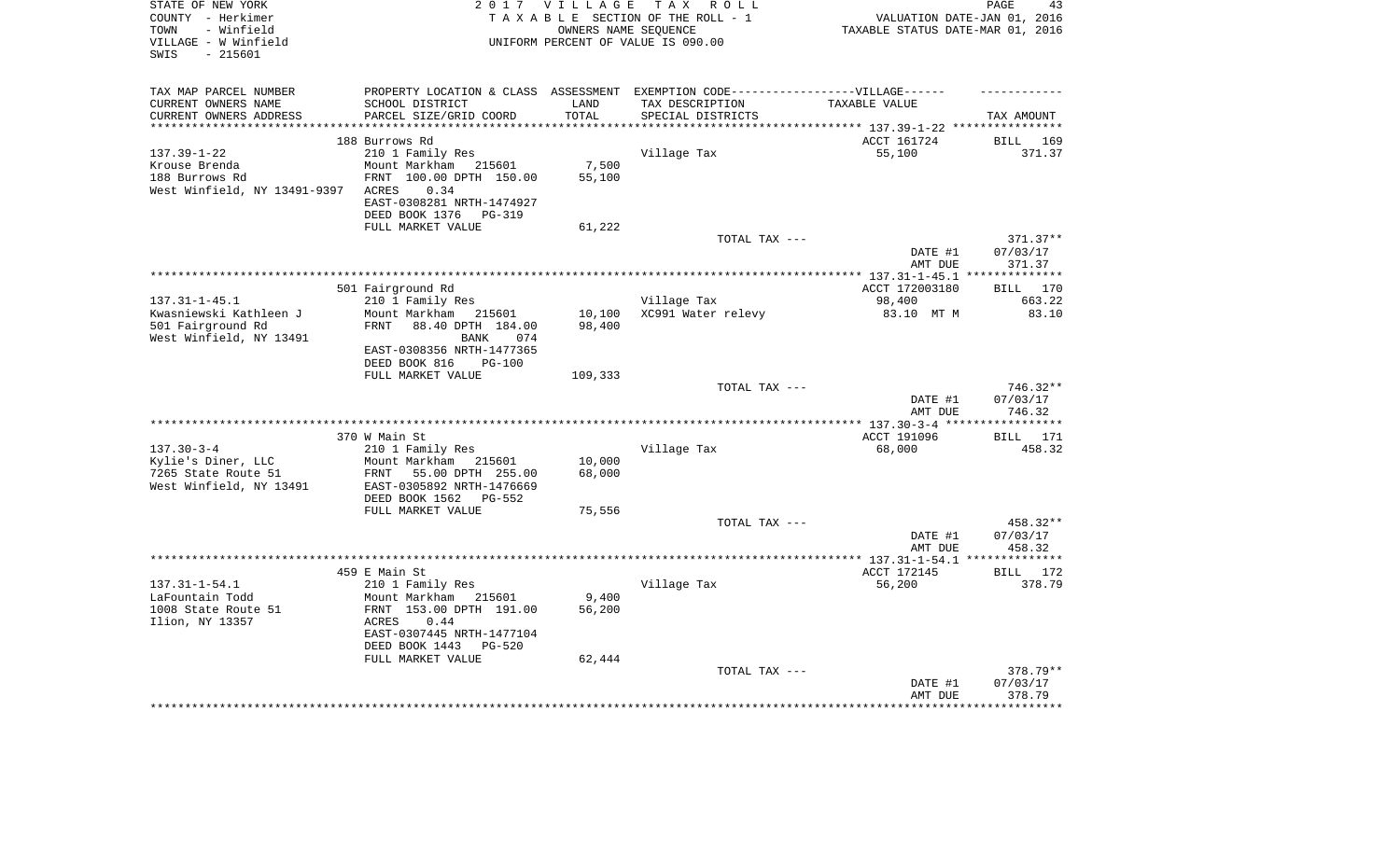| STATE OF NEW YORK                           |                                                        | 2017 VILLAGE      | TAX ROLL                                                                          |                                             | PAGE<br>43            |
|---------------------------------------------|--------------------------------------------------------|-------------------|-----------------------------------------------------------------------------------|---------------------------------------------|-----------------------|
| COUNTY - Herkimer                           |                                                        |                   | TAXABLE SECTION OF THE ROLL - 1                                                   | VALUATION DATE-JAN 01, 2016                 |                       |
| - Winfield<br>TOWN<br>VILLAGE - W Winfield  |                                                        |                   | OWNERS NAME SEOUENCE<br>UNIFORM PERCENT OF VALUE IS 090.00                        | TAXABLE STATUS DATE-MAR 01, 2016            |                       |
| $-215601$<br>SWIS                           |                                                        |                   |                                                                                   |                                             |                       |
|                                             |                                                        |                   |                                                                                   |                                             |                       |
|                                             |                                                        |                   |                                                                                   |                                             |                       |
| TAX MAP PARCEL NUMBER                       |                                                        |                   | PROPERTY LOCATION & CLASS ASSESSMENT EXEMPTION CODE-----------------VILLAGE------ |                                             |                       |
| CURRENT OWNERS NAME                         | SCHOOL DISTRICT                                        | LAND              | TAX DESCRIPTION                                                                   | TAXABLE VALUE                               |                       |
| CURRENT OWNERS ADDRESS                      | PARCEL SIZE/GRID COORD                                 | TOTAL<br>******** | SPECIAL DISTRICTS                                                                 |                                             | TAX AMOUNT            |
|                                             | 188 Burrows Rd                                         |                   |                                                                                   | *********** 137.39-1-22 ****<br>ACCT 161724 | 169<br>BILL           |
| $137.39 - 1 - 22$                           | 210 1 Family Res                                       |                   | Village Tax                                                                       | 55,100                                      | 371.37                |
| Krouse Brenda                               | Mount Markham 215601                                   | 7,500             |                                                                                   |                                             |                       |
| 188 Burrows Rd                              | FRNT 100.00 DPTH 150.00                                | 55,100            |                                                                                   |                                             |                       |
| West Winfield, NY 13491-9397                | ACRES<br>0.34                                          |                   |                                                                                   |                                             |                       |
|                                             | EAST-0308281 NRTH-1474927                              |                   |                                                                                   |                                             |                       |
|                                             | DEED BOOK 1376 PG-319                                  |                   |                                                                                   |                                             |                       |
|                                             | FULL MARKET VALUE                                      | 61,222            |                                                                                   |                                             |                       |
|                                             |                                                        |                   | TOTAL TAX ---                                                                     |                                             | $371.37**$            |
|                                             |                                                        |                   |                                                                                   | DATE #1                                     | 07/03/17              |
|                                             |                                                        |                   |                                                                                   | AMT DUE                                     | 371.37                |
|                                             |                                                        |                   |                                                                                   |                                             | ************          |
|                                             | 501 Fairground Rd                                      |                   |                                                                                   | ACCT 172003180                              | BILL 170              |
| $137.31 - 1 - 45.1$                         | 210 1 Family Res                                       |                   | Village Tax                                                                       | 98,400                                      | 663.22                |
| Kwasniewski Kathleen J<br>501 Fairground Rd | Mount Markham<br>215601<br>FRNT 88.40 DPTH 184.00      | 10,100<br>98,400  | XC991 Water relevy                                                                | 83.10 MT M                                  | 83.10                 |
| West Winfield, NY 13491                     | <b>BANK</b><br>074                                     |                   |                                                                                   |                                             |                       |
|                                             | EAST-0308356 NRTH-1477365                              |                   |                                                                                   |                                             |                       |
|                                             | DEED BOOK 816<br><b>PG-100</b>                         |                   |                                                                                   |                                             |                       |
|                                             | FULL MARKET VALUE                                      | 109,333           |                                                                                   |                                             |                       |
|                                             |                                                        |                   | TOTAL TAX ---                                                                     |                                             | 746.32**              |
|                                             |                                                        |                   |                                                                                   | DATE #1                                     | 07/03/17              |
|                                             |                                                        |                   |                                                                                   | AMT DUE                                     | 746.32                |
|                                             |                                                        |                   |                                                                                   |                                             |                       |
|                                             | 370 W Main St                                          |                   |                                                                                   | ACCT 191096                                 | BILL 171              |
| $137.30 - 3 - 4$                            | 210 1 Family Res                                       |                   | Village Tax                                                                       | 68,000                                      | 458.32                |
| Kylie's Diner, LLC<br>7265 State Route 51   | Mount Markham<br>215601                                | 10,000<br>68,000  |                                                                                   |                                             |                       |
| West Winfield, NY 13491                     | FRNT<br>55.00 DPTH 255.00<br>EAST-0305892 NRTH-1476669 |                   |                                                                                   |                                             |                       |
|                                             | DEED BOOK 1562<br>PG-552                               |                   |                                                                                   |                                             |                       |
|                                             | FULL MARKET VALUE                                      | 75,556            |                                                                                   |                                             |                       |
|                                             |                                                        |                   | TOTAL TAX ---                                                                     |                                             | 458.32**              |
|                                             |                                                        |                   |                                                                                   | DATE #1                                     | 07/03/17              |
|                                             |                                                        |                   |                                                                                   | AMT DUE                                     | 458.32                |
|                                             |                                                        |                   |                                                                                   | *********** 137.31-1-54.1 ***               | * * * * * * * * * * * |
|                                             | 459 E Main St                                          |                   |                                                                                   | ACCT 172145                                 | BILL 172              |
| $137.31 - 1 - 54.1$                         | 210 1 Family Res                                       |                   | Village Tax                                                                       | 56,200                                      | 378.79                |
| LaFountain Todd                             | Mount Markham 215601                                   | 9,400             |                                                                                   |                                             |                       |
| 1008 State Route 51                         | FRNT 153.00 DPTH 191.00                                | 56,200            |                                                                                   |                                             |                       |
| Ilion, NY 13357                             | ACRES<br>0.44<br>EAST-0307445 NRTH-1477104             |                   |                                                                                   |                                             |                       |
|                                             | DEED BOOK 1443<br><b>PG-520</b>                        |                   |                                                                                   |                                             |                       |
|                                             | FULL MARKET VALUE                                      | 62,444            |                                                                                   |                                             |                       |
|                                             |                                                        |                   | TOTAL TAX ---                                                                     |                                             | 378.79**              |
|                                             |                                                        |                   |                                                                                   | DATE #1                                     | 07/03/17              |
|                                             |                                                        |                   |                                                                                   | AMT DUE                                     | 378.79                |
|                                             |                                                        |                   |                                                                                   |                                             |                       |
|                                             |                                                        |                   |                                                                                   |                                             |                       |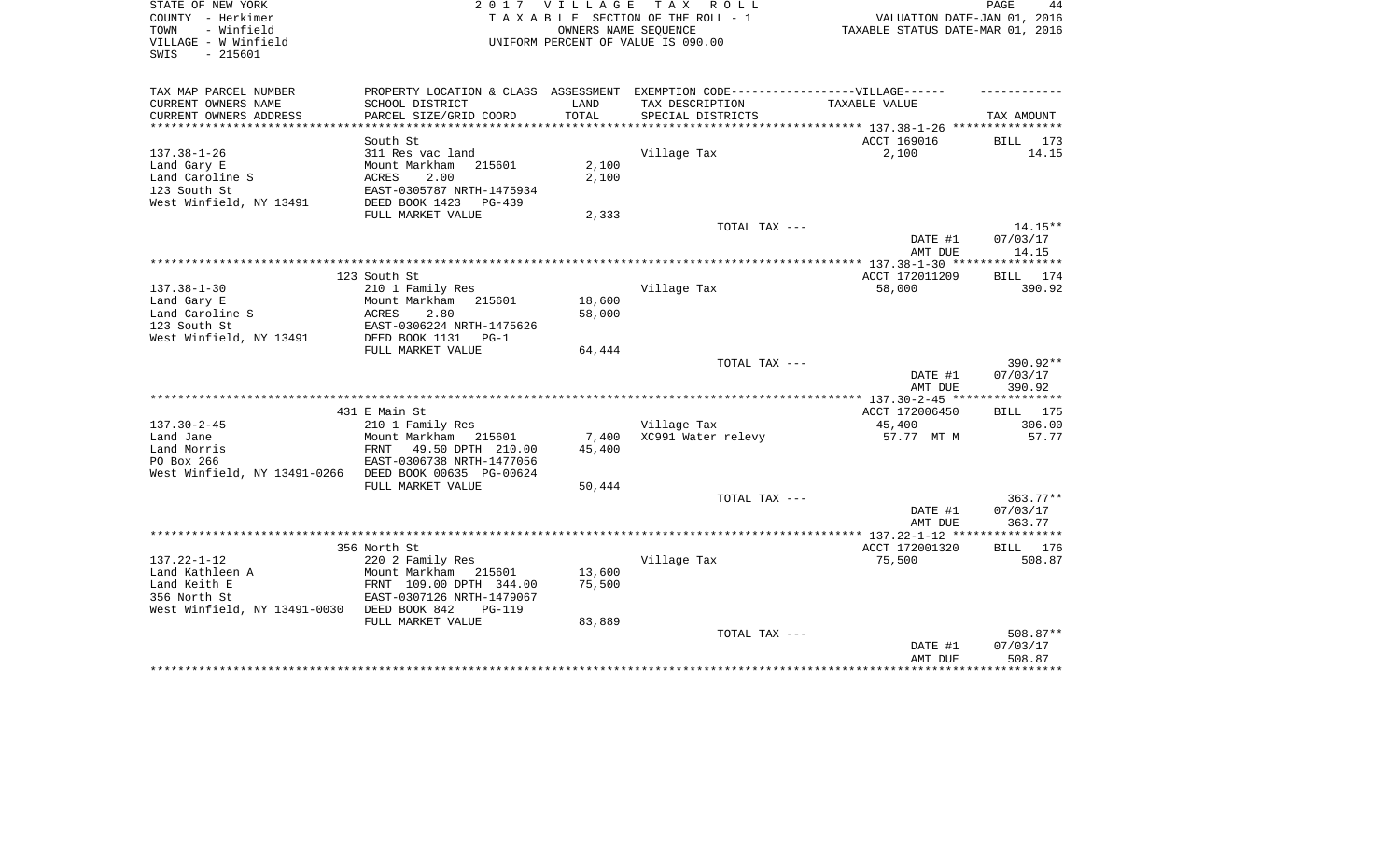| STATE OF NEW YORK<br>COUNTY - Herkimer<br>TOWN<br>- Winfield | 2 0 1 7                                     | V I L L A G E | TAX ROLL<br>TAXABLE SECTION OF THE ROLL - 1<br>OWNERS NAME SEOUENCE               | VALUATION DATE-JAN 01, 2016<br>TAXABLE STATUS DATE-MAR 01, 2016 | PAGE<br>44            |
|--------------------------------------------------------------|---------------------------------------------|---------------|-----------------------------------------------------------------------------------|-----------------------------------------------------------------|-----------------------|
| VILLAGE - W Winfield<br>SWIS<br>$-215601$                    |                                             |               | UNIFORM PERCENT OF VALUE IS 090.00                                                |                                                                 |                       |
| TAX MAP PARCEL NUMBER                                        |                                             |               | PROPERTY LOCATION & CLASS ASSESSMENT EXEMPTION CODE-----------------VILLAGE------ |                                                                 |                       |
| CURRENT OWNERS NAME                                          | SCHOOL DISTRICT                             | LAND          | TAX DESCRIPTION                                                                   | TAXABLE VALUE                                                   |                       |
| CURRENT OWNERS ADDRESS                                       | PARCEL SIZE/GRID COORD                      | TOTAL         | SPECIAL DISTRICTS                                                                 |                                                                 | TAX AMOUNT            |
|                                                              |                                             |               |                                                                                   |                                                                 |                       |
| $137.38 - 1 - 26$                                            | South St<br>311 Res vac land                |               |                                                                                   | ACCT 169016<br>2,100                                            | BILL 173<br>14.15     |
| Land Gary E                                                  | Mount Markham<br>215601                     | 2,100         | Village Tax                                                                       |                                                                 |                       |
| Land Caroline S                                              | ACRES<br>2.00                               | 2,100         |                                                                                   |                                                                 |                       |
| 123 South St                                                 | EAST-0305787 NRTH-1475934                   |               |                                                                                   |                                                                 |                       |
| West Winfield, NY 13491                                      | DEED BOOK 1423<br>PG-439                    |               |                                                                                   |                                                                 |                       |
|                                                              | FULL MARKET VALUE                           | 2,333         |                                                                                   |                                                                 |                       |
|                                                              |                                             |               | TOTAL TAX ---                                                                     |                                                                 | $14.15**$             |
|                                                              |                                             |               |                                                                                   | DATE #1                                                         | 07/03/17              |
|                                                              |                                             |               |                                                                                   | AMT DUE                                                         | 14.15                 |
|                                                              |                                             |               |                                                                                   |                                                                 |                       |
| $137.38 - 1 - 30$                                            | 123 South St                                |               | Village Tax                                                                       | ACCT 172011209                                                  | BILL 174<br>390.92    |
| Land Gary E                                                  | 210 1 Family Res<br>Mount Markham<br>215601 | 18,600        |                                                                                   | 58,000                                                          |                       |
| Land Caroline S                                              | 2.80<br>ACRES                               | 58,000        |                                                                                   |                                                                 |                       |
| 123 South St                                                 | EAST-0306224 NRTH-1475626                   |               |                                                                                   |                                                                 |                       |
| West Winfield, NY 13491                                      | DEED BOOK 1131<br>$PG-1$                    |               |                                                                                   |                                                                 |                       |
|                                                              | FULL MARKET VALUE                           | 64,444        |                                                                                   |                                                                 |                       |
|                                                              |                                             |               | TOTAL TAX ---                                                                     |                                                                 | 390.92**              |
|                                                              |                                             |               |                                                                                   | DATE #1                                                         | 07/03/17              |
|                                                              |                                             |               |                                                                                   | AMT DUE                                                         | 390.92                |
|                                                              |                                             |               |                                                                                   |                                                                 |                       |
| $137.30 - 2 - 45$                                            | 431 E Main St<br>210 1 Family Res           |               | Village Tax                                                                       | ACCT 172006450<br>45,400                                        | 175<br>BILL<br>306.00 |
| Land Jane                                                    | Mount Markham 215601                        | 7,400         | XC991 Water relevy                                                                | 57.77 MT M                                                      | 57.77                 |
| Land Morris                                                  | 49.50 DPTH 210.00<br>FRNT                   | 45,400        |                                                                                   |                                                                 |                       |
| PO Box 266                                                   | EAST-0306738 NRTH-1477056                   |               |                                                                                   |                                                                 |                       |
| West Winfield, NY 13491-0266 DEED BOOK 00635 PG-00624        |                                             |               |                                                                                   |                                                                 |                       |
|                                                              | FULL MARKET VALUE                           | 50,444        |                                                                                   |                                                                 |                       |
|                                                              |                                             |               | TOTAL TAX ---                                                                     |                                                                 | $363.77**$            |
|                                                              |                                             |               |                                                                                   | DATE #1                                                         | 07/03/17              |
|                                                              |                                             |               |                                                                                   | AMT DUE                                                         | 363.77                |
|                                                              |                                             |               |                                                                                   |                                                                 |                       |
| $137.22 - 1 - 12$                                            | 356 North St<br>220 2 Family Res            |               | Village Tax                                                                       | ACCT 172001320<br>75,500                                        | BILL 176<br>508.87    |
| Land Kathleen A                                              | Mount Markham 215601                        | 13,600        |                                                                                   |                                                                 |                       |
| Land Keith E                                                 | FRNT 109.00 DPTH 344.00                     | 75,500        |                                                                                   |                                                                 |                       |
| 356 North St                                                 | EAST-0307126 NRTH-1479067                   |               |                                                                                   |                                                                 |                       |
| West Winfield, NY 13491-0030 DEED BOOK 842                   | $PG-119$                                    |               |                                                                                   |                                                                 |                       |
|                                                              | FULL MARKET VALUE                           | 83,889        |                                                                                   |                                                                 |                       |
|                                                              |                                             |               | TOTAL TAX ---                                                                     |                                                                 | 508.87**              |
|                                                              |                                             |               |                                                                                   | DATE #1                                                         | 07/03/17              |
|                                                              |                                             |               |                                                                                   | AMT DUE                                                         | 508.87                |
|                                                              |                                             |               |                                                                                   |                                                                 |                       |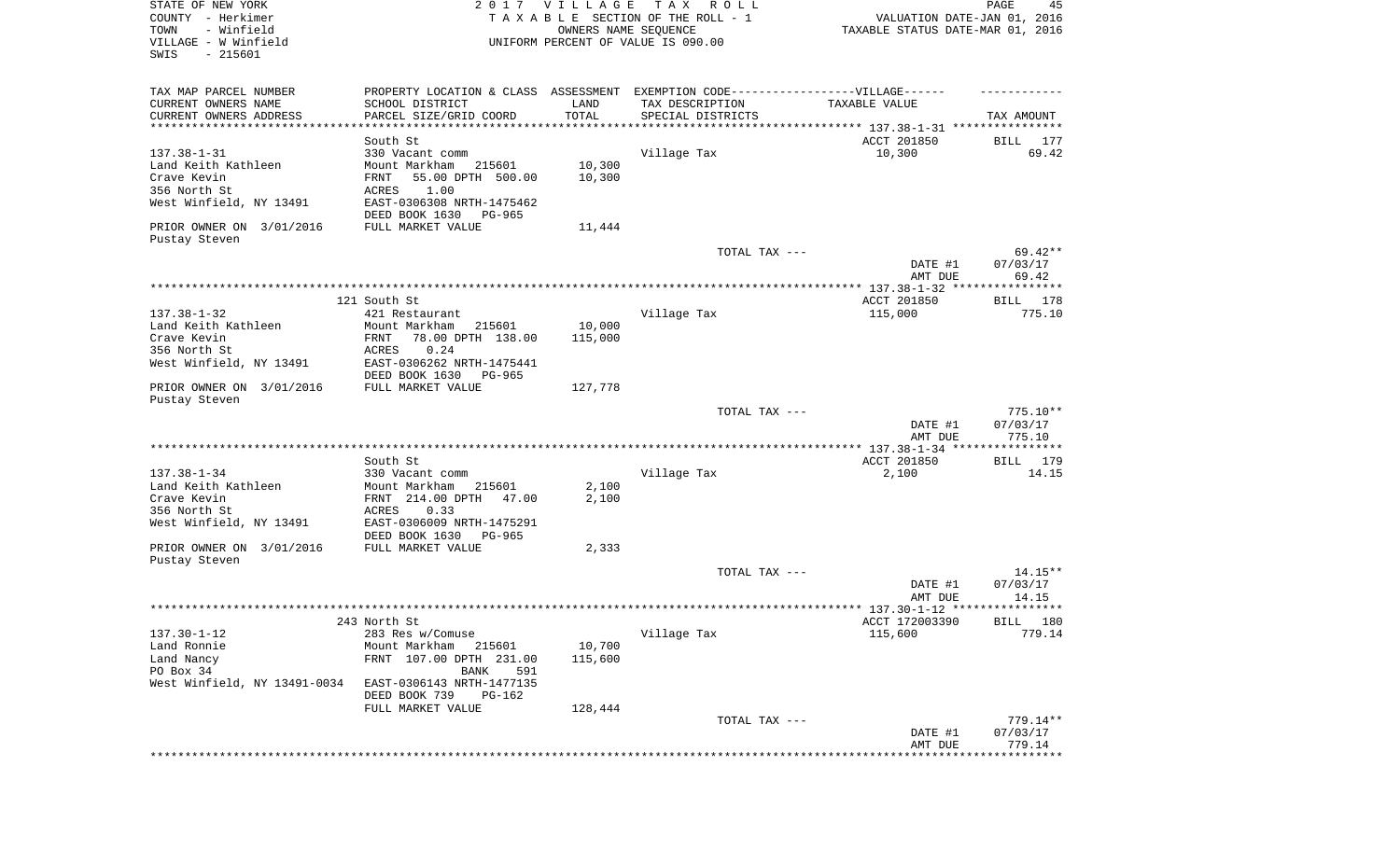| STATE OF NEW YORK<br>COUNTY - Herkimer<br>- Winfield<br>TOWN<br>VILLAGE - W Winfield<br>SWIS<br>$-215601$ |                                                                                                     | 2017 VILLAGE<br>OWNERS NAME SEQUENCE | T A X<br>R O L L<br>TAXABLE SECTION OF THE ROLL - 1<br>UNIFORM PERCENT OF VALUE IS 090.00 | VALUATION DATE-JAN 01, 2016<br>TAXABLE STATUS DATE-MAR 01, 2016 | PAGE<br>45        |
|-----------------------------------------------------------------------------------------------------------|-----------------------------------------------------------------------------------------------------|--------------------------------------|-------------------------------------------------------------------------------------------|-----------------------------------------------------------------|-------------------|
| TAX MAP PARCEL NUMBER                                                                                     |                                                                                                     |                                      |                                                                                           |                                                                 |                   |
| CURRENT OWNERS NAME                                                                                       | PROPERTY LOCATION & CLASS ASSESSMENT EXEMPTION CODE----------------VILLAGE------<br>SCHOOL DISTRICT | LAND                                 | TAX DESCRIPTION                                                                           | TAXABLE VALUE                                                   |                   |
| CURRENT OWNERS ADDRESS                                                                                    | PARCEL SIZE/GRID COORD                                                                              | TOTAL                                | SPECIAL DISTRICTS                                                                         |                                                                 | TAX AMOUNT        |
| ************************                                                                                  | ********************                                                                                |                                      |                                                                                           |                                                                 |                   |
|                                                                                                           | South St                                                                                            |                                      |                                                                                           | ACCT 201850                                                     | BILL<br>177       |
| $137.38 - 1 - 31$                                                                                         | 330 Vacant comm                                                                                     |                                      | Village Tax                                                                               | 10,300                                                          | 69.42             |
| Land Keith Kathleen<br>Crave Kevin                                                                        | Mount Markham<br>215601                                                                             | 10,300                               |                                                                                           |                                                                 |                   |
| 356 North St                                                                                              | 55.00 DPTH 500.00<br>FRNT<br>ACRES<br>1.00                                                          | 10,300                               |                                                                                           |                                                                 |                   |
| West Winfield, NY 13491                                                                                   | EAST-0306308 NRTH-1475462                                                                           |                                      |                                                                                           |                                                                 |                   |
|                                                                                                           | DEED BOOK 1630<br>PG-965                                                                            |                                      |                                                                                           |                                                                 |                   |
| PRIOR OWNER ON 3/01/2016                                                                                  | FULL MARKET VALUE                                                                                   | 11,444                               |                                                                                           |                                                                 |                   |
| Pustay Steven                                                                                             |                                                                                                     |                                      |                                                                                           |                                                                 |                   |
|                                                                                                           |                                                                                                     |                                      | TOTAL TAX ---                                                                             |                                                                 | $69.42**$         |
|                                                                                                           |                                                                                                     |                                      |                                                                                           | DATE #1<br>AMT DUE                                              | 07/03/17<br>69.42 |
|                                                                                                           |                                                                                                     |                                      |                                                                                           |                                                                 |                   |
|                                                                                                           | 121 South St                                                                                        |                                      |                                                                                           | ACCT 201850                                                     | BILL 178          |
| $137.38 - 1 - 32$                                                                                         | 421 Restaurant                                                                                      |                                      | Village Tax                                                                               | 115,000                                                         | 775.10            |
| Land Keith Kathleen                                                                                       | Mount Markham<br>215601                                                                             | 10,000                               |                                                                                           |                                                                 |                   |
| Crave Kevin                                                                                               | 78.00 DPTH 138.00<br>FRNT                                                                           | 115,000                              |                                                                                           |                                                                 |                   |
| 356 North St                                                                                              | ACRES<br>0.24                                                                                       |                                      |                                                                                           |                                                                 |                   |
| West Winfield, NY 13491                                                                                   | EAST-0306262 NRTH-1475441<br>DEED BOOK 1630<br>PG-965                                               |                                      |                                                                                           |                                                                 |                   |
| PRIOR OWNER ON 3/01/2016                                                                                  | FULL MARKET VALUE                                                                                   | 127,778                              |                                                                                           |                                                                 |                   |
| Pustay Steven                                                                                             |                                                                                                     |                                      |                                                                                           |                                                                 |                   |
|                                                                                                           |                                                                                                     |                                      | TOTAL TAX ---                                                                             |                                                                 | $775.10**$        |
|                                                                                                           |                                                                                                     |                                      |                                                                                           | DATE #1                                                         | 07/03/17          |
|                                                                                                           |                                                                                                     |                                      |                                                                                           | AMT DUE                                                         | 775.10            |
|                                                                                                           | South St                                                                                            |                                      |                                                                                           | ACCT 201850                                                     | BILL 179          |
| $137.38 - 1 - 34$                                                                                         | 330 Vacant comm                                                                                     |                                      | Village Tax                                                                               | 2,100                                                           | 14.15             |
| Land Keith Kathleen                                                                                       | Mount Markham<br>215601                                                                             | 2,100                                |                                                                                           |                                                                 |                   |
| Crave Kevin                                                                                               | FRNT 214.00 DPTH<br>47.00                                                                           | 2,100                                |                                                                                           |                                                                 |                   |
| 356 North St                                                                                              | ACRES<br>0.33                                                                                       |                                      |                                                                                           |                                                                 |                   |
| West Winfield, NY 13491                                                                                   | EAST-0306009 NRTH-1475291<br>DEED BOOK 1630<br>PG-965                                               |                                      |                                                                                           |                                                                 |                   |
| PRIOR OWNER ON 3/01/2016                                                                                  | FULL MARKET VALUE                                                                                   | 2,333                                |                                                                                           |                                                                 |                   |
| Pustay Steven                                                                                             |                                                                                                     |                                      |                                                                                           |                                                                 |                   |
|                                                                                                           |                                                                                                     |                                      | TOTAL TAX ---                                                                             |                                                                 | $14.15**$         |
|                                                                                                           |                                                                                                     |                                      |                                                                                           | DATE #1                                                         | 07/03/17          |
|                                                                                                           |                                                                                                     |                                      |                                                                                           | AMT DUE                                                         | 14.15             |
|                                                                                                           | 243 North St                                                                                        |                                      |                                                                                           | ACCT 172003390                                                  | BILL 180          |
| $137.30 - 1 - 12$                                                                                         | 283 Res w/Comuse                                                                                    |                                      | Village Tax                                                                               | 115,600                                                         | 779.14            |
| Land Ronnie                                                                                               | Mount Markham<br>215601                                                                             | 10,700                               |                                                                                           |                                                                 |                   |
| Land Nancy                                                                                                | FRNT 107.00 DPTH 231.00                                                                             | 115,600                              |                                                                                           |                                                                 |                   |
| PO Box 34                                                                                                 | 591<br>BANK                                                                                         |                                      |                                                                                           |                                                                 |                   |
| West Winfield, NY 13491-0034                                                                              | EAST-0306143 NRTH-1477135                                                                           |                                      |                                                                                           |                                                                 |                   |
|                                                                                                           | DEED BOOK 739<br>PG-162                                                                             |                                      |                                                                                           |                                                                 |                   |
|                                                                                                           | FULL MARKET VALUE                                                                                   | 128,444                              | TOTAL TAX ---                                                                             |                                                                 | $779.14**$        |
|                                                                                                           |                                                                                                     |                                      |                                                                                           | DATE #1                                                         | 07/03/17          |
|                                                                                                           |                                                                                                     |                                      |                                                                                           | AMT DUE                                                         | 779.14            |
|                                                                                                           |                                                                                                     |                                      |                                                                                           | *****************************                                   |                   |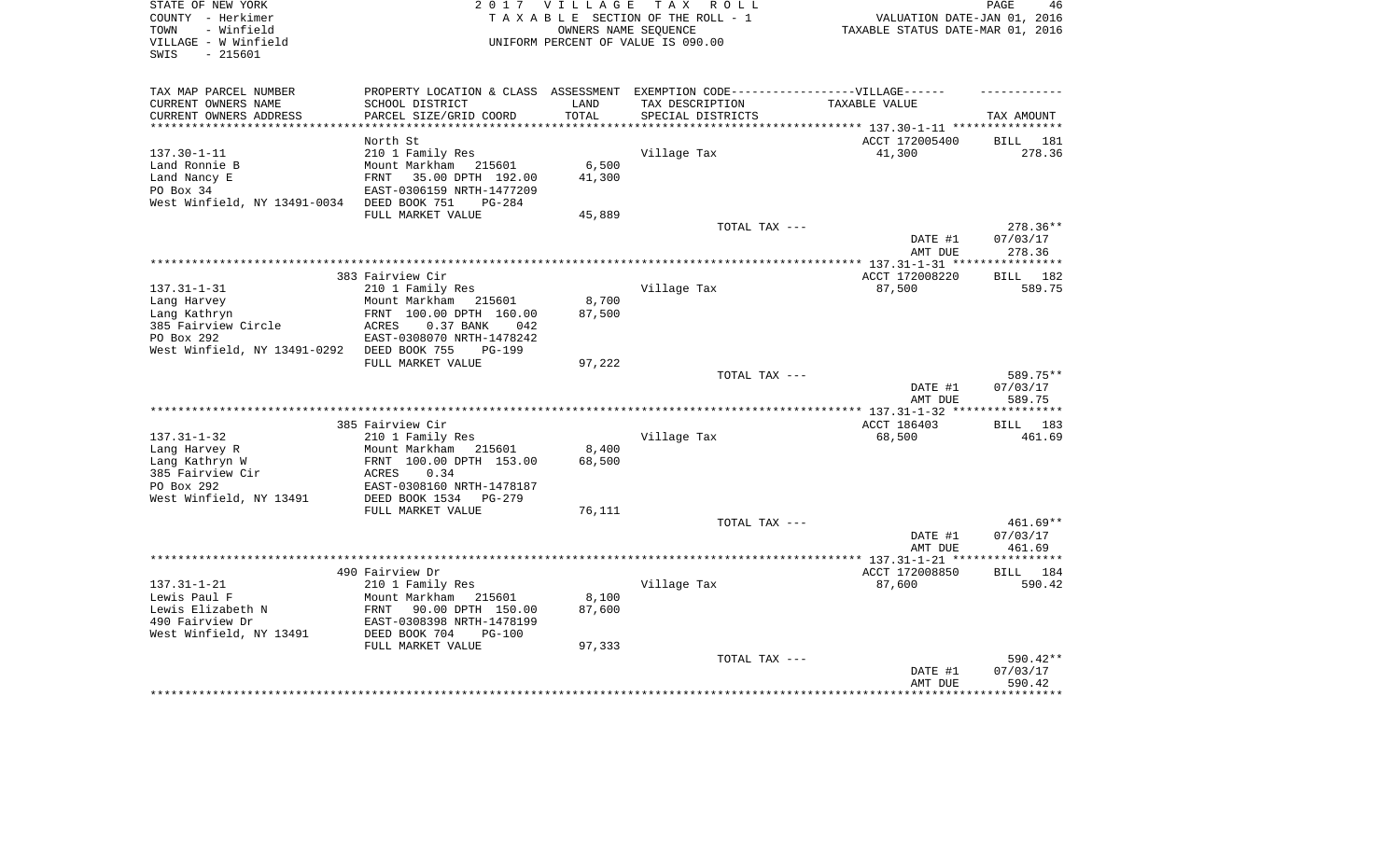| STATE OF NEW YORK<br>COUNTY - Herkimer                          | 2 0 1 7                    | <b>VILLAGE</b> | T A X<br>R O L L<br>TAXABLE SECTION OF THE ROLL - 1        | VALUATION DATE-JAN 01, 2016                                    | PAGE<br>46                     |
|-----------------------------------------------------------------|----------------------------|----------------|------------------------------------------------------------|----------------------------------------------------------------|--------------------------------|
| - Winfield<br>TOWN<br>VILLAGE - W Winfield<br>SWIS<br>$-215601$ |                            |                | OWNERS NAME SEQUENCE<br>UNIFORM PERCENT OF VALUE IS 090.00 | TAXABLE STATUS DATE-MAR 01, 2016                               |                                |
| TAX MAP PARCEL NUMBER                                           | PROPERTY LOCATION & CLASS  | ASSESSMENT     | EXEMPTION CODE------------------VILLAGE------              |                                                                |                                |
| CURRENT OWNERS NAME                                             | SCHOOL DISTRICT            | LAND           | TAX DESCRIPTION                                            | TAXABLE VALUE                                                  |                                |
| CURRENT OWNERS ADDRESS                                          | PARCEL SIZE/GRID COORD     | TOTAL          | SPECIAL DISTRICTS                                          |                                                                | TAX AMOUNT                     |
| **********************                                          |                            | ***********    |                                                            | ********************************* 137.30-1-11 **************** |                                |
|                                                                 | North St                   |                |                                                            | ACCT 172005400                                                 | BILL<br>181                    |
| $137.30 - 1 - 11$                                               | 210 1 Family Res           |                | Village Tax                                                | 41,300                                                         | 278.36                         |
| Land Ronnie B                                                   | Mount Markham<br>215601    | 6,500          |                                                            |                                                                |                                |
| Land Nancy E                                                    | FRNT<br>35.00 DPTH 192.00  | 41,300         |                                                            |                                                                |                                |
| PO Box 34                                                       | EAST-0306159 NRTH-1477209  |                |                                                            |                                                                |                                |
| West Winfield, NY 13491-0034                                    | DEED BOOK 751<br>$PG-284$  |                |                                                            |                                                                |                                |
|                                                                 | FULL MARKET VALUE          | 45,889         | TOTAL TAX ---                                              |                                                                | $278.36**$                     |
|                                                                 |                            |                |                                                            | DATE #1                                                        | 07/03/17                       |
|                                                                 |                            |                |                                                            | AMT DUE                                                        | 278.36                         |
|                                                                 |                            |                |                                                            | **** 137.31-1-31 ****                                          | * * * * * * * * *              |
|                                                                 | 383 Fairview Cir           |                |                                                            | ACCT 172008220                                                 | 182<br>BILL                    |
| $137.31 - 1 - 31$                                               | 210 1 Family Res           |                | Village Tax                                                | 87,500                                                         | 589.75                         |
| Lang Harvey                                                     | Mount Markham<br>215601    | 8,700          |                                                            |                                                                |                                |
| Lang Kathryn                                                    | FRNT 100.00 DPTH 160.00    | 87,500         |                                                            |                                                                |                                |
| 385 Fairview Circle                                             | 0.37 BANK<br>ACRES<br>042  |                |                                                            |                                                                |                                |
| PO Box 292                                                      | EAST-0308070 NRTH-1478242  |                |                                                            |                                                                |                                |
| West Winfield, NY 13491-0292                                    | DEED BOOK 755<br>PG-199    |                |                                                            |                                                                |                                |
|                                                                 | FULL MARKET VALUE          | 97,222         |                                                            |                                                                |                                |
|                                                                 |                            |                | TOTAL TAX ---                                              | DATE #1<br>AMT DUE                                             | 589.75**<br>07/03/17<br>589.75 |
|                                                                 |                            |                |                                                            | ** 137.31-1-32 **                                              | ********                       |
|                                                                 | 385 Fairview Cir           |                |                                                            | ACCT 186403                                                    | 183<br>BILL                    |
| $137.31 - 1 - 32$                                               | 210 1 Family Res           |                | Village Tax                                                | 68,500                                                         | 461.69                         |
| Lang Harvey R                                                   | Mount Markham<br>215601    | 8,400          |                                                            |                                                                |                                |
| Lang Kathryn W                                                  | FRNT 100.00 DPTH 153.00    | 68,500         |                                                            |                                                                |                                |
| 385 Fairview Cir                                                | 0.34<br>ACRES              |                |                                                            |                                                                |                                |
| PO Box 292                                                      | EAST-0308160 NRTH-1478187  |                |                                                            |                                                                |                                |
| West Winfield, NY 13491                                         | DEED BOOK 1534<br>$PG-279$ |                |                                                            |                                                                |                                |
|                                                                 | FULL MARKET VALUE          | 76,111         |                                                            |                                                                |                                |
|                                                                 |                            |                | TOTAL TAX ---                                              |                                                                | 461.69**                       |
|                                                                 |                            |                |                                                            | DATE #1                                                        | 07/03/17                       |
|                                                                 |                            |                |                                                            | AMT DUE                                                        | 461.69                         |
|                                                                 |                            |                |                                                            | ********** 137.31-1-21 ****                                    |                                |
|                                                                 | 490 Fairview Dr            |                |                                                            | ACCT 172008850                                                 | 184<br>BILL                    |
| $137.31 - 1 - 21$                                               | 210 1 Family Res           |                | Village Tax                                                | 87,600                                                         | 590.42                         |
| Lewis Paul F                                                    | Mount Markham<br>215601    | 8,100          |                                                            |                                                                |                                |
| Lewis Elizabeth N                                               | FRNT<br>90.00 DPTH 150.00  | 87,600         |                                                            |                                                                |                                |
| 490 Fairview Dr                                                 | EAST-0308398 NRTH-1478199  |                |                                                            |                                                                |                                |
| West Winfield, NY 13491                                         | DEED BOOK 704<br>$PG-100$  |                |                                                            |                                                                |                                |
|                                                                 | FULL MARKET VALUE          | 97,333         |                                                            |                                                                |                                |
|                                                                 |                            |                | TOTAL TAX ---                                              |                                                                | 590.42**                       |
|                                                                 |                            |                |                                                            | DATE #1<br>AMT DUE                                             | 07/03/17<br>590.42             |
|                                                                 |                            |                |                                                            |                                                                |                                |
|                                                                 |                            |                |                                                            |                                                                |                                |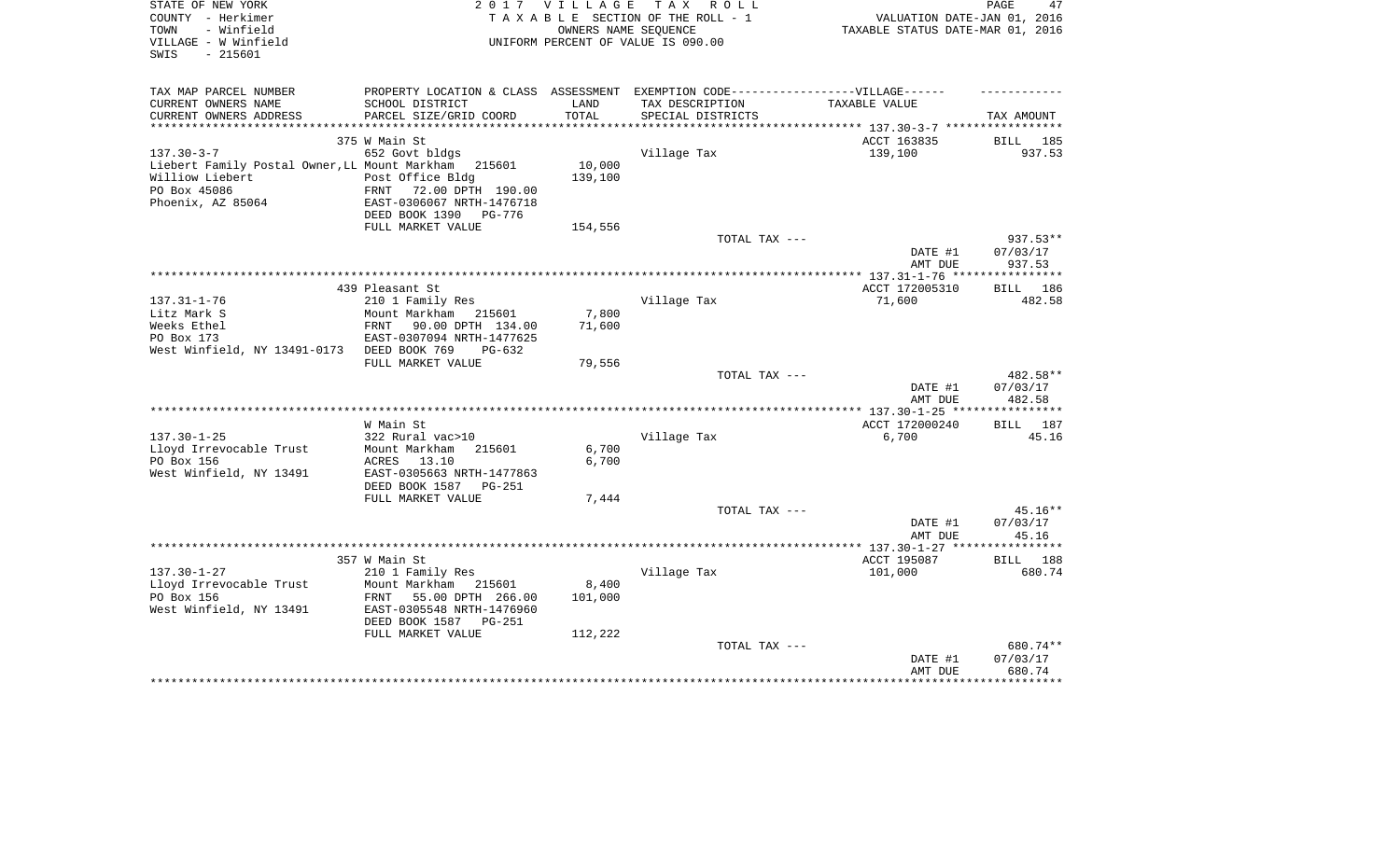| STATE OF NEW YORK<br>COUNTY - Herkimer<br>TOWN<br>- Winfield<br>VILLAGE - W Winfield<br>SWIS<br>$-215601$ | 2 0 1 7                                                                           | <b>VILLAGE</b> | T A X<br>R O L L<br>TAXABLE SECTION OF THE ROLL - 1<br>OWNERS NAME SEQUENCE<br>UNIFORM PERCENT OF VALUE IS 090.00 | VALUATION DATE-JAN 01, 2016<br>TAXABLE STATUS DATE-MAR 01, 2016 | 47<br>PAGE           |
|-----------------------------------------------------------------------------------------------------------|-----------------------------------------------------------------------------------|----------------|-------------------------------------------------------------------------------------------------------------------|-----------------------------------------------------------------|----------------------|
| TAX MAP PARCEL NUMBER                                                                                     | PROPERTY LOCATION & CLASS ASSESSMENT EXEMPTION CODE-----------------VILLAGE------ |                |                                                                                                                   |                                                                 |                      |
| CURRENT OWNERS NAME                                                                                       | SCHOOL DISTRICT                                                                   | LAND           | TAX DESCRIPTION                                                                                                   | TAXABLE VALUE                                                   |                      |
| CURRENT OWNERS ADDRESS                                                                                    | PARCEL SIZE/GRID COORD                                                            | TOTAL          | SPECIAL DISTRICTS                                                                                                 |                                                                 | TAX AMOUNT           |
| **********************                                                                                    |                                                                                   |                |                                                                                                                   |                                                                 |                      |
|                                                                                                           | 375 W Main St                                                                     |                |                                                                                                                   | ACCT 163835                                                     | BILL 185             |
| $137.30 - 3 - 7$<br>Liebert Family Postal Owner, LL Mount Markham                                         | 652 Govt bldgs<br>215601                                                          | 10,000         | Village Tax                                                                                                       | 139,100                                                         | 937.53               |
| Williow Liebert                                                                                           | Post Office Bldg                                                                  | 139,100        |                                                                                                                   |                                                                 |                      |
| PO Box 45086                                                                                              | FRNT<br>72.00 DPTH 190.00                                                         |                |                                                                                                                   |                                                                 |                      |
| Phoenix, AZ 85064                                                                                         | EAST-0306067 NRTH-1476718                                                         |                |                                                                                                                   |                                                                 |                      |
|                                                                                                           | DEED BOOK 1390<br>PG-776                                                          |                |                                                                                                                   |                                                                 |                      |
|                                                                                                           | FULL MARKET VALUE                                                                 | 154,556        | TOTAL TAX ---                                                                                                     |                                                                 | 937.53**             |
|                                                                                                           |                                                                                   |                |                                                                                                                   | DATE #1                                                         | 07/03/17             |
|                                                                                                           |                                                                                   |                |                                                                                                                   | AMT DUE                                                         | 937.53               |
|                                                                                                           |                                                                                   |                |                                                                                                                   |                                                                 |                      |
|                                                                                                           | 439 Pleasant St                                                                   |                |                                                                                                                   | ACCT 172005310                                                  | <b>BILL</b><br>186   |
| $137.31 - 1 - 76$<br>Litz Mark S                                                                          | 210 1 Family Res<br>Mount Markham<br>215601                                       | 7,800          | Village Tax                                                                                                       | 71,600                                                          | 482.58               |
| Weeks Ethel                                                                                               | FRNT<br>90.00 DPTH 134.00                                                         | 71,600         |                                                                                                                   |                                                                 |                      |
| PO Box 173                                                                                                | EAST-0307094 NRTH-1477625                                                         |                |                                                                                                                   |                                                                 |                      |
| West Winfield, NY 13491-0173                                                                              | DEED BOOK 769<br>$PG-632$                                                         |                |                                                                                                                   |                                                                 |                      |
|                                                                                                           | FULL MARKET VALUE                                                                 | 79,556         |                                                                                                                   |                                                                 |                      |
|                                                                                                           |                                                                                   |                | TOTAL TAX ---                                                                                                     | DATE #1                                                         | 482.58**<br>07/03/17 |
|                                                                                                           |                                                                                   |                |                                                                                                                   | AMT DUE                                                         | 482.58               |
|                                                                                                           |                                                                                   |                |                                                                                                                   |                                                                 |                      |
|                                                                                                           | W Main St                                                                         |                |                                                                                                                   | ACCT 172000240                                                  | BILL 187             |
| $137.30 - 1 - 25$                                                                                         | 322 Rural vac>10<br>Mount Markham<br>215601                                       |                | Village Tax                                                                                                       | 6,700                                                           | 45.16                |
| Lloyd Irrevocable Trust<br>PO Box 156                                                                     | ACRES<br>13.10                                                                    | 6,700<br>6,700 |                                                                                                                   |                                                                 |                      |
| West Winfield, NY 13491                                                                                   | EAST-0305663 NRTH-1477863                                                         |                |                                                                                                                   |                                                                 |                      |
|                                                                                                           | DEED BOOK 1587<br><b>PG-251</b>                                                   |                |                                                                                                                   |                                                                 |                      |
|                                                                                                           | FULL MARKET VALUE                                                                 | 7,444          |                                                                                                                   |                                                                 |                      |
|                                                                                                           |                                                                                   |                | TOTAL TAX ---                                                                                                     |                                                                 | $45.16**$            |
|                                                                                                           |                                                                                   |                |                                                                                                                   | DATE #1<br>AMT DUE                                              | 07/03/17<br>45.16    |
|                                                                                                           |                                                                                   |                |                                                                                                                   |                                                                 |                      |
|                                                                                                           | 357 W Main St                                                                     |                |                                                                                                                   | ACCT 195087                                                     | <b>BILL</b><br>188   |
| $137.30 - 1 - 27$                                                                                         | 210 1 Family Res                                                                  |                | Village Tax                                                                                                       | 101,000                                                         | 680.74               |
| Lloyd Irrevocable Trust                                                                                   | Mount Markham 215601                                                              | 8,400          |                                                                                                                   |                                                                 |                      |
| PO Box 156<br>West Winfield, NY 13491                                                                     | 55.00 DPTH 266.00<br>FRNT<br>EAST-0305548 NRTH-1476960                            | 101,000        |                                                                                                                   |                                                                 |                      |
|                                                                                                           | DEED BOOK 1587<br>$PG-251$                                                        |                |                                                                                                                   |                                                                 |                      |
|                                                                                                           | FULL MARKET VALUE                                                                 | 112,222        |                                                                                                                   |                                                                 |                      |
|                                                                                                           |                                                                                   |                | TOTAL TAX ---                                                                                                     |                                                                 | 680.74**             |
|                                                                                                           |                                                                                   |                |                                                                                                                   | DATE #1                                                         | 07/03/17             |
|                                                                                                           |                                                                                   |                |                                                                                                                   | AMT DUE                                                         | 680.74<br>*********  |
|                                                                                                           |                                                                                   |                |                                                                                                                   |                                                                 |                      |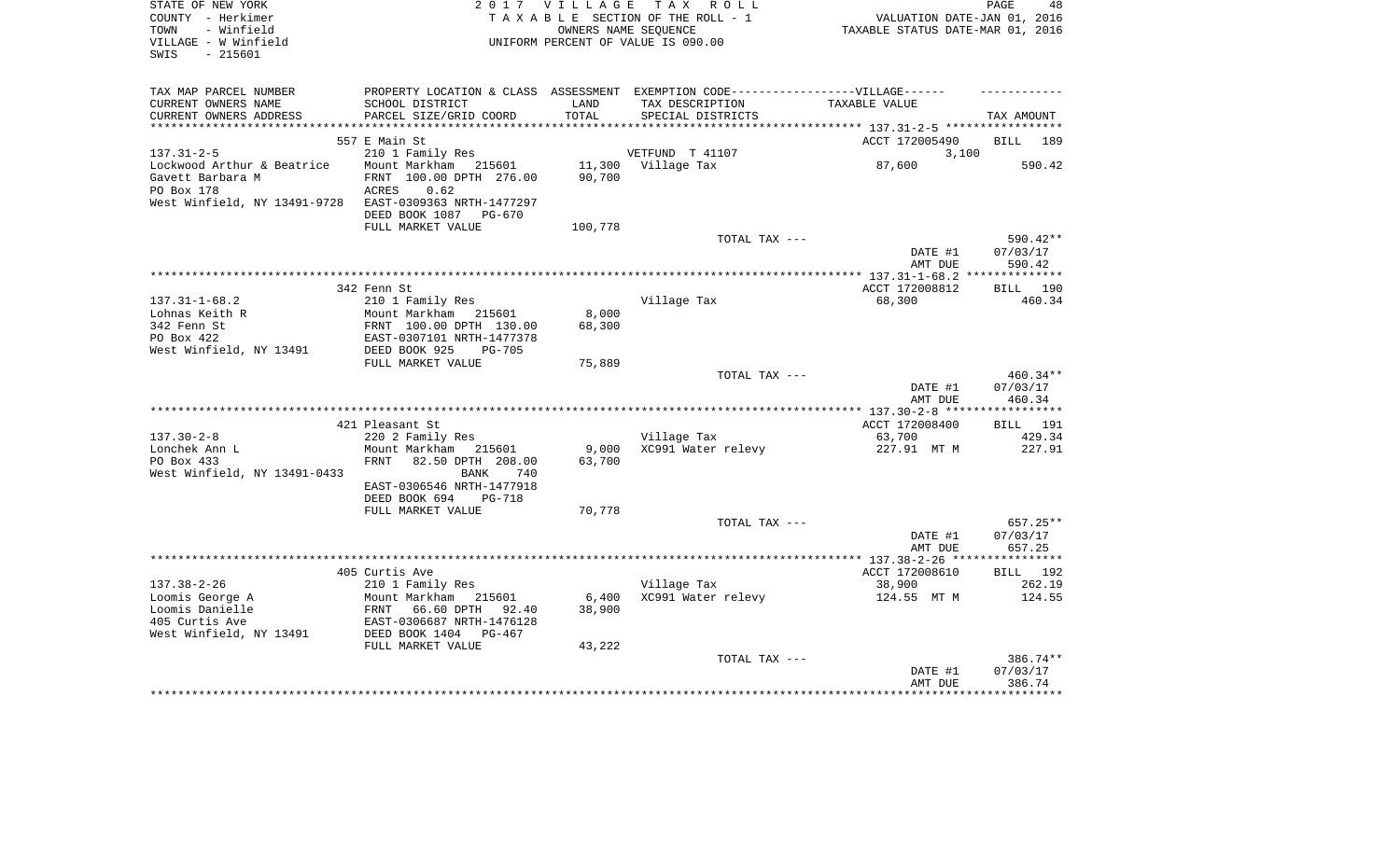| STATE OF NEW YORK<br>COUNTY - Herkimer<br>- Winfield<br>TOWN<br>VILLAGE - W Winfield<br>$-215601$<br>SWIS |                                                                                   | 2017 VILLAGE<br>OWNERS NAME SEOUENCE | TAX ROLL<br>TAXABLE SECTION OF THE ROLL - 1<br>UNIFORM PERCENT OF VALUE IS 090.00 | VALUATION DATE-JAN 01, 2016<br>TAXABLE STATUS DATE-MAR 01, 2016 | PAGE<br>48         |
|-----------------------------------------------------------------------------------------------------------|-----------------------------------------------------------------------------------|--------------------------------------|-----------------------------------------------------------------------------------|-----------------------------------------------------------------|--------------------|
| TAX MAP PARCEL NUMBER                                                                                     | PROPERTY LOCATION & CLASS ASSESSMENT EXEMPTION CODE-----------------VILLAGE------ |                                      |                                                                                   |                                                                 |                    |
| CURRENT OWNERS NAME                                                                                       | SCHOOL DISTRICT                                                                   | LAND<br>TOTAL                        | TAX DESCRIPTION                                                                   | TAXABLE VALUE                                                   |                    |
| CURRENT OWNERS ADDRESS<br>*************************                                                       | PARCEL SIZE/GRID COORD                                                            |                                      | SPECIAL DISTRICTS                                                                 |                                                                 | TAX AMOUNT         |
|                                                                                                           | 557 E Main St                                                                     |                                      |                                                                                   | ACCT 172005490                                                  | <b>BILL</b><br>189 |
| $137.31 - 2 - 5$                                                                                          | 210 1 Family Res                                                                  |                                      | VETFUND T 41107                                                                   | 3,100                                                           |                    |
| Lockwood Arthur & Beatrice                                                                                | Mount Markham 215601                                                              | 11,300                               | Village Tax                                                                       | 87,600                                                          | 590.42             |
| Gavett Barbara M                                                                                          | FRNT 100.00 DPTH 276.00                                                           | 90,700                               |                                                                                   |                                                                 |                    |
| PO Box 178                                                                                                | 0.62<br>ACRES                                                                     |                                      |                                                                                   |                                                                 |                    |
| West Winfield, NY 13491-9728                                                                              | EAST-0309363 NRTH-1477297                                                         |                                      |                                                                                   |                                                                 |                    |
|                                                                                                           | DEED BOOK 1087 PG-670<br>FULL MARKET VALUE                                        | 100,778                              |                                                                                   |                                                                 |                    |
|                                                                                                           |                                                                                   |                                      | TOTAL TAX ---                                                                     |                                                                 | 590.42**           |
|                                                                                                           |                                                                                   |                                      |                                                                                   | DATE #1<br>AMT DUE                                              | 07/03/17<br>590.42 |
|                                                                                                           |                                                                                   |                                      |                                                                                   |                                                                 |                    |
|                                                                                                           | 342 Fenn St                                                                       |                                      |                                                                                   | ACCT 172008812                                                  | <b>BILL</b><br>190 |
| $137.31 - 1 - 68.2$                                                                                       | 210 1 Family Res                                                                  |                                      | Village Tax                                                                       | 68,300                                                          | 460.34             |
| Lohnas Keith R                                                                                            | Mount Markham<br>215601                                                           | 8,000                                |                                                                                   |                                                                 |                    |
| 342 Fenn St                                                                                               | FRNT 100.00 DPTH 130.00                                                           | 68,300                               |                                                                                   |                                                                 |                    |
| PO Box 422                                                                                                | EAST-0307101 NRTH-1477378                                                         |                                      |                                                                                   |                                                                 |                    |
| West Winfield, NY 13491                                                                                   | DEED BOOK 925<br><b>PG-705</b><br>FULL MARKET VALUE                               | 75,889                               |                                                                                   |                                                                 |                    |
|                                                                                                           |                                                                                   |                                      | TOTAL TAX ---                                                                     |                                                                 | 460.34**           |
|                                                                                                           |                                                                                   |                                      |                                                                                   | DATE #1                                                         | 07/03/17           |
|                                                                                                           |                                                                                   |                                      |                                                                                   | AMT DUE                                                         | 460.34             |
|                                                                                                           |                                                                                   |                                      |                                                                                   |                                                                 |                    |
|                                                                                                           | 421 Pleasant St                                                                   |                                      |                                                                                   | ACCT 172008400                                                  | <b>BILL</b> 191    |
| $137.30 - 2 - 8$<br>Lonchek Ann L                                                                         | 220 2 Family Res<br>Mount Markham<br>215601                                       | 9,000                                | Village Tax<br>XC991 Water relevy                                                 | 63,700                                                          | 429.34<br>227.91   |
| PO Box 433                                                                                                | FRNT<br>82.50 DPTH 208.00                                                         | 63,700                               |                                                                                   | 227.91 MT M                                                     |                    |
| West Winfield, NY 13491-0433                                                                              | <b>BANK</b><br>740                                                                |                                      |                                                                                   |                                                                 |                    |
|                                                                                                           | EAST-0306546 NRTH-1477918                                                         |                                      |                                                                                   |                                                                 |                    |
|                                                                                                           | DEED BOOK 694<br><b>PG-718</b>                                                    |                                      |                                                                                   |                                                                 |                    |
|                                                                                                           | FULL MARKET VALUE                                                                 | 70,778                               |                                                                                   |                                                                 |                    |
|                                                                                                           |                                                                                   |                                      | TOTAL TAX ---                                                                     |                                                                 | 657.25**           |
|                                                                                                           |                                                                                   |                                      |                                                                                   | DATE #1<br>AMT DUE                                              | 07/03/17<br>657.25 |
|                                                                                                           |                                                                                   |                                      |                                                                                   |                                                                 |                    |
|                                                                                                           | 405 Curtis Ave                                                                    |                                      |                                                                                   | ACCT 172008610                                                  | BILL 192           |
| $137.38 - 2 - 26$                                                                                         | 210 1 Family Res                                                                  |                                      | Village Tax                                                                       | 38,900                                                          | 262.19             |
| Loomis George A                                                                                           | Mount Markham 215601                                                              | 6,400                                | XC991 Water relevy                                                                | 124.55 MT M                                                     | 124.55             |
| Loomis Danielle                                                                                           | 66.60 DPTH<br>92.40<br>FRNT                                                       | 38,900                               |                                                                                   |                                                                 |                    |
| 405 Curtis Ave                                                                                            | EAST-0306687 NRTH-1476128                                                         |                                      |                                                                                   |                                                                 |                    |
| West Winfield, NY 13491                                                                                   | DEED BOOK 1404<br>PG-467<br>FULL MARKET VALUE                                     | 43,222                               |                                                                                   |                                                                 |                    |
|                                                                                                           |                                                                                   |                                      | TOTAL TAX ---                                                                     |                                                                 | 386.74**           |
|                                                                                                           |                                                                                   |                                      |                                                                                   | DATE #1                                                         | 07/03/17           |
|                                                                                                           |                                                                                   |                                      |                                                                                   | AMT DUE                                                         | 386.74             |
|                                                                                                           |                                                                                   |                                      |                                                                                   |                                                                 |                    |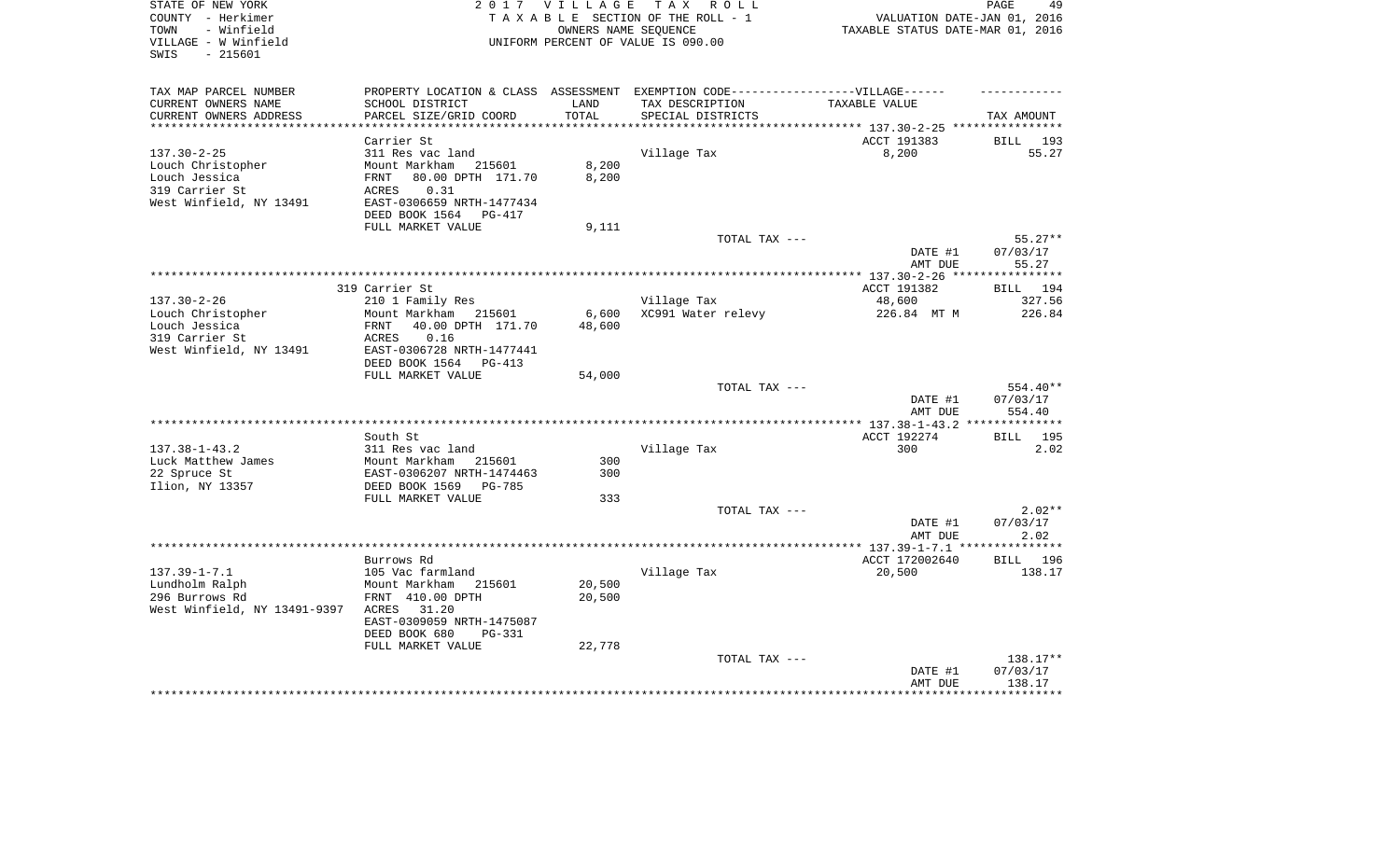| STATE OF NEW YORK<br>COUNTY - Herkimer    | 2 0 1 7                                    | <b>VILLAGE</b>  | T A X<br>R O L L<br>TAXABLE SECTION OF THE ROLL - 1 | VALUATION DATE-JAN 01, 2016       | 49<br>PAGE         |
|-------------------------------------------|--------------------------------------------|-----------------|-----------------------------------------------------|-----------------------------------|--------------------|
| - Winfield<br>TOWN                        |                                            |                 | OWNERS NAME SEQUENCE                                | TAXABLE STATUS DATE-MAR 01, 2016  |                    |
| VILLAGE - W Winfield<br>SWIS<br>$-215601$ |                                            |                 | UNIFORM PERCENT OF VALUE IS 090.00                  |                                   |                    |
| TAX MAP PARCEL NUMBER                     | PROPERTY LOCATION & CLASS ASSESSMENT       |                 | EXEMPTION CODE------------------VILLAGE------       |                                   |                    |
| CURRENT OWNERS NAME                       | SCHOOL DISTRICT                            | LAND            | TAX DESCRIPTION                                     | TAXABLE VALUE                     |                    |
| CURRENT OWNERS ADDRESS                    | PARCEL SIZE/GRID COORD                     | TOTAL           | SPECIAL DISTRICTS                                   |                                   | TAX AMOUNT         |
| ***********************                   |                                            |                 |                                                     |                                   |                    |
|                                           | Carrier St                                 |                 |                                                     | ACCT 191383                       | BILL<br>193        |
| $137.30 - 2 - 25$                         | 311 Res vac land                           |                 | Village Tax                                         | 8,200                             | 55.27              |
| Louch Christopher                         | Mount Markham<br>215601                    | 8,200           |                                                     |                                   |                    |
| Louch Jessica                             | 80.00 DPTH 171.70<br>FRNT                  | 8,200           |                                                     |                                   |                    |
| 319 Carrier St<br>West Winfield, NY 13491 | 0.31<br>ACRES<br>EAST-0306659 NRTH-1477434 |                 |                                                     |                                   |                    |
|                                           | DEED BOOK 1564<br>PG-417                   |                 |                                                     |                                   |                    |
|                                           | FULL MARKET VALUE                          | 9,111           |                                                     |                                   |                    |
|                                           |                                            |                 | TOTAL TAX ---                                       |                                   | $55.27**$          |
|                                           |                                            |                 |                                                     | DATE #1                           | 07/03/17           |
|                                           |                                            |                 |                                                     | AMT DUE                           | 55.27              |
|                                           |                                            |                 |                                                     |                                   | ********           |
|                                           | 319 Carrier St                             |                 |                                                     | ACCT 191382                       | BILL<br>194        |
| $137.30 - 2 - 26$                         | 210 1 Family Res                           |                 | Village Tax                                         | 48,600                            | 327.56             |
| Louch Christopher<br>Louch Jessica        | Mount Markham<br>215601                    | 6,600<br>48,600 | XC991 Water relevy                                  | 226.84 MT M                       | 226.84             |
| 319 Carrier St                            | 40.00 DPTH 171.70<br>FRNT<br>ACRES<br>0.16 |                 |                                                     |                                   |                    |
| West Winfield, NY 13491                   | EAST-0306728 NRTH-1477441                  |                 |                                                     |                                   |                    |
|                                           | DEED BOOK 1564<br>PG-413                   |                 |                                                     |                                   |                    |
|                                           | FULL MARKET VALUE                          | 54,000          |                                                     |                                   |                    |
|                                           |                                            |                 | TOTAL TAX ---                                       |                                   | 554.40**           |
|                                           |                                            |                 |                                                     | DATE #1                           | 07/03/17           |
|                                           |                                            |                 |                                                     | AMT DUE                           | 554.40             |
|                                           | South St                                   |                 |                                                     | ACCT 192274                       | <b>BILL</b><br>195 |
| $137.38 - 1 - 43.2$                       | 311 Res vac land                           |                 | Village Tax                                         | 300                               | 2.02               |
| Luck Matthew James                        | Mount Markham<br>215601                    | 300             |                                                     |                                   |                    |
| 22 Spruce St                              | EAST-0306207 NRTH-1474463                  | 300             |                                                     |                                   |                    |
| Ilion, NY 13357                           | DEED BOOK 1569<br>PG-785                   |                 |                                                     |                                   |                    |
|                                           | FULL MARKET VALUE                          | 333             |                                                     |                                   |                    |
|                                           |                                            |                 | TOTAL TAX ---                                       |                                   | $2.02**$           |
|                                           |                                            |                 |                                                     | DATE #1                           | 07/03/17           |
|                                           |                                            |                 | **********************                              | AMT DUE                           | 2.02<br>*******    |
|                                           | Burrows Rd                                 |                 |                                                     | ** 137.39-1-7.1<br>ACCT 172002640 | <b>BILL</b><br>196 |
| $137.39 - 1 - 7.1$                        | 105 Vac farmland                           |                 | Village Tax                                         | 20,500                            | 138.17             |
| Lundholm Ralph                            | Mount Markham<br>215601                    | 20,500          |                                                     |                                   |                    |
| 296 Burrows Rd                            | FRNT 410.00 DPTH                           | 20,500          |                                                     |                                   |                    |
| West Winfield, NY 13491-9397              | 31.20<br>ACRES                             |                 |                                                     |                                   |                    |
|                                           | EAST-0309059 NRTH-1475087                  |                 |                                                     |                                   |                    |
|                                           | DEED BOOK 680<br><b>PG-331</b>             |                 |                                                     |                                   |                    |
|                                           | FULL MARKET VALUE                          | 22,778          |                                                     |                                   |                    |
|                                           |                                            |                 | TOTAL TAX ---                                       |                                   | $138.17**$         |
|                                           |                                            |                 |                                                     | DATE #1                           | 07/03/17           |
|                                           |                                            |                 |                                                     | AMT DUE                           | 138.17             |
|                                           |                                            |                 |                                                     |                                   |                    |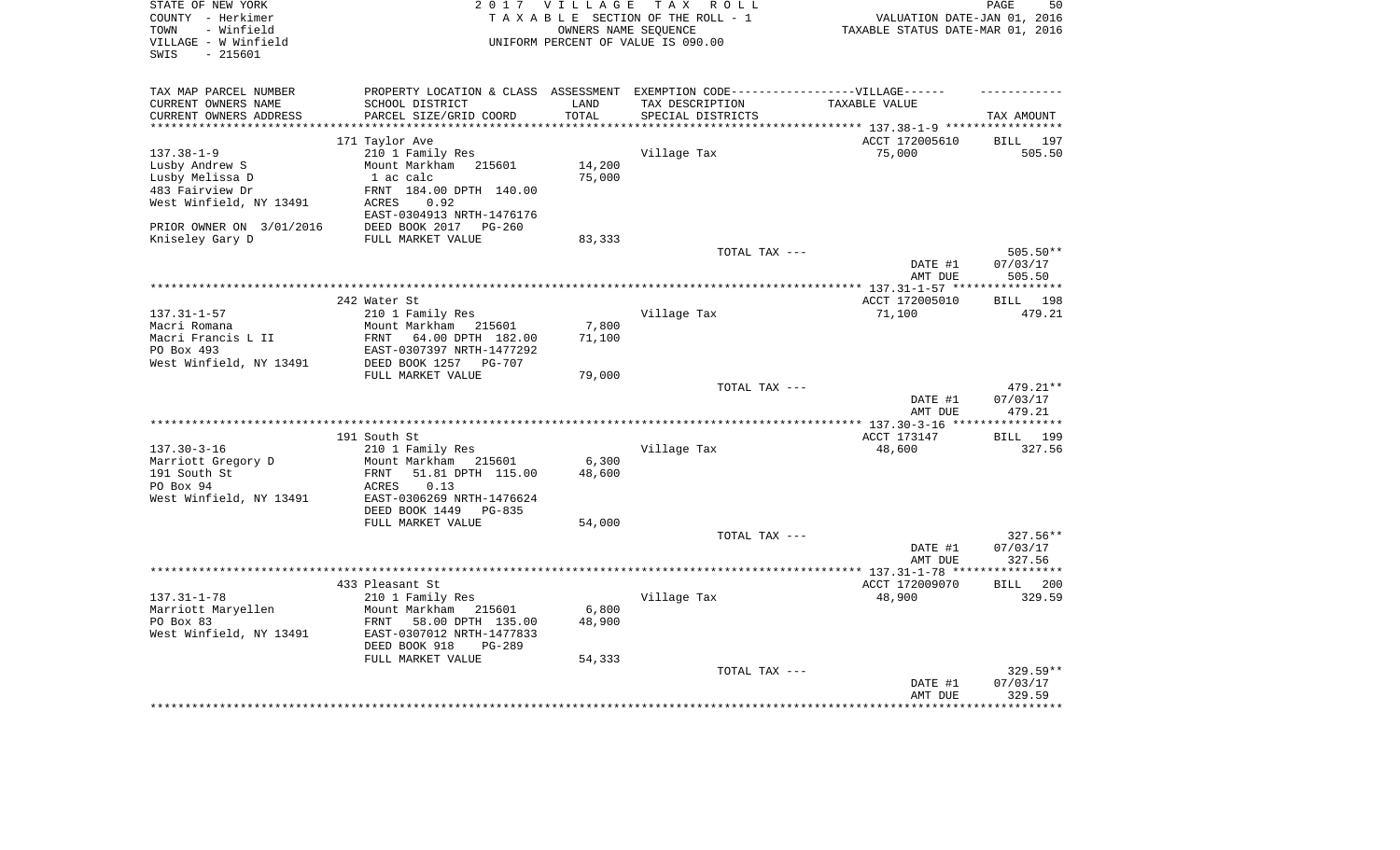| STATE OF NEW YORK        | 2 0 1 7                                                                          | <b>VILLAGE</b> | T A X<br>R O L L                   |                                  | 50<br>PAGE         |
|--------------------------|----------------------------------------------------------------------------------|----------------|------------------------------------|----------------------------------|--------------------|
| COUNTY - Herkimer        |                                                                                  |                | TAXABLE SECTION OF THE ROLL - 1    | VALUATION DATE-JAN 01, 2016      |                    |
| - Winfield<br>TOWN       |                                                                                  |                | OWNERS NAME SEOUENCE               | TAXABLE STATUS DATE-MAR 01, 2016 |                    |
| VILLAGE - W Winfield     |                                                                                  |                | UNIFORM PERCENT OF VALUE IS 090.00 |                                  |                    |
| $-215601$<br>SWIS        |                                                                                  |                |                                    |                                  |                    |
|                          |                                                                                  |                |                                    |                                  |                    |
|                          |                                                                                  |                |                                    |                                  |                    |
|                          |                                                                                  |                |                                    |                                  |                    |
| TAX MAP PARCEL NUMBER    | PROPERTY LOCATION & CLASS ASSESSMENT EXEMPTION CODE----------------VILLAGE------ |                |                                    |                                  |                    |
| CURRENT OWNERS NAME      | SCHOOL DISTRICT                                                                  | LAND           | TAX DESCRIPTION                    | TAXABLE VALUE                    |                    |
| CURRENT OWNERS ADDRESS   | PARCEL SIZE/GRID COORD                                                           | TOTAL          | SPECIAL DISTRICTS                  |                                  | TAX AMOUNT         |
|                          |                                                                                  |                |                                    | ********** 137.38-1-9 *****      |                    |
|                          | 171 Taylor Ave                                                                   |                |                                    | ACCT 172005610                   | <b>BILL</b><br>197 |
| $137.38 - 1 - 9$         | 210 1 Family Res                                                                 |                | Village Tax                        | 75,000                           | 505.50             |
| Lusby Andrew S           | Mount Markham 215601                                                             | 14,200         |                                    |                                  |                    |
| Lusby Melissa D          | 1 ac calc                                                                        | 75,000         |                                    |                                  |                    |
| 483 Fairview Dr          | FRNT 184.00 DPTH 140.00                                                          |                |                                    |                                  |                    |
| West Winfield, NY 13491  | 0.92<br>ACRES                                                                    |                |                                    |                                  |                    |
|                          | EAST-0304913 NRTH-1476176                                                        |                |                                    |                                  |                    |
|                          |                                                                                  |                |                                    |                                  |                    |
| PRIOR OWNER ON 3/01/2016 | DEED BOOK 2017<br>$PG-260$                                                       |                |                                    |                                  |                    |
| Kniseley Gary D          | FULL MARKET VALUE                                                                | 83,333         |                                    |                                  |                    |
|                          |                                                                                  |                | TOTAL TAX ---                      |                                  | 505.50**           |
|                          |                                                                                  |                |                                    | DATE #1                          | 07/03/17           |
|                          |                                                                                  |                |                                    | AMT DUE                          | 505.50             |
|                          |                                                                                  |                |                                    |                                  |                    |
|                          | 242 Water St                                                                     |                |                                    | ACCT 172005010                   | BILL<br>198        |
| $137.31 - 1 - 57$        | 210 1 Family Res                                                                 |                | Village Tax                        | 71,100                           | 479.21             |
| Macri Romana             | Mount Markham 215601                                                             | 7,800          |                                    |                                  |                    |
| Macri Francis L II       | FRNT<br>64.00 DPTH 182.00                                                        | 71,100         |                                    |                                  |                    |
| PO Box 493               | EAST-0307397 NRTH-1477292                                                        |                |                                    |                                  |                    |
|                          |                                                                                  |                |                                    |                                  |                    |
| West Winfield, NY 13491  | DEED BOOK 1257<br><b>PG-707</b>                                                  |                |                                    |                                  |                    |
|                          | FULL MARKET VALUE                                                                | 79,000         |                                    |                                  |                    |
|                          |                                                                                  |                | TOTAL TAX ---                      |                                  | 479.21**           |
|                          |                                                                                  |                |                                    | DATE #1                          | 07/03/17           |
|                          |                                                                                  |                |                                    | AMT DUE                          | 479.21             |
|                          |                                                                                  |                |                                    |                                  | **********         |
|                          | 191 South St                                                                     |                |                                    | ACCT 173147                      | BILL 199           |
| $137.30 - 3 - 16$        | 210 1 Family Res                                                                 |                | Village Tax                        | 48,600                           | 327.56             |
| Marriott Gregory D       | Mount Markham<br>215601                                                          | 6,300          |                                    |                                  |                    |
| 191 South St             | 51.81 DPTH 115.00<br>FRNT                                                        | 48,600         |                                    |                                  |                    |
| PO Box 94                | 0.13<br><b>ACRES</b>                                                             |                |                                    |                                  |                    |
|                          | EAST-0306269 NRTH-1476624                                                        |                |                                    |                                  |                    |
| West Winfield, NY 13491  |                                                                                  |                |                                    |                                  |                    |
|                          | DEED BOOK 1449<br>PG-835                                                         |                |                                    |                                  |                    |
|                          | FULL MARKET VALUE                                                                | 54,000         |                                    |                                  |                    |
|                          |                                                                                  |                | TOTAL TAX ---                      |                                  | 327.56**           |
|                          |                                                                                  |                |                                    | DATE #1                          | 07/03/17           |
|                          |                                                                                  |                |                                    | AMT DUE                          | 327.56             |
|                          |                                                                                  |                |                                    |                                  |                    |
|                          | 433 Pleasant St                                                                  |                |                                    | ACCT 172009070                   | 200<br>BILL        |
| $137.31 - 1 - 78$        | 210 1 Family Res                                                                 |                | Village Tax                        | 48,900                           | 329.59             |
| Marriott Maryellen       | Mount Markham<br>215601                                                          | 6,800          |                                    |                                  |                    |
| PO Box 83                | 58.00 DPTH 135.00<br>FRNT                                                        | 48,900         |                                    |                                  |                    |
| West Winfield, NY 13491  | EAST-0307012 NRTH-1477833                                                        |                |                                    |                                  |                    |
|                          |                                                                                  |                |                                    |                                  |                    |
|                          | DEED BOOK 918<br>PG-289                                                          |                |                                    |                                  |                    |
|                          | FULL MARKET VALUE                                                                | 54,333         |                                    |                                  |                    |
|                          |                                                                                  |                | TOTAL TAX ---                      |                                  | 329.59**           |
|                          |                                                                                  |                |                                    | DATE #1                          | 07/03/17           |
|                          |                                                                                  |                |                                    | AMT DUE                          | 329.59             |
|                          |                                                                                  |                |                                    |                                  |                    |
|                          |                                                                                  |                |                                    |                                  |                    |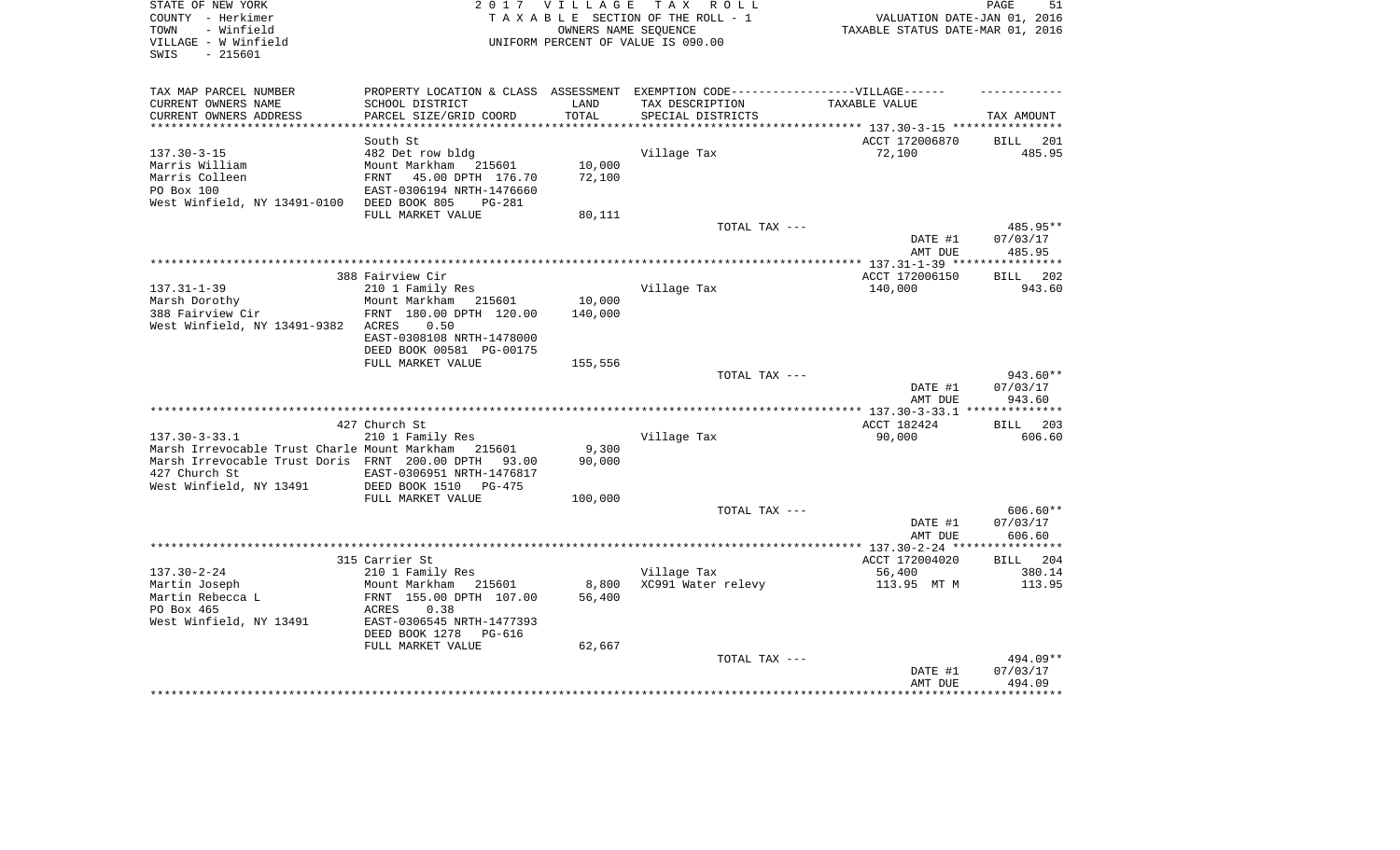| STATE OF NEW YORK<br>COUNTY - Herkimer<br>- Winfield<br>TOWN<br>VILLAGE - W Winfield<br>- 215601<br>SWIS | 2 0 1 7                                   | <b>VILLAGE</b> | T A X<br>R O L L<br>TAXABLE SECTION OF THE ROLL - 1<br>OWNERS NAME SEQUENCE<br>UNIFORM PERCENT OF VALUE IS 090.00 | VALUATION DATE-JAN 01, 2016<br>TAXABLE STATUS DATE-MAR 01, 2016 | 51<br>PAGE            |
|----------------------------------------------------------------------------------------------------------|-------------------------------------------|----------------|-------------------------------------------------------------------------------------------------------------------|-----------------------------------------------------------------|-----------------------|
| TAX MAP PARCEL NUMBER                                                                                    |                                           |                | PROPERTY LOCATION & CLASS ASSESSMENT EXEMPTION CODE-----------------VILLAGE------                                 |                                                                 |                       |
| CURRENT OWNERS NAME<br>CURRENT OWNERS ADDRESS                                                            | SCHOOL DISTRICT<br>PARCEL SIZE/GRID COORD | LAND<br>TOTAL  | TAX DESCRIPTION<br>SPECIAL DISTRICTS                                                                              | TAXABLE VALUE                                                   | TAX AMOUNT            |
|                                                                                                          |                                           |                |                                                                                                                   |                                                                 |                       |
|                                                                                                          | South St                                  |                |                                                                                                                   | ACCT 172006870                                                  | <b>BILL</b><br>201    |
| $137.30 - 3 - 15$                                                                                        | 482 Det row bldg                          |                | Village Tax                                                                                                       | 72,100                                                          | 485.95                |
| Marris William                                                                                           | Mount Markham 215601                      | 10,000         |                                                                                                                   |                                                                 |                       |
| Marris Colleen                                                                                           | <b>FRNT</b><br>45.00 DPTH 176.70          | 72,100         |                                                                                                                   |                                                                 |                       |
| PO Box 100                                                                                               | EAST-0306194 NRTH-1476660                 |                |                                                                                                                   |                                                                 |                       |
| West Winfield, NY 13491-0100                                                                             | DEED BOOK 805<br>$PG-281$                 |                |                                                                                                                   |                                                                 |                       |
|                                                                                                          | FULL MARKET VALUE                         | 80,111         |                                                                                                                   |                                                                 |                       |
|                                                                                                          |                                           |                | TOTAL TAX ---                                                                                                     |                                                                 | 485.95**              |
|                                                                                                          |                                           |                |                                                                                                                   | DATE #1                                                         | 07/03/17              |
|                                                                                                          |                                           |                |                                                                                                                   | AMT DUE                                                         | 485.95                |
|                                                                                                          |                                           |                |                                                                                                                   |                                                                 |                       |
|                                                                                                          | 388 Fairview Cir                          |                |                                                                                                                   | ACCT 172006150                                                  | 202<br><b>BILL</b>    |
| $137.31 - 1 - 39$                                                                                        | 210 1 Family Res                          |                | Village Tax                                                                                                       | 140,000                                                         | 943.60                |
| Marsh Dorothy                                                                                            | Mount Markham<br>215601                   | 10,000         |                                                                                                                   |                                                                 |                       |
| 388 Fairview Cir<br>West Winfield, NY 13491-9382                                                         | FRNT 180.00 DPTH 120.00<br>0.50<br>ACRES  | 140,000        |                                                                                                                   |                                                                 |                       |
|                                                                                                          | EAST-0308108 NRTH-1478000                 |                |                                                                                                                   |                                                                 |                       |
|                                                                                                          | DEED BOOK 00581 PG-00175                  |                |                                                                                                                   |                                                                 |                       |
|                                                                                                          | FULL MARKET VALUE                         | 155,556        |                                                                                                                   |                                                                 |                       |
|                                                                                                          |                                           |                | TOTAL TAX ---                                                                                                     |                                                                 | 943.60**              |
|                                                                                                          |                                           |                |                                                                                                                   | DATE #1                                                         | 07/03/17              |
|                                                                                                          |                                           |                |                                                                                                                   | AMT DUE                                                         | 943.60                |
|                                                                                                          |                                           |                |                                                                                                                   |                                                                 | * * * * * * * * * * * |
|                                                                                                          | 427 Church St                             |                |                                                                                                                   | ACCT 182424                                                     | BILL 203              |
| $137.30 - 3 - 33.1$                                                                                      | 210 1 Family Res                          |                | Village Tax                                                                                                       | 90,000                                                          | 606.60                |
| Marsh Irrevocable Trust Charle Mount Markham                                                             | 215601                                    | 9,300          |                                                                                                                   |                                                                 |                       |
| Marsh Irrevocable Trust Doris FRNT 200.00 DPTH                                                           | 93.00                                     | 90,000         |                                                                                                                   |                                                                 |                       |
| 427 Church St                                                                                            | EAST-0306951 NRTH-1476817                 |                |                                                                                                                   |                                                                 |                       |
| West Winfield, NY 13491                                                                                  | DEED BOOK 1510<br>$PG-475$                |                |                                                                                                                   |                                                                 |                       |
|                                                                                                          | FULL MARKET VALUE                         | 100,000        |                                                                                                                   |                                                                 |                       |
|                                                                                                          |                                           |                | TOTAL TAX ---                                                                                                     |                                                                 | $606.60**$            |
|                                                                                                          |                                           |                |                                                                                                                   | DATE #1                                                         | 07/03/17              |
|                                                                                                          |                                           |                |                                                                                                                   | AMT DUE                                                         | 606.60<br>********    |
|                                                                                                          |                                           |                |                                                                                                                   | *** 137.30-2-24 **                                              | 204                   |
| $137.30 - 2 - 24$                                                                                        | 315 Carrier St<br>210 1 Family Res        |                | Village Tax                                                                                                       | ACCT 172004020<br>56,400                                        | <b>BILL</b><br>380.14 |
| Martin Joseph                                                                                            | Mount Markham<br>215601                   | 8,800          | XC991 Water relevy                                                                                                | 113.95 MT M                                                     | 113.95                |
| Martin Rebecca L                                                                                         | FRNT 155.00 DPTH 107.00                   | 56,400         |                                                                                                                   |                                                                 |                       |
| PO Box 465                                                                                               | <b>ACRES</b><br>0.38                      |                |                                                                                                                   |                                                                 |                       |
| West Winfield, NY 13491                                                                                  | EAST-0306545 NRTH-1477393                 |                |                                                                                                                   |                                                                 |                       |
|                                                                                                          | DEED BOOK 1278<br>PG-616                  |                |                                                                                                                   |                                                                 |                       |
|                                                                                                          | FULL MARKET VALUE                         | 62,667         |                                                                                                                   |                                                                 |                       |
|                                                                                                          |                                           |                | TOTAL TAX ---                                                                                                     |                                                                 | 494.09**              |
|                                                                                                          |                                           |                |                                                                                                                   | DATE #1                                                         | 07/03/17              |
|                                                                                                          |                                           |                |                                                                                                                   | AMT DUE                                                         | 494.09                |
|                                                                                                          |                                           |                |                                                                                                                   |                                                                 | ********              |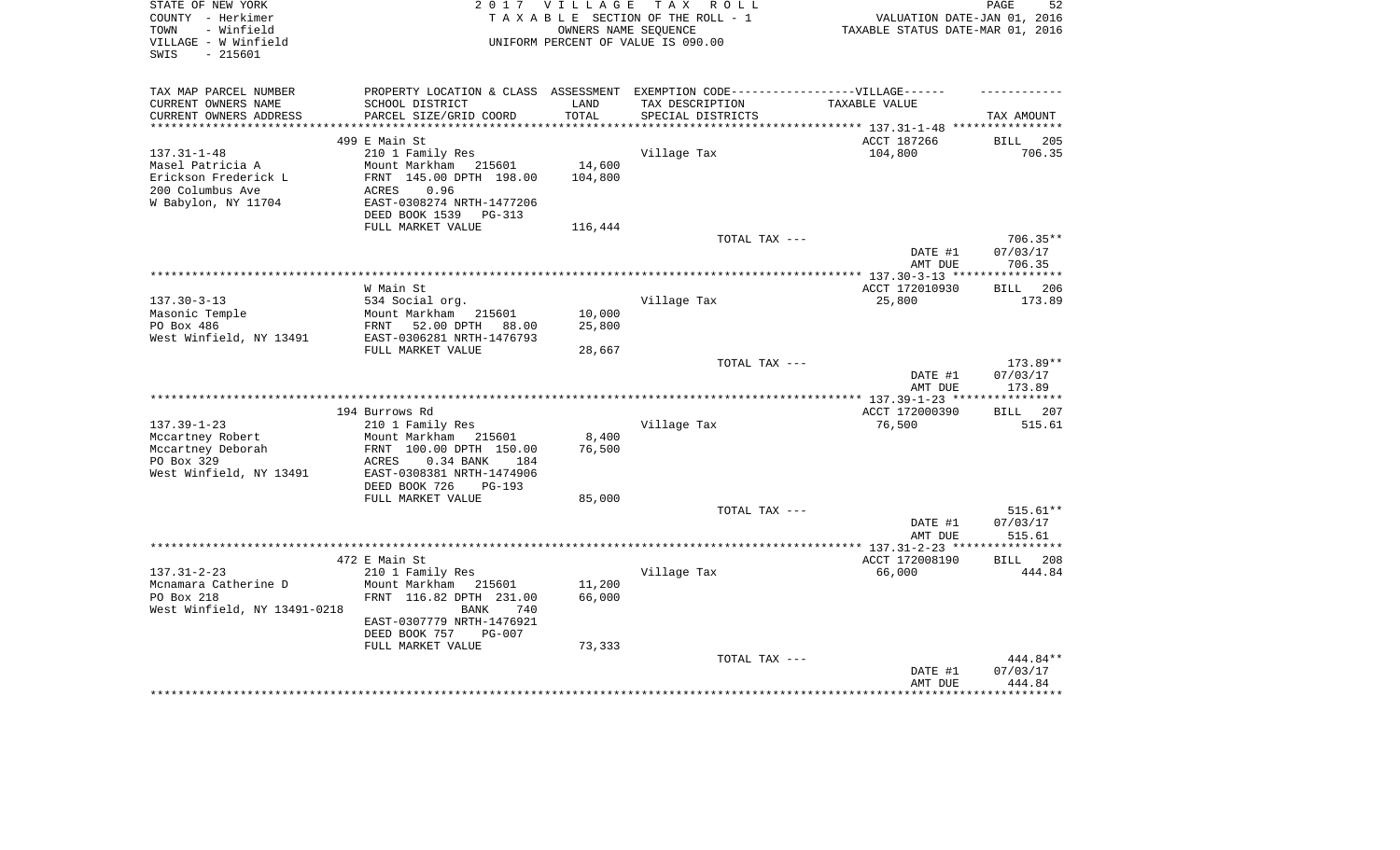| STATE OF NEW YORK<br>COUNTY - Herkimer<br>- Winfield<br>TOWN<br>VILLAGE - W Winfield<br>SWIS<br>- 215601 |                                                                                   | 2017 VILLAGE    | TAX ROLL<br>TAXABLE SECTION OF THE ROLL - 1<br>OWNERS NAME SEOUENCE<br>UNIFORM PERCENT OF VALUE IS 090.00 | VALUATION DATE-JAN 01, 2016<br>TAXABLE STATUS DATE-MAR 01, 2016 | PAGE<br>52                     |
|----------------------------------------------------------------------------------------------------------|-----------------------------------------------------------------------------------|-----------------|-----------------------------------------------------------------------------------------------------------|-----------------------------------------------------------------|--------------------------------|
| TAX MAP PARCEL NUMBER                                                                                    | PROPERTY LOCATION & CLASS ASSESSMENT EXEMPTION CODE-----------------VILLAGE------ |                 |                                                                                                           |                                                                 |                                |
| CURRENT OWNERS NAME                                                                                      | SCHOOL DISTRICT                                                                   | LAND            | TAX DESCRIPTION                                                                                           | TAXABLE VALUE                                                   |                                |
| CURRENT OWNERS ADDRESS<br>************************                                                       | PARCEL SIZE/GRID COORD                                                            | TOTAL           | SPECIAL DISTRICTS                                                                                         | ********************************* 137.31-1-48 ****************  | TAX AMOUNT                     |
|                                                                                                          | 499 E Main St                                                                     |                 |                                                                                                           | ACCT 187266                                                     | 205<br>BILL                    |
| $137.31 - 1 - 48$                                                                                        | 210 1 Family Res                                                                  |                 | Village Tax                                                                                               | 104,800                                                         | 706.35                         |
| Masel Patricia A                                                                                         | Mount Markham<br>215601                                                           | 14,600          |                                                                                                           |                                                                 |                                |
| Erickson Frederick L                                                                                     | FRNT 145.00 DPTH 198.00                                                           | 104,800         |                                                                                                           |                                                                 |                                |
| 200 Columbus Ave                                                                                         | ACRES<br>0.96                                                                     |                 |                                                                                                           |                                                                 |                                |
| W Babylon, NY 11704                                                                                      | EAST-0308274 NRTH-1477206<br>DEED BOOK 1539<br>PG-313                             |                 |                                                                                                           |                                                                 |                                |
|                                                                                                          | FULL MARKET VALUE                                                                 | 116,444         |                                                                                                           |                                                                 |                                |
|                                                                                                          |                                                                                   |                 | TOTAL TAX ---                                                                                             |                                                                 | $706.35**$                     |
|                                                                                                          |                                                                                   |                 |                                                                                                           | DATE #1<br>AMT DUE                                              | 07/03/17<br>706.35             |
|                                                                                                          |                                                                                   |                 |                                                                                                           |                                                                 |                                |
| $137.30 - 3 - 13$                                                                                        | W Main St<br>534 Social org.                                                      |                 | Village Tax                                                                                               | ACCT 172010930<br>25,800                                        | 206<br><b>BILL</b><br>173.89   |
| Masonic Temple                                                                                           | Mount Markham<br>215601                                                           | 10,000          |                                                                                                           |                                                                 |                                |
| PO Box 486                                                                                               | 52.00 DPTH<br>FRNT<br>88.00                                                       | 25,800          |                                                                                                           |                                                                 |                                |
| West Winfield, NY 13491                                                                                  | EAST-0306281 NRTH-1476793                                                         |                 |                                                                                                           |                                                                 |                                |
|                                                                                                          | FULL MARKET VALUE                                                                 | 28,667          |                                                                                                           |                                                                 |                                |
|                                                                                                          |                                                                                   |                 | TOTAL TAX ---                                                                                             | DATE #1<br>AMT DUE                                              | 173.89**<br>07/03/17<br>173.89 |
|                                                                                                          |                                                                                   |                 |                                                                                                           |                                                                 |                                |
|                                                                                                          | 194 Burrows Rd                                                                    |                 |                                                                                                           | ACCT 172000390                                                  | 207<br><b>BILL</b>             |
| $137.39 - 1 - 23$                                                                                        | 210 1 Family Res                                                                  |                 | Village Tax                                                                                               | 76,500                                                          | 515.61                         |
| Mccartney Robert<br>Mccartney Deborah                                                                    | Mount Markham<br>215601<br>FRNT 100.00 DPTH 150.00                                | 8,400<br>76,500 |                                                                                                           |                                                                 |                                |
| PO Box 329                                                                                               | <b>ACRES</b><br>0.34 BANK<br>184                                                  |                 |                                                                                                           |                                                                 |                                |
| West Winfield, NY 13491                                                                                  | EAST-0308381 NRTH-1474906                                                         |                 |                                                                                                           |                                                                 |                                |
|                                                                                                          | DEED BOOK 726<br>$PG-193$                                                         |                 |                                                                                                           |                                                                 |                                |
|                                                                                                          | FULL MARKET VALUE                                                                 | 85,000          |                                                                                                           |                                                                 |                                |
|                                                                                                          |                                                                                   |                 | TOTAL TAX ---                                                                                             |                                                                 | 515.61**                       |
|                                                                                                          |                                                                                   |                 |                                                                                                           | DATE #1<br>AMT DUE                                              | 07/03/17<br>515.61             |
|                                                                                                          |                                                                                   |                 |                                                                                                           | ****** 137.31-2-23 **                                           | ********                       |
|                                                                                                          | 472 E Main St                                                                     |                 |                                                                                                           | ACCT 172008190                                                  | <b>BILL</b><br>208             |
| $137.31 - 2 - 23$                                                                                        | 210 1 Family Res                                                                  |                 | Village Tax                                                                                               | 66,000                                                          | 444.84                         |
| Mcnamara Catherine D                                                                                     | Mount Markham<br>215601                                                           | 11,200          |                                                                                                           |                                                                 |                                |
| PO Box 218                                                                                               | FRNT 116.82 DPTH 231.00                                                           | 66,000          |                                                                                                           |                                                                 |                                |
| West Winfield, NY 13491-0218                                                                             | <b>BANK</b><br>740<br>EAST-0307779 NRTH-1476921                                   |                 |                                                                                                           |                                                                 |                                |
|                                                                                                          | DEED BOOK 757<br><b>PG-007</b>                                                    |                 |                                                                                                           |                                                                 |                                |
|                                                                                                          | FULL MARKET VALUE                                                                 | 73,333          |                                                                                                           |                                                                 |                                |
|                                                                                                          |                                                                                   |                 | TOTAL TAX ---                                                                                             |                                                                 | 444.84**                       |
|                                                                                                          |                                                                                   |                 |                                                                                                           | DATE #1<br>AMT DUE                                              | 07/03/17<br>444.84             |
|                                                                                                          |                                                                                   |                 |                                                                                                           |                                                                 |                                |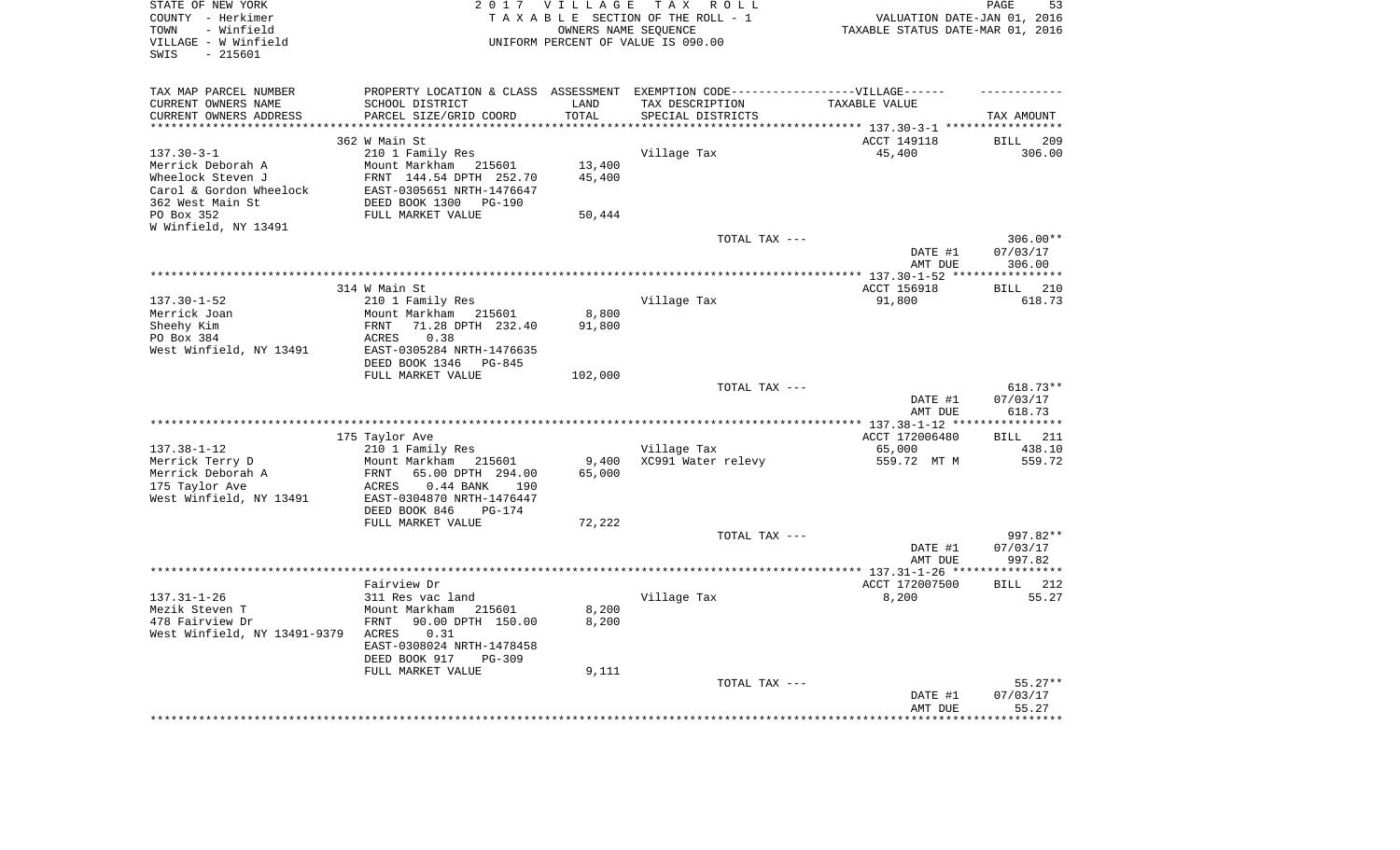| STATE OF NEW YORK<br>COUNTY - Herkimer<br>TOWN<br>- Winfield<br>VILLAGE - W Winfield<br>$-215601$<br>SWIS |                                                                                  | 2017 VILLAGE<br>TAX ROLL<br>TAXABLE SECTION OF THE ROLL - 1<br>OWNERS NAME SEQUENCE<br>UNIFORM PERCENT OF VALUE IS 090.00 |                    |                       | PAGE<br>53<br>VALUATION DATE-JAN 01, 2016<br>TAXABLE STATUS DATE-MAR 01, 2016 |
|-----------------------------------------------------------------------------------------------------------|----------------------------------------------------------------------------------|---------------------------------------------------------------------------------------------------------------------------|--------------------|-----------------------|-------------------------------------------------------------------------------|
| TAX MAP PARCEL NUMBER                                                                                     | PROPERTY LOCATION & CLASS ASSESSMENT EXEMPTION CODE----------------VILLAGE------ |                                                                                                                           |                    |                       |                                                                               |
| CURRENT OWNERS NAME                                                                                       | SCHOOL DISTRICT                                                                  | LAND                                                                                                                      | TAX DESCRIPTION    | TAXABLE VALUE         |                                                                               |
| CURRENT OWNERS ADDRESS                                                                                    | PARCEL SIZE/GRID COORD                                                           | TOTAL                                                                                                                     | SPECIAL DISTRICTS  |                       | TAX AMOUNT                                                                    |
| **********************                                                                                    | ****************************                                                     |                                                                                                                           |                    |                       |                                                                               |
| $137.30 - 3 - 1$                                                                                          | 362 W Main St<br>210 1 Family Res                                                |                                                                                                                           | Village Tax        | ACCT 149118<br>45,400 | BILL 209<br>306.00                                                            |
| Merrick Deborah A                                                                                         | Mount Markham 215601                                                             | 13,400                                                                                                                    |                    |                       |                                                                               |
| Wheelock Steven J                                                                                         | FRNT 144.54 DPTH 252.70                                                          | 45,400                                                                                                                    |                    |                       |                                                                               |
| Carol & Gordon Wheelock                                                                                   | EAST-0305651 NRTH-1476647                                                        |                                                                                                                           |                    |                       |                                                                               |
| 362 West Main St                                                                                          | DEED BOOK 1300<br>PG-190                                                         |                                                                                                                           |                    |                       |                                                                               |
| PO Box 352                                                                                                | FULL MARKET VALUE                                                                | 50,444                                                                                                                    |                    |                       |                                                                               |
| W Winfield, NY 13491                                                                                      |                                                                                  |                                                                                                                           |                    |                       |                                                                               |
|                                                                                                           |                                                                                  |                                                                                                                           | TOTAL TAX ---      |                       | $306.00**$                                                                    |
|                                                                                                           |                                                                                  |                                                                                                                           |                    | DATE #1               | 07/03/17                                                                      |
|                                                                                                           |                                                                                  |                                                                                                                           |                    | AMT DUE               | 306.00                                                                        |
|                                                                                                           | 314 W Main St                                                                    |                                                                                                                           |                    | ACCT 156918           | 210<br>BILL                                                                   |
| $137.30 - 1 - 52$                                                                                         | 210 1 Family Res                                                                 |                                                                                                                           | Village Tax        | 91,800                | 618.73                                                                        |
| Merrick Joan                                                                                              | Mount Markham 215601                                                             | 8,800                                                                                                                     |                    |                       |                                                                               |
| Sheehy Kim                                                                                                | FRNT<br>71.28 DPTH 232.40                                                        | 91,800                                                                                                                    |                    |                       |                                                                               |
| PO Box 384                                                                                                | 0.38<br>ACRES                                                                    |                                                                                                                           |                    |                       |                                                                               |
| West Winfield, NY 13491                                                                                   | EAST-0305284 NRTH-1476635                                                        |                                                                                                                           |                    |                       |                                                                               |
|                                                                                                           | DEED BOOK 1346<br>PG-845                                                         |                                                                                                                           |                    |                       |                                                                               |
|                                                                                                           | FULL MARKET VALUE                                                                | 102,000                                                                                                                   | TOTAL TAX ---      |                       | $618.73**$                                                                    |
|                                                                                                           |                                                                                  |                                                                                                                           |                    | DATE #1               | 07/03/17                                                                      |
|                                                                                                           |                                                                                  |                                                                                                                           |                    | AMT DUE               | 618.73                                                                        |
|                                                                                                           |                                                                                  |                                                                                                                           |                    |                       | ***********                                                                   |
|                                                                                                           | 175 Taylor Ave                                                                   |                                                                                                                           |                    | ACCT 172006480        | <b>BILL</b> 211                                                               |
| $137.38 - 1 - 12$                                                                                         | 210 1 Family Res                                                                 |                                                                                                                           | Village Tax        | 65,000                | 438.10                                                                        |
| Merrick Terry D<br>Merrick Deborah A                                                                      | Mount Markham 215601<br>FRNT<br>65.00 DPTH 294.00                                | 9,400<br>65,000                                                                                                           | XC991 Water relevy | 559.72 MT M           | 559.72                                                                        |
| 175 Taylor Ave                                                                                            | ACRES<br>$0.44$ BANK<br>190                                                      |                                                                                                                           |                    |                       |                                                                               |
| West Winfield, NY 13491                                                                                   | EAST-0304870 NRTH-1476447                                                        |                                                                                                                           |                    |                       |                                                                               |
|                                                                                                           | DEED BOOK 846<br>PG-174                                                          |                                                                                                                           |                    |                       |                                                                               |
|                                                                                                           | FULL MARKET VALUE                                                                | 72,222                                                                                                                    |                    |                       |                                                                               |
|                                                                                                           |                                                                                  |                                                                                                                           | TOTAL TAX ---      |                       | 997.82**                                                                      |
|                                                                                                           |                                                                                  |                                                                                                                           |                    | DATE #1               | 07/03/17                                                                      |
|                                                                                                           |                                                                                  |                                                                                                                           |                    | AMT DUE               | 997.82                                                                        |
|                                                                                                           | Fairview Dr                                                                      |                                                                                                                           |                    | ACCT 172007500        | <b>BILL</b> 212                                                               |
| $137.31 - 1 - 26$                                                                                         | 311 Res vac land                                                                 |                                                                                                                           | Village Tax        | 8,200                 | 55.27                                                                         |
| Mezik Steven T                                                                                            | Mount Markham<br>215601                                                          | 8,200                                                                                                                     |                    |                       |                                                                               |
| 478 Fairview Dr                                                                                           | 90.00 DPTH 150.00<br>FRNT                                                        | 8,200                                                                                                                     |                    |                       |                                                                               |
| West Winfield, NY 13491-9379                                                                              | ACRES<br>0.31                                                                    |                                                                                                                           |                    |                       |                                                                               |
|                                                                                                           | EAST-0308024 NRTH-1478458                                                        |                                                                                                                           |                    |                       |                                                                               |
|                                                                                                           | DEED BOOK 917<br>PG-309                                                          |                                                                                                                           |                    |                       |                                                                               |
|                                                                                                           | FULL MARKET VALUE                                                                | 9,111                                                                                                                     | TOTAL TAX ---      |                       | $55.27**$                                                                     |
|                                                                                                           |                                                                                  |                                                                                                                           |                    | DATE #1               | 07/03/17                                                                      |
|                                                                                                           |                                                                                  |                                                                                                                           |                    | AMT DUE               | 55.27                                                                         |
|                                                                                                           |                                                                                  |                                                                                                                           |                    |                       | *******                                                                       |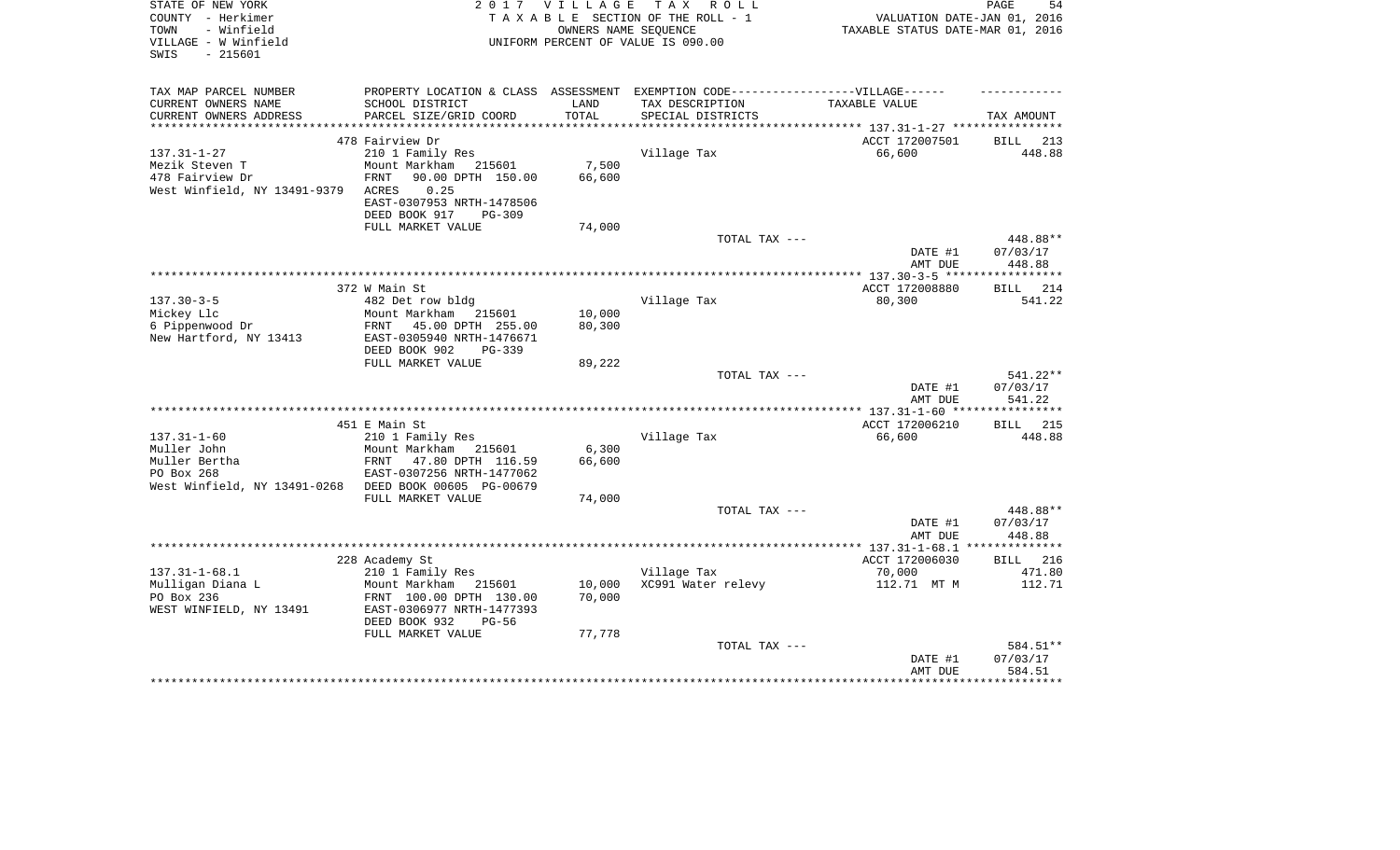| STATE OF NEW YORK<br>COUNTY - Herkimer<br>TOWN<br>- Winfield<br>VILLAGE - W Winfield<br>SWIS<br>$-215601$ | 2 0 1 7                                                 | <b>VILLAGE</b><br>OWNERS NAME SEQUENCE | T A X<br>R O L L<br>TAXABLE SECTION OF THE ROLL - 1<br>UNIFORM PERCENT OF VALUE IS 090.00 | VALUATION DATE-JAN 01, 2016<br>TAXABLE STATUS DATE-MAR 01, 2016 | PAGE<br>54           |
|-----------------------------------------------------------------------------------------------------------|---------------------------------------------------------|----------------------------------------|-------------------------------------------------------------------------------------------|-----------------------------------------------------------------|----------------------|
|                                                                                                           |                                                         |                                        |                                                                                           |                                                                 |                      |
| TAX MAP PARCEL NUMBER<br>CURRENT OWNERS NAME                                                              | PROPERTY LOCATION & CLASS ASSESSMENT<br>SCHOOL DISTRICT | LAND                                   | EXEMPTION CODE------------------VILLAGE------<br>TAX DESCRIPTION                          | TAXABLE VALUE                                                   |                      |
| CURRENT OWNERS ADDRESS<br>***********************                                                         | PARCEL SIZE/GRID COORD                                  | TOTAL                                  | SPECIAL DISTRICTS                                                                         |                                                                 | TAX AMOUNT           |
|                                                                                                           | 478 Fairview Dr                                         |                                        |                                                                                           | ACCT 172007501                                                  | 213<br>BILL          |
| $137.31 - 1 - 27$                                                                                         | 210 1 Family Res                                        |                                        | Village Tax                                                                               | 66,600                                                          | 448.88               |
| Mezik Steven T                                                                                            | Mount Markham<br>215601                                 | 7,500                                  |                                                                                           |                                                                 |                      |
| 478 Fairview Dr                                                                                           | 90.00 DPTH 150.00<br>FRNT                               | 66,600                                 |                                                                                           |                                                                 |                      |
| West Winfield, NY 13491-9379                                                                              | 0.25<br>ACRES                                           |                                        |                                                                                           |                                                                 |                      |
|                                                                                                           | EAST-0307953 NRTH-1478506                               |                                        |                                                                                           |                                                                 |                      |
|                                                                                                           | DEED BOOK 917<br>PG-309<br>FULL MARKET VALUE            | 74,000                                 |                                                                                           |                                                                 |                      |
|                                                                                                           |                                                         |                                        | TOTAL TAX ---                                                                             |                                                                 | 448.88**             |
|                                                                                                           |                                                         |                                        |                                                                                           | DATE #1                                                         | 07/03/17             |
|                                                                                                           |                                                         |                                        |                                                                                           | AMT DUE                                                         | 448.88               |
|                                                                                                           |                                                         |                                        |                                                                                           |                                                                 |                      |
|                                                                                                           | 372 W Main St                                           |                                        |                                                                                           | ACCT 172008880                                                  | 214<br><b>BILL</b>   |
| $137.30 - 3 - 5$<br>Mickey Llc                                                                            | 482 Det row bldg<br>Mount Markham<br>215601             | 10,000                                 | Village Tax                                                                               | 80,300                                                          | 541.22               |
| 6 Pippenwood Dr                                                                                           | 45.00 DPTH 255.00<br>FRNT                               | 80,300                                 |                                                                                           |                                                                 |                      |
| New Hartford, NY 13413                                                                                    | EAST-0305940 NRTH-1476671                               |                                        |                                                                                           |                                                                 |                      |
|                                                                                                           | DEED BOOK 902<br>$PG-339$                               |                                        |                                                                                           |                                                                 |                      |
|                                                                                                           | FULL MARKET VALUE                                       | 89,222                                 |                                                                                           |                                                                 |                      |
|                                                                                                           |                                                         |                                        | TOTAL TAX ---                                                                             |                                                                 | 541.22**             |
|                                                                                                           |                                                         |                                        |                                                                                           | DATE #1<br>AMT DUE                                              | 07/03/17<br>541.22   |
|                                                                                                           |                                                         |                                        |                                                                                           |                                                                 |                      |
|                                                                                                           | 451 E Main St                                           |                                        |                                                                                           | ACCT 172006210                                                  | 215<br><b>BILL</b>   |
| $137.31 - 1 - 60$                                                                                         | 210 1 Family Res                                        |                                        | Village Tax                                                                               | 66,600                                                          | 448.88               |
| Muller John                                                                                               | Mount Markham<br>215601                                 | 6,300                                  |                                                                                           |                                                                 |                      |
| Muller Bertha                                                                                             | FRNT<br>47.80 DPTH 116.59                               | 66,600                                 |                                                                                           |                                                                 |                      |
| PO Box 268<br>West Winfield, NY 13491-0268                                                                | EAST-0307256 NRTH-1477062<br>DEED BOOK 00605 PG-00679   |                                        |                                                                                           |                                                                 |                      |
|                                                                                                           | FULL MARKET VALUE                                       | 74,000                                 |                                                                                           |                                                                 |                      |
|                                                                                                           |                                                         |                                        | TOTAL TAX ---                                                                             |                                                                 | 448.88**             |
|                                                                                                           |                                                         |                                        |                                                                                           | DATE #1                                                         | 07/03/17             |
|                                                                                                           |                                                         |                                        |                                                                                           | AMT DUE                                                         | 448.88               |
|                                                                                                           |                                                         |                                        |                                                                                           |                                                                 | **************       |
| $137.31 - 1 - 68.1$                                                                                       | 228 Academy St                                          |                                        | Village Tax                                                                               | ACCT 172006030<br>70,000                                        | 216<br>BILL          |
| Mulligan Diana L                                                                                          | 210 1 Family Res<br>Mount Markham<br>215601             | 10,000                                 | XC991 Water relevy                                                                        | 112.71 MT M                                                     | 471.80<br>112.71     |
| PO Box 236                                                                                                | FRNT 100.00 DPTH 130.00                                 | 70,000                                 |                                                                                           |                                                                 |                      |
| WEST WINFIELD, NY 13491                                                                                   | EAST-0306977 NRTH-1477393                               |                                        |                                                                                           |                                                                 |                      |
|                                                                                                           | DEED BOOK 932<br>$PG-56$                                |                                        |                                                                                           |                                                                 |                      |
|                                                                                                           | FULL MARKET VALUE                                       | 77,778                                 |                                                                                           |                                                                 |                      |
|                                                                                                           |                                                         |                                        | TOTAL TAX ---                                                                             |                                                                 | 584.51**<br>07/03/17 |
|                                                                                                           |                                                         |                                        |                                                                                           | DATE #1<br>AMT DUE                                              | 584.51               |
|                                                                                                           |                                                         |                                        |                                                                                           |                                                                 | *********            |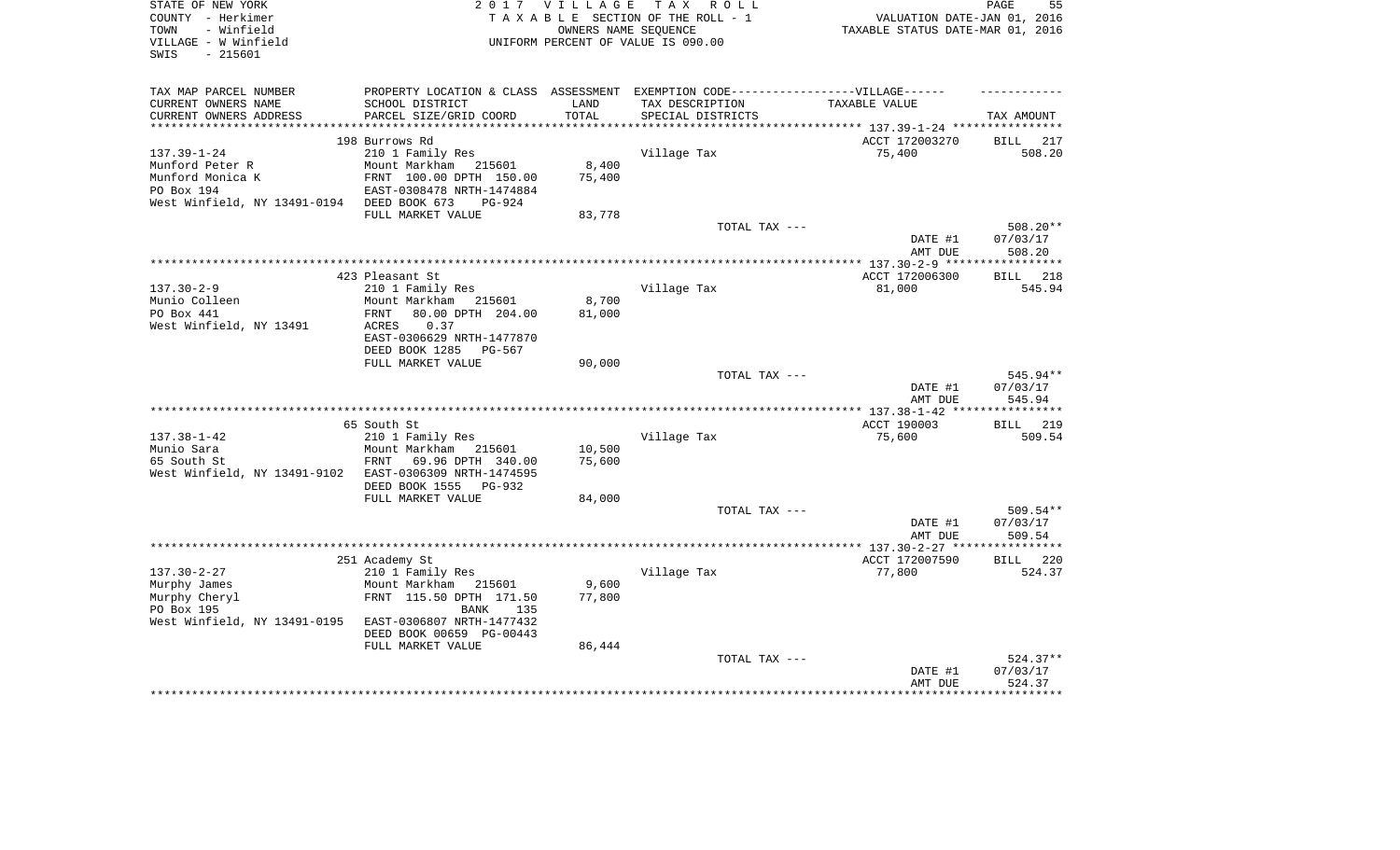| STATE OF NEW YORK<br>COUNTY - Herkimer<br>- Winfield<br>TOWN<br>VILLAGE - W Winfield<br>SWIS<br>$-215601$ | 2 0 1 7                                                                           | VILLAGE<br>OWNERS NAME SEOUENCE | T A X<br>R O L L<br>TAXABLE SECTION OF THE ROLL - 1<br>UNIFORM PERCENT OF VALUE IS 090.00 | VALUATION DATE-JAN 01, 2016<br>TAXABLE STATUS DATE-MAR 01, 2016 | PAGE<br>55          |
|-----------------------------------------------------------------------------------------------------------|-----------------------------------------------------------------------------------|---------------------------------|-------------------------------------------------------------------------------------------|-----------------------------------------------------------------|---------------------|
| TAX MAP PARCEL NUMBER                                                                                     | PROPERTY LOCATION & CLASS ASSESSMENT EXEMPTION CODE-----------------VILLAGE------ |                                 |                                                                                           |                                                                 |                     |
| CURRENT OWNERS NAME                                                                                       | SCHOOL DISTRICT                                                                   | LAND                            | TAX DESCRIPTION                                                                           | TAXABLE VALUE                                                   |                     |
| CURRENT OWNERS ADDRESS<br>***********************                                                         | PARCEL SIZE/GRID COORD                                                            | TOTAL                           | SPECIAL DISTRICTS<br>********************************* 137.39-1-24 ****************       |                                                                 | TAX AMOUNT          |
|                                                                                                           | 198 Burrows Rd                                                                    |                                 |                                                                                           | ACCT 172003270                                                  | 217<br>BILL         |
| $137.39 - 1 - 24$                                                                                         | 210 1 Family Res                                                                  |                                 | Village Tax                                                                               | 75,400                                                          | 508.20              |
| Munford Peter R                                                                                           | Mount Markham<br>215601                                                           | 8,400                           |                                                                                           |                                                                 |                     |
| Munford Monica K                                                                                          | FRNT 100.00 DPTH 150.00                                                           | 75,400                          |                                                                                           |                                                                 |                     |
| PO Box 194                                                                                                | EAST-0308478 NRTH-1474884                                                         |                                 |                                                                                           |                                                                 |                     |
| West Winfield, NY 13491-0194                                                                              | DEED BOOK 673<br>$PG-924$                                                         |                                 |                                                                                           |                                                                 |                     |
|                                                                                                           | FULL MARKET VALUE                                                                 | 83,778                          | TOTAL TAX ---                                                                             |                                                                 | 508.20**            |
|                                                                                                           |                                                                                   |                                 |                                                                                           | DATE #1                                                         | 07/03/17            |
|                                                                                                           |                                                                                   |                                 |                                                                                           | AMT DUE                                                         | 508.20              |
|                                                                                                           |                                                                                   |                                 |                                                                                           |                                                                 | ********            |
|                                                                                                           | 423 Pleasant St                                                                   |                                 |                                                                                           | ACCT 172006300                                                  | 218<br><b>BILL</b>  |
| $137.30 - 2 - 9$                                                                                          | 210 1 Family Res                                                                  |                                 | Village Tax                                                                               | 81,000                                                          | 545.94              |
| Munio Colleen                                                                                             | Mount Markham<br>215601                                                           | 8,700                           |                                                                                           |                                                                 |                     |
| PO Box 441<br>West Winfield, NY 13491                                                                     | <b>FRNT</b><br>80.00 DPTH 204.00<br>0.37<br>ACRES                                 | 81,000                          |                                                                                           |                                                                 |                     |
|                                                                                                           | EAST-0306629 NRTH-1477870                                                         |                                 |                                                                                           |                                                                 |                     |
|                                                                                                           | DEED BOOK 1285<br>PG-567                                                          |                                 |                                                                                           |                                                                 |                     |
|                                                                                                           | FULL MARKET VALUE                                                                 | 90,000                          |                                                                                           |                                                                 |                     |
|                                                                                                           |                                                                                   |                                 | TOTAL TAX ---                                                                             |                                                                 | 545.94**            |
|                                                                                                           |                                                                                   |                                 |                                                                                           | DATE #1                                                         | 07/03/17            |
|                                                                                                           |                                                                                   |                                 |                                                                                           | AMT DUE                                                         | 545.94<br>********* |
|                                                                                                           | 65 South St                                                                       |                                 |                                                                                           | ACCT 190003                                                     | 219<br>BILL         |
| $137.38 - 1 - 42$                                                                                         | 210 1 Family Res                                                                  |                                 | Village Tax                                                                               | 75,600                                                          | 509.54              |
| Munio Sara                                                                                                | Mount Markham<br>215601                                                           | 10,500                          |                                                                                           |                                                                 |                     |
| 65 South St                                                                                               | <b>FRNT</b><br>69.96 DPTH 340.00                                                  | 75,600                          |                                                                                           |                                                                 |                     |
| West Winfield, NY 13491-9102                                                                              | EAST-0306309 NRTH-1474595                                                         |                                 |                                                                                           |                                                                 |                     |
|                                                                                                           | DEED BOOK 1555<br>PG-932                                                          |                                 |                                                                                           |                                                                 |                     |
|                                                                                                           | FULL MARKET VALUE                                                                 | 84,000                          | TOTAL TAX ---                                                                             |                                                                 | 509.54**            |
|                                                                                                           |                                                                                   |                                 |                                                                                           | DATE #1                                                         | 07/03/17            |
|                                                                                                           |                                                                                   |                                 |                                                                                           | AMT DUE                                                         | 509.54              |
|                                                                                                           |                                                                                   |                                 |                                                                                           |                                                                 | *********           |
|                                                                                                           | 251 Academy St                                                                    |                                 |                                                                                           | ACCT 172007590                                                  | <b>BILL</b><br>220  |
| $137.30 - 2 - 27$                                                                                         | 210 1 Family Res                                                                  |                                 | Village Tax                                                                               | 77,800                                                          | 524.37              |
| Murphy James                                                                                              | Mount Markham<br>215601                                                           | 9,600                           |                                                                                           |                                                                 |                     |
| Murphy Cheryl<br>PO Box 195                                                                               | FRNT 115.50 DPTH 171.50<br>BANK<br>135                                            | 77,800                          |                                                                                           |                                                                 |                     |
| West Winfield, NY 13491-0195                                                                              | EAST-0306807 NRTH-1477432                                                         |                                 |                                                                                           |                                                                 |                     |
|                                                                                                           | DEED BOOK 00659 PG-00443                                                          |                                 |                                                                                           |                                                                 |                     |
|                                                                                                           | FULL MARKET VALUE                                                                 | 86,444                          |                                                                                           |                                                                 |                     |
|                                                                                                           |                                                                                   |                                 | TOTAL TAX ---                                                                             |                                                                 | $524.37**$          |
|                                                                                                           |                                                                                   |                                 |                                                                                           | DATE #1                                                         | 07/03/17            |
|                                                                                                           |                                                                                   |                                 |                                                                                           | AMT DUE                                                         | 524.37              |
|                                                                                                           |                                                                                   |                                 |                                                                                           |                                                                 |                     |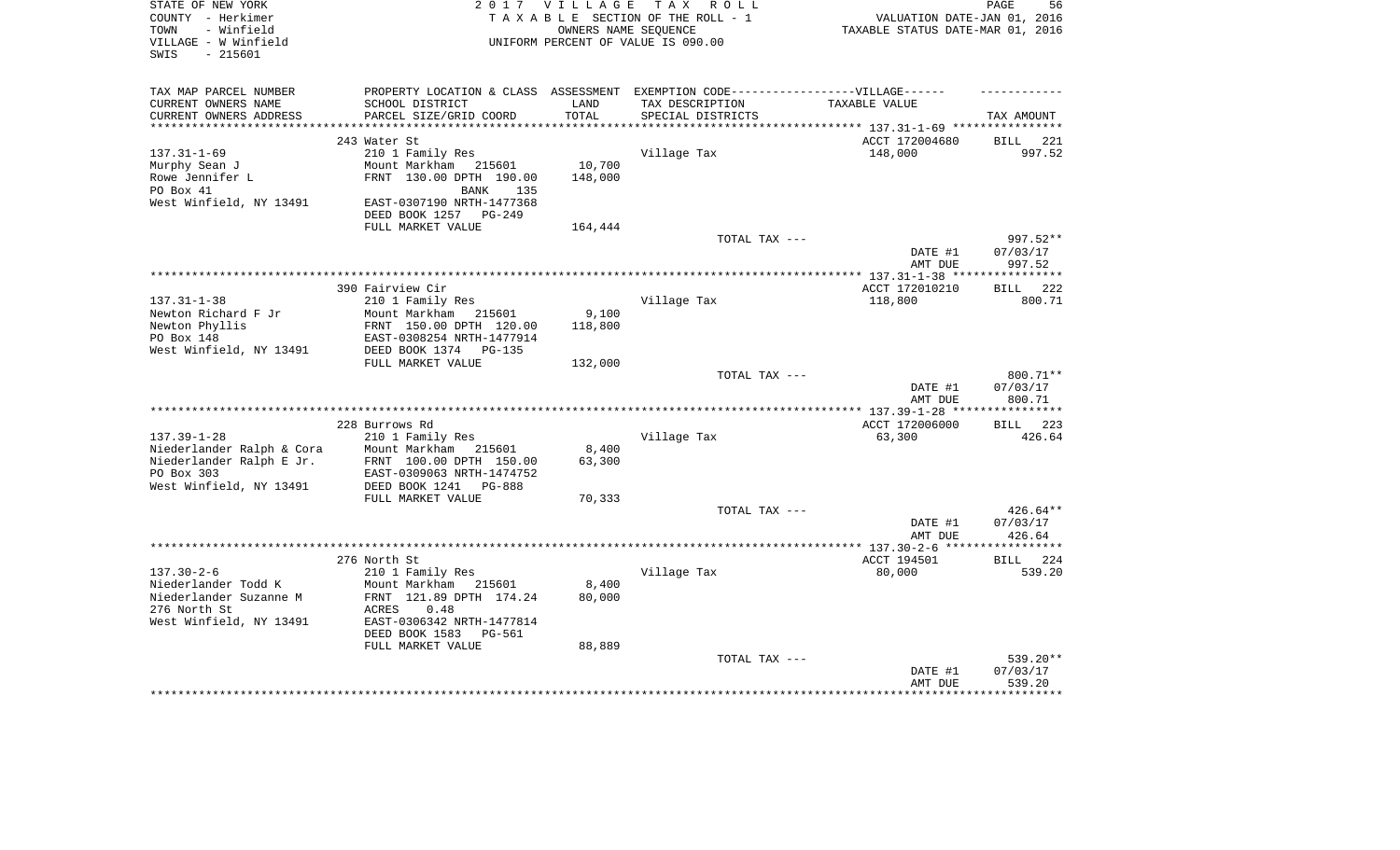| STATE OF NEW YORK<br>COUNTY - Herkimer<br>- Winfield<br>TOWN<br>VILLAGE - W Winfield<br>$-215601$<br>SWIS |                                                                                   | 2017 VILLAGE<br>OWNERS NAME SEOUENCE | TAX ROLL<br>TAXABLE SECTION OF THE ROLL - 1<br>UNIFORM PERCENT OF VALUE IS 090.00 | VALUATION DATE-JAN 01, 2016<br>TAXABLE STATUS DATE-MAR 01, 2016 | PAGE<br>56            |
|-----------------------------------------------------------------------------------------------------------|-----------------------------------------------------------------------------------|--------------------------------------|-----------------------------------------------------------------------------------|-----------------------------------------------------------------|-----------------------|
|                                                                                                           |                                                                                   |                                      |                                                                                   |                                                                 |                       |
| TAX MAP PARCEL NUMBER                                                                                     | PROPERTY LOCATION & CLASS ASSESSMENT EXEMPTION CODE-----------------VILLAGE------ |                                      |                                                                                   |                                                                 |                       |
| CURRENT OWNERS NAME<br>CURRENT OWNERS ADDRESS                                                             | SCHOOL DISTRICT<br>PARCEL SIZE/GRID COORD                                         | LAND<br>TOTAL                        | TAX DESCRIPTION<br>SPECIAL DISTRICTS                                              | TAXABLE VALUE                                                   | TAX AMOUNT            |
| ***********************                                                                                   |                                                                                   |                                      |                                                                                   |                                                                 |                       |
|                                                                                                           | 243 Water St                                                                      |                                      |                                                                                   | ACCT 172004680                                                  | <b>BILL</b><br>221    |
| $137.31 - 1 - 69$<br>Murphy Sean J                                                                        | 210 1 Family Res<br>Mount Markham<br>215601                                       | 10,700                               | Village Tax                                                                       | 148,000                                                         | 997.52                |
| Rowe Jennifer L                                                                                           | FRNT 130.00 DPTH 190.00                                                           | 148,000                              |                                                                                   |                                                                 |                       |
| PO Box 41                                                                                                 | BANK<br>135                                                                       |                                      |                                                                                   |                                                                 |                       |
| West Winfield, NY 13491                                                                                   | EAST-0307190 NRTH-1477368                                                         |                                      |                                                                                   |                                                                 |                       |
|                                                                                                           | DEED BOOK 1257 PG-249                                                             |                                      |                                                                                   |                                                                 |                       |
|                                                                                                           | FULL MARKET VALUE                                                                 | 164,444                              |                                                                                   |                                                                 |                       |
|                                                                                                           |                                                                                   |                                      | TOTAL TAX ---                                                                     |                                                                 | 997.52**              |
|                                                                                                           |                                                                                   |                                      |                                                                                   | DATE #1                                                         | 07/03/17              |
|                                                                                                           |                                                                                   |                                      |                                                                                   | AMT DUE                                                         | 997.52<br>*********   |
|                                                                                                           | 390 Fairview Cir                                                                  |                                      |                                                                                   | ************** 137.31-1-38 ***<br>ACCT 172010210                | 222<br><b>BILL</b>    |
| $137.31 - 1 - 38$                                                                                         | 210 1 Family Res                                                                  |                                      | Village Tax                                                                       | 118,800                                                         | 800.71                |
| Newton Richard F Jr                                                                                       | Mount Markham<br>215601                                                           | 9,100                                |                                                                                   |                                                                 |                       |
| Newton Phyllis                                                                                            | FRNT 150.00 DPTH 120.00                                                           | 118,800                              |                                                                                   |                                                                 |                       |
| PO Box 148                                                                                                | EAST-0308254 NRTH-1477914                                                         |                                      |                                                                                   |                                                                 |                       |
| West Winfield, NY 13491                                                                                   | DEED BOOK 1374<br>$PG-135$                                                        |                                      |                                                                                   |                                                                 |                       |
|                                                                                                           | FULL MARKET VALUE                                                                 | 132,000                              |                                                                                   |                                                                 |                       |
|                                                                                                           |                                                                                   |                                      | TOTAL TAX ---                                                                     |                                                                 | 800.71**              |
|                                                                                                           |                                                                                   |                                      |                                                                                   | DATE #1                                                         | 07/03/17              |
|                                                                                                           |                                                                                   |                                      |                                                                                   | AMT DUE                                                         | 800.71<br>*********** |
|                                                                                                           |                                                                                   |                                      |                                                                                   |                                                                 |                       |
| $137.39 - 1 - 28$                                                                                         | 228 Burrows Rd<br>210 1 Family Res                                                |                                      | Village Tax                                                                       | ACCT 172006000<br>63,300                                        | 223<br>BILL<br>426.64 |
| Niederlander Ralph & Cora                                                                                 | Mount Markham<br>215601                                                           | 8,400                                |                                                                                   |                                                                 |                       |
| Niederlander Ralph E Jr.                                                                                  | FRNT 100.00 DPTH 150.00                                                           | 63,300                               |                                                                                   |                                                                 |                       |
| PO Box 303                                                                                                | EAST-0309063 NRTH-1474752                                                         |                                      |                                                                                   |                                                                 |                       |
| West Winfield, NY 13491                                                                                   | DEED BOOK 1241<br>$PG-888$                                                        |                                      |                                                                                   |                                                                 |                       |
|                                                                                                           | FULL MARKET VALUE                                                                 | 70,333                               |                                                                                   |                                                                 |                       |
|                                                                                                           |                                                                                   |                                      | TOTAL TAX ---                                                                     |                                                                 | 426.64**              |
|                                                                                                           |                                                                                   |                                      |                                                                                   | DATE #1                                                         | 07/03/17              |
|                                                                                                           |                                                                                   |                                      |                                                                                   | AMT DUE                                                         | 426.64                |
|                                                                                                           | 276 North St                                                                      |                                      |                                                                                   | ACCT 194501                                                     | 224<br>BILL           |
| $137.30 - 2 - 6$                                                                                          | 210 1 Family Res                                                                  |                                      | Village Tax                                                                       | 80,000                                                          | 539.20                |
| Niederlander Todd K                                                                                       | Mount Markham<br>215601                                                           | 8,400                                |                                                                                   |                                                                 |                       |
| Niederlander Suzanne M                                                                                    | FRNT 121.89 DPTH 174.24                                                           | 80,000                               |                                                                                   |                                                                 |                       |
| 276 North St                                                                                              | 0.48<br>ACRES                                                                     |                                      |                                                                                   |                                                                 |                       |
| West Winfield, NY 13491                                                                                   | EAST-0306342 NRTH-1477814                                                         |                                      |                                                                                   |                                                                 |                       |
|                                                                                                           | DEED BOOK 1583<br><b>PG-561</b>                                                   |                                      |                                                                                   |                                                                 |                       |
|                                                                                                           | FULL MARKET VALUE                                                                 | 88,889                               |                                                                                   |                                                                 |                       |
|                                                                                                           |                                                                                   |                                      | TOTAL TAX ---                                                                     |                                                                 | 539.20**              |
|                                                                                                           |                                                                                   |                                      |                                                                                   | DATE #1                                                         | 07/03/17              |
|                                                                                                           |                                                                                   |                                      |                                                                                   | AMT DUE                                                         | 539.20                |
|                                                                                                           |                                                                                   |                                      |                                                                                   |                                                                 |                       |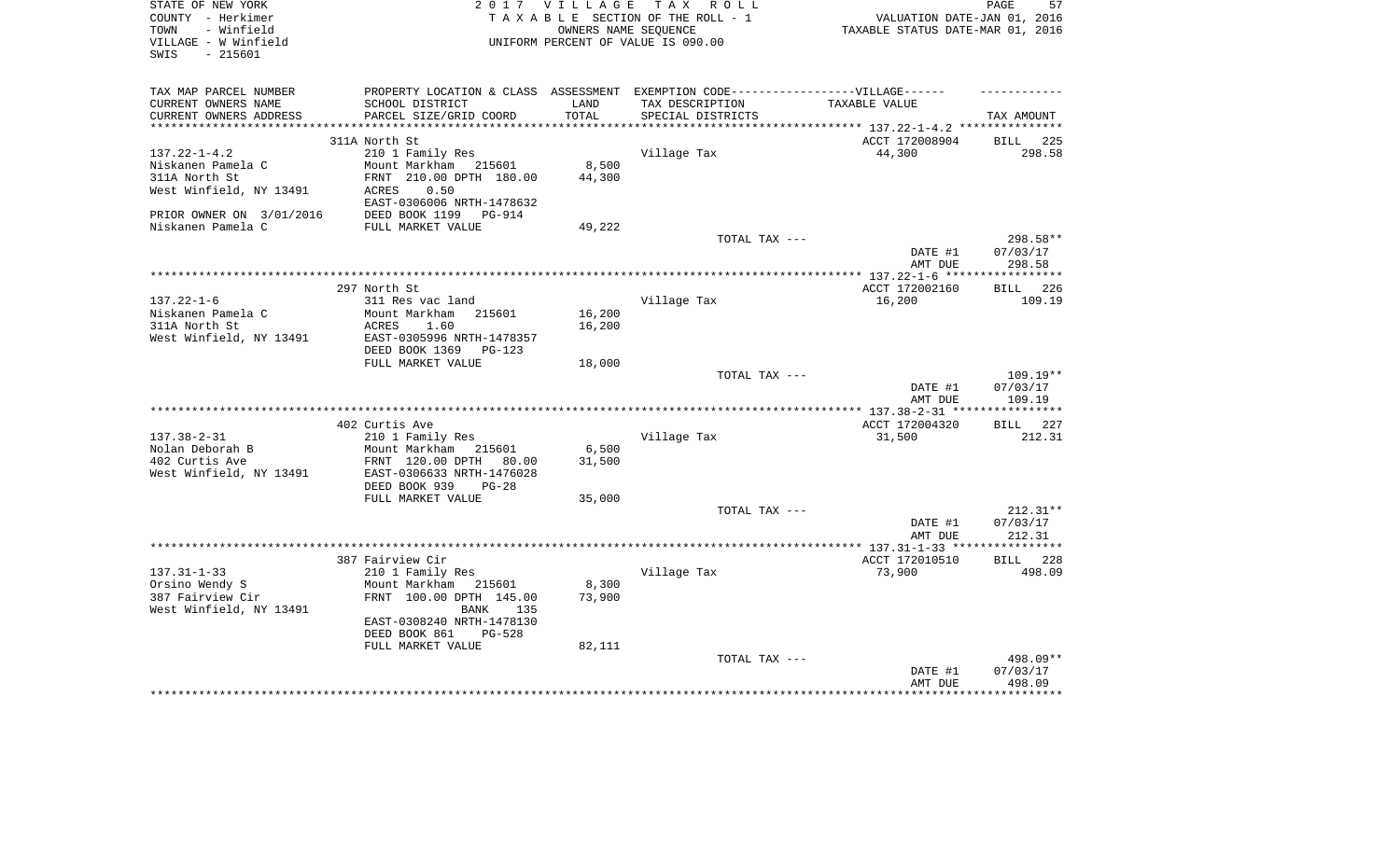| PROPERTY LOCATION & CLASS ASSESSMENT EXEMPTION CODE-----------------VILLAGE------<br>TAX MAP PARCEL NUMBER<br>CURRENT OWNERS NAME<br>SCHOOL DISTRICT<br>LAND<br>TAX DESCRIPTION<br>TAXABLE VALUE<br>CURRENT OWNERS ADDRESS<br>PARCEL SIZE/GRID COORD<br>TOTAL<br>SPECIAL DISTRICTS<br>TAX AMOUNT<br>************************<br>ACCT 172008904<br>311A North St<br><b>BILL</b><br>$137.22 - 1 - 4.2$<br>210 1 Family Res<br>Village Tax<br>44,300<br>298.58<br>Mount Markham 215601<br>8,500<br>Niskanen Pamela C<br>44,300<br>311A North St<br>FRNT 210.00 DPTH 180.00<br>West Winfield, NY 13491<br>0.50<br>ACRES<br>EAST-0306006 NRTH-1478632<br>DEED BOOK 1199 PG-914<br>PRIOR OWNER ON 3/01/2016<br>Niskanen Pamela C<br>FULL MARKET VALUE<br>49,222<br>298.58**<br>TOTAL TAX ---<br>DATE #1<br>07/03/17<br>AMT DUE<br>298.58<br>*************************<br>**********<br>297 North St<br>ACCT 172002160<br><b>BILL</b><br>226<br>$137.22 - 1 - 6$<br>311 Res vac land<br>Village Tax<br>16,200<br>109.19 | 57<br>VALUATION DATE-JAN 01, 2016<br>TAXABLE STATUS DATE-MAR 01, 2016 |
|------------------------------------------------------------------------------------------------------------------------------------------------------------------------------------------------------------------------------------------------------------------------------------------------------------------------------------------------------------------------------------------------------------------------------------------------------------------------------------------------------------------------------------------------------------------------------------------------------------------------------------------------------------------------------------------------------------------------------------------------------------------------------------------------------------------------------------------------------------------------------------------------------------------------------------------------------------------------------------------------------------------|-----------------------------------------------------------------------|
|                                                                                                                                                                                                                                                                                                                                                                                                                                                                                                                                                                                                                                                                                                                                                                                                                                                                                                                                                                                                                  |                                                                       |
|                                                                                                                                                                                                                                                                                                                                                                                                                                                                                                                                                                                                                                                                                                                                                                                                                                                                                                                                                                                                                  |                                                                       |
|                                                                                                                                                                                                                                                                                                                                                                                                                                                                                                                                                                                                                                                                                                                                                                                                                                                                                                                                                                                                                  |                                                                       |
|                                                                                                                                                                                                                                                                                                                                                                                                                                                                                                                                                                                                                                                                                                                                                                                                                                                                                                                                                                                                                  | 225                                                                   |
|                                                                                                                                                                                                                                                                                                                                                                                                                                                                                                                                                                                                                                                                                                                                                                                                                                                                                                                                                                                                                  |                                                                       |
|                                                                                                                                                                                                                                                                                                                                                                                                                                                                                                                                                                                                                                                                                                                                                                                                                                                                                                                                                                                                                  |                                                                       |
|                                                                                                                                                                                                                                                                                                                                                                                                                                                                                                                                                                                                                                                                                                                                                                                                                                                                                                                                                                                                                  |                                                                       |
|                                                                                                                                                                                                                                                                                                                                                                                                                                                                                                                                                                                                                                                                                                                                                                                                                                                                                                                                                                                                                  |                                                                       |
|                                                                                                                                                                                                                                                                                                                                                                                                                                                                                                                                                                                                                                                                                                                                                                                                                                                                                                                                                                                                                  |                                                                       |
|                                                                                                                                                                                                                                                                                                                                                                                                                                                                                                                                                                                                                                                                                                                                                                                                                                                                                                                                                                                                                  |                                                                       |
|                                                                                                                                                                                                                                                                                                                                                                                                                                                                                                                                                                                                                                                                                                                                                                                                                                                                                                                                                                                                                  |                                                                       |
|                                                                                                                                                                                                                                                                                                                                                                                                                                                                                                                                                                                                                                                                                                                                                                                                                                                                                                                                                                                                                  |                                                                       |
|                                                                                                                                                                                                                                                                                                                                                                                                                                                                                                                                                                                                                                                                                                                                                                                                                                                                                                                                                                                                                  |                                                                       |
|                                                                                                                                                                                                                                                                                                                                                                                                                                                                                                                                                                                                                                                                                                                                                                                                                                                                                                                                                                                                                  |                                                                       |
| Niskanen Pamela C<br>Mount Markham<br>16,200<br>215601                                                                                                                                                                                                                                                                                                                                                                                                                                                                                                                                                                                                                                                                                                                                                                                                                                                                                                                                                           |                                                                       |
| 16,200<br>311A North St<br>ACRES<br>1.60                                                                                                                                                                                                                                                                                                                                                                                                                                                                                                                                                                                                                                                                                                                                                                                                                                                                                                                                                                         |                                                                       |
| West Winfield, NY 13491<br>EAST-0305996 NRTH-1478357                                                                                                                                                                                                                                                                                                                                                                                                                                                                                                                                                                                                                                                                                                                                                                                                                                                                                                                                                             |                                                                       |
| DEED BOOK 1369<br>$PG-123$                                                                                                                                                                                                                                                                                                                                                                                                                                                                                                                                                                                                                                                                                                                                                                                                                                                                                                                                                                                       |                                                                       |
| FULL MARKET VALUE<br>18,000                                                                                                                                                                                                                                                                                                                                                                                                                                                                                                                                                                                                                                                                                                                                                                                                                                                                                                                                                                                      |                                                                       |
| TOTAL TAX ---<br>109.19**                                                                                                                                                                                                                                                                                                                                                                                                                                                                                                                                                                                                                                                                                                                                                                                                                                                                                                                                                                                        |                                                                       |
| DATE #1<br>07/03/17                                                                                                                                                                                                                                                                                                                                                                                                                                                                                                                                                                                                                                                                                                                                                                                                                                                                                                                                                                                              |                                                                       |
| AMT DUE<br>109.19                                                                                                                                                                                                                                                                                                                                                                                                                                                                                                                                                                                                                                                                                                                                                                                                                                                                                                                                                                                                |                                                                       |
| 402 Curtis Ave<br>ACCT 172004320<br>BILL 227                                                                                                                                                                                                                                                                                                                                                                                                                                                                                                                                                                                                                                                                                                                                                                                                                                                                                                                                                                     |                                                                       |
| $137.38 - 2 - 31$<br>210 1 Family Res<br>Village Tax<br>31,500<br>212.31                                                                                                                                                                                                                                                                                                                                                                                                                                                                                                                                                                                                                                                                                                                                                                                                                                                                                                                                         |                                                                       |
| Nolan Deborah B<br>Mount Markham<br>6,500<br>215601                                                                                                                                                                                                                                                                                                                                                                                                                                                                                                                                                                                                                                                                                                                                                                                                                                                                                                                                                              |                                                                       |
| 402 Curtis Ave<br>FRNT 120.00 DPTH<br>80.00<br>31,500                                                                                                                                                                                                                                                                                                                                                                                                                                                                                                                                                                                                                                                                                                                                                                                                                                                                                                                                                            |                                                                       |
| West Winfield, NY 13491<br>EAST-0306633 NRTH-1476028                                                                                                                                                                                                                                                                                                                                                                                                                                                                                                                                                                                                                                                                                                                                                                                                                                                                                                                                                             |                                                                       |
| DEED BOOK 939<br>$PG-28$                                                                                                                                                                                                                                                                                                                                                                                                                                                                                                                                                                                                                                                                                                                                                                                                                                                                                                                                                                                         |                                                                       |
| FULL MARKET VALUE<br>35,000                                                                                                                                                                                                                                                                                                                                                                                                                                                                                                                                                                                                                                                                                                                                                                                                                                                                                                                                                                                      |                                                                       |
| TOTAL TAX ---<br>$212.31**$                                                                                                                                                                                                                                                                                                                                                                                                                                                                                                                                                                                                                                                                                                                                                                                                                                                                                                                                                                                      |                                                                       |
| 07/03/17<br>DATE #1<br>AMT DUE<br>212.31                                                                                                                                                                                                                                                                                                                                                                                                                                                                                                                                                                                                                                                                                                                                                                                                                                                                                                                                                                         |                                                                       |
|                                                                                                                                                                                                                                                                                                                                                                                                                                                                                                                                                                                                                                                                                                                                                                                                                                                                                                                                                                                                                  |                                                                       |
| ACCT 172010510<br>387 Fairview Cir<br>BILL 228                                                                                                                                                                                                                                                                                                                                                                                                                                                                                                                                                                                                                                                                                                                                                                                                                                                                                                                                                                   |                                                                       |
| $137.31 - 1 - 33$<br>210 1 Family Res<br>Village Tax<br>73,900<br>498.09                                                                                                                                                                                                                                                                                                                                                                                                                                                                                                                                                                                                                                                                                                                                                                                                                                                                                                                                         |                                                                       |
| Orsino Wendy S<br>Mount Markham<br>8,300<br>215601                                                                                                                                                                                                                                                                                                                                                                                                                                                                                                                                                                                                                                                                                                                                                                                                                                                                                                                                                               |                                                                       |
| 387 Fairview Cir<br>FRNT 100.00 DPTH 145.00<br>73,900                                                                                                                                                                                                                                                                                                                                                                                                                                                                                                                                                                                                                                                                                                                                                                                                                                                                                                                                                            |                                                                       |
| West Winfield, NY 13491<br>BANK<br>135                                                                                                                                                                                                                                                                                                                                                                                                                                                                                                                                                                                                                                                                                                                                                                                                                                                                                                                                                                           |                                                                       |
| EAST-0308240 NRTH-1478130                                                                                                                                                                                                                                                                                                                                                                                                                                                                                                                                                                                                                                                                                                                                                                                                                                                                                                                                                                                        |                                                                       |
| DEED BOOK 861<br><b>PG-528</b>                                                                                                                                                                                                                                                                                                                                                                                                                                                                                                                                                                                                                                                                                                                                                                                                                                                                                                                                                                                   |                                                                       |
| FULL MARKET VALUE<br>82,111<br>498.09**<br>TOTAL TAX ---                                                                                                                                                                                                                                                                                                                                                                                                                                                                                                                                                                                                                                                                                                                                                                                                                                                                                                                                                         |                                                                       |
| DATE #1<br>07/03/17                                                                                                                                                                                                                                                                                                                                                                                                                                                                                                                                                                                                                                                                                                                                                                                                                                                                                                                                                                                              |                                                                       |
| AMT DUE<br>498.09                                                                                                                                                                                                                                                                                                                                                                                                                                                                                                                                                                                                                                                                                                                                                                                                                                                                                                                                                                                                |                                                                       |
|                                                                                                                                                                                                                                                                                                                                                                                                                                                                                                                                                                                                                                                                                                                                                                                                                                                                                                                                                                                                                  |                                                                       |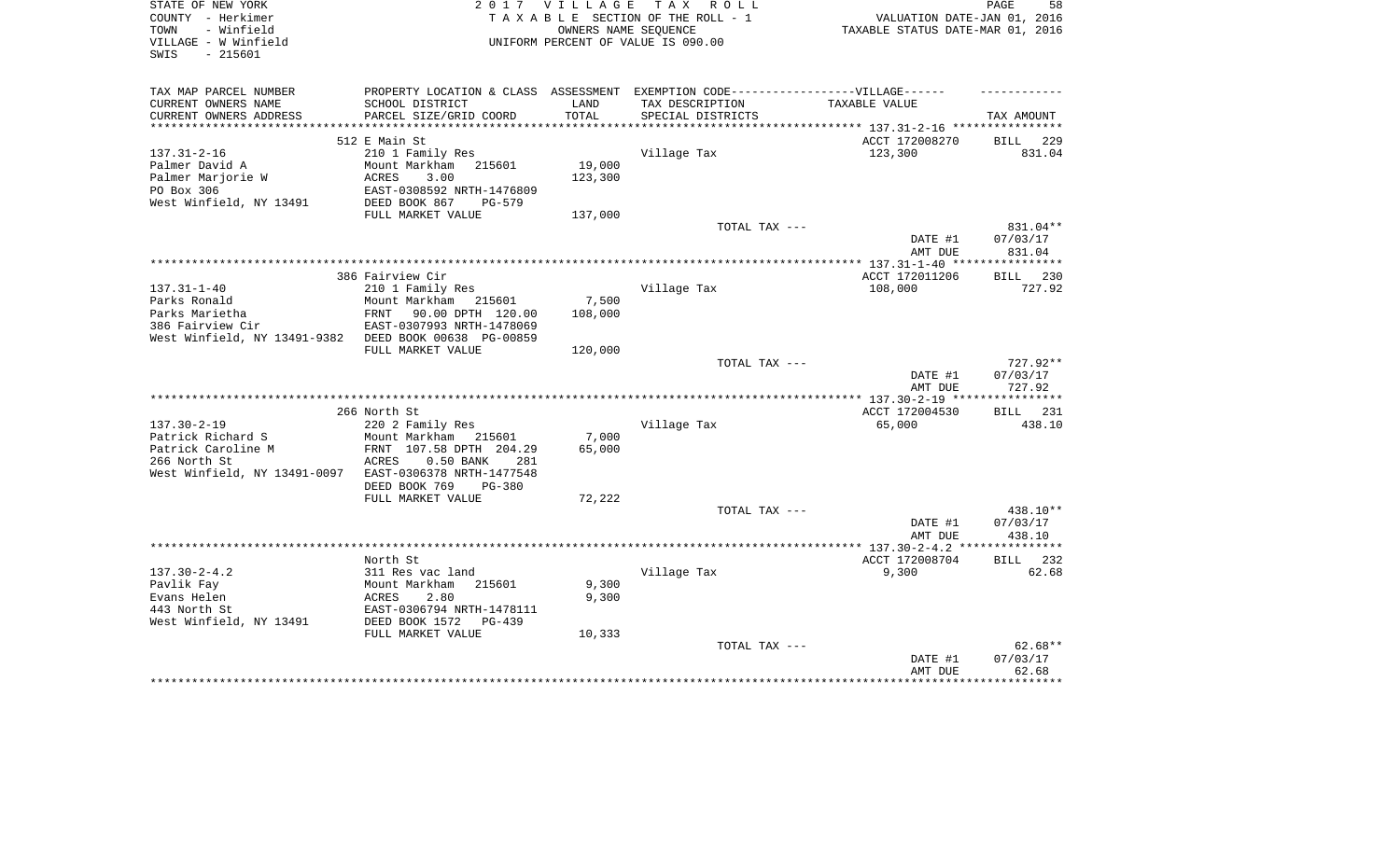| STATE OF NEW YORK<br>COUNTY - Herkimer<br>- Winfield<br>TOWN<br>VILLAGE - W Winfield<br>- 215601<br>SWIS |                                                                                   | 2017 VILLAGE<br>OWNERS NAME SEQUENCE | TAX ROLL<br>TAXABLE SECTION OF THE ROLL - 1<br>UNIFORM PERCENT OF VALUE IS 090.00 | VALUATION DATE-JAN 01, 2016<br>TAXABLE STATUS DATE-MAR 01, 2016 | 58<br>PAGE           |
|----------------------------------------------------------------------------------------------------------|-----------------------------------------------------------------------------------|--------------------------------------|-----------------------------------------------------------------------------------|-----------------------------------------------------------------|----------------------|
| TAX MAP PARCEL NUMBER                                                                                    | PROPERTY LOCATION & CLASS ASSESSMENT EXEMPTION CODE-----------------VILLAGE------ |                                      |                                                                                   |                                                                 |                      |
| CURRENT OWNERS NAME<br>CURRENT OWNERS ADDRESS                                                            | SCHOOL DISTRICT<br>PARCEL SIZE/GRID COORD                                         | LAND<br>TOTAL                        | TAX DESCRIPTION<br>SPECIAL DISTRICTS                                              | TAXABLE VALUE                                                   | TAX AMOUNT           |
| ***********************                                                                                  |                                                                                   |                                      |                                                                                   |                                                                 |                      |
|                                                                                                          | 512 E Main St                                                                     |                                      |                                                                                   | ACCT 172008270                                                  | <b>BILL</b><br>229   |
| $137.31 - 2 - 16$                                                                                        | 210 1 Family Res                                                                  |                                      | Village Tax                                                                       | 123,300                                                         | 831.04               |
| Palmer David A                                                                                           | Mount Markham 215601                                                              | 19,000                               |                                                                                   |                                                                 |                      |
| Palmer Marjorie W                                                                                        | ACRES<br>3.00                                                                     | 123,300                              |                                                                                   |                                                                 |                      |
| PO Box 306<br>West Winfield, NY 13491                                                                    | EAST-0308592 NRTH-1476809<br>DEED BOOK 867<br>$PG-579$                            |                                      |                                                                                   |                                                                 |                      |
|                                                                                                          | FULL MARKET VALUE                                                                 | 137,000                              |                                                                                   |                                                                 |                      |
|                                                                                                          |                                                                                   |                                      | TOTAL TAX ---                                                                     |                                                                 | 831.04**             |
|                                                                                                          |                                                                                   |                                      |                                                                                   | DATE #1<br>AMT DUE                                              | 07/03/17<br>831.04   |
|                                                                                                          |                                                                                   |                                      |                                                                                   |                                                                 |                      |
|                                                                                                          | 386 Fairview Cir                                                                  |                                      |                                                                                   | ACCT 172011206                                                  | BILL 230             |
| $137.31 - 1 - 40$                                                                                        | 210 1 Family Res                                                                  |                                      | Village Tax                                                                       | 108,000                                                         | 727.92               |
| Parks Ronald                                                                                             | Mount Markham<br>215601                                                           | 7,500                                |                                                                                   |                                                                 |                      |
| Parks Marietha<br>386 Fairview Cir                                                                       | 90.00 DPTH 120.00<br>FRNT<br>EAST-0307993 NRTH-1478069                            | 108,000                              |                                                                                   |                                                                 |                      |
| West Winfield, NY 13491-9382 DEED BOOK 00638 PG-00859                                                    |                                                                                   |                                      |                                                                                   |                                                                 |                      |
|                                                                                                          | FULL MARKET VALUE                                                                 | 120,000                              |                                                                                   |                                                                 |                      |
|                                                                                                          |                                                                                   |                                      | TOTAL TAX ---                                                                     |                                                                 | 727.92**             |
|                                                                                                          |                                                                                   |                                      |                                                                                   | DATE #1                                                         | 07/03/17             |
|                                                                                                          |                                                                                   |                                      |                                                                                   | AMT DUE                                                         | 727.92<br>********** |
|                                                                                                          | 266 North St                                                                      |                                      |                                                                                   | *************** 137.30-2-19 ****<br>ACCT 172004530              | <b>BILL</b><br>231   |
| $137.30 - 2 - 19$                                                                                        | 220 2 Family Res                                                                  |                                      | Village Tax                                                                       | 65,000                                                          | 438.10               |
| Patrick Richard S                                                                                        | Mount Markham 215601                                                              | 7,000                                |                                                                                   |                                                                 |                      |
| Patrick Caroline M                                                                                       | FRNT 107.58 DPTH 204.29                                                           | 65,000                               |                                                                                   |                                                                 |                      |
| 266 North St                                                                                             | ACRES<br>0.50 BANK<br>281                                                         |                                      |                                                                                   |                                                                 |                      |
| West Winfield, NY 13491-0097                                                                             | EAST-0306378 NRTH-1477548                                                         |                                      |                                                                                   |                                                                 |                      |
|                                                                                                          | DEED BOOK 769<br><b>PG-380</b><br>FULL MARKET VALUE                               | 72,222                               |                                                                                   |                                                                 |                      |
|                                                                                                          |                                                                                   |                                      | TOTAL TAX ---                                                                     |                                                                 | 438.10**             |
|                                                                                                          |                                                                                   |                                      |                                                                                   | DATE #1                                                         | 07/03/17             |
|                                                                                                          |                                                                                   |                                      |                                                                                   | AMT DUE                                                         | 438.10               |
|                                                                                                          |                                                                                   |                                      |                                                                                   |                                                                 | ***********          |
|                                                                                                          | North St                                                                          |                                      |                                                                                   | ACCT 172008704                                                  | <b>BILL</b><br>232   |
| $137.30 - 2 - 4.2$<br>Pavlik Fay                                                                         | 311 Res vac land<br>Mount Markham<br>215601                                       | 9,300                                | Village Tax                                                                       | 9,300                                                           | 62.68                |
| Evans Helen                                                                                              | ACRES<br>2.80                                                                     | 9,300                                |                                                                                   |                                                                 |                      |
| 443 North St                                                                                             | EAST-0306794 NRTH-1478111                                                         |                                      |                                                                                   |                                                                 |                      |
| West Winfield, NY 13491                                                                                  | DEED BOOK 1572<br>$PG-439$                                                        |                                      |                                                                                   |                                                                 |                      |
|                                                                                                          | FULL MARKET VALUE                                                                 | 10,333                               |                                                                                   |                                                                 |                      |
|                                                                                                          |                                                                                   |                                      | TOTAL TAX ---                                                                     |                                                                 | $62.68**$            |
|                                                                                                          |                                                                                   |                                      |                                                                                   | DATE #1<br>AMT DUE                                              | 07/03/17<br>62.68    |
|                                                                                                          |                                                                                   |                                      |                                                                                   |                                                                 |                      |
|                                                                                                          |                                                                                   |                                      |                                                                                   |                                                                 |                      |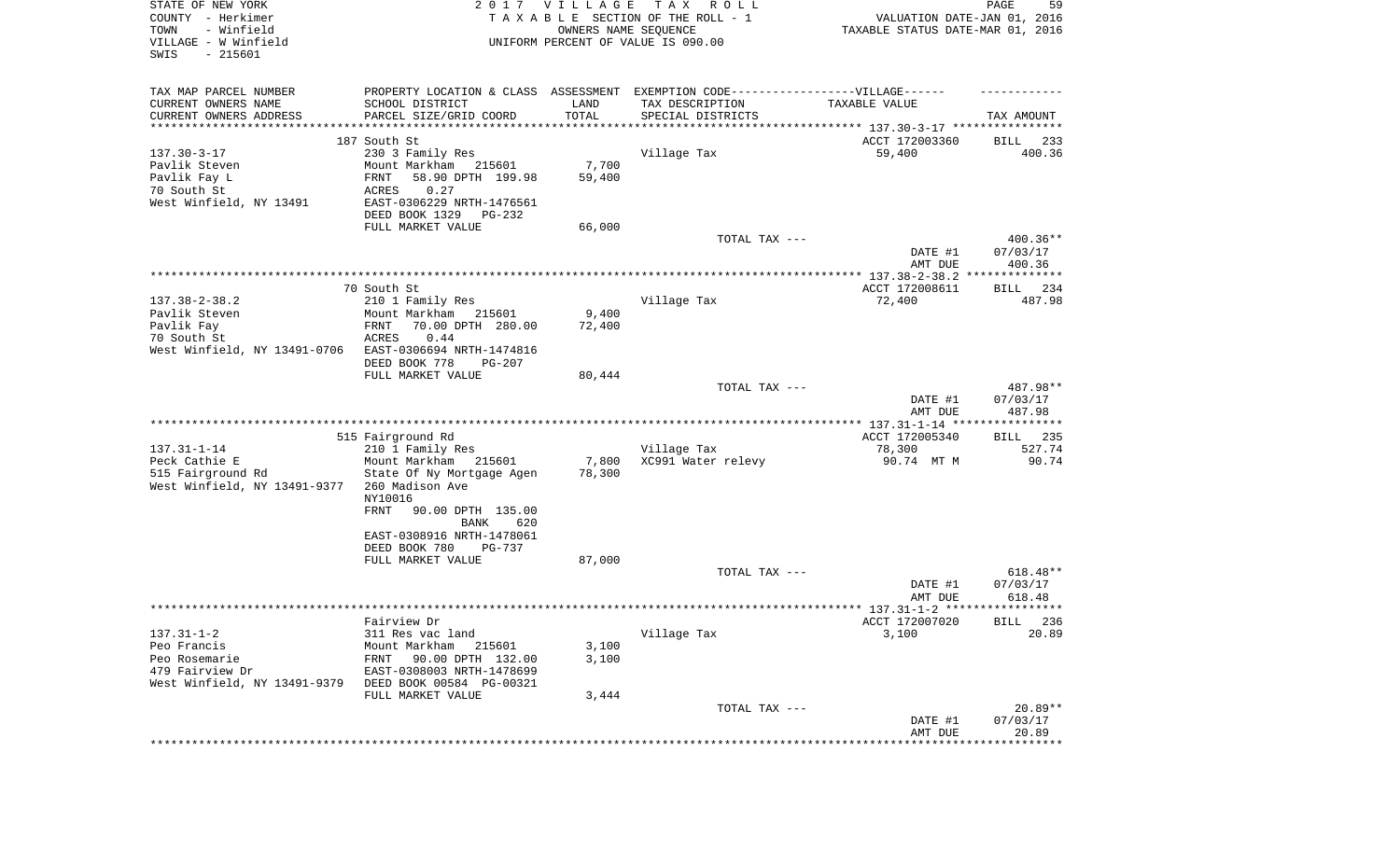| STATE OF NEW YORK<br>COUNTY - Herkimer<br>- Winfield<br>TOWN<br>VILLAGE - W Winfield<br>SWIS<br>$-215601$ |                                                                                                     | 2017 VILLAGE<br>OWNERS NAME SEQUENCE | T A X<br>R O L L<br>TAXABLE SECTION OF THE ROLL - 1<br>UNIFORM PERCENT OF VALUE IS 090.00 | VALUATION DATE-JAN 01, 2016<br>TAXABLE STATUS DATE-MAR 01, 2016 | PAGE<br>59                     |
|-----------------------------------------------------------------------------------------------------------|-----------------------------------------------------------------------------------------------------|--------------------------------------|-------------------------------------------------------------------------------------------|-----------------------------------------------------------------|--------------------------------|
| TAX MAP PARCEL NUMBER<br>CURRENT OWNERS NAME                                                              | PROPERTY LOCATION & CLASS ASSESSMENT EXEMPTION CODE----------------VILLAGE------<br>SCHOOL DISTRICT | LAND                                 | TAX DESCRIPTION                                                                           | TAXABLE VALUE                                                   |                                |
| CURRENT OWNERS ADDRESS<br>***********************                                                         | PARCEL SIZE/GRID COORD                                                                              | TOTAL                                | SPECIAL DISTRICTS                                                                         |                                                                 | TAX AMOUNT                     |
|                                                                                                           |                                                                                                     |                                      |                                                                                           |                                                                 |                                |
| $137.30 - 3 - 17$                                                                                         | 187 South St<br>230 3 Family Res                                                                    |                                      | Village Tax                                                                               | ACCT 172003360<br>59,400                                        | 233<br>BILL<br>400.36          |
| Pavlik Steven                                                                                             | Mount Markham 215601                                                                                | 7,700                                |                                                                                           |                                                                 |                                |
| Pavlik Fay L                                                                                              | 58.90 DPTH 199.98<br>FRNT                                                                           | 59,400                               |                                                                                           |                                                                 |                                |
| 70 South St                                                                                               | 0.27<br>ACRES                                                                                       |                                      |                                                                                           |                                                                 |                                |
| West Winfield, NY 13491                                                                                   | EAST-0306229 NRTH-1476561                                                                           |                                      |                                                                                           |                                                                 |                                |
|                                                                                                           | DEED BOOK 1329<br>PG-232                                                                            |                                      |                                                                                           |                                                                 |                                |
|                                                                                                           | FULL MARKET VALUE                                                                                   | 66,000                               |                                                                                           |                                                                 |                                |
|                                                                                                           |                                                                                                     |                                      | TOTAL TAX ---                                                                             |                                                                 | 400.36**                       |
|                                                                                                           |                                                                                                     |                                      |                                                                                           | DATE #1                                                         | 07/03/17                       |
|                                                                                                           |                                                                                                     |                                      |                                                                                           | AMT DUE                                                         | 400.36                         |
|                                                                                                           | 70 South St                                                                                         |                                      |                                                                                           | ACCT 172008611                                                  | 234<br>BILL                    |
| $137.38 - 2 - 38.2$                                                                                       | 210 1 Family Res                                                                                    |                                      | Village Tax                                                                               | 72,400                                                          | 487.98                         |
| Pavlik Steven                                                                                             | Mount Markham<br>215601                                                                             | 9,400                                |                                                                                           |                                                                 |                                |
| Pavlik Fay                                                                                                | 70.00 DPTH 280.00<br>FRNT                                                                           | 72,400                               |                                                                                           |                                                                 |                                |
| 70 South St                                                                                               | 0.44<br>ACRES                                                                                       |                                      |                                                                                           |                                                                 |                                |
| West Winfield, NY 13491-0706                                                                              | EAST-0306694 NRTH-1474816                                                                           |                                      |                                                                                           |                                                                 |                                |
|                                                                                                           | DEED BOOK 778<br>PG-207                                                                             |                                      |                                                                                           |                                                                 |                                |
|                                                                                                           | FULL MARKET VALUE                                                                                   | 80,444                               |                                                                                           |                                                                 |                                |
|                                                                                                           |                                                                                                     |                                      | TOTAL TAX ---                                                                             | DATE #1<br>AMT DUE                                              | 487.98**<br>07/03/17<br>487.98 |
|                                                                                                           |                                                                                                     |                                      |                                                                                           |                                                                 |                                |
| $137.31 - 1 - 14$                                                                                         | 515 Fairground Rd<br>210 1 Family Res                                                               |                                      | Village Tax                                                                               | ACCT 172005340<br>78,300                                        | BILL 235<br>527.74             |
| Peck Cathie E                                                                                             | Mount Markham 215601                                                                                | 7,800                                | XC991 Water relevy                                                                        | 90.74 MT M                                                      | 90.74                          |
| 515 Fairground Rd<br>West Winfield, NY 13491-9377                                                         | State Of Ny Mortgage Agen<br>260 Madison Ave<br>NY10016                                             | 78,300                               |                                                                                           |                                                                 |                                |
|                                                                                                           | <b>FRNT</b><br>90.00 DPTH 135.00<br>BANK<br>620                                                     |                                      |                                                                                           |                                                                 |                                |
|                                                                                                           | EAST-0308916 NRTH-1478061<br>DEED BOOK 780<br>PG-737                                                |                                      |                                                                                           |                                                                 |                                |
|                                                                                                           | FULL MARKET VALUE                                                                                   | 87,000                               |                                                                                           |                                                                 |                                |
|                                                                                                           |                                                                                                     |                                      | TOTAL TAX ---                                                                             | DATE #1                                                         | 618.48**<br>07/03/17           |
|                                                                                                           |                                                                                                     |                                      |                                                                                           | AMT DUE                                                         | 618.48                         |
|                                                                                                           |                                                                                                     |                                      |                                                                                           |                                                                 | BILL 236                       |
| $137.31 - 1 - 2$                                                                                          | Fairview Dr<br>311 Res vac land                                                                     |                                      | Village Tax                                                                               | ACCT 172007020<br>3,100                                         | 20.89                          |
| Peo Francis                                                                                               | Mount Markham<br>215601                                                                             | 3,100                                |                                                                                           |                                                                 |                                |
| Peo Rosemarie                                                                                             | 90.00 DPTH 132.00<br>FRNT                                                                           | 3,100                                |                                                                                           |                                                                 |                                |
| 479 Fairview Dr                                                                                           | EAST-0308003 NRTH-1478699                                                                           |                                      |                                                                                           |                                                                 |                                |
| West Winfield, NY 13491-9379                                                                              | DEED BOOK 00584 PG-00321                                                                            |                                      |                                                                                           |                                                                 |                                |
|                                                                                                           | FULL MARKET VALUE                                                                                   | 3,444                                |                                                                                           |                                                                 |                                |
|                                                                                                           |                                                                                                     |                                      | TOTAL TAX ---                                                                             |                                                                 | $20.89**$                      |
|                                                                                                           |                                                                                                     |                                      |                                                                                           | DATE #1                                                         | 07/03/17                       |
|                                                                                                           |                                                                                                     |                                      |                                                                                           | AMT DUE                                                         | 20.89<br>************          |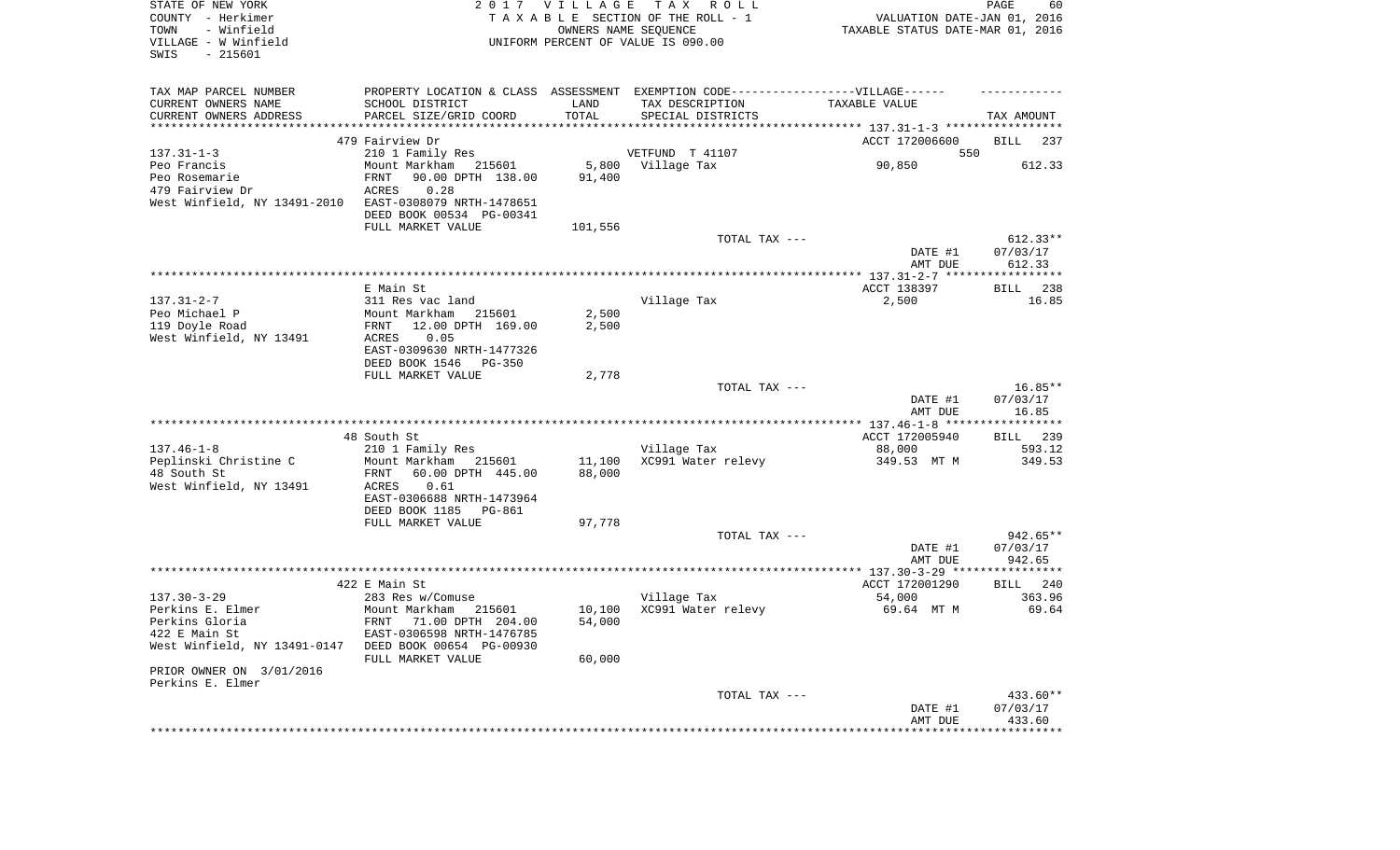| STATE OF NEW YORK<br>COUNTY - Herkimer<br>- Winfield<br>TOWN<br>VILLAGE - W Winfield<br>SWIS<br>$-215601$ |                                                                                  | 2017 VILLAGE<br>OWNERS NAME SEQUENCE | TAX ROLL<br>TAXABLE SECTION OF THE ROLL - 1<br>UNIFORM PERCENT OF VALUE IS 090.00 | VALUATION DATE-JAN 01, 2016<br>TAXABLE STATUS DATE-MAR 01, 2016 | PAGE<br>60         |
|-----------------------------------------------------------------------------------------------------------|----------------------------------------------------------------------------------|--------------------------------------|-----------------------------------------------------------------------------------|-----------------------------------------------------------------|--------------------|
| TAX MAP PARCEL NUMBER                                                                                     | PROPERTY LOCATION & CLASS ASSESSMENT EXEMPTION CODE----------------VILLAGE------ |                                      |                                                                                   |                                                                 |                    |
| CURRENT OWNERS NAME                                                                                       | SCHOOL DISTRICT                                                                  | LAND                                 | TAX DESCRIPTION                                                                   | TAXABLE VALUE                                                   |                    |
| CURRENT OWNERS ADDRESS<br>***********************                                                         | PARCEL SIZE/GRID COORD                                                           | TOTAL                                | SPECIAL DISTRICTS                                                                 |                                                                 | TAX AMOUNT         |
|                                                                                                           | 479 Fairview Dr                                                                  |                                      |                                                                                   | ACCT 172006600                                                  | BILL<br>237        |
| $137.31 - 1 - 3$                                                                                          | 210 1 Family Res                                                                 |                                      | VETFUND T 41107                                                                   | 550                                                             |                    |
| Peo Francis                                                                                               | Mount Markham 215601                                                             | 5,800                                | Village Tax                                                                       | 90,850                                                          | 612.33             |
| Peo Rosemarie                                                                                             | 90.00 DPTH 138.00<br><b>FRNT</b>                                                 | 91,400                               |                                                                                   |                                                                 |                    |
| 479 Fairview Dr                                                                                           | 0.28<br>ACRES                                                                    |                                      |                                                                                   |                                                                 |                    |
| West Winfield, NY 13491-2010                                                                              | EAST-0308079 NRTH-1478651                                                        |                                      |                                                                                   |                                                                 |                    |
|                                                                                                           | DEED BOOK 00534 PG-00341                                                         |                                      |                                                                                   |                                                                 |                    |
|                                                                                                           | FULL MARKET VALUE                                                                | 101,556                              |                                                                                   |                                                                 |                    |
|                                                                                                           |                                                                                  |                                      | TOTAL TAX ---                                                                     |                                                                 | $612.33**$         |
|                                                                                                           |                                                                                  |                                      |                                                                                   | DATE #1<br>AMT DUE                                              | 07/03/17<br>612.33 |
|                                                                                                           |                                                                                  |                                      |                                                                                   |                                                                 |                    |
|                                                                                                           | E Main St.                                                                       |                                      |                                                                                   | ACCT 138397                                                     | BILL<br>238        |
| $137.31 - 2 - 7$                                                                                          | 311 Res vac land                                                                 |                                      | Village Tax                                                                       | 2,500                                                           | 16.85              |
| Peo Michael P                                                                                             | Mount Markham<br>215601                                                          | 2,500                                |                                                                                   |                                                                 |                    |
| 119 Doyle Road                                                                                            | 12.00 DPTH 169.00<br>FRNT                                                        | 2,500                                |                                                                                   |                                                                 |                    |
| West Winfield, NY 13491                                                                                   | 0.05<br>ACRES                                                                    |                                      |                                                                                   |                                                                 |                    |
|                                                                                                           | EAST-0309630 NRTH-1477326                                                        |                                      |                                                                                   |                                                                 |                    |
|                                                                                                           | DEED BOOK 1546<br>PG-350<br>FULL MARKET VALUE                                    | 2,778                                |                                                                                   |                                                                 |                    |
|                                                                                                           |                                                                                  |                                      | TOTAL TAX ---                                                                     |                                                                 | $16.85**$          |
|                                                                                                           |                                                                                  |                                      |                                                                                   | DATE #1                                                         | 07/03/17           |
|                                                                                                           |                                                                                  |                                      |                                                                                   | AMT DUE                                                         | 16.85              |
|                                                                                                           |                                                                                  |                                      |                                                                                   |                                                                 |                    |
|                                                                                                           | 48 South St                                                                      |                                      |                                                                                   | ACCT 172005940                                                  | BILL 239           |
| $137.46 - 1 - 8$                                                                                          | 210 1 Family Res                                                                 |                                      | Village Tax                                                                       | 88,000                                                          | 593.12             |
| Peplinski Christine C<br>48 South St                                                                      | Mount Markham<br>215601<br>FRNT<br>60.00 DPTH 445.00                             | 11,100<br>88,000                     | XC991 Water relevy                                                                | 349.53 MT M                                                     | 349.53             |
| West Winfield, NY 13491                                                                                   | ACRES<br>0.61                                                                    |                                      |                                                                                   |                                                                 |                    |
|                                                                                                           | EAST-0306688 NRTH-1473964                                                        |                                      |                                                                                   |                                                                 |                    |
|                                                                                                           | DEED BOOK 1185<br>PG-861                                                         |                                      |                                                                                   |                                                                 |                    |
|                                                                                                           | FULL MARKET VALUE                                                                | 97,778                               |                                                                                   |                                                                 |                    |
|                                                                                                           |                                                                                  |                                      | TOTAL TAX ---                                                                     |                                                                 | $942.65**$         |
|                                                                                                           |                                                                                  |                                      |                                                                                   | DATE #1                                                         | 07/03/17           |
|                                                                                                           |                                                                                  |                                      |                                                                                   | AMT DUE                                                         | 942.65             |
|                                                                                                           | 422 E Main St                                                                    |                                      |                                                                                   | ACCT 172001290                                                  | BILL<br>240        |
| $137.30 - 3 - 29$                                                                                         | 283 Res w/Comuse                                                                 |                                      | Village Tax                                                                       | 54,000                                                          | 363.96             |
| Perkins E. Elmer                                                                                          | Mount Markham 215601                                                             | 10,100                               | XC991 Water relevy                                                                | 69.64 MT M                                                      | 69.64              |
| Perkins Gloria                                                                                            | FRNT 71.00 DPTH 204.00                                                           | 54,000                               |                                                                                   |                                                                 |                    |
| 422 E Main St                                                                                             | EAST-0306598 NRTH-1476785                                                        |                                      |                                                                                   |                                                                 |                    |
| West Winfield, NY 13491-0147                                                                              | DEED BOOK 00654 PG-00930                                                         |                                      |                                                                                   |                                                                 |                    |
| PRIOR OWNER ON 3/01/2016                                                                                  | FULL MARKET VALUE                                                                | 60,000                               |                                                                                   |                                                                 |                    |
| Perkins E. Elmer                                                                                          |                                                                                  |                                      |                                                                                   |                                                                 |                    |
|                                                                                                           |                                                                                  |                                      | TOTAL TAX ---                                                                     |                                                                 | 433.60**           |
|                                                                                                           |                                                                                  |                                      |                                                                                   | DATE #1                                                         | 07/03/17           |
|                                                                                                           |                                                                                  |                                      |                                                                                   | AMT DUE                                                         | 433.60             |
|                                                                                                           |                                                                                  |                                      |                                                                                   |                                                                 | **************     |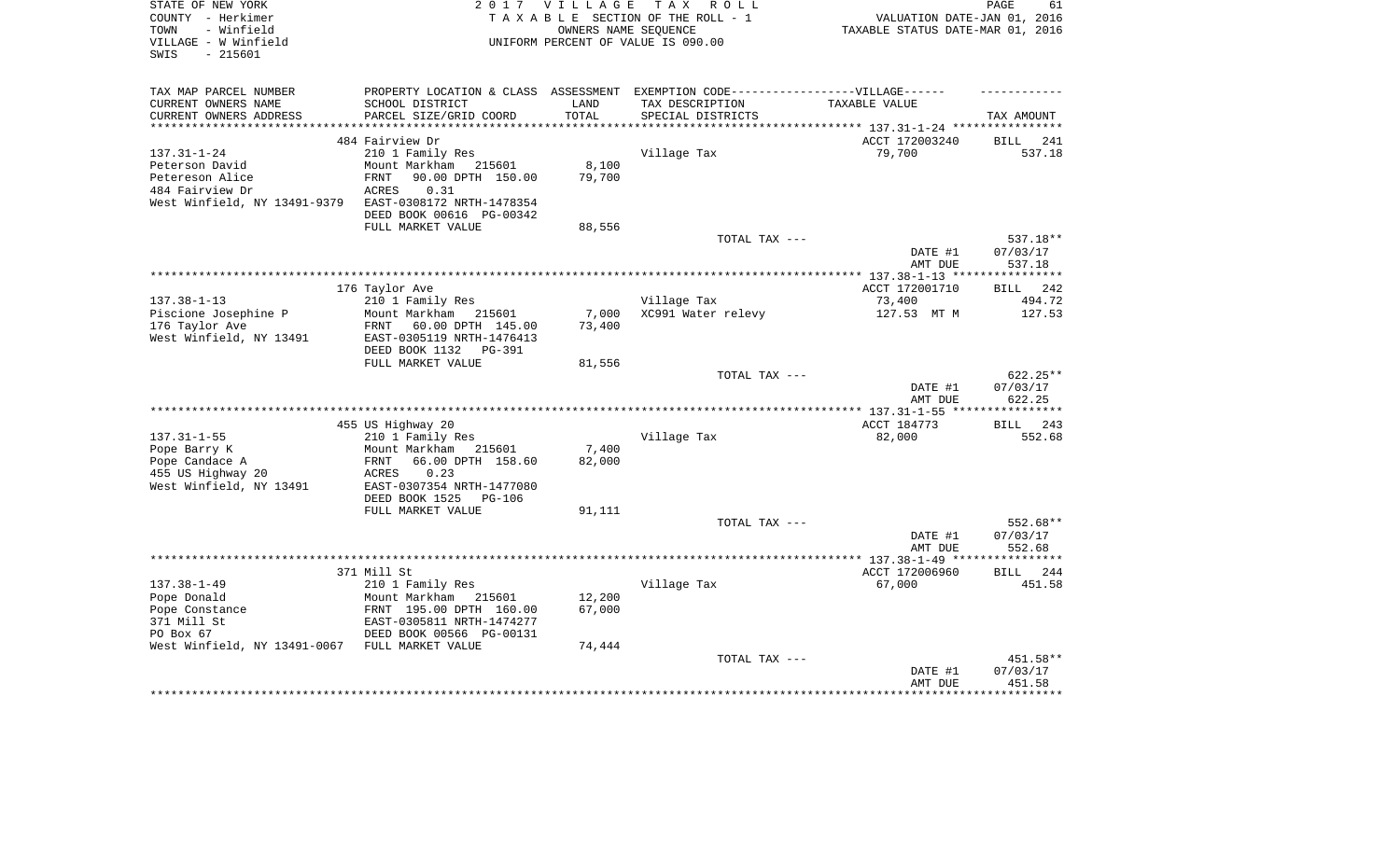| STATE OF NEW YORK<br>COUNTY - Herkimer<br>- Winfield<br>TOWN<br>VILLAGE - W Winfield | 2 0 1 7                                                | <b>VILLAGE</b><br>OWNERS NAME SEOUENCE | TAX ROLL<br>TAXABLE SECTION OF THE ROLL - 1<br>UNIFORM PERCENT OF VALUE IS 090.00 | VALUATION DATE-JAN 01, 2016<br>TAXABLE STATUS DATE-MAR 01, 2016 | PAGE<br>61                 |
|--------------------------------------------------------------------------------------|--------------------------------------------------------|----------------------------------------|-----------------------------------------------------------------------------------|-----------------------------------------------------------------|----------------------------|
| SWIS<br>$-215601$                                                                    |                                                        |                                        |                                                                                   |                                                                 |                            |
|                                                                                      |                                                        |                                        |                                                                                   |                                                                 |                            |
| TAX MAP PARCEL NUMBER                                                                |                                                        |                                        | PROPERTY LOCATION & CLASS ASSESSMENT EXEMPTION CODE-----------------VILLAGE------ |                                                                 |                            |
| CURRENT OWNERS NAME                                                                  | SCHOOL DISTRICT                                        | LAND                                   | TAX DESCRIPTION                                                                   | TAXABLE VALUE                                                   |                            |
| CURRENT OWNERS ADDRESS<br>************************                                   | PARCEL SIZE/GRID COORD                                 | TOTAL                                  | SPECIAL DISTRICTS                                                                 |                                                                 | TAX AMOUNT                 |
|                                                                                      | 484 Fairview Dr                                        |                                        |                                                                                   | ACCT 172003240                                                  | 241<br>BILL                |
| $137.31 - 1 - 24$                                                                    | 210 1 Family Res                                       |                                        | Village Tax                                                                       | 79,700                                                          | 537.18                     |
| Peterson David                                                                       | Mount Markham<br>215601                                | 8,100                                  |                                                                                   |                                                                 |                            |
| Petereson Alice                                                                      | <b>FRNT</b><br>90.00 DPTH 150.00                       | 79,700                                 |                                                                                   |                                                                 |                            |
| 484 Fairview Dr                                                                      | 0.31<br>ACRES                                          |                                        |                                                                                   |                                                                 |                            |
| West Winfield, NY 13491-9379                                                         | EAST-0308172 NRTH-1478354                              |                                        |                                                                                   |                                                                 |                            |
|                                                                                      | DEED BOOK 00616 PG-00342<br>FULL MARKET VALUE          | 88,556                                 |                                                                                   |                                                                 |                            |
|                                                                                      |                                                        |                                        | TOTAL TAX ---                                                                     |                                                                 | 537.18**                   |
|                                                                                      |                                                        |                                        |                                                                                   | DATE #1                                                         | 07/03/17                   |
|                                                                                      |                                                        |                                        |                                                                                   | AMT DUE                                                         | 537.18                     |
|                                                                                      |                                                        |                                        |                                                                                   | ************** 137.38-1-13 ***                                  | * * * * * * * * * * *      |
|                                                                                      | 176 Taylor Ave                                         |                                        |                                                                                   | ACCT 172001710                                                  | 242<br><b>BILL</b>         |
| $137.38 - 1 - 13$                                                                    | 210 1 Family Res                                       |                                        | Village Tax                                                                       | 73,400                                                          | 494.72                     |
| Piscione Josephine P                                                                 | Mount Markham<br>215601                                | 7,000                                  | XC991 Water relevy                                                                | 127.53 MT M                                                     | 127.53                     |
| 176 Taylor Ave<br>West Winfield, NY 13491                                            | 60.00 DPTH 145.00<br>FRNT<br>EAST-0305119 NRTH-1476413 | 73,400                                 |                                                                                   |                                                                 |                            |
|                                                                                      | DEED BOOK 1132<br><b>PG-391</b>                        |                                        |                                                                                   |                                                                 |                            |
|                                                                                      | FULL MARKET VALUE                                      | 81,556                                 |                                                                                   |                                                                 |                            |
|                                                                                      |                                                        |                                        | TOTAL TAX ---                                                                     |                                                                 | 622.25**                   |
|                                                                                      |                                                        |                                        |                                                                                   | DATE #1                                                         | 07/03/17                   |
|                                                                                      |                                                        |                                        |                                                                                   | AMT DUE                                                         | 622.25                     |
|                                                                                      |                                                        |                                        |                                                                                   | **************** 137.31-1-55 **                                 | * * * * * * * * * *<br>243 |
| $137.31 - 1 - 55$                                                                    | 455 US Highway 20<br>210 1 Family Res                  |                                        | Village Tax                                                                       | ACCT 184773<br>82,000                                           | BILL<br>552.68             |
| Pope Barry K                                                                         | Mount Markham<br>215601                                | 7,400                                  |                                                                                   |                                                                 |                            |
| Pope Candace A                                                                       | 66.00 DPTH 158.60<br>FRNT                              | 82,000                                 |                                                                                   |                                                                 |                            |
| 455 US Highway 20                                                                    | ACRES<br>0.23                                          |                                        |                                                                                   |                                                                 |                            |
| West Winfield, NY 13491                                                              | EAST-0307354 NRTH-1477080                              |                                        |                                                                                   |                                                                 |                            |
|                                                                                      | DEED BOOK 1525<br><b>PG-106</b>                        |                                        |                                                                                   |                                                                 |                            |
|                                                                                      | FULL MARKET VALUE                                      | 91,111                                 |                                                                                   |                                                                 |                            |
|                                                                                      |                                                        |                                        | TOTAL TAX ---                                                                     | DATE #1                                                         | 552.68**<br>07/03/17       |
|                                                                                      |                                                        |                                        |                                                                                   | AMT DUE                                                         | 552.68                     |
|                                                                                      |                                                        |                                        |                                                                                   |                                                                 | ********                   |
|                                                                                      | 371 Mill St                                            |                                        |                                                                                   | ACCT 172006960                                                  | 244<br><b>BILL</b>         |
| $137.38 - 1 - 49$                                                                    | 210 1 Family Res                                       |                                        | Village Tax                                                                       | 67,000                                                          | 451.58                     |
| Pope Donald                                                                          | Mount Markham<br>215601                                | 12,200                                 |                                                                                   |                                                                 |                            |
| Pope Constance                                                                       | FRNT 195.00 DPTH 160.00                                | 67,000                                 |                                                                                   |                                                                 |                            |
| 371 Mill St<br>PO Box 67                                                             | EAST-0305811 NRTH-1474277                              |                                        |                                                                                   |                                                                 |                            |
| West Winfield, NY 13491-0067                                                         | DEED BOOK 00566 PG-00131<br>FULL MARKET VALUE          | 74,444                                 |                                                                                   |                                                                 |                            |
|                                                                                      |                                                        |                                        | TOTAL TAX ---                                                                     |                                                                 | 451.58**                   |
|                                                                                      |                                                        |                                        |                                                                                   | DATE #1                                                         | 07/03/17                   |
|                                                                                      |                                                        |                                        |                                                                                   | AMT DUE                                                         | 451.58                     |
|                                                                                      |                                                        |                                        |                                                                                   |                                                                 |                            |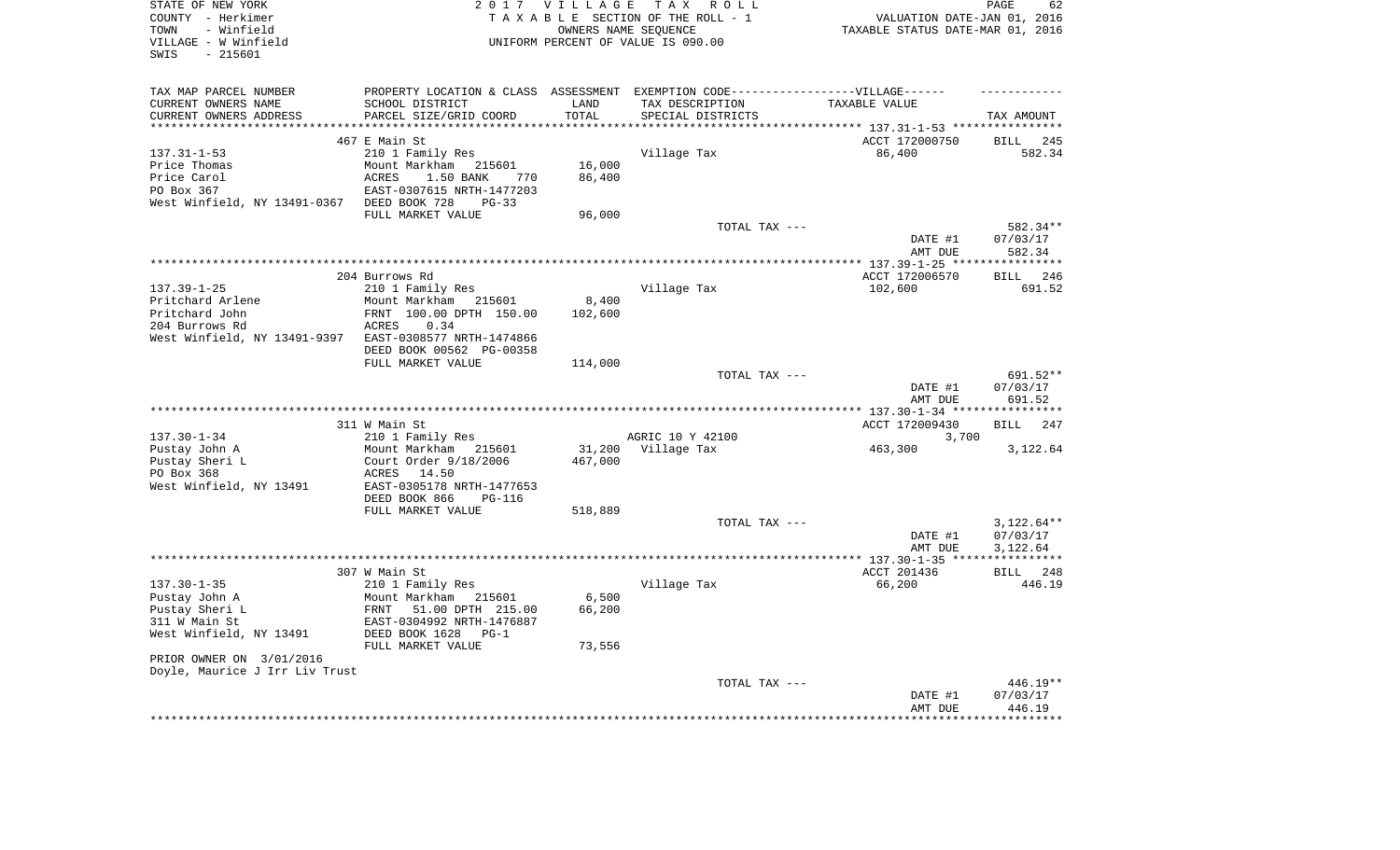| STATE OF NEW YORK<br>COUNTY - Herkimer<br>- Winfield<br>TOWN<br>VILLAGE - W Winfield<br>SWIS<br>$-215601$ |                                                                                                                        | 2017 VILLAGE      | TAX ROLL<br>TAXABLE SECTION OF THE ROLL - 1<br>OWNERS NAME SEQUENCE<br>UNIFORM PERCENT OF VALUE IS 090.00 | VALUATION DATE-JAN 01, 2016<br>TAXABLE STATUS DATE-MAR 01, 2016 | PAGE<br>62                         |
|-----------------------------------------------------------------------------------------------------------|------------------------------------------------------------------------------------------------------------------------|-------------------|-----------------------------------------------------------------------------------------------------------|-----------------------------------------------------------------|------------------------------------|
| TAX MAP PARCEL NUMBER<br>CURRENT OWNERS NAME                                                              | SCHOOL DISTRICT                                                                                                        | LAND              | PROPERTY LOCATION & CLASS ASSESSMENT EXEMPTION CODE-----------------VILLAGE------<br>TAX DESCRIPTION      | TAXABLE VALUE                                                   |                                    |
| CURRENT OWNERS ADDRESS                                                                                    | PARCEL SIZE/GRID COORD                                                                                                 | TOTAL             | SPECIAL DISTRICTS                                                                                         |                                                                 | TAX AMOUNT                         |
| **********************                                                                                    |                                                                                                                        |                   |                                                                                                           |                                                                 |                                    |
| $137.31 - 1 - 53$<br>Price Thomas<br>Price Carol<br>PO Box 367                                            | 467 E Main St<br>210 1 Family Res<br>Mount Markham<br>215601<br>ACRES<br>1.50 BANK<br>770<br>EAST-0307615 NRTH-1477203 | 16,000<br>86,400  | Village Tax                                                                                               | ACCT 172000750<br>86,400                                        | <b>BILL</b><br>245<br>582.34       |
| West Winfield, NY 13491-0367                                                                              | DEED BOOK 728<br>$PG-33$<br>FULL MARKET VALUE                                                                          | 96,000            |                                                                                                           |                                                                 |                                    |
|                                                                                                           |                                                                                                                        |                   | TOTAL TAX ---                                                                                             | DATE #1<br>AMT DUE                                              | 582.34**<br>07/03/17<br>582.34     |
|                                                                                                           | 204 Burrows Rd                                                                                                         |                   |                                                                                                           | ***************** 137.39-1-25 ****<br>ACCT 172006570            | ************<br><b>BILL</b><br>246 |
| $137.39 - 1 - 25$<br>Pritchard Arlene<br>Pritchard John<br>204 Burrows Rd                                 | 210 1 Family Res<br>Mount Markham 215601<br>FRNT 100.00 DPTH 150.00<br>ACRES<br>0.34                                   | 8,400<br>102,600  | Village Tax                                                                                               | 102,600                                                         | 691.52                             |
| West Winfield, NY 13491-9397                                                                              | EAST-0308577 NRTH-1474866<br>DEED BOOK 00562 PG-00358<br>FULL MARKET VALUE                                             | 114,000           |                                                                                                           |                                                                 |                                    |
|                                                                                                           |                                                                                                                        |                   | TOTAL TAX ---                                                                                             | DATE #1<br>AMT DUE                                              | 691.52**<br>07/03/17<br>691.52     |
|                                                                                                           |                                                                                                                        |                   |                                                                                                           |                                                                 |                                    |
| $137.30 - 1 - 34$                                                                                         | 311 W Main St<br>210 1 Family Res                                                                                      |                   | AGRIC 10 Y 42100                                                                                          | ACCT 172009430<br>3,700                                         | 247<br><b>BILL</b>                 |
| Pustay John A<br>Pustay Sheri L<br>PO Box 368                                                             | Mount Markham<br>215601<br>Court Order 9/18/2006<br>ACRES 14.50                                                        | 31,200<br>467,000 | Village Tax                                                                                               | 463,300                                                         | 3,122.64                           |
| West Winfield, NY 13491                                                                                   | EAST-0305178 NRTH-1477653<br>DEED BOOK 866<br>$PG-116$                                                                 |                   |                                                                                                           |                                                                 |                                    |
|                                                                                                           | FULL MARKET VALUE                                                                                                      | 518,889           | TOTAL TAX ---                                                                                             |                                                                 | $3,122.64**$                       |
|                                                                                                           |                                                                                                                        |                   |                                                                                                           | DATE #1<br>AMT DUE                                              | 07/03/17<br>3,122.64               |
|                                                                                                           |                                                                                                                        |                   |                                                                                                           | *** $137.30 - 1 - 35$ ***                                       | **********                         |
| $137.30 - 1 - 35$<br>Pustay John A                                                                        | 307 W Main St<br>210 1 Family Res<br>Mount Markham 215601                                                              | 6,500             | Village Tax                                                                                               | ACCT 201436<br>66,200                                           | BILL 248<br>446.19                 |
| Pustay Sheri L<br>311 W Main St<br>West Winfield, NY 13491                                                | 51.00 DPTH 215.00<br>FRNT<br>EAST-0304992 NRTH-1476887<br>DEED BOOK 1628<br>$PG-1$<br>FULL MARKET VALUE                | 66,200<br>73,556  |                                                                                                           |                                                                 |                                    |
| PRIOR OWNER ON 3/01/2016<br>Doyle, Maurice J Irr Liv Trust                                                |                                                                                                                        |                   |                                                                                                           |                                                                 |                                    |
|                                                                                                           |                                                                                                                        |                   | TOTAL TAX ---                                                                                             | DATE #1<br>AMT DUE                                              | 446.19**<br>07/03/17<br>446.19     |
|                                                                                                           |                                                                                                                        |                   |                                                                                                           |                                                                 |                                    |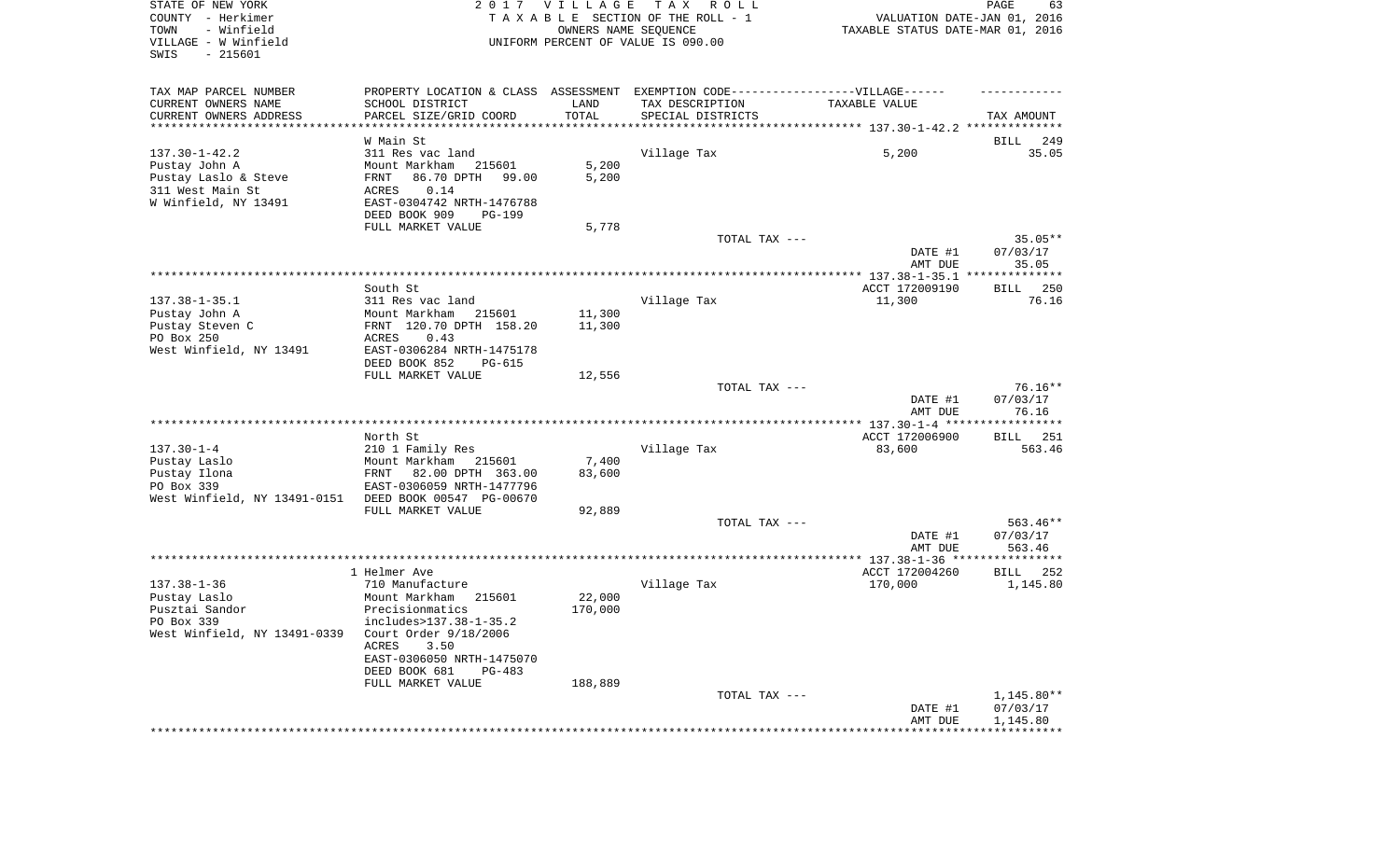| STATE OF NEW YORK<br>COUNTY - Herkimer<br>TOWN<br>- Winfield<br>VILLAGE - W Winfield<br>SWIS<br>$-215601$ | 2017                                                  | VILLAGE<br>OWNERS NAME SEQUENCE | T A X<br>R O L L<br>TAXABLE SECTION OF THE ROLL - 1<br>UNIFORM PERCENT OF VALUE IS 090.00 | VALUATION DATE-JAN 01, 2016<br>TAXABLE STATUS DATE-MAR 01, 2016 | PAGE<br>63              |
|-----------------------------------------------------------------------------------------------------------|-------------------------------------------------------|---------------------------------|-------------------------------------------------------------------------------------------|-----------------------------------------------------------------|-------------------------|
| TAX MAP PARCEL NUMBER                                                                                     | PROPERTY LOCATION & CLASS ASSESSMENT                  |                                 | EXEMPTION CODE------------------VILLAGE------                                             |                                                                 |                         |
| CURRENT OWNERS NAME                                                                                       | SCHOOL DISTRICT                                       | LAND                            | TAX DESCRIPTION                                                                           | TAXABLE VALUE                                                   |                         |
| CURRENT OWNERS ADDRESS<br>**********************                                                          | PARCEL SIZE/GRID COORD                                | TOTAL                           | SPECIAL DISTRICTS                                                                         |                                                                 | TAX AMOUNT              |
|                                                                                                           | W Main St                                             |                                 |                                                                                           |                                                                 | BILL<br>249             |
| $137.30 - 1 - 42.2$                                                                                       | 311 Res vac land                                      |                                 | Village Tax                                                                               | 5,200                                                           | 35.05                   |
| Pustay John A                                                                                             | Mount Markham<br>215601                               | 5,200                           |                                                                                           |                                                                 |                         |
| Pustay Laslo & Steve                                                                                      | 86.70 DPTH<br>FRNT<br>99.00                           | 5,200                           |                                                                                           |                                                                 |                         |
| 311 West Main St                                                                                          | ACRES<br>0.14                                         |                                 |                                                                                           |                                                                 |                         |
| W Winfield, NY 13491                                                                                      | EAST-0304742 NRTH-1476788                             |                                 |                                                                                           |                                                                 |                         |
|                                                                                                           | DEED BOOK 909<br>PG-199<br>FULL MARKET VALUE          | 5,778                           |                                                                                           |                                                                 |                         |
|                                                                                                           |                                                       |                                 | TOTAL TAX ---                                                                             |                                                                 | $35.05**$               |
|                                                                                                           |                                                       |                                 |                                                                                           | DATE #1                                                         | 07/03/17                |
|                                                                                                           |                                                       |                                 |                                                                                           | AMT DUE                                                         | 35.05                   |
|                                                                                                           |                                                       |                                 |                                                                                           |                                                                 |                         |
| $137.38 - 1 - 35.1$                                                                                       | South St                                              |                                 |                                                                                           | ACCT 172009190                                                  | 250<br>BILL             |
| Pustay John A                                                                                             | 311 Res vac land<br>Mount Markham<br>215601           | 11,300                          | Village Tax                                                                               | 11,300                                                          | 76.16                   |
| Pustay Steven C                                                                                           | FRNT 120.70 DPTH 158.20                               | 11,300                          |                                                                                           |                                                                 |                         |
| PO Box 250                                                                                                | 0.43<br><b>ACRES</b>                                  |                                 |                                                                                           |                                                                 |                         |
| West Winfield, NY 13491                                                                                   | EAST-0306284 NRTH-1475178<br>DEED BOOK 852<br>PG-615  |                                 |                                                                                           |                                                                 |                         |
|                                                                                                           | FULL MARKET VALUE                                     | 12,556                          |                                                                                           |                                                                 |                         |
|                                                                                                           |                                                       |                                 | TOTAL TAX ---                                                                             |                                                                 | $76.16**$               |
|                                                                                                           |                                                       |                                 |                                                                                           | DATE #1                                                         | 07/03/17                |
|                                                                                                           |                                                       |                                 |                                                                                           | AMT DUE                                                         | 76.16                   |
|                                                                                                           | North St                                              |                                 |                                                                                           | ACCT 172006900                                                  | 251<br>BILL             |
| $137.30 - 1 - 4$                                                                                          | 210 1 Family Res                                      |                                 | Village Tax                                                                               | 83,600                                                          | 563.46                  |
| Pustay Laslo                                                                                              | Mount Markham<br>215601                               | 7,400                           |                                                                                           |                                                                 |                         |
| Pustay Ilona                                                                                              | FRNT<br>82.00 DPTH 363.00                             | 83,600                          |                                                                                           |                                                                 |                         |
| PO Box 339<br>West Winfield, NY 13491-0151                                                                | EAST-0306059 NRTH-1477796<br>DEED BOOK 00547 PG-00670 |                                 |                                                                                           |                                                                 |                         |
|                                                                                                           | FULL MARKET VALUE                                     | 92,889                          |                                                                                           |                                                                 |                         |
|                                                                                                           |                                                       |                                 | TOTAL TAX ---                                                                             |                                                                 | 563.46**                |
|                                                                                                           |                                                       |                                 |                                                                                           | DATE #1                                                         | 07/03/17                |
|                                                                                                           |                                                       |                                 |                                                                                           | AMT DUE                                                         | 563.46                  |
|                                                                                                           |                                                       |                                 |                                                                                           |                                                                 |                         |
| $137.38 - 1 - 36$                                                                                         | 1 Helmer Ave<br>710 Manufacture                       |                                 | Village Tax                                                                               | ACCT 172004260<br>170,000                                       | BILL<br>252<br>1,145.80 |
| Pustay Laslo                                                                                              | 215601<br>Mount Markham                               | 22,000                          |                                                                                           |                                                                 |                         |
| Pusztai Sandor                                                                                            | Precisionmatics                                       | 170,000                         |                                                                                           |                                                                 |                         |
| PO Box 339                                                                                                | includes>137.38-1-35.2                                |                                 |                                                                                           |                                                                 |                         |
| West Winfield, NY 13491-0339                                                                              | Court Order 9/18/2006                                 |                                 |                                                                                           |                                                                 |                         |
|                                                                                                           | ACRES<br>3.50                                         |                                 |                                                                                           |                                                                 |                         |
|                                                                                                           | EAST-0306050 NRTH-1475070<br>DEED BOOK 681<br>PG-483  |                                 |                                                                                           |                                                                 |                         |
|                                                                                                           | FULL MARKET VALUE                                     | 188,889                         |                                                                                           |                                                                 |                         |
|                                                                                                           |                                                       |                                 | TOTAL TAX ---                                                                             |                                                                 | 1,145.80**              |
|                                                                                                           |                                                       |                                 |                                                                                           | DATE #1                                                         | 07/03/17                |
|                                                                                                           |                                                       |                                 |                                                                                           | AMT DUE                                                         | 1,145.80                |
|                                                                                                           |                                                       |                                 |                                                                                           | **************************                                      |                         |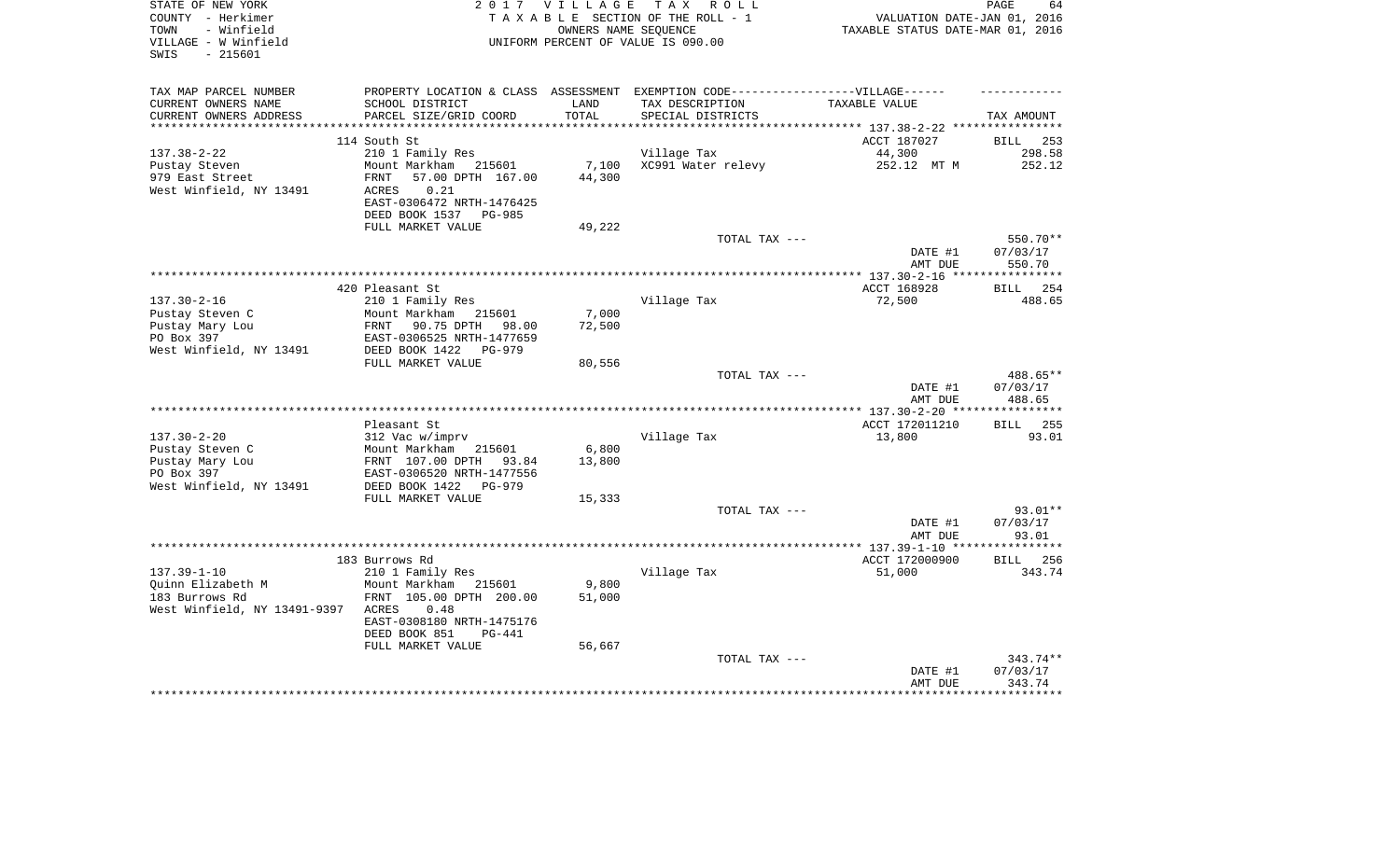| STATE OF NEW YORK<br>COUNTY - Herkimer<br>- Winfield<br>TOWN<br>VILLAGE - W Winfield<br>SWIS<br>- 215601 | 2 0 1 7                                                                           | <b>VILLAGE</b>  | TAX ROLL<br>TAXABLE SECTION OF THE ROLL - 1<br>OWNERS NAME SEOUENCE<br>UNIFORM PERCENT OF VALUE IS 090.00 | VALUATION DATE-JAN 01, 2016<br>TAXABLE STATUS DATE-MAR 01, 2016 | PAGE<br>64            |
|----------------------------------------------------------------------------------------------------------|-----------------------------------------------------------------------------------|-----------------|-----------------------------------------------------------------------------------------------------------|-----------------------------------------------------------------|-----------------------|
|                                                                                                          |                                                                                   |                 |                                                                                                           |                                                                 |                       |
| TAX MAP PARCEL NUMBER                                                                                    | PROPERTY LOCATION & CLASS ASSESSMENT EXEMPTION CODE-----------------VILLAGE------ |                 |                                                                                                           |                                                                 |                       |
| CURRENT OWNERS NAME                                                                                      | SCHOOL DISTRICT                                                                   | LAND            | TAX DESCRIPTION                                                                                           | TAXABLE VALUE                                                   |                       |
| CURRENT OWNERS ADDRESS<br>*************************                                                      | PARCEL SIZE/GRID COORD                                                            | TOTAL           | SPECIAL DISTRICTS                                                                                         | ********************************* 137.38-2-22 ****************  | TAX AMOUNT            |
|                                                                                                          | 114 South St                                                                      |                 |                                                                                                           | ACCT 187027                                                     | 253<br>BILL           |
| $137.38 - 2 - 22$                                                                                        | 210 1 Family Res                                                                  |                 | Village Tax                                                                                               | 44,300                                                          | 298.58                |
| Pustay Steven                                                                                            | Mount Markham<br>215601                                                           | 7,100           | XC991 Water relevy                                                                                        | 252.12 MT M                                                     | 252.12                |
| 979 East Street                                                                                          | 57.00 DPTH 167.00<br>FRNT                                                         | 44,300          |                                                                                                           |                                                                 |                       |
| West Winfield, NY 13491                                                                                  | ACRES<br>0.21                                                                     |                 |                                                                                                           |                                                                 |                       |
|                                                                                                          | EAST-0306472 NRTH-1476425                                                         |                 |                                                                                                           |                                                                 |                       |
|                                                                                                          | DEED BOOK 1537 PG-985<br>FULL MARKET VALUE                                        | 49,222          |                                                                                                           |                                                                 |                       |
|                                                                                                          |                                                                                   |                 | TOTAL TAX ---                                                                                             |                                                                 | 550.70**              |
|                                                                                                          |                                                                                   |                 |                                                                                                           | DATE #1                                                         | 07/03/17              |
|                                                                                                          |                                                                                   |                 |                                                                                                           | AMT DUE                                                         | 550.70                |
|                                                                                                          |                                                                                   |                 |                                                                                                           |                                                                 | * * * * * * * * * * * |
|                                                                                                          | 420 Pleasant St                                                                   |                 |                                                                                                           | ACCT 168928                                                     | 254<br><b>BILL</b>    |
| $137.30 - 2 - 16$                                                                                        | 210 1 Family Res<br>215601                                                        |                 | Village Tax                                                                                               | 72,500                                                          | 488.65                |
| Pustay Steven C<br>Pustay Mary Lou                                                                       | Mount Markham<br>90.75 DPTH<br>98.00<br>FRNT                                      | 7,000<br>72,500 |                                                                                                           |                                                                 |                       |
| PO Box 397                                                                                               | EAST-0306525 NRTH-1477659                                                         |                 |                                                                                                           |                                                                 |                       |
| West Winfield, NY 13491                                                                                  | DEED BOOK 1422<br>PG-979                                                          |                 |                                                                                                           |                                                                 |                       |
|                                                                                                          | FULL MARKET VALUE                                                                 | 80,556          |                                                                                                           |                                                                 |                       |
|                                                                                                          |                                                                                   |                 | TOTAL TAX ---                                                                                             |                                                                 | 488.65**              |
|                                                                                                          |                                                                                   |                 |                                                                                                           | DATE #1                                                         | 07/03/17              |
|                                                                                                          |                                                                                   |                 |                                                                                                           | AMT DUE<br>**** 137.30-2-20 **                                  | 488.65<br>**********  |
|                                                                                                          | Pleasant St                                                                       |                 |                                                                                                           | ACCT 172011210                                                  | 255<br><b>BILL</b>    |
| $137.30 - 2 - 20$                                                                                        | 312 Vac w/imprv                                                                   |                 | Village Tax                                                                                               | 13,800                                                          | 93.01                 |
| Pustay Steven C                                                                                          | Mount Markham<br>215601                                                           | 6,800           |                                                                                                           |                                                                 |                       |
| Pustay Mary Lou                                                                                          | FRNT 107.00 DPTH<br>93.84                                                         | 13,800          |                                                                                                           |                                                                 |                       |
| PO Box 397                                                                                               | EAST-0306520 NRTH-1477556                                                         |                 |                                                                                                           |                                                                 |                       |
| West Winfield, NY 13491                                                                                  | DEED BOOK 1422<br>$PG-979$<br>FULL MARKET VALUE                                   | 15,333          |                                                                                                           |                                                                 |                       |
|                                                                                                          |                                                                                   |                 | TOTAL TAX ---                                                                                             |                                                                 | 93.01**               |
|                                                                                                          |                                                                                   |                 |                                                                                                           | DATE #1                                                         | 07/03/17              |
|                                                                                                          |                                                                                   |                 |                                                                                                           | AMT DUE                                                         | 93.01                 |
|                                                                                                          |                                                                                   |                 |                                                                                                           |                                                                 | ********              |
|                                                                                                          | 183 Burrows Rd                                                                    |                 |                                                                                                           | ACCT 172000900                                                  | 256<br><b>BILL</b>    |
| $137.39 - 1 - 10$                                                                                        | 210 1 Family Res                                                                  |                 | Village Tax                                                                                               | 51,000                                                          | 343.74                |
| Ouinn Elizabeth M<br>183 Burrows Rd                                                                      | Mount Markham<br>215601<br>FRNT 105.00 DPTH 200.00                                | 9,800<br>51,000 |                                                                                                           |                                                                 |                       |
| West Winfield, NY 13491-9397                                                                             | 0.48<br>ACRES                                                                     |                 |                                                                                                           |                                                                 |                       |
|                                                                                                          | EAST-0308180 NRTH-1475176                                                         |                 |                                                                                                           |                                                                 |                       |
|                                                                                                          | DEED BOOK 851<br><b>PG-441</b>                                                    |                 |                                                                                                           |                                                                 |                       |
|                                                                                                          | FULL MARKET VALUE                                                                 | 56,667          |                                                                                                           |                                                                 |                       |
|                                                                                                          |                                                                                   |                 | TOTAL TAX ---                                                                                             |                                                                 | 343.74**              |
|                                                                                                          |                                                                                   |                 |                                                                                                           | DATE #1<br>AMT DUE                                              | 07/03/17<br>343.74    |
|                                                                                                          |                                                                                   |                 |                                                                                                           |                                                                 |                       |
|                                                                                                          |                                                                                   |                 |                                                                                                           |                                                                 |                       |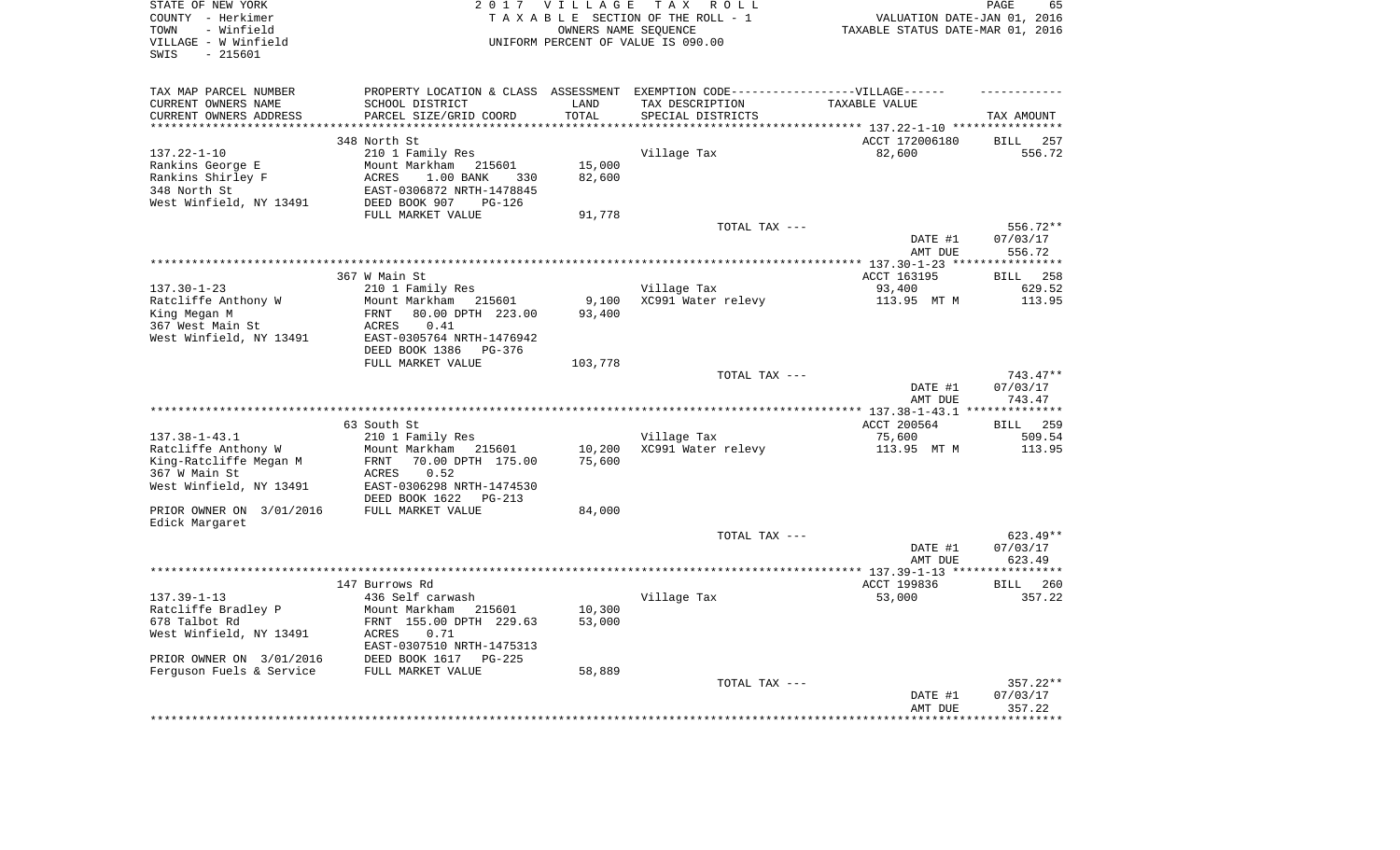| STATE OF NEW YORK<br>COUNTY - Herkimer<br>- Winfield<br>TOWN<br>VILLAGE - W Winfield<br>SWIS<br>$-215601$ |                                                 | 2017 VILLAGE  | TAX ROLL<br>TAXABLE SECTION OF THE ROLL - 1<br>OWNERS NAME SEQUENCE<br>UNIFORM PERCENT OF VALUE IS 090.00 | VALUATION DATE-JAN 01, 2016<br>TAXABLE STATUS DATE-MAR 01, 2016 | PAGE<br>65         |
|-----------------------------------------------------------------------------------------------------------|-------------------------------------------------|---------------|-----------------------------------------------------------------------------------------------------------|-----------------------------------------------------------------|--------------------|
| TAX MAP PARCEL NUMBER                                                                                     |                                                 |               | PROPERTY LOCATION & CLASS ASSESSMENT EXEMPTION CODE-----------------VILLAGE------                         |                                                                 |                    |
| CURRENT OWNERS NAME<br>CURRENT OWNERS ADDRESS                                                             | SCHOOL DISTRICT<br>PARCEL SIZE/GRID COORD       | LAND<br>TOTAL | TAX DESCRIPTION<br>SPECIAL DISTRICTS                                                                      | TAXABLE VALUE                                                   | TAX AMOUNT         |
| ***********************                                                                                   |                                                 |               |                                                                                                           |                                                                 |                    |
|                                                                                                           | 348 North St                                    |               |                                                                                                           | ACCT 172006180                                                  | <b>BILL</b><br>257 |
| $137.22 - 1 - 10$                                                                                         | 210 1 Family Res                                |               | Village Tax                                                                                               | 82,600                                                          | 556.72             |
| Rankins George E                                                                                          | Mount Markham 215601                            | 15,000        |                                                                                                           |                                                                 |                    |
| Rankins Shirley F                                                                                         | ACRES<br>1.00 BANK<br>330                       | 82,600        |                                                                                                           |                                                                 |                    |
| 348 North St                                                                                              | EAST-0306872 NRTH-1478845                       |               |                                                                                                           |                                                                 |                    |
| West Winfield, NY 13491                                                                                   | DEED BOOK 907<br>PG-126                         |               |                                                                                                           |                                                                 |                    |
|                                                                                                           | FULL MARKET VALUE                               | 91,778        | TOTAL TAX ---                                                                                             |                                                                 | 556.72**           |
|                                                                                                           |                                                 |               |                                                                                                           | DATE #1                                                         | 07/03/17           |
|                                                                                                           |                                                 |               |                                                                                                           | AMT DUE                                                         | 556.72             |
|                                                                                                           |                                                 |               |                                                                                                           |                                                                 |                    |
|                                                                                                           | 367 W Main St                                   |               |                                                                                                           | ACCT 163195                                                     | <b>BILL</b><br>258 |
| $137.30 - 1 - 23$<br>Ratcliffe Anthony W                                                                  | 210 1 Family Res<br>Mount Markham 215601        | 9,100         | Village Tax<br>XC991 Water relevy                                                                         | 93,400<br>113.95 MT M                                           | 629.52<br>113.95   |
| King Megan M                                                                                              | 80.00 DPTH 223.00<br>FRNT                       | 93,400        |                                                                                                           |                                                                 |                    |
| 367 West Main St                                                                                          | ACRES<br>0.41                                   |               |                                                                                                           |                                                                 |                    |
| West Winfield, NY 13491                                                                                   | EAST-0305764 NRTH-1476942                       |               |                                                                                                           |                                                                 |                    |
|                                                                                                           | DEED BOOK 1386<br>PG-376                        |               |                                                                                                           |                                                                 |                    |
|                                                                                                           | FULL MARKET VALUE                               | 103,778       |                                                                                                           |                                                                 |                    |
|                                                                                                           |                                                 |               | TOTAL TAX ---                                                                                             |                                                                 | 743.47**           |
|                                                                                                           |                                                 |               |                                                                                                           | DATE #1<br>AMT DUE                                              | 07/03/17<br>743.47 |
|                                                                                                           |                                                 |               |                                                                                                           |                                                                 |                    |
|                                                                                                           | 63 South St                                     |               |                                                                                                           | ACCT 200564                                                     | 259<br>BILL        |
| $137.38 - 1 - 43.1$                                                                                       | 210 1 Family Res                                |               | Village Tax                                                                                               | 75,600                                                          | 509.54             |
| Ratcliffe Anthony W                                                                                       | Mount Markham 215601                            | 10,200        | XC991 Water relevy                                                                                        | 113.95 MT M                                                     | 113.95             |
| King-Ratcliffe Megan M                                                                                    | 70.00 DPTH 175.00<br>FRNT                       | 75,600        |                                                                                                           |                                                                 |                    |
| 367 W Main St<br>West Winfield, NY 13491                                                                  | 0.52<br>ACRES<br>EAST-0306298 NRTH-1474530      |               |                                                                                                           |                                                                 |                    |
|                                                                                                           | DEED BOOK 1622<br>PG-213                        |               |                                                                                                           |                                                                 |                    |
| PRIOR OWNER ON 3/01/2016                                                                                  | FULL MARKET VALUE                               | 84,000        |                                                                                                           |                                                                 |                    |
| Edick Margaret                                                                                            |                                                 |               |                                                                                                           |                                                                 |                    |
|                                                                                                           |                                                 |               | TOTAL TAX ---                                                                                             |                                                                 | 623.49**           |
|                                                                                                           |                                                 |               |                                                                                                           | DATE #1                                                         | 07/03/17           |
|                                                                                                           |                                                 |               |                                                                                                           | AMT DUE                                                         | 623.49             |
|                                                                                                           | 147 Burrows Rd                                  |               |                                                                                                           | ACCT 199836                                                     | 260<br><b>BILL</b> |
| $137.39 - 1 - 13$                                                                                         | 436 Self carwash                                |               | Village Tax                                                                                               | 53,000                                                          | 357.22             |
| Ratcliffe Bradley P                                                                                       | Mount Markham<br>215601                         | 10,300        |                                                                                                           |                                                                 |                    |
| 678 Talbot Rd                                                                                             | FRNT 155.00 DPTH 229.63                         | 53,000        |                                                                                                           |                                                                 |                    |
| West Winfield, NY 13491                                                                                   | ACRES<br>0.71                                   |               |                                                                                                           |                                                                 |                    |
|                                                                                                           | EAST-0307510 NRTH-1475313                       |               |                                                                                                           |                                                                 |                    |
| PRIOR OWNER ON 3/01/2016<br>Ferguson Fuels & Service                                                      | DEED BOOK 1617<br>$PG-225$<br>FULL MARKET VALUE | 58,889        |                                                                                                           |                                                                 |                    |
|                                                                                                           |                                                 |               | TOTAL TAX ---                                                                                             |                                                                 | 357.22**           |
|                                                                                                           |                                                 |               |                                                                                                           | DATE #1                                                         | 07/03/17           |
|                                                                                                           |                                                 |               |                                                                                                           | AMT DUE                                                         | 357.22             |
|                                                                                                           |                                                 |               |                                                                                                           |                                                                 |                    |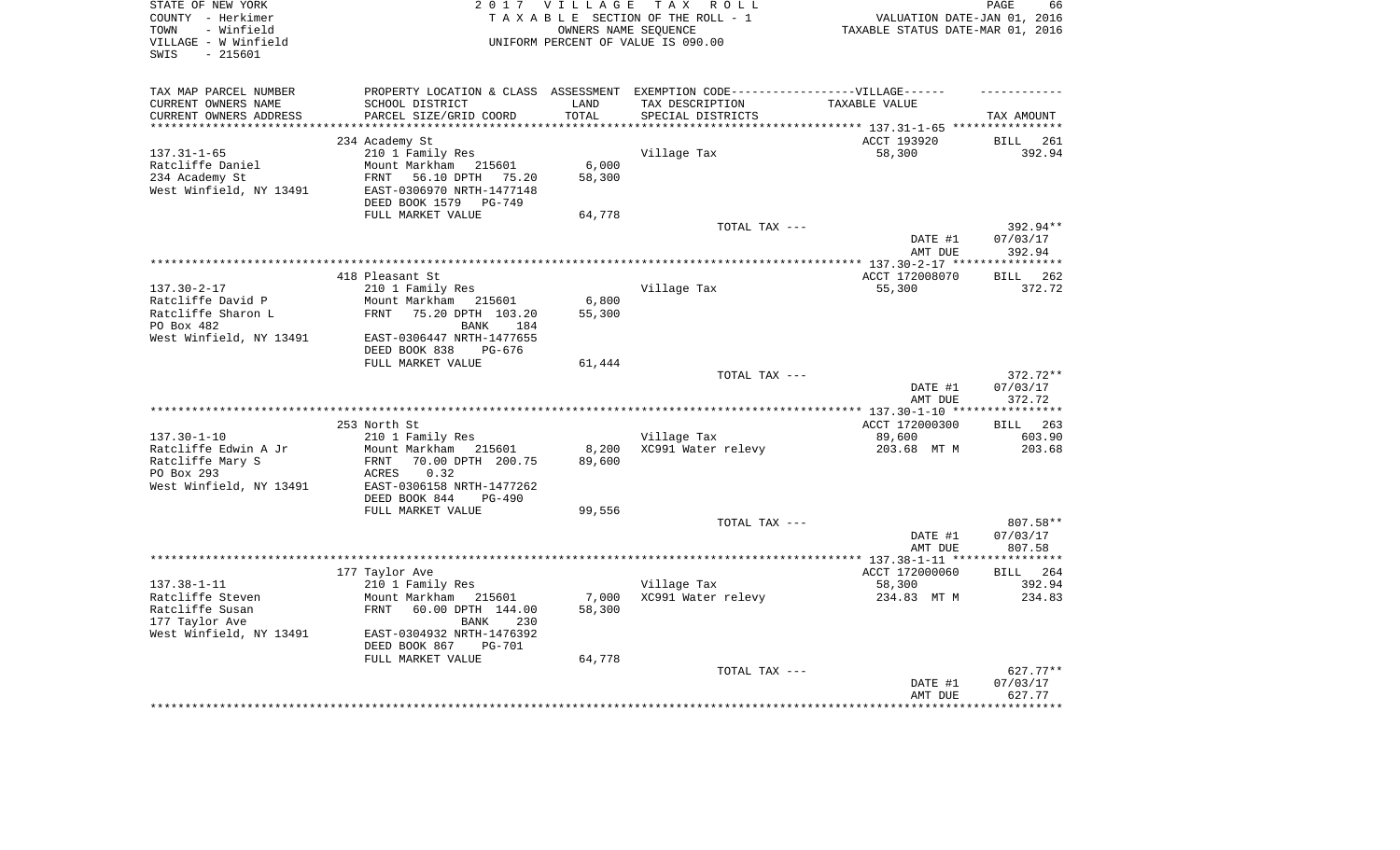| STATE OF NEW YORK<br>COUNTY - Herkimer |                                    | 2017 VILLAGE         | TAX ROLL<br>TAXABLE SECTION OF THE ROLL - 1                                       | VALUATION DATE-JAN 01, 2016              | PAGE<br>66            |
|----------------------------------------|------------------------------------|----------------------|-----------------------------------------------------------------------------------|------------------------------------------|-----------------------|
| - Winfield<br>TOWN                     |                                    | OWNERS NAME SEOUENCE |                                                                                   | TAXABLE STATUS DATE-MAR 01, 2016         |                       |
| VILLAGE - W Winfield                   |                                    |                      | UNIFORM PERCENT OF VALUE IS 090.00                                                |                                          |                       |
| $-215601$<br>SWIS                      |                                    |                      |                                                                                   |                                          |                       |
|                                        |                                    |                      |                                                                                   |                                          |                       |
|                                        |                                    |                      |                                                                                   |                                          |                       |
| TAX MAP PARCEL NUMBER                  |                                    |                      | PROPERTY LOCATION & CLASS ASSESSMENT EXEMPTION CODE-----------------VILLAGE------ |                                          |                       |
| CURRENT OWNERS NAME                    | SCHOOL DISTRICT                    | LAND                 | TAX DESCRIPTION                                                                   | TAXABLE VALUE                            |                       |
| CURRENT OWNERS ADDRESS                 | PARCEL SIZE/GRID COORD             | TOTAL<br>********    | SPECIAL DISTRICTS                                                                 |                                          | TAX AMOUNT            |
|                                        |                                    |                      |                                                                                   | ********** 137.31-1-65 ****              |                       |
| $137.31 - 1 - 65$                      | 234 Academy St<br>210 1 Family Res |                      |                                                                                   | ACCT 193920                              | 261<br>BILL<br>392.94 |
| Ratcliffe Daniel                       | Mount Markham 215601               | 6,000                | Village Tax                                                                       | 58,300                                   |                       |
| 234 Academy St                         | 56.10 DPTH 75.20<br>FRNT           | 58,300               |                                                                                   |                                          |                       |
| West Winfield, NY 13491                | EAST-0306970 NRTH-1477148          |                      |                                                                                   |                                          |                       |
|                                        | DEED BOOK 1579<br>PG-749           |                      |                                                                                   |                                          |                       |
|                                        | FULL MARKET VALUE                  | 64,778               |                                                                                   |                                          |                       |
|                                        |                                    |                      | TOTAL TAX ---                                                                     |                                          | 392.94**              |
|                                        |                                    |                      |                                                                                   | DATE #1                                  | 07/03/17              |
|                                        |                                    |                      |                                                                                   | AMT DUE                                  | 392.94                |
|                                        |                                    |                      |                                                                                   |                                          | ************          |
|                                        | 418 Pleasant St                    |                      |                                                                                   | ACCT 172008070                           | 262<br><b>BILL</b>    |
| $137.30 - 2 - 17$                      | 210 1 Family Res                   |                      | Village Tax                                                                       | 55,300                                   | 372.72                |
| Ratcliffe David P                      | Mount Markham 215601               | 6,800                |                                                                                   |                                          |                       |
| Ratcliffe Sharon L                     | FRNT 75.20 DPTH 103.20             | 55,300               |                                                                                   |                                          |                       |
| PO Box 482                             | BANK<br>184                        |                      |                                                                                   |                                          |                       |
| West Winfield, NY 13491                | EAST-0306447 NRTH-1477655          |                      |                                                                                   |                                          |                       |
|                                        | DEED BOOK 838<br>PG-676            |                      |                                                                                   |                                          |                       |
|                                        | FULL MARKET VALUE                  | 61,444               |                                                                                   |                                          | 372.72**              |
|                                        |                                    |                      | TOTAL TAX ---                                                                     | DATE #1                                  | 07/03/17              |
|                                        |                                    |                      |                                                                                   | AMT DUE                                  | 372.72                |
|                                        |                                    |                      |                                                                                   |                                          |                       |
|                                        | 253 North St                       |                      |                                                                                   | ACCT 172000300                           | BILL 263              |
| $137.30 - 1 - 10$                      | 210 1 Family Res                   |                      | Village Tax                                                                       | 89,600                                   | 603.90                |
| Ratcliffe Edwin A Jr                   | Mount Markham 215601               | 8,200                | XC991 Water relevy                                                                | 203.68 MT M                              | 203.68                |
| Ratcliffe Mary S                       | 70.00 DPTH 200.75<br>FRNT          | 89,600               |                                                                                   |                                          |                       |
| PO Box 293                             | 0.32<br>ACRES                      |                      |                                                                                   |                                          |                       |
| West Winfield, NY 13491                | EAST-0306158 NRTH-1477262          |                      |                                                                                   |                                          |                       |
|                                        | DEED BOOK 844<br>PG-490            |                      |                                                                                   |                                          |                       |
|                                        | FULL MARKET VALUE                  | 99,556               |                                                                                   |                                          |                       |
|                                        |                                    |                      | TOTAL TAX ---                                                                     |                                          | 807.58**              |
|                                        |                                    |                      |                                                                                   | DATE #1                                  | 07/03/17              |
|                                        |                                    |                      |                                                                                   | AMT DUE                                  | 807.58<br>*********** |
|                                        |                                    |                      |                                                                                   | ******* 137.38-1-11 **<br>ACCT 172000060 | 264<br><b>BILL</b>    |
| $137.38 - 1 - 11$                      | 177 Taylor Ave<br>210 1 Family Res |                      | Village Tax                                                                       | 58,300                                   | 392.94                |
| Ratcliffe Steven                       | Mount Markham<br>215601            | 7,000                | XC991 Water relevy                                                                | 234.83 MT M                              | 234.83                |
| Ratcliffe Susan                        | FRNT<br>60.00 DPTH 144.00          | 58,300               |                                                                                   |                                          |                       |
| 177 Taylor Ave                         | BANK<br>230                        |                      |                                                                                   |                                          |                       |
| West Winfield, NY 13491                | EAST-0304932 NRTH-1476392          |                      |                                                                                   |                                          |                       |
|                                        | DEED BOOK 867<br><b>PG-701</b>     |                      |                                                                                   |                                          |                       |
|                                        | FULL MARKET VALUE                  | 64,778               |                                                                                   |                                          |                       |
|                                        |                                    |                      | TOTAL TAX ---                                                                     |                                          | 627.77**              |
|                                        |                                    |                      |                                                                                   | DATE #1                                  | 07/03/17              |
|                                        |                                    |                      |                                                                                   | AMT DUE                                  | 627.77                |
|                                        |                                    |                      |                                                                                   |                                          |                       |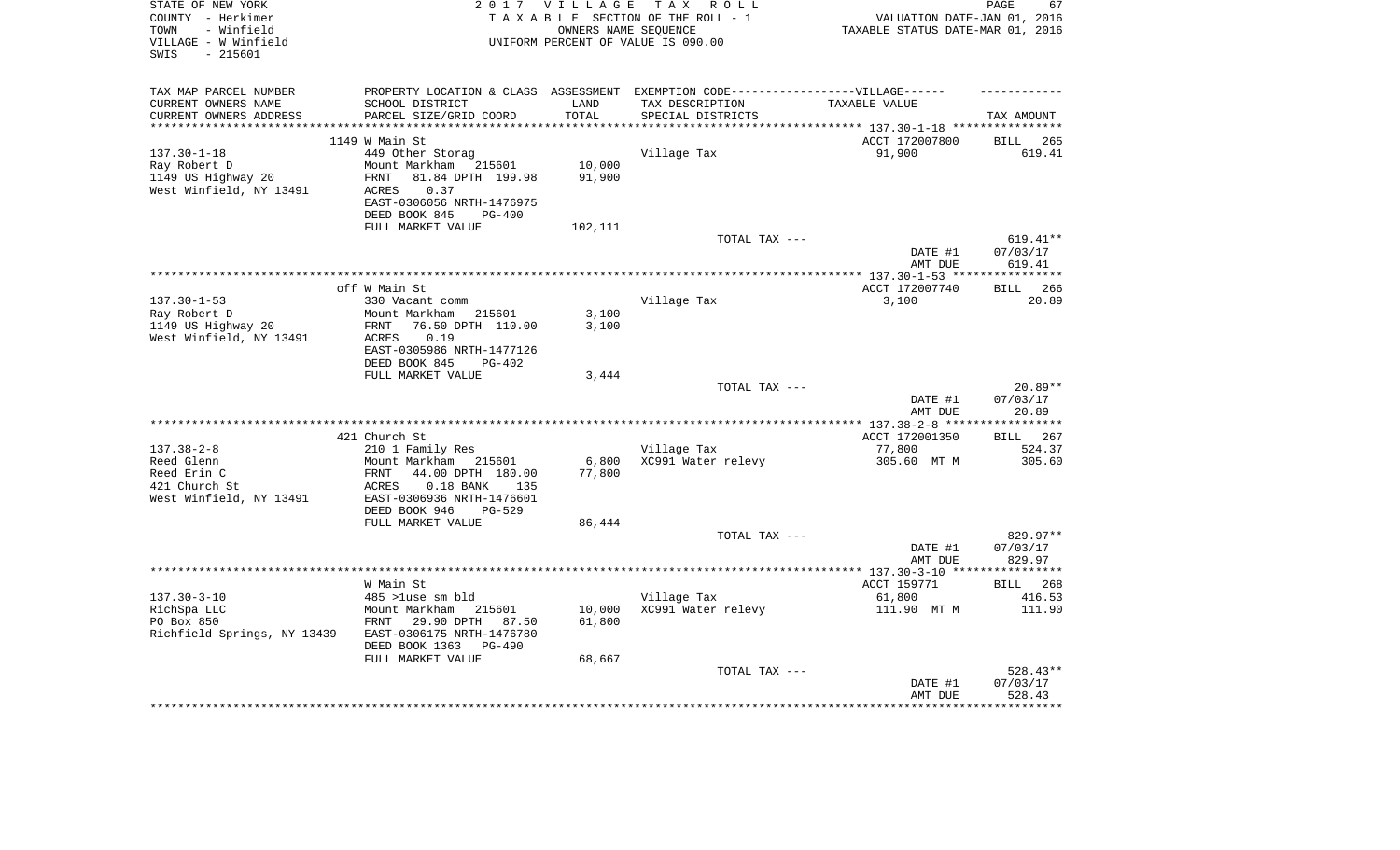| STATE OF NEW YORK<br>COUNTY - Herkimer                          |                                             | 2017 VILLAGE       | TAX ROLL<br>TAXABLE SECTION OF THE ROLL - 1                                       | VALUATION DATE-JAN 01, 2016                                 | 67<br>PAGE         |
|-----------------------------------------------------------------|---------------------------------------------|--------------------|-----------------------------------------------------------------------------------|-------------------------------------------------------------|--------------------|
| - Winfield<br>TOWN<br>VILLAGE - W Winfield<br>$-215601$<br>SWIS |                                             |                    | OWNERS NAME SEOUENCE<br>UNIFORM PERCENT OF VALUE IS 090.00                        | TAXABLE STATUS DATE-MAR 01, 2016                            |                    |
|                                                                 |                                             |                    |                                                                                   |                                                             |                    |
| TAX MAP PARCEL NUMBER                                           |                                             |                    | PROPERTY LOCATION & CLASS ASSESSMENT EXEMPTION CODE-----------------VILLAGE------ |                                                             |                    |
| CURRENT OWNERS NAME                                             | SCHOOL DISTRICT                             | LAND               | TAX DESCRIPTION                                                                   | TAXABLE VALUE                                               |                    |
| CURRENT OWNERS ADDRESS                                          | PARCEL SIZE/GRID COORD                      | TOTAL<br>********* | SPECIAL DISTRICTS                                                                 |                                                             | TAX AMOUNT         |
|                                                                 | 1149 W Main St                              |                    |                                                                                   | *********** 137.30-1-18 *****************<br>ACCT 172007800 | 265<br>BILL        |
| $137.30 - 1 - 18$                                               | 449 Other Storag                            |                    | Village Tax                                                                       | 91,900                                                      | 619.41             |
| Ray Robert D                                                    | Mount Markham 215601                        | 10,000             |                                                                                   |                                                             |                    |
| 1149 US Highway 20                                              | 81.84 DPTH 199.98<br>FRNT                   | 91,900             |                                                                                   |                                                             |                    |
| West Winfield, NY 13491                                         | ACRES<br>0.37                               |                    |                                                                                   |                                                             |                    |
|                                                                 | EAST-0306056 NRTH-1476975                   |                    |                                                                                   |                                                             |                    |
|                                                                 | DEED BOOK 845<br>$PG-400$                   |                    |                                                                                   |                                                             |                    |
|                                                                 | FULL MARKET VALUE                           | 102,111            | TOTAL TAX ---                                                                     |                                                             | $619.41**$         |
|                                                                 |                                             |                    |                                                                                   | DATE #1                                                     | 07/03/17           |
|                                                                 |                                             |                    |                                                                                   | AMT DUE                                                     | 619.41             |
|                                                                 |                                             |                    |                                                                                   |                                                             |                    |
| $137.30 - 1 - 53$                                               | off W Main St<br>330 Vacant comm            |                    |                                                                                   | ACCT 172007740<br>3,100                                     | BILL 266<br>20.89  |
| Ray Robert D                                                    | Mount Markham<br>215601                     | 3,100              | Village Tax                                                                       |                                                             |                    |
| 1149 US Highway 20                                              | 76.50 DPTH 110.00<br>FRNT                   | 3,100              |                                                                                   |                                                             |                    |
| West Winfield, NY 13491                                         | ACRES<br>0.19                               |                    |                                                                                   |                                                             |                    |
|                                                                 | EAST-0305986 NRTH-1477126                   |                    |                                                                                   |                                                             |                    |
|                                                                 | DEED BOOK 845<br>PG-402                     |                    |                                                                                   |                                                             |                    |
|                                                                 | FULL MARKET VALUE                           | 3,444              | TOTAL TAX ---                                                                     |                                                             | $20.89**$          |
|                                                                 |                                             |                    |                                                                                   | DATE #1                                                     | 07/03/17           |
|                                                                 |                                             |                    |                                                                                   | AMT DUE                                                     | 20.89              |
|                                                                 |                                             |                    |                                                                                   |                                                             |                    |
| $137.38 - 2 - 8$                                                | 421 Church St                               |                    |                                                                                   | ACCT 172001350<br>77,800                                    | BILL 267<br>524.37 |
| Reed Glenn                                                      | 210 1 Family Res<br>Mount Markham<br>215601 | 6,800              | Village Tax<br>XC991 Water relevy                                                 | 305.60 MT M                                                 | 305.60             |
| Reed Erin C                                                     | 44.00 DPTH 180.00<br>FRNT                   | 77,800             |                                                                                   |                                                             |                    |
| 421 Church St                                                   | $0.18$ BANK<br>ACRES<br>135                 |                    |                                                                                   |                                                             |                    |
| West Winfield, NY 13491                                         | EAST-0306936 NRTH-1476601                   |                    |                                                                                   |                                                             |                    |
|                                                                 | DEED BOOK 946<br><b>PG-529</b>              |                    |                                                                                   |                                                             |                    |
|                                                                 | FULL MARKET VALUE                           | 86,444             | TOTAL TAX ---                                                                     |                                                             | 829.97**           |
|                                                                 |                                             |                    |                                                                                   | DATE #1                                                     | 07/03/17           |
|                                                                 |                                             |                    |                                                                                   | AMT DUE                                                     | 829.97             |
|                                                                 |                                             |                    |                                                                                   |                                                             |                    |
|                                                                 | W Main St                                   |                    |                                                                                   | ACCT 159771                                                 | BILL 268           |
| $137.30 - 3 - 10$<br>RichSpa LLC                                | 485 >luse sm bld<br>Mount Markham 215601    | 10,000             | Village Tax<br>XC991 Water relevy                                                 | 61,800<br>111.90 MT M                                       | 416.53<br>111.90   |
| PO Box 850                                                      | FRNT<br>29.90 DPTH 87.50                    | 61,800             |                                                                                   |                                                             |                    |
| Richfield Springs, NY 13439                                     | EAST-0306175 NRTH-1476780                   |                    |                                                                                   |                                                             |                    |
|                                                                 | DEED BOOK 1363<br>PG-490                    |                    |                                                                                   |                                                             |                    |
|                                                                 | FULL MARKET VALUE                           | 68,667             |                                                                                   |                                                             |                    |
|                                                                 |                                             |                    | TOTAL TAX ---                                                                     |                                                             | 528.43**           |
|                                                                 |                                             |                    |                                                                                   | DATE #1<br>AMT DUE                                          | 07/03/17<br>528.43 |
|                                                                 |                                             |                    |                                                                                   |                                                             |                    |
|                                                                 |                                             |                    |                                                                                   |                                                             |                    |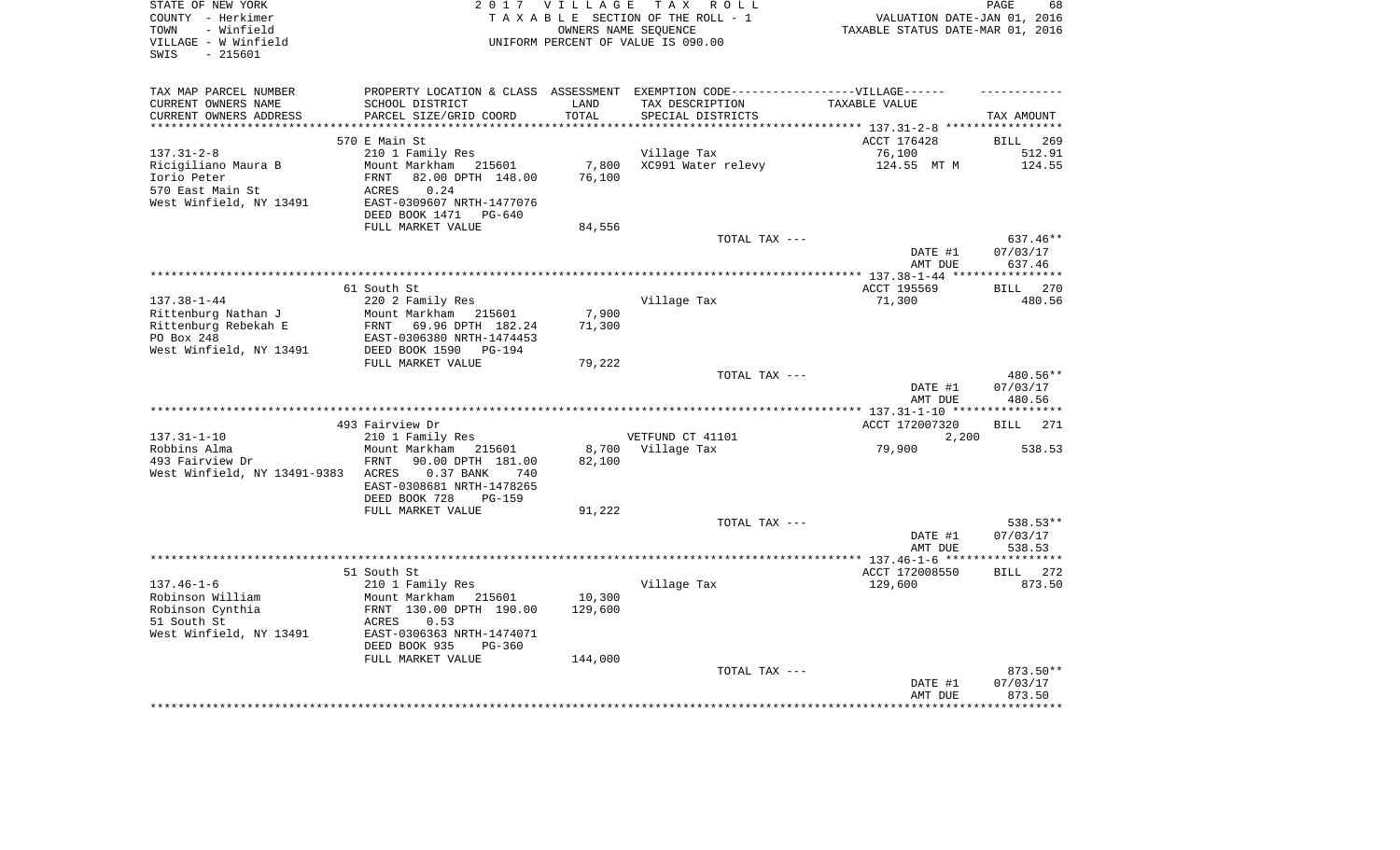| STATE OF NEW YORK<br>COUNTY - Herkimer<br>- Winfield<br>TOWN<br>VILLAGE - W Winfield<br>$-215601$<br>SWIS |                                                                                                                                                             | 2017 VILLAGE                | TAX ROLL<br>TAXABLE SECTION OF THE ROLL - 1<br>OWNERS NAME SEOUENCE<br>UNIFORM PERCENT OF VALUE IS 090.00                 | VALUATION DATE-JAN 01, 2016<br>TAXABLE STATUS DATE-MAR 01, 2016 | PAGE<br>68                            |
|-----------------------------------------------------------------------------------------------------------|-------------------------------------------------------------------------------------------------------------------------------------------------------------|-----------------------------|---------------------------------------------------------------------------------------------------------------------------|-----------------------------------------------------------------|---------------------------------------|
| TAX MAP PARCEL NUMBER<br>CURRENT OWNERS NAME<br>CURRENT OWNERS ADDRESS                                    | SCHOOL DISTRICT<br>PARCEL SIZE/GRID COORD                                                                                                                   | LAND<br>TOTAL<br>********** | PROPERTY LOCATION & CLASS ASSESSMENT EXEMPTION CODE-----------------VILLAGE------<br>TAX DESCRIPTION<br>SPECIAL DISTRICTS | TAXABLE VALUE<br>******************** 137.31-2-8 *****          | TAX AMOUNT<br>* * * * * * * * * * * * |
|                                                                                                           | 570 E Main St                                                                                                                                               |                             |                                                                                                                           | ACCT 176428                                                     | <b>BILL</b><br>269                    |
| $137.31 - 2 - 8$<br>Ricigiliano Maura B<br>Iorio Peter<br>570 East Main St<br>West Winfield, NY 13491     | 210 1 Family Res<br>Mount Markham 215601<br>82.00 DPTH 148.00<br>FRNT<br>ACRES<br>0.24<br>EAST-0309607 NRTH-1477076<br>DEED BOOK 1471 PG-640                | 7,800<br>76,100             | Village Tax<br>XC991 Water relevy                                                                                         | 76,100<br>124.55 MT M                                           | 512.91<br>124.55                      |
|                                                                                                           | FULL MARKET VALUE                                                                                                                                           | 84,556                      | TOTAL TAX ---                                                                                                             |                                                                 | 637.46**                              |
|                                                                                                           |                                                                                                                                                             |                             |                                                                                                                           | DATE #1<br>AMT DUE                                              | 07/03/17<br>637.46                    |
|                                                                                                           | 61 South St                                                                                                                                                 |                             |                                                                                                                           | ACCT 195569                                                     | * * * * * * * * * * * *<br>BILL 270   |
| $137.38 - 1 - 44$<br>Rittenburg Nathan J<br>Rittenburg Rebekah E<br>PO Box 248<br>West Winfield, NY 13491 | 220 2 Family Res<br>Mount Markham 215601<br>FRNT 69.96 DPTH 182.24<br>EAST-0306380 NRTH-1474453<br>DEED BOOK 1590 PG-194                                    | 7,900<br>71,300<br>79,222   | Village Tax                                                                                                               | 71,300                                                          | 480.56                                |
|                                                                                                           | FULL MARKET VALUE                                                                                                                                           |                             | TOTAL TAX ---                                                                                                             | DATE #1<br>AMT DUE                                              | 480.56**<br>07/03/17<br>480.56        |
|                                                                                                           |                                                                                                                                                             |                             |                                                                                                                           |                                                                 |                                       |
| $137.31 - 1 - 10$                                                                                         | 493 Fairview Dr<br>210 1 Family Res                                                                                                                         |                             | VETFUND CT 41101                                                                                                          | ACCT 172007320<br>2,200                                         | <b>BILL</b> 271                       |
| Robbins Alma<br>493 Fairview Dr<br>West Winfield, NY 13491-9383                                           | Mount Markham 215601<br>FRNT<br>90.00 DPTH 181.00<br>0.37 BANK<br>ACRES<br>740<br>EAST-0308681 NRTH-1478265<br>DEED BOOK 728<br>PG-159                      | 82,100                      | 8,700 Village Tax                                                                                                         | 79,900                                                          | 538.53                                |
|                                                                                                           | FULL MARKET VALUE                                                                                                                                           | 91,222                      |                                                                                                                           |                                                                 |                                       |
|                                                                                                           |                                                                                                                                                             |                             | TOTAL TAX ---                                                                                                             | DATE #1<br>AMT DUE                                              | 538.53**<br>07/03/17<br>538.53        |
|                                                                                                           |                                                                                                                                                             |                             |                                                                                                                           |                                                                 | ***********                           |
| $137.46 - 1 - 6$<br>Robinson William<br>Robinson Cynthia<br>51 South St<br>West Winfield, NY 13491        | 51 South St<br>210 1 Family Res<br>Mount Markham 215601<br>FRNT 130.00 DPTH 190.00<br>ACRES<br>0.53<br>EAST-0306363 NRTH-1474071<br>DEED BOOK 935<br>PG-360 | 10,300<br>129,600           | Village Tax                                                                                                               | ACCT 172008550<br>129,600                                       | 272<br><b>BILL</b><br>873.50          |
|                                                                                                           | FULL MARKET VALUE                                                                                                                                           | 144,000                     | TOTAL TAX ---                                                                                                             |                                                                 | 873.50**                              |
|                                                                                                           |                                                                                                                                                             |                             |                                                                                                                           | DATE #1<br>AMT DUE                                              | 07/03/17<br>873.50                    |
|                                                                                                           |                                                                                                                                                             |                             |                                                                                                                           |                                                                 |                                       |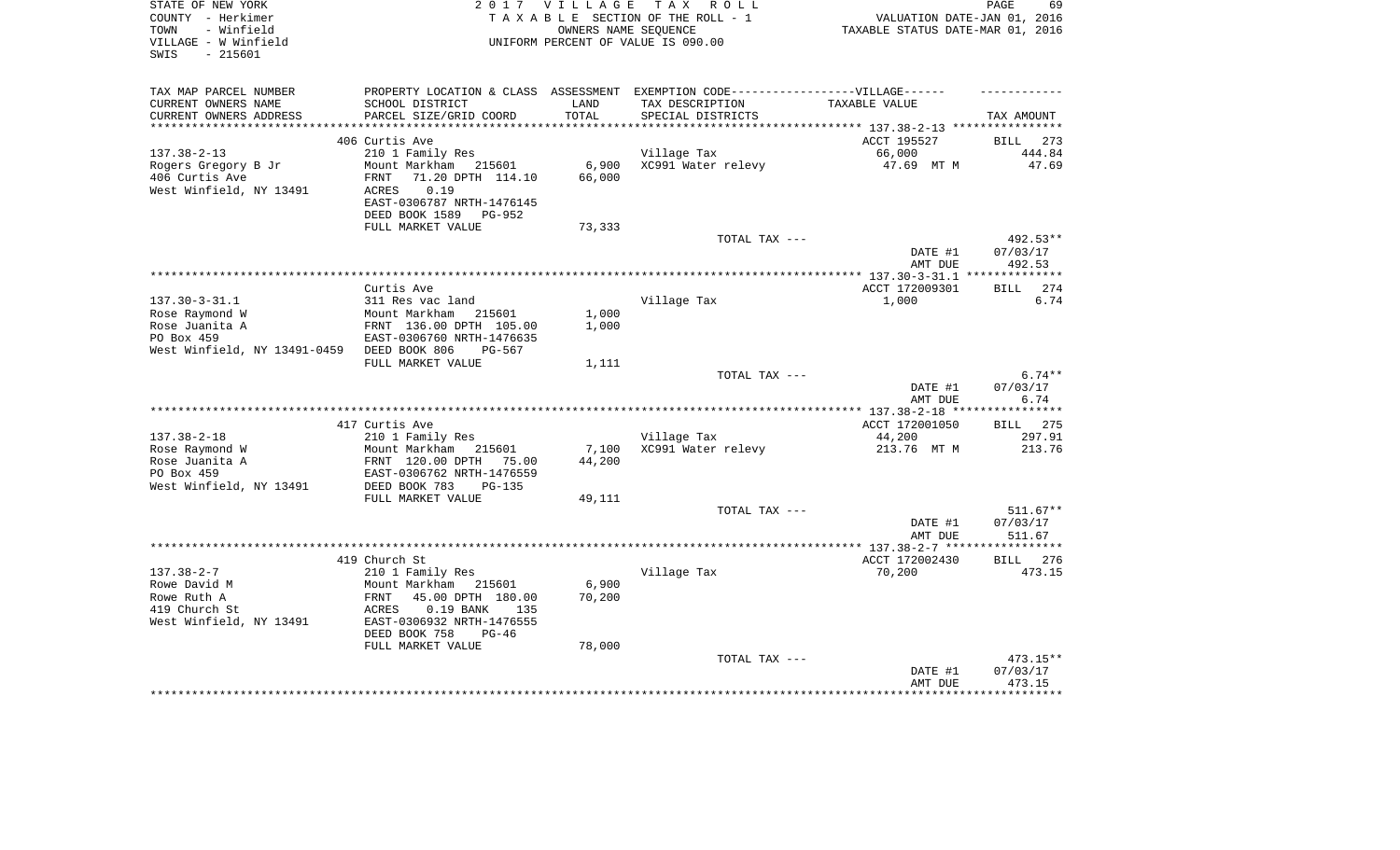| STATE OF NEW YORK<br>COUNTY - Herkimer<br>- Winfield<br>TOWN<br>VILLAGE - W Winfield<br>$-215601$<br>SWIS | 2017 VILLAGE<br>TAX ROLL<br>T A X A B L E SECTION OF THE ROLL - 1<br>OWNERS NAME SEOUENCE<br>UNIFORM PERCENT OF VALUE IS 090.00 |                 |                                      | PAGE<br>69<br>VALUATION DATE-JAN 01, 2016<br>TAXABLE STATUS DATE-MAR 01, 2016 |                      |  |
|-----------------------------------------------------------------------------------------------------------|---------------------------------------------------------------------------------------------------------------------------------|-----------------|--------------------------------------|-------------------------------------------------------------------------------|----------------------|--|
| TAX MAP PARCEL NUMBER<br>CURRENT OWNERS NAME<br>CURRENT OWNERS ADDRESS                                    | PROPERTY LOCATION & CLASS ASSESSMENT EXEMPTION CODE-----------------VILLAGE------<br>SCHOOL DISTRICT<br>PARCEL SIZE/GRID COORD  | LAND<br>TOTAL   | TAX DESCRIPTION<br>SPECIAL DISTRICTS | TAXABLE VALUE                                                                 | TAX AMOUNT           |  |
| ***********************                                                                                   |                                                                                                                                 |                 |                                      |                                                                               |                      |  |
|                                                                                                           | 406 Curtis Ave                                                                                                                  |                 |                                      | ACCT 195527                                                                   | <b>BILL</b><br>273   |  |
| $137.38 - 2 - 13$                                                                                         | 210 1 Family Res                                                                                                                |                 | Village Tax                          | 66,000                                                                        | 444.84               |  |
| Rogers Gregory B Jr<br>406 Curtis Ave                                                                     | Mount Markham<br>215601<br>71.20 DPTH 114.10<br>FRNT                                                                            | 6,900<br>66,000 | XC991 Water relevy                   | 47.69 MT M                                                                    | 47.69                |  |
| West Winfield, NY 13491                                                                                   | 0.19<br>ACRES<br>EAST-0306787 NRTH-1476145<br>DEED BOOK 1589<br>PG-952                                                          |                 |                                      |                                                                               |                      |  |
|                                                                                                           | FULL MARKET VALUE                                                                                                               | 73,333          |                                      |                                                                               |                      |  |
|                                                                                                           |                                                                                                                                 |                 | TOTAL TAX ---                        | DATE #1                                                                       | 492.53**<br>07/03/17 |  |
|                                                                                                           |                                                                                                                                 |                 |                                      | AMT DUE                                                                       | 492.53<br>********** |  |
|                                                                                                           | Curtis Ave                                                                                                                      |                 |                                      | ************ 137.30-3-31.1<br>ACCT 172009301                                  | <b>BILL</b><br>274   |  |
| $137.30 - 3 - 31.1$                                                                                       | 311 Res vac land                                                                                                                |                 | Village Tax                          | 1,000                                                                         | 6.74                 |  |
| Rose Raymond W                                                                                            | Mount Markham<br>215601                                                                                                         | 1,000           |                                      |                                                                               |                      |  |
| Rose Juanita A                                                                                            | FRNT 136.00 DPTH 105.00                                                                                                         | 1,000           |                                      |                                                                               |                      |  |
| PO Box 459                                                                                                | EAST-0306760 NRTH-1476635                                                                                                       |                 |                                      |                                                                               |                      |  |
| West Winfield, NY 13491-0459                                                                              | DEED BOOK 806<br>$PG-567$                                                                                                       |                 |                                      |                                                                               |                      |  |
|                                                                                                           | FULL MARKET VALUE                                                                                                               | 1,111           |                                      |                                                                               |                      |  |
|                                                                                                           |                                                                                                                                 |                 | TOTAL TAX ---                        |                                                                               | $6.74**$             |  |
|                                                                                                           |                                                                                                                                 |                 |                                      | DATE #1<br>AMT DUE                                                            | 07/03/17<br>6.74     |  |
|                                                                                                           |                                                                                                                                 |                 |                                      |                                                                               | **********           |  |
|                                                                                                           | 417 Curtis Ave                                                                                                                  |                 |                                      | ACCT 172001050                                                                | 275<br><b>BILL</b>   |  |
| $137.38 - 2 - 18$                                                                                         | 210 1 Family Res                                                                                                                |                 | Village Tax                          | 44,200                                                                        | 297.91               |  |
| Rose Raymond W                                                                                            | Mount Markham<br>215601                                                                                                         | 7,100           | XC991 Water relevy                   | 213.76 MT M                                                                   | 213.76               |  |
| Rose Juanita A                                                                                            | FRNT 120.00 DPTH<br>75.00                                                                                                       | 44,200          |                                      |                                                                               |                      |  |
| PO Box 459                                                                                                | EAST-0306762 NRTH-1476559                                                                                                       |                 |                                      |                                                                               |                      |  |
| West Winfield, NY 13491                                                                                   | DEED BOOK 783<br>$PG-135$                                                                                                       |                 |                                      |                                                                               |                      |  |
|                                                                                                           | FULL MARKET VALUE                                                                                                               | 49,111          |                                      |                                                                               |                      |  |
|                                                                                                           |                                                                                                                                 |                 | TOTAL TAX ---                        |                                                                               | $511.67**$           |  |
|                                                                                                           |                                                                                                                                 |                 |                                      | DATE #1<br>AMT DUE                                                            | 07/03/17<br>511.67   |  |
|                                                                                                           |                                                                                                                                 |                 |                                      |                                                                               |                      |  |
|                                                                                                           | 419 Church St                                                                                                                   |                 |                                      | ACCT 172002430                                                                | 276<br><b>BILL</b>   |  |
| $137.38 - 2 - 7$                                                                                          | 210 1 Family Res                                                                                                                |                 | Village Tax                          | 70,200                                                                        | 473.15               |  |
| Rowe David M                                                                                              | Mount Markham<br>215601                                                                                                         | 6,900           |                                      |                                                                               |                      |  |
| Rowe Ruth A                                                                                               | FRNT<br>45.00 DPTH 180.00                                                                                                       | 70,200          |                                      |                                                                               |                      |  |
| 419 Church St                                                                                             | 0.19 BANK<br>ACRES<br>135                                                                                                       |                 |                                      |                                                                               |                      |  |
| West Winfield, NY 13491                                                                                   | EAST-0306932 NRTH-1476555                                                                                                       |                 |                                      |                                                                               |                      |  |
|                                                                                                           | DEED BOOK 758<br>$PG-46$                                                                                                        |                 |                                      |                                                                               |                      |  |
|                                                                                                           | FULL MARKET VALUE                                                                                                               | 78,000          |                                      |                                                                               |                      |  |
|                                                                                                           |                                                                                                                                 |                 | TOTAL TAX ---                        | DATE #1                                                                       | 473.15**<br>07/03/17 |  |
|                                                                                                           |                                                                                                                                 |                 |                                      | AMT DUE                                                                       | 473.15               |  |
|                                                                                                           |                                                                                                                                 |                 |                                      |                                                                               |                      |  |
|                                                                                                           |                                                                                                                                 |                 |                                      |                                                                               |                      |  |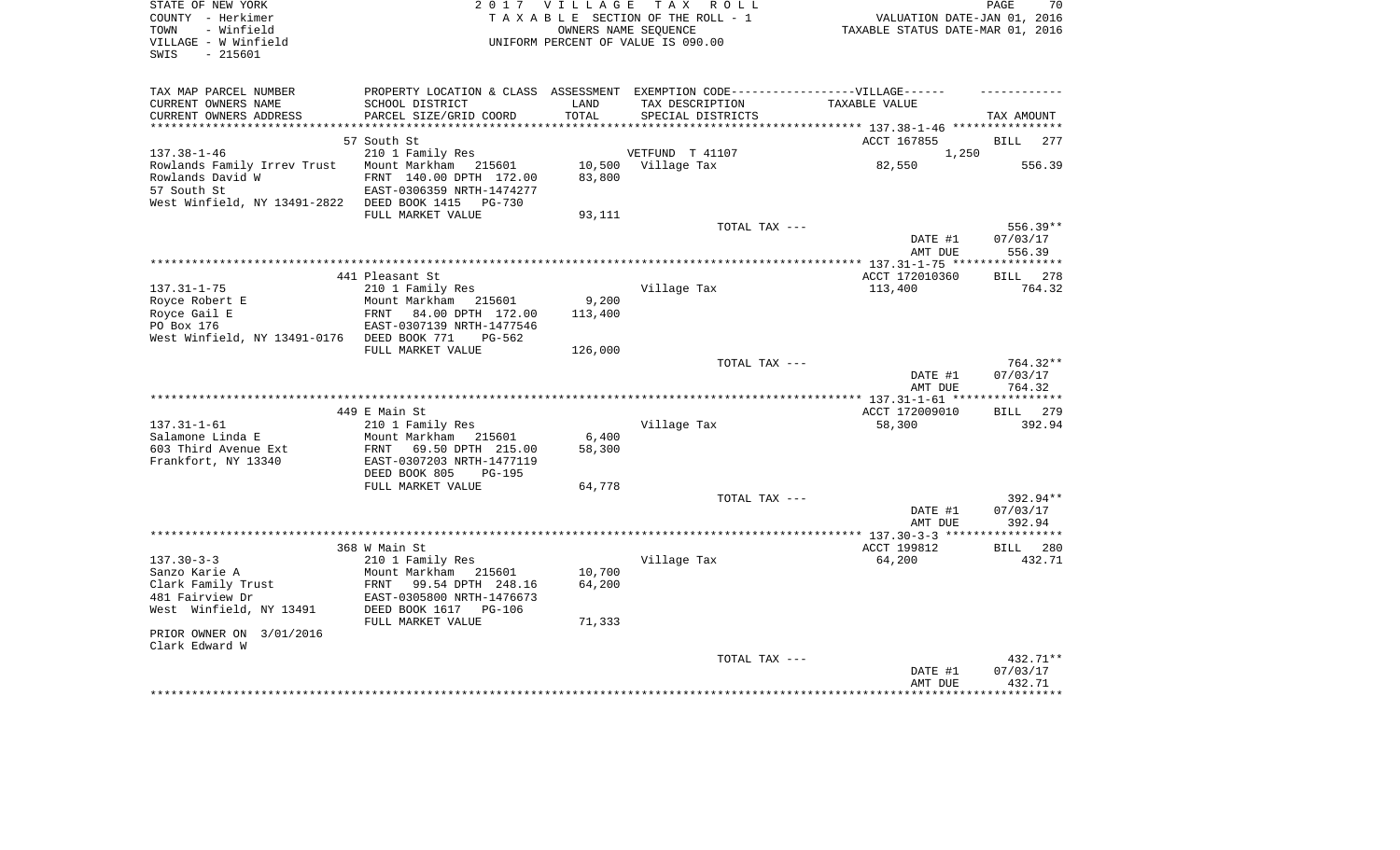| STATE OF NEW YORK<br>COUNTY - Herkimer<br>- Winfield<br>TOWN<br>VILLAGE - W Winfield<br>SWIS<br>- 215601 |                                  | 2017 VILLAGE<br>OWNERS NAME SEQUENCE | TAX ROLL<br>TAXABLE SECTION OF THE ROLL - 1<br>UNIFORM PERCENT OF VALUE IS 090.00 | VALUATION DATE-JAN 01, 2016<br>TAXABLE STATUS DATE-MAR 01, 2016 | PAGE<br>70           |
|----------------------------------------------------------------------------------------------------------|----------------------------------|--------------------------------------|-----------------------------------------------------------------------------------|-----------------------------------------------------------------|----------------------|
|                                                                                                          |                                  |                                      |                                                                                   |                                                                 |                      |
| TAX MAP PARCEL NUMBER                                                                                    |                                  |                                      | PROPERTY LOCATION & CLASS ASSESSMENT EXEMPTION CODE-----------------VILLAGE------ |                                                                 |                      |
| CURRENT OWNERS NAME                                                                                      | SCHOOL DISTRICT                  | LAND                                 | TAX DESCRIPTION                                                                   | TAXABLE VALUE                                                   |                      |
| CURRENT OWNERS ADDRESS                                                                                   | PARCEL SIZE/GRID COORD           | TOTAL                                | SPECIAL DISTRICTS                                                                 |                                                                 | TAX AMOUNT           |
|                                                                                                          |                                  |                                      |                                                                                   |                                                                 |                      |
| $137.38 - 1 - 46$                                                                                        | 57 South St<br>210 1 Family Res  |                                      | VETFUND T 41107                                                                   | ACCT 167855<br>1,250                                            | BILL<br>277          |
| Rowlands Family Irrev Trust                                                                              | Mount Markham 215601             | 10,500                               | Village Tax                                                                       | 82,550                                                          | 556.39               |
| Rowlands David W                                                                                         | FRNT 140.00 DPTH 172.00          | 83,800                               |                                                                                   |                                                                 |                      |
| 57 South St                                                                                              | EAST-0306359 NRTH-1474277        |                                      |                                                                                   |                                                                 |                      |
| West Winfield, NY 13491-2822                                                                             | DEED BOOK 1415<br>PG-730         |                                      |                                                                                   |                                                                 |                      |
|                                                                                                          | FULL MARKET VALUE                | 93,111                               |                                                                                   |                                                                 |                      |
|                                                                                                          |                                  |                                      | TOTAL TAX ---                                                                     |                                                                 | 556.39**             |
|                                                                                                          |                                  |                                      |                                                                                   | DATE #1                                                         | 07/03/17             |
|                                                                                                          |                                  |                                      |                                                                                   | AMT DUE                                                         | 556.39               |
|                                                                                                          | 441 Pleasant St                  |                                      |                                                                                   | ACCT 172010360                                                  | BILL 278             |
| $137.31 - 1 - 75$                                                                                        | 210 1 Family Res                 |                                      | Village Tax                                                                       | 113,400                                                         | 764.32               |
| Royce Robert E                                                                                           | Mount Markham<br>215601          | 9,200                                |                                                                                   |                                                                 |                      |
| Royce Gail E                                                                                             | <b>FRNT</b><br>84.00 DPTH 172.00 | 113,400                              |                                                                                   |                                                                 |                      |
| PO Box 176                                                                                               | EAST-0307139 NRTH-1477546        |                                      |                                                                                   |                                                                 |                      |
| West Winfield, NY 13491-0176                                                                             | DEED BOOK 771<br>$PG-562$        |                                      |                                                                                   |                                                                 |                      |
|                                                                                                          | FULL MARKET VALUE                | 126,000                              |                                                                                   |                                                                 |                      |
|                                                                                                          |                                  |                                      | TOTAL TAX ---                                                                     |                                                                 | 764.32**             |
|                                                                                                          |                                  |                                      |                                                                                   | DATE #1                                                         | 07/03/17<br>764.32   |
|                                                                                                          |                                  |                                      |                                                                                   | AMT DUE                                                         |                      |
|                                                                                                          | 449 E Main St                    |                                      |                                                                                   | ACCT 172009010                                                  | 279<br>BILL          |
| $137.31 - 1 - 61$                                                                                        | 210 1 Family Res                 |                                      | Village Tax                                                                       | 58,300                                                          | 392.94               |
| Salamone Linda E                                                                                         | Mount Markham<br>215601          | 6,400                                |                                                                                   |                                                                 |                      |
| 603 Third Avenue Ext                                                                                     | 69.50 DPTH 215.00<br>FRNT        | 58,300                               |                                                                                   |                                                                 |                      |
| Frankfort, NY 13340                                                                                      | EAST-0307203 NRTH-1477119        |                                      |                                                                                   |                                                                 |                      |
|                                                                                                          | DEED BOOK 805<br><b>PG-195</b>   |                                      |                                                                                   |                                                                 |                      |
|                                                                                                          | FULL MARKET VALUE                | 64,778                               |                                                                                   |                                                                 |                      |
|                                                                                                          |                                  |                                      | TOTAL TAX ---                                                                     | DATE #1                                                         | 392.94**<br>07/03/17 |
|                                                                                                          |                                  |                                      |                                                                                   | AMT DUE                                                         | 392.94               |
|                                                                                                          |                                  |                                      |                                                                                   |                                                                 | ************         |
|                                                                                                          | 368 W Main St                    |                                      |                                                                                   | ACCT 199812                                                     | <b>BILL</b><br>280   |
| $137.30 - 3 - 3$                                                                                         | 210 1 Family Res                 |                                      | Village Tax                                                                       | 64,200                                                          | 432.71               |
| Sanzo Karie A                                                                                            | Mount Markham<br>215601          | 10,700                               |                                                                                   |                                                                 |                      |
| Clark Family Trust                                                                                       | FRNT<br>99.54 DPTH 248.16        | 64,200                               |                                                                                   |                                                                 |                      |
| 481 Fairview Dr                                                                                          | EAST-0305800 NRTH-1476673        |                                      |                                                                                   |                                                                 |                      |
| West Winfield, NY 13491                                                                                  | DEED BOOK 1617<br>PG-106         |                                      |                                                                                   |                                                                 |                      |
| PRIOR OWNER ON 3/01/2016                                                                                 | FULL MARKET VALUE                | 71,333                               |                                                                                   |                                                                 |                      |
| Clark Edward W                                                                                           |                                  |                                      |                                                                                   |                                                                 |                      |
|                                                                                                          |                                  |                                      | TOTAL TAX ---                                                                     |                                                                 | 432.71**             |
|                                                                                                          |                                  |                                      |                                                                                   | DATE #1                                                         | 07/03/17             |
|                                                                                                          |                                  |                                      |                                                                                   | AMT DUE                                                         | 432.71               |
|                                                                                                          |                                  |                                      |                                                                                   |                                                                 | *********            |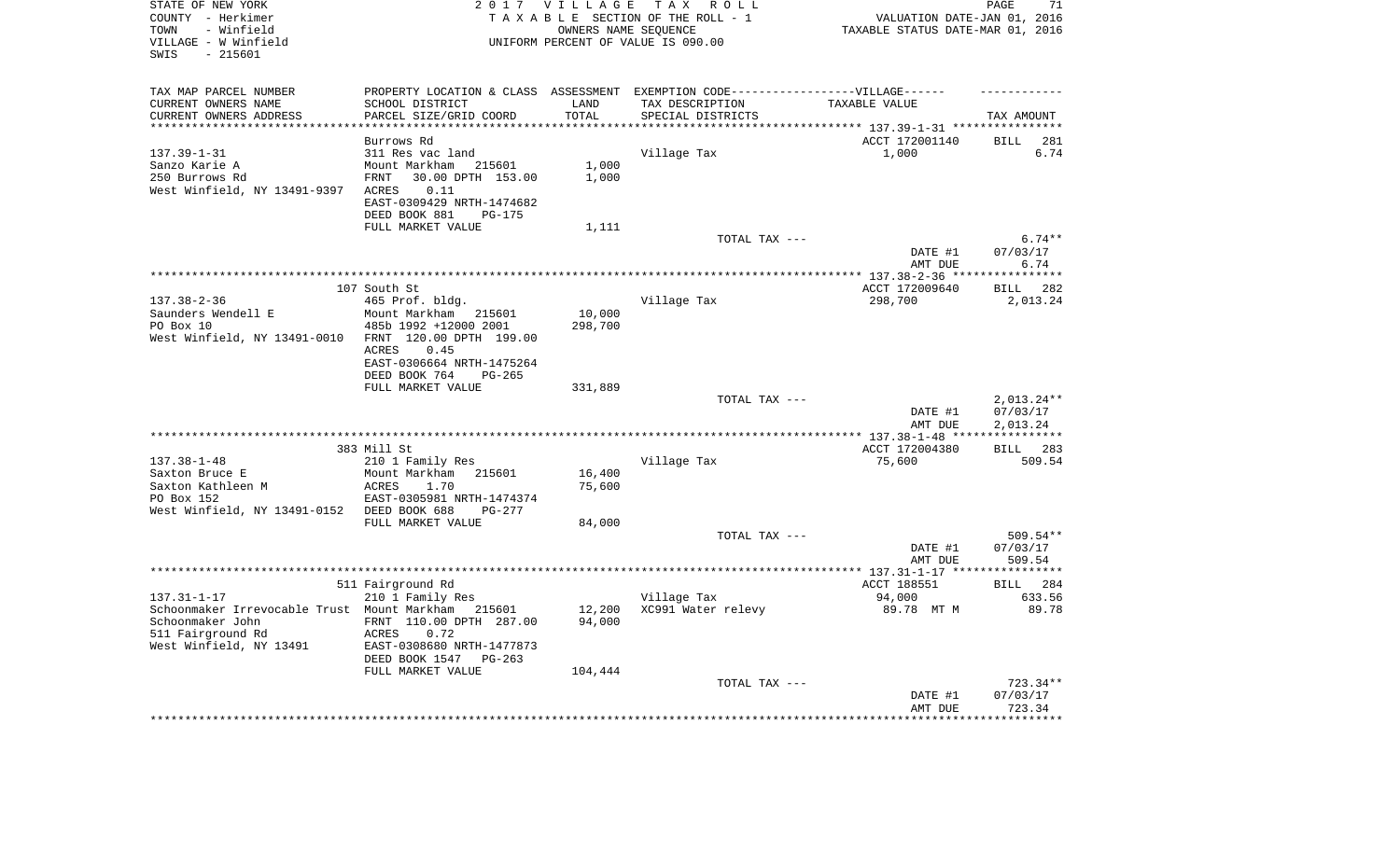| STATE OF NEW YORK<br>COUNTY - Herkimer<br>- Winfield<br>TOWN<br>VILLAGE - W Winfield<br>$-215601$<br>SWIS | 2 0 1 7                                         | VILLAGE<br>OWNERS NAME SEQUENCE | T A X<br>R O L L<br>TAXABLE SECTION OF THE ROLL - 1<br>UNIFORM PERCENT OF VALUE IS 090.00           | VALUATION DATE-JAN 01, 2016<br>TAXABLE STATUS DATE-MAR 01, 2016 | PAGE<br>71                 |
|-----------------------------------------------------------------------------------------------------------|-------------------------------------------------|---------------------------------|-----------------------------------------------------------------------------------------------------|-----------------------------------------------------------------|----------------------------|
| TAX MAP PARCEL NUMBER<br>CURRENT OWNERS NAME                                                              | SCHOOL DISTRICT                                 | LAND                            | PROPERTY LOCATION & CLASS ASSESSMENT EXEMPTION CODE----------------VILLAGE------<br>TAX DESCRIPTION | TAXABLE VALUE                                                   |                            |
| CURRENT OWNERS ADDRESS                                                                                    | PARCEL SIZE/GRID COORD                          | TOTAL                           | SPECIAL DISTRICTS                                                                                   |                                                                 | TAX AMOUNT                 |
|                                                                                                           |                                                 |                                 |                                                                                                     |                                                                 |                            |
| $137.39 - 1 - 31$                                                                                         | Burrows Rd<br>311 Res vac land                  |                                 | Village Tax                                                                                         | ACCT 172001140<br>1,000                                         | <b>BILL</b><br>281<br>6.74 |
| Sanzo Karie A                                                                                             | Mount Markham<br>215601                         | 1,000                           |                                                                                                     |                                                                 |                            |
| 250 Burrows Rd                                                                                            | 30.00 DPTH 153.00<br>FRNT                       | 1,000                           |                                                                                                     |                                                                 |                            |
| West Winfield, NY 13491-9397                                                                              | 0.11<br>ACRES                                   |                                 |                                                                                                     |                                                                 |                            |
|                                                                                                           | EAST-0309429 NRTH-1474682                       |                                 |                                                                                                     |                                                                 |                            |
|                                                                                                           | DEED BOOK 881<br>$PG-175$<br>FULL MARKET VALUE  | 1,111                           |                                                                                                     |                                                                 |                            |
|                                                                                                           |                                                 |                                 | TOTAL TAX ---                                                                                       |                                                                 | $6.74**$                   |
|                                                                                                           |                                                 |                                 |                                                                                                     | DATE #1                                                         | 07/03/17                   |
|                                                                                                           |                                                 |                                 |                                                                                                     | AMT DUE                                                         | 6.74                       |
|                                                                                                           | 107 South St                                    |                                 |                                                                                                     | ACCT 172009640                                                  | **********<br>282<br>BILL  |
| $137.38 - 2 - 36$                                                                                         | 465 Prof. bldg.                                 |                                 | Village Tax                                                                                         | 298,700                                                         | 2,013.24                   |
| Saunders Wendell E                                                                                        | Mount Markham<br>215601                         | 10,000                          |                                                                                                     |                                                                 |                            |
| PO Box 10                                                                                                 | 485b 1992 +12000 2001                           | 298,700                         |                                                                                                     |                                                                 |                            |
| West Winfield, NY 13491-0010                                                                              | FRNT 120.00 DPTH 199.00<br><b>ACRES</b><br>0.45 |                                 |                                                                                                     |                                                                 |                            |
|                                                                                                           | EAST-0306664 NRTH-1475264                       |                                 |                                                                                                     |                                                                 |                            |
|                                                                                                           | DEED BOOK 764<br>$PG-265$                       |                                 |                                                                                                     |                                                                 |                            |
|                                                                                                           | FULL MARKET VALUE                               | 331,889                         |                                                                                                     |                                                                 |                            |
|                                                                                                           |                                                 |                                 | TOTAL TAX ---                                                                                       | DATE #1                                                         | $2,013.24**$<br>07/03/17   |
|                                                                                                           |                                                 |                                 |                                                                                                     | AMT DUE                                                         | 2,013.24                   |
|                                                                                                           |                                                 |                                 |                                                                                                     |                                                                 |                            |
|                                                                                                           | 383 Mill St                                     |                                 |                                                                                                     | ACCT 172004380                                                  | BILL 283                   |
| $137.38 - 1 - 48$<br>Saxton Bruce E                                                                       | 210 1 Family Res                                |                                 | Village Tax                                                                                         | 75,600                                                          | 509.54                     |
| Saxton Kathleen M                                                                                         | Mount Markham<br>215601<br>ACRES<br>1.70        | 16,400<br>75,600                |                                                                                                     |                                                                 |                            |
| PO Box 152                                                                                                | EAST-0305981 NRTH-1474374                       |                                 |                                                                                                     |                                                                 |                            |
| West Winfield, NY 13491-0152                                                                              | DEED BOOK 688<br>$PG-277$                       |                                 |                                                                                                     |                                                                 |                            |
|                                                                                                           | FULL MARKET VALUE                               | 84,000                          |                                                                                                     |                                                                 |                            |
|                                                                                                           |                                                 |                                 | TOTAL TAX ---                                                                                       | DATE #1                                                         | 509.54**<br>07/03/17       |
|                                                                                                           |                                                 |                                 |                                                                                                     | AMT DUE                                                         | 509.54                     |
|                                                                                                           |                                                 |                                 |                                                                                                     |                                                                 |                            |
|                                                                                                           | 511 Fairground Rd                               |                                 |                                                                                                     | ACCT 188551                                                     | 284<br>BILL                |
| $137.31 - 1 - 17$<br>Schoonmaker Irrevocable Trust Mount Markham                                          | 210 1 Family Res<br>215601                      | 12,200                          | Village Tax<br>XC991 Water relevy                                                                   | 94,000<br>89.78 MT M                                            | 633.56<br>89.78            |
| Schoonmaker John                                                                                          | FRNT 110.00 DPTH 287.00                         | 94,000                          |                                                                                                     |                                                                 |                            |
| 511 Fairground Rd                                                                                         | ACRES<br>0.72                                   |                                 |                                                                                                     |                                                                 |                            |
| West Winfield, NY 13491                                                                                   | EAST-0308680 NRTH-1477873                       |                                 |                                                                                                     |                                                                 |                            |
|                                                                                                           | DEED BOOK 1547<br>$PG-263$<br>FULL MARKET VALUE | 104,444                         |                                                                                                     |                                                                 |                            |
|                                                                                                           |                                                 |                                 | TOTAL TAX ---                                                                                       |                                                                 | $723.34**$                 |
|                                                                                                           |                                                 |                                 |                                                                                                     | DATE #1                                                         | 07/03/17                   |
|                                                                                                           |                                                 |                                 |                                                                                                     | AMT DUE                                                         | 723.34<br>***********      |
|                                                                                                           |                                                 |                                 |                                                                                                     |                                                                 |                            |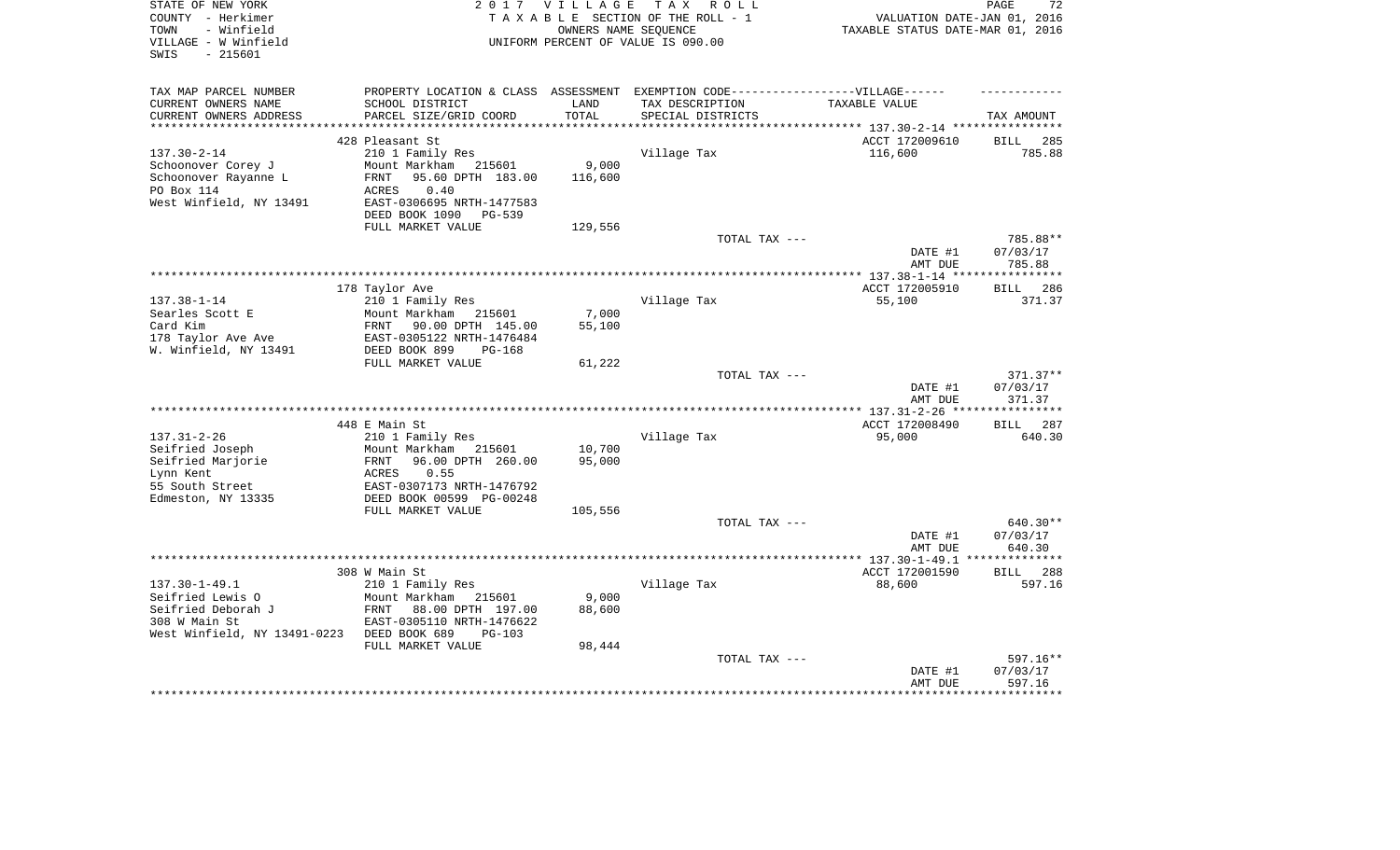| STATE OF NEW YORK<br>COUNTY - Herkimer<br>- Winfield<br>TOWN<br>VILLAGE - W Winfield<br>SWIS<br>- 215601 | 2 0 1 7                                                                           | <b>VILLAGE</b>  | TAX ROLL<br>TAXABLE SECTION OF THE ROLL - 1<br>OWNERS NAME SEOUENCE<br>UNIFORM PERCENT OF VALUE IS 090.00 | VALUATION DATE-JAN 01, 2016<br>TAXABLE STATUS DATE-MAR 01, 2016 | PAGE<br>72           |
|----------------------------------------------------------------------------------------------------------|-----------------------------------------------------------------------------------|-----------------|-----------------------------------------------------------------------------------------------------------|-----------------------------------------------------------------|----------------------|
| TAX MAP PARCEL NUMBER                                                                                    | PROPERTY LOCATION & CLASS ASSESSMENT EXEMPTION CODE-----------------VILLAGE------ |                 |                                                                                                           |                                                                 |                      |
| CURRENT OWNERS NAME                                                                                      | SCHOOL DISTRICT                                                                   | LAND            | TAX DESCRIPTION                                                                                           | TAXABLE VALUE                                                   |                      |
| CURRENT OWNERS ADDRESS<br>*************************                                                      | PARCEL SIZE/GRID COORD                                                            | TOTAL           | SPECIAL DISTRICTS                                                                                         |                                                                 | TAX AMOUNT           |
|                                                                                                          | 428 Pleasant St                                                                   |                 |                                                                                                           | ACCT 172009610                                                  | 285<br>BILL          |
| $137.30 - 2 - 14$                                                                                        | 210 1 Family Res                                                                  |                 | Village Tax                                                                                               | 116,600                                                         | 785.88               |
| Schoonover Corey J                                                                                       | Mount Markham<br>215601                                                           | 9,000           |                                                                                                           |                                                                 |                      |
| Schoonover Rayanne L                                                                                     | <b>FRNT</b><br>95.60 DPTH 183.00                                                  | 116,600         |                                                                                                           |                                                                 |                      |
| PO Box 114                                                                                               | ACRES<br>0.40                                                                     |                 |                                                                                                           |                                                                 |                      |
| West Winfield, NY 13491                                                                                  | EAST-0306695 NRTH-1477583                                                         |                 |                                                                                                           |                                                                 |                      |
|                                                                                                          | DEED BOOK 1090<br>PG-539                                                          |                 |                                                                                                           |                                                                 |                      |
|                                                                                                          | FULL MARKET VALUE                                                                 | 129,556         | TOTAL TAX ---                                                                                             |                                                                 | 785.88**             |
|                                                                                                          |                                                                                   |                 |                                                                                                           | DATE #1                                                         | 07/03/17             |
|                                                                                                          |                                                                                   |                 |                                                                                                           | AMT DUE                                                         | 785.88               |
|                                                                                                          |                                                                                   |                 |                                                                                                           |                                                                 | ***********          |
|                                                                                                          | 178 Taylor Ave                                                                    |                 |                                                                                                           | ACCT 172005910                                                  | 286<br><b>BILL</b>   |
| $137.38 - 1 - 14$                                                                                        | 210 1 Family Res                                                                  |                 | Village Tax                                                                                               | 55,100                                                          | 371.37               |
| Searles Scott E<br>Card Kim                                                                              | Mount Markham<br>215601<br>FRNT<br>90.00 DPTH 145.00                              | 7,000<br>55,100 |                                                                                                           |                                                                 |                      |
| 178 Taylor Ave Ave                                                                                       | EAST-0305122 NRTH-1476484                                                         |                 |                                                                                                           |                                                                 |                      |
| W. Winfield, NY 13491                                                                                    | DEED BOOK 899<br>$PG-168$                                                         |                 |                                                                                                           |                                                                 |                      |
|                                                                                                          | FULL MARKET VALUE                                                                 | 61,222          |                                                                                                           |                                                                 |                      |
|                                                                                                          |                                                                                   |                 | TOTAL TAX ---                                                                                             |                                                                 | 371.37**             |
|                                                                                                          |                                                                                   |                 |                                                                                                           | DATE #1                                                         | 07/03/17             |
|                                                                                                          |                                                                                   |                 |                                                                                                           | AMT DUE<br>**** 137.31-2-26 **                                  | 371.37<br>********** |
|                                                                                                          | 448 E Main St                                                                     |                 |                                                                                                           | ACCT 172008490                                                  | 287<br>BILL          |
| $137.31 - 2 - 26$                                                                                        | 210 1 Family Res                                                                  |                 | Village Tax                                                                                               | 95,000                                                          | 640.30               |
| Seifried Joseph                                                                                          | Mount Markham<br>215601                                                           | 10,700          |                                                                                                           |                                                                 |                      |
| Seifried Marjorie                                                                                        | <b>FRNT</b><br>96.00 DPTH 260.00                                                  | 95,000          |                                                                                                           |                                                                 |                      |
| Lynn Kent                                                                                                | <b>ACRES</b><br>0.55                                                              |                 |                                                                                                           |                                                                 |                      |
| 55 South Street                                                                                          | EAST-0307173 NRTH-1476792                                                         |                 |                                                                                                           |                                                                 |                      |
| Edmeston, NY 13335                                                                                       | DEED BOOK 00599 PG-00248<br>FULL MARKET VALUE                                     | 105,556         |                                                                                                           |                                                                 |                      |
|                                                                                                          |                                                                                   |                 | TOTAL TAX ---                                                                                             |                                                                 | 640.30**             |
|                                                                                                          |                                                                                   |                 |                                                                                                           | DATE #1                                                         | 07/03/17             |
|                                                                                                          |                                                                                   |                 |                                                                                                           | AMT DUE                                                         | 640.30               |
|                                                                                                          |                                                                                   |                 |                                                                                                           |                                                                 |                      |
|                                                                                                          | 308 W Main St                                                                     |                 |                                                                                                           | ACCT 172001590                                                  | 288<br>BILL          |
| $137.30 - 1 - 49.1$                                                                                      | 210 1 Family Res                                                                  |                 | Village Tax                                                                                               | 88,600                                                          | 597.16               |
| Seifried Lewis O<br>Seifried Deborah J                                                                   | Mount Markham<br>215601<br>88.00 DPTH 197.00<br>FRNT                              | 9,000<br>88,600 |                                                                                                           |                                                                 |                      |
| 308 W Main St                                                                                            | EAST-0305110 NRTH-1476622                                                         |                 |                                                                                                           |                                                                 |                      |
| West Winfield, NY 13491-0223                                                                             | DEED BOOK 689<br>$PG-103$                                                         |                 |                                                                                                           |                                                                 |                      |
|                                                                                                          | FULL MARKET VALUE                                                                 | 98,444          |                                                                                                           |                                                                 |                      |
|                                                                                                          |                                                                                   |                 | TOTAL TAX ---                                                                                             |                                                                 | 597.16**             |
|                                                                                                          |                                                                                   |                 |                                                                                                           | DATE #1                                                         | 07/03/17             |
|                                                                                                          |                                                                                   |                 |                                                                                                           | AMT DUE                                                         | 597.16               |
|                                                                                                          |                                                                                   |                 |                                                                                                           |                                                                 |                      |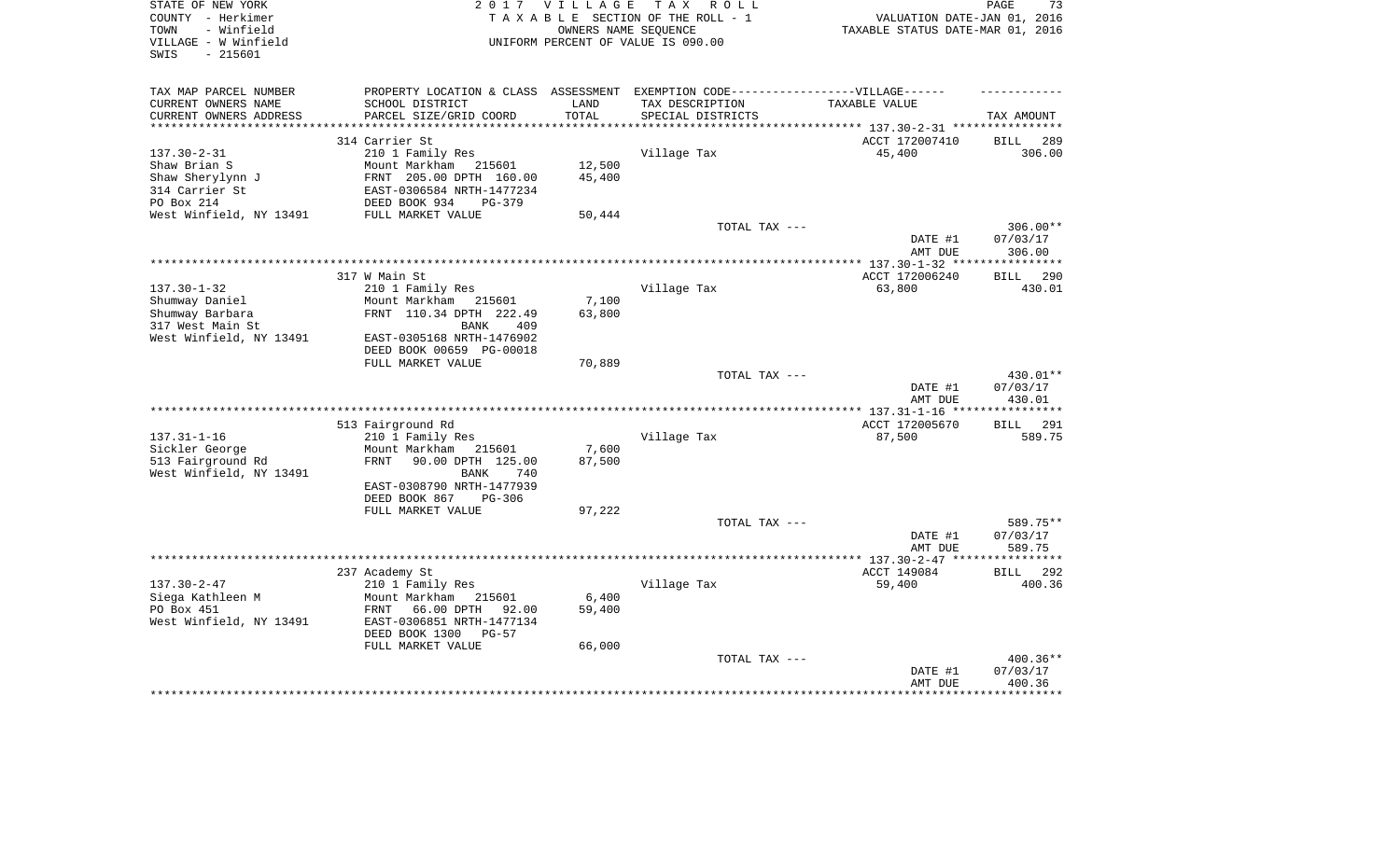| STATE OF NEW YORK<br>COUNTY - Herkimer<br>TOWN<br>- Winfield<br>VILLAGE - W Winfield | 2 0 1 7                                                                           | <b>VILLAGE</b> | TAX ROLL<br>TAXABLE SECTION OF THE ROLL - 1<br>OWNERS NAME SEOUENCE<br>UNIFORM PERCENT OF VALUE IS 090.00 | VALUATION DATE-JAN 01, 2016<br>TAXABLE STATUS DATE-MAR 01, 2016 | PAGE<br>73                  |
|--------------------------------------------------------------------------------------|-----------------------------------------------------------------------------------|----------------|-----------------------------------------------------------------------------------------------------------|-----------------------------------------------------------------|-----------------------------|
| $-215601$<br>SWIS                                                                    |                                                                                   |                |                                                                                                           |                                                                 |                             |
| TAX MAP PARCEL NUMBER                                                                | PROPERTY LOCATION & CLASS ASSESSMENT EXEMPTION CODE-----------------VILLAGE------ |                |                                                                                                           |                                                                 |                             |
| CURRENT OWNERS NAME                                                                  | SCHOOL DISTRICT                                                                   | LAND           | TAX DESCRIPTION                                                                                           | TAXABLE VALUE                                                   |                             |
| CURRENT OWNERS ADDRESS                                                               | PARCEL SIZE/GRID COORD                                                            | TOTAL          | SPECIAL DISTRICTS                                                                                         |                                                                 | TAX AMOUNT                  |
| ***********************                                                              | ****************************                                                      | ***********    |                                                                                                           | ********************************* 137.30-2-31 ****************  |                             |
|                                                                                      | 314 Carrier St                                                                    |                |                                                                                                           | ACCT 172007410                                                  | 289<br><b>BILL</b>          |
| $137.30 - 2 - 31$<br>Shaw Brian S                                                    | 210 1 Family Res<br>Mount Markham<br>215601                                       | 12,500         | Village Tax                                                                                               | 45,400                                                          | 306.00                      |
| Shaw Sherylynn J                                                                     | FRNT 205.00 DPTH 160.00                                                           | 45,400         |                                                                                                           |                                                                 |                             |
| 314 Carrier St                                                                       | EAST-0306584 NRTH-1477234                                                         |                |                                                                                                           |                                                                 |                             |
| PO Box 214                                                                           | DEED BOOK 934<br>$PG-379$                                                         |                |                                                                                                           |                                                                 |                             |
| West Winfield, NY 13491                                                              | FULL MARKET VALUE                                                                 | 50,444         |                                                                                                           |                                                                 |                             |
|                                                                                      |                                                                                   |                | TOTAL TAX ---                                                                                             |                                                                 | 306.00**                    |
|                                                                                      |                                                                                   |                |                                                                                                           | DATE #1                                                         | 07/03/17                    |
|                                                                                      |                                                                                   |                |                                                                                                           | AMT DUE                                                         | 306.00<br>* * * * * * * * * |
|                                                                                      | 317 W Main St                                                                     |                |                                                                                                           | ACCT 172006240                                                  | 290<br><b>BILL</b>          |
| $137.30 - 1 - 32$                                                                    | 210 1 Family Res                                                                  |                | Village Tax                                                                                               | 63,800                                                          | 430.01                      |
| Shumway Daniel                                                                       | Mount Markham<br>215601                                                           | 7,100          |                                                                                                           |                                                                 |                             |
| Shumway Barbara                                                                      | FRNT 110.34 DPTH 222.49                                                           | 63,800         |                                                                                                           |                                                                 |                             |
| 317 West Main St                                                                     | <b>BANK</b><br>409                                                                |                |                                                                                                           |                                                                 |                             |
| West Winfield, NY 13491                                                              | EAST-0305168 NRTH-1476902                                                         |                |                                                                                                           |                                                                 |                             |
|                                                                                      | DEED BOOK 00659 PG-00018                                                          |                |                                                                                                           |                                                                 |                             |
|                                                                                      | FULL MARKET VALUE                                                                 | 70,889         | TOTAL TAX ---                                                                                             |                                                                 | 430.01**                    |
|                                                                                      |                                                                                   |                |                                                                                                           | DATE #1                                                         | 07/03/17                    |
|                                                                                      |                                                                                   |                |                                                                                                           | AMT DUE                                                         | 430.01                      |
|                                                                                      |                                                                                   |                |                                                                                                           |                                                                 | ************                |
|                                                                                      | 513 Fairground Rd                                                                 |                |                                                                                                           | ACCT 172005670                                                  | <b>BILL</b><br>291          |
| $137.31 - 1 - 16$                                                                    | 210 1 Family Res                                                                  |                | Village Tax                                                                                               | 87,500                                                          | 589.75                      |
| Sickler George                                                                       | Mount Markham<br>215601                                                           | 7,600          |                                                                                                           |                                                                 |                             |
| 513 Fairground Rd<br>West Winfield, NY 13491                                         | <b>FRNT</b><br>90.00 DPTH 125.00<br>BANK<br>740                                   | 87,500         |                                                                                                           |                                                                 |                             |
|                                                                                      | EAST-0308790 NRTH-1477939                                                         |                |                                                                                                           |                                                                 |                             |
|                                                                                      | DEED BOOK 867<br>$PG-306$                                                         |                |                                                                                                           |                                                                 |                             |
|                                                                                      | FULL MARKET VALUE                                                                 | 97,222         |                                                                                                           |                                                                 |                             |
|                                                                                      |                                                                                   |                | TOTAL TAX ---                                                                                             |                                                                 | 589.75**                    |
|                                                                                      |                                                                                   |                |                                                                                                           | DATE #1                                                         | 07/03/17                    |
|                                                                                      |                                                                                   |                |                                                                                                           | AMT DUE                                                         | 589.75<br>*****             |
|                                                                                      | 237 Academy St                                                                    |                |                                                                                                           | ACCT 149084                                                     | 292<br><b>BILL</b>          |
| $137.30 - 2 - 47$                                                                    | 210 1 Family Res                                                                  |                | Village Tax                                                                                               | 59,400                                                          | 400.36                      |
| Siega Kathleen M                                                                     | Mount Markham<br>215601                                                           | 6,400          |                                                                                                           |                                                                 |                             |
| PO Box 451                                                                           | 66.00 DPTH<br>FRNT<br>92.00                                                       | 59,400         |                                                                                                           |                                                                 |                             |
| West Winfield, NY 13491                                                              | EAST-0306851 NRTH-1477134                                                         |                |                                                                                                           |                                                                 |                             |
|                                                                                      | DEED BOOK 1300<br>$PG-57$                                                         |                |                                                                                                           |                                                                 |                             |
|                                                                                      | FULL MARKET VALUE                                                                 | 66,000         |                                                                                                           |                                                                 |                             |
|                                                                                      |                                                                                   |                | TOTAL TAX ---                                                                                             |                                                                 | 400.36**                    |
|                                                                                      |                                                                                   |                |                                                                                                           | DATE #1<br>AMT DUE                                              | 07/03/17<br>400.36          |
|                                                                                      |                                                                                   |                |                                                                                                           |                                                                 |                             |
|                                                                                      |                                                                                   |                |                                                                                                           |                                                                 |                             |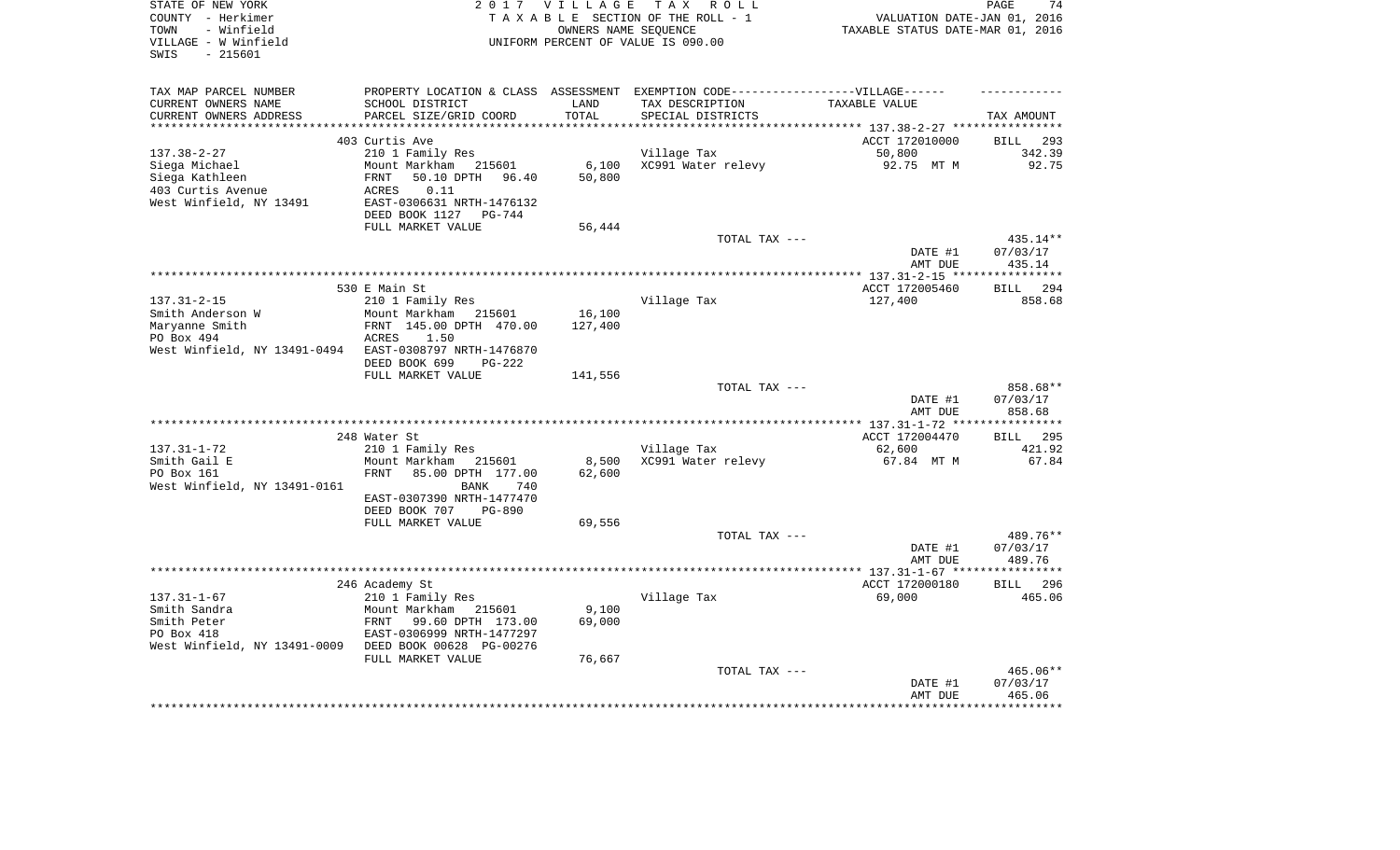| STATE OF NEW YORK                             |                           | 2017 VILLAGE        | TAX ROLL                                                                          |                                  | PAGE<br>74             |
|-----------------------------------------------|---------------------------|---------------------|-----------------------------------------------------------------------------------|----------------------------------|------------------------|
| COUNTY - Herkimer                             |                           |                     | TAXABLE SECTION OF THE ROLL - 1                                                   | VALUATION DATE-JAN 01, 2016      |                        |
| - Winfield<br>TOWN                            |                           |                     | OWNERS NAME SEOUENCE                                                              | TAXABLE STATUS DATE-MAR 01, 2016 |                        |
| VILLAGE - W Winfield                          |                           |                     | UNIFORM PERCENT OF VALUE IS 090.00                                                |                                  |                        |
| $-215601$<br>SWIS                             |                           |                     |                                                                                   |                                  |                        |
|                                               |                           |                     |                                                                                   |                                  |                        |
| TAX MAP PARCEL NUMBER                         |                           |                     | PROPERTY LOCATION & CLASS ASSESSMENT EXEMPTION CODE-----------------VILLAGE------ |                                  |                        |
| CURRENT OWNERS NAME                           | SCHOOL DISTRICT           | LAND                | TAX DESCRIPTION                                                                   | TAXABLE VALUE                    |                        |
| CURRENT OWNERS ADDRESS<br>******************* | PARCEL SIZE/GRID COORD    | TOTAL<br>********** | SPECIAL DISTRICTS                                                                 |                                  | TAX AMOUNT             |
|                                               |                           |                     | ************************************* 137.38-2-27 ****************                |                                  |                        |
|                                               | 403 Curtis Ave            |                     |                                                                                   | ACCT 172010000                   | BILL 293               |
| $137.38 - 2 - 27$                             | 210 1 Family Res          |                     | Village Tax                                                                       | 50,800                           | 342.39                 |
| Siega Michael                                 | Mount Markham 215601      | 6,100               | XC991 Water relevy                                                                | 92.75 MT M                       | 92.75                  |
| Siega Kathleen                                | 50.10 DPTH 96.40<br>FRNT  | 50,800              |                                                                                   |                                  |                        |
| 403 Curtis Avenue                             | 0.11<br>ACRES             |                     |                                                                                   |                                  |                        |
| West Winfield, NY 13491                       | EAST-0306631 NRTH-1476132 |                     |                                                                                   |                                  |                        |
|                                               | DEED BOOK 1127 PG-744     |                     |                                                                                   |                                  |                        |
|                                               | FULL MARKET VALUE         | 56,444              |                                                                                   |                                  |                        |
|                                               |                           |                     | TOTAL TAX ---                                                                     |                                  | 435.14**               |
|                                               |                           |                     |                                                                                   | DATE #1                          | 07/03/17               |
|                                               |                           |                     |                                                                                   | AMT DUE                          | 435.14<br>************ |
|                                               | 530 E Main St             |                     |                                                                                   | ACCT 172005460                   | BILL 294               |
| $137.31 - 2 - 15$                             | 210 1 Family Res          |                     | Village Tax                                                                       | 127,400                          | 858.68                 |
| Smith Anderson W                              | Mount Markham 215601      | 16,100              |                                                                                   |                                  |                        |
| Maryanne Smith                                | FRNT 145.00 DPTH 470.00   | 127,400             |                                                                                   |                                  |                        |
| PO Box 494                                    | <b>ACRES</b><br>1.50      |                     |                                                                                   |                                  |                        |
| West Winfield, NY 13491-0494                  | EAST-0308797 NRTH-1476870 |                     |                                                                                   |                                  |                        |
|                                               | DEED BOOK 699<br>PG-222   |                     |                                                                                   |                                  |                        |
|                                               | FULL MARKET VALUE         | 141,556             |                                                                                   |                                  |                        |
|                                               |                           |                     | TOTAL TAX ---                                                                     |                                  | 858.68**               |
|                                               |                           |                     |                                                                                   | DATE #1                          | 07/03/17               |
|                                               |                           |                     |                                                                                   | AMT DUE                          | 858.68                 |
|                                               |                           |                     |                                                                                   | ****** 137.31-1-72 **            | ***********            |
|                                               | 248 Water St              |                     |                                                                                   | ACCT 172004470                   | 295<br><b>BILL</b>     |
| $137.31 - 1 - 72$                             | 210 1 Family Res          |                     | Village Tax                                                                       | 62,600                           | 421.92                 |
| Smith Gail E                                  | Mount Markham<br>215601   | 8,500               | XC991 Water relevy                                                                | 67.84 MT M                       | 67.84                  |
| PO Box 161                                    | FRNT<br>85.00 DPTH 177.00 | 62,600              |                                                                                   |                                  |                        |
| West Winfield, NY 13491-0161                  | BANK<br>740               |                     |                                                                                   |                                  |                        |
|                                               | EAST-0307390 NRTH-1477470 |                     |                                                                                   |                                  |                        |
|                                               | DEED BOOK 707<br>PG-890   |                     |                                                                                   |                                  |                        |
|                                               | FULL MARKET VALUE         | 69,556              |                                                                                   |                                  |                        |
|                                               |                           |                     | TOTAL TAX ---                                                                     |                                  | 489.76**               |
|                                               |                           |                     |                                                                                   | DATE #1                          | 07/03/17               |
|                                               |                           |                     |                                                                                   | AMT DUE                          | 489.76                 |
|                                               |                           |                     |                                                                                   |                                  | ***********            |
|                                               | 246 Academy St            |                     |                                                                                   | ACCT 172000180                   | BILL 296               |
| $137.31 - 1 - 67$                             | 210 1 Family Res          |                     | Village Tax                                                                       | 69,000                           | 465.06                 |
| Smith Sandra                                  | Mount Markham 215601      | 9,100               |                                                                                   |                                  |                        |
| Smith Peter                                   | FRNT<br>99.60 DPTH 173.00 | 69,000              |                                                                                   |                                  |                        |
| PO Box 418                                    | EAST-0306999 NRTH-1477297 |                     |                                                                                   |                                  |                        |
| West Winfield, NY 13491-0009                  | DEED BOOK 00628 PG-00276  |                     |                                                                                   |                                  |                        |
|                                               | FULL MARKET VALUE         | 76,667              |                                                                                   |                                  |                        |
|                                               |                           |                     | TOTAL TAX ---                                                                     |                                  | 465.06**               |
|                                               |                           |                     |                                                                                   | DATE #1                          | 07/03/17               |
|                                               |                           |                     |                                                                                   | AMT DUE                          | 465.06                 |
|                                               |                           |                     |                                                                                   |                                  |                        |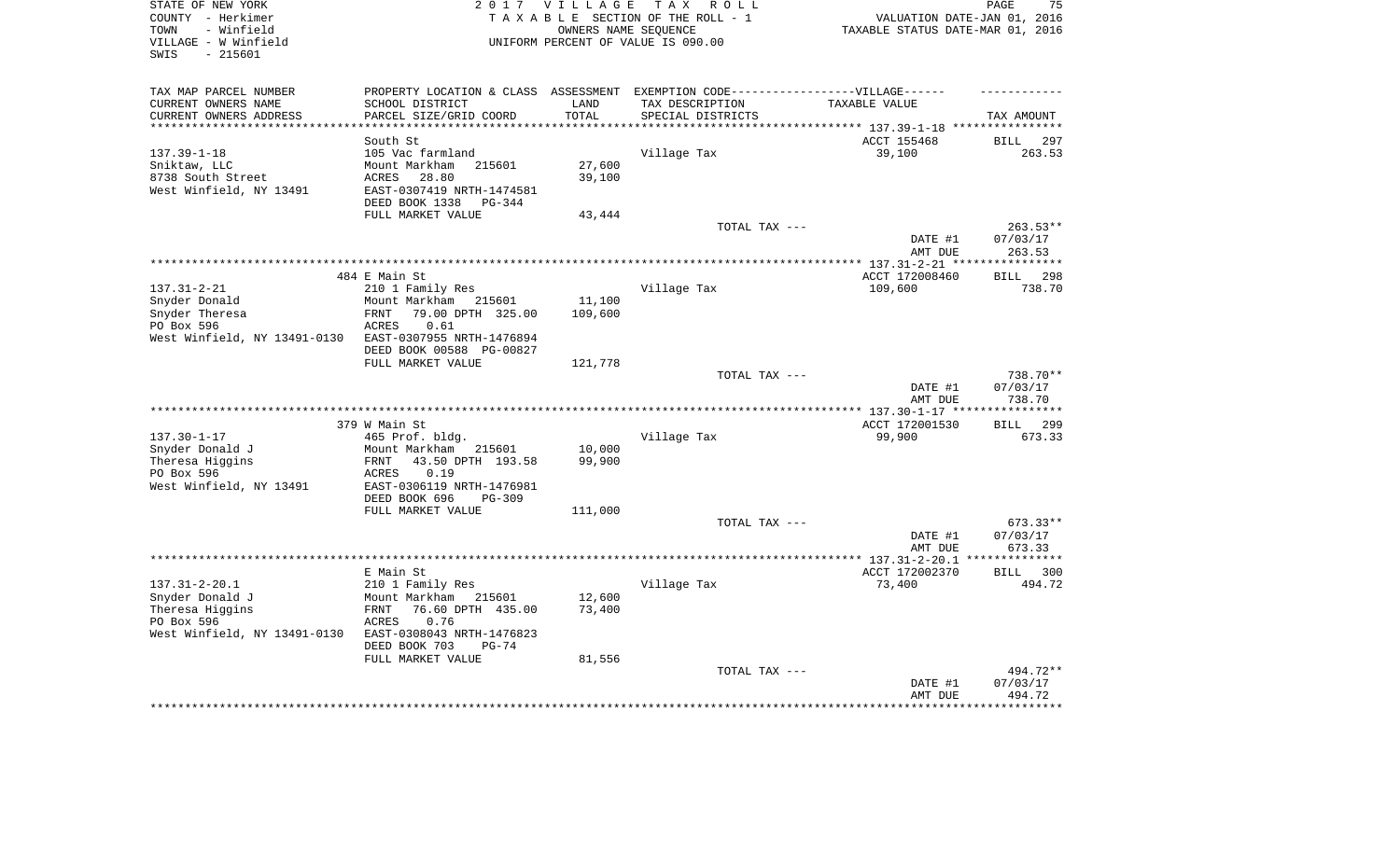| STATE OF NEW YORK<br>COUNTY - Herkimer<br>- Winfield<br>TOWN<br>VILLAGE - W Winfield<br>$-215601$<br>SWIS |                                                                                   | 2017 VILLAGE<br>OWNERS NAME SEOUENCE | TAX ROLL<br>TAXABLE SECTION OF THE ROLL - 1<br>UNIFORM PERCENT OF VALUE IS 090.00 | VALUATION DATE-JAN 01, 2016<br>TAXABLE STATUS DATE-MAR 01, 2016 | 75<br>PAGE             |
|-----------------------------------------------------------------------------------------------------------|-----------------------------------------------------------------------------------|--------------------------------------|-----------------------------------------------------------------------------------|-----------------------------------------------------------------|------------------------|
| TAX MAP PARCEL NUMBER                                                                                     | PROPERTY LOCATION & CLASS ASSESSMENT EXEMPTION CODE-----------------VILLAGE------ |                                      |                                                                                   |                                                                 |                        |
| CURRENT OWNERS NAME                                                                                       | SCHOOL DISTRICT                                                                   | LAND                                 | TAX DESCRIPTION                                                                   | TAXABLE VALUE                                                   |                        |
| CURRENT OWNERS ADDRESS                                                                                    | PARCEL SIZE/GRID COORD                                                            | TOTAL                                | SPECIAL DISTRICTS                                                                 |                                                                 | TAX AMOUNT             |
|                                                                                                           | South St                                                                          |                                      |                                                                                   | ************************* 137.39-1-18 ****<br>ACCT 155468       | 297<br><b>BILL</b>     |
| $137.39 - 1 - 18$                                                                                         | 105 Vac farmland                                                                  |                                      | Village Tax                                                                       | 39,100                                                          | 263.53                 |
| Sniktaw, LLC                                                                                              | Mount Markham<br>215601                                                           | 27,600                               |                                                                                   |                                                                 |                        |
| 8738 South Street                                                                                         | 28.80<br><b>ACRES</b>                                                             | 39,100                               |                                                                                   |                                                                 |                        |
| West Winfield, NY 13491                                                                                   | EAST-0307419 NRTH-1474581                                                         |                                      |                                                                                   |                                                                 |                        |
|                                                                                                           | DEED BOOK 1338<br>$PG-344$                                                        |                                      |                                                                                   |                                                                 |                        |
|                                                                                                           | FULL MARKET VALUE                                                                 | 43,444                               |                                                                                   |                                                                 |                        |
|                                                                                                           |                                                                                   |                                      | TOTAL TAX ---                                                                     | DATE #1                                                         | $263.53**$<br>07/03/17 |
|                                                                                                           |                                                                                   |                                      |                                                                                   | AMT DUE                                                         | 263.53                 |
|                                                                                                           |                                                                                   |                                      |                                                                                   |                                                                 | *******                |
|                                                                                                           | 484 E Main St                                                                     |                                      |                                                                                   | ACCT 172008460                                                  | 298<br><b>BILL</b>     |
| $137.31 - 2 - 21$                                                                                         | 210 1 Family Res                                                                  |                                      | Village Tax                                                                       | 109,600                                                         | 738.70                 |
| Snyder Donald                                                                                             | Mount Markham 215601                                                              | 11,100                               |                                                                                   |                                                                 |                        |
| Snyder Theresa<br>PO Box 596                                                                              | <b>FRNT</b><br>79.00 DPTH 325.00<br>ACRES<br>0.61                                 | 109,600                              |                                                                                   |                                                                 |                        |
| West Winfield, NY 13491-0130                                                                              | EAST-0307955 NRTH-1476894                                                         |                                      |                                                                                   |                                                                 |                        |
|                                                                                                           | DEED BOOK 00588 PG-00827                                                          |                                      |                                                                                   |                                                                 |                        |
|                                                                                                           | FULL MARKET VALUE                                                                 | 121,778                              |                                                                                   |                                                                 |                        |
|                                                                                                           |                                                                                   |                                      | TOTAL TAX ---                                                                     |                                                                 | 738.70**               |
|                                                                                                           |                                                                                   |                                      |                                                                                   | DATE #1                                                         | 07/03/17               |
|                                                                                                           |                                                                                   |                                      |                                                                                   | AMT DUE                                                         | 738.70                 |
|                                                                                                           | 379 W Main St                                                                     |                                      |                                                                                   | ACCT 172001530                                                  | <b>BILL</b><br>299     |
| $137.30 - 1 - 17$                                                                                         | 465 Prof. bldg.                                                                   |                                      | Village Tax                                                                       | 99,900                                                          | 673.33                 |
| Snyder Donald J                                                                                           | Mount Markham<br>215601                                                           | 10,000                               |                                                                                   |                                                                 |                        |
| Theresa Higgins                                                                                           | FRNT<br>43.50 DPTH 193.58                                                         | 99,900                               |                                                                                   |                                                                 |                        |
| PO Box 596<br>West Winfield, NY 13491                                                                     | 0.19<br>ACRES<br>EAST-0306119 NRTH-1476981                                        |                                      |                                                                                   |                                                                 |                        |
|                                                                                                           | DEED BOOK 696<br>$PG-309$                                                         |                                      |                                                                                   |                                                                 |                        |
|                                                                                                           | FULL MARKET VALUE                                                                 | 111,000                              |                                                                                   |                                                                 |                        |
|                                                                                                           |                                                                                   |                                      | TOTAL TAX ---                                                                     |                                                                 | 673.33**               |
|                                                                                                           |                                                                                   |                                      |                                                                                   | DATE #1                                                         | 07/03/17               |
|                                                                                                           |                                                                                   |                                      |                                                                                   | AMT DUE                                                         | 673.33                 |
|                                                                                                           | E Main St                                                                         |                                      |                                                                                   | ACCT 172002370                                                  | 300<br><b>BILL</b>     |
| $137.31 - 2 - 20.1$                                                                                       | 210 1 Family Res                                                                  |                                      | Village Tax                                                                       | 73,400                                                          | 494.72                 |
| Snyder Donald J                                                                                           | Mount Markham<br>215601                                                           | 12,600                               |                                                                                   |                                                                 |                        |
| Theresa Higgins                                                                                           | 76.60 DPTH 435.00<br>FRNT                                                         | 73,400                               |                                                                                   |                                                                 |                        |
| PO Box 596                                                                                                | 0.76<br><b>ACRES</b>                                                              |                                      |                                                                                   |                                                                 |                        |
| West Winfield, NY 13491-0130                                                                              | EAST-0308043 NRTH-1476823                                                         |                                      |                                                                                   |                                                                 |                        |
|                                                                                                           | DEED BOOK 703<br>$PG-74$<br>FULL MARKET VALUE                                     | 81,556                               |                                                                                   |                                                                 |                        |
|                                                                                                           |                                                                                   |                                      | TOTAL TAX ---                                                                     |                                                                 | 494.72**               |
|                                                                                                           |                                                                                   |                                      |                                                                                   | DATE #1                                                         | 07/03/17               |
|                                                                                                           |                                                                                   |                                      |                                                                                   | AMT DUE                                                         | 494.72                 |
|                                                                                                           |                                                                                   |                                      |                                                                                   |                                                                 |                        |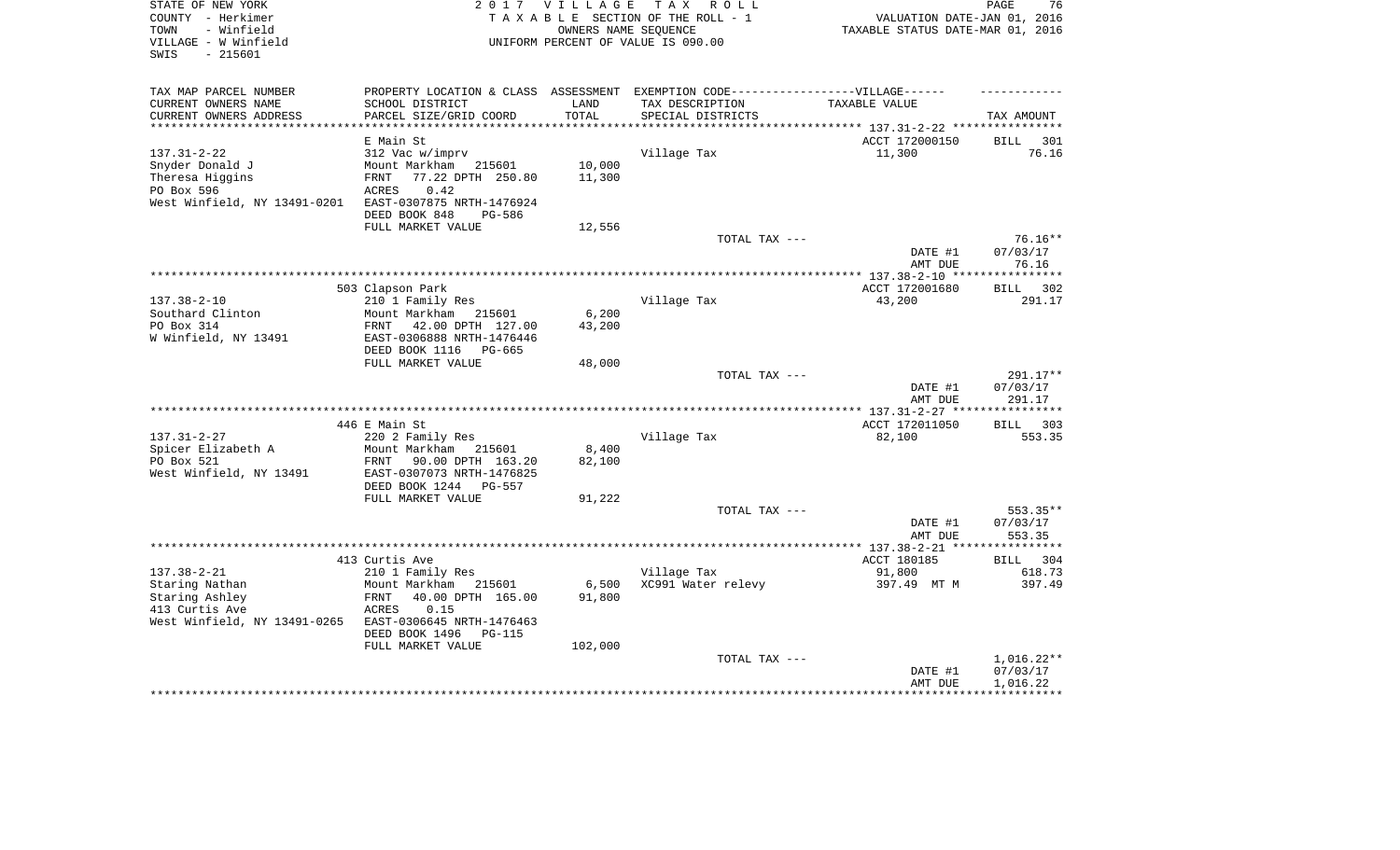| STATE OF NEW YORK<br>COUNTY - Herkimer                          | 2017                                                 | V I L L A G E   | T A X<br>R O L L<br>TAXABLE SECTION OF THE ROLL - 1                               | VALUATION DATE-JAN 01, 2016      | PAGE<br>76                     |
|-----------------------------------------------------------------|------------------------------------------------------|-----------------|-----------------------------------------------------------------------------------|----------------------------------|--------------------------------|
| - Winfield<br>TOWN<br>VILLAGE - W Winfield<br>$-215601$<br>SWIS |                                                      |                 | OWNERS NAME SEQUENCE<br>UNIFORM PERCENT OF VALUE IS 090.00                        | TAXABLE STATUS DATE-MAR 01, 2016 |                                |
| TAX MAP PARCEL NUMBER                                           |                                                      |                 | PROPERTY LOCATION & CLASS ASSESSMENT EXEMPTION CODE-----------------VILLAGE------ |                                  |                                |
| CURRENT OWNERS NAME                                             | SCHOOL DISTRICT                                      | LAND            | TAX DESCRIPTION                                                                   | TAXABLE VALUE                    |                                |
| CURRENT OWNERS ADDRESS                                          | PARCEL SIZE/GRID COORD                               | TOTAL           | SPECIAL DISTRICTS                                                                 |                                  | TAX AMOUNT                     |
| *********************                                           | **********************                               | ***********     |                                                                                   |                                  |                                |
|                                                                 | E Main St                                            |                 |                                                                                   | ACCT 172000150                   | <b>BILL</b><br>301             |
| $137.31 - 2 - 22$                                               | 312 Vac w/imprv<br>Mount Markham                     | 10,000          | Village Tax                                                                       | 11,300                           | 76.16                          |
| Snyder Donald J<br>Theresa Higgins                              | 215601<br>77.22 DPTH 250.80<br>FRNT                  | 11,300          |                                                                                   |                                  |                                |
| PO Box 596                                                      | 0.42<br><b>ACRES</b>                                 |                 |                                                                                   |                                  |                                |
| West Winfield, NY 13491-0201                                    | EAST-0307875 NRTH-1476924                            |                 |                                                                                   |                                  |                                |
|                                                                 | DEED BOOK 848<br><b>PG-586</b>                       |                 |                                                                                   |                                  |                                |
|                                                                 | FULL MARKET VALUE                                    | 12,556          |                                                                                   |                                  |                                |
|                                                                 |                                                      |                 | TOTAL TAX ---                                                                     |                                  | 76.16**                        |
|                                                                 |                                                      |                 |                                                                                   | DATE #1<br>AMT DUE               | 07/03/17<br>76.16              |
|                                                                 |                                                      |                 |                                                                                   | ** 137.38-2-10 **                | * * * * * * * *                |
|                                                                 | 503 Clapson Park                                     |                 |                                                                                   | ACCT 172001680                   | <b>BILL</b><br>302             |
| $137.38 - 2 - 10$                                               | 210 1 Family Res                                     |                 | Village Tax                                                                       | 43,200                           | 291.17                         |
| Southard Clinton<br>PO Box 314                                  | Mount Markham<br>215601<br>42.00 DPTH 127.00<br>FRNT | 6,200<br>43,200 |                                                                                   |                                  |                                |
| W Winfield, NY 13491                                            | EAST-0306888 NRTH-1476446                            |                 |                                                                                   |                                  |                                |
|                                                                 | DEED BOOK 1116<br>PG-665                             |                 |                                                                                   |                                  |                                |
|                                                                 | FULL MARKET VALUE                                    | 48,000          |                                                                                   |                                  |                                |
|                                                                 |                                                      |                 | TOTAL TAX ---                                                                     |                                  | 291.17**                       |
|                                                                 |                                                      |                 |                                                                                   | DATE #1                          | 07/03/17                       |
|                                                                 |                                                      |                 |                                                                                   | AMT DUE                          | 291.17                         |
|                                                                 |                                                      |                 |                                                                                   |                                  | **********                     |
| $137.31 - 2 - 27$                                               | 446 E Main St<br>220 2 Family Res                    |                 | Village Tax                                                                       | ACCT 172011050<br>82,100         | BILL 303<br>553.35             |
| Spicer Elizabeth A                                              | Mount Markham<br>215601                              | 8,400           |                                                                                   |                                  |                                |
| PO Box 521                                                      | 90.00 DPTH 163.20<br>FRNT                            | 82,100          |                                                                                   |                                  |                                |
| West Winfield, NY 13491                                         | EAST-0307073 NRTH-1476825                            |                 |                                                                                   |                                  |                                |
|                                                                 | DEED BOOK 1244<br>PG-557                             |                 |                                                                                   |                                  |                                |
|                                                                 | FULL MARKET VALUE                                    | 91,222          |                                                                                   |                                  |                                |
|                                                                 |                                                      |                 | TOTAL TAX ---                                                                     |                                  | 553.35**                       |
|                                                                 |                                                      |                 |                                                                                   | DATE #1                          | 07/03/17                       |
|                                                                 |                                                      |                 | *****************************                                                     | AMT DUE                          | 553.35                         |
|                                                                 |                                                      |                 |                                                                                   | $***$ 137.38-2-21<br>ACCT 180185 | ********<br><b>BILL</b><br>304 |
| $137.38 - 2 - 21$                                               | 413 Curtis Ave<br>210 1 Family Res                   |                 | Village Tax                                                                       | 91,800                           | 618.73                         |
| Staring Nathan                                                  | Mount Markham<br>215601                              | 6,500           | XC991 Water relevy                                                                | 397.49 MT M                      | 397.49                         |
| Staring Ashley                                                  | FRNT<br>40.00 DPTH 165.00                            | 91,800          |                                                                                   |                                  |                                |
| 413 Curtis Ave                                                  | ACRES<br>0.15                                        |                 |                                                                                   |                                  |                                |
| West Winfield, NY 13491-0265                                    | EAST-0306645 NRTH-1476463                            |                 |                                                                                   |                                  |                                |
|                                                                 | DEED BOOK 1496<br>PG-115                             |                 |                                                                                   |                                  |                                |
|                                                                 | FULL MARKET VALUE                                    | 102,000         |                                                                                   |                                  |                                |
|                                                                 |                                                      |                 | TOTAL TAX ---                                                                     |                                  | $1,016.22**$                   |
|                                                                 |                                                      |                 |                                                                                   | DATE #1                          | 07/03/17                       |
|                                                                 |                                                      |                 |                                                                                   | AMT DUE                          | 1,016.22                       |
|                                                                 |                                                      |                 |                                                                                   |                                  |                                |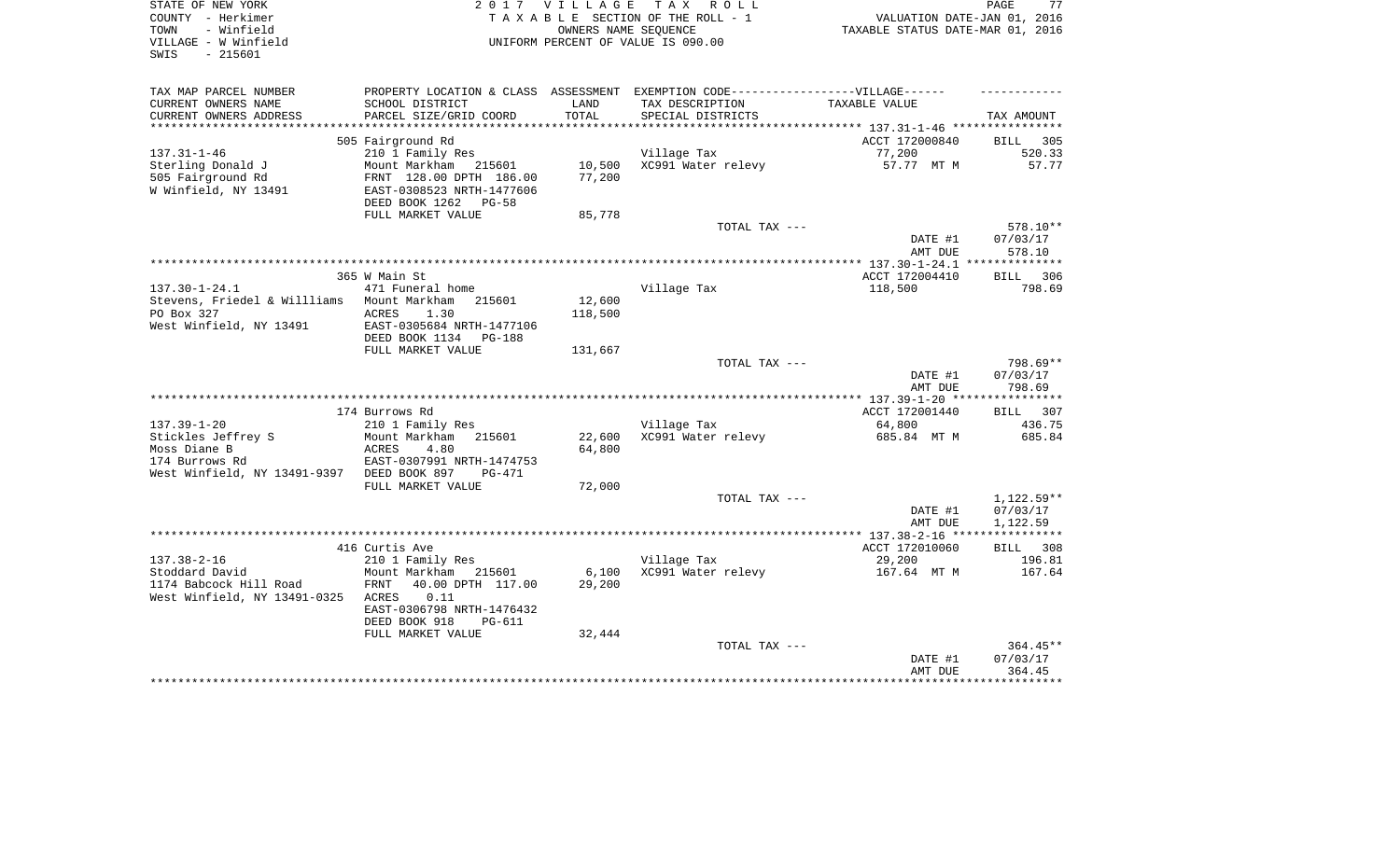| STATE OF NEW YORK<br>COUNTY - Herkimer<br>- Winfield<br>TOWN<br>VILLAGE - W Winfield<br>- 215601<br>SWIS |                                                        | 2017 VILLAGE<br>OWNERS NAME SEQUENCE | TAX ROLL<br>TAXABLE SECTION OF THE ROLL - 1<br>UNIFORM PERCENT OF VALUE IS 090.00 | VALUATION DATE-JAN 01, 2016<br>TAXABLE STATUS DATE-MAR 01, 2016 | 77<br>PAGE         |
|----------------------------------------------------------------------------------------------------------|--------------------------------------------------------|--------------------------------------|-----------------------------------------------------------------------------------|-----------------------------------------------------------------|--------------------|
| TAX MAP PARCEL NUMBER                                                                                    |                                                        |                                      | PROPERTY LOCATION & CLASS ASSESSMENT EXEMPTION CODE-----------------VILLAGE------ |                                                                 |                    |
| CURRENT OWNERS NAME<br>CURRENT OWNERS ADDRESS                                                            | SCHOOL DISTRICT<br>PARCEL SIZE/GRID COORD              | LAND<br>TOTAL                        | TAX DESCRIPTION<br>SPECIAL DISTRICTS                                              | TAXABLE VALUE                                                   | TAX AMOUNT         |
| ***********************                                                                                  |                                                        |                                      |                                                                                   |                                                                 |                    |
|                                                                                                          | 505 Fairground Rd                                      |                                      |                                                                                   | ACCT 172000840                                                  | <b>BILL</b><br>305 |
| $137.31 - 1 - 46$                                                                                        | 210 1 Family Res                                       |                                      | Village Tax                                                                       | 77,200                                                          | 520.33             |
| Sterling Donald J                                                                                        | Mount Markham 215601                                   | 10,500                               | XC991 Water relevy                                                                | 57.77 MT M                                                      | 57.77              |
| 505 Fairground Rd                                                                                        | FRNT 128.00 DPTH 186.00                                | 77,200                               |                                                                                   |                                                                 |                    |
| W Winfield, NY 13491                                                                                     | EAST-0308523 NRTH-1477606<br>DEED BOOK 1262<br>$PG-58$ |                                      |                                                                                   |                                                                 |                    |
|                                                                                                          | FULL MARKET VALUE                                      | 85,778                               |                                                                                   |                                                                 |                    |
|                                                                                                          |                                                        |                                      | TOTAL TAX ---                                                                     |                                                                 | 578.10**           |
|                                                                                                          |                                                        |                                      |                                                                                   | DATE #1                                                         | 07/03/17           |
|                                                                                                          |                                                        |                                      |                                                                                   | AMT DUE                                                         | 578.10             |
|                                                                                                          |                                                        |                                      |                                                                                   |                                                                 |                    |
| $137.30 - 1 - 24.1$                                                                                      | 365 W Main St<br>471 Funeral home                      |                                      | Village Tax                                                                       | ACCT 172004410<br>118,500                                       | BILL 306<br>798.69 |
| Stevens, Friedel & Willliams                                                                             | Mount Markham<br>215601                                | 12,600                               |                                                                                   |                                                                 |                    |
| PO Box 327                                                                                               | ACRES<br>1.30                                          | 118,500                              |                                                                                   |                                                                 |                    |
| West Winfield, NY 13491                                                                                  | EAST-0305684 NRTH-1477106                              |                                      |                                                                                   |                                                                 |                    |
|                                                                                                          | DEED BOOK 1134<br><b>PG-188</b>                        |                                      |                                                                                   |                                                                 |                    |
|                                                                                                          | FULL MARKET VALUE                                      | 131,667                              |                                                                                   |                                                                 |                    |
|                                                                                                          |                                                        |                                      | TOTAL TAX ---                                                                     |                                                                 | 798.69**           |
|                                                                                                          |                                                        |                                      |                                                                                   | DATE #1<br>AMT DUE                                              | 07/03/17<br>798.69 |
|                                                                                                          |                                                        |                                      |                                                                                   | ********** 137.39-1-20 ***                                      | **********         |
|                                                                                                          | 174 Burrows Rd                                         |                                      |                                                                                   | ACCT 172001440                                                  | <b>BILL</b><br>307 |
| $137.39 - 1 - 20$                                                                                        | 210 1 Family Res                                       |                                      | Village Tax                                                                       | 64,800                                                          | 436.75             |
| Stickles Jeffrey S                                                                                       | Mount Markham<br>215601                                | 22,600                               | XC991 Water relevy                                                                | 685.84 MT M                                                     | 685.84             |
| Moss Diane B                                                                                             | <b>ACRES</b><br>4.80                                   | 64,800                               |                                                                                   |                                                                 |                    |
| 174 Burrows Rd<br>West Winfield, NY 13491-9397                                                           | EAST-0307991 NRTH-1474753<br>DEED BOOK 897<br>PG-471   |                                      |                                                                                   |                                                                 |                    |
|                                                                                                          | FULL MARKET VALUE                                      | 72,000                               |                                                                                   |                                                                 |                    |
|                                                                                                          |                                                        |                                      | TOTAL TAX ---                                                                     |                                                                 | $1,122.59**$       |
|                                                                                                          |                                                        |                                      |                                                                                   | DATE #1                                                         | 07/03/17           |
|                                                                                                          |                                                        |                                      |                                                                                   | AMT DUE                                                         | 1,122.59           |
|                                                                                                          |                                                        |                                      |                                                                                   |                                                                 |                    |
| $137.38 - 2 - 16$                                                                                        | 416 Curtis Ave                                         |                                      | Village Tax                                                                       | ACCT 172010060<br>29,200                                        | BILL 308<br>196.81 |
| Stoddard David                                                                                           | 210 1 Family Res<br>Mount Markham<br>215601            | 6,100                                | XC991 Water relevy                                                                | 167.64 MT M                                                     | 167.64             |
| 1174 Babcock Hill Road                                                                                   | FRNT<br>40.00 DPTH 117.00                              | 29,200                               |                                                                                   |                                                                 |                    |
| West Winfield, NY 13491-0325                                                                             | ACRES<br>0.11                                          |                                      |                                                                                   |                                                                 |                    |
|                                                                                                          | EAST-0306798 NRTH-1476432                              |                                      |                                                                                   |                                                                 |                    |
|                                                                                                          | DEED BOOK 918<br>$PG-611$                              |                                      |                                                                                   |                                                                 |                    |
|                                                                                                          | FULL MARKET VALUE                                      | 32,444                               |                                                                                   |                                                                 | 364.45**           |
|                                                                                                          |                                                        |                                      | TOTAL TAX ---                                                                     | DATE #1                                                         | 07/03/17           |
|                                                                                                          |                                                        |                                      |                                                                                   | AMT DUE                                                         | 364.45             |
|                                                                                                          |                                                        |                                      |                                                                                   |                                                                 |                    |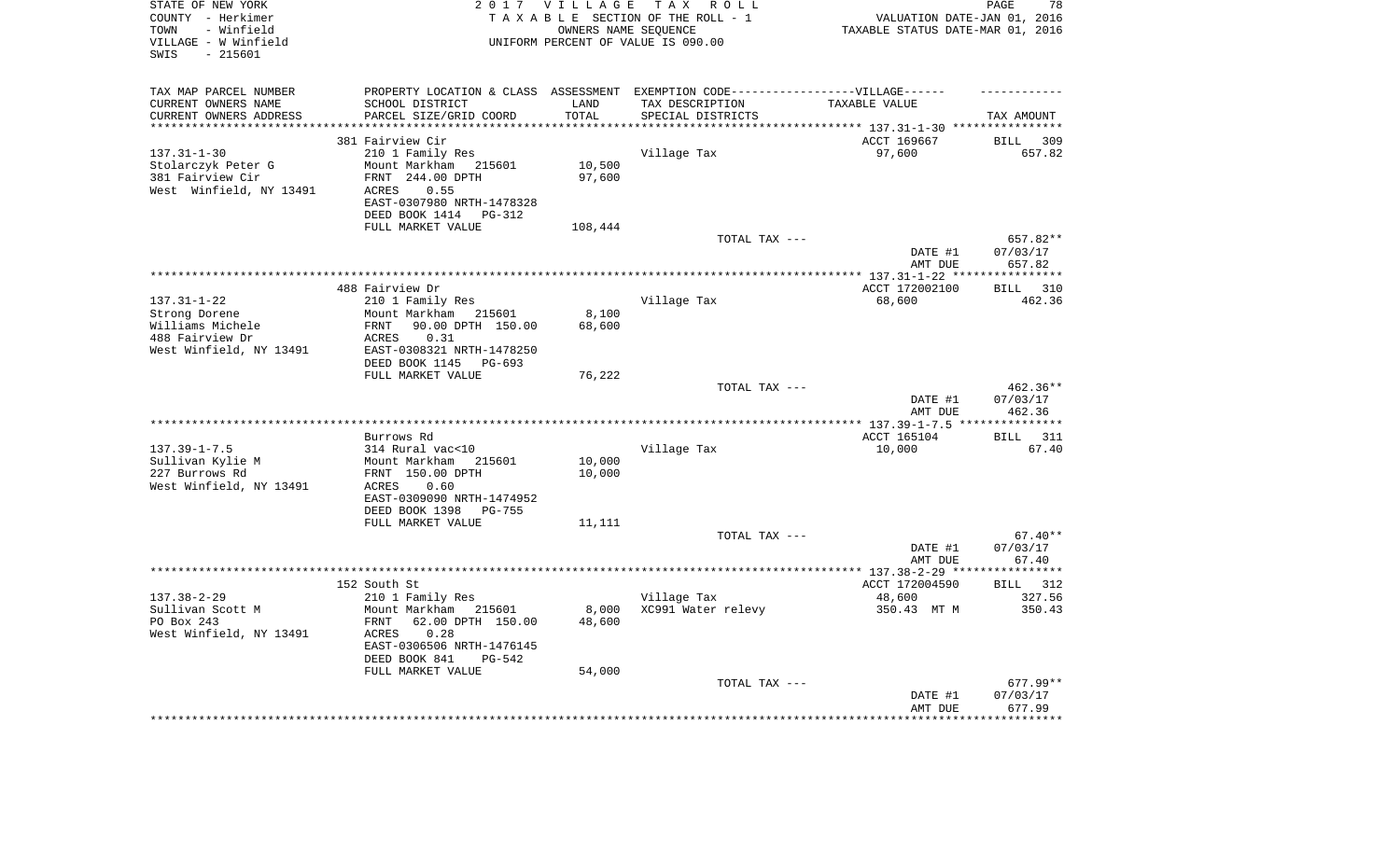| STATE OF NEW YORK<br>COUNTY - Herkimer<br>- Winfield<br>TOWN<br>VILLAGE - W Winfield<br>$-215601$<br>SWIS |                                                        | 2017 VILLAGE<br>OWNERS NAME SEQUENCE | T A X<br>R O L L<br>TAXABLE SECTION OF THE ROLL - 1<br>UNIFORM PERCENT OF VALUE IS 090.00 | VALUATION DATE-JAN 01, 2016<br>TAXABLE STATUS DATE-MAR 01, 2016 | PAGE<br>78         |
|-----------------------------------------------------------------------------------------------------------|--------------------------------------------------------|--------------------------------------|-------------------------------------------------------------------------------------------|-----------------------------------------------------------------|--------------------|
| TAX MAP PARCEL NUMBER                                                                                     |                                                        |                                      | PROPERTY LOCATION & CLASS ASSESSMENT EXEMPTION CODE----------------VILLAGE------          |                                                                 |                    |
| CURRENT OWNERS NAME                                                                                       | SCHOOL DISTRICT                                        | LAND                                 | TAX DESCRIPTION                                                                           | TAXABLE VALUE                                                   |                    |
| CURRENT OWNERS ADDRESS<br>*********************                                                           | PARCEL SIZE/GRID COORD<br>**************************** | TOTAL<br>**************              | SPECIAL DISTRICTS                                                                         |                                                                 | TAX AMOUNT         |
|                                                                                                           | 381 Fairview Cir                                       |                                      |                                                                                           | ACCT 169667                                                     | <b>BILL</b><br>309 |
| $137.31 - 1 - 30$                                                                                         | 210 1 Family Res                                       |                                      | Village Tax                                                                               | 97,600                                                          | 657.82             |
| Stolarczyk Peter G                                                                                        | Mount Markham<br>215601                                | 10,500                               |                                                                                           |                                                                 |                    |
| 381 Fairview Cir                                                                                          | FRNT 244.00 DPTH                                       | 97,600                               |                                                                                           |                                                                 |                    |
| West Winfield, NY 13491                                                                                   | 0.55<br>ACRES                                          |                                      |                                                                                           |                                                                 |                    |
|                                                                                                           | EAST-0307980 NRTH-1478328                              |                                      |                                                                                           |                                                                 |                    |
|                                                                                                           | DEED BOOK 1414<br>$PG-312$<br>FULL MARKET VALUE        | 108,444                              |                                                                                           |                                                                 |                    |
|                                                                                                           |                                                        |                                      | TOTAL TAX ---                                                                             |                                                                 | 657.82**           |
|                                                                                                           |                                                        |                                      |                                                                                           | DATE #1                                                         | 07/03/17           |
|                                                                                                           |                                                        |                                      |                                                                                           | AMT DUE                                                         | 657.82             |
|                                                                                                           |                                                        |                                      |                                                                                           |                                                                 | ************       |
|                                                                                                           | 488 Fairview Dr                                        |                                      |                                                                                           | ACCT 172002100                                                  | 310<br>BILL        |
| $137.31 - 1 - 22$                                                                                         | 210 1 Family Res<br>Mount Markham                      |                                      | Village Tax                                                                               | 68,600                                                          | 462.36             |
| Strong Dorene<br>Williams Michele                                                                         | 215601<br>90.00 DPTH 150.00<br>FRNT                    | 8,100<br>68,600                      |                                                                                           |                                                                 |                    |
| 488 Fairview Dr                                                                                           | ACRES<br>0.31                                          |                                      |                                                                                           |                                                                 |                    |
| West Winfield, NY 13491                                                                                   | EAST-0308321 NRTH-1478250                              |                                      |                                                                                           |                                                                 |                    |
|                                                                                                           | DEED BOOK 1145<br>PG-693                               |                                      |                                                                                           |                                                                 |                    |
|                                                                                                           | FULL MARKET VALUE                                      | 76,222                               |                                                                                           |                                                                 |                    |
|                                                                                                           |                                                        |                                      | TOTAL TAX ---                                                                             |                                                                 | $462.36**$         |
|                                                                                                           |                                                        |                                      |                                                                                           | DATE #1<br>AMT DUE                                              | 07/03/17<br>462.36 |
|                                                                                                           |                                                        |                                      |                                                                                           |                                                                 | ***********        |
|                                                                                                           | Burrows Rd                                             |                                      |                                                                                           | ACCT 165104                                                     | 311<br>BILL        |
| $137.39 - 1 - 7.5$                                                                                        | 314 Rural vac<10                                       |                                      | Village Tax                                                                               | 10,000                                                          | 67.40              |
| Sullivan Kylie M                                                                                          | Mount Markham<br>215601                                | 10,000                               |                                                                                           |                                                                 |                    |
| 227 Burrows Rd                                                                                            | FRNT 150.00 DPTH                                       | 10,000                               |                                                                                           |                                                                 |                    |
| West Winfield, NY 13491                                                                                   | ACRES<br>0.60<br>EAST-0309090 NRTH-1474952             |                                      |                                                                                           |                                                                 |                    |
|                                                                                                           | DEED BOOK 1398<br>PG-755                               |                                      |                                                                                           |                                                                 |                    |
|                                                                                                           | FULL MARKET VALUE                                      | 11,111                               |                                                                                           |                                                                 |                    |
|                                                                                                           |                                                        |                                      | TOTAL TAX ---                                                                             |                                                                 | $67.40**$          |
|                                                                                                           |                                                        |                                      |                                                                                           | DATE #1                                                         | 07/03/17           |
|                                                                                                           |                                                        |                                      |                                                                                           | AMT DUE                                                         | 67.40              |
|                                                                                                           |                                                        |                                      |                                                                                           |                                                                 | ***********        |
| $137.38 - 2 - 29$                                                                                         | 152 South St<br>210 1 Family Res                       |                                      | Village Tax                                                                               | ACCT 172004590<br>48,600                                        | BILL 312<br>327.56 |
| Sullivan Scott M                                                                                          | Mount Markham<br>215601                                | 8,000                                | XC991 Water relevy                                                                        | 350.43 MT M                                                     | 350.43             |
| PO Box 243                                                                                                | 62.00 DPTH 150.00<br>FRNT                              | 48,600                               |                                                                                           |                                                                 |                    |
| West Winfield, NY 13491                                                                                   | ACRES<br>0.28                                          |                                      |                                                                                           |                                                                 |                    |
|                                                                                                           | EAST-0306506 NRTH-1476145                              |                                      |                                                                                           |                                                                 |                    |
|                                                                                                           | DEED BOOK 841<br>$PG-542$                              |                                      |                                                                                           |                                                                 |                    |
|                                                                                                           | FULL MARKET VALUE                                      | 54,000                               | TOTAL TAX ---                                                                             |                                                                 | 677.99**           |
|                                                                                                           |                                                        |                                      |                                                                                           | DATE #1                                                         | 07/03/17           |
|                                                                                                           |                                                        |                                      |                                                                                           | AMT DUE                                                         | 677.99             |
|                                                                                                           |                                                        |                                      |                                                                                           | ****************                                                | ************       |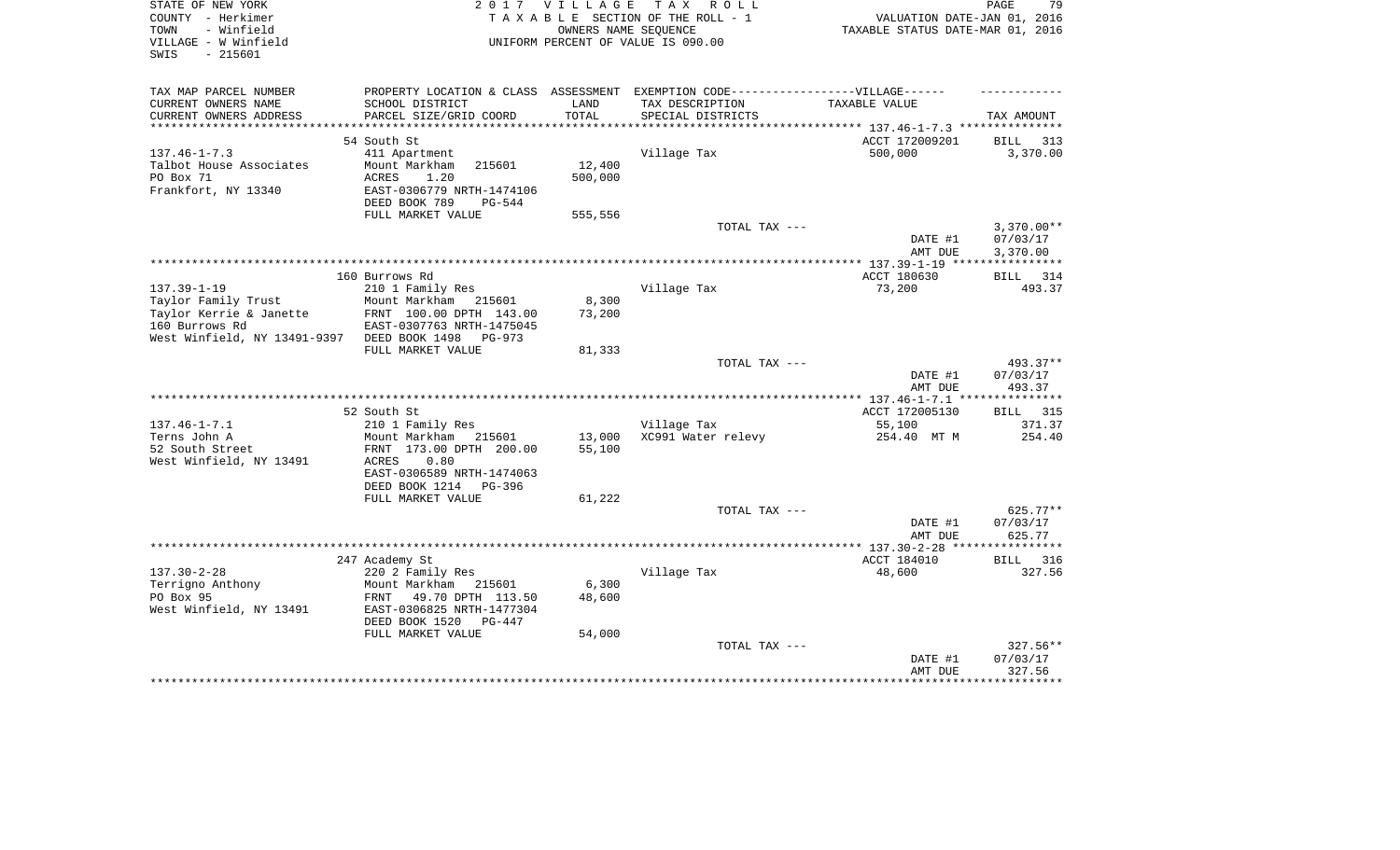| STATE OF NEW YORK<br>COUNTY - Herkimer<br>- Winfield<br>TOWN<br>VILLAGE - W Winfield<br>$-215601$<br>SWIS |                                                    | 2017 VILLAGE<br>OWNERS NAME SEQUENCE | TAX ROLL<br>TAXABLE SECTION OF THE ROLL - 1<br>UNIFORM PERCENT OF VALUE IS 090.00 | VALUATION DATE-JAN 01, 2016<br>TAXABLE STATUS DATE-MAR 01, 2016 | 79<br>PAGE               |
|-----------------------------------------------------------------------------------------------------------|----------------------------------------------------|--------------------------------------|-----------------------------------------------------------------------------------|-----------------------------------------------------------------|--------------------------|
| TAX MAP PARCEL NUMBER                                                                                     |                                                    |                                      | PROPERTY LOCATION & CLASS ASSESSMENT EXEMPTION CODE-----------------VILLAGE------ |                                                                 |                          |
| CURRENT OWNERS NAME                                                                                       | SCHOOL DISTRICT                                    | LAND                                 | TAX DESCRIPTION                                                                   | TAXABLE VALUE                                                   |                          |
| CURRENT OWNERS ADDRESS<br>***********************                                                         | PARCEL SIZE/GRID COORD                             | TOTAL                                | SPECIAL DISTRICTS                                                                 |                                                                 | TAX AMOUNT               |
|                                                                                                           | 54 South St                                        |                                      |                                                                                   | ACCT 172009201                                                  | BILL<br>313              |
| $137.46 - 1 - 7.3$                                                                                        | 411 Apartment                                      |                                      | Village Tax                                                                       | 500,000                                                         | 3,370.00                 |
| Talbot House Associates                                                                                   | Mount Markham<br>215601                            | 12,400                               |                                                                                   |                                                                 |                          |
| PO Box 71                                                                                                 | ACRES<br>1.20                                      | 500,000                              |                                                                                   |                                                                 |                          |
| Frankfort, NY 13340                                                                                       | EAST-0306779 NRTH-1474106                          |                                      |                                                                                   |                                                                 |                          |
|                                                                                                           | DEED BOOK 789<br>PG-544                            |                                      |                                                                                   |                                                                 |                          |
|                                                                                                           | FULL MARKET VALUE                                  | 555,556                              |                                                                                   |                                                                 |                          |
|                                                                                                           |                                                    |                                      | TOTAL TAX ---                                                                     |                                                                 | $3,370.00**$<br>07/03/17 |
|                                                                                                           |                                                    |                                      |                                                                                   | DATE #1<br>AMT DUE                                              | 3,370.00                 |
|                                                                                                           |                                                    |                                      |                                                                                   |                                                                 |                          |
|                                                                                                           | 160 Burrows Rd                                     |                                      |                                                                                   | ACCT 180630                                                     | BILL 314                 |
| $137.39 - 1 - 19$                                                                                         | 210 1 Family Res                                   |                                      | Village Tax                                                                       | 73,200                                                          | 493.37                   |
| Taylor Family Trust                                                                                       | Mount Markham<br>215601                            | 8,300                                |                                                                                   |                                                                 |                          |
| Taylor Kerrie & Janette                                                                                   | FRNT 100.00 DPTH 143.00                            | 73,200                               |                                                                                   |                                                                 |                          |
| 160 Burrows Rd                                                                                            | EAST-0307763 NRTH-1475045                          |                                      |                                                                                   |                                                                 |                          |
| West Winfield, NY 13491-9397                                                                              | DEED BOOK 1498<br>$PG-973$<br>FULL MARKET VALUE    | 81,333                               |                                                                                   |                                                                 |                          |
|                                                                                                           |                                                    |                                      | TOTAL TAX ---                                                                     |                                                                 | 493.37**                 |
|                                                                                                           |                                                    |                                      |                                                                                   | DATE #1                                                         | 07/03/17                 |
|                                                                                                           |                                                    |                                      |                                                                                   | AMT DUE                                                         | 493.37                   |
|                                                                                                           |                                                    |                                      | *********************                                                             | *** 137.46-1-7.1 ***                                            |                          |
|                                                                                                           | 52 South St                                        |                                      |                                                                                   | ACCT 172005130                                                  | 315<br><b>BILL</b>       |
| $137.46 - 1 - 7.1$                                                                                        | 210 1 Family Res                                   |                                      | Village Tax                                                                       | 55,100                                                          | 371.37                   |
| Terns John A<br>52 South Street                                                                           | Mount Markham<br>215601<br>FRNT 173.00 DPTH 200.00 | 13,000<br>55,100                     | XC991 Water relevy                                                                | 254.40 MT M                                                     | 254.40                   |
| West Winfield, NY 13491                                                                                   | 0.80<br>ACRES                                      |                                      |                                                                                   |                                                                 |                          |
|                                                                                                           | EAST-0306589 NRTH-1474063                          |                                      |                                                                                   |                                                                 |                          |
|                                                                                                           | DEED BOOK 1214<br>PG-396                           |                                      |                                                                                   |                                                                 |                          |
|                                                                                                           | FULL MARKET VALUE                                  | 61,222                               |                                                                                   |                                                                 |                          |
|                                                                                                           |                                                    |                                      | TOTAL TAX ---                                                                     |                                                                 | $625.77**$               |
|                                                                                                           |                                                    |                                      |                                                                                   | DATE #1                                                         | 07/03/17                 |
|                                                                                                           |                                                    |                                      |                                                                                   | AMT DUE                                                         | 625.77                   |
|                                                                                                           | 247 Academy St                                     |                                      |                                                                                   | ACCT 184010                                                     | <b>BILL</b><br>316       |
| $137.30 - 2 - 28$                                                                                         | 220 2 Family Res                                   |                                      | Village Tax                                                                       | 48,600                                                          | 327.56                   |
| Terrigno Anthony                                                                                          | Mount Markham<br>215601                            | 6,300                                |                                                                                   |                                                                 |                          |
| PO Box 95                                                                                                 | FRNT<br>49.70 DPTH 113.50                          | 48,600                               |                                                                                   |                                                                 |                          |
| West Winfield, NY 13491                                                                                   | EAST-0306825 NRTH-1477304                          |                                      |                                                                                   |                                                                 |                          |
|                                                                                                           | DEED BOOK 1520<br>$PG-447$                         |                                      |                                                                                   |                                                                 |                          |
|                                                                                                           | FULL MARKET VALUE                                  | 54,000                               |                                                                                   |                                                                 |                          |
|                                                                                                           |                                                    |                                      | TOTAL TAX ---                                                                     |                                                                 | 327.56**                 |
|                                                                                                           |                                                    |                                      |                                                                                   | DATE #1<br>AMT DUE                                              | 07/03/17<br>327.56       |
|                                                                                                           |                                                    |                                      |                                                                                   |                                                                 |                          |
|                                                                                                           |                                                    |                                      |                                                                                   |                                                                 |                          |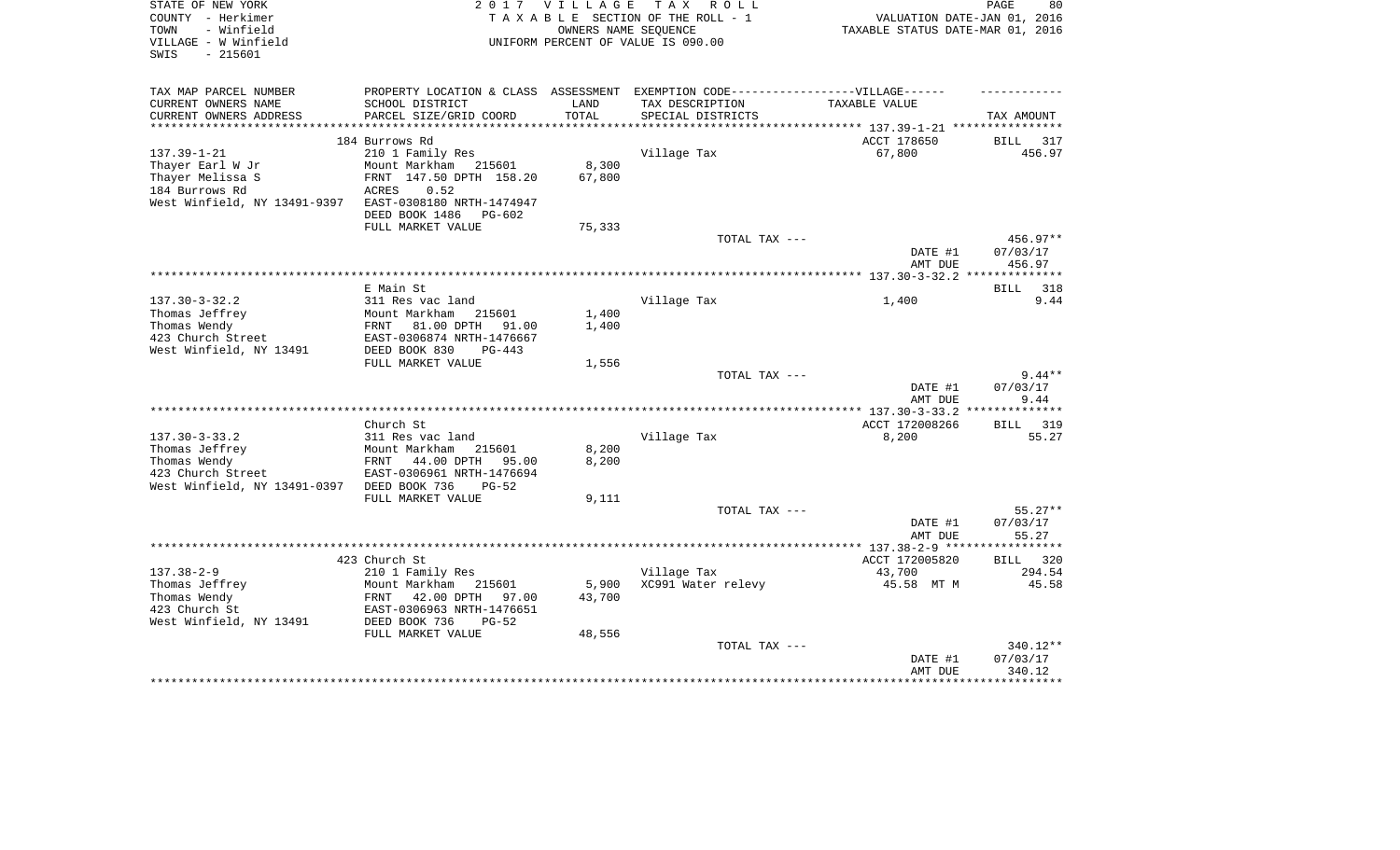| STATE OF NEW YORK                              | 2017                                                                              | V I L L A G E | T A X<br>R O L L                   |                                  | PAGE<br>80         |
|------------------------------------------------|-----------------------------------------------------------------------------------|---------------|------------------------------------|----------------------------------|--------------------|
| COUNTY - Herkimer                              |                                                                                   |               | TAXABLE SECTION OF THE ROLL - 1    | VALUATION DATE-JAN 01, 2016      |                    |
| TOWN<br>- Winfield                             |                                                                                   |               | OWNERS NAME SEQUENCE               | TAXABLE STATUS DATE-MAR 01, 2016 |                    |
| VILLAGE - W Winfield                           |                                                                                   |               | UNIFORM PERCENT OF VALUE IS 090.00 |                                  |                    |
| SWIS<br>$-215601$                              |                                                                                   |               |                                    |                                  |                    |
|                                                |                                                                                   |               |                                    |                                  |                    |
| TAX MAP PARCEL NUMBER                          | PROPERTY LOCATION & CLASS ASSESSMENT EXEMPTION CODE-----------------VILLAGE------ |               |                                    |                                  |                    |
| CURRENT OWNERS NAME                            | SCHOOL DISTRICT                                                                   | LAND          | TAX DESCRIPTION                    | TAXABLE VALUE                    |                    |
| CURRENT OWNERS ADDRESS<br>******************** | PARCEL SIZE/GRID COORD                                                            | TOTAL         | SPECIAL DISTRICTS                  |                                  | TAX AMOUNT         |
|                                                |                                                                                   |               |                                    |                                  |                    |
|                                                | 184 Burrows Rd                                                                    |               |                                    | ACCT 178650                      | BILL<br>317        |
| $137.39 - 1 - 21$                              | 210 1 Family Res                                                                  |               | Village Tax                        | 67,800                           | 456.97             |
| Thayer Earl W Jr                               | Mount Markham 215601                                                              | 8,300         |                                    |                                  |                    |
| Thayer Melissa S                               | FRNT 147.50 DPTH 158.20                                                           | 67,800        |                                    |                                  |                    |
| 184 Burrows Rd                                 | ACRES<br>0.52                                                                     |               |                                    |                                  |                    |
| West Winfield, NY 13491-9397                   | EAST-0308180 NRTH-1474947                                                         |               |                                    |                                  |                    |
|                                                | DEED BOOK 1486<br>$PG-602$                                                        |               |                                    |                                  |                    |
|                                                | FULL MARKET VALUE                                                                 | 75,333        |                                    |                                  |                    |
|                                                |                                                                                   |               | TOTAL TAX ---                      |                                  | 456.97**           |
|                                                |                                                                                   |               |                                    | DATE #1                          | 07/03/17           |
|                                                |                                                                                   |               |                                    | AMT DUE                          | 456.97             |
|                                                |                                                                                   |               |                                    |                                  |                    |
|                                                | E Main St                                                                         |               |                                    |                                  | 318<br>BILL        |
| $137.30 - 3 - 32.2$                            | 311 Res vac land                                                                  |               | Village Tax                        | 1,400                            | 9.44               |
| Thomas Jeffrey                                 | Mount Markham<br>215601                                                           | 1,400         |                                    |                                  |                    |
| Thomas Wendy                                   | FRNT<br>81.00 DPTH<br>91.00                                                       | 1,400         |                                    |                                  |                    |
| 423 Church Street                              | EAST-0306874 NRTH-1476667                                                         |               |                                    |                                  |                    |
| West Winfield, NY 13491                        | DEED BOOK 830<br>$PG-443$                                                         |               |                                    |                                  |                    |
|                                                | FULL MARKET VALUE                                                                 | 1,556         |                                    |                                  |                    |
|                                                |                                                                                   |               | TOTAL TAX ---                      |                                  | $9.44**$           |
|                                                |                                                                                   |               |                                    | DATE #1                          | 07/03/17           |
|                                                |                                                                                   |               |                                    | AMT DUE                          | 9.44               |
|                                                |                                                                                   |               |                                    |                                  | ***********        |
|                                                | Church St                                                                         |               |                                    | ACCT 172008266                   | BILL<br>319        |
| $137.30 - 3 - 33.2$                            | 311 Res vac land                                                                  |               | Village Tax                        | 8,200                            | 55.27              |
| Thomas Jeffrey                                 | Mount Markham<br>215601                                                           | 8,200         |                                    |                                  |                    |
| Thomas Wendy                                   | FRNT<br>44.00 DPTH<br>95.00                                                       | 8,200         |                                    |                                  |                    |
| 423 Church Street                              | EAST-0306961 NRTH-1476694                                                         |               |                                    |                                  |                    |
| West Winfield, NY 13491-0397                   | DEED BOOK 736<br>$PG-52$                                                          |               |                                    |                                  |                    |
|                                                | FULL MARKET VALUE                                                                 | 9,111         |                                    |                                  |                    |
|                                                |                                                                                   |               | TOTAL TAX ---                      |                                  | $55.27**$          |
|                                                |                                                                                   |               |                                    | DATE #1                          | 07/03/17           |
|                                                |                                                                                   |               |                                    | AMT DUE                          | 55.27              |
|                                                |                                                                                   |               |                                    | ******** 137.38-2-9 ***          | * * * * * * * *    |
|                                                | 423 Church St                                                                     |               |                                    | ACCT 172005820                   | <b>BILL</b><br>320 |
| $137.38 - 2 - 9$                               | 210 1 Family Res                                                                  |               | Village Tax                        | 43,700                           | 294.54             |
| Thomas Jeffrey                                 | Mount Markham<br>215601                                                           | 5,900         | XC991 Water relevy                 | 45.58 MT M                       | 45.58              |
| Thomas Wendy                                   | FRNT<br>42.00 DPTH<br>97.00                                                       | 43,700        |                                    |                                  |                    |
| 423 Church St                                  | EAST-0306963 NRTH-1476651                                                         |               |                                    |                                  |                    |
|                                                | DEED BOOK 736<br>$PG-52$                                                          |               |                                    |                                  |                    |
| West Winfield, NY 13491                        | FULL MARKET VALUE                                                                 | 48,556        |                                    |                                  |                    |
|                                                |                                                                                   |               | TOTAL TAX ---                      |                                  | 340.12**           |
|                                                |                                                                                   |               |                                    |                                  | 07/03/17           |
|                                                |                                                                                   |               |                                    | DATE #1<br>AMT DUE               | 340.12             |
|                                                |                                                                                   |               |                                    |                                  | *********          |
|                                                |                                                                                   |               |                                    |                                  |                    |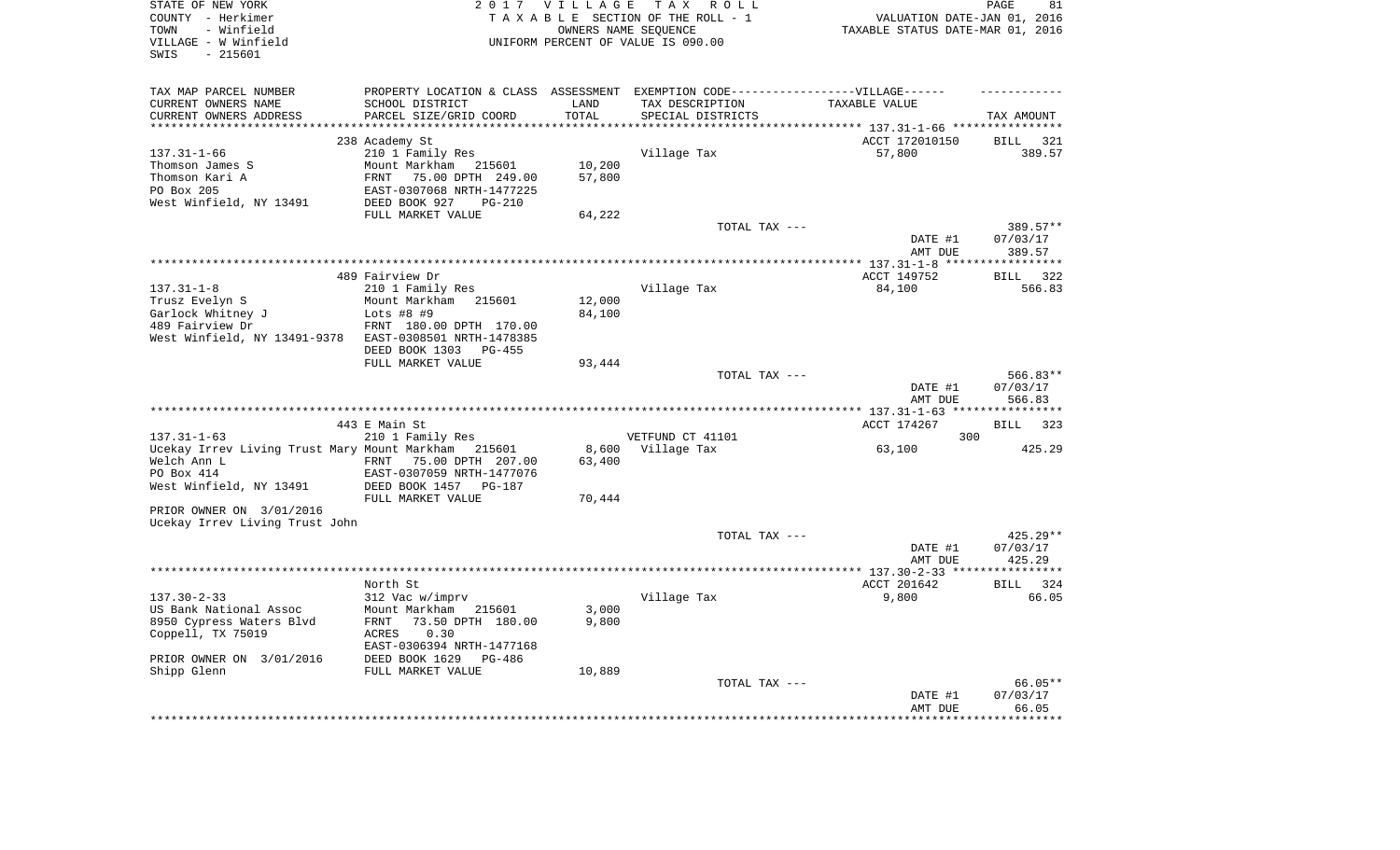| STATE OF NEW YORK<br>COUNTY - Herkimer<br>- Winfield<br>TOWN<br>VILLAGE - W Winfield<br>$-215601$<br>SWIS  |                                                                                                                                                               | 2017 VILLAGE              | TAX ROLL<br>TAXABLE SECTION OF THE ROLL - 1<br>OWNERS NAME SEQUENCE<br>UNIFORM PERCENT OF VALUE IS 090.00 | VALUATION DATE-JAN 01, 2016<br>TAXABLE STATUS DATE-MAR 01, 2016 | PAGE<br>81                     |
|------------------------------------------------------------------------------------------------------------|---------------------------------------------------------------------------------------------------------------------------------------------------------------|---------------------------|-----------------------------------------------------------------------------------------------------------|-----------------------------------------------------------------|--------------------------------|
| TAX MAP PARCEL NUMBER<br>CURRENT OWNERS NAME                                                               | SCHOOL DISTRICT                                                                                                                                               | LAND                      | PROPERTY LOCATION & CLASS ASSESSMENT EXEMPTION CODE----------------VILLAGE------<br>TAX DESCRIPTION       | TAXABLE VALUE                                                   |                                |
| CURRENT OWNERS ADDRESS                                                                                     | PARCEL SIZE/GRID COORD                                                                                                                                        | TOTAL                     | SPECIAL DISTRICTS                                                                                         |                                                                 | TAX AMOUNT                     |
| ********************                                                                                       | ************************                                                                                                                                      | **********                |                                                                                                           |                                                                 |                                |
| $137.31 - 1 - 66$<br>Thomson James S<br>Thomson Kari A<br>PO Box 205                                       | 238 Academy St<br>210 1 Family Res<br>Mount Markham<br>215601<br>75.00 DPTH 249.00<br>FRNT<br>EAST-0307068 NRTH-1477225                                       | 10,200<br>57,800          | Village Tax                                                                                               | ACCT 172010150<br>57,800                                        | <b>BILL</b><br>321<br>389.57   |
| West Winfield, NY 13491                                                                                    | DEED BOOK 927<br>PG-210<br>FULL MARKET VALUE                                                                                                                  | 64,222                    |                                                                                                           |                                                                 |                                |
|                                                                                                            |                                                                                                                                                               |                           | TOTAL TAX ---                                                                                             | DATE #1<br>AMT DUE                                              | 389.57**<br>07/03/17<br>389.57 |
|                                                                                                            |                                                                                                                                                               |                           |                                                                                                           |                                                                 | ***********                    |
| $137.31 - 1 - 8$<br>Trusz Evelyn S<br>Garlock Whitney J<br>489 Fairview Dr<br>West Winfield, NY 13491-9378 | 489 Fairview Dr<br>210 1 Family Res<br>Mount Markham 215601<br>Lots #8 #9<br>FRNT 180.00 DPTH 170.00<br>EAST-0308501 NRTH-1478385<br>DEED BOOK 1303<br>PG-455 | 12,000<br>84,100          | Village Tax                                                                                               | ACCT 149752<br>84,100                                           | <b>BILL</b><br>322<br>566.83   |
|                                                                                                            | FULL MARKET VALUE                                                                                                                                             | 93,444                    |                                                                                                           |                                                                 |                                |
|                                                                                                            |                                                                                                                                                               |                           | TOTAL TAX ---                                                                                             | DATE #1<br>AMT DUE                                              | 566.83**<br>07/03/17<br>566.83 |
|                                                                                                            | 443 E Main St                                                                                                                                                 |                           |                                                                                                           | ************** 137.31-1-63 *****************<br>ACCT 174267     | <b>BILL</b><br>323             |
| $137.31 - 1 - 63$                                                                                          | 210 1 Family Res                                                                                                                                              |                           | VETFUND CT 41101                                                                                          | 300                                                             |                                |
| Ucekay Irrev Living Trust Mary Mount Markham<br>Welch Ann L<br>PO Box 414<br>West Winfield, NY 13491       | 215601<br>75.00 DPTH 207.00<br>FRNT<br>EAST-0307059 NRTH-1477076<br>DEED BOOK 1457<br>PG-187<br>FULL MARKET VALUE                                             | 8,600<br>63,400<br>70,444 | Village Tax                                                                                               | 63,100                                                          | 425.29                         |
| PRIOR OWNER ON 3/01/2016                                                                                   |                                                                                                                                                               |                           |                                                                                                           |                                                                 |                                |
| Ucekay Irrev Living Trust John                                                                             |                                                                                                                                                               |                           | TOTAL TAX ---                                                                                             | DATE #1<br>AMT DUE                                              | 425.29**<br>07/03/17<br>425.29 |
|                                                                                                            |                                                                                                                                                               |                           |                                                                                                           | *************** 137.30-2-33 ****                                | **********                     |
| $137.30 - 2 - 33$<br>US Bank National Assoc<br>8950 Cypress Waters Blvd                                    | North St<br>312 Vac w/imprv<br>Mount Markham<br>215601<br>FRNT<br>73.50 DPTH 180.00                                                                           | 3,000<br>9,800            | Village Tax                                                                                               | ACCT 201642<br>9,800                                            | <b>BILL</b><br>324<br>66.05    |
| Coppell, TX 75019<br>PRIOR OWNER ON 3/01/2016                                                              | ACRES<br>0.30<br>EAST-0306394 NRTH-1477168<br>DEED BOOK 1629<br>PG-486                                                                                        |                           |                                                                                                           |                                                                 |                                |
| Shipp Glenn                                                                                                | FULL MARKET VALUE                                                                                                                                             | 10,889                    | TOTAL TAX ---                                                                                             | DATE #1<br>AMT DUE                                              | 66.05**<br>07/03/17<br>66.05   |
|                                                                                                            |                                                                                                                                                               |                           |                                                                                                           |                                                                 |                                |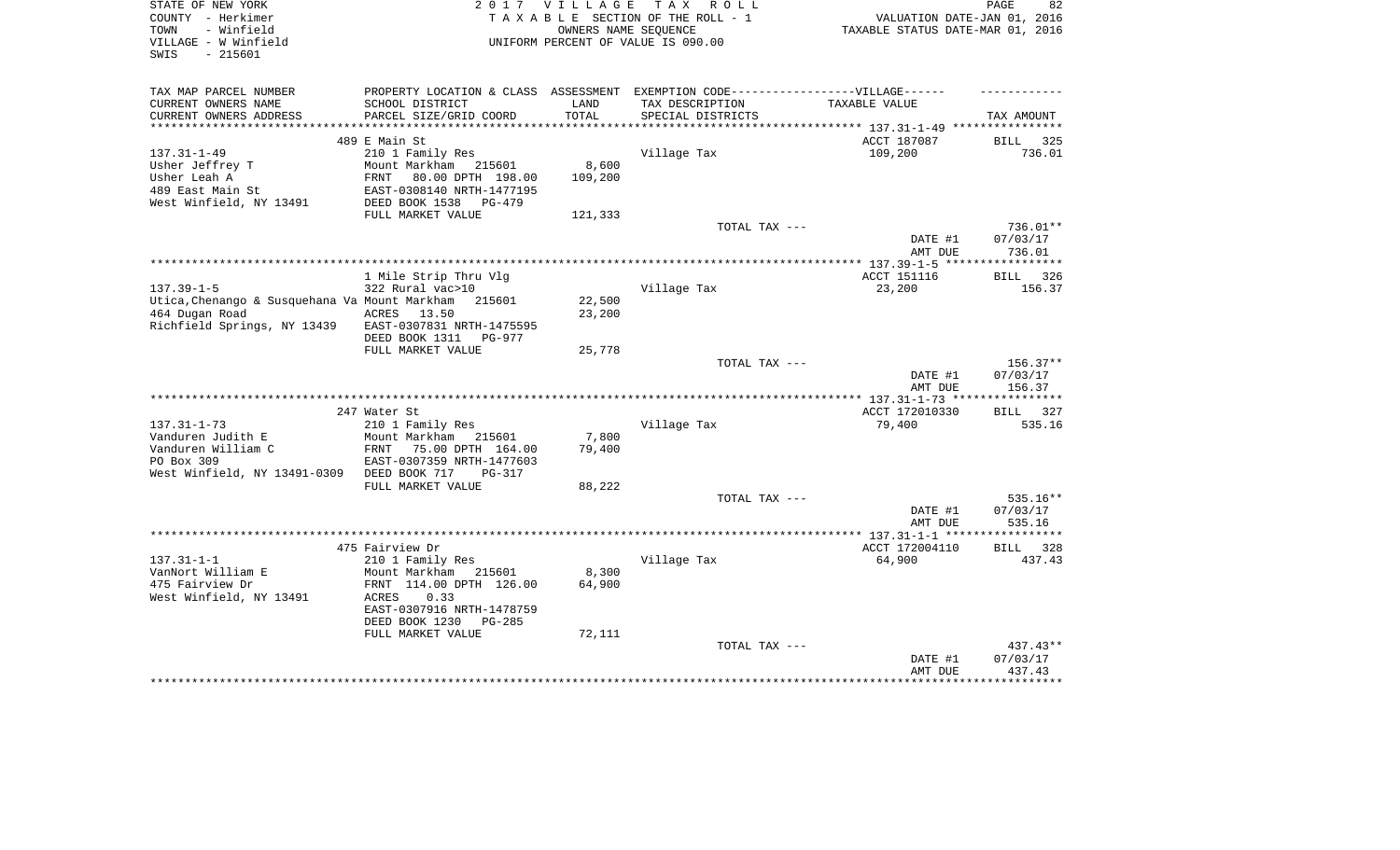| STATE OF NEW YORK<br>COUNTY - Herkimer<br>- Winfield<br>TOWN<br>VILLAGE - W Winfield<br>$-215601$<br>SWIS |                                                                                   | 2017 VILLAGE<br>OWNERS NAME SEQUENCE | TAX ROLL<br>TAXABLE SECTION OF THE ROLL - 1<br>UNIFORM PERCENT OF VALUE IS 090.00 | VALUATION DATE-JAN 01, 2016<br>TAXABLE STATUS DATE-MAR 01, 2016 | 82<br>PAGE         |
|-----------------------------------------------------------------------------------------------------------|-----------------------------------------------------------------------------------|--------------------------------------|-----------------------------------------------------------------------------------|-----------------------------------------------------------------|--------------------|
| TAX MAP PARCEL NUMBER                                                                                     | PROPERTY LOCATION & CLASS ASSESSMENT EXEMPTION CODE-----------------VILLAGE------ |                                      |                                                                                   |                                                                 |                    |
| CURRENT OWNERS NAME                                                                                       | SCHOOL DISTRICT                                                                   | LAND                                 | TAX DESCRIPTION                                                                   | TAXABLE VALUE                                                   |                    |
| CURRENT OWNERS ADDRESS<br>***********************                                                         | PARCEL SIZE/GRID COORD                                                            | TOTAL                                | SPECIAL DISTRICTS                                                                 |                                                                 | TAX AMOUNT         |
|                                                                                                           | 489 E Main St                                                                     |                                      |                                                                                   | ACCT 187087                                                     | <b>BILL</b><br>325 |
| $137.31 - 1 - 49$                                                                                         | 210 1 Family Res                                                                  |                                      | Village Tax                                                                       | 109,200                                                         | 736.01             |
| Usher Jeffrey T                                                                                           | Mount Markham 215601                                                              | 8,600                                |                                                                                   |                                                                 |                    |
| Usher Leah A                                                                                              | FRNT<br>80.00 DPTH 198.00                                                         | 109,200                              |                                                                                   |                                                                 |                    |
| 489 East Main St                                                                                          | EAST-0308140 NRTH-1477195                                                         |                                      |                                                                                   |                                                                 |                    |
| West Winfield, NY 13491                                                                                   | DEED BOOK 1538<br>$PG-479$                                                        |                                      |                                                                                   |                                                                 |                    |
|                                                                                                           | FULL MARKET VALUE                                                                 | 121,333                              |                                                                                   |                                                                 |                    |
|                                                                                                           |                                                                                   |                                      | TOTAL TAX ---                                                                     |                                                                 | $736.01**$         |
|                                                                                                           |                                                                                   |                                      |                                                                                   | DATE #1<br>AMT DUE                                              | 07/03/17<br>736.01 |
|                                                                                                           |                                                                                   |                                      |                                                                                   |                                                                 |                    |
|                                                                                                           | 1 Mile Strip Thru Vlg                                                             |                                      |                                                                                   | ACCT 151116                                                     | 326<br><b>BILL</b> |
| $137.39 - 1 - 5$                                                                                          | 322 Rural vac>10                                                                  |                                      | Village Tax                                                                       | 23,200                                                          | 156.37             |
| Utica, Chenango & Susquehana Va Mount Markham                                                             | 215601                                                                            | 22,500                               |                                                                                   |                                                                 |                    |
| 464 Dugan Road                                                                                            | ACRES<br>13.50                                                                    | 23,200                               |                                                                                   |                                                                 |                    |
| Richfield Springs, NY 13439                                                                               | EAST-0307831 NRTH-1475595<br>DEED BOOK 1311<br><b>PG-977</b>                      |                                      |                                                                                   |                                                                 |                    |
|                                                                                                           | FULL MARKET VALUE                                                                 | 25,778                               |                                                                                   |                                                                 |                    |
|                                                                                                           |                                                                                   |                                      | TOTAL TAX ---                                                                     |                                                                 | 156.37**           |
|                                                                                                           |                                                                                   |                                      |                                                                                   | DATE #1<br>AMT DUE                                              | 07/03/17<br>156.37 |
|                                                                                                           |                                                                                   |                                      |                                                                                   | ****** 137.31-1-73 ***                                          |                    |
|                                                                                                           | 247 Water St                                                                      |                                      |                                                                                   | ACCT 172010330                                                  | <b>BILL</b><br>327 |
| $137.31 - 1 - 73$                                                                                         | 210 1 Family Res                                                                  |                                      | Village Tax                                                                       | 79,400                                                          | 535.16             |
| Vanduren Judith E                                                                                         | Mount Markham<br>215601                                                           | 7,800                                |                                                                                   |                                                                 |                    |
| Vanduren William C                                                                                        | 75.00 DPTH 164.00<br>FRNT                                                         | 79,400                               |                                                                                   |                                                                 |                    |
| PO Box 309                                                                                                | EAST-0307359 NRTH-1477603                                                         |                                      |                                                                                   |                                                                 |                    |
| West Winfield, NY 13491-0309                                                                              | DEED BOOK 717<br>PG-317<br>FULL MARKET VALUE                                      | 88,222                               |                                                                                   |                                                                 |                    |
|                                                                                                           |                                                                                   |                                      | TOTAL TAX ---                                                                     |                                                                 | 535.16**           |
|                                                                                                           |                                                                                   |                                      |                                                                                   | DATE #1                                                         | 07/03/17           |
|                                                                                                           |                                                                                   |                                      |                                                                                   | AMT DUE                                                         | 535.16             |
|                                                                                                           |                                                                                   |                                      |                                                                                   |                                                                 |                    |
|                                                                                                           | 475 Fairview Dr                                                                   |                                      |                                                                                   | ACCT 172004110                                                  | 328<br><b>BILL</b> |
| $137.31 - 1 - 1$                                                                                          | 210 1 Family Res                                                                  |                                      | Village Tax                                                                       | 64,900                                                          | 437.43             |
| VanNort William E                                                                                         | Mount Markham<br>215601                                                           | 8,300                                |                                                                                   |                                                                 |                    |
| 475 Fairview Dr<br>West Winfield, NY 13491                                                                | FRNT 114.00 DPTH 126.00<br>ACRES<br>0.33                                          | 64,900                               |                                                                                   |                                                                 |                    |
|                                                                                                           | EAST-0307916 NRTH-1478759                                                         |                                      |                                                                                   |                                                                 |                    |
|                                                                                                           | DEED BOOK 1230<br>$PG-285$<br>FULL MARKET VALUE                                   | 72,111                               |                                                                                   |                                                                 |                    |
|                                                                                                           |                                                                                   |                                      | TOTAL TAX ---                                                                     |                                                                 | 437.43**           |
|                                                                                                           |                                                                                   |                                      |                                                                                   | DATE #1                                                         | 07/03/17           |
|                                                                                                           |                                                                                   |                                      |                                                                                   | AMT DUE                                                         | 437.43             |
|                                                                                                           |                                                                                   |                                      |                                                                                   |                                                                 |                    |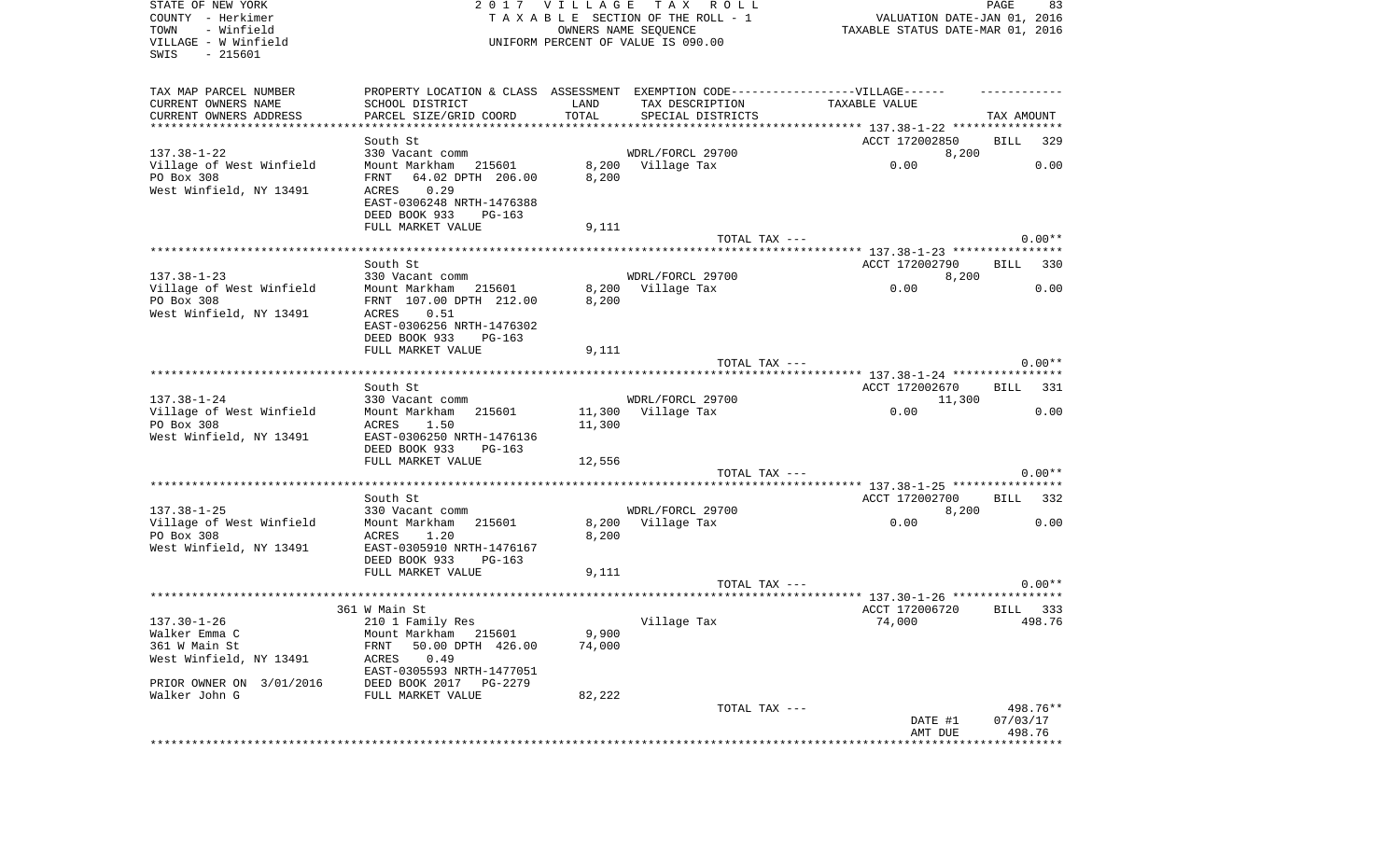| STATE OF NEW YORK<br>COUNTY - Herkimer<br>- Winfield<br>TOWN<br>VILLAGE - W Winfield<br>SWIS<br>$-215601$ |                                                                                  | OWNERS NAME SEQUENCE | 2017 VILLAGE TAX ROLL<br>TAXABLE SECTION OF THE ROLL - 1<br>UNIFORM PERCENT OF VALUE IS 090.00 | VALUATION DATE-JAN 01, 2016<br>TAXABLE STATUS DATE-MAR 01, 2016 | PAGE<br>83         |
|-----------------------------------------------------------------------------------------------------------|----------------------------------------------------------------------------------|----------------------|------------------------------------------------------------------------------------------------|-----------------------------------------------------------------|--------------------|
| TAX MAP PARCEL NUMBER                                                                                     | PROPERTY LOCATION & CLASS ASSESSMENT EXEMPTION CODE----------------VILLAGE------ |                      |                                                                                                |                                                                 |                    |
| CURRENT OWNERS NAME                                                                                       | SCHOOL DISTRICT                                                                  | LAND                 | TAX DESCRIPTION                                                                                | TAXABLE VALUE                                                   |                    |
| CURRENT OWNERS ADDRESS<br>***********************                                                         | PARCEL SIZE/GRID COORD<br>**********************                                 | TOTAL                | SPECIAL DISTRICTS                                                                              |                                                                 | TAX AMOUNT         |
|                                                                                                           | South St                                                                         |                      |                                                                                                |                                                                 | <b>BILL</b>        |
| $137.38 - 1 - 22$                                                                                         | 330 Vacant comm                                                                  |                      | WDRL/FORCL 29700                                                                               | ACCT 172002850<br>8,200                                         | 329                |
| Village of West Winfield                                                                                  | Mount Markham 215601                                                             |                      | 8,200 Village Tax                                                                              | 0.00                                                            | 0.00               |
| PO Box 308                                                                                                | 64.02 DPTH 206.00<br>FRNT                                                        | 8,200                |                                                                                                |                                                                 |                    |
| West Winfield, NY 13491                                                                                   | 0.29<br>ACRES                                                                    |                      |                                                                                                |                                                                 |                    |
|                                                                                                           | EAST-0306248 NRTH-1476388                                                        |                      |                                                                                                |                                                                 |                    |
|                                                                                                           | DEED BOOK 933<br>PG-163                                                          |                      |                                                                                                |                                                                 |                    |
|                                                                                                           | FULL MARKET VALUE                                                                | 9,111                |                                                                                                |                                                                 |                    |
|                                                                                                           |                                                                                  |                      | TOTAL TAX ---                                                                                  |                                                                 | $0.00**$           |
|                                                                                                           | South St                                                                         |                      |                                                                                                | ACCT 172002790                                                  | 330<br>BILL        |
| $137.38 - 1 - 23$                                                                                         | 330 Vacant comm                                                                  |                      | WDRL/FORCL 29700                                                                               | 8,200                                                           |                    |
| Village of West Winfield                                                                                  | Mount Markham<br>215601                                                          | 8,200                | Village Tax                                                                                    | 0.00                                                            | 0.00               |
| PO Box 308                                                                                                | FRNT 107.00 DPTH 212.00                                                          | 8,200                |                                                                                                |                                                                 |                    |
| West Winfield, NY 13491                                                                                   | 0.51<br>ACRES                                                                    |                      |                                                                                                |                                                                 |                    |
|                                                                                                           | EAST-0306256 NRTH-1476302                                                        |                      |                                                                                                |                                                                 |                    |
|                                                                                                           | DEED BOOK 933<br>$PG-163$                                                        |                      |                                                                                                |                                                                 |                    |
|                                                                                                           | FULL MARKET VALUE                                                                | 9,111                |                                                                                                |                                                                 |                    |
|                                                                                                           |                                                                                  |                      | TOTAL TAX ---                                                                                  |                                                                 | $0.00**$           |
|                                                                                                           | South St                                                                         |                      |                                                                                                | ACCT 172002670                                                  | BILL<br>331        |
| $137.38 - 1 - 24$                                                                                         | 330 Vacant comm                                                                  |                      | WDRL/FORCL 29700                                                                               | 11,300                                                          |                    |
| Village of West Winfield                                                                                  | Mount Markham<br>215601                                                          | 11,300               | Village Tax                                                                                    | 0.00                                                            | 0.00               |
| PO Box 308                                                                                                | ACRES<br>1.50                                                                    | 11,300               |                                                                                                |                                                                 |                    |
| West Winfield, NY 13491                                                                                   | EAST-0306250 NRTH-1476136                                                        |                      |                                                                                                |                                                                 |                    |
|                                                                                                           | DEED BOOK 933<br>PG-163                                                          |                      |                                                                                                |                                                                 |                    |
|                                                                                                           | FULL MARKET VALUE                                                                | 12,556               |                                                                                                |                                                                 |                    |
|                                                                                                           | ****************                                                                 |                      | TOTAL TAX ---                                                                                  |                                                                 | $0.00**$           |
|                                                                                                           | South St                                                                         |                      |                                                                                                | ********* 137.38-1-25 ****************<br>ACCT 172002700        | BILL<br>332        |
| $137.38 - 1 - 25$                                                                                         | 330 Vacant comm                                                                  |                      | WDRL/FORCL 29700                                                                               | 8,200                                                           |                    |
| Village of West Winfield                                                                                  | Mount Markham<br>215601                                                          |                      | 8,200 Village Tax                                                                              | 0.00                                                            | 0.00               |
| PO Box 308                                                                                                | ACRES<br>1.20                                                                    | 8,200                |                                                                                                |                                                                 |                    |
| West Winfield, NY 13491                                                                                   | EAST-0305910 NRTH-1476167                                                        |                      |                                                                                                |                                                                 |                    |
|                                                                                                           | DEED BOOK 933<br>PG-163                                                          |                      |                                                                                                |                                                                 |                    |
|                                                                                                           | FULL MARKET VALUE                                                                | 9,111                |                                                                                                |                                                                 |                    |
|                                                                                                           |                                                                                  |                      | TOTAL TAX ---                                                                                  |                                                                 | $0.00**$           |
|                                                                                                           |                                                                                  |                      |                                                                                                | ACCT 172006720                                                  |                    |
| $137.30 - 1 - 26$                                                                                         | 361 W Main St<br>210 1 Family Res                                                |                      | Village Tax                                                                                    | 74,000                                                          | BILL 333<br>498.76 |
| Walker Emma C                                                                                             | Mount Markham 215601                                                             | 9,900                |                                                                                                |                                                                 |                    |
| 361 W Main St                                                                                             | FRNT<br>50.00 DPTH 426.00                                                        | 74,000               |                                                                                                |                                                                 |                    |
| West Winfield, NY 13491                                                                                   | 0.49<br>ACRES                                                                    |                      |                                                                                                |                                                                 |                    |
|                                                                                                           | EAST-0305593 NRTH-1477051                                                        |                      |                                                                                                |                                                                 |                    |
| PRIOR OWNER ON 3/01/2016                                                                                  | DEED BOOK 2017 PG-2279                                                           |                      |                                                                                                |                                                                 |                    |
| Walker John G                                                                                             | FULL MARKET VALUE                                                                | 82,222               |                                                                                                |                                                                 |                    |
|                                                                                                           |                                                                                  |                      | TOTAL TAX ---                                                                                  |                                                                 | 498.76**           |
|                                                                                                           |                                                                                  |                      |                                                                                                | DATE #1<br>AMT DUE                                              | 07/03/17<br>498.76 |
|                                                                                                           |                                                                                  |                      |                                                                                                |                                                                 |                    |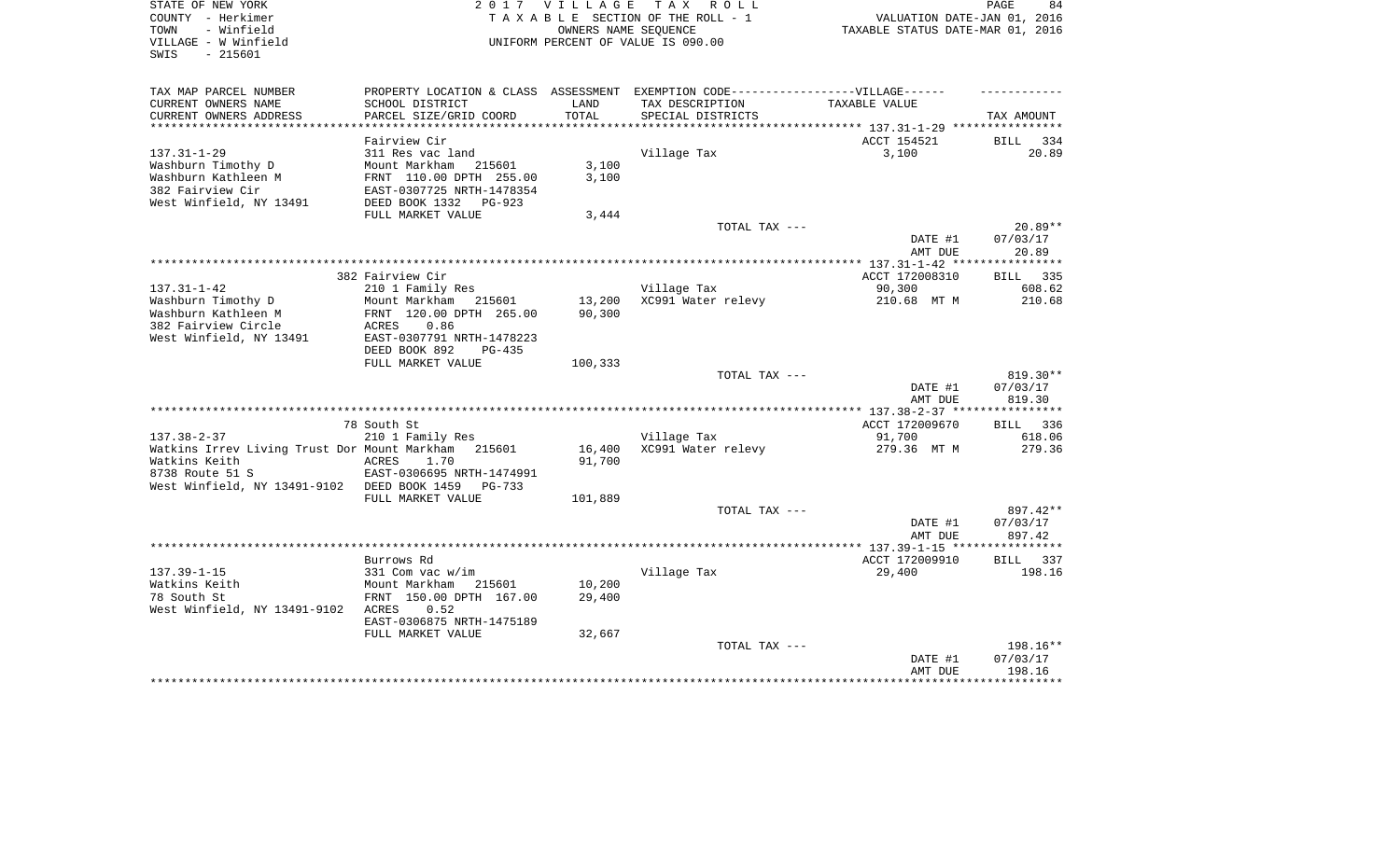| PROPERTY LOCATION & CLASS ASSESSMENT EXEMPTION CODE-----------------VILLAGE------<br>TAX MAP PARCEL NUMBER<br>CURRENT OWNERS NAME<br>SCHOOL DISTRICT<br>LAND<br>TAX DESCRIPTION<br>TAXABLE VALUE<br>CURRENT OWNERS ADDRESS<br>PARCEL SIZE/GRID COORD<br>TOTAL<br>SPECIAL DISTRICTS<br>************************ | TAX AMOUNT<br>BILL 334<br>20.89 |
|----------------------------------------------------------------------------------------------------------------------------------------------------------------------------------------------------------------------------------------------------------------------------------------------------------------|---------------------------------|
|                                                                                                                                                                                                                                                                                                                |                                 |
|                                                                                                                                                                                                                                                                                                                |                                 |
|                                                                                                                                                                                                                                                                                                                |                                 |
| ACCT 154521<br>Fairview Cir                                                                                                                                                                                                                                                                                    |                                 |
| $137.31 - 1 - 29$<br>311 Res vac land<br>Village Tax<br>3,100                                                                                                                                                                                                                                                  |                                 |
| Washburn Timothy D<br>3,100<br>Mount Markham<br>215601                                                                                                                                                                                                                                                         |                                 |
| Washburn Kathleen M<br>3,100<br>FRNT 110.00 DPTH 255.00                                                                                                                                                                                                                                                        |                                 |
| 382 Fairview Cir<br>EAST-0307725 NRTH-1478354<br>West Winfield, NY 13491<br>DEED BOOK 1332<br>PG-923                                                                                                                                                                                                           |                                 |
| FULL MARKET VALUE<br>3,444                                                                                                                                                                                                                                                                                     |                                 |
| TOTAL TAX ---                                                                                                                                                                                                                                                                                                  | $20.89**$                       |
| DATE #1                                                                                                                                                                                                                                                                                                        | 07/03/17                        |
| AMT DUE                                                                                                                                                                                                                                                                                                        | 20.89                           |
|                                                                                                                                                                                                                                                                                                                |                                 |
| 382 Fairview Cir<br>ACCT 172008310<br>$137.31 - 1 - 42$<br>Village Tax                                                                                                                                                                                                                                         | BILL 335<br>608.62              |
| 210 1 Family Res<br>90,300<br>Washburn Timothy D<br>Mount Markham<br>215601<br>13,200<br>XC991 Water relevy<br>210.68 MT M                                                                                                                                                                                     | 210.68                          |
| Washburn Kathleen M<br>FRNT 120.00 DPTH 265.00<br>90,300                                                                                                                                                                                                                                                       |                                 |
| 382 Fairview Circle<br>ACRES<br>0.86                                                                                                                                                                                                                                                                           |                                 |
| West Winfield, NY 13491<br>EAST-0307791 NRTH-1478223                                                                                                                                                                                                                                                           |                                 |
| DEED BOOK 892<br>$PG-435$                                                                                                                                                                                                                                                                                      |                                 |
| FULL MARKET VALUE<br>100,333                                                                                                                                                                                                                                                                                   |                                 |
| TOTAL TAX ---<br>DATE #1                                                                                                                                                                                                                                                                                       | 819.30**<br>07/03/17            |
| AMT DUE                                                                                                                                                                                                                                                                                                        | 819.30                          |
|                                                                                                                                                                                                                                                                                                                |                                 |
| ACCT 172009670<br>78 South St                                                                                                                                                                                                                                                                                  | BILL 336                        |
| $137.38 - 2 - 37$<br>210 1 Family Res<br>Village Tax<br>91,700                                                                                                                                                                                                                                                 | 618.06                          |
| Watkins Irrev Living Trust Dor Mount Markham<br>16,400<br>XC991 Water relevy<br>279.36 MT M<br>215601                                                                                                                                                                                                          | 279.36                          |
| Watkins Keith<br>91,700<br>ACRES<br>1.70<br>8738 Route 51 S<br>EAST-0306695 NRTH-1474991                                                                                                                                                                                                                       |                                 |
| West Winfield, NY 13491-9102 DEED BOOK 1459<br>PG-733                                                                                                                                                                                                                                                          |                                 |
| FULL MARKET VALUE<br>101,889                                                                                                                                                                                                                                                                                   |                                 |
| TOTAL TAX ---                                                                                                                                                                                                                                                                                                  | 897.42**                        |
| DATE #1                                                                                                                                                                                                                                                                                                        | 07/03/17                        |
| AMT DUE                                                                                                                                                                                                                                                                                                        | 897.42                          |
|                                                                                                                                                                                                                                                                                                                |                                 |
| ACCT 172009910<br>Burrows Rd<br>29,400<br>$137.39 - 1 - 15$<br>331 Com vac w/im<br>Village Tax                                                                                                                                                                                                                 | 337<br>BILL<br>198.16           |
| Watkins Keith<br>10,200<br>Mount Markham<br>215601                                                                                                                                                                                                                                                             |                                 |
| 78 South St<br>29,400<br>FRNT 150.00 DPTH 167.00                                                                                                                                                                                                                                                               |                                 |
| West Winfield, NY 13491-9102 ACRES<br>0.52                                                                                                                                                                                                                                                                     |                                 |
| EAST-0306875 NRTH-1475189                                                                                                                                                                                                                                                                                      |                                 |
| FULL MARKET VALUE<br>32,667                                                                                                                                                                                                                                                                                    |                                 |
| TOTAL TAX ---                                                                                                                                                                                                                                                                                                  | 198.16**                        |
| DATE #1<br>AMT DUE                                                                                                                                                                                                                                                                                             | 07/03/17<br>198.16              |
|                                                                                                                                                                                                                                                                                                                |                                 |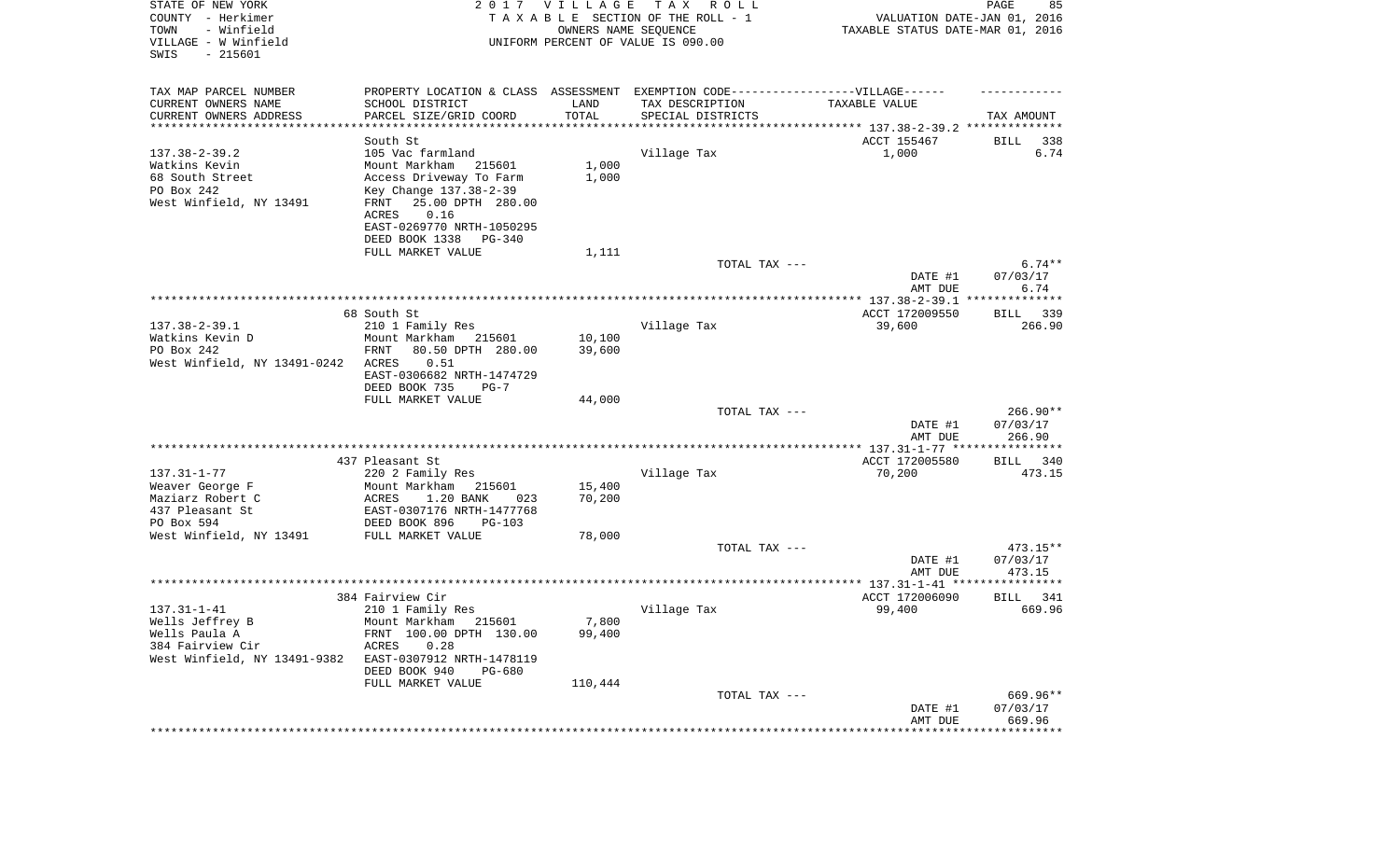| STATE OF NEW YORK<br>COUNTY - Herkimer<br>- Winfield<br>TOWN<br>VILLAGE - W Winfield<br>SWIS<br>$-215601$ | VILLAGE<br>T A X<br>2017<br>TAXABLE SECTION OF THE ROLL - 1<br>OWNERS NAME SEQUENCE<br>UNIFORM PERCENT OF VALUE IS 090.00 |                  |                                               | 85<br>R O L L<br>PAGE<br>VALUATION DATE-JAN 01, 2016<br>TAXABLE STATUS DATE-MAR 01, 2016 |                                  |  |
|-----------------------------------------------------------------------------------------------------------|---------------------------------------------------------------------------------------------------------------------------|------------------|-----------------------------------------------|------------------------------------------------------------------------------------------|----------------------------------|--|
| TAX MAP PARCEL NUMBER                                                                                     | PROPERTY LOCATION & CLASS ASSESSMENT                                                                                      |                  | EXEMPTION CODE------------------VILLAGE------ |                                                                                          |                                  |  |
| CURRENT OWNERS NAME<br>CURRENT OWNERS ADDRESS                                                             | SCHOOL DISTRICT<br>PARCEL SIZE/GRID COORD                                                                                 | LAND<br>TOTAL    | TAX DESCRIPTION<br>SPECIAL DISTRICTS          | TAXABLE VALUE                                                                            | TAX AMOUNT                       |  |
| **********************                                                                                    | *****************                                                                                                         |                  |                                               | ********************************** 137.38-2-39.2 **************                          |                                  |  |
|                                                                                                           | South St                                                                                                                  |                  |                                               | ACCT 155467                                                                              | BILL<br>338                      |  |
| $137.38 - 2 - 39.2$                                                                                       | 105 Vac farmland                                                                                                          |                  | Village Tax                                   | 1,000                                                                                    | 6.74                             |  |
| Watkins Kevin                                                                                             | Mount Markham 215601                                                                                                      | 1,000            |                                               |                                                                                          |                                  |  |
| 68 South Street                                                                                           | Access Driveway To Farm                                                                                                   | 1,000            |                                               |                                                                                          |                                  |  |
| PO Box 242<br>West Winfield, NY 13491                                                                     | Key Change 137.38-2-39<br>25.00 DPTH 280.00<br>FRNT<br>ACRES<br>0.16                                                      |                  |                                               |                                                                                          |                                  |  |
|                                                                                                           | EAST-0269770 NRTH-1050295<br>DEED BOOK 1338<br>PG-340                                                                     |                  |                                               |                                                                                          |                                  |  |
|                                                                                                           | FULL MARKET VALUE                                                                                                         | 1,111            |                                               |                                                                                          |                                  |  |
|                                                                                                           |                                                                                                                           |                  | TOTAL TAX ---                                 | DATE #1<br>AMT DUE                                                                       | $6.74**$<br>07/03/17<br>6.74     |  |
|                                                                                                           |                                                                                                                           |                  |                                               |                                                                                          |                                  |  |
|                                                                                                           | 68 South St                                                                                                               |                  |                                               | ACCT 172009550                                                                           | 339<br>BILL                      |  |
| $137.38 - 2 - 39.1$                                                                                       | 210 1 Family Res                                                                                                          |                  | Village Tax                                   | 39,600                                                                                   | 266.90                           |  |
| Watkins Kevin D<br>PO Box 242                                                                             | Mount Markham<br>215601<br>FRNT<br>80.50 DPTH 280.00                                                                      | 10,100<br>39,600 |                                               |                                                                                          |                                  |  |
| West Winfield, NY 13491-0242                                                                              | ACRES<br>0.51<br>EAST-0306682 NRTH-1474729                                                                                |                  |                                               |                                                                                          |                                  |  |
|                                                                                                           | DEED BOOK 735<br>$PG-7$<br>FULL MARKET VALUE                                                                              | 44,000           |                                               |                                                                                          |                                  |  |
|                                                                                                           |                                                                                                                           |                  | TOTAL TAX ---                                 | DATE #1<br>AMT DUE                                                                       | $266.90**$<br>07/03/17<br>266.90 |  |
|                                                                                                           |                                                                                                                           |                  |                                               |                                                                                          |                                  |  |
|                                                                                                           | 437 Pleasant St                                                                                                           |                  |                                               | ACCT 172005580                                                                           | BILL<br>340                      |  |
| $137.31 - 1 - 77$                                                                                         | 220 2 Family Res                                                                                                          |                  | Village Tax                                   | 70,200                                                                                   | 473.15                           |  |
| Weaver George F                                                                                           | Mount Markham<br>215601                                                                                                   | 15,400           |                                               |                                                                                          |                                  |  |
| Maziarz Robert C<br>437 Pleasant St                                                                       | ACRES<br>1.20 BANK<br>023<br>EAST-0307176 NRTH-1477768                                                                    | 70,200           |                                               |                                                                                          |                                  |  |
| PO Box 594                                                                                                | DEED BOOK 896<br>PG-103                                                                                                   |                  |                                               |                                                                                          |                                  |  |
| West Winfield, NY 13491                                                                                   | FULL MARKET VALUE                                                                                                         | 78,000           |                                               |                                                                                          |                                  |  |
|                                                                                                           |                                                                                                                           |                  | TOTAL TAX ---                                 |                                                                                          | $473.15**$                       |  |
|                                                                                                           |                                                                                                                           |                  |                                               | DATE #1                                                                                  | 07/03/17                         |  |
|                                                                                                           |                                                                                                                           |                  |                                               | AMT DUE                                                                                  | 473.15                           |  |
|                                                                                                           | 384 Fairview Cir                                                                                                          |                  |                                               | ACCT 172006090                                                                           | 341<br>BILL                      |  |
| $137.31 - 1 - 41$                                                                                         | 210 1 Family Res                                                                                                          |                  | Village Tax                                   | 99,400                                                                                   | 669.96                           |  |
| Wells Jeffrey B                                                                                           | Mount Markham 215601                                                                                                      | 7,800            |                                               |                                                                                          |                                  |  |
| Wells Paula A                                                                                             | FRNT 100.00 DPTH 130.00                                                                                                   | 99,400           |                                               |                                                                                          |                                  |  |
| 384 Fairview Cir                                                                                          | ACRES<br>0.28                                                                                                             |                  |                                               |                                                                                          |                                  |  |
| West Winfield, NY 13491-9382                                                                              | EAST-0307912 NRTH-1478119<br>DEED BOOK 940<br>PG-680                                                                      |                  |                                               |                                                                                          |                                  |  |
|                                                                                                           | FULL MARKET VALUE                                                                                                         | 110,444          | TOTAL TAX ---                                 |                                                                                          | 669.96**                         |  |
|                                                                                                           |                                                                                                                           |                  |                                               | DATE #1<br>AMT DUE                                                                       | 07/03/17<br>669.96               |  |
|                                                                                                           |                                                                                                                           |                  |                                               | **********************************                                                       |                                  |  |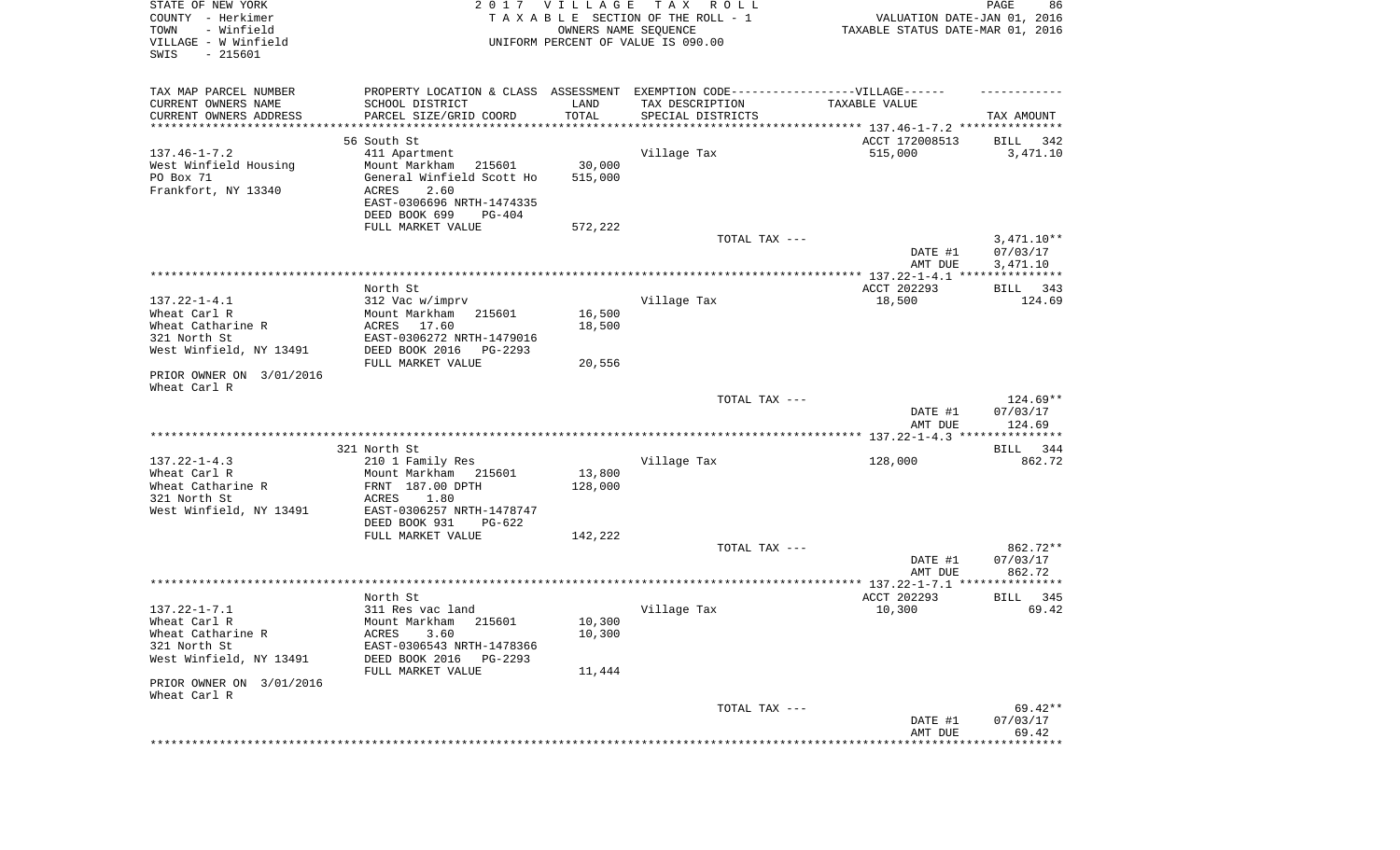| STATE OF NEW YORK<br>COUNTY - Herkimer<br>TOWN<br>- Winfield<br>VILLAGE - W Winfield<br>SWIS<br>$-215601$ |                                                                                  | 2017 VILLAGE<br>OWNERS NAME SEQUENCE | TAX ROLL<br>TAXABLE SECTION OF THE ROLL - 1<br>UNIFORM PERCENT OF VALUE IS 090.00 | VALUATION DATE-JAN 01, 2016<br>TAXABLE STATUS DATE-MAR 01, 2016 | PAGE<br>86         |
|-----------------------------------------------------------------------------------------------------------|----------------------------------------------------------------------------------|--------------------------------------|-----------------------------------------------------------------------------------|-----------------------------------------------------------------|--------------------|
| TAX MAP PARCEL NUMBER                                                                                     | PROPERTY LOCATION & CLASS ASSESSMENT EXEMPTION CODE----------------VILLAGE------ |                                      |                                                                                   |                                                                 |                    |
| CURRENT OWNERS NAME                                                                                       | SCHOOL DISTRICT                                                                  | LAND                                 | TAX DESCRIPTION                                                                   | TAXABLE VALUE                                                   |                    |
| CURRENT OWNERS ADDRESS<br>**********************                                                          | PARCEL SIZE/GRID COORD                                                           | TOTAL                                | SPECIAL DISTRICTS                                                                 |                                                                 | TAX AMOUNT         |
|                                                                                                           | 56 South St                                                                      |                                      |                                                                                   | ACCT 172008513                                                  | 342<br>BILL        |
| $137.46 - 1 - 7.2$                                                                                        | 411 Apartment                                                                    |                                      | Village Tax                                                                       | 515,000                                                         | 3,471.10           |
| West Winfield Housing                                                                                     | Mount Markham<br>215601                                                          | 30,000                               |                                                                                   |                                                                 |                    |
| PO Box 71                                                                                                 | General Winfield Scott Ho                                                        | 515,000                              |                                                                                   |                                                                 |                    |
| Frankfort, NY 13340                                                                                       | ACRES<br>2.60                                                                    |                                      |                                                                                   |                                                                 |                    |
|                                                                                                           | EAST-0306696 NRTH-1474335<br>DEED BOOK 699<br>PG-404                             |                                      |                                                                                   |                                                                 |                    |
|                                                                                                           | FULL MARKET VALUE                                                                | 572,222                              |                                                                                   |                                                                 |                    |
|                                                                                                           |                                                                                  |                                      | TOTAL TAX ---                                                                     |                                                                 | $3,471.10**$       |
|                                                                                                           |                                                                                  |                                      |                                                                                   | DATE #1                                                         | 07/03/17           |
|                                                                                                           |                                                                                  |                                      |                                                                                   | AMT DUE                                                         | 3,471.10           |
|                                                                                                           | North St                                                                         |                                      |                                                                                   | ACCT 202293                                                     | BILL<br>343        |
| $137.22 - 1 - 4.1$                                                                                        | 312 Vac w/imprv                                                                  |                                      | Village Tax                                                                       | 18,500                                                          | 124.69             |
| Wheat Carl R                                                                                              | Mount Markham<br>215601                                                          | 16,500                               |                                                                                   |                                                                 |                    |
| Wheat Catharine R                                                                                         | ACRES 17.60                                                                      | 18,500                               |                                                                                   |                                                                 |                    |
| 321 North St                                                                                              | EAST-0306272 NRTH-1479016                                                        |                                      |                                                                                   |                                                                 |                    |
| West Winfield, NY 13491                                                                                   | DEED BOOK 2016<br>PG-2293<br>FULL MARKET VALUE                                   | 20,556                               |                                                                                   |                                                                 |                    |
| PRIOR OWNER ON 3/01/2016<br>Wheat Carl R                                                                  |                                                                                  |                                      |                                                                                   |                                                                 |                    |
|                                                                                                           |                                                                                  |                                      | TOTAL TAX ---                                                                     |                                                                 | 124.69**           |
|                                                                                                           |                                                                                  |                                      |                                                                                   | DATE #1<br>AMT DUE                                              | 07/03/17<br>124.69 |
|                                                                                                           |                                                                                  |                                      |                                                                                   |                                                                 |                    |
|                                                                                                           | 321 North St                                                                     |                                      |                                                                                   |                                                                 | 344<br>BILL        |
| $137.22 - 1 - 4.3$<br>Wheat Carl R                                                                        | 210 1 Family Res<br>Mount Markham<br>215601                                      | 13,800                               | Village Tax                                                                       | 128,000                                                         | 862.72             |
| Wheat Catharine R                                                                                         | FRNT 187.00 DPTH                                                                 | 128,000                              |                                                                                   |                                                                 |                    |
| 321 North St                                                                                              | ACRES<br>1.80                                                                    |                                      |                                                                                   |                                                                 |                    |
| West Winfield, NY 13491                                                                                   | EAST-0306257 NRTH-1478747                                                        |                                      |                                                                                   |                                                                 |                    |
|                                                                                                           | DEED BOOK 931<br>PG-622                                                          |                                      |                                                                                   |                                                                 |                    |
|                                                                                                           | FULL MARKET VALUE                                                                | 142,222                              | TOTAL TAX ---                                                                     |                                                                 | 862.72**           |
|                                                                                                           |                                                                                  |                                      |                                                                                   | DATE #1                                                         | 07/03/17           |
|                                                                                                           |                                                                                  |                                      |                                                                                   | AMT DUE                                                         | 862.72             |
|                                                                                                           |                                                                                  |                                      |                                                                                   |                                                                 |                    |
|                                                                                                           | North St                                                                         |                                      |                                                                                   | ACCT 202293                                                     | 345<br>BILL        |
| $137.22 - 1 - 7.1$<br>Wheat Carl R                                                                        | 311 Res vac land<br>Mount Markham 215601                                         | 10,300                               | Village Tax                                                                       | 10,300                                                          | 69.42              |
| Wheat Catharine R                                                                                         | ACRES<br>3.60                                                                    | 10,300                               |                                                                                   |                                                                 |                    |
| 321 North St                                                                                              | EAST-0306543 NRTH-1478366                                                        |                                      |                                                                                   |                                                                 |                    |
| West Winfield, NY 13491                                                                                   | DEED BOOK 2016<br>PG-2293                                                        |                                      |                                                                                   |                                                                 |                    |
|                                                                                                           | FULL MARKET VALUE                                                                | 11,444                               |                                                                                   |                                                                 |                    |
| PRIOR OWNER ON 3/01/2016                                                                                  |                                                                                  |                                      |                                                                                   |                                                                 |                    |
| Wheat Carl R                                                                                              |                                                                                  |                                      | TOTAL TAX ---                                                                     |                                                                 | 69.42**            |
|                                                                                                           |                                                                                  |                                      |                                                                                   | DATE #1                                                         | 07/03/17           |
|                                                                                                           |                                                                                  |                                      |                                                                                   | AMT DUE                                                         | 69.42              |
|                                                                                                           |                                                                                  |                                      |                                                                                   | ****************************                                    |                    |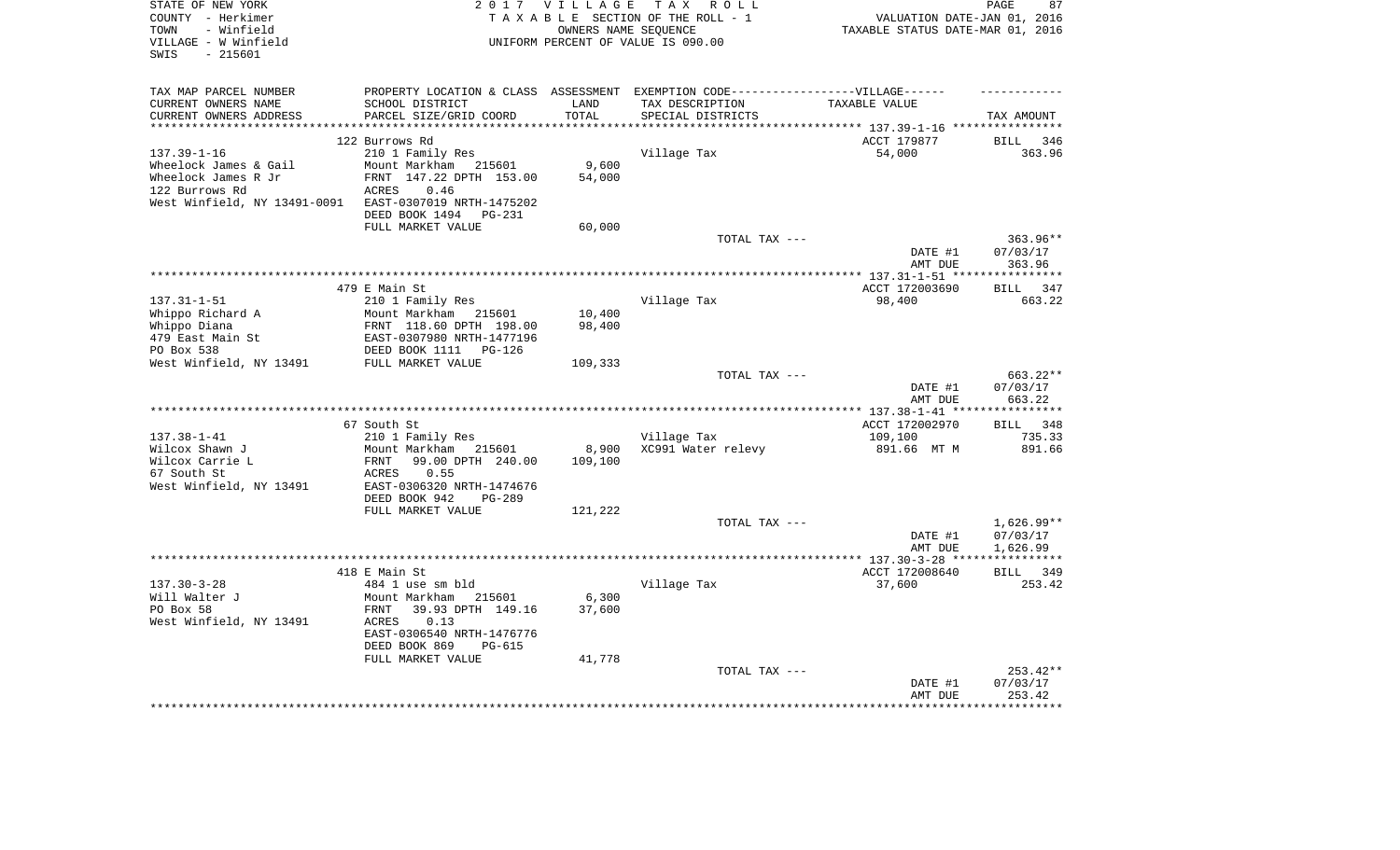| STATE OF NEW YORK            | 2 0 1 7                         | VILLAGE                          | TAX ROLL                                                                         |                                                                         | 87<br>PAGE            |
|------------------------------|---------------------------------|----------------------------------|----------------------------------------------------------------------------------|-------------------------------------------------------------------------|-----------------------|
| COUNTY - Herkimer            |                                 |                                  | TAXABLE SECTION OF THE ROLL - 1                                                  | VALUATION DATE-JAN 01, 2016                                             |                       |
| - Winfield<br>TOWN           |                                 | TAXABLE STATUS DATE-MAR 01, 2016 |                                                                                  |                                                                         |                       |
| VILLAGE - W Winfield         |                                 |                                  | UNIFORM PERCENT OF VALUE IS 090.00                                               |                                                                         |                       |
| $-215601$<br>SWIS            |                                 |                                  |                                                                                  |                                                                         |                       |
|                              |                                 |                                  |                                                                                  |                                                                         |                       |
| TAX MAP PARCEL NUMBER        |                                 |                                  | PROPERTY LOCATION & CLASS ASSESSMENT EXEMPTION CODE----------------VILLAGE------ |                                                                         |                       |
| CURRENT OWNERS NAME          | SCHOOL DISTRICT                 | LAND                             | TAX DESCRIPTION                                                                  | TAXABLE VALUE                                                           |                       |
| CURRENT OWNERS ADDRESS       | PARCEL SIZE/GRID COORD          | TOTAL<br>**********              | SPECIAL DISTRICTS                                                                |                                                                         | TAX AMOUNT            |
|                              | 122 Burrows Rd                  |                                  |                                                                                  | *************************** 137.39-1-16 ****************<br>ACCT 179877 | BILL<br>346           |
| $137.39 - 1 - 16$            | 210 1 Family Res                |                                  | Village Tax                                                                      | 54,000                                                                  | 363.96                |
| Wheelock James & Gail        | Mount Markham 215601            | 9,600                            |                                                                                  |                                                                         |                       |
| Wheelock James R Jr          | FRNT 147.22 DPTH 153.00         | 54,000                           |                                                                                  |                                                                         |                       |
| 122 Burrows Rd               | ACRES<br>0.46                   |                                  |                                                                                  |                                                                         |                       |
| West Winfield, NY 13491-0091 | EAST-0307019 NRTH-1475202       |                                  |                                                                                  |                                                                         |                       |
|                              | DEED BOOK 1494<br><b>PG-231</b> |                                  |                                                                                  |                                                                         |                       |
|                              | FULL MARKET VALUE               | 60,000                           |                                                                                  |                                                                         |                       |
|                              |                                 |                                  | TOTAL TAX ---                                                                    |                                                                         | $363.96**$            |
|                              |                                 |                                  |                                                                                  | DATE #1                                                                 | 07/03/17              |
|                              |                                 |                                  |                                                                                  | AMT DUE                                                                 | 363.96                |
|                              |                                 |                                  |                                                                                  |                                                                         |                       |
|                              | 479 E Main St                   |                                  |                                                                                  | ACCT 172003690                                                          | BILL 347              |
| $137.31 - 1 - 51$            | 210 1 Family Res                |                                  | Village Tax                                                                      | 98,400                                                                  | 663.22                |
| Whippo Richard A             | Mount Markham 215601            | 10,400                           |                                                                                  |                                                                         |                       |
| Whippo Diana                 | FRNT 118.60 DPTH 198.00         | 98,400                           |                                                                                  |                                                                         |                       |
| 479 East Main St             | EAST-0307980 NRTH-1477196       |                                  |                                                                                  |                                                                         |                       |
| PO Box 538                   | DEED BOOK 1111<br>$PG-126$      |                                  |                                                                                  |                                                                         |                       |
| West Winfield, NY 13491      | FULL MARKET VALUE               | 109,333                          |                                                                                  |                                                                         |                       |
|                              |                                 |                                  | TOTAL TAX ---                                                                    |                                                                         | 663.22**              |
|                              |                                 |                                  |                                                                                  | DATE #1                                                                 | 07/03/17              |
|                              |                                 |                                  |                                                                                  | AMT DUE                                                                 | 663.22                |
|                              |                                 |                                  |                                                                                  |                                                                         |                       |
| $137.38 - 1 - 41$            | 67 South St<br>210 1 Family Res |                                  | Village Tax                                                                      | ACCT 172002970<br>109,100                                               | BILL<br>348<br>735.33 |
| Wilcox Shawn J               | Mount Markham 215601            | 8,900                            | XC991 Water relevy                                                               |                                                                         | 891.66                |
| Wilcox Carrie L              | 99.00 DPTH 240.00<br>FRNT       | 109,100                          |                                                                                  | 891.66 MT M                                                             |                       |
| 67 South St                  | ACRES<br>0.55                   |                                  |                                                                                  |                                                                         |                       |
| West Winfield, NY 13491      | EAST-0306320 NRTH-1474676       |                                  |                                                                                  |                                                                         |                       |
|                              | DEED BOOK 942<br>PG-289         |                                  |                                                                                  |                                                                         |                       |
|                              | FULL MARKET VALUE               | 121,222                          |                                                                                  |                                                                         |                       |
|                              |                                 |                                  | TOTAL TAX ---                                                                    |                                                                         | $1,626.99**$          |
|                              |                                 |                                  |                                                                                  | DATE #1                                                                 | 07/03/17              |
|                              |                                 |                                  |                                                                                  | AMT DUE                                                                 | 1,626.99              |
|                              |                                 |                                  |                                                                                  |                                                                         |                       |
|                              | 418 E Main St                   |                                  |                                                                                  | ACCT 172008640                                                          | 349<br><b>BILL</b>    |
| $137.30 - 3 - 28$            | 484 1 use sm bld                |                                  | Village Tax                                                                      | 37,600                                                                  | 253.42                |
| Will Walter J                | Mount Markham<br>215601         | 6,300                            |                                                                                  |                                                                         |                       |
| PO Box 58                    | 39.93 DPTH 149.16<br>FRNT       | 37,600                           |                                                                                  |                                                                         |                       |
| West Winfield, NY 13491      | 0.13<br>ACRES                   |                                  |                                                                                  |                                                                         |                       |
|                              | EAST-0306540 NRTH-1476776       |                                  |                                                                                  |                                                                         |                       |
|                              | DEED BOOK 869<br>PG-615         |                                  |                                                                                  |                                                                         |                       |
|                              | FULL MARKET VALUE               | 41,778                           |                                                                                  |                                                                         |                       |
|                              |                                 |                                  | TOTAL TAX ---                                                                    |                                                                         | 253.42**              |
|                              |                                 |                                  |                                                                                  | DATE #1                                                                 | 07/03/17<br>253.42    |
|                              |                                 |                                  |                                                                                  | AMT DUE                                                                 |                       |
|                              |                                 |                                  |                                                                                  |                                                                         |                       |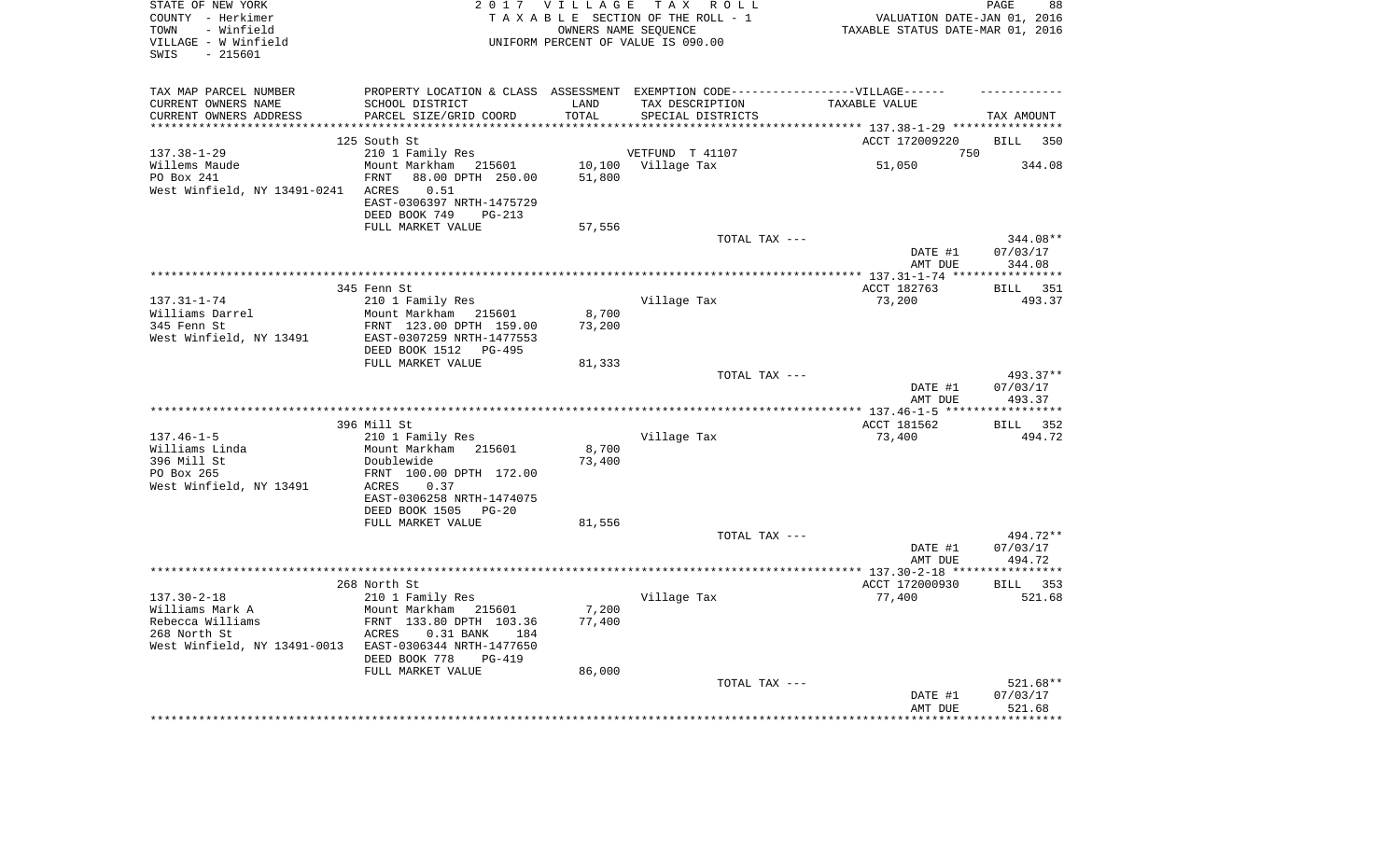| STATE OF NEW YORK<br>COUNTY - Herkimer<br>- Winfield<br>TOWN<br>VILLAGE - W Winfield<br>$-215601$<br>SWIS |                                                                                   |        | 2017 VILLAGE TAX ROLL<br>TAXABLE SECTION OF THE ROLL - 1<br>OWNERS NAME SEQUENCE<br>UNIFORM PERCENT OF VALUE IS 090.00 | VALUATION DATE-JAN 01, 2016<br>TAXABLE STATUS DATE-MAR 01, 2016 | PAGE<br>88         |
|-----------------------------------------------------------------------------------------------------------|-----------------------------------------------------------------------------------|--------|------------------------------------------------------------------------------------------------------------------------|-----------------------------------------------------------------|--------------------|
| TAX MAP PARCEL NUMBER                                                                                     | PROPERTY LOCATION & CLASS ASSESSMENT EXEMPTION CODE-----------------VILLAGE------ |        |                                                                                                                        |                                                                 |                    |
| CURRENT OWNERS NAME                                                                                       | SCHOOL DISTRICT                                                                   | LAND   | TAX DESCRIPTION                                                                                                        | TAXABLE VALUE                                                   |                    |
| CURRENT OWNERS ADDRESS                                                                                    | PARCEL SIZE/GRID COORD                                                            | TOTAL  | SPECIAL DISTRICTS                                                                                                      |                                                                 | TAX AMOUNT         |
| ***********************                                                                                   |                                                                                   |        |                                                                                                                        |                                                                 |                    |
|                                                                                                           | 125 South St                                                                      |        |                                                                                                                        | ACCT 172009220                                                  | <b>BILL</b><br>350 |
| $137.38 - 1 - 29$                                                                                         | 210 1 Family Res                                                                  |        | VETFUND T 41107                                                                                                        | 750                                                             |                    |
| Willems Maude                                                                                             | Mount Markham 215601                                                              |        | 10,100 Village Tax                                                                                                     | 51,050                                                          | 344.08             |
| PO Box 241                                                                                                | 88.00 DPTH 250.00<br>FRNT<br>0.51                                                 | 51,800 |                                                                                                                        |                                                                 |                    |
| West Winfield, NY 13491-0241                                                                              | ACRES<br>EAST-0306397 NRTH-1475729                                                |        |                                                                                                                        |                                                                 |                    |
|                                                                                                           | DEED BOOK 749<br>PG-213                                                           |        |                                                                                                                        |                                                                 |                    |
|                                                                                                           | FULL MARKET VALUE                                                                 | 57,556 |                                                                                                                        |                                                                 |                    |
|                                                                                                           |                                                                                   |        | TOTAL TAX ---                                                                                                          |                                                                 | 344.08**           |
|                                                                                                           |                                                                                   |        |                                                                                                                        | DATE #1                                                         | 07/03/17           |
|                                                                                                           |                                                                                   |        |                                                                                                                        | AMT DUE                                                         | 344.08             |
|                                                                                                           |                                                                                   |        |                                                                                                                        |                                                                 |                    |
|                                                                                                           | 345 Fenn St                                                                       |        |                                                                                                                        | ACCT 182763                                                     | BILL 351           |
| $137.31 - 1 - 74$                                                                                         | 210 1 Family Res                                                                  |        | Village Tax                                                                                                            | 73,200                                                          | 493.37             |
| Williams Darrel                                                                                           | Mount Markham 215601                                                              | 8,700  |                                                                                                                        |                                                                 |                    |
| 345 Fenn St                                                                                               | FRNT 123.00 DPTH 159.00                                                           | 73,200 |                                                                                                                        |                                                                 |                    |
| West Winfield, NY 13491                                                                                   | EAST-0307259 NRTH-1477553                                                         |        |                                                                                                                        |                                                                 |                    |
|                                                                                                           | DEED BOOK 1512 PG-495<br>FULL MARKET VALUE                                        | 81,333 |                                                                                                                        |                                                                 |                    |
|                                                                                                           |                                                                                   |        | TOTAL TAX ---                                                                                                          |                                                                 | 493.37**           |
|                                                                                                           |                                                                                   |        |                                                                                                                        | DATE #1                                                         | 07/03/17           |
|                                                                                                           |                                                                                   |        |                                                                                                                        | AMT DUE                                                         | 493.37             |
|                                                                                                           |                                                                                   |        |                                                                                                                        |                                                                 |                    |
|                                                                                                           | 396 Mill St                                                                       |        |                                                                                                                        | ACCT 181562                                                     | BILL 352           |
| $137.46 - 1 - 5$                                                                                          | 210 1 Family Res                                                                  |        | Village Tax                                                                                                            | 73,400                                                          | 494.72             |
| Williams Linda                                                                                            | Mount Markham 215601                                                              | 8,700  |                                                                                                                        |                                                                 |                    |
| 396 Mill St                                                                                               | Doublewide                                                                        | 73,400 |                                                                                                                        |                                                                 |                    |
| PO Box 265                                                                                                | FRNT 100.00 DPTH 172.00                                                           |        |                                                                                                                        |                                                                 |                    |
| West Winfield, NY 13491                                                                                   | 0.37<br>ACRES                                                                     |        |                                                                                                                        |                                                                 |                    |
|                                                                                                           | EAST-0306258 NRTH-1474075                                                         |        |                                                                                                                        |                                                                 |                    |
|                                                                                                           | DEED BOOK 1505 PG-20<br>FULL MARKET VALUE                                         | 81,556 |                                                                                                                        |                                                                 |                    |
|                                                                                                           |                                                                                   |        | TOTAL TAX ---                                                                                                          |                                                                 | 494.72**           |
|                                                                                                           |                                                                                   |        |                                                                                                                        | DATE #1                                                         | 07/03/17           |
|                                                                                                           |                                                                                   |        |                                                                                                                        | AMT DUE                                                         | 494.72             |
|                                                                                                           |                                                                                   |        |                                                                                                                        |                                                                 |                    |
|                                                                                                           | 268 North St                                                                      |        |                                                                                                                        | ACCT 172000930                                                  | BILL 353           |
| $137.30 - 2 - 18$                                                                                         | 210 1 Family Res                                                                  |        | Village Tax                                                                                                            | 77,400                                                          | 521.68             |
| Williams Mark A                                                                                           | Mount Markham 215601                                                              | 7,200  |                                                                                                                        |                                                                 |                    |
| Rebecca Williams                                                                                          | FRNT 133.80 DPTH 103.36                                                           | 77,400 |                                                                                                                        |                                                                 |                    |
| 268 North St                                                                                              | ACRES<br>$0.31$ BANK<br>184                                                       |        |                                                                                                                        |                                                                 |                    |
| West Winfield, NY 13491-0013                                                                              | EAST-0306344 NRTH-1477650                                                         |        |                                                                                                                        |                                                                 |                    |
|                                                                                                           | DEED BOOK 778<br><b>PG-419</b><br>FULL MARKET VALUE                               | 86,000 |                                                                                                                        |                                                                 |                    |
|                                                                                                           |                                                                                   |        | TOTAL TAX ---                                                                                                          |                                                                 | 521.68**           |
|                                                                                                           |                                                                                   |        |                                                                                                                        | DATE #1                                                         | 07/03/17           |
|                                                                                                           |                                                                                   |        |                                                                                                                        | AMT DUE                                                         | 521.68             |
|                                                                                                           |                                                                                   |        |                                                                                                                        |                                                                 | ******             |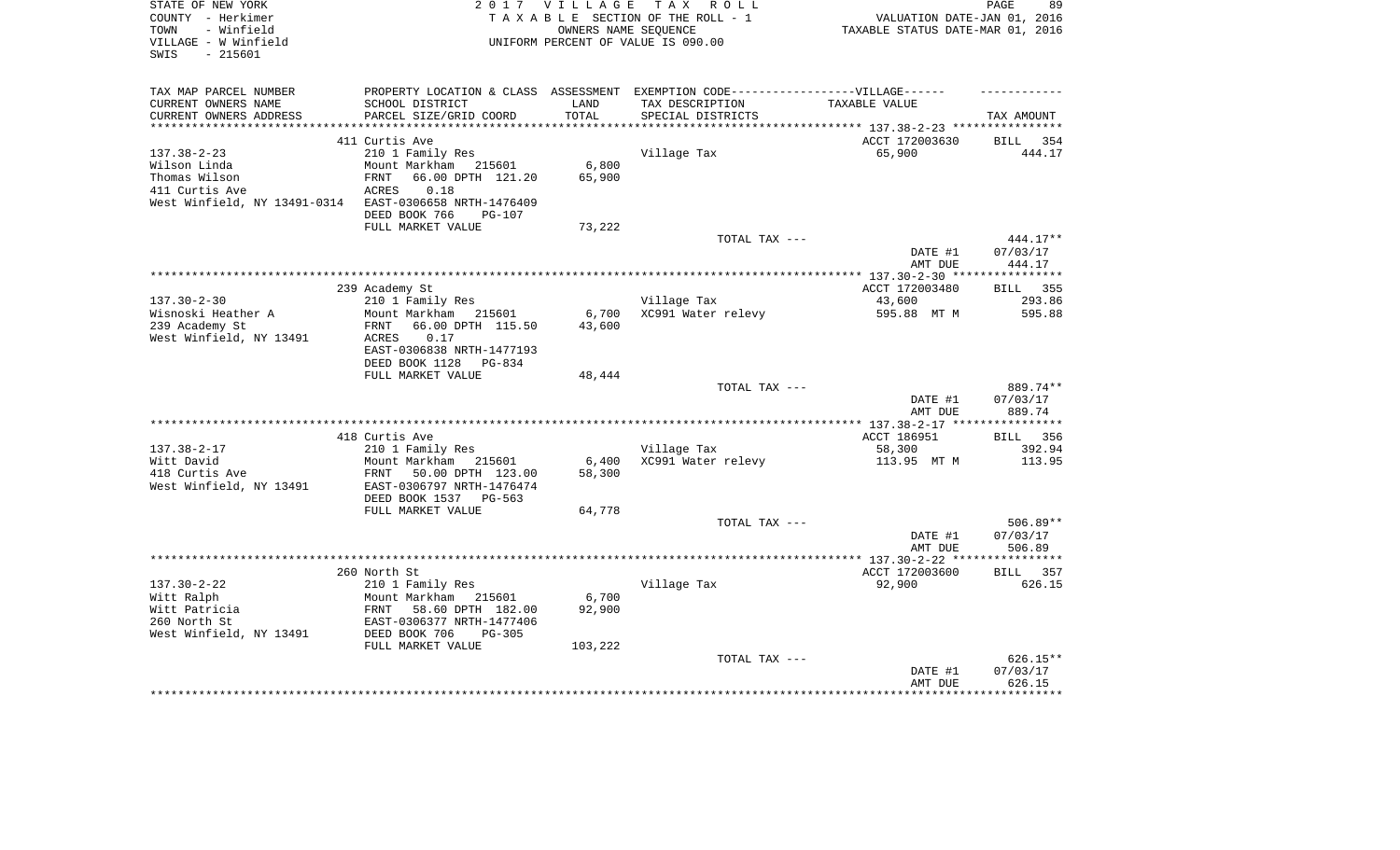| V I L L A G E<br>TAX ROLL<br>PAGE<br>89                                           |
|-----------------------------------------------------------------------------------|
| TAXABLE SECTION OF THE ROLL - 1<br>VALUATION DATE-JAN 01, 2016                    |
| OWNERS NAME SEQUENCE<br>TAXABLE STATUS DATE-MAR 01, 2016                          |
| UNIFORM PERCENT OF VALUE IS 090.00                                                |
|                                                                                   |
|                                                                                   |
| PROPERTY LOCATION & CLASS ASSESSMENT EXEMPTION CODE-----------------VILLAGE------ |
| TAX DESCRIPTION<br>TAXABLE VALUE                                                  |
| SPECIAL DISTRICTS<br>TAX AMOUNT                                                   |
|                                                                                   |
| ACCT 172003630<br><b>BILL</b><br>354                                              |
| Village Tax<br>65,900<br>444.17                                                   |
| 6,800                                                                             |
| 65,900                                                                            |
|                                                                                   |
|                                                                                   |
|                                                                                   |
| 73,222                                                                            |
| TOTAL TAX ---<br>444.17**                                                         |
| DATE #1<br>07/03/17                                                               |
| AMT DUE<br>444.17                                                                 |
|                                                                                   |
| ACCT 172003480<br><b>BILL</b><br>355                                              |
| Village Tax<br>293.86<br>43,600                                                   |
| 6,700<br>XC991 Water relevy<br>595.88 MT M<br>595.88                              |
| 43,600                                                                            |
|                                                                                   |
|                                                                                   |
|                                                                                   |
| 48,444                                                                            |
| TOTAL TAX ---<br>889.74**                                                         |
| 07/03/17<br>DATE #1                                                               |
| AMT DUE<br>889.74                                                                 |
| ACCT 186951<br>BILL 356                                                           |
| Village Tax<br>58,300<br>392.94                                                   |
| 6,400<br>XC991 Water relevy<br>113.95 MT M<br>113.95                              |
| 58,300                                                                            |
|                                                                                   |
|                                                                                   |
|                                                                                   |
| 64,778<br>TOTAL TAX ---<br>$506.89**$                                             |
| DATE #1<br>07/03/17                                                               |
| 506.89<br>AMT DUE                                                                 |
|                                                                                   |
| ACCT 172003600<br><b>BILL</b><br>357                                              |
| Village Tax<br>92,900<br>626.15                                                   |
| 6,700                                                                             |
| 92,900                                                                            |
|                                                                                   |
|                                                                                   |
| 103,222                                                                           |
| $626.15**$<br>TOTAL TAX ---                                                       |
| 07/03/17<br>DATE #1                                                               |
|                                                                                   |
| AMT DUE<br>626.15                                                                 |
|                                                                                   |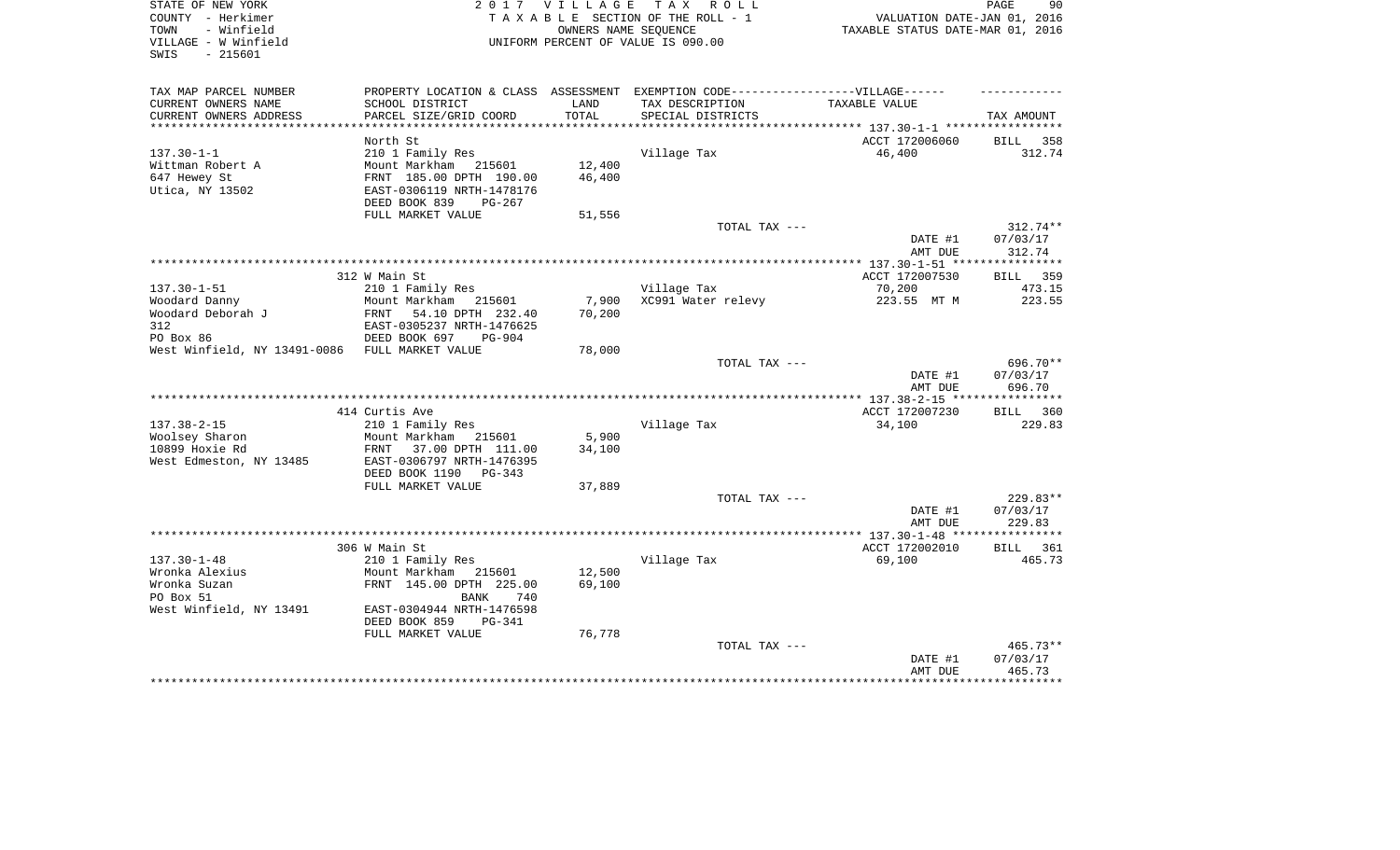| STATE OF NEW YORK                              | 2017                                                                              | V I L L A G E                    | T A X<br>R O L L                                        |                                         | PAGE<br>90         |
|------------------------------------------------|-----------------------------------------------------------------------------------|----------------------------------|---------------------------------------------------------|-----------------------------------------|--------------------|
| COUNTY - Herkimer                              |                                                                                   |                                  | TAXABLE SECTION OF THE ROLL - 1<br>OWNERS NAME SEQUENCE | VALUATION DATE-JAN 01, 2016             |                    |
| TOWN<br>- Winfield                             |                                                                                   | TAXABLE STATUS DATE-MAR 01, 2016 |                                                         |                                         |                    |
| VILLAGE - W Winfield                           |                                                                                   |                                  | UNIFORM PERCENT OF VALUE IS 090.00                      |                                         |                    |
| SWIS<br>$-215601$                              |                                                                                   |                                  |                                                         |                                         |                    |
|                                                |                                                                                   |                                  |                                                         |                                         |                    |
| TAX MAP PARCEL NUMBER                          | PROPERTY LOCATION & CLASS ASSESSMENT EXEMPTION CODE-----------------VILLAGE------ |                                  |                                                         |                                         |                    |
| CURRENT OWNERS NAME                            | SCHOOL DISTRICT                                                                   | LAND                             | TAX DESCRIPTION                                         | TAXABLE VALUE                           |                    |
| CURRENT OWNERS ADDRESS                         | PARCEL SIZE/GRID COORD                                                            | TOTAL                            | SPECIAL DISTRICTS                                       |                                         | TAX AMOUNT         |
|                                                |                                                                                   |                                  |                                                         |                                         |                    |
|                                                | North St                                                                          |                                  |                                                         | ACCT 172006060                          | 358<br>BILL        |
| $137.30 - 1 - 1$                               | 210 1 Family Res                                                                  |                                  | Village Tax                                             | 46,400                                  | 312.74             |
| Wittman Robert A                               | Mount Markham 215601                                                              | 12,400                           |                                                         |                                         |                    |
| 647 Hewey St                                   | FRNT 185.00 DPTH 190.00                                                           | 46,400                           |                                                         |                                         |                    |
| Utica, NY 13502                                | EAST-0306119 NRTH-1478176                                                         |                                  |                                                         |                                         |                    |
|                                                | DEED BOOK 839<br>PG-267                                                           |                                  |                                                         |                                         |                    |
|                                                | FULL MARKET VALUE                                                                 | 51,556                           |                                                         |                                         |                    |
|                                                |                                                                                   |                                  | TOTAL TAX ---                                           |                                         | 312.74**           |
|                                                |                                                                                   |                                  |                                                         | DATE #1                                 | 07/03/17           |
|                                                |                                                                                   |                                  |                                                         | AMT DUE                                 | 312.74             |
|                                                |                                                                                   |                                  |                                                         | ********** 137.30-1-51 **************** |                    |
|                                                | 312 W Main St                                                                     |                                  |                                                         | ACCT 172007530                          | 359<br>BILL        |
| $137.30 - 1 - 51$                              | 210 1 Family Res                                                                  |                                  | Village Tax                                             | 70,200                                  | 473.15             |
|                                                |                                                                                   |                                  | XC991 Water relevy                                      |                                         | 223.55             |
| Woodard Danny                                  | Mount Markham<br>215601                                                           | 7,900<br>70,200                  |                                                         | 223.55 MT M                             |                    |
| Woodard Deborah J                              | FRNT<br>54.10 DPTH 232.40                                                         |                                  |                                                         |                                         |                    |
| 312                                            | EAST-0305237 NRTH-1476625                                                         |                                  |                                                         |                                         |                    |
| PO Box 86                                      | DEED BOOK 697<br>$PG-904$                                                         |                                  |                                                         |                                         |                    |
| West Winfield, NY 13491-0086 FULL MARKET VALUE |                                                                                   | 78,000                           |                                                         |                                         |                    |
|                                                |                                                                                   |                                  | TOTAL TAX ---                                           |                                         | 696.70**           |
|                                                |                                                                                   |                                  |                                                         | DATE #1                                 | 07/03/17           |
|                                                |                                                                                   |                                  |                                                         | AMT DUE                                 | 696.70             |
|                                                |                                                                                   |                                  |                                                         |                                         |                    |
|                                                | 414 Curtis Ave                                                                    |                                  |                                                         | ACCT 172007230                          | <b>BILL</b><br>360 |
| $137.38 - 2 - 15$                              | 210 1 Family Res                                                                  |                                  | Village Tax                                             | 34,100                                  | 229.83             |
| Woolsey Sharon                                 | Mount Markham<br>215601                                                           | 5,900                            |                                                         |                                         |                    |
| 10899 Hoxie Rd                                 | 37.00 DPTH 111.00<br>FRNT                                                         | 34,100                           |                                                         |                                         |                    |
| West Edmeston, NY 13485                        | EAST-0306797 NRTH-1476395                                                         |                                  |                                                         |                                         |                    |
|                                                | DEED BOOK 1190<br>$PG-343$                                                        |                                  |                                                         |                                         |                    |
|                                                | FULL MARKET VALUE                                                                 | 37,889                           |                                                         |                                         |                    |
|                                                |                                                                                   |                                  | TOTAL TAX ---                                           |                                         | $229.83**$         |
|                                                |                                                                                   |                                  |                                                         | DATE #1                                 | 07/03/17           |
|                                                |                                                                                   |                                  |                                                         | AMT DUE                                 | 229.83             |
|                                                |                                                                                   |                                  |                                                         |                                         |                    |
|                                                | 306 W Main St                                                                     |                                  |                                                         | ACCT 172002010                          | <b>BILL</b><br>361 |
| $137.30 - 1 - 48$                              | 210 1 Family Res                                                                  |                                  | Village Tax                                             | 69,100                                  | 465.73             |
| Wronka Alexius                                 | Mount Markham<br>215601                                                           | 12,500                           |                                                         |                                         |                    |
| Wronka Suzan                                   | FRNT 145.00 DPTH 225.00                                                           | 69,100                           |                                                         |                                         |                    |
| PO Box 51                                      | BANK<br>740                                                                       |                                  |                                                         |                                         |                    |
| West Winfield, NY 13491                        | EAST-0304944 NRTH-1476598                                                         |                                  |                                                         |                                         |                    |
|                                                | DEED BOOK 859<br>$PG-341$                                                         |                                  |                                                         |                                         |                    |
|                                                | FULL MARKET VALUE                                                                 | 76,778                           |                                                         |                                         |                    |
|                                                |                                                                                   |                                  | TOTAL TAX ---                                           |                                         | $465.73**$         |
|                                                |                                                                                   |                                  |                                                         | DATE #1                                 | 07/03/17           |
|                                                |                                                                                   |                                  |                                                         | AMT DUE                                 | 465.73             |
|                                                |                                                                                   |                                  |                                                         |                                         |                    |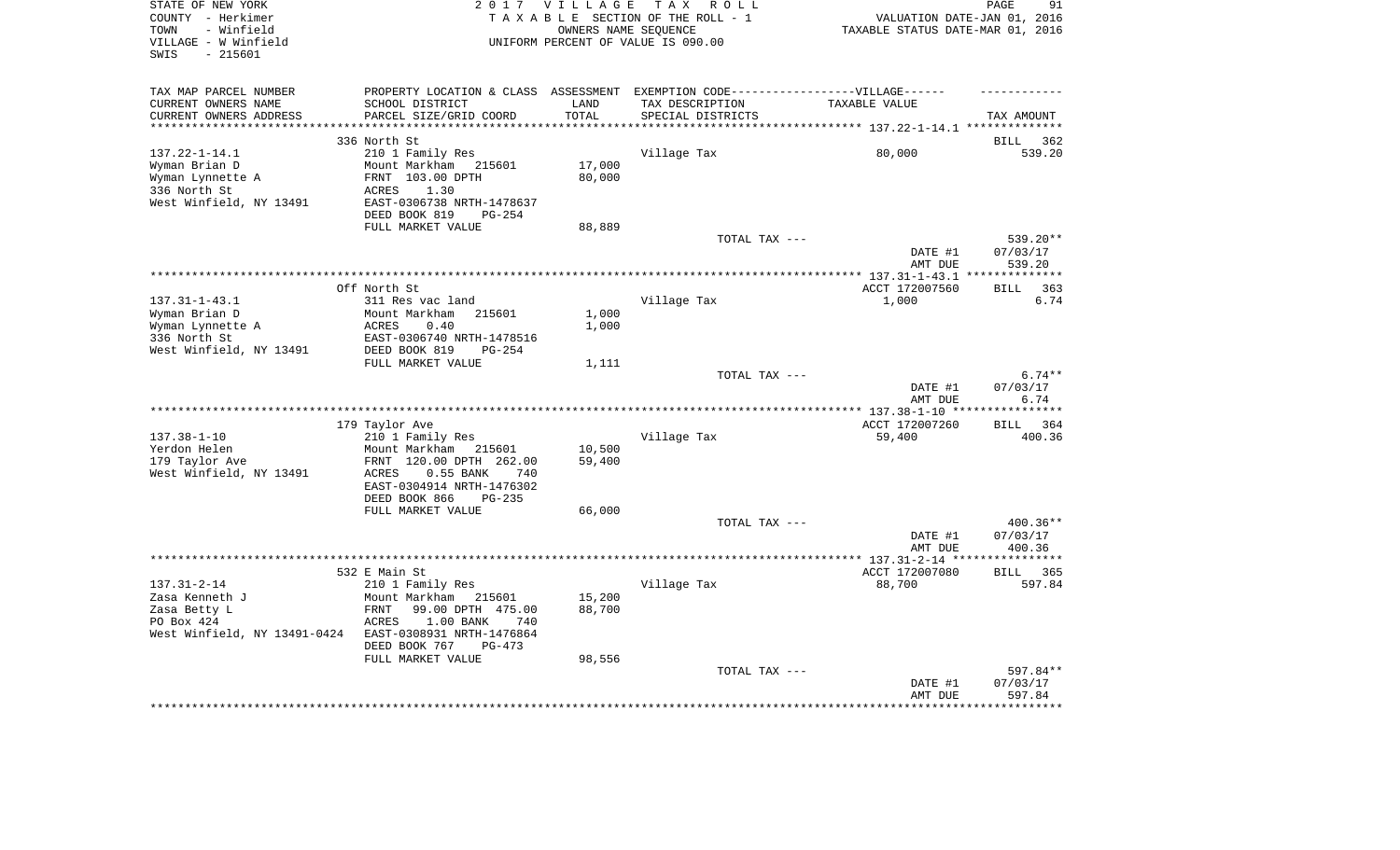| STATE OF NEW YORK<br>COUNTY - Herkimer<br>- Winfield<br>TOWN<br>VILLAGE - W Winfield<br>$-215601$<br>SWIS |                                                                                  | 2017 VILLAGE<br>OWNERS NAME SEOUENCE | TAX ROLL<br>TAXABLE SECTION OF THE ROLL - 1<br>UNIFORM PERCENT OF VALUE IS 090.00 | VALUATION DATE-JAN 01, 2016<br>TAXABLE STATUS DATE-MAR 01, 2016 | 91<br>PAGE                   |
|-----------------------------------------------------------------------------------------------------------|----------------------------------------------------------------------------------|--------------------------------------|-----------------------------------------------------------------------------------|-----------------------------------------------------------------|------------------------------|
| TAX MAP PARCEL NUMBER                                                                                     | PROPERTY LOCATION & CLASS ASSESSMENT EXEMPTION CODE----------------VILLAGE------ |                                      |                                                                                   |                                                                 |                              |
| CURRENT OWNERS NAME                                                                                       | SCHOOL DISTRICT                                                                  | LAND                                 | TAX DESCRIPTION                                                                   | TAXABLE VALUE                                                   |                              |
| CURRENT OWNERS ADDRESS                                                                                    | PARCEL SIZE/GRID COORD                                                           | TOTAL                                | SPECIAL DISTRICTS                                                                 | ********************* 137.22-1-14.1 **********                  | TAX AMOUNT                   |
|                                                                                                           | 336 North St                                                                     |                                      |                                                                                   |                                                                 | 362<br>BILL                  |
| $137.22 - 1 - 14.1$                                                                                       | 210 1 Family Res                                                                 |                                      | Village Tax                                                                       | 80,000                                                          | 539.20                       |
| Wyman Brian D                                                                                             | Mount Markham<br>215601                                                          | 17,000                               |                                                                                   |                                                                 |                              |
| Wyman Lynnette A                                                                                          | FRNT 103.00 DPTH                                                                 | 80,000                               |                                                                                   |                                                                 |                              |
| 336 North St<br>West Winfield, NY 13491                                                                   | ACRES<br>1.30<br>EAST-0306738 NRTH-1478637                                       |                                      |                                                                                   |                                                                 |                              |
|                                                                                                           | DEED BOOK 819<br>$PG-254$                                                        |                                      |                                                                                   |                                                                 |                              |
|                                                                                                           | FULL MARKET VALUE                                                                | 88,889                               |                                                                                   |                                                                 |                              |
|                                                                                                           |                                                                                  |                                      | TOTAL TAX ---                                                                     |                                                                 | 539.20**                     |
|                                                                                                           |                                                                                  |                                      |                                                                                   | DATE #1<br>AMT DUE                                              | 07/03/17<br>539.20           |
|                                                                                                           |                                                                                  |                                      |                                                                                   | ********** 137.31-1-43.1                                        | * * * * * * * * * * *        |
| $137.31 - 1 - 43.1$                                                                                       | Off North St<br>311 Res vac land                                                 |                                      | Village Tax                                                                       | ACCT 172007560<br>1,000                                         | 363<br>BILL<br>6.74          |
| Wyman Brian D                                                                                             | Mount Markham<br>215601                                                          | 1,000                                |                                                                                   |                                                                 |                              |
| Wyman Lynnette A                                                                                          | ACRES<br>0.40                                                                    | 1,000                                |                                                                                   |                                                                 |                              |
| 336 North St                                                                                              | EAST-0306740 NRTH-1478516                                                        |                                      |                                                                                   |                                                                 |                              |
| West Winfield, NY 13491                                                                                   | DEED BOOK 819<br>$PG-254$                                                        | 1,111                                |                                                                                   |                                                                 |                              |
|                                                                                                           | FULL MARKET VALUE                                                                |                                      | TOTAL TAX ---                                                                     |                                                                 | $6.74**$                     |
|                                                                                                           |                                                                                  |                                      |                                                                                   | DATE #1                                                         | 07/03/17                     |
|                                                                                                           |                                                                                  |                                      |                                                                                   | AMT DUE                                                         | 6.74                         |
|                                                                                                           |                                                                                  |                                      |                                                                                   |                                                                 | ************                 |
| $137.38 - 1 - 10$                                                                                         | 179 Taylor Ave<br>210 1 Family Res                                               |                                      | Village Tax                                                                       | ACCT 172007260<br>59,400                                        | 364<br><b>BILL</b><br>400.36 |
| Yerdon Helen                                                                                              | Mount Markham 215601                                                             | 10,500                               |                                                                                   |                                                                 |                              |
| 179 Taylor Ave                                                                                            | FRNT 120.00 DPTH 262.00                                                          | 59,400                               |                                                                                   |                                                                 |                              |
| West Winfield, NY 13491                                                                                   | 0.55 BANK<br>ACRES<br>740                                                        |                                      |                                                                                   |                                                                 |                              |
|                                                                                                           | EAST-0304914 NRTH-1476302                                                        |                                      |                                                                                   |                                                                 |                              |
|                                                                                                           | DEED BOOK 866<br>PG-235                                                          |                                      |                                                                                   |                                                                 |                              |
|                                                                                                           | FULL MARKET VALUE                                                                | 66,000                               | TOTAL TAX ---                                                                     |                                                                 | 400.36**                     |
|                                                                                                           |                                                                                  |                                      |                                                                                   | DATE #1                                                         | 07/03/17                     |
|                                                                                                           |                                                                                  |                                      |                                                                                   | AMT DUE                                                         | 400.36                       |
|                                                                                                           |                                                                                  |                                      |                                                                                   | ************** 137.31-2-14 **                                   | * * * * * * * * *            |
|                                                                                                           | 532 E Main St                                                                    |                                      |                                                                                   | ACCT 172007080                                                  | <b>BILL</b><br>365           |
| $137.31 - 2 - 14$<br>Zasa Kenneth J                                                                       | 210 1 Family Res<br>Mount Markham<br>215601                                      | 15,200                               | Village Tax                                                                       | 88,700                                                          | 597.84                       |
| Zasa Betty L                                                                                              | FRNT<br>99.00 DPTH 475.00                                                        | 88,700                               |                                                                                   |                                                                 |                              |
| PO Box 424                                                                                                | ACRES<br>$1.00$ BANK<br>740                                                      |                                      |                                                                                   |                                                                 |                              |
| West Winfield, NY 13491-0424 EAST-0308931 NRTH-1476864                                                    |                                                                                  |                                      |                                                                                   |                                                                 |                              |
|                                                                                                           | DEED BOOK 767<br>$PG-473$                                                        |                                      |                                                                                   |                                                                 |                              |
|                                                                                                           | FULL MARKET VALUE                                                                | 98,556                               | TOTAL TAX ---                                                                     |                                                                 | 597.84**                     |
|                                                                                                           |                                                                                  |                                      |                                                                                   | DATE #1                                                         | 07/03/17                     |
|                                                                                                           |                                                                                  |                                      |                                                                                   | AMT DUE                                                         | 597.84                       |
|                                                                                                           |                                                                                  |                                      |                                                                                   |                                                                 |                              |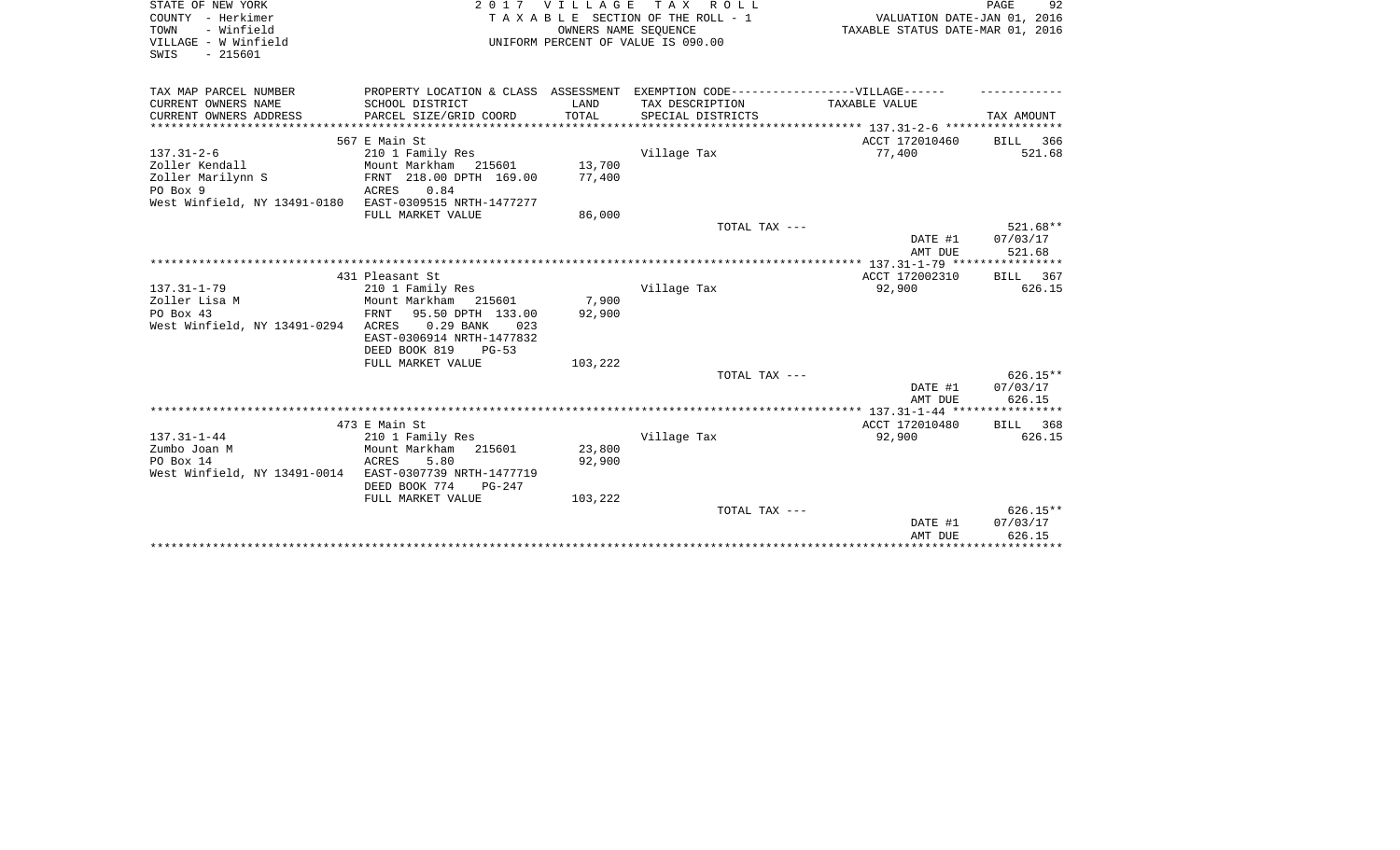| STATE OF NEW YORK<br>COUNTY - Herkimer<br>- Winfield<br>TOWN<br>VILLAGE - W Winfield<br>SWIS<br>$-215601$ |                                                       | 2017 VILLAGE<br>OWNERS NAME SEOUENCE | TAX ROLL<br>TAXABLE SECTION OF THE ROLL - 1<br>UNIFORM PERCENT OF VALUE IS 090.00 | VALUATION DATE-JAN 01, 2016<br>TAXABLE STATUS DATE-MAR 01, 2016 | PAGE<br>92         |
|-----------------------------------------------------------------------------------------------------------|-------------------------------------------------------|--------------------------------------|-----------------------------------------------------------------------------------|-----------------------------------------------------------------|--------------------|
| TAX MAP PARCEL NUMBER                                                                                     | PROPERTY LOCATION & CLASS ASSESSMENT                  |                                      | EXEMPTION CODE------------------VILLAGE------                                     |                                                                 |                    |
| CURRENT OWNERS NAME                                                                                       | SCHOOL DISTRICT                                       | LAND                                 | TAX DESCRIPTION                                                                   | TAXABLE VALUE                                                   |                    |
| CURRENT OWNERS ADDRESS<br>*******************                                                             | PARCEL SIZE/GRID COORD<br>***************             | TOTAL                                | SPECIAL DISTRICTS                                                                 |                                                                 | TAX AMOUNT         |
|                                                                                                           |                                                       |                                      |                                                                                   | **************************** 137.31-2-6 ************            |                    |
| $137.31 - 2 - 6$                                                                                          | 567 E Main St<br>210 1 Family Res                     |                                      | Village Tax                                                                       | ACCT 172010460<br>77,400                                        | BILL 366<br>521.68 |
| Zoller Kendall                                                                                            | Mount Markham 215601                                  | 13,700                               |                                                                                   |                                                                 |                    |
| Zoller Marilynn S                                                                                         | FRNT 218.00 DPTH 169.00                               | 77,400                               |                                                                                   |                                                                 |                    |
| PO Box 9                                                                                                  | 0.84<br>ACRES                                         |                                      |                                                                                   |                                                                 |                    |
| West Winfield, NY 13491-0180                                                                              | EAST-0309515 NRTH-1477277                             |                                      |                                                                                   |                                                                 |                    |
|                                                                                                           | FULL MARKET VALUE                                     | 86,000                               |                                                                                   |                                                                 |                    |
|                                                                                                           |                                                       |                                      | TOTAL TAX ---                                                                     |                                                                 | 521.68**           |
|                                                                                                           |                                                       |                                      |                                                                                   | DATE #1<br>AMT DUE                                              | 07/03/17<br>521.68 |
|                                                                                                           |                                                       |                                      |                                                                                   |                                                                 |                    |
|                                                                                                           | 431 Pleasant St                                       |                                      |                                                                                   | ACCT 172002310                                                  | BILL 367           |
| $137.31 - 1 - 79$                                                                                         | 210 1 Family Res                                      |                                      | Village Tax                                                                       | 92,900                                                          | 626.15             |
| Zoller Lisa M                                                                                             | Mount Markham<br>215601                               | 7,900                                |                                                                                   |                                                                 |                    |
| PO Box 43                                                                                                 | 95.50 DPTH 133.00<br><b>FRNT</b>                      | 92,900                               |                                                                                   |                                                                 |                    |
| West Winfield, NY 13491-0294                                                                              | ACRES<br>$0.29$ BANK<br>023                           |                                      |                                                                                   |                                                                 |                    |
|                                                                                                           | EAST-0306914 NRTH-1477832<br>DEED BOOK 819<br>$PG-53$ |                                      |                                                                                   |                                                                 |                    |
|                                                                                                           | FULL MARKET VALUE                                     | 103,222                              |                                                                                   |                                                                 |                    |
|                                                                                                           |                                                       |                                      | TOTAL TAX ---                                                                     |                                                                 | $626.15**$         |
|                                                                                                           |                                                       |                                      |                                                                                   | DATE #1                                                         | 07/03/17           |
|                                                                                                           |                                                       |                                      |                                                                                   | AMT DUE                                                         | 626.15             |
|                                                                                                           |                                                       |                                      |                                                                                   |                                                                 |                    |
|                                                                                                           | 473 E Main St                                         |                                      |                                                                                   | ACCT 172010480                                                  | BILL 368           |
| $137.31 - 1 - 44$                                                                                         | 210 1 Family Res                                      |                                      | Village Tax                                                                       | 92,900                                                          | 626.15             |
| Zumbo Joan M                                                                                              | Mount Markham<br>215601                               | 23,800                               |                                                                                   |                                                                 |                    |
| PO Box 14                                                                                                 | <b>ACRES</b><br>5.80                                  | 92,900                               |                                                                                   |                                                                 |                    |
| West Winfield, NY 13491-0014                                                                              | EAST-0307739 NRTH-1477719                             |                                      |                                                                                   |                                                                 |                    |
|                                                                                                           | DEED BOOK 774<br>$PG-247$                             |                                      |                                                                                   |                                                                 |                    |
|                                                                                                           | FULL MARKET VALUE                                     | 103,222                              |                                                                                   |                                                                 |                    |
|                                                                                                           |                                                       |                                      | TOTAL TAX ---                                                                     |                                                                 | $626.15**$         |
|                                                                                                           |                                                       |                                      |                                                                                   | DATE #1                                                         | 07/03/17           |
|                                                                                                           |                                                       |                                      |                                                                                   | AMT DUE                                                         | 626.15             |
|                                                                                                           |                                                       |                                      |                                                                                   |                                                                 |                    |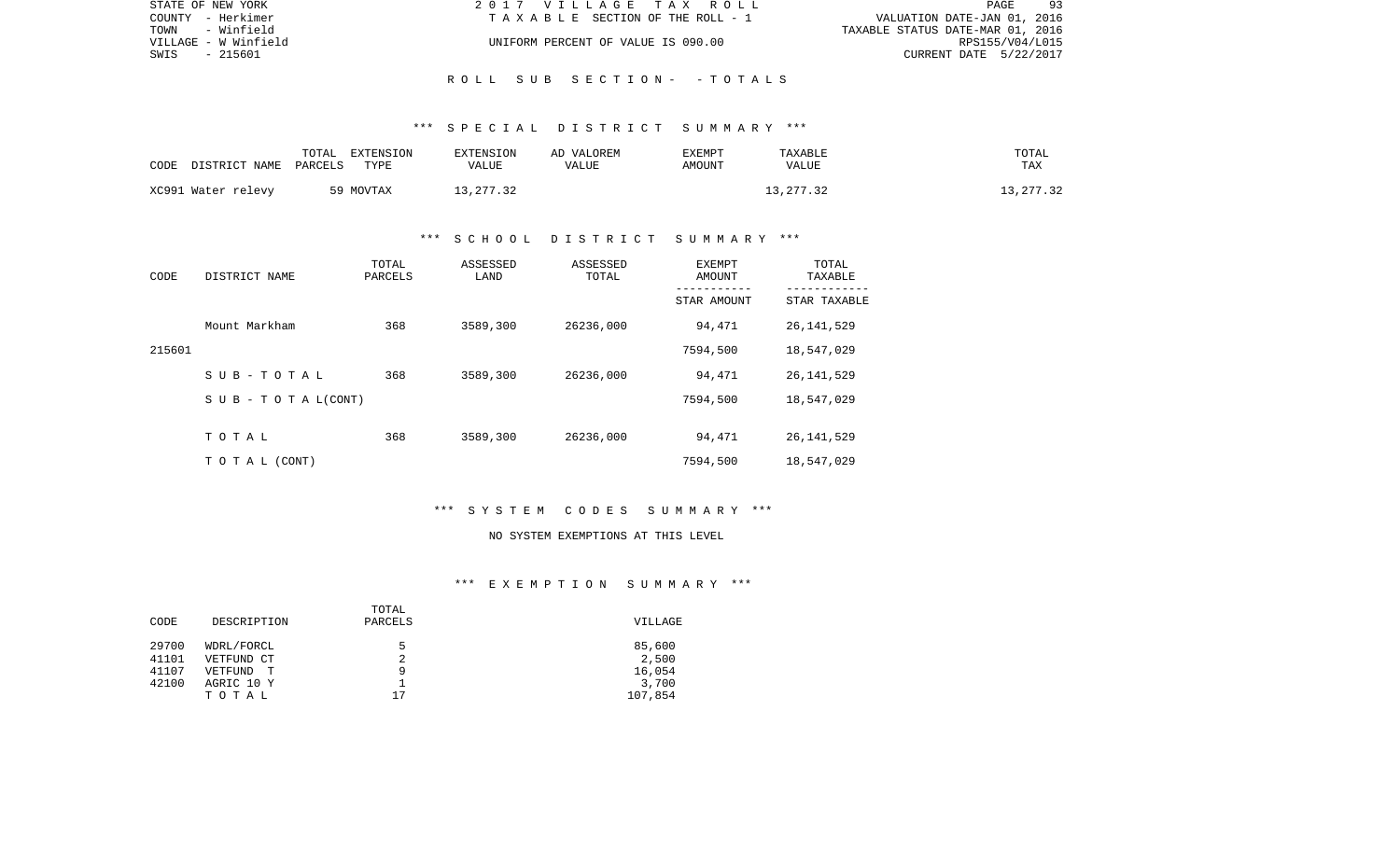| STATE OF NEW YORK    | 2017 VILLAGE TAX ROLL              | 93<br>PAGE                       |
|----------------------|------------------------------------|----------------------------------|
| COUNTY - Herkimer    | TAXABLE SECTION OF THE ROLL - 1    | VALUATION DATE-JAN 01, 2016      |
| TOWN<br>- Winfield   |                                    | TAXABLE STATUS DATE-MAR 01, 2016 |
| VILLAGE - W Winfield | UNIFORM PERCENT OF VALUE IS 090.00 | RPS155/V04/L015                  |
| SWIS<br>- 215601     |                                    | CURRENT DATE 5/22/2017           |
|                      |                                    |                                  |

## \*\*\* S P E C I A L D I S T R I C T S U M M A R Y \*\*\*

R O L L S U B S E C T I O N - - T O T A L S

| CODE | DISTRICT NAME      | TOTAL<br>PARCELS | EXTENSION<br>TYPE | <b>EXTENSION</b><br>VALUE | AD VALOREM<br>VALUE | EXEMPT<br>AMOUNT | TAXABLE<br><b>VALUE</b> | TOTAL<br><b>TAX</b> |
|------|--------------------|------------------|-------------------|---------------------------|---------------------|------------------|-------------------------|---------------------|
|      | XC991 Water relevy |                  | 59 MOVTAX         | 13,277.32                 |                     |                  | 13, 277.32              | 13,277.32           |

## \*\*\* S C H O O L D I S T R I C T S U M M A R Y \*\*\*

| CODE   | DISTRICT NAME                    | TOTAL<br>PARCELS | ASSESSED<br>LAND | ASSESSED<br>TOTAL | EXEMPT<br>AMOUNT | TOTAL<br>TAXABLE |
|--------|----------------------------------|------------------|------------------|-------------------|------------------|------------------|
|        |                                  |                  |                  |                   | STAR AMOUNT      | STAR TAXABLE     |
|        | Mount Markham                    | 368              | 3589,300         | 26236,000         | 94,471           | 26, 141, 529     |
| 215601 |                                  |                  |                  |                   | 7594,500         | 18,547,029       |
|        | SUB-TOTAL                        | 368              | 3589,300         | 26236,000         | 94,471           | 26, 141, 529     |
|        | $S \cup B - T \cup T A L (CONT)$ |                  |                  |                   | 7594,500         | 18,547,029       |
|        |                                  |                  |                  |                   |                  |                  |
|        | TOTAL                            | 368              | 3589,300         | 26236,000         | 94,471           | 26, 141, 529     |
|        | T O T A L (CONT)                 |                  |                  |                   | 7594,500         | 18,547,029       |

## \*\*\* S Y S T E M C O D E S S U M M A R Y \*\*\*

#### NO SYSTEM EXEMPTIONS AT THIS LEVEL

|       |              | TOTAL   |         |
|-------|--------------|---------|---------|
| CODE  | DESCRIPTION  | PARCELS | VILLAGE |
|       |              |         |         |
| 29700 | WDRL/FORCL   | 5       | 85,600  |
| 41101 | VETFUND CT   |         | 2,500   |
| 41107 | VETFUND<br>T | 9       | 16,054  |
| 42100 | AGRIC 10 Y   |         | 3,700   |
|       | TOTAL        | 17      | 107,854 |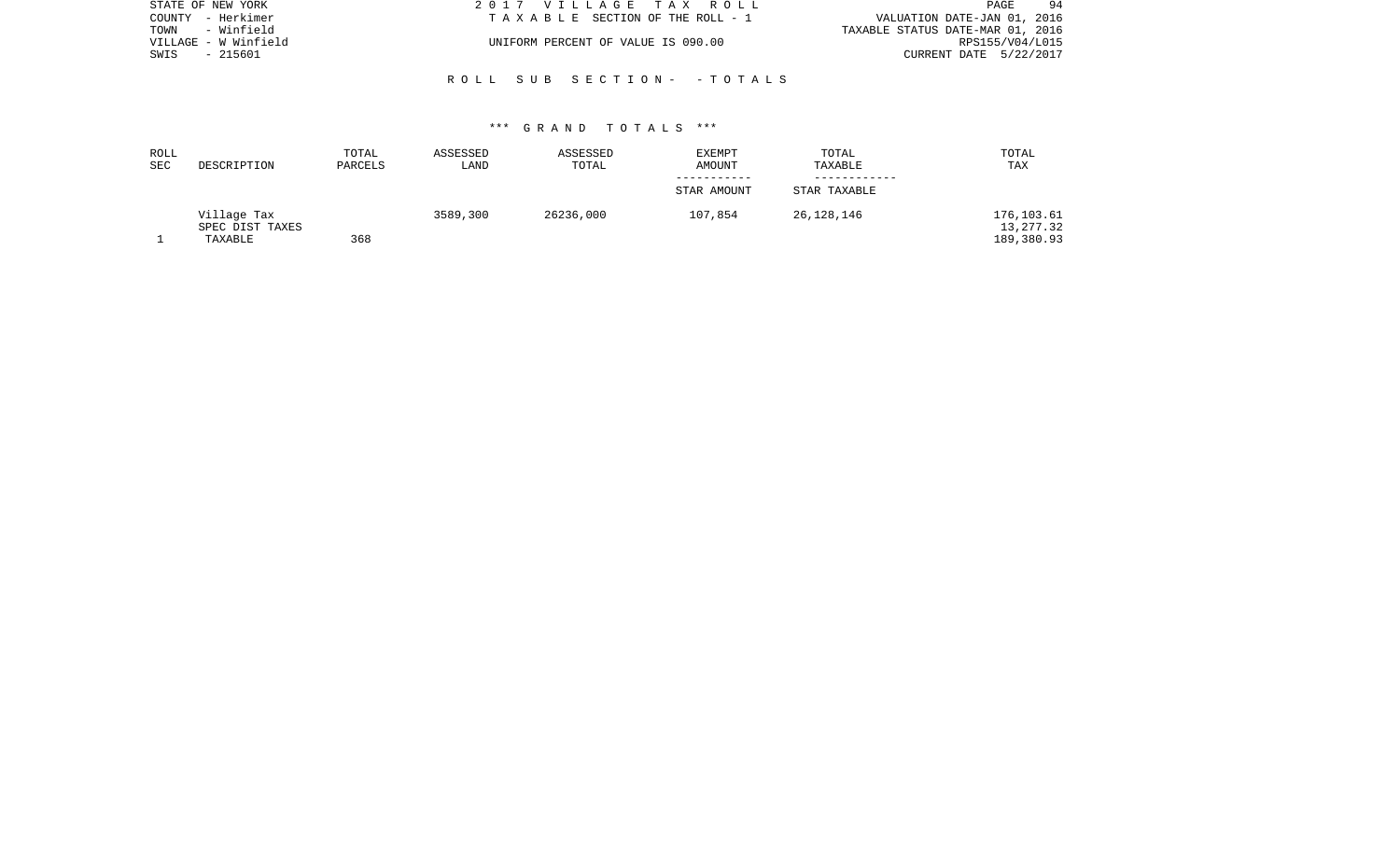| STATE OF NEW YORK    | 2017 VILLAGE TAX ROLL              | 94<br>PAGE                       |
|----------------------|------------------------------------|----------------------------------|
| COUNTY - Herkimer    | TAXABLE SECTION OF THE ROLL - 1    | VALUATION DATE-JAN 01, 2016      |
| TOWN - Winfield      |                                    | TAXABLE STATUS DATE-MAR 01, 2016 |
| VILLAGE - W Winfield | UNIFORM PERCENT OF VALUE IS 090.00 | RPS155/V04/L015                  |
| SWIS<br>- 215601     |                                    | CURRENT DATE 5/22/2017           |
|                      |                                    |                                  |

R O L L S U B S E C T I O N - - T O T A L S

| ROLL |                                           | TOTAL   | ASSESSED | ASSESSED  | EXEMPT      | TOTAL        | TOTAL                                  |
|------|-------------------------------------------|---------|----------|-----------|-------------|--------------|----------------------------------------|
| SEC  | DESCRIPTION                               | PARCELS | LAND     | TOTAL     | AMOUNT      | TAXABLE      | TAX                                    |
|      |                                           |         |          |           | STAR AMOUNT | STAR TAXABLE |                                        |
|      | Village Tax<br>SPEC DIST TAXES<br>TAXABLE | 368     | 3589,300 | 26236,000 | 107,854     | 26,128,146   | 176,103.61<br>13, 277.32<br>189,380.93 |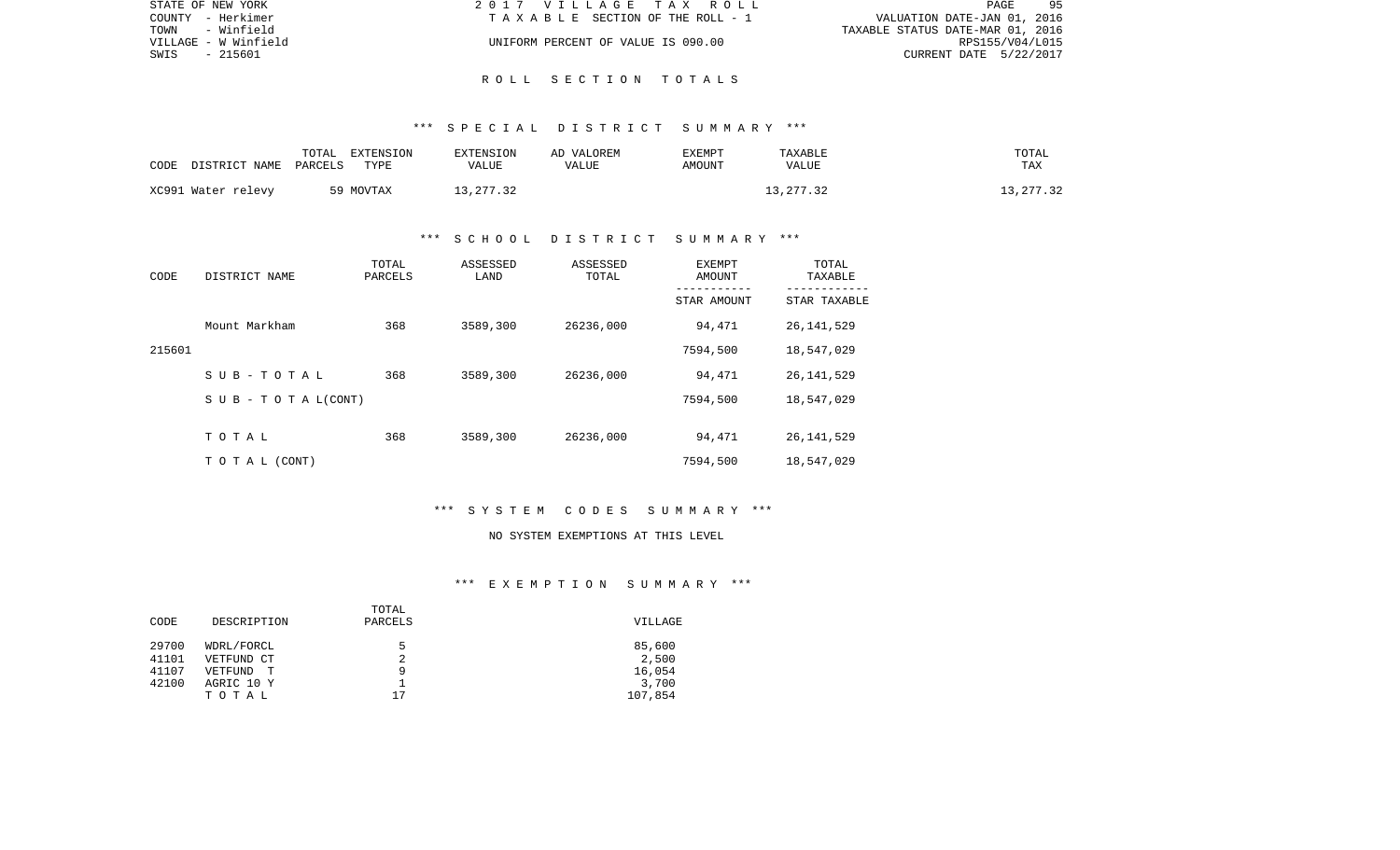| STATE OF NEW YORK    | 2017 VILLAGE TAX ROLL              | 95<br>PAGE                       |
|----------------------|------------------------------------|----------------------------------|
| COUNTY - Herkimer    | TAXABLE SECTION OF THE ROLL - 1    | VALUATION DATE-JAN 01, 2016      |
| TOWN - Winfield      |                                    | TAXABLE STATUS DATE-MAR 01, 2016 |
| VILLAGE - W Winfield | UNIFORM PERCENT OF VALUE IS 090.00 | RPS155/V04/L015                  |
| SWIS<br>- 215601     |                                    | CURRENT DATE 5/22/2017           |
|                      |                                    |                                  |

### R O L L S E C T I O N T O T A L S

### \*\*\* S P E C I A L D I S T R I C T S U M M A R Y \*\*\*

| CODE | DISTRICT NAME      | TOTAL<br>PARCELS | EXTENSION<br>TYPE | EXTENSION<br>VALUE | AD VALOREM<br>VALUE | EXEMPT<br>AMOUNT | TAXABLE<br>VALUE | TOTAL<br>TAX |
|------|--------------------|------------------|-------------------|--------------------|---------------------|------------------|------------------|--------------|
|      | XC991 Water relevy |                  | 59 MOVTAX         | 13,277.32          |                     |                  | 13, 277.32       | 13,277.32    |

## \*\*\* S C H O O L D I S T R I C T S U M M A R Y \*\*\*

| CODE   | DISTRICT NAME                    | TOTAL<br>PARCELS | ASSESSED<br>LAND | ASSESSED<br>TOTAL | EXEMPT<br>AMOUNT<br>---------- | TOTAL<br>TAXABLE |
|--------|----------------------------------|------------------|------------------|-------------------|--------------------------------|------------------|
|        |                                  |                  |                  |                   | STAR AMOUNT                    | STAR TAXABLE     |
|        | Mount Markham                    | 368              | 3589,300         | 26236,000         | 94,471                         | 26, 141, 529     |
| 215601 |                                  |                  |                  |                   | 7594,500                       | 18,547,029       |
|        | SUB-TOTAL                        | 368              | 3589,300         | 26236,000         | 94,471                         | 26, 141, 529     |
|        | $S \cup B - T \cup T A L (CONT)$ |                  |                  |                   | 7594,500                       | 18,547,029       |
|        |                                  |                  |                  |                   |                                |                  |
|        | TOTAL                            | 368              | 3589,300         | 26236,000         | 94,471                         | 26, 141, 529     |
|        | TO TAL (CONT)                    |                  |                  |                   | 7594,500                       | 18,547,029       |

## \*\*\* S Y S T E M C O D E S S U M M A R Y \*\*\*

#### NO SYSTEM EXEMPTIONS AT THIS LEVEL

|       |                     | TOTAL   |         |
|-------|---------------------|---------|---------|
| CODE  | DESCRIPTION         | PARCELS | VILLAGE |
|       |                     |         |         |
| 29700 | WDRL/FORCL          | 5       | 85,600  |
| 41101 | VETFUND CT          |         | 2,500   |
| 41107 | VETFUND<br><u>т</u> | q       | 16,054  |
| 42100 | AGRIC 10 Y          |         | 3,700   |
|       | TOTAL               | 17      | 107,854 |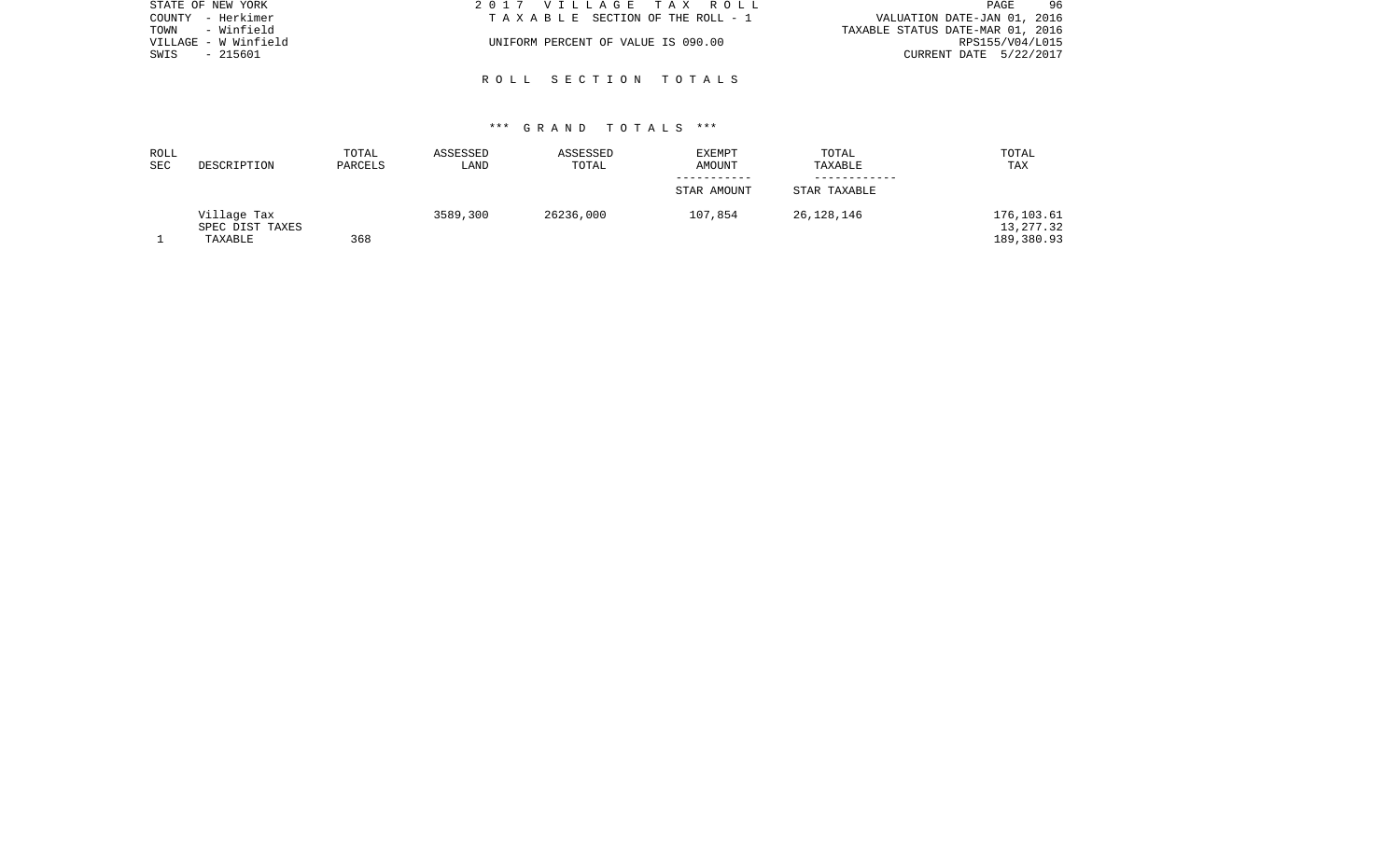| STATE OF NEW YORK    | 2017 VILLAGE TAX ROLL              | 96<br>PAGE                       |
|----------------------|------------------------------------|----------------------------------|
| COUNTY - Herkimer    | TAXABLE SECTION OF THE ROLL - 1    | VALUATION DATE-JAN 01, 2016      |
| - Winfield<br>TOWN   |                                    | TAXABLE STATUS DATE-MAR 01, 2016 |
| VILLAGE - W Winfield | UNIFORM PERCENT OF VALUE IS 090.00 | RPS155/V04/L015                  |
| SWIS<br>- 215601     |                                    | CURRENT DATE 5/22/2017           |
|                      |                                    |                                  |

R O L L S E C T I O N T O T A L S

| ROLL |                 | TOTAL   | ASSESSED | ASSESSED  | <b>EXEMPT</b> | TOTAL        | TOTAL      |
|------|-----------------|---------|----------|-----------|---------------|--------------|------------|
| SEC  | DESCRIPTION     | PARCELS | LAND     | TOTAL     | AMOUNT        | TAXABLE      | TAX        |
|      |                 |         |          |           |               |              |            |
|      |                 |         |          |           | STAR AMOUNT   | STAR TAXABLE |            |
|      | Village Tax     |         | 3589,300 | 26236,000 | 107,854       | 26,128,146   | 176,103.61 |
|      | SPEC DIST TAXES |         |          |           |               |              | 13, 277.32 |
|      | TAXABLE         | 368     |          |           |               |              | 189,380.93 |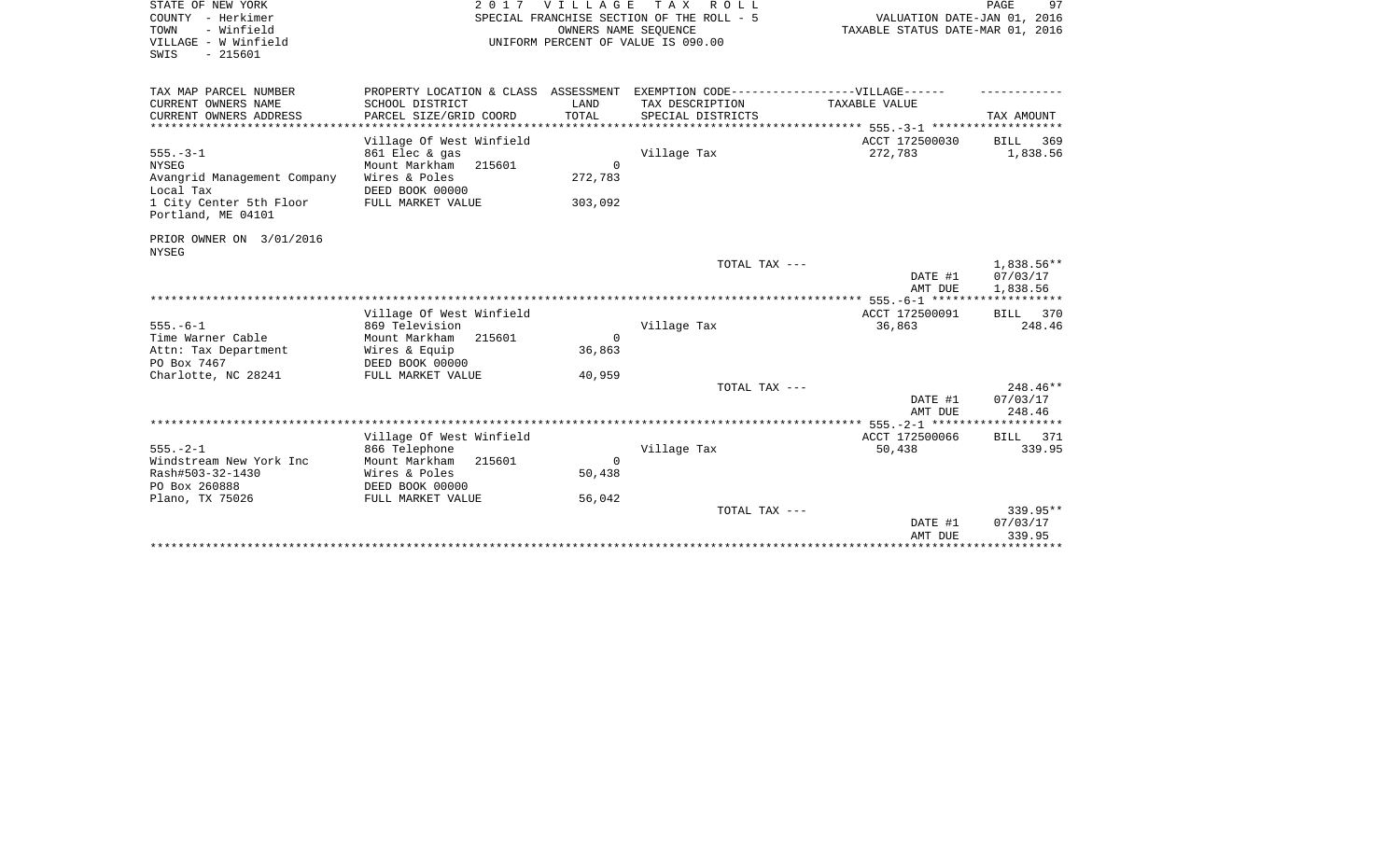| STATE OF NEW YORK<br>COUNTY - Herkimer<br>- Winfield<br>TOWN<br>VILLAGE - W Winfield<br>SWIS<br>$-215601$ | 2017 VILLAGE<br>SPECIAL FRANCHISE SECTION OF THE ROLL - 5<br>UNIFORM PERCENT OF VALUE IS 090.00 | PAGE<br>97<br>VALUATION DATE-JAN 01, 2016<br>TAXABLE STATUS DATE-MAR 01, 2016 |                                               |                           |                         |
|-----------------------------------------------------------------------------------------------------------|-------------------------------------------------------------------------------------------------|-------------------------------------------------------------------------------|-----------------------------------------------|---------------------------|-------------------------|
| TAX MAP PARCEL NUMBER                                                                                     | PROPERTY LOCATION & CLASS ASSESSMENT                                                            |                                                                               | EXEMPTION CODE------------------VILLAGE------ |                           |                         |
| CURRENT OWNERS NAME                                                                                       | SCHOOL DISTRICT                                                                                 | LAND                                                                          | TAX DESCRIPTION                               | TAXABLE VALUE             |                         |
| CURRENT OWNERS ADDRESS                                                                                    | PARCEL SIZE/GRID COORD                                                                          | TOTAL                                                                         | SPECIAL DISTRICTS                             |                           | TAX AMOUNT              |
| **************************                                                                                |                                                                                                 |                                                                               |                                               |                           |                         |
| $555. - 3 - 1$                                                                                            | Village Of West Winfield<br>861 Elec & gas                                                      |                                                                               | Village Tax                                   | ACCT 172500030<br>272,783 | 369<br>BILL<br>1,838.56 |
| <b>NYSEG</b>                                                                                              | Mount Markham<br>215601                                                                         | $\Omega$                                                                      |                                               |                           |                         |
| Avangrid Management Company                                                                               | Wires & Poles                                                                                   | 272,783                                                                       |                                               |                           |                         |
| Local Tax                                                                                                 | DEED BOOK 00000                                                                                 |                                                                               |                                               |                           |                         |
| 1 City Center 5th Floor<br>Portland, ME 04101                                                             | FULL MARKET VALUE                                                                               | 303,092                                                                       |                                               |                           |                         |
| PRIOR OWNER ON 3/01/2016<br><b>NYSEG</b>                                                                  |                                                                                                 |                                                                               |                                               |                           |                         |
|                                                                                                           |                                                                                                 |                                                                               | TOTAL TAX ---                                 |                           | 1,838.56**              |
|                                                                                                           |                                                                                                 |                                                                               |                                               | DATE #1                   | 07/03/17                |
|                                                                                                           |                                                                                                 |                                                                               |                                               | AMT DUE                   | 1,838.56                |
|                                                                                                           | Village Of West Winfield                                                                        |                                                                               |                                               | ACCT 172500091            | 370<br>BILL             |
| $555. - 6 - 1$                                                                                            | 869 Television                                                                                  |                                                                               | Village Tax                                   | 36,863                    | 248.46                  |
| Time Warner Cable                                                                                         | Mount Markham<br>215601                                                                         | $\Omega$                                                                      |                                               |                           |                         |
| Attn: Tax Department                                                                                      | Wires & Equip                                                                                   | 36,863                                                                        |                                               |                           |                         |
| PO Box 7467                                                                                               | DEED BOOK 00000                                                                                 |                                                                               |                                               |                           |                         |
| Charlotte, NC 28241                                                                                       | FULL MARKET VALUE                                                                               | 40,959                                                                        |                                               |                           | $248.46**$              |
|                                                                                                           |                                                                                                 |                                                                               | TOTAL TAX ---                                 | DATE #1<br>AMT DUE        | 07/03/17<br>248.46      |
|                                                                                                           |                                                                                                 |                                                                               |                                               |                           |                         |
|                                                                                                           | Village Of West Winfield                                                                        |                                                                               |                                               | ACCT 172500066            | BILL 371                |
| $555. - 2 - 1$                                                                                            | 866 Telephone                                                                                   |                                                                               | Village Tax                                   | 50,438                    | 339.95                  |
| Windstream New York Inc                                                                                   | Mount Markham<br>215601                                                                         | $\Omega$                                                                      |                                               |                           |                         |
| Rash#503-32-1430                                                                                          | Wires & Poles                                                                                   | 50,438                                                                        |                                               |                           |                         |
| PO Box 260888                                                                                             | DEED BOOK 00000                                                                                 |                                                                               |                                               |                           |                         |
| Plano, TX 75026                                                                                           | FULL MARKET VALUE                                                                               | 56,042                                                                        |                                               |                           |                         |
|                                                                                                           |                                                                                                 |                                                                               | TOTAL TAX ---                                 | DATE #1                   | 339.95**<br>07/03/17    |
|                                                                                                           |                                                                                                 |                                                                               |                                               | AMT DUE                   | 339.95                  |
|                                                                                                           |                                                                                                 |                                                                               |                                               |                           | ************            |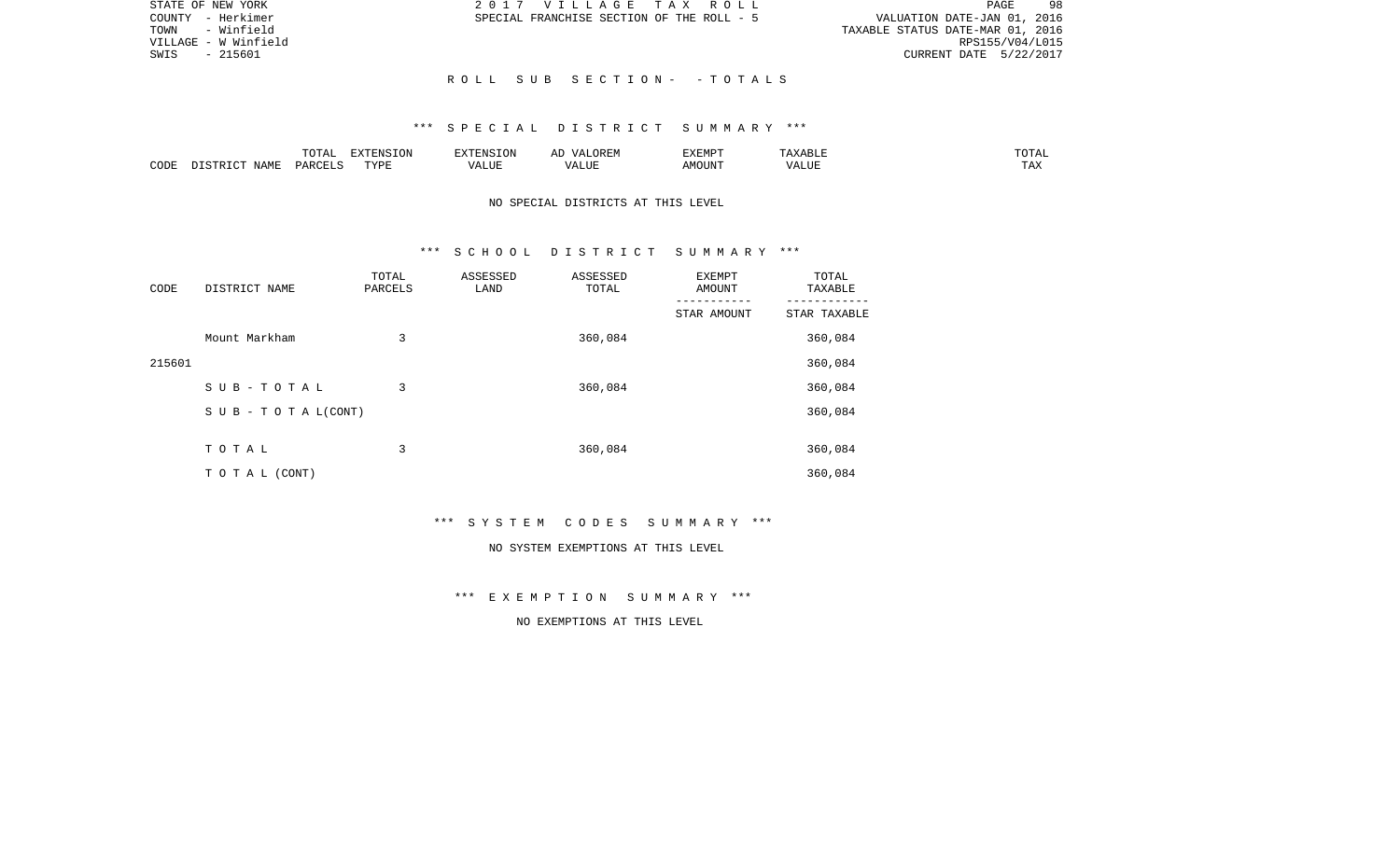| STATE OF NEW YORK    | 2017 VILLAGE TAX ROLL                     | 98<br>PAGE                       |
|----------------------|-------------------------------------------|----------------------------------|
| COUNTY - Herkimer    | SPECIAL FRANCHISE SECTION OF THE ROLL - 5 | VALUATION DATE-JAN 01, 2016      |
| TOWN - Winfield      |                                           | TAXABLE STATUS DATE-MAR 01, 2016 |
| VILLAGE - W Winfield |                                           | RPS155/V04/L015                  |
| - 215601<br>SWIS     |                                           | CURRENT DATE 5/22/2017           |
|                      |                                           |                                  |
|                      | ROLL SUB SECTION- -TOTALS                 |                                  |

### \*\*\* S P E C I A L D I S T R I C T S U M M A R Y \*\*\*

|      |                            | .∪⊥⊓⊥         | $\blacksquare$<br>11 L<br>LUIN |               |            | EXEMPT       | ABL.                  | $m \wedge m$<br>. |
|------|----------------------------|---------------|--------------------------------|---------------|------------|--------------|-----------------------|-------------------|
| CODE | <b>ABST</b><br>. .<br>NAMP | <b>DARCFT</b> | TVDT                           | $\mathcal{L}$ | ,,,<br>שחד | OUN".<br>۱M۲ | $- - - - - -$<br>ALUI | $- - -$<br>. Ал   |

## NO SPECIAL DISTRICTS AT THIS LEVEL

#### \*\*\* S C H O O L D I S T R I C T S U M M A R Y \*\*\*

| CODE   | DISTRICT NAME                    | TOTAL<br>PARCELS | ASSESSED<br>LAND | ASSESSED<br>TOTAL | EXEMPT<br>AMOUNT | TOTAL<br>TAXABLE |
|--------|----------------------------------|------------------|------------------|-------------------|------------------|------------------|
|        |                                  |                  |                  |                   | STAR AMOUNT      | STAR TAXABLE     |
|        | Mount Markham                    | 3                |                  | 360,084           |                  | 360,084          |
| 215601 |                                  |                  |                  |                   |                  | 360,084          |
|        | SUB-TOTAL                        | 3                |                  | 360,084           |                  | 360,084          |
|        | $S \cup B - T \cup T A L (CONT)$ |                  |                  |                   |                  | 360,084          |
|        |                                  |                  |                  |                   |                  |                  |
|        | TOTAL                            | 3                |                  | 360,084           |                  | 360,084          |
|        | T O T A L (CONT)                 |                  |                  |                   |                  | 360,084          |

\*\*\* S Y S T E M C O D E S S U M M A R Y \*\*\*

#### NO SYSTEM EXEMPTIONS AT THIS LEVEL

\*\*\* E X E M P T I O N S U M M A R Y \*\*\*

NO EXEMPTIONS AT THIS LEVEL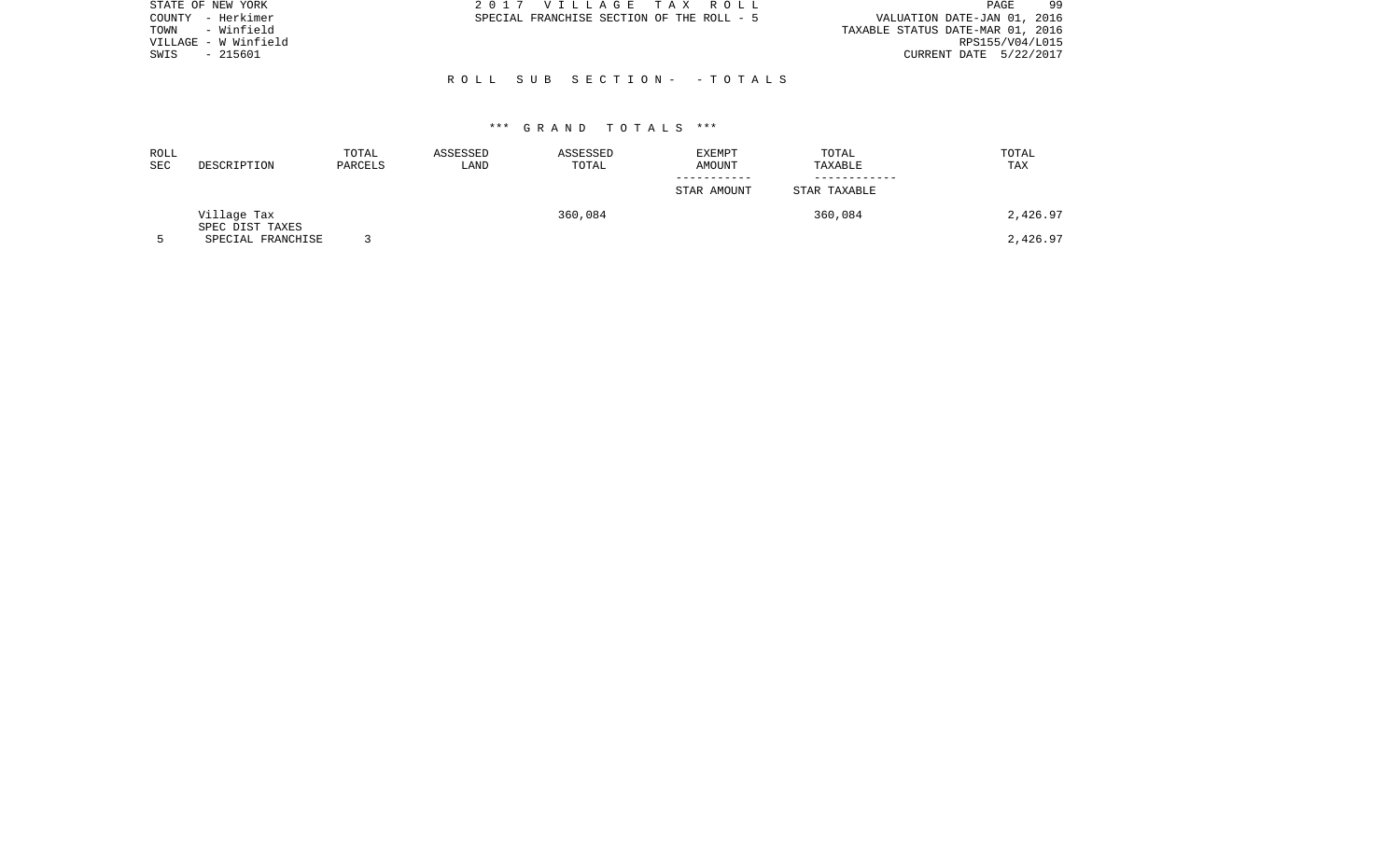| STATE OF NEW YORK    | 2017 VILLAGE TAX ROLL                     | 99<br>PAGE                       |
|----------------------|-------------------------------------------|----------------------------------|
| - Herkimer<br>COUNTY | SPECIAL FRANCHISE SECTION OF THE ROLL - 5 | VALUATION DATE-JAN 01, 2016      |
| - Winfield<br>TOWN   |                                           | TAXABLE STATUS DATE-MAR 01, 2016 |
| VILLAGE - W Winfield |                                           | RPS155/V04/L015                  |
| $-215601$<br>SWIS    |                                           | CURRENT DATE 5/22/2017           |
|                      |                                           |                                  |
|                      | ROLL SUB SECTION- -TOTALS                 |                                  |
|                      |                                           |                                  |

| ROLL<br>SEC | DESCRIPTION                          | TOTAL<br>PARCELS | ASSESSED<br>LAND | ASSESSED<br>TOTAL | <b>EXEMPT</b><br>AMOUNT | TOTAL<br>TAXABLE | TOTAL<br>TAX |
|-------------|--------------------------------------|------------------|------------------|-------------------|-------------------------|------------------|--------------|
|             |                                      |                  |                  |                   |                         |                  |              |
|             |                                      |                  |                  |                   | STAR AMOUNT             | STAR TAXABLE     |              |
|             | Village Tax                          |                  |                  | 360,084           |                         | 360,084          | 2,426.97     |
|             | SPEC DIST TAXES<br>SPECIAL FRANCHISE |                  |                  |                   |                         |                  | 2,426.97     |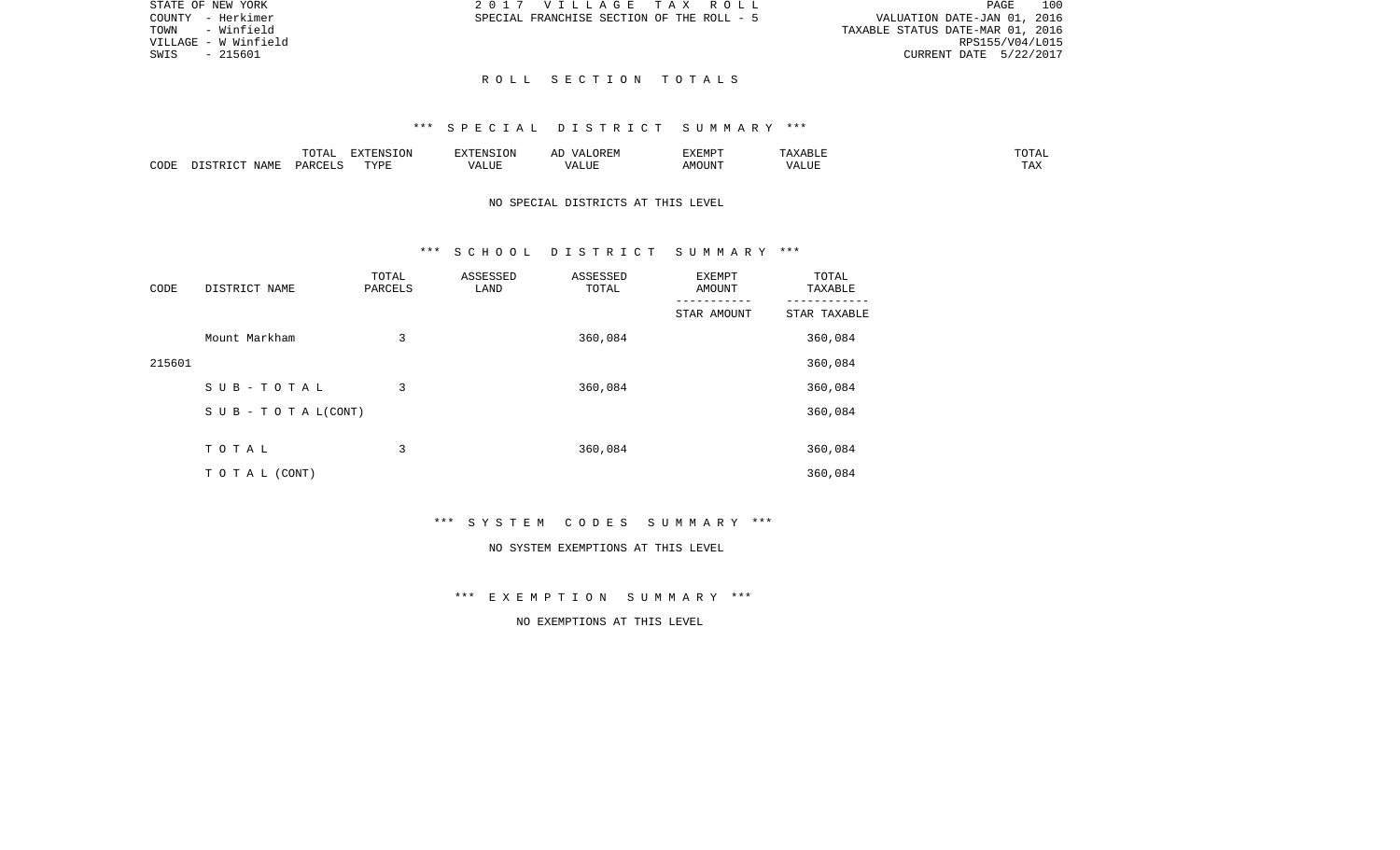| TAX ROLL        |  |                                  |                             | PAGE 100 |
|-----------------|--|----------------------------------|-----------------------------|----------|
| )F THE ROLL - 5 |  |                                  | VALUATION DATE-JAN 01, 2016 |          |
|                 |  | TAXABLE STATUS DATE-MAR 01, 2016 |                             |          |
|                 |  |                                  | RPS155/V04/L015             |          |
|                 |  |                                  | CURRENT DATE 5/22/2017      |          |

STATE OF NEW YORK  $2017 \quad VI L L A G E T$ COUNTY - Herkimer SPECIAL FRANCHISE SECTION OF THE ROLL OF THE ROLL OF THE ROLL OF THE ROLL OF THE ROLL OF THE ROLL OF THE ROLL OF THE ROLL OF THE ROLL OF THE ROLL OF THE ROLL OF THE ROLL OF THE ROLL OF THE ROLL OF THE ROL TOWN - Winfield VILLAGE - W Winfield  $SWIS$  - 215601

#### R O L L S E C T I O N T O T A L S

#### \*\*\* S P E C I A L D I S T R I C T S U M M A R Y \*\*\*

|      |       | $\sim$ $\sim$ $\sim$ $\sim$<br>$\cdot$<br>- ∪ + ד | EXTENSION  | 17370707 | OREM<br>$\sqrt{4}$                 | <b>EXEMPT</b> |                   | $T \cap T \cap T$<br>TOTAL |
|------|-------|---------------------------------------------------|------------|----------|------------------------------------|---------------|-------------------|----------------------------|
| CODE | ΝТ∆МЋ | $\cap$ T T $\vdash$<br>DAD <sub>(</sub>           | TVDF<br>ᆂᆍ | ALUF     | <b>TTT</b><br>$\sqrt{ }$<br>- בשני | MOUN'1        | $T$ $TT$<br>'ALUı | <b>TIRES</b><br>⊥ A∆       |

## NO SPECIAL DISTRICTS AT THIS LEVEL

#### \*\*\* S C H O O L D I S T R I C T S U M M A R Y \*\*\*

| CODE   | DISTRICT NAME      | TOTAL<br>PARCELS | ASSESSED<br>LAND | ASSESSED<br>TOTAL | EXEMPT<br>AMOUNT | TOTAL<br>TAXABLE |
|--------|--------------------|------------------|------------------|-------------------|------------------|------------------|
|        |                    |                  |                  |                   | STAR AMOUNT      | STAR TAXABLE     |
|        | Mount Markham      | 3                |                  | 360,084           |                  | 360,084          |
| 215601 |                    |                  |                  |                   |                  | 360,084          |
|        | SUB-TOTAL          | 3                |                  | 360,084           |                  | 360,084          |
|        | SUB - TO TAL(CONT) |                  |                  |                   |                  | 360,084          |
|        | TOTAL              | 3                |                  |                   |                  |                  |
|        |                    |                  |                  | 360,084           |                  | 360,084          |
|        | TO TAL (CONT)      |                  |                  |                   |                  | 360,084          |

\*\*\* S Y S T E M C O D E S S U M M A R Y \*\*\*

#### NO SYSTEM EXEMPTIONS AT THIS LEVEL

\*\*\* E X E M P T I O N S U M M A R Y \*\*\*

NO EXEMPTIONS AT THIS LEVEL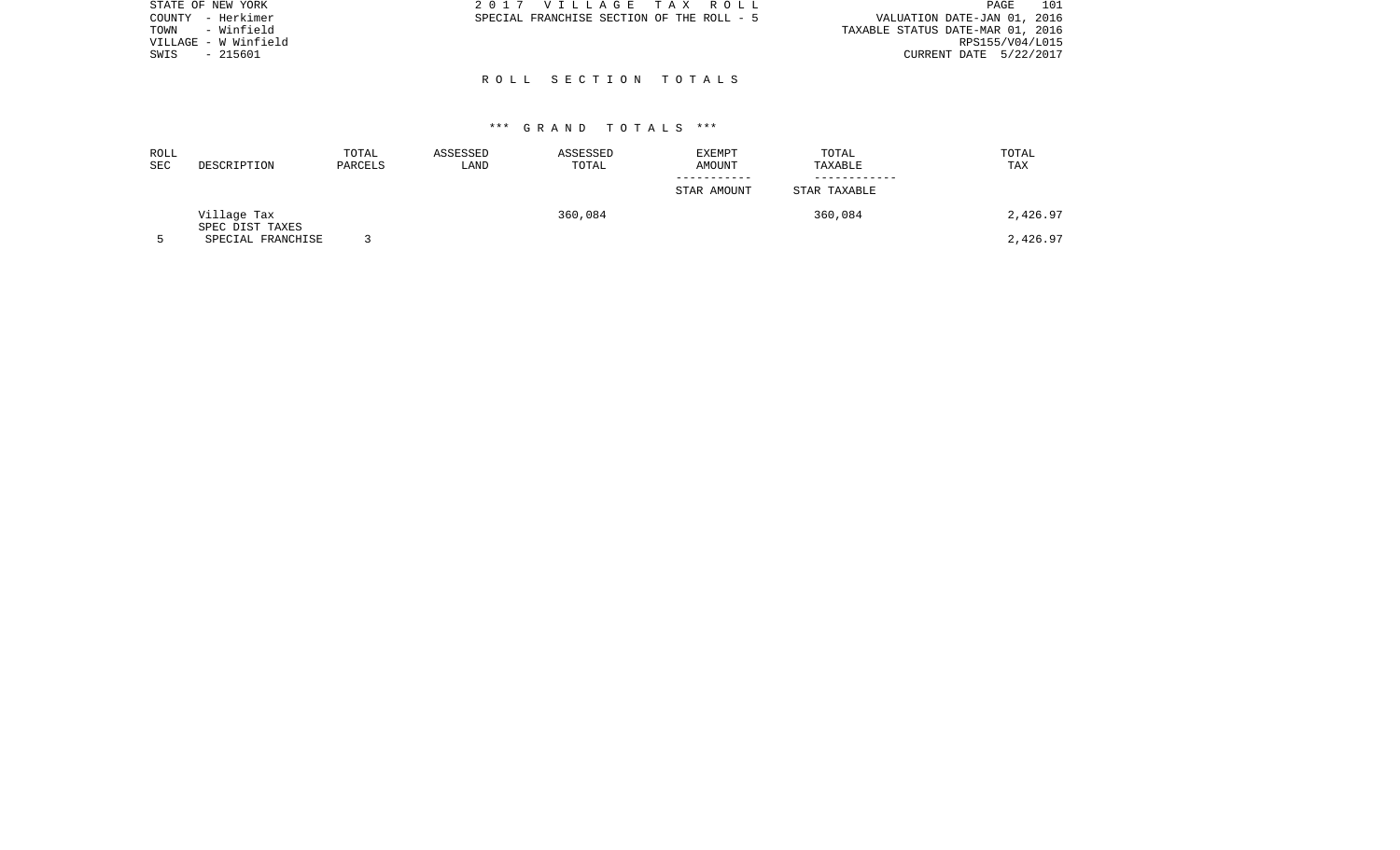| STATE OF NEW YORK    | 2017 VILLAGE TAX ROLL                     | 101<br>PAGE                      |
|----------------------|-------------------------------------------|----------------------------------|
| COUNTY - Herkimer    | SPECIAL FRANCHISE SECTION OF THE ROLL - 5 | VALUATION DATE-JAN 01, 2016      |
| - Winfield<br>TOWN   |                                           | TAXABLE STATUS DATE-MAR 01, 2016 |
| VILLAGE - W Winfield |                                           | RPS155/V04/L015                  |
| - 215601<br>SWIS     |                                           | CURRENT DATE 5/22/2017           |
|                      |                                           |                                  |
|                      | ROLL SECTION TOTALS                       |                                  |

| ROLL<br>SEC | DESCRIPTION                          | TOTAL<br>PARCELS | ASSESSED<br>LAND | ASSESSED<br>TOTAL | EXEMPT<br>AMOUNT | TOTAL<br>TAXABLE | TOTAL<br>TAX |
|-------------|--------------------------------------|------------------|------------------|-------------------|------------------|------------------|--------------|
|             |                                      |                  |                  |                   |                  |                  |              |
|             |                                      |                  |                  |                   | STAR AMOUNT      | STAR TAXABLE     |              |
|             | Village Tax                          |                  |                  | 360,084           |                  | 360,084          | 2,426.97     |
|             | SPEC DIST TAXES<br>SPECIAL FRANCHISE |                  |                  |                   |                  |                  | 2,426.97     |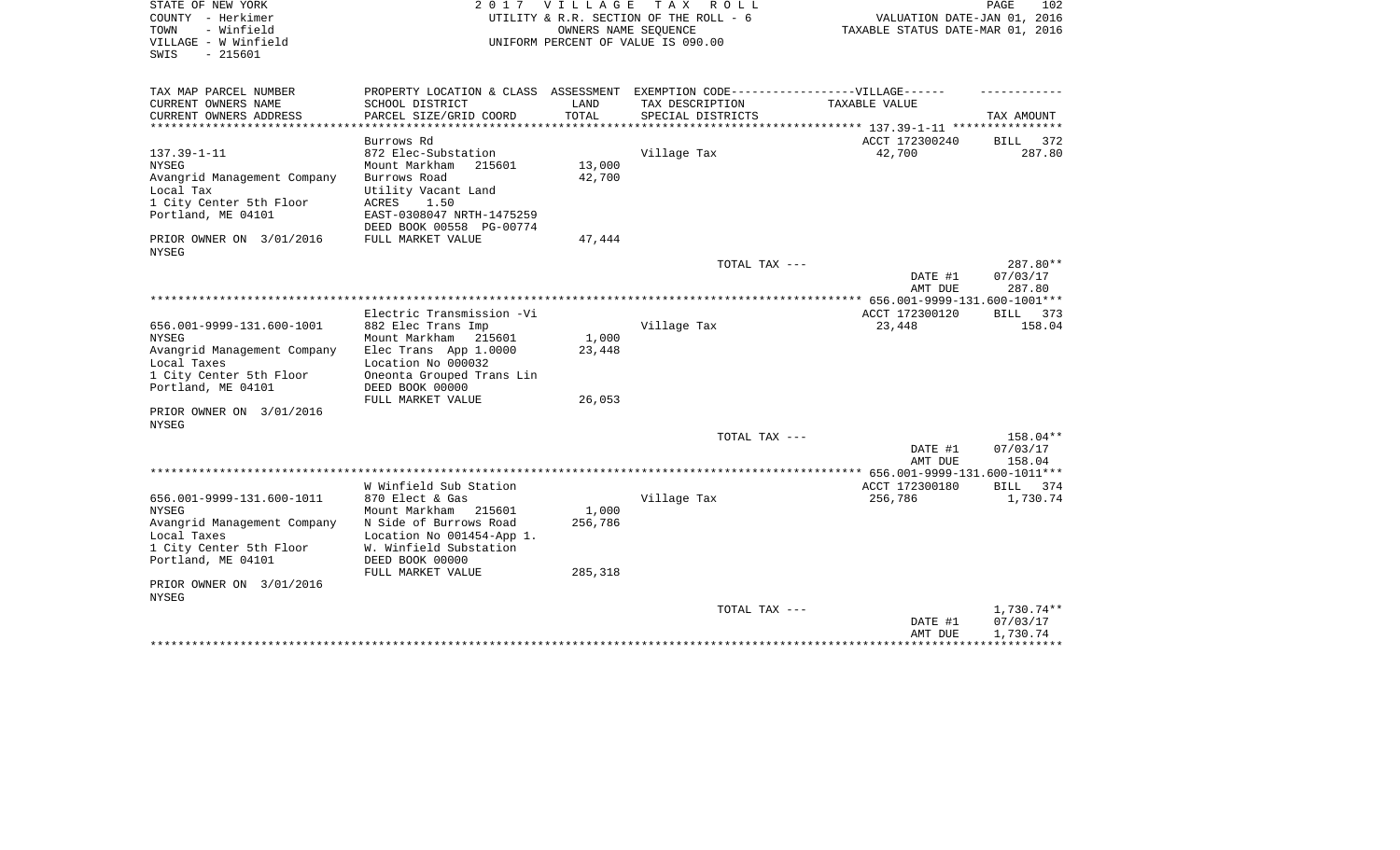| STATE OF NEW YORK                       | 2017                                                                              | V I L L A G E | T A X<br>R O L L                                               |                                                                 | 102<br>PAGE           |
|-----------------------------------------|-----------------------------------------------------------------------------------|---------------|----------------------------------------------------------------|-----------------------------------------------------------------|-----------------------|
| COUNTY - Herkimer<br>- Winfield<br>TOWN |                                                                                   |               | UTILITY & R.R. SECTION OF THE ROLL - 6<br>OWNERS NAME SEOUENCE | VALUATION DATE-JAN 01, 2016<br>TAXABLE STATUS DATE-MAR 01, 2016 |                       |
| VILLAGE - W Winfield                    |                                                                                   |               | UNIFORM PERCENT OF VALUE IS 090.00                             |                                                                 |                       |
| $-215601$<br>SWIS                       |                                                                                   |               |                                                                |                                                                 |                       |
|                                         |                                                                                   |               |                                                                |                                                                 |                       |
|                                         |                                                                                   |               |                                                                |                                                                 |                       |
| TAX MAP PARCEL NUMBER                   | PROPERTY LOCATION & CLASS ASSESSMENT EXEMPTION CODE-----------------VILLAGE------ |               |                                                                |                                                                 |                       |
| CURRENT OWNERS NAME                     | SCHOOL DISTRICT                                                                   | LAND          | TAX DESCRIPTION                                                | TAXABLE VALUE                                                   |                       |
| CURRENT OWNERS ADDRESS                  | PARCEL SIZE/GRID COORD                                                            | TOTAL         | SPECIAL DISTRICTS                                              |                                                                 | TAX AMOUNT            |
|                                         |                                                                                   |               |                                                                | ACCT 172300240                                                  |                       |
| $137.39 - 1 - 11$                       | Burrows Rd<br>872 Elec-Substation                                                 |               | Village Tax                                                    | 42,700                                                          | BILL<br>372<br>287.80 |
| <b>NYSEG</b>                            | Mount Markham<br>215601                                                           | 13,000        |                                                                |                                                                 |                       |
| Avangrid Management Company             | Burrows Road                                                                      | 42,700        |                                                                |                                                                 |                       |
| Local Tax                               | Utility Vacant Land                                                               |               |                                                                |                                                                 |                       |
| 1 City Center 5th Floor                 | ACRES<br>1.50                                                                     |               |                                                                |                                                                 |                       |
| Portland, ME 04101                      | EAST-0308047 NRTH-1475259                                                         |               |                                                                |                                                                 |                       |
|                                         | DEED BOOK 00558 PG-00774                                                          |               |                                                                |                                                                 |                       |
| PRIOR OWNER ON 3/01/2016                | FULL MARKET VALUE                                                                 | 47,444        |                                                                |                                                                 |                       |
| <b>NYSEG</b>                            |                                                                                   |               |                                                                |                                                                 |                       |
|                                         |                                                                                   |               | TOTAL TAX ---                                                  |                                                                 | 287.80**              |
|                                         |                                                                                   |               |                                                                | DATE #1                                                         | 07/03/17              |
|                                         |                                                                                   |               |                                                                | AMT DUE<br>*********** 656.001-9999-131.600-1001***             | 287.80                |
|                                         | Electric Transmission -Vi                                                         |               |                                                                | ACCT 172300120                                                  | BILL 373              |
| 656.001-9999-131.600-1001               | 882 Elec Trans Imp                                                                |               | Village Tax                                                    | 23,448                                                          | 158.04                |
| <b>NYSEG</b>                            | Mount Markham<br>215601                                                           | 1,000         |                                                                |                                                                 |                       |
| Avangrid Management Company             | Elec Trans App 1.0000                                                             | 23,448        |                                                                |                                                                 |                       |
| Local Taxes                             | Location No 000032                                                                |               |                                                                |                                                                 |                       |
| 1 City Center 5th Floor                 | Oneonta Grouped Trans Lin                                                         |               |                                                                |                                                                 |                       |
| Portland, ME 04101                      | DEED BOOK 00000                                                                   |               |                                                                |                                                                 |                       |
|                                         | FULL MARKET VALUE                                                                 | 26,053        |                                                                |                                                                 |                       |
| PRIOR OWNER ON 3/01/2016                |                                                                                   |               |                                                                |                                                                 |                       |
| <b>NYSEG</b>                            |                                                                                   |               |                                                                |                                                                 |                       |
|                                         |                                                                                   |               | TOTAL TAX ---                                                  |                                                                 | 158.04**              |
|                                         |                                                                                   |               |                                                                | DATE #1                                                         | 07/03/17              |
|                                         |                                                                                   |               |                                                                | AMT DUE<br>******* 656.001-9999-131.600-1011***                 | 158.04                |
|                                         | W Winfield Sub Station                                                            |               |                                                                | ACCT 172300180                                                  | BILL<br>374           |
| 656.001-9999-131.600-1011               | 870 Elect & Gas                                                                   |               | Village Tax                                                    | 256,786                                                         | 1,730.74              |
| <b>NYSEG</b>                            | Mount Markham<br>215601                                                           | 1,000         |                                                                |                                                                 |                       |
| Avangrid Management Company             | N Side of Burrows Road                                                            | 256,786       |                                                                |                                                                 |                       |
| Local Taxes                             | Location No 001454-App 1.                                                         |               |                                                                |                                                                 |                       |
| 1 City Center 5th Floor                 | W. Winfield Substation                                                            |               |                                                                |                                                                 |                       |
| Portland, ME 04101                      | DEED BOOK 00000                                                                   |               |                                                                |                                                                 |                       |
|                                         | FULL MARKET VALUE                                                                 | 285,318       |                                                                |                                                                 |                       |
| PRIOR OWNER ON 3/01/2016                |                                                                                   |               |                                                                |                                                                 |                       |
| <b>NYSEG</b>                            |                                                                                   |               |                                                                |                                                                 |                       |
|                                         |                                                                                   |               | TOTAL TAX ---                                                  |                                                                 | 1,730.74**            |
|                                         |                                                                                   |               |                                                                | DATE #1                                                         | 07/03/17              |
|                                         |                                                                                   |               |                                                                | AMT DUE                                                         | 1,730.74              |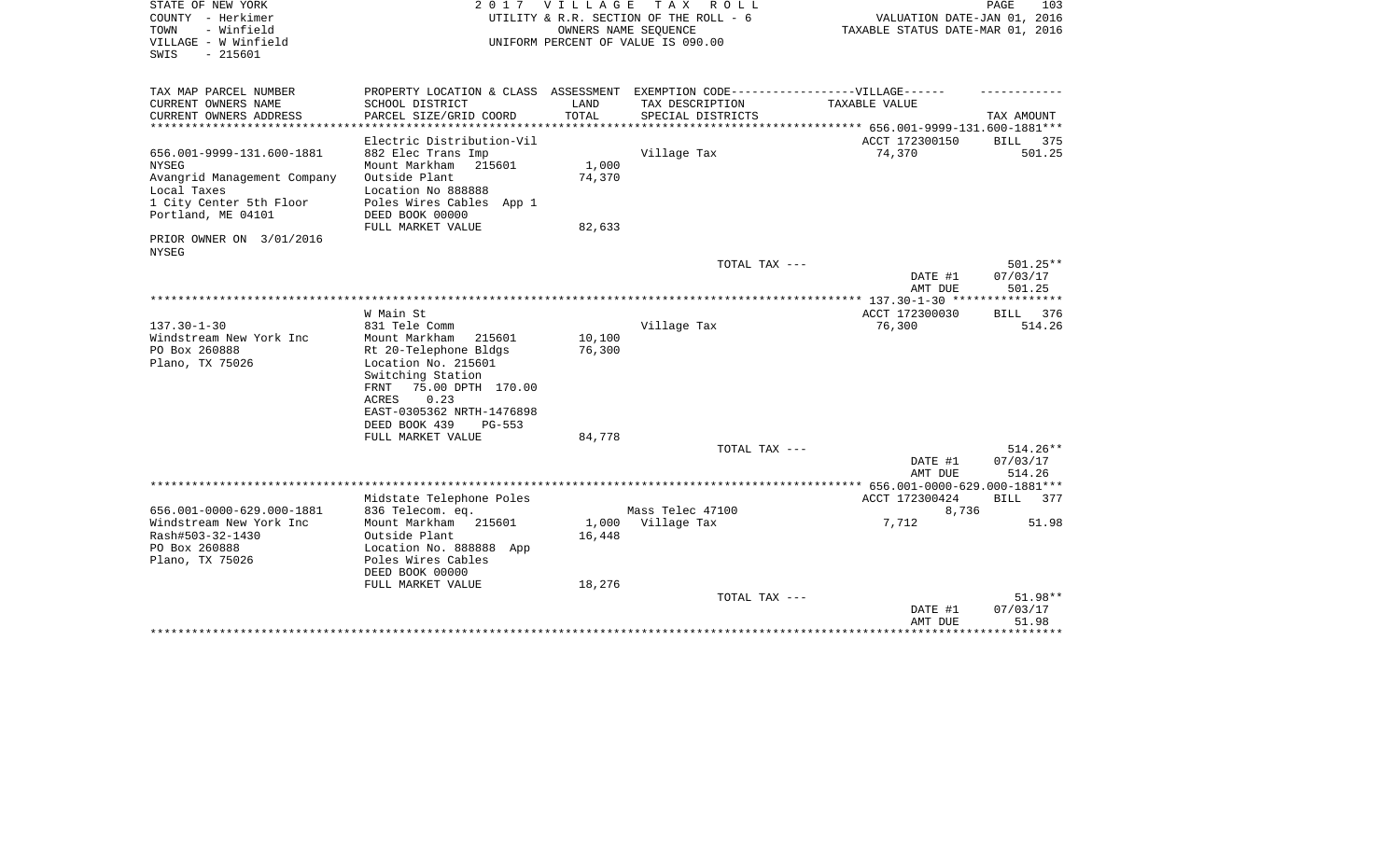| STATE OF NEW YORK<br>COUNTY - Herkimer<br>- Winfield<br>TOWN<br>VILLAGE - W Winfield<br>$-215601$<br>SWIS |                                                                                                                                  | 2017 VILLAGE     | T A X<br>R O L L<br>UTILITY & R.R. SECTION OF THE ROLL - 6<br>OWNERS NAME SEQUENCE<br>UNIFORM PERCENT OF VALUE IS 090.00 | VALUATION DATE-JAN 01, 2016<br>TAXABLE STATUS DATE-MAR 01, 2016 | PAGE<br>103                      |
|-----------------------------------------------------------------------------------------------------------|----------------------------------------------------------------------------------------------------------------------------------|------------------|--------------------------------------------------------------------------------------------------------------------------|-----------------------------------------------------------------|----------------------------------|
| TAX MAP PARCEL NUMBER<br>CURRENT OWNERS NAME                                                              | PROPERTY LOCATION & CLASS ASSESSMENT EXEMPTION CODE-----------------VILLAGE------<br>SCHOOL DISTRICT                             | LAND             | TAX DESCRIPTION                                                                                                          | TAXABLE VALUE                                                   |                                  |
| CURRENT OWNERS ADDRESS                                                                                    | PARCEL SIZE/GRID COORD                                                                                                           | TOTAL            | SPECIAL DISTRICTS                                                                                                        |                                                                 | TAX AMOUNT                       |
| *******************                                                                                       | Electric Distribution-Vil                                                                                                        |                  |                                                                                                                          | ACCT 172300150                                                  | BILL 375                         |
| 656.001-9999-131.600-1881<br><b>NYSEG</b><br>Avangrid Management Company                                  | 882 Elec Trans Imp<br>Mount Markham<br>215601<br>Outside Plant                                                                   | 1,000<br>74,370  | Village Tax                                                                                                              | 74,370                                                          | 501.25                           |
| Local Taxes<br>1 City Center 5th Floor<br>Portland, ME 04101                                              | Location No 888888<br>Poles Wires Cables App 1<br>DEED BOOK 00000<br>FULL MARKET VALUE                                           | 82,633           |                                                                                                                          |                                                                 |                                  |
| PRIOR OWNER ON 3/01/2016<br><b>NYSEG</b>                                                                  |                                                                                                                                  |                  |                                                                                                                          |                                                                 |                                  |
|                                                                                                           |                                                                                                                                  |                  | TOTAL TAX ---                                                                                                            | DATE #1<br>AMT DUE                                              | $501.25**$<br>07/03/17<br>501.25 |
|                                                                                                           |                                                                                                                                  |                  |                                                                                                                          |                                                                 |                                  |
| $137.30 - 1 - 30$<br>Windstream New York Inc<br>PO Box 260888<br>Plano, TX 75026                          | W Main St<br>831 Tele Comm<br>Mount Markham<br>215601<br>Rt 20-Telephone Bldgs<br>Location No. 215601                            | 10,100<br>76,300 | Village Tax                                                                                                              | ACCT 172300030<br>76,300                                        | <b>BILL</b><br>376<br>514.26     |
|                                                                                                           | Switching Station<br>75.00 DPTH 170.00<br>FRNT<br><b>ACRES</b><br>0.23<br>EAST-0305362 NRTH-1476898<br>DEED BOOK 439<br>$PG-553$ |                  |                                                                                                                          |                                                                 |                                  |
|                                                                                                           | FULL MARKET VALUE                                                                                                                | 84,778           | TOTAL TAX ---                                                                                                            |                                                                 | $514.26**$                       |
|                                                                                                           |                                                                                                                                  |                  |                                                                                                                          | DATE #1<br>AMT DUE                                              | 07/03/17<br>514.26               |
|                                                                                                           | Midstate Telephone Poles                                                                                                         |                  |                                                                                                                          | ACCT 172300424                                                  | BILL 377                         |
| 656.001-0000-629.000-1881                                                                                 | 836 Telecom. eq.                                                                                                                 |                  | Mass Telec 47100                                                                                                         | 8,736                                                           |                                  |
| Windstream New York Inc<br>Rash#503-32-1430<br>PO Box 260888<br>Plano, TX 75026                           | Mount Markham 215601<br>Outside Plant<br>Location No. 888888 App<br>Poles Wires Cables<br>DEED BOOK 00000                        | 1,000<br>16,448  | Village Tax                                                                                                              | 7,712                                                           | 51.98                            |
|                                                                                                           | FULL MARKET VALUE                                                                                                                | 18,276           |                                                                                                                          |                                                                 |                                  |
|                                                                                                           |                                                                                                                                  |                  | TOTAL TAX ---                                                                                                            | DATE #1<br>AMT DUE                                              | $51.98**$<br>07/03/17<br>51.98   |
|                                                                                                           |                                                                                                                                  |                  |                                                                                                                          |                                                                 | **********                       |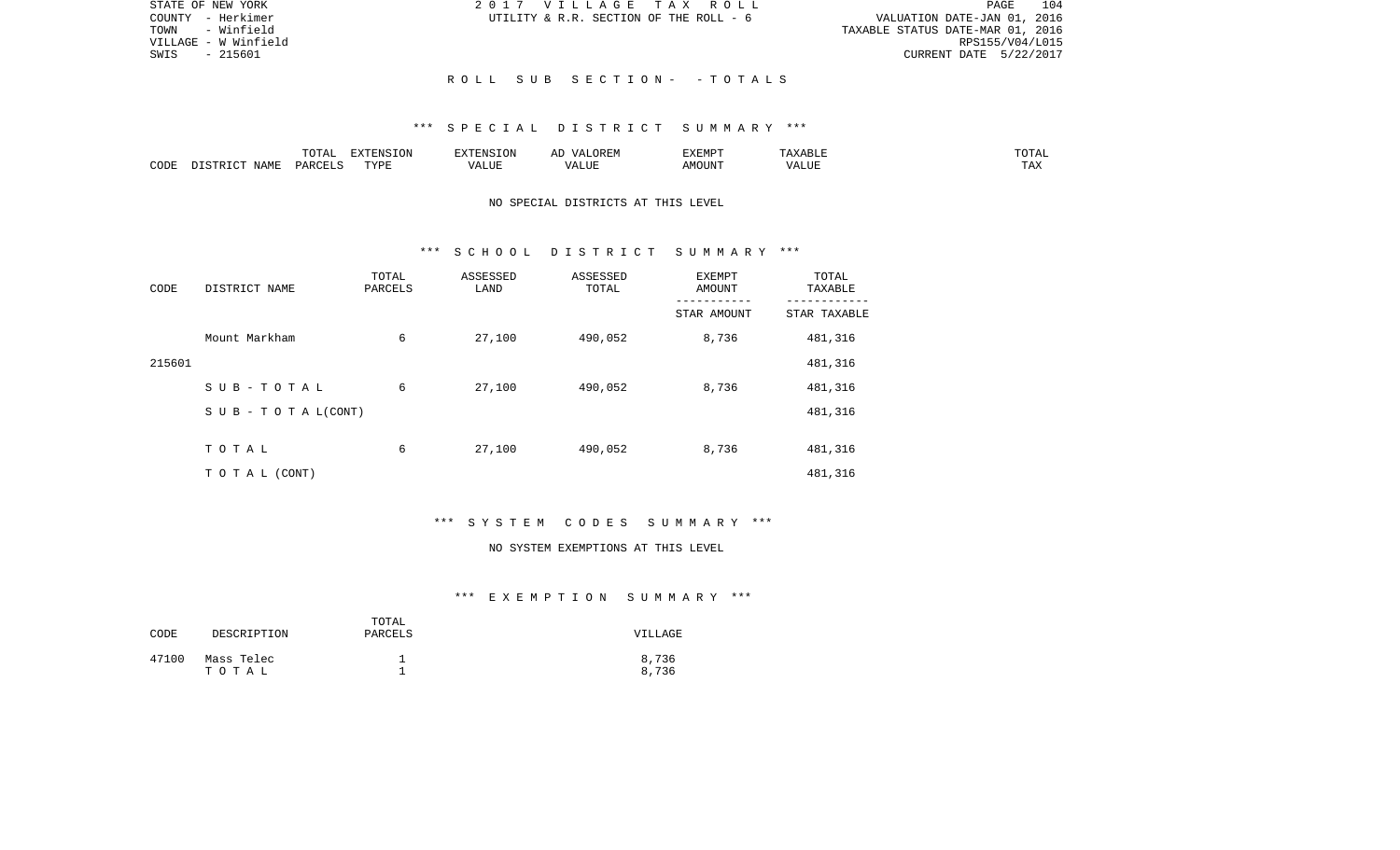| STATE OF NEW YORK    | 2017 VILLAGE TAX ROLL                  | 104<br>PAGE                      |
|----------------------|----------------------------------------|----------------------------------|
| COUNTY - Herkimer    | UTILITY & R.R. SECTION OF THE ROLL - 6 | VALUATION DATE-JAN 01, 2016      |
| TOWN - Winfield      |                                        | TAXABLE STATUS DATE-MAR 01, 2016 |
| VILLAGE - W Winfield |                                        | RPS155/V04/L015                  |
| SWIS<br>- 215601     |                                        | CURRENT DATE 5/22/2017           |
|                      |                                        |                                  |
|                      | ROLL SUB SECTION- - TOTALS             |                                  |

### \*\*\* S P E C I A L D I S T R I C T S U M M A R Y \*\*\*

|      |             |               | $\blacksquare$<br>11 L<br>. ON |     | EXEMPT        | ABL.           | $m \wedge m$<br>$  -$ |
|------|-------------|---------------|--------------------------------|-----|---------------|----------------|-----------------------|
| CODE | NAME<br>. . | <b>DARCET</b> | TVDI                           | ,,, | 'תוזר.<br>∆M∩ | . <del>.</del> | $- - -$<br>.AZ        |

## NO SPECIAL DISTRICTS AT THIS LEVEL

#### \*\*\* S C H O O L D I S T R I C T S U M M A R Y \*\*\*

| CODE   | DISTRICT NAME      | TOTAL<br>PARCELS | ASSESSED<br>LAND | ASSESSED<br>TOTAL | <b>EXEMPT</b><br>AMOUNT | TOTAL<br>TAXABLE |
|--------|--------------------|------------------|------------------|-------------------|-------------------------|------------------|
|        |                    |                  |                  |                   | STAR AMOUNT             | STAR TAXABLE     |
|        | Mount Markham      | 6                | 27,100           | 490,052           | 8,736                   | 481,316          |
| 215601 |                    |                  |                  |                   |                         | 481,316          |
|        | SUB-TOTAL          | 6                | 27,100           | 490,052           | 8,736                   | 481,316          |
|        | SUB - TO TAL(CONT) |                  |                  |                   |                         | 481,316          |
|        |                    |                  |                  |                   |                         |                  |
|        | TOTAL              | 6                | 27,100           | 490,052           | 8,736                   | 481,316          |
|        | T O T A L (CONT)   |                  |                  |                   |                         | 481,316          |

# \*\*\* S Y S T E M C O D E S S U M M A R Y \*\*\*

#### NO SYSTEM EXEMPTIONS AT THIS LEVEL

| CODE  | DESCRIPTION         | TOTAL<br>PARCELS | VILLAGE        |
|-------|---------------------|------------------|----------------|
| 47100 | Mass Telec<br>тотаь |                  | 8,736<br>8,736 |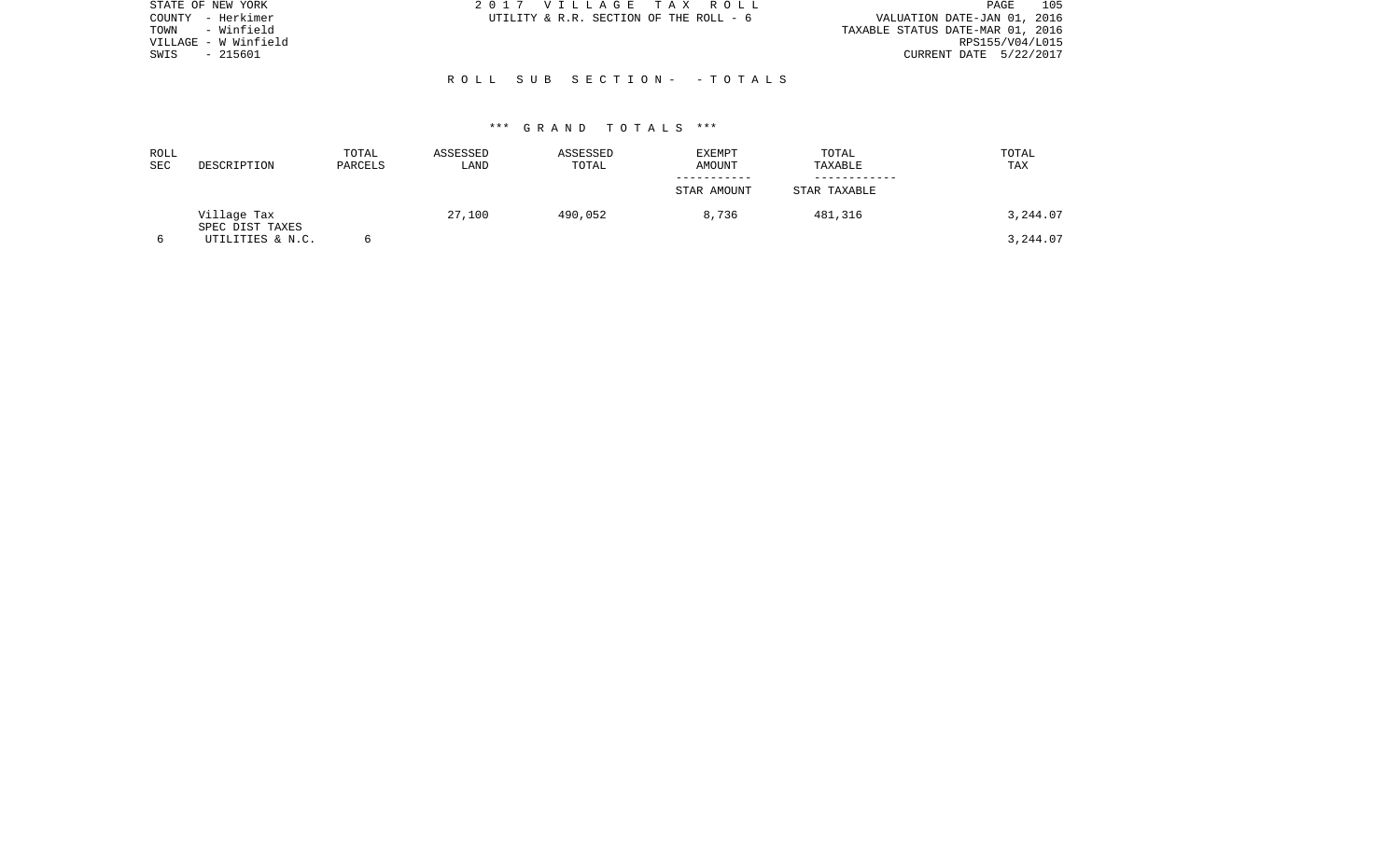| STATE OF NEW YORK    | 2017 VILLAGE TAX ROLL                  | 105<br>PAGE                      |
|----------------------|----------------------------------------|----------------------------------|
| COUNTY - Herkimer    | UTILITY & R.R. SECTION OF THE ROLL - 6 | VALUATION DATE-JAN 01, 2016      |
| - Winfield<br>TOWN   |                                        | TAXABLE STATUS DATE-MAR 01, 2016 |
| VILLAGE - W Winfield |                                        | RPS155/V04/L015                  |
| - 215601<br>SWIS     |                                        | CURRENT DATE 5/22/2017           |
|                      |                                        |                                  |
|                      | ROLL SUB SECTION- - TOTALS             |                                  |
|                      |                                        |                                  |
|                      |                                        |                                  |

| ROLL<br>SEC | DESCRIPTION                    | TOTAL<br>PARCELS | ASSESSED<br>LAND | ASSESSED<br>TOTAL | <b>EXEMPT</b><br>AMOUNT | TOTAL<br>TAXABLE | TOTAL<br>TAX |
|-------------|--------------------------------|------------------|------------------|-------------------|-------------------------|------------------|--------------|
|             |                                |                  |                  |                   | STAR AMOUNT             | STAR TAXABLE     |              |
|             | Village Tax<br>SPEC DIST TAXES |                  | 27,100           | 490,052           | 8,736                   | 481,316          | 3,244.07     |
|             | UTILITIES & N.C.               |                  |                  |                   |                         |                  | 3,244.07     |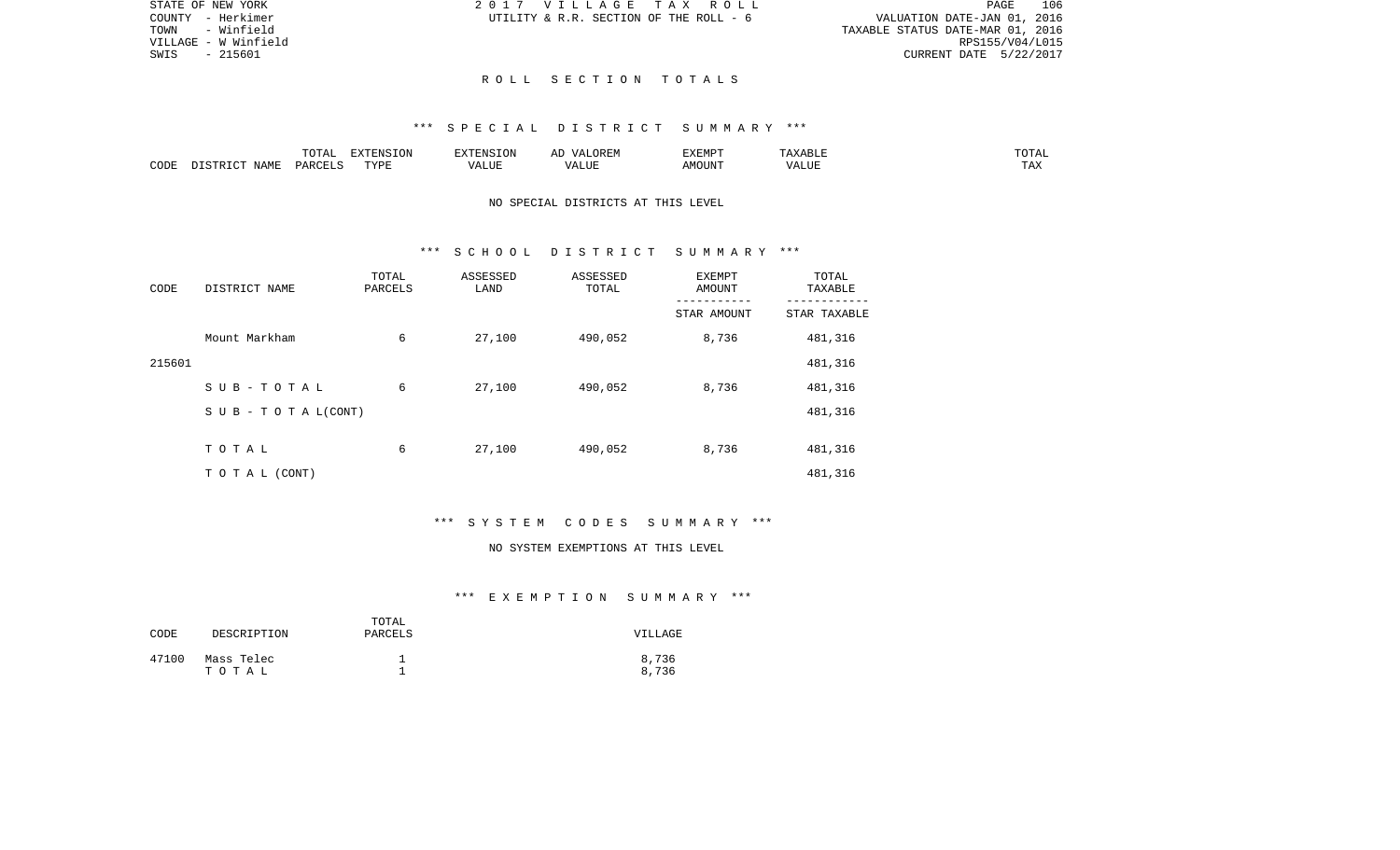| GETAX ROLL           |  |  |                                  | PAGE. | 106             |
|----------------------|--|--|----------------------------------|-------|-----------------|
| TION OF THE ROLL - 6 |  |  | VALUATION DATE-JAN 01, 2016      |       |                 |
|                      |  |  | TAXABLE STATUS DATE-MAR 01, 2016 |       |                 |
|                      |  |  |                                  |       | RPS155/V04/L015 |
|                      |  |  | CURRENT DATE 5/22/2017           |       |                 |

STATE OF NEW YORK 2017 VILLAG COUNTY - Herkimer **UTILITY & R.R. SECT** TOWN - Winfield VILLAGE - W Winfield  $SWIS$  - 215601

#### R O L L S E C T I O N T O T A L S

#### \*\*\* S P E C I A L D I S T R I C T S U M M A R Y \*\*\*

|      |       | $\sim$ $\sim$ $\sim$ $\sim$<br>$\cdot$<br>- ∪ + ד | EXTENSION  | 17370707 | OREM<br>$\sqrt{4}$                 | <b>EXEMPT</b> |                   | $T \cap T \cap T$<br>TOTAL |
|------|-------|---------------------------------------------------|------------|----------|------------------------------------|---------------|-------------------|----------------------------|
| CODE | ΝТ∆МЋ | $\cap$ T T $\vdash$<br>DAD <sub>(</sub>           | TVDF<br>ᆂᆍ | ALUF     | <b>TTT</b><br>$\sqrt{ }$<br>- בשני | MOUN'1        | $T$ $TT$<br>'ALUı | <b>TIRES</b><br>⊥ A∆       |

## NO SPECIAL DISTRICTS AT THIS LEVEL

#### \*\*\* S C H O O L D I S T R I C T S U M M A R Y \*\*\*

| CODE   | DISTRICT NAME      | TOTAL<br>PARCELS | ASSESSED<br>LAND | ASSESSED<br>TOTAL | <b>EXEMPT</b><br>AMOUNT | TOTAL<br>TAXABLE |
|--------|--------------------|------------------|------------------|-------------------|-------------------------|------------------|
|        |                    |                  |                  |                   | STAR AMOUNT             | STAR TAXABLE     |
|        | Mount Markham      | 6                | 27,100           | 490,052           | 8,736                   | 481,316          |
| 215601 |                    |                  |                  |                   |                         | 481,316          |
|        | SUB-TOTAL          | 6                | 27,100           | 490,052           | 8,736                   | 481,316          |
|        | SUB - TO TAL(CONT) |                  |                  |                   |                         | 481,316          |
|        |                    |                  |                  |                   |                         |                  |
|        | TOTAL              | 6                | 27,100           | 490,052           | 8,736                   | 481,316          |
|        | TO TAL (CONT)      |                  |                  |                   |                         | 481,316          |

# \*\*\* S Y S T E M C O D E S S U M M A R Y \*\*\*

#### NO SYSTEM EXEMPTIONS AT THIS LEVEL

| CODE  | DESCRIPTION         | TOTAL<br>PARCELS | VILLAGE        |
|-------|---------------------|------------------|----------------|
| 47100 | Mass Telec<br>тотаь |                  | 8,736<br>8,736 |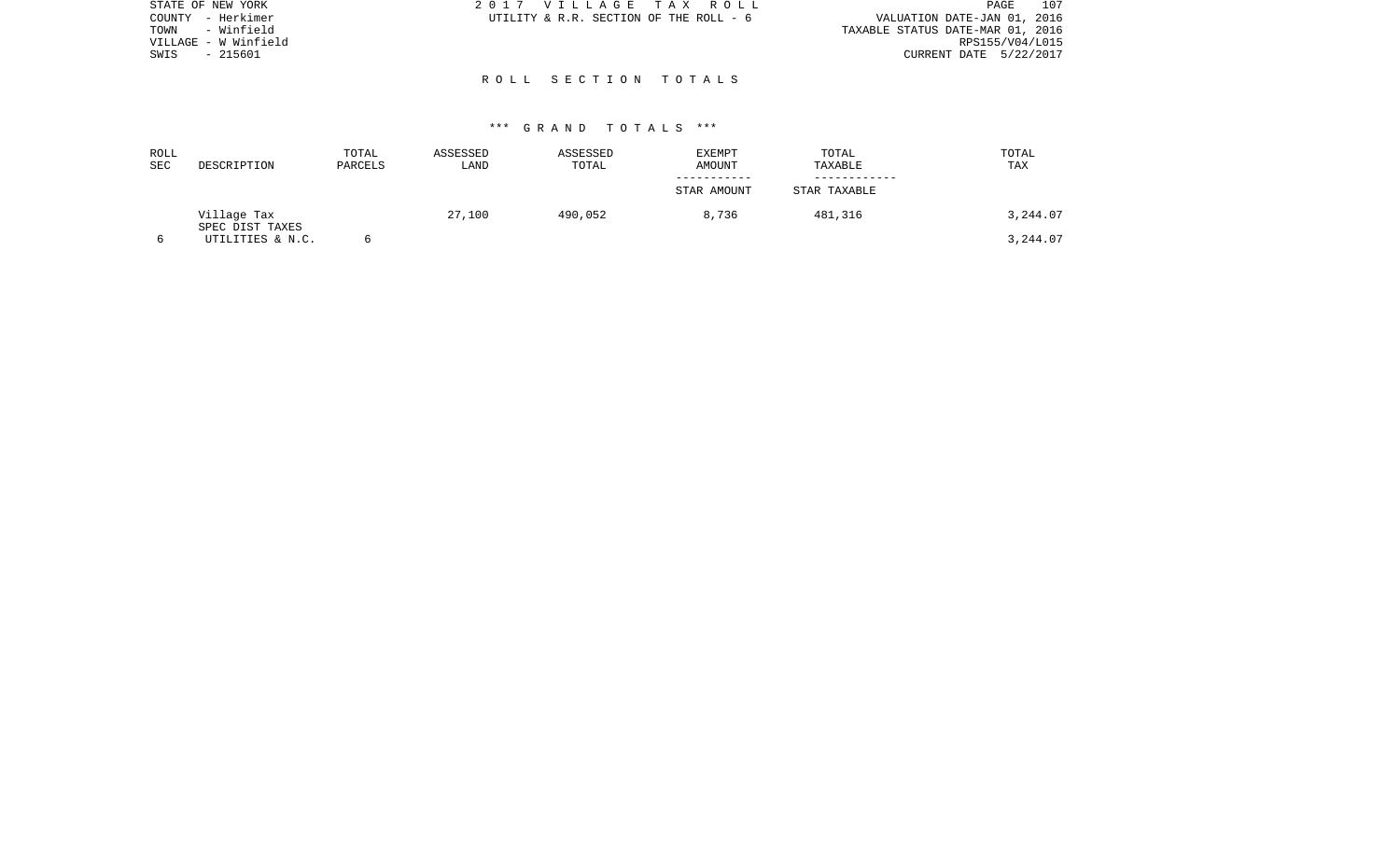| STATE OF NEW YORK    | 2017 VILLAGE TAX ROLL                  | 107<br>PAGE                      |
|----------------------|----------------------------------------|----------------------------------|
| COUNTY - Herkimer    | UTILITY & R.R. SECTION OF THE ROLL - 6 | VALUATION DATE-JAN 01, 2016      |
| - Winfield<br>TOWN   |                                        | TAXABLE STATUS DATE-MAR 01, 2016 |
| VILLAGE - W Winfield |                                        | RPS155/V04/L015                  |
| - 215601<br>SWIS     |                                        | CURRENT DATE 5/22/2017           |
|                      |                                        |                                  |
|                      | ROLL SECTION TOTALS                    |                                  |
|                      |                                        |                                  |

| ROLL<br>SEC | DESCRIPTION                    | TOTAL<br>PARCELS | ASSESSED<br>LAND | ASSESSED<br>TOTAL | <b>EXEMPT</b><br>AMOUNT | TOTAL<br>TAXABLE | TOTAL<br>TAX |
|-------------|--------------------------------|------------------|------------------|-------------------|-------------------------|------------------|--------------|
|             |                                |                  |                  |                   | STAR AMOUNT             | STAR TAXABLE     |              |
|             | Village Tax<br>SPEC DIST TAXES |                  | 27,100           | 490,052           | 8,736                   | 481,316          | 3,244.07     |
|             | UTILITIES & N.C.               |                  |                  |                   |                         |                  | 3,244.07     |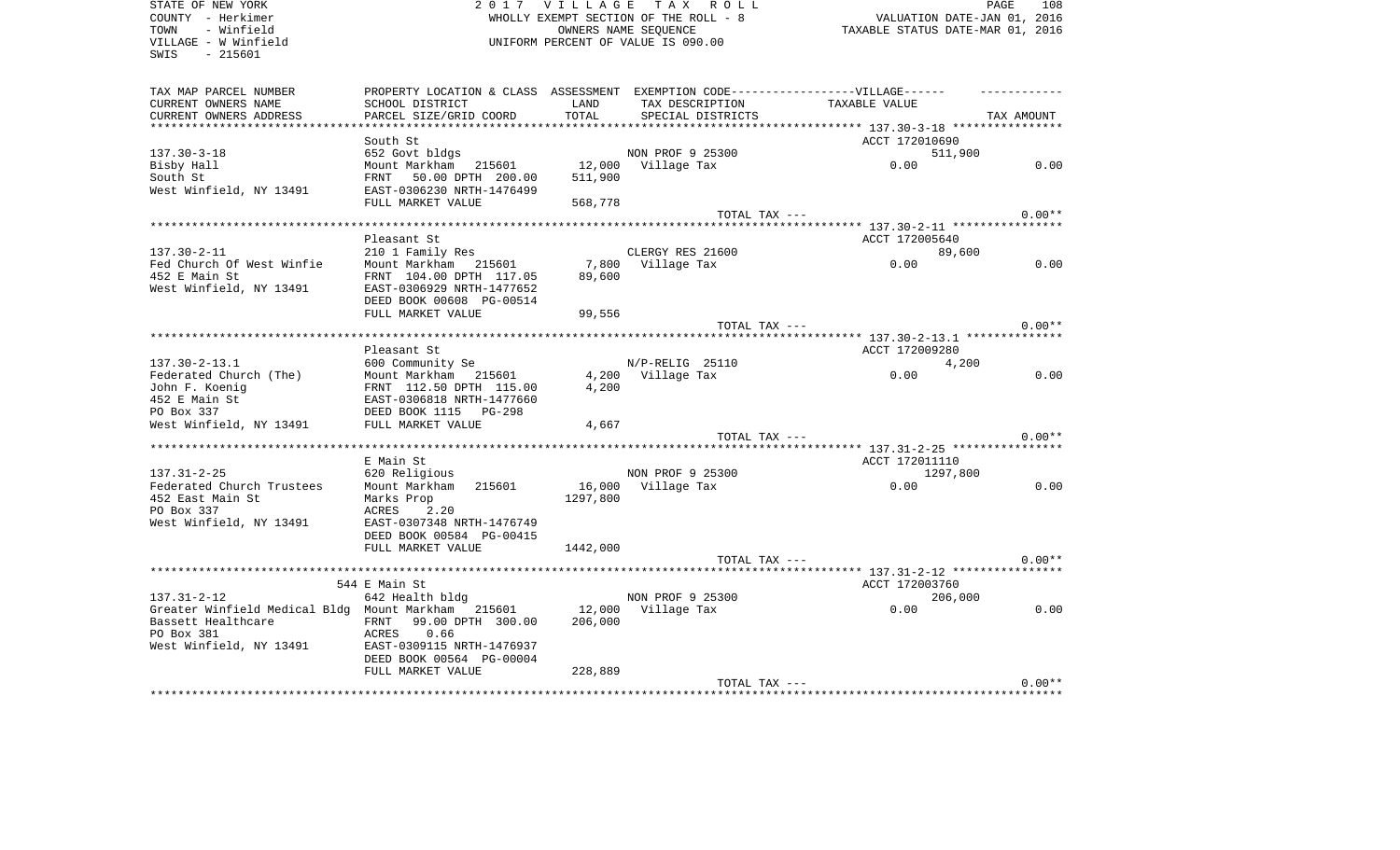| STATE OF NEW YORK                                  | 2 0 1 7                                                                           | <b>VILLAGE</b>                   | TAX ROLL                           |                | PAGE<br>108 |
|----------------------------------------------------|-----------------------------------------------------------------------------------|----------------------------------|------------------------------------|----------------|-------------|
| COUNTY - Herkimer                                  | WHOLLY EXEMPT SECTION OF THE ROLL - 8                                             | VALUATION DATE-JAN 01, 2016      |                                    |                |             |
| - Winfield<br>TOWN                                 |                                                                                   | TAXABLE STATUS DATE-MAR 01, 2016 |                                    |                |             |
| VILLAGE - W Winfield                               |                                                                                   |                                  | UNIFORM PERCENT OF VALUE IS 090.00 |                |             |
| SWIS<br>$-215601$                                  |                                                                                   |                                  |                                    |                |             |
|                                                    |                                                                                   |                                  |                                    |                |             |
| TAX MAP PARCEL NUMBER                              | PROPERTY LOCATION & CLASS ASSESSMENT EXEMPTION CODE-----------------VILLAGE------ |                                  |                                    |                |             |
| CURRENT OWNERS NAME                                | SCHOOL DISTRICT                                                                   | LAND                             | TAX DESCRIPTION                    | TAXABLE VALUE  |             |
| CURRENT OWNERS ADDRESS                             | PARCEL SIZE/GRID COORD                                                            | TOTAL                            | SPECIAL DISTRICTS                  |                | TAX AMOUNT  |
| ***********************                            | ***************************                                                       |                                  |                                    |                |             |
|                                                    | South St                                                                          |                                  |                                    | ACCT 172010690 |             |
| $137.30 - 3 - 18$                                  | 652 Govt bldgs                                                                    |                                  | NON PROF 9 25300                   | 511,900        |             |
| Bisby Hall                                         | Mount Markham 215601                                                              | 12,000                           | Village Tax                        | 0.00           | 0.00        |
| South St                                           | FRNT<br>50.00 DPTH 200.00                                                         | 511,900                          |                                    |                |             |
| West Winfield, NY 13491                            | EAST-0306230 NRTH-1476499                                                         |                                  |                                    |                |             |
|                                                    | FULL MARKET VALUE                                                                 | 568,778                          |                                    |                |             |
|                                                    |                                                                                   |                                  | TOTAL TAX ---                      |                | $0.00**$    |
|                                                    |                                                                                   |                                  |                                    |                |             |
|                                                    | Pleasant St                                                                       |                                  |                                    | ACCT 172005640 |             |
| $137.30 - 2 - 11$                                  | 210 1 Family Res                                                                  |                                  | CLERGY RES 21600                   | 89,600         |             |
| Fed Church Of West Winfie                          | Mount Markham<br>215601                                                           | 7,800                            | Village Tax                        | 0.00           | 0.00        |
| 452 E Main St                                      | FRNT 104.00 DPTH 117.05                                                           | 89,600                           |                                    |                |             |
| West Winfield, NY 13491                            | EAST-0306929 NRTH-1477652                                                         |                                  |                                    |                |             |
|                                                    | DEED BOOK 00608 PG-00514                                                          |                                  |                                    |                |             |
|                                                    | FULL MARKET VALUE                                                                 | 99,556                           |                                    |                |             |
|                                                    |                                                                                   |                                  | TOTAL TAX ---                      |                | $0.00**$    |
|                                                    | ********************************                                                  |                                  |                                    |                |             |
|                                                    | Pleasant St                                                                       |                                  |                                    | ACCT 172009280 |             |
| $137.30 - 2 - 13.1$                                | 600 Community Se                                                                  |                                  | N/P-RELIG 25110                    | 4,200          |             |
| Federated Church (The)                             | Mount Markham 215601                                                              | 4,200                            | Village Tax                        | 0.00           | 0.00        |
|                                                    |                                                                                   |                                  |                                    |                |             |
| John F. Koenig                                     | FRNT 112.50 DPTH 115.00                                                           | 4,200                            |                                    |                |             |
| 452 E Main St                                      | EAST-0306818 NRTH-1477660                                                         |                                  |                                    |                |             |
| PO Box 337                                         | DEED BOOK 1115<br>PG-298                                                          |                                  |                                    |                |             |
| West Winfield, NY 13491                            | FULL MARKET VALUE                                                                 | 4,667                            |                                    |                |             |
|                                                    |                                                                                   |                                  | TOTAL TAX ---                      |                | $0.00**$    |
|                                                    |                                                                                   |                                  |                                    |                |             |
|                                                    | E Main St                                                                         |                                  |                                    | ACCT 172011110 |             |
| $137.31 - 2 - 25$                                  | 620 Religious                                                                     |                                  | NON PROF 9 25300                   | 1297,800       |             |
| Federated Church Trustees                          | Mount Markham<br>215601                                                           | 16,000                           | Village Tax                        | 0.00           | 0.00        |
| 452 East Main St                                   | Marks Prop                                                                        | 1297,800                         |                                    |                |             |
| PO Box 337                                         | <b>ACRES</b><br>2.20                                                              |                                  |                                    |                |             |
| West Winfield, NY 13491                            | EAST-0307348 NRTH-1476749                                                         |                                  |                                    |                |             |
|                                                    | DEED BOOK 00584 PG-00415                                                          |                                  |                                    |                |             |
|                                                    | FULL MARKET VALUE                                                                 | 1442,000                         |                                    |                |             |
|                                                    |                                                                                   |                                  | TOTAL TAX ---                      |                | $0.00**$    |
|                                                    |                                                                                   |                                  |                                    |                |             |
|                                                    | 544 E Main St                                                                     |                                  |                                    | ACCT 172003760 |             |
| $137.31 - 2 - 12$                                  | 642 Health bldg                                                                   |                                  | NON PROF 9 25300                   | 206,000        |             |
| Greater Winfield Medical Bldg Mount Markham 215601 |                                                                                   | 12,000                           | Village Tax                        | 0.00           | 0.00        |
| Bassett Healthcare                                 | 99.00 DPTH 300.00<br>FRNT                                                         | 206,000                          |                                    |                |             |
| PO Box 381                                         | ACRES<br>0.66                                                                     |                                  |                                    |                |             |
| West Winfield, NY 13491                            | EAST-0309115 NRTH-1476937                                                         |                                  |                                    |                |             |
|                                                    | DEED BOOK 00564 PG-00004                                                          |                                  |                                    |                |             |
|                                                    | FULL MARKET VALUE                                                                 | 228,889                          |                                    |                |             |
|                                                    |                                                                                   |                                  | TOTAL TAX ---                      |                | $0.00**$    |
|                                                    |                                                                                   |                                  |                                    |                |             |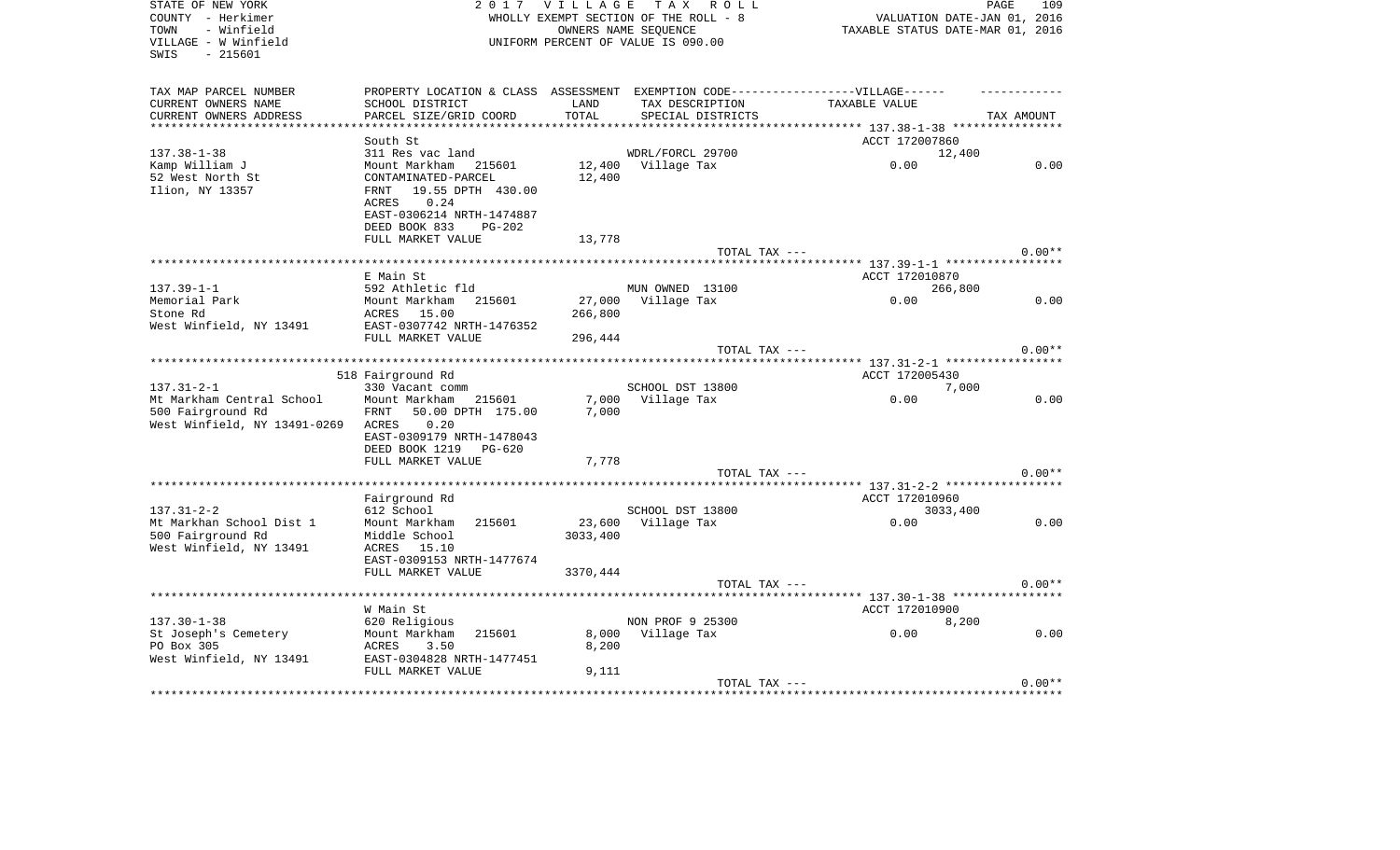| STATE OF NEW YORK            | 2 0 1 7                                                                          | <b>VILLAGE</b>                   | T A X<br>R O L L                   |                                    | PAGE<br>109 |
|------------------------------|----------------------------------------------------------------------------------|----------------------------------|------------------------------------|------------------------------------|-------------|
| COUNTY - Herkimer            | WHOLLY EXEMPT SECTION OF THE ROLL - 8                                            |                                  |                                    | VALUATION DATE-JAN 01, 2016        |             |
| TOWN<br>- Winfield           |                                                                                  | TAXABLE STATUS DATE-MAR 01, 2016 |                                    |                                    |             |
| VILLAGE - W Winfield         |                                                                                  |                                  | UNIFORM PERCENT OF VALUE IS 090.00 |                                    |             |
| SWIS<br>$-215601$            |                                                                                  |                                  |                                    |                                    |             |
|                              |                                                                                  |                                  |                                    |                                    |             |
| TAX MAP PARCEL NUMBER        | PROPERTY LOCATION & CLASS ASSESSMENT EXEMPTION CODE----------------VILLAGE------ |                                  |                                    |                                    |             |
| CURRENT OWNERS NAME          | SCHOOL DISTRICT                                                                  | LAND                             | TAX DESCRIPTION                    | TAXABLE VALUE                      |             |
| CURRENT OWNERS ADDRESS       | PARCEL SIZE/GRID COORD                                                           | TOTAL                            | SPECIAL DISTRICTS                  |                                    | TAX AMOUNT  |
|                              |                                                                                  |                                  |                                    |                                    |             |
|                              | South St                                                                         |                                  |                                    | ACCT 172007860                     |             |
| $137.38 - 1 - 38$            | 311 Res vac land                                                                 |                                  | WDRL/FORCL 29700                   | 12,400                             |             |
| Kamp William J               | Mount Markham 215601                                                             | 12,400                           | Village Tax                        | 0.00                               | 0.00        |
| 52 West North St             | CONTAMINATED-PARCEL                                                              | 12,400                           |                                    |                                    |             |
| Ilion, NY 13357              | 19.55 DPTH 430.00<br>FRNT                                                        |                                  |                                    |                                    |             |
|                              | 0.24<br>ACRES                                                                    |                                  |                                    |                                    |             |
|                              | EAST-0306214 NRTH-1474887                                                        |                                  |                                    |                                    |             |
|                              | DEED BOOK 833<br><b>PG-202</b>                                                   |                                  |                                    |                                    |             |
|                              | FULL MARKET VALUE                                                                | 13,778                           |                                    |                                    |             |
|                              |                                                                                  |                                  | TOTAL TAX ---                      |                                    | $0.00**$    |
|                              | ******************************                                                   |                                  |                                    |                                    |             |
|                              | E Main St                                                                        |                                  |                                    | ACCT 172010870                     |             |
| $137.39 - 1 - 1$             | 592 Athletic fld                                                                 |                                  | MUN OWNED 13100                    | 266,800                            |             |
| Memorial Park                | Mount Markham<br>215601                                                          | 27,000                           | Village Tax                        | 0.00                               | 0.00        |
| Stone Rd                     | ACRES 15.00                                                                      | 266,800                          |                                    |                                    |             |
| West Winfield, NY 13491      | EAST-0307742 NRTH-1476352                                                        |                                  |                                    |                                    |             |
|                              | FULL MARKET VALUE                                                                | 296,444                          |                                    |                                    |             |
|                              |                                                                                  |                                  | TOTAL TAX ---                      |                                    | $0.00**$    |
|                              | ********************                                                             |                                  |                                    | ***** 137.31-2-1 ***************** |             |
|                              | 518 Fairground Rd                                                                |                                  |                                    | ACCT 172005430                     |             |
| $137.31 - 2 - 1$             | 330 Vacant comm                                                                  |                                  | SCHOOL DST 13800                   | 7,000                              |             |
| Mt Markham Central School    | Mount Markham<br>215601                                                          | 7,000                            | Village Tax                        | 0.00                               | 0.00        |
| 500 Fairground Rd            | 50.00 DPTH 175.00<br>FRNT                                                        | 7,000                            |                                    |                                    |             |
| West Winfield, NY 13491-0269 | 0.20<br>ACRES                                                                    |                                  |                                    |                                    |             |
|                              | EAST-0309179 NRTH-1478043                                                        |                                  |                                    |                                    |             |
|                              | DEED BOOK 1219<br>PG-620                                                         |                                  |                                    |                                    |             |
|                              | FULL MARKET VALUE                                                                | 7,778                            |                                    |                                    |             |
|                              |                                                                                  |                                  | TOTAL TAX ---                      |                                    | $0.00**$    |
|                              |                                                                                  |                                  |                                    |                                    |             |
|                              | Fairground Rd                                                                    |                                  |                                    | ACCT 172010960                     |             |
| $137.31 - 2 - 2$             | 612 School                                                                       |                                  | SCHOOL DST 13800                   | 3033,400                           |             |
| Mt Markhan School Dist 1     | Mount Markham<br>215601                                                          | 23,600                           | Village Tax                        | 0.00                               | 0.00        |
| 500 Fairground Rd            | Middle School                                                                    | 3033,400                         |                                    |                                    |             |
| West Winfield, NY 13491      | ACRES<br>15.10                                                                   |                                  |                                    |                                    |             |
|                              | EAST-0309153 NRTH-1477674                                                        |                                  |                                    |                                    |             |
|                              | FULL MARKET VALUE                                                                | 3370,444                         |                                    |                                    |             |
|                              |                                                                                  |                                  | TOTAL TAX ---                      |                                    | $0.00**$    |
|                              |                                                                                  |                                  |                                    | ****** 137.30-1-38 ************    |             |
|                              | W Main St                                                                        |                                  |                                    | ACCT 172010900                     |             |
| $137.30 - 1 - 38$            | 620 Religious                                                                    |                                  | NON PROF 9 25300                   | 8,200                              |             |
| St Joseph's Cemetery         | Mount Markham<br>215601                                                          | 8,000                            | Village Tax                        | 0.00                               | 0.00        |
| PO Box 305                   | ACRES<br>3.50                                                                    | 8,200                            |                                    |                                    |             |
| West Winfield, NY 13491      | EAST-0304828 NRTH-1477451                                                        |                                  |                                    |                                    |             |
|                              | FULL MARKET VALUE                                                                | 9,111                            |                                    |                                    |             |
|                              |                                                                                  |                                  | TOTAL TAX ---                      |                                    | $0.00**$    |
|                              |                                                                                  |                                  |                                    |                                    |             |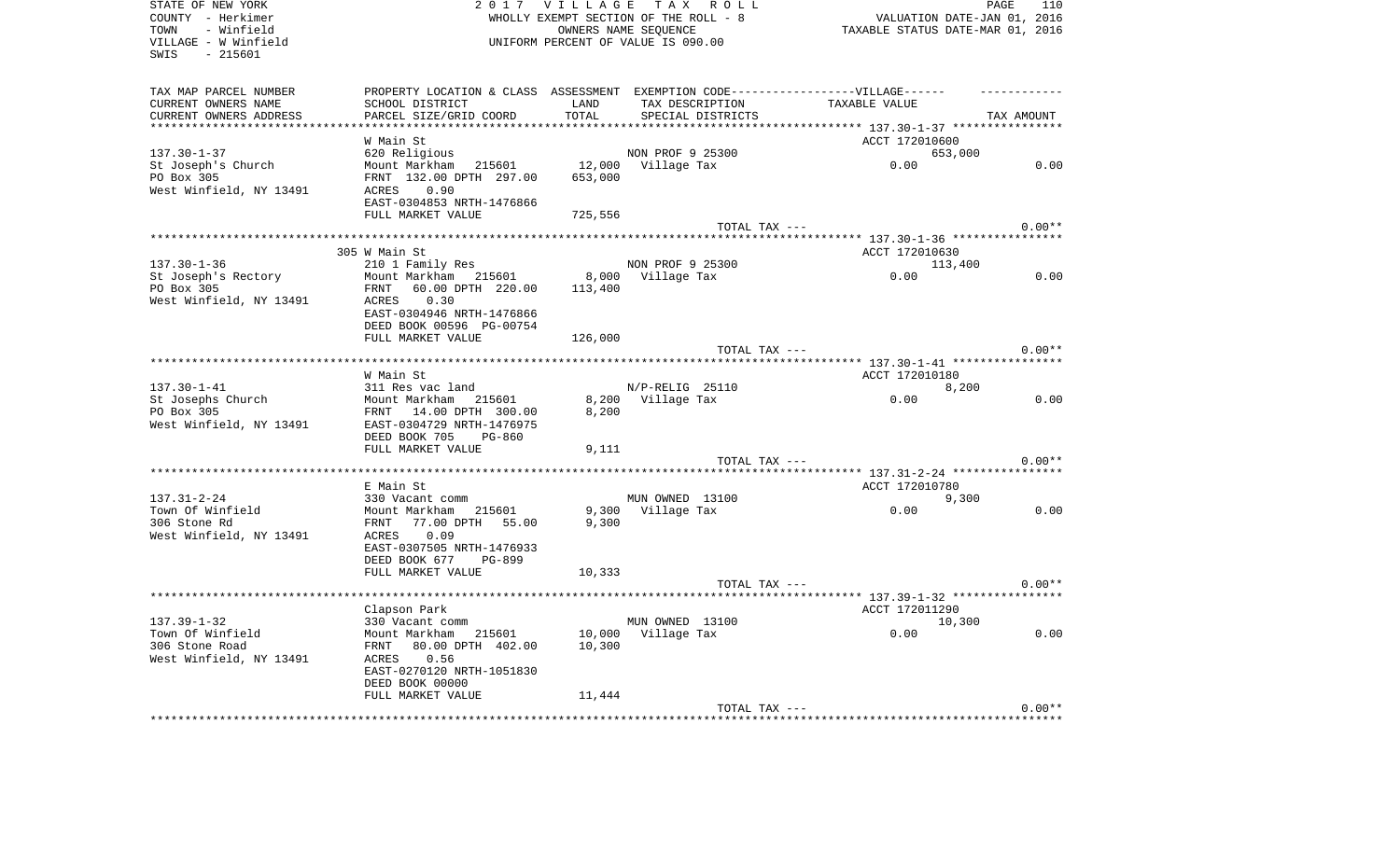| STATE OF NEW YORK<br>COUNTY - Herkimer    | 2017 VILLAGE TAX ROLL<br>WHOLLY EXEMPT SECTION OF THE ROLL - 8                   |         |                   | PAGE<br>110<br>VALUATION DATE-JAN 01, 2016 |            |  |
|-------------------------------------------|----------------------------------------------------------------------------------|---------|-------------------|--------------------------------------------|------------|--|
| TOWN<br>- Winfield                        | OWNERS NAME SEQUENCE                                                             |         |                   | TAXABLE STATUS DATE-MAR 01, 2016           |            |  |
| VILLAGE - W Winfield<br>$-215601$<br>SWIS | UNIFORM PERCENT OF VALUE IS 090.00                                               |         |                   |                                            |            |  |
| TAX MAP PARCEL NUMBER                     | PROPERTY LOCATION & CLASS ASSESSMENT EXEMPTION CODE----------------VILLAGE------ |         |                   |                                            |            |  |
| CURRENT OWNERS NAME                       | SCHOOL DISTRICT                                                                  | LAND    | TAX DESCRIPTION   | TAXABLE VALUE                              |            |  |
| CURRENT OWNERS ADDRESS                    | PARCEL SIZE/GRID COORD                                                           | TOTAL   | SPECIAL DISTRICTS |                                            | TAX AMOUNT |  |
|                                           |                                                                                  |         |                   | ****** 137.30-1-37 *****************       |            |  |
|                                           | W Main St                                                                        |         |                   | ACCT 172010600                             |            |  |
| $137.30 - 1 - 37$                         | 620 Religious                                                                    |         | NON PROF 9 25300  | 653,000                                    |            |  |
| St Joseph's Church                        | Mount Markham<br>215601                                                          | 12,000  | Village Tax       | 0.00                                       | 0.00       |  |
| PO Box 305                                | FRNT 132.00 DPTH 297.00                                                          | 653,000 |                   |                                            |            |  |
| West Winfield, NY 13491                   | 0.90<br>ACRES                                                                    |         |                   |                                            |            |  |
|                                           | EAST-0304853 NRTH-1476866                                                        |         |                   |                                            |            |  |
|                                           | FULL MARKET VALUE                                                                | 725,556 |                   |                                            |            |  |
|                                           |                                                                                  |         | TOTAL TAX ---     |                                            | $0.00**$   |  |
|                                           | 305 W Main St                                                                    |         |                   | ACCT 172010630                             |            |  |
| $137.30 - 1 - 36$                         | 210 1 Family Res                                                                 |         | NON PROF 9 25300  | 113,400                                    |            |  |
| St Joseph's Rectory                       | Mount Markham 215601                                                             | 8,000   | Village Tax       | 0.00                                       | 0.00       |  |
| PO Box 305                                | 60.00 DPTH 220.00<br>FRNT                                                        | 113,400 |                   |                                            |            |  |
| West Winfield, NY 13491                   | ACRES<br>0.30                                                                    |         |                   |                                            |            |  |
|                                           | EAST-0304946 NRTH-1476866                                                        |         |                   |                                            |            |  |
|                                           | DEED BOOK 00596 PG-00754                                                         |         |                   |                                            |            |  |
|                                           | FULL MARKET VALUE                                                                | 126,000 |                   |                                            |            |  |
|                                           |                                                                                  |         | TOTAL TAX ---     |                                            | $0.00**$   |  |
|                                           |                                                                                  |         |                   |                                            |            |  |
|                                           | W Main St                                                                        |         |                   | ACCT 172010180                             |            |  |
| $137.30 - 1 - 41$                         | 311 Res vac land                                                                 |         | N/P-RELIG 25110   | 8,200                                      |            |  |
| St Josephs Church                         | Mount Markham 215601                                                             | 8,200   | Village Tax       | 0.00                                       | 0.00       |  |
| PO Box 305                                | FRNT 14.00 DPTH 300.00                                                           | 8,200   |                   |                                            |            |  |
| West Winfield, NY 13491                   | EAST-0304729 NRTH-1476975                                                        |         |                   |                                            |            |  |
|                                           | DEED BOOK 705<br>PG-860<br>FULL MARKET VALUE                                     | 9,111   |                   |                                            |            |  |
|                                           |                                                                                  |         | TOTAL TAX ---     |                                            | $0.00**$   |  |
|                                           |                                                                                  |         |                   |                                            |            |  |
|                                           | E Main St                                                                        |         |                   | ACCT 172010780                             |            |  |
| $137.31 - 2 - 24$                         | 330 Vacant comm                                                                  |         | MUN OWNED 13100   | 9,300                                      |            |  |
| Town Of Winfield                          | Mount Markham<br>215601                                                          | 9,300   | Village Tax       | 0.00                                       | 0.00       |  |
| 306 Stone Rd                              | FRNT<br>77.00 DPTH 55.00                                                         | 9,300   |                   |                                            |            |  |
| West Winfield, NY 13491                   | 0.09<br>ACRES                                                                    |         |                   |                                            |            |  |
|                                           | EAST-0307505 NRTH-1476933                                                        |         |                   |                                            |            |  |
|                                           | DEED BOOK 677<br>PG-899                                                          |         |                   |                                            |            |  |
|                                           | FULL MARKET VALUE                                                                | 10,333  |                   |                                            |            |  |
|                                           | *********************                                                            |         | TOTAL TAX ---     |                                            | $0.00**$   |  |
|                                           |                                                                                  |         |                   |                                            |            |  |
| $137.39 - 1 - 32$                         | Clapson Park<br>330 Vacant comm                                                  |         | MUN OWNED 13100   | ACCT 172011290<br>10,300                   |            |  |
| Town Of Winfield                          | Mount Markham 215601                                                             | 10,000  | Village Tax       | 0.00                                       | 0.00       |  |
| 306 Stone Road                            | 80.00 DPTH 402.00<br>FRNT                                                        | 10,300  |                   |                                            |            |  |
| West Winfield, NY 13491                   | 0.56<br>ACRES                                                                    |         |                   |                                            |            |  |
|                                           | EAST-0270120 NRTH-1051830                                                        |         |                   |                                            |            |  |
|                                           | DEED BOOK 00000                                                                  |         |                   |                                            |            |  |
|                                           | FULL MARKET VALUE                                                                | 11,444  |                   |                                            |            |  |
|                                           |                                                                                  |         | TOTAL TAX ---     |                                            | $0.00**$   |  |
|                                           |                                                                                  |         |                   |                                            |            |  |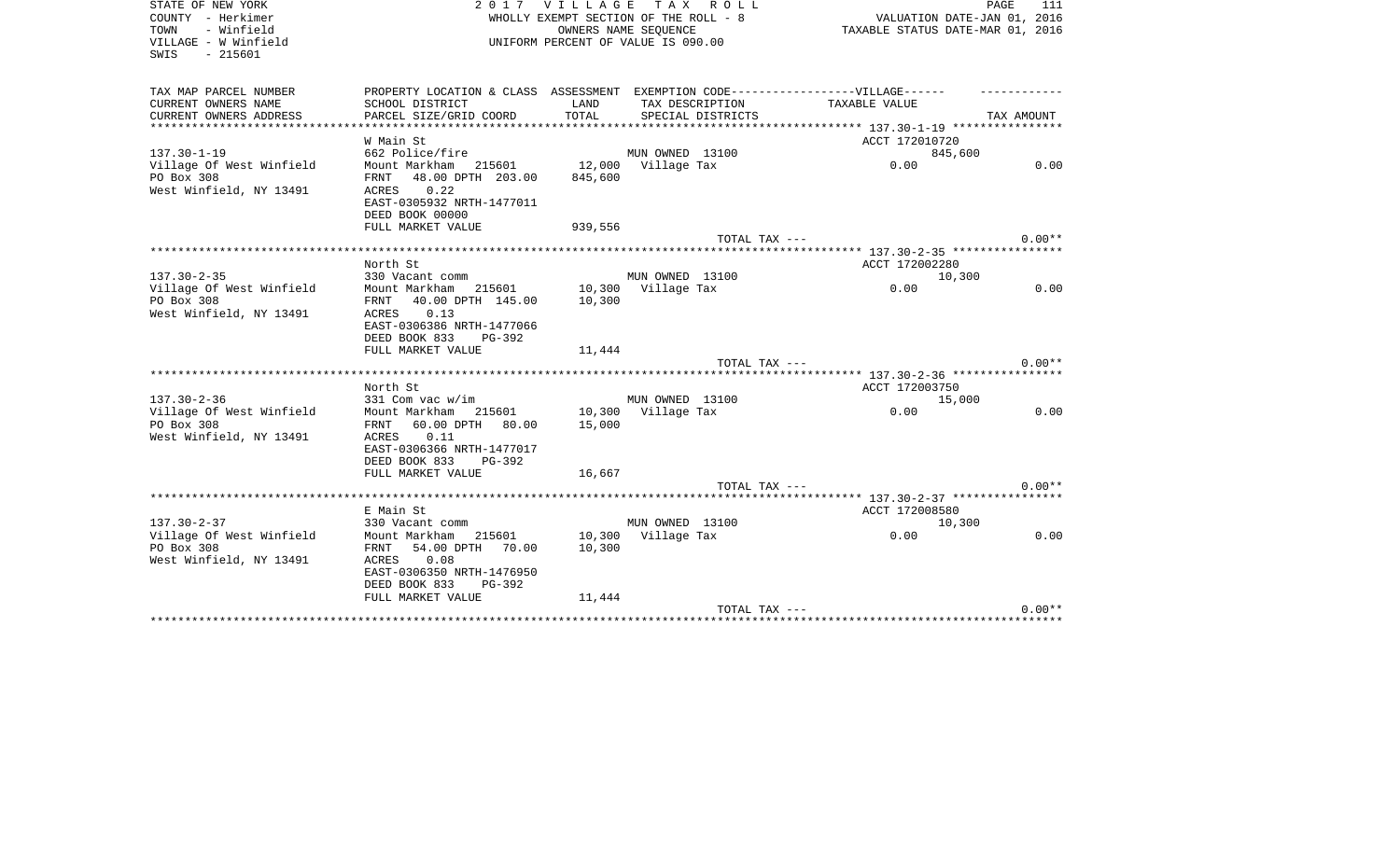| STATE OF NEW YORK<br>COUNTY - Herkimer<br>TOWN<br>- Winfield<br>VILLAGE - W Winfield<br>$-215601$<br>SWIS | 2017                                                                                                                            | V I L L A G E    | T A X<br>R O L L<br>WHOLLY EXEMPT SECTION OF THE ROLL - 8<br>OWNERS NAME SEOUENCE<br>UNIFORM PERCENT OF VALUE IS 090.00 | VALUATION DATE-JAN 01, 2016<br>TAXABLE STATUS DATE-MAR 01, 2016 | PAGE<br>111 |
|-----------------------------------------------------------------------------------------------------------|---------------------------------------------------------------------------------------------------------------------------------|------------------|-------------------------------------------------------------------------------------------------------------------------|-----------------------------------------------------------------|-------------|
| TAX MAP PARCEL NUMBER                                                                                     | PROPERTY LOCATION & CLASS ASSESSMENT EXEMPTION CODE-----------------VILLAGE------                                               |                  |                                                                                                                         |                                                                 |             |
| CURRENT OWNERS NAME                                                                                       | SCHOOL DISTRICT                                                                                                                 | LAND             | TAX DESCRIPTION                                                                                                         | TAXABLE VALUE                                                   |             |
| CURRENT OWNERS ADDRESS<br>**************************                                                      | PARCEL SIZE/GRID COORD                                                                                                          | TOTAL            | SPECIAL DISTRICTS                                                                                                       |                                                                 | TAX AMOUNT  |
|                                                                                                           | W Main St                                                                                                                       |                  |                                                                                                                         | ACCT 172010720                                                  |             |
| $137.30 - 1 - 19$                                                                                         | 662 Police/fire                                                                                                                 |                  | MUN OWNED 13100                                                                                                         | 845,600                                                         |             |
| Village Of West Winfield                                                                                  | Mount Markham 215601                                                                                                            | 12,000           | Village Tax                                                                                                             | 0.00                                                            | 0.00        |
| PO Box 308<br>West Winfield, NY 13491                                                                     | 48.00 DPTH 203.00<br>FRNT<br>0.22<br>ACRES<br>EAST-0305932 NRTH-1477011<br>DEED BOOK 00000                                      | 845,600          |                                                                                                                         |                                                                 |             |
|                                                                                                           | FULL MARKET VALUE                                                                                                               | 939,556          |                                                                                                                         |                                                                 |             |
|                                                                                                           |                                                                                                                                 |                  | TOTAL TAX ---                                                                                                           |                                                                 | $0.00**$    |
| **************************                                                                                |                                                                                                                                 |                  |                                                                                                                         |                                                                 |             |
|                                                                                                           | North St                                                                                                                        |                  |                                                                                                                         | ACCT 172002280                                                  |             |
| $137.30 - 2 - 35$                                                                                         | 330 Vacant comm                                                                                                                 |                  | MUN OWNED 13100                                                                                                         | 10,300                                                          |             |
| Village Of West Winfield                                                                                  | Mount Markham<br>215601                                                                                                         | 10,300           | Village Tax                                                                                                             | 0.00                                                            | 0.00        |
| PO Box 308<br>West Winfield, NY 13491                                                                     | FRNT<br>40.00 DPTH 145.00<br>0.13<br>ACRES<br>EAST-0306386 NRTH-1477066<br>DEED BOOK 833<br>$PG-392$                            | 10,300           |                                                                                                                         |                                                                 |             |
|                                                                                                           | FULL MARKET VALUE                                                                                                               | 11,444           | TOTAL TAX ---                                                                                                           |                                                                 | $0.00**$    |
|                                                                                                           |                                                                                                                                 |                  |                                                                                                                         |                                                                 |             |
|                                                                                                           | North St                                                                                                                        |                  |                                                                                                                         | ACCT 172003750                                                  |             |
| $137.30 - 2 - 36$                                                                                         | 331 Com vac w/im                                                                                                                |                  | MUN OWNED 13100                                                                                                         | 15,000                                                          |             |
| Village Of West Winfield                                                                                  | Mount Markham<br>215601                                                                                                         | 10,300           | Village Tax                                                                                                             | 0.00                                                            | 0.00        |
| PO Box 308<br>West Winfield, NY 13491                                                                     | 60.00 DPTH<br>FRNT<br>80.00<br>ACRES<br>0.11<br>EAST-0306366 NRTH-1477017<br>DEED BOOK 833<br>PG-392<br>FULL MARKET VALUE       | 15,000<br>16,667 |                                                                                                                         |                                                                 |             |
|                                                                                                           |                                                                                                                                 |                  | TOTAL TAX ---                                                                                                           |                                                                 | $0.00**$    |
|                                                                                                           |                                                                                                                                 |                  |                                                                                                                         |                                                                 |             |
|                                                                                                           | E Main St                                                                                                                       |                  |                                                                                                                         | ACCT 172008580                                                  |             |
| $137.30 - 2 - 37$                                                                                         | 330 Vacant comm                                                                                                                 |                  | MUN OWNED 13100                                                                                                         | 10,300                                                          |             |
| Village Of West Winfield<br>PO Box 308<br>West Winfield, NY 13491                                         | Mount Markham<br>215601<br>FRNT<br>54.00 DPTH<br>70.00<br>ACRES<br>0.08<br>EAST-0306350 NRTH-1476950<br>DEED BOOK 833<br>PG-392 | 10,300<br>10,300 | Village Tax                                                                                                             | 0.00                                                            | 0.00        |
|                                                                                                           | FULL MARKET VALUE                                                                                                               | 11,444           |                                                                                                                         |                                                                 | $0.00**$    |
|                                                                                                           |                                                                                                                                 |                  | TOTAL TAX ---                                                                                                           | **************************************                          |             |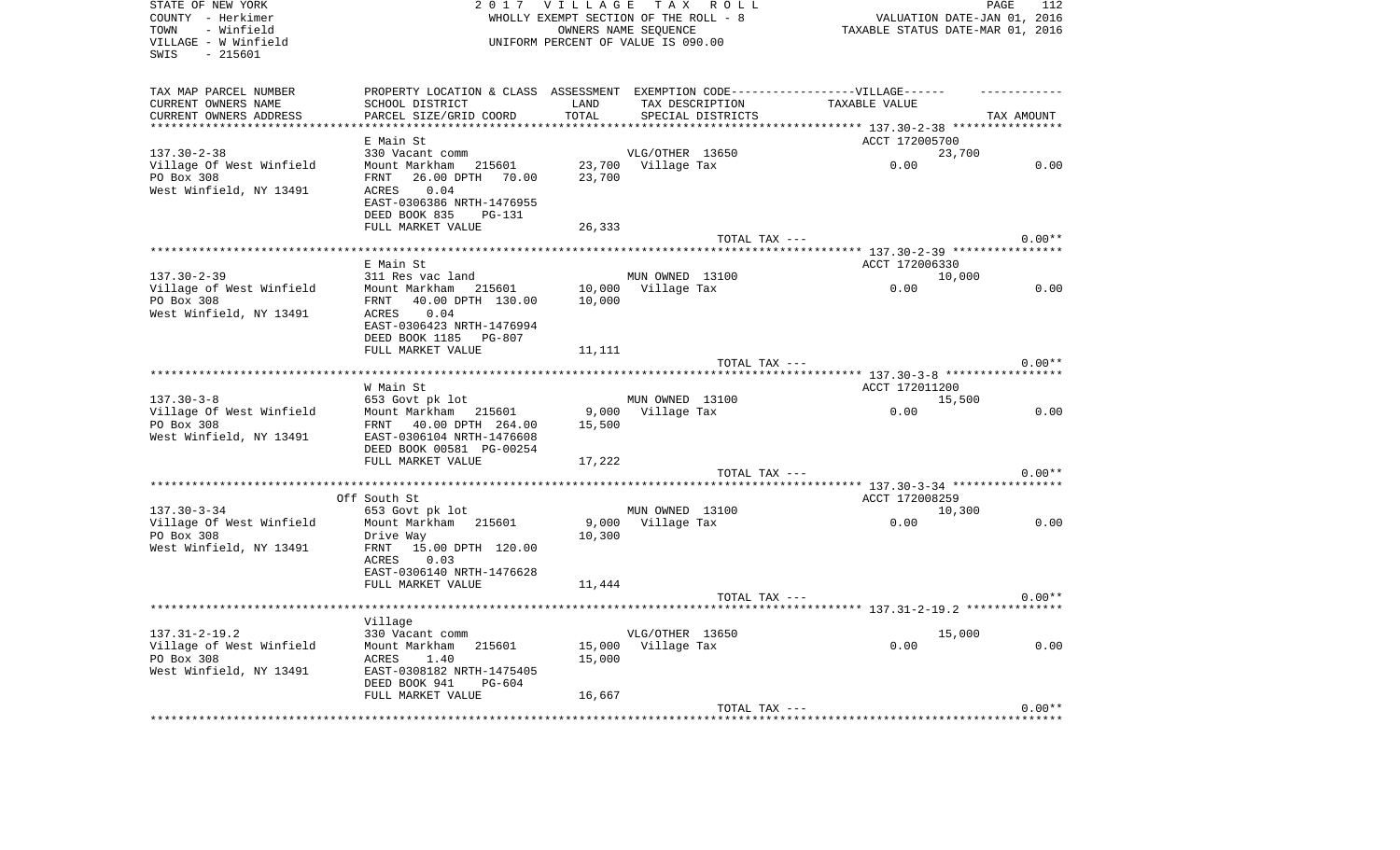| STATE OF NEW YORK<br>COUNTY - Herkimer<br>TOWN<br>- Winfield<br>VILLAGE - W Winfield<br>SWIS<br>$-215601$ |                                                                                   | 2017 VILLAGE TAX ROLL<br>WHOLLY EXEMPT SECTION OF THE ROLL - 8<br>UNIFORM PERCENT OF VALUE IS 090.00 | OWNERS NAME SEQUENCE |                   | TAXABLE STATUS DATE-MAR 01, 2016                           | 112<br>PAGE<br>VALUATION DATE-JAN 01, 2016 |
|-----------------------------------------------------------------------------------------------------------|-----------------------------------------------------------------------------------|------------------------------------------------------------------------------------------------------|----------------------|-------------------|------------------------------------------------------------|--------------------------------------------|
| TAX MAP PARCEL NUMBER                                                                                     | PROPERTY LOCATION & CLASS ASSESSMENT EXEMPTION CODE-----------------VILLAGE------ |                                                                                                      |                      |                   |                                                            |                                            |
| CURRENT OWNERS NAME                                                                                       | SCHOOL DISTRICT                                                                   | LAND                                                                                                 | TAX DESCRIPTION      |                   | TAXABLE VALUE                                              |                                            |
| CURRENT OWNERS ADDRESS<br>***********************                                                         | PARCEL SIZE/GRID COORD                                                            | TOTAL                                                                                                |                      | SPECIAL DISTRICTS |                                                            | TAX AMOUNT                                 |
|                                                                                                           | E Main St                                                                         |                                                                                                      |                      |                   | ACCT 172005700                                             |                                            |
| $137.30 - 2 - 38$                                                                                         | 330 Vacant comm                                                                   |                                                                                                      | VLG/OTHER 13650      |                   | 23,700                                                     |                                            |
| Village Of West Winfield                                                                                  | Mount Markham<br>215601                                                           |                                                                                                      | 23,700 Village Tax   |                   | 0.00                                                       | 0.00                                       |
| PO Box 308                                                                                                | 26.00 DPTH 70.00<br>FRNT                                                          | 23,700                                                                                               |                      |                   |                                                            |                                            |
| West Winfield, NY 13491                                                                                   | 0.04<br>ACRES                                                                     |                                                                                                      |                      |                   |                                                            |                                            |
|                                                                                                           | EAST-0306386 NRTH-1476955                                                         |                                                                                                      |                      |                   |                                                            |                                            |
|                                                                                                           | DEED BOOK 835<br><b>PG-131</b>                                                    |                                                                                                      |                      |                   |                                                            |                                            |
|                                                                                                           | FULL MARKET VALUE                                                                 | 26,333                                                                                               |                      | TOTAL TAX ---     |                                                            | $0.00**$                                   |
|                                                                                                           | ******************                                                                | ***********                                                                                          |                      |                   | ****************************** 137.30-2-39 *************** |                                            |
|                                                                                                           | E Main St                                                                         |                                                                                                      |                      |                   | ACCT 172006330                                             |                                            |
| $137.30 - 2 - 39$                                                                                         | 311 Res vac land                                                                  |                                                                                                      | MUN OWNED 13100      |                   | 10,000                                                     |                                            |
| Village of West Winfield                                                                                  | Mount Markham 215601                                                              | 10,000                                                                                               | Village Tax          |                   | 0.00                                                       | 0.00                                       |
| PO Box 308                                                                                                | FRNT<br>40.00 DPTH 130.00                                                         | 10,000                                                                                               |                      |                   |                                                            |                                            |
| West Winfield, NY 13491                                                                                   | 0.04<br>ACRES                                                                     |                                                                                                      |                      |                   |                                                            |                                            |
|                                                                                                           | EAST-0306423 NRTH-1476994                                                         |                                                                                                      |                      |                   |                                                            |                                            |
|                                                                                                           | DEED BOOK 1185 PG-807<br>FULL MARKET VALUE                                        | 11,111                                                                                               |                      |                   |                                                            |                                            |
|                                                                                                           |                                                                                   |                                                                                                      |                      | TOTAL TAX ---     |                                                            | $0.00**$                                   |
|                                                                                                           |                                                                                   |                                                                                                      |                      |                   |                                                            |                                            |
|                                                                                                           | W Main St                                                                         |                                                                                                      |                      |                   | ACCT 172011200                                             |                                            |
| $137.30 - 3 - 8$                                                                                          | 653 Govt pk lot                                                                   |                                                                                                      | MUN OWNED 13100      |                   | 15,500                                                     |                                            |
| Village Of West Winfield                                                                                  | Mount Markham 215601                                                              | 9,000                                                                                                | Village Tax          |                   | 0.00                                                       | 0.00                                       |
| PO Box 308                                                                                                | 40.00 DPTH 264.00<br>FRNT                                                         | 15,500                                                                                               |                      |                   |                                                            |                                            |
| West Winfield, NY 13491                                                                                   | EAST-0306104 NRTH-1476608<br>DEED BOOK 00581 PG-00254                             |                                                                                                      |                      |                   |                                                            |                                            |
|                                                                                                           | FULL MARKET VALUE                                                                 | 17,222                                                                                               |                      |                   |                                                            |                                            |
|                                                                                                           |                                                                                   |                                                                                                      |                      | TOTAL TAX ---     |                                                            | $0.00**$                                   |
|                                                                                                           |                                                                                   |                                                                                                      |                      |                   | ********** 137.30-3-34 ***************                     |                                            |
|                                                                                                           | Off South St                                                                      |                                                                                                      |                      |                   | ACCT 172008259                                             |                                            |
| $137.30 - 3 - 34$                                                                                         | 653 Govt pk lot                                                                   |                                                                                                      | MUN OWNED 13100      |                   | 10,300                                                     |                                            |
| Village Of West Winfield                                                                                  | Mount Markham 215601                                                              | 9,000                                                                                                | Village Tax          |                   | 0.00                                                       | 0.00                                       |
| PO Box 308                                                                                                | Drive Way                                                                         | 10,300                                                                                               |                      |                   |                                                            |                                            |
| West Winfield, NY 13491                                                                                   | 15.00 DPTH 120.00<br>FRNT<br>ACRES<br>0.03                                        |                                                                                                      |                      |                   |                                                            |                                            |
|                                                                                                           | EAST-0306140 NRTH-1476628                                                         |                                                                                                      |                      |                   |                                                            |                                            |
|                                                                                                           | FULL MARKET VALUE                                                                 | 11,444                                                                                               |                      |                   |                                                            |                                            |
|                                                                                                           |                                                                                   |                                                                                                      |                      | TOTAL TAX ---     |                                                            | $0.00**$                                   |
|                                                                                                           |                                                                                   |                                                                                                      |                      |                   | *********** 137.31-2-19.2 *************                    |                                            |
|                                                                                                           | Village                                                                           |                                                                                                      |                      |                   |                                                            |                                            |
| $137.31 - 2 - 19.2$                                                                                       | 330 Vacant comm                                                                   |                                                                                                      | VLG/OTHER 13650      |                   | 15,000                                                     |                                            |
| Village of West Winfield<br>PO Box 308                                                                    | Mount Markham<br>215601<br>ACRES<br>1.40                                          | 15,000                                                                                               | Village Tax          |                   | 0.00                                                       | 0.00                                       |
| West Winfield, NY 13491                                                                                   | EAST-0308182 NRTH-1475405                                                         | 15,000                                                                                               |                      |                   |                                                            |                                            |
|                                                                                                           | DEED BOOK 941<br>PG-604                                                           |                                                                                                      |                      |                   |                                                            |                                            |
|                                                                                                           |                                                                                   |                                                                                                      |                      |                   |                                                            |                                            |
|                                                                                                           | FULL MARKET VALUE                                                                 | 16,667                                                                                               |                      |                   |                                                            | $0.00**$                                   |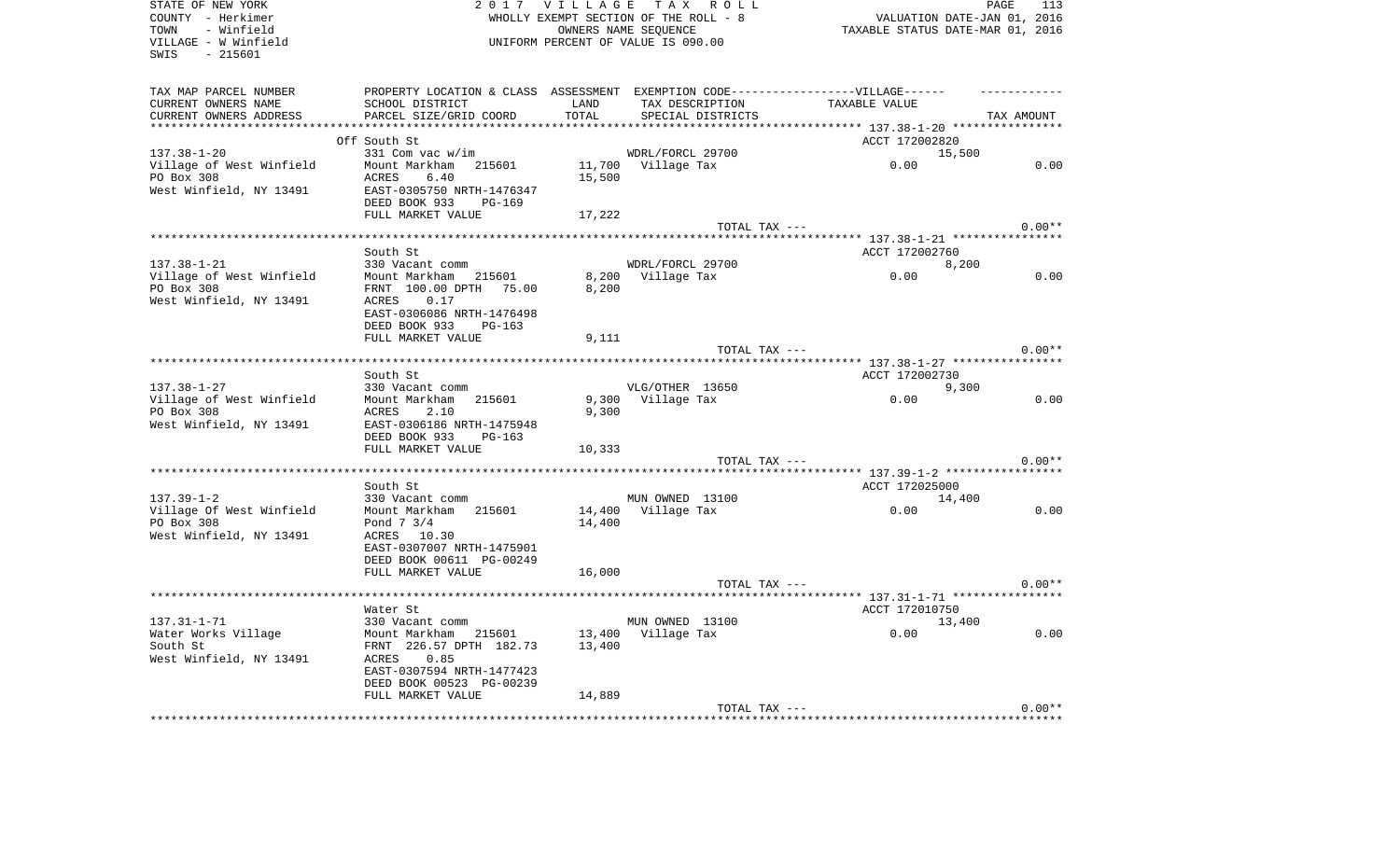| STATE OF NEW YORK<br>COUNTY - Herkimer<br>TOWN<br>- Winfield<br>VILLAGE - W Winfield<br>- 215601<br>SWIS |                                                                                                                                |               | 2017 VILLAGE TAX ROLL<br>WHOLLY EXEMPT SECTION OF THE ROLL - 8<br>OWNERS NAME SEOUENCE<br>UNIFORM PERCENT OF VALUE IS 090.00 | PAGE<br>VALUATION DATE-JAN 01, 2016<br>TAXABLE STATUS DATE-MAR 01, 2016 | 113        |
|----------------------------------------------------------------------------------------------------------|--------------------------------------------------------------------------------------------------------------------------------|---------------|------------------------------------------------------------------------------------------------------------------------------|-------------------------------------------------------------------------|------------|
| TAX MAP PARCEL NUMBER<br>CURRENT OWNERS NAME<br>CURRENT OWNERS ADDRESS                                   | PROPERTY LOCATION & CLASS ASSESSMENT EXEMPTION CODE-----------------VILLAGE------<br>SCHOOL DISTRICT<br>PARCEL SIZE/GRID COORD | LAND<br>TOTAL | TAX DESCRIPTION<br>SPECIAL DISTRICTS                                                                                         | TAXABLE VALUE                                                           | TAX AMOUNT |
|                                                                                                          | Off South St                                                                                                                   |               |                                                                                                                              | ********** 137.38-1-20 *****************<br>ACCT 172002820              |            |
| $137.38 - 1 - 20$                                                                                        | 331 Com vac w/im                                                                                                               |               | WDRL/FORCL 29700                                                                                                             | 15,500                                                                  |            |
| Village of West Winfield<br>PO Box 308<br>West Winfield, NY 13491                                        | Mount Markham 215601<br>ACRES<br>6.40<br>EAST-0305750 NRTH-1476347<br>DEED BOOK 933<br>PG-169                                  | 15,500        | 11,700 Village Tax                                                                                                           | 0.00                                                                    | 0.00       |
|                                                                                                          | FULL MARKET VALUE                                                                                                              | 17,222        | TOTAL TAX ---                                                                                                                |                                                                         | $0.00**$   |
|                                                                                                          |                                                                                                                                |               |                                                                                                                              |                                                                         |            |
|                                                                                                          | South St                                                                                                                       |               |                                                                                                                              | ACCT 172002760                                                          |            |
| $137.38 - 1 - 21$                                                                                        | 330 Vacant comm                                                                                                                |               | WDRL/FORCL 29700                                                                                                             | 8,200                                                                   |            |
| Village of West Winfield<br>PO Box 308<br>West Winfield, NY 13491                                        | Mount Markham 215601<br>FRNT 100.00 DPTH 75.00<br>ACRES<br>0.17                                                                | 8,200         | 8,200 Village Tax                                                                                                            | 0.00                                                                    | 0.00       |
|                                                                                                          | EAST-0306086 NRTH-1476498                                                                                                      |               |                                                                                                                              |                                                                         |            |
|                                                                                                          | DEED BOOK 933<br>PG-163                                                                                                        |               |                                                                                                                              |                                                                         |            |
|                                                                                                          | FULL MARKET VALUE                                                                                                              | 9,111         | TOTAL TAX ---                                                                                                                |                                                                         | $0.00**$   |
|                                                                                                          |                                                                                                                                |               |                                                                                                                              |                                                                         |            |
|                                                                                                          | South St                                                                                                                       |               |                                                                                                                              | ACCT 172002730                                                          |            |
| $137.38 - 1 - 27$                                                                                        | 330 Vacant comm                                                                                                                |               | VLG/OTHER 13650                                                                                                              | 9,300                                                                   |            |
| Village of West Winfield                                                                                 | Mount Markham 215601                                                                                                           |               | 9,300 Village Tax                                                                                                            | 0.00                                                                    | 0.00       |
| PO Box 308                                                                                               | ACRES<br>2.10                                                                                                                  | 9,300         |                                                                                                                              |                                                                         |            |
| West Winfield, NY 13491                                                                                  | EAST-0306186 NRTH-1475948<br>DEED BOOK 933<br>PG-163                                                                           |               |                                                                                                                              |                                                                         |            |
|                                                                                                          | FULL MARKET VALUE                                                                                                              | 10,333        |                                                                                                                              |                                                                         |            |
|                                                                                                          |                                                                                                                                |               | TOTAL TAX ---                                                                                                                |                                                                         | $0.00**$   |
|                                                                                                          |                                                                                                                                |               |                                                                                                                              |                                                                         |            |
|                                                                                                          | South St                                                                                                                       |               |                                                                                                                              | ACCT 172025000                                                          |            |
| $137.39 - 1 - 2$                                                                                         | 330 Vacant comm                                                                                                                |               | MUN OWNED 13100                                                                                                              | 14,400                                                                  |            |
| Village Of West Winfield<br>PO Box 308                                                                   | Mount Markham 215601<br>Pond 7 3/4                                                                                             | 14,400        | 14,400 Village Tax                                                                                                           | 0.00                                                                    | 0.00       |
| West Winfield, NY 13491                                                                                  | ACRES 10.30<br>EAST-0307007 NRTH-1475901<br>DEED BOOK 00611 PG-00249                                                           |               |                                                                                                                              |                                                                         |            |
|                                                                                                          | FULL MARKET VALUE                                                                                                              | 16,000        |                                                                                                                              |                                                                         |            |
|                                                                                                          |                                                                                                                                |               | TOTAL TAX ---                                                                                                                |                                                                         | $0.00**$   |
|                                                                                                          |                                                                                                                                |               |                                                                                                                              |                                                                         |            |
| 137.31-1-71                                                                                              | Water St<br>330 Vacant comm                                                                                                    |               | MUN OWNED 13100                                                                                                              | ACCT 172010750<br>13,400                                                |            |
| Water Works Village                                                                                      | Mount Markham 215601                                                                                                           |               | 13,400 Village Tax                                                                                                           | 0.00                                                                    | 0.00       |
| South St<br>West Winfield, NY 13491                                                                      | FRNT 226.57 DPTH 182.73<br>0.85<br>ACRES<br>EAST-0307594 NRTH-1477423<br>DEED BOOK 00523 PG-00239                              | 13,400        |                                                                                                                              |                                                                         |            |
|                                                                                                          | FULL MARKET VALUE                                                                                                              | 14,889        |                                                                                                                              |                                                                         |            |
|                                                                                                          |                                                                                                                                |               | TOTAL TAX ---                                                                                                                |                                                                         | $0.00**$   |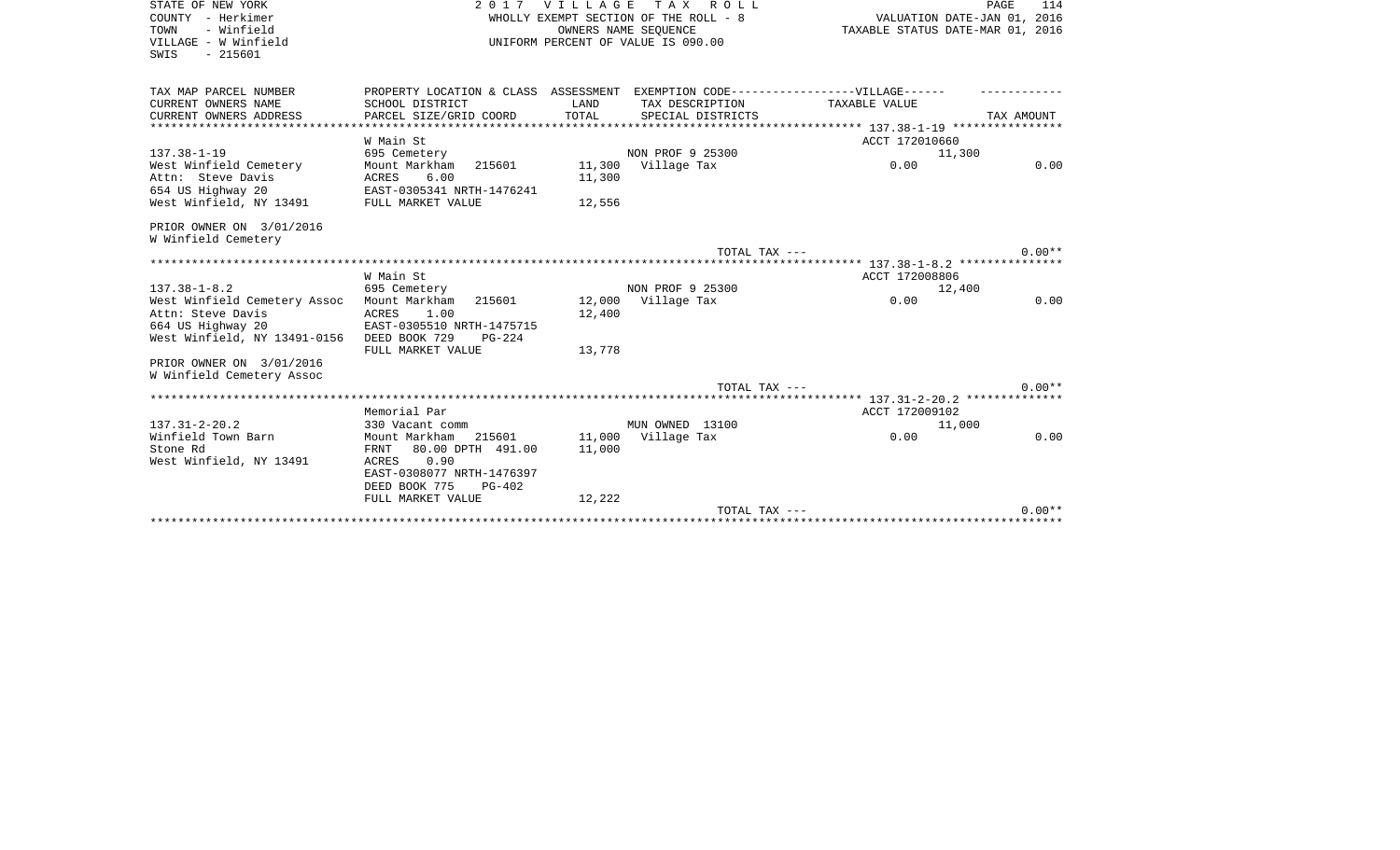| STATE OF NEW YORK<br>COUNTY - Herkimer | VILLAGE TAX<br>R O L L<br>2017                                                    |        |                                    | VALUATION DATE-JAN 01, 2016      | PAGE<br>114 |
|----------------------------------------|-----------------------------------------------------------------------------------|--------|------------------------------------|----------------------------------|-------------|
| - Winfield<br>TOWN                     | WHOLLY EXEMPT SECTION OF THE ROLL - 8<br>OWNERS NAME SEQUENCE                     |        |                                    | TAXABLE STATUS DATE-MAR 01, 2016 |             |
| VILLAGE - W Winfield                   |                                                                                   |        | UNIFORM PERCENT OF VALUE IS 090.00 |                                  |             |
| $-215601$<br>SWIS                      |                                                                                   |        |                                    |                                  |             |
|                                        |                                                                                   |        |                                    |                                  |             |
| TAX MAP PARCEL NUMBER                  | PROPERTY LOCATION & CLASS ASSESSMENT EXEMPTION CODE-----------------VILLAGE------ |        |                                    |                                  |             |
| CURRENT OWNERS NAME                    | SCHOOL DISTRICT                                                                   | LAND   | TAX DESCRIPTION                    | TAXABLE VALUE                    |             |
| CURRENT OWNERS ADDRESS                 | PARCEL SIZE/GRID COORD                                                            | TOTAL  | SPECIAL DISTRICTS                  |                                  | TAX AMOUNT  |
|                                        |                                                                                   |        |                                    |                                  |             |
|                                        | W Main St                                                                         |        |                                    | ACCT 172010660                   |             |
| $137.38 - 1 - 19$                      | 695 Cemetery                                                                      |        | NON PROF 9 25300                   | 11,300                           |             |
| West Winfield Cemetery                 | Mount Markham<br>215601                                                           |        | 11,300 Village Tax                 | 0.00                             | 0.00        |
| Attn: Steve Davis                      | 6.00<br>ACRES                                                                     | 11,300 |                                    |                                  |             |
| 654 US Highway 20                      | EAST-0305341 NRTH-1476241                                                         |        |                                    |                                  |             |
| West Winfield, NY 13491                | FULL MARKET VALUE                                                                 | 12,556 |                                    |                                  |             |
| PRIOR OWNER ON 3/01/2016               |                                                                                   |        |                                    |                                  |             |
| W Winfield Cemetery                    |                                                                                   |        |                                    |                                  |             |
|                                        |                                                                                   |        | TOTAL TAX ---                      |                                  | $0.00**$    |
|                                        | W Main St                                                                         |        |                                    | ACCT 172008806                   |             |
| $137.38 - 1 - 8.2$                     | 695 Cemetery                                                                      |        | NON PROF 9 25300                   | 12,400                           |             |
| West Winfield Cemetery Assoc           | Mount Markham<br>215601                                                           |        | 12,000 Village Tax                 | 0.00                             | 0.00        |
| Attn: Steve Davis                      | 1.00<br>ACRES                                                                     | 12,400 |                                    |                                  |             |
| 664 US Highway 20                      | EAST-0305510 NRTH-1475715                                                         |        |                                    |                                  |             |
| West Winfield, NY 13491-0156           | DEED BOOK 729<br>$PG-224$                                                         |        |                                    |                                  |             |
|                                        | FULL MARKET VALUE                                                                 | 13,778 |                                    |                                  |             |
| PRIOR OWNER ON 3/01/2016               |                                                                                   |        |                                    |                                  |             |
| W Winfield Cemetery Assoc              |                                                                                   |        |                                    |                                  |             |
|                                        |                                                                                   |        | TOTAL TAX ---                      |                                  | $0.00**$    |
|                                        |                                                                                   |        |                                    |                                  |             |
|                                        | Memorial Par                                                                      |        |                                    | ACCT 172009102                   |             |
| $137.31 - 2 - 20.2$                    | 330 Vacant comm                                                                   |        | MUN OWNED 13100                    | 11,000                           |             |
| Winfield Town Barn<br>Stone Rd         | Mount Markham<br>80.00 DPTH 491.00<br>FRNT                                        | 11,000 | 215601 11,000 Village Tax          | 0.00                             | 0.00        |
| West Winfield, NY 13491                | 0.90<br>ACRES                                                                     |        |                                    |                                  |             |
|                                        | EAST-0308077 NRTH-1476397                                                         |        |                                    |                                  |             |
|                                        | DEED BOOK 775<br>$PG-402$                                                         |        |                                    |                                  |             |
|                                        | FULL MARKET VALUE                                                                 | 12,222 |                                    |                                  |             |
|                                        |                                                                                   |        | TOTAL TAX ---                      |                                  | $0.00**$    |
|                                        |                                                                                   |        |                                    |                                  |             |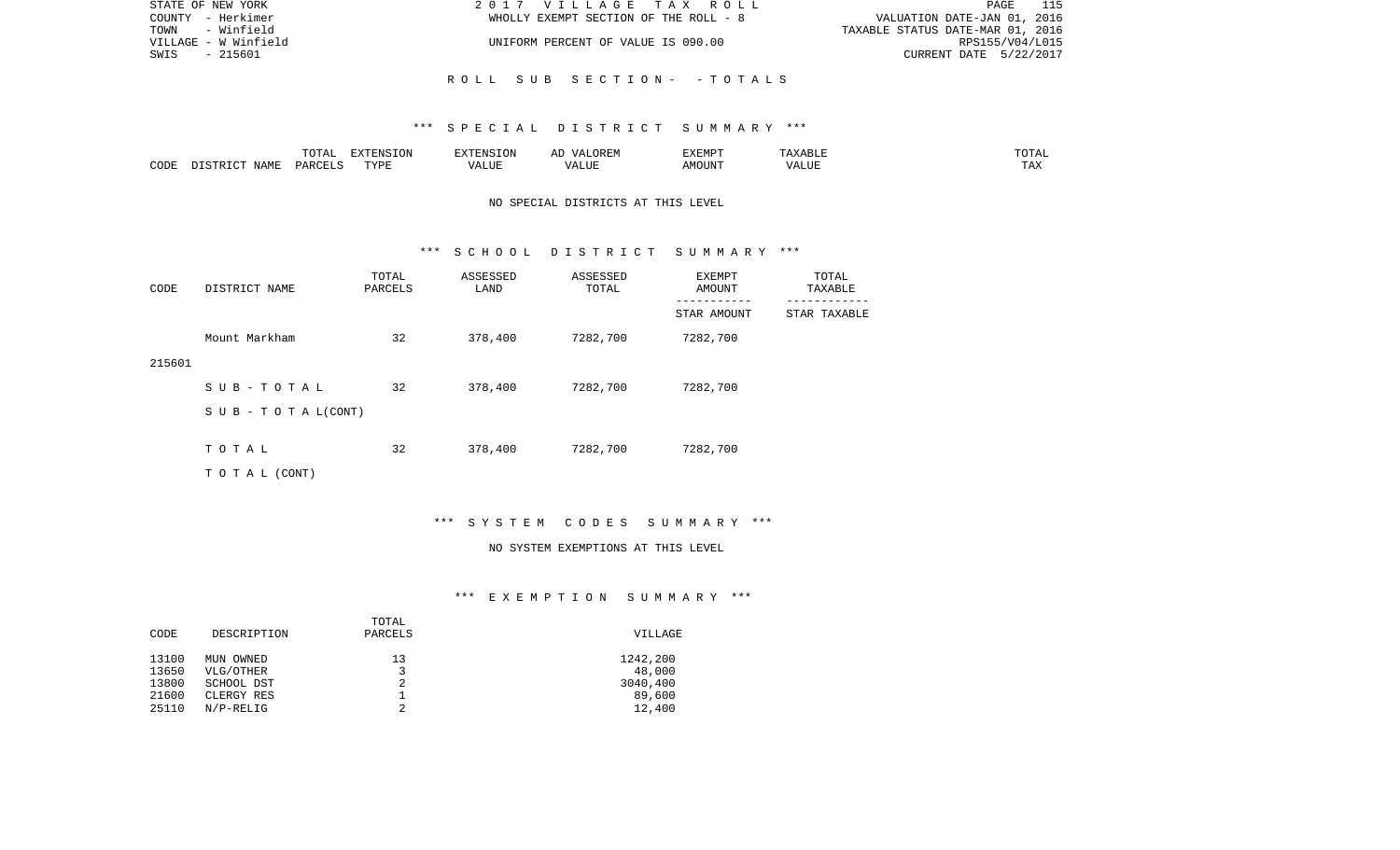| STATE OF NEW YORK    | 2017 VILLAGE TAX ROLL                 | 115<br>PAGE                      |
|----------------------|---------------------------------------|----------------------------------|
| COUNTY - Herkimer    | WHOLLY EXEMPT SECTION OF THE ROLL - 8 | VALUATION DATE-JAN 01, 2016      |
| TOWN - Winfield      |                                       | TAXABLE STATUS DATE-MAR 01, 2016 |
| VILLAGE - W Winfield | UNIFORM PERCENT OF VALUE IS 090.00    | RPS155/V04/L015                  |
| - 215601<br>SWIS     |                                       | CURRENT DATE 5/22/2017           |
|                      |                                       |                                  |
|                      | ROLL SUB SECTION- -TOTALS             |                                  |

#### \*\*\* S P E C I A L D I S T R I C T S U M M A R Y \*\*\*

|      |                            | .∪⊥⊓⊥         | $\blacksquare$<br>11 L<br>LUIN |               |            | EXEMPT       | ABL.                  | $m \wedge m$<br>. |
|------|----------------------------|---------------|--------------------------------|---------------|------------|--------------|-----------------------|-------------------|
| CODE | <b>ABST</b><br>. .<br>NAMP | <b>DARCFT</b> | TVDT                           | $\mathcal{L}$ | ,,,<br>שחד | OUN".<br>۱M۲ | $- - - - - -$<br>ALUI | $- - -$<br>. Ал   |

## NO SPECIAL DISTRICTS AT THIS LEVEL

#### \*\*\* S C H O O L D I S T R I C T S U M M A R Y \*\*\*

| CODE   | DISTRICT NAME                    | TOTAL<br>PARCELS | ASSESSED<br>LAND | ASSESSED<br>TOTAL | EXEMPT<br>AMOUNT | TOTAL<br>TAXABLE |
|--------|----------------------------------|------------------|------------------|-------------------|------------------|------------------|
|        |                                  |                  |                  |                   | STAR AMOUNT      | STAR TAXABLE     |
|        | Mount Markham                    | 32               | 378,400          | 7282,700          | 7282,700         |                  |
| 215601 |                                  |                  |                  |                   |                  |                  |
|        | SUB-TOTAL                        | 32               | 378,400          | 7282,700          | 7282,700         |                  |
|        | $S \cup B - T \cup T A L (CONT)$ |                  |                  |                   |                  |                  |
|        |                                  |                  |                  |                   |                  |                  |
|        | TOTAL                            | 32               | 378,400          | 7282,700          | 7282,700         |                  |
|        | T O T A L (CONT)                 |                  |                  |                   |                  |                  |

# \*\*\* S Y S T E M C O D E S S U M M A R Y \*\*\*

#### NO SYSTEM EXEMPTIONS AT THIS LEVEL

## \*\*\* E X E M P T I O N S U M M A R Y \*\*\*

| CODE  | DESCRIPTION  | TOTAL<br>PARCELS | <b>VILLAGE</b> |
|-------|--------------|------------------|----------------|
| 13100 | MUN OWNED    | 13               | 1242,200       |
| 13650 | VLG/OTHER    | 3                | 48,000         |
| 13800 | SCHOOL DST   | 2                | 3040,400       |
| 21600 | CLERGY RES   |                  | 89,600         |
| 25110 | $N/P-RELLIG$ |                  | 12,400         |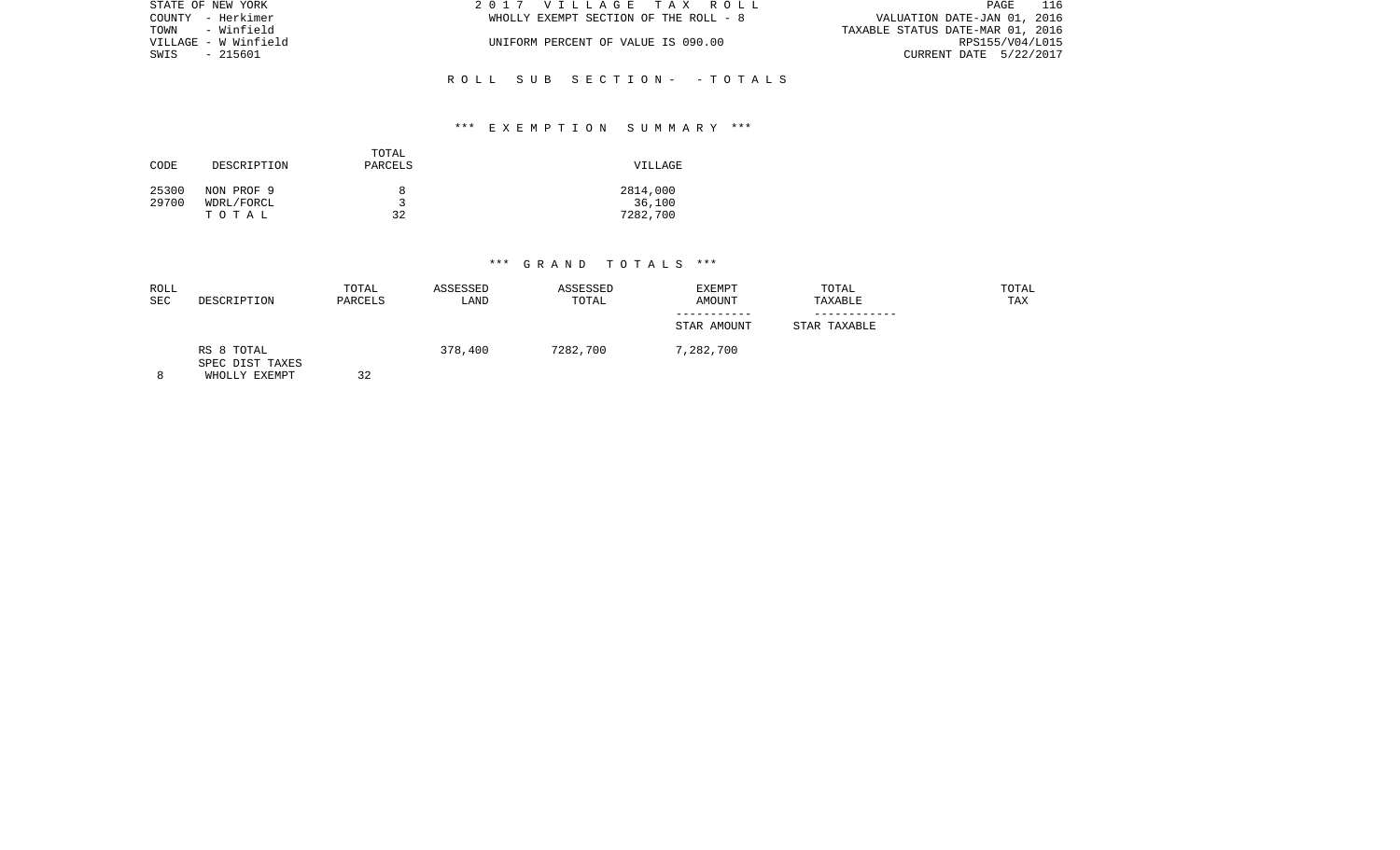| STATE OF NEW YORK    | 2017 VILLAGE TAX ROLL                 | 116<br>PAGE                      |
|----------------------|---------------------------------------|----------------------------------|
| COUNTY - Herkimer    | WHOLLY EXEMPT SECTION OF THE ROLL - 8 | VALUATION DATE-JAN 01, 2016      |
| TOWN - Winfield      |                                       | TAXABLE STATUS DATE-MAR 01, 2016 |
| VILLAGE - W Winfield | UNIFORM PERCENT OF VALUE IS 090.00    | RPS155/V04/L015                  |
| SWIS - 215601        |                                       | CURRENT DATE 5/22/2017           |
|                      |                                       |                                  |

# \*\*\* E X E M P T I O N S U M M A R Y \*\*\*

R O L L S U B S E C T I O N - - T O T A L S

| CODE           | DESCRIPTION                       | TOTAL<br>PARCELS | VILLAGE                        |
|----------------|-----------------------------------|------------------|--------------------------------|
| 25300<br>29700 | NON PROF 9<br>WDRL/FORCL<br>TOTAL | 8<br>32          | 2814,000<br>36,100<br>7282,700 |

| ROLL<br><b>SEC</b> | DESCRIPTION                                    | TOTAL<br>PARCELS | ASSESSED<br>LAND | ASSESSED<br>TOTAL | <b>EXEMPT</b><br><b>AMOUNT</b><br>-----------<br>STAR AMOUNT | TOTAL<br>TAXABLE<br>STAR TAXABLE | TOTAL<br>TAX |
|--------------------|------------------------------------------------|------------------|------------------|-------------------|--------------------------------------------------------------|----------------------------------|--------------|
| 8                  | RS 8 TOTAL<br>SPEC DIST TAXES<br>WHOLLY EXEMPT | 32               | 378,400          | 7282,700          | 7,282,700                                                    |                                  |              |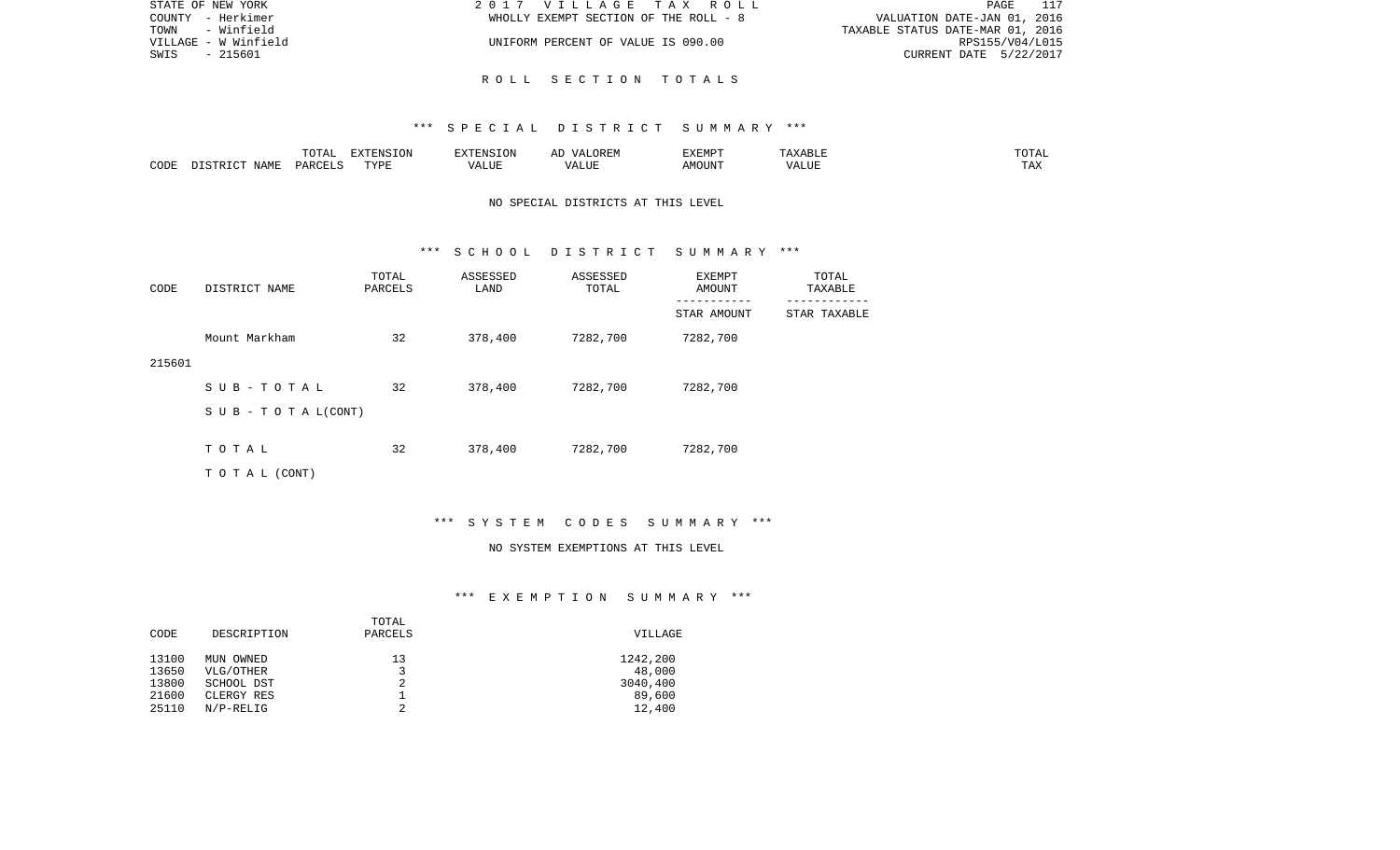| STATE OF NEW YORK    | 2017 VILLAGE TAX ROLL                 | 117<br>PAGE                      |
|----------------------|---------------------------------------|----------------------------------|
| COUNTY - Herkimer    | WHOLLY EXEMPT SECTION OF THE ROLL - 8 | VALUATION DATE-JAN 01, 2016      |
| TOWN - Winfield      |                                       | TAXABLE STATUS DATE-MAR 01, 2016 |
| VILLAGE - W Winfield | UNIFORM PERCENT OF VALUE IS 090.00    | RPS155/V04/L015                  |
| SWIS<br>- 215601     |                                       | CURRENT DATE 5/22/2017           |
|                      |                                       |                                  |

### \*\*\* S P E C I A L D I S T R I C T S U M M A R Y \*\*\*

R O L L S E C T I O N T O T A L S

|      |      | $\blacksquare$<br>TOTAL | EXTENSION | $  -$ | $H^{\prime}$ H $^{\prime}$ M $^{\prime}$<br>A | EXEMP' | ABLE                 | ---        |
|------|------|-------------------------|-----------|-------|-----------------------------------------------|--------|----------------------|------------|
| CODE | NAMF | ، جمہوری                | TVDF<br>. |       | .TTT                                          |        | <b>T TTT</b><br>ALUI | max<br>was |

## NO SPECIAL DISTRICTS AT THIS LEVEL

#### \*\*\* S C H O O L D I S T R I C T S U M M A R Y \*\*\*

| CODE   | DISTRICT NAME                    | TOTAL<br>PARCELS | ASSESSED<br>LAND | ASSESSED<br>TOTAL | EXEMPT<br>AMOUNT | TOTAL<br>TAXABLE |
|--------|----------------------------------|------------------|------------------|-------------------|------------------|------------------|
|        |                                  |                  |                  |                   | STAR AMOUNT      | STAR TAXABLE     |
|        | Mount Markham                    | 32               | 378,400          | 7282,700          | 7282,700         |                  |
| 215601 |                                  |                  |                  |                   |                  |                  |
|        | SUB-TOTAL                        | 32               | 378,400          | 7282,700          | 7282,700         |                  |
|        | $S \cup B - T \cup T A L (CONT)$ |                  |                  |                   |                  |                  |
|        |                                  |                  |                  |                   |                  |                  |
|        | TOTAL                            | 32               | 378,400          | 7282,700          | 7282,700         |                  |
|        | T O T A L (CONT)                 |                  |                  |                   |                  |                  |

# \*\*\* S Y S T E M C O D E S S U M M A R Y \*\*\*

#### NO SYSTEM EXEMPTIONS AT THIS LEVEL

# \*\*\* E X E M P T I O N S U M M A R Y \*\*\*

| VILLAGE  |
|----------|
|          |
| 1242,200 |
| 48,000   |
| 3040,400 |
| 89,600   |
| 12,400   |
|          |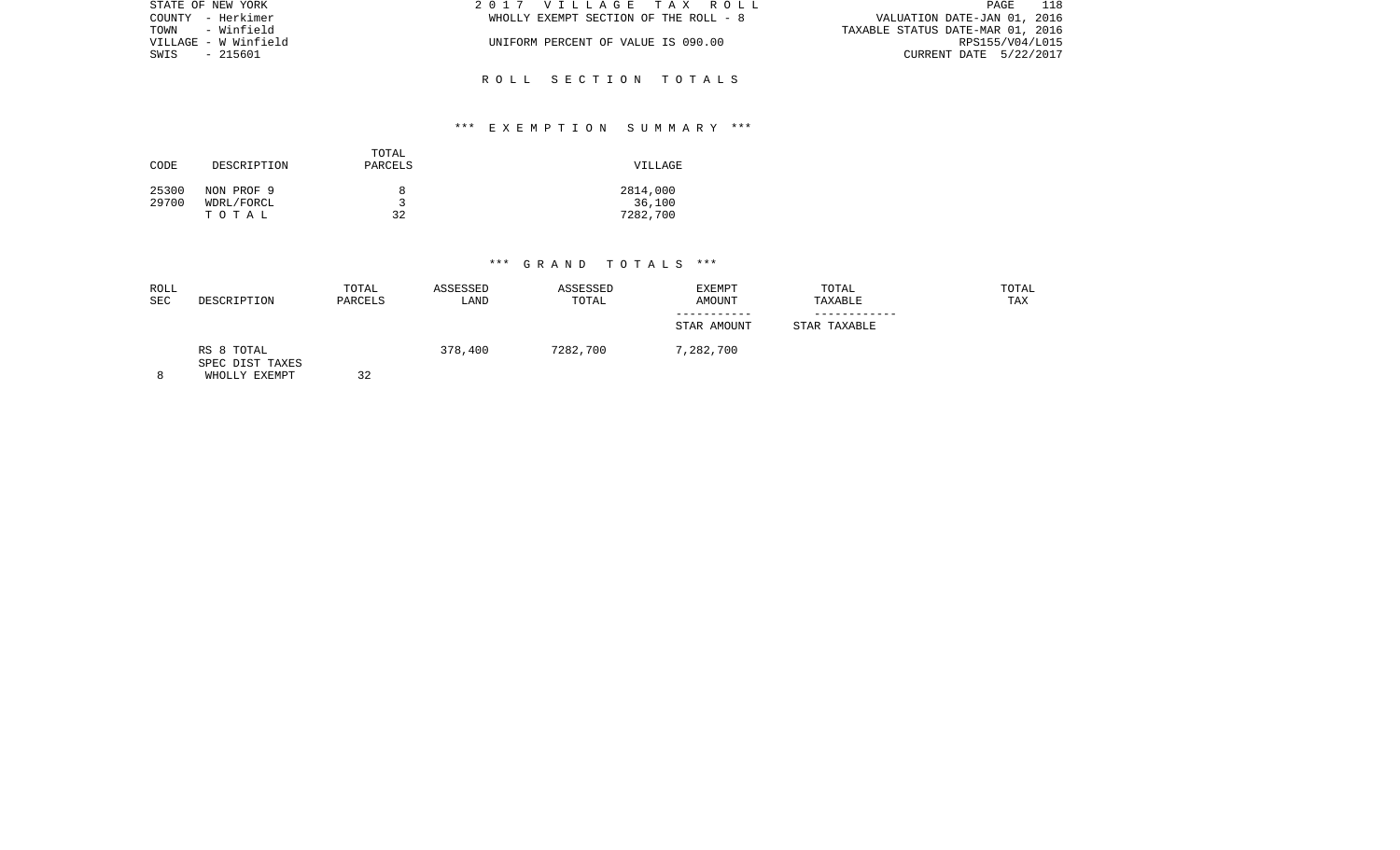| STATE OF NEW YORK    | 2017 VILLAGE TAX ROLL                 | 118<br>PAGE                      |
|----------------------|---------------------------------------|----------------------------------|
| COUNTY - Herkimer    | WHOLLY EXEMPT SECTION OF THE ROLL - 8 | VALUATION DATE-JAN 01, 2016      |
| TOWN - Winfield      |                                       | TAXABLE STATUS DATE-MAR 01, 2016 |
| VILLAGE - W Winfield | UNIFORM PERCENT OF VALUE IS 090.00    | RPS155/V04/L015                  |
| SWIS - 215601        |                                       | CURRENT DATE 5/22/2017           |
|                      |                                       |                                  |

## \*\*\* E X E M P T I O N S U M M A R Y \*\*\*

R O L L S E C T I O N T O T A L S

| CODE           | DESCRIPTION                       | TOTAL<br>PARCELS | VILLAGE                        |
|----------------|-----------------------------------|------------------|--------------------------------|
| 25300<br>29700 | NON PROF 9<br>WDRL/FORCL<br>TOTAL | 8<br>پ<br>32     | 2814,000<br>36,100<br>7282,700 |

|                                                           |         |          | STAR AMOUNT | STAR TAXABLE |  |
|-----------------------------------------------------------|---------|----------|-------------|--------------|--|
| RS 8 TOTAL<br>SPEC DIST TAXES<br>32<br>WHOLLY EXEMPT<br>8 | 378,400 | 7282,700 | 7,282,700   |              |  |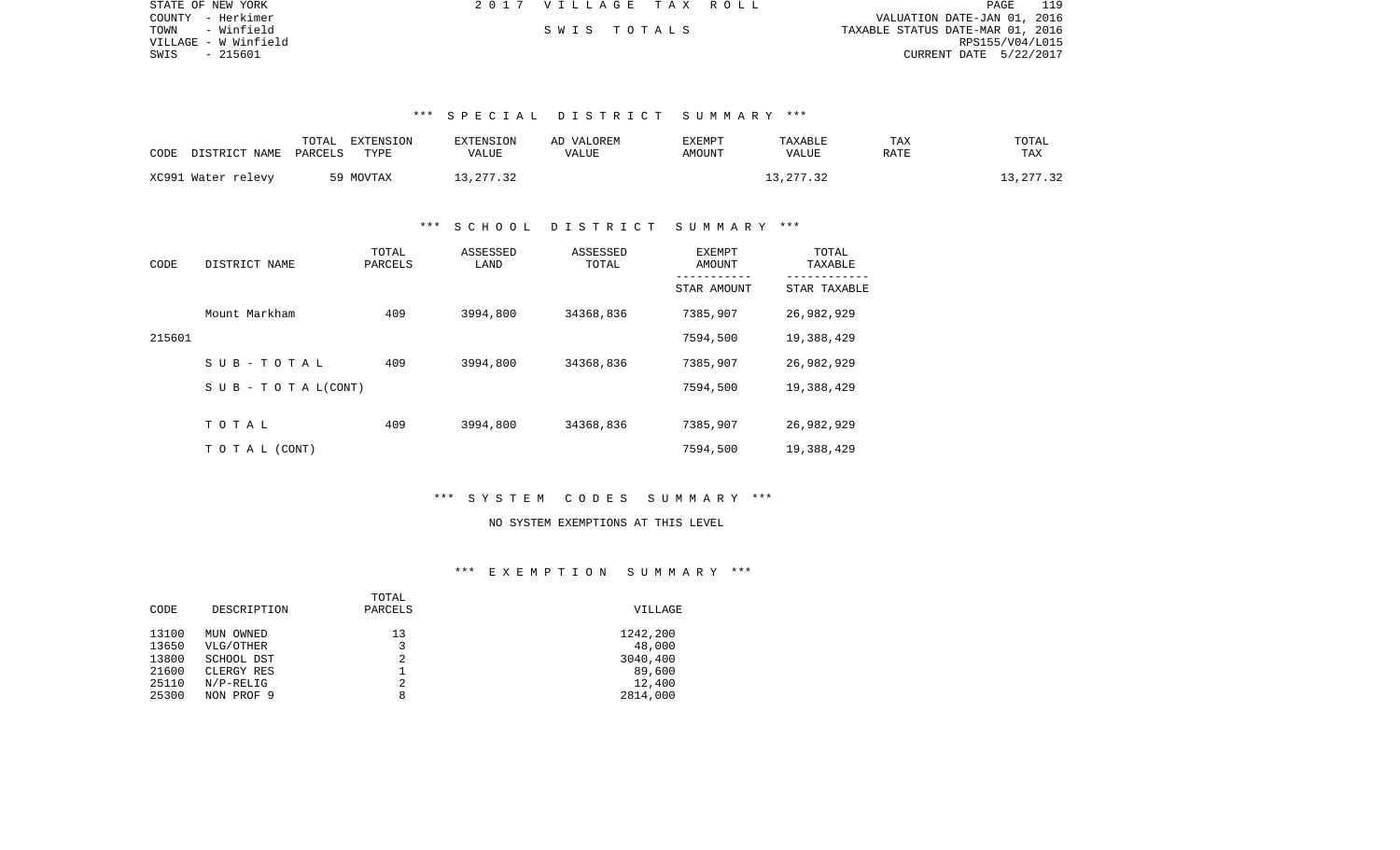| STATE OF NEW YORK    | 2017 VILLAGE TAX ROLL |  | 110.<br>PAGE                     |
|----------------------|-----------------------|--|----------------------------------|
| COUNTY - Herkimer    |                       |  | VALUATION DATE-JAN 01, 2016      |
| - Winfield<br>TOWN   | SWIS TOTALS           |  | TAXABLE STATUS DATE-MAR 01, 2016 |
| VILLAGE - W Winfield |                       |  | RPS155/V04/L015                  |
| SWIS<br>- 215601     |                       |  | CURRENT DATE 5/22/2017           |

### \*\*\* S P E C I A L D I S T R I C T S U M M A R Y \*\*\*

| CODE | DISTRICT NAME PARCELS | TOTAL | EXTENSION<br>TYPE | <b>EXTENSION</b><br>VALUE | AD VALOREM<br><b>VALUE</b> | EXEMPT<br>AMOUNT | TAXABLE<br><b>VALUE</b> | TAX<br>RATE | TOTAL<br>TAX |
|------|-----------------------|-------|-------------------|---------------------------|----------------------------|------------------|-------------------------|-------------|--------------|
|      | XC991 Water relevy    |       | 59 MOVTAX         | 13,277.32                 |                            |                  | 13, 277.32              |             | 13, 277.32   |

#### \*\*\* S C H O O L D I S T R I C T S U M M A R Y \*\*\*

| CODE   | DISTRICT NAME      | TOTAL<br>PARCELS | ASSESSED<br>LAND | ASSESSED<br>TOTAL | EXEMPT<br>AMOUNT | TOTAL<br>TAXABLE |
|--------|--------------------|------------------|------------------|-------------------|------------------|------------------|
|        |                    |                  |                  |                   | STAR AMOUNT      | STAR TAXABLE     |
|        | Mount Markham      | 409              | 3994,800         | 34368,836         | 7385,907         | 26,982,929       |
| 215601 |                    |                  |                  |                   | 7594,500         | 19,388,429       |
|        | SUB-TOTAL          | 409              | 3994,800         | 34368,836         | 7385,907         | 26,982,929       |
|        | SUB - TO TAL(CONT) |                  |                  |                   | 7594,500         | 19,388,429       |
|        |                    |                  |                  |                   |                  |                  |
|        | TOTAL              | 409              | 3994,800         | 34368,836         | 7385,907         | 26,982,929       |
|        | TO TAL (CONT)      |                  |                  |                   | 7594,500         | 19,388,429       |

### \*\*\* S Y S T E M C O D E S S U M M A R Y \*\*\*

# NO SYSTEM EXEMPTIONS AT THIS LEVEL

# \*\*\* E X E M P T I O N S U M M A R Y \*\*\*

| DESCRIPTION  | PARCELS | VILLAGE  |
|--------------|---------|----------|
| MUN OWNED    | 13      | 1242,200 |
| VLG/OTHER    | 3       | 48,000   |
| SCHOOL DST   | 2       | 3040,400 |
| CLERGY RES   |         | 89,600   |
| $N/P-RELLIG$ | 2       | 12,400   |
| NON PROF 9   | 8       | 2814,000 |
|              |         | TOTAL    |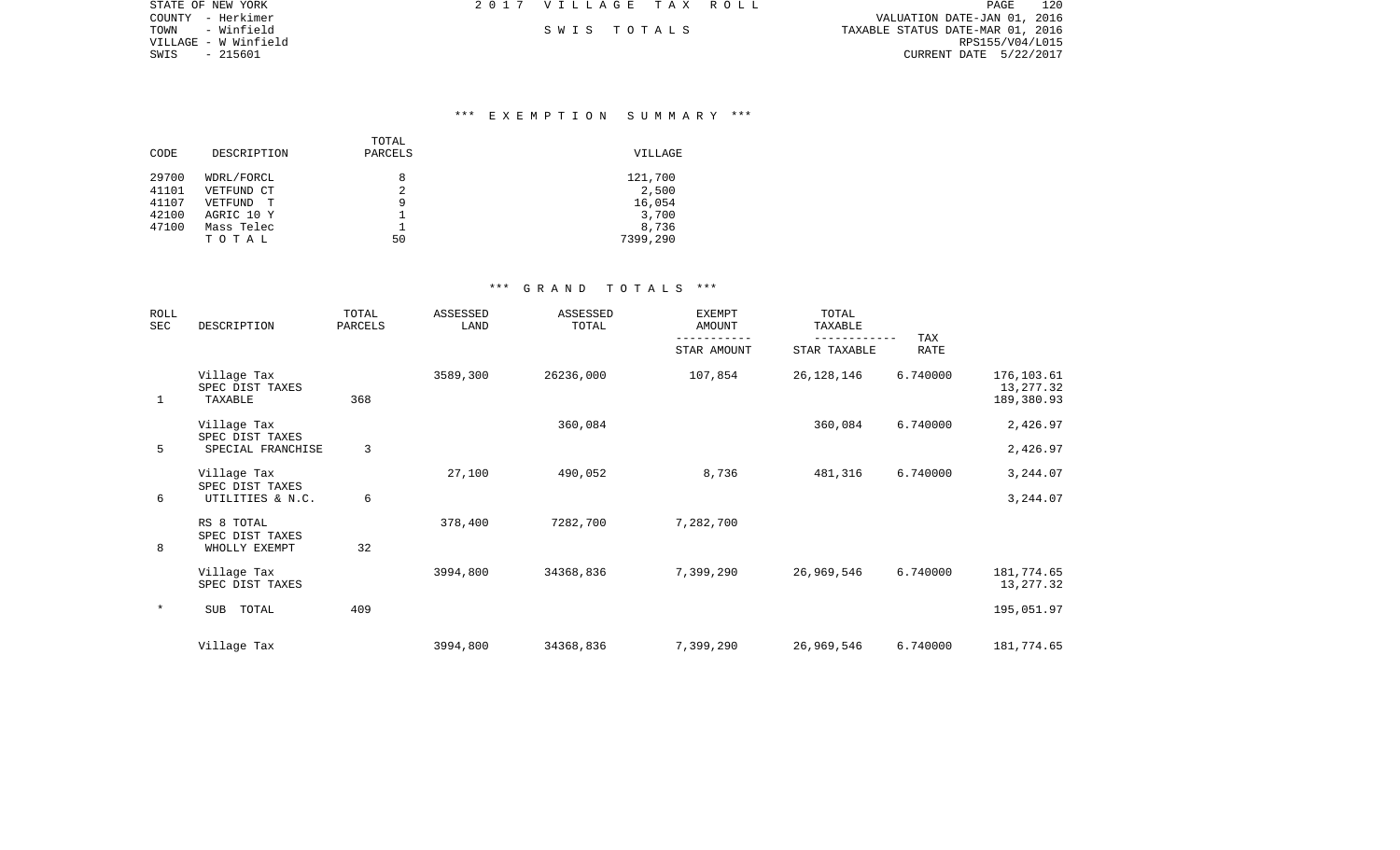| 2017 VILLAGE TAX ROLL | 120<br><b>PAGE</b>               |
|-----------------------|----------------------------------|
|                       | VALUATION DATE-JAN 01, 2016      |
| SWIS TOTALS           | TAXABLE STATUS DATE-MAR 01, 2016 |
|                       | RPS155/V04/L015                  |
|                       | CURRENT DATE 5/22/2017           |
|                       |                                  |

### \*\*\* E X E M P T I O N S U M M A R Y \*\*\*

| CODE  | DESCRIPTION | TOTAL<br>PARCELS | VILLAGE  |
|-------|-------------|------------------|----------|
| 29700 | WDRL/FORCL  | 8                | 121,700  |
| 41101 | VETFUND CT  | 2                | 2,500    |
| 41107 | VETFUND     | 9                | 16,054   |
| 42100 | AGRIC 10 Y  |                  | 3,700    |
| 47100 | Mass Telec  |                  | 8,736    |
|       | TOTAL       | 50               | 7399,290 |

| <b>ROLL</b><br>SEC | DESCRIPTION                                    | TOTAL<br>PARCELS | <b>ASSESSED</b><br>LAND | <b>ASSESSED</b><br>TOTAL | <b>EXEMPT</b><br><b>AMOUNT</b> | TOTAL<br>TAXABLE | TAX         |                                       |
|--------------------|------------------------------------------------|------------------|-------------------------|--------------------------|--------------------------------|------------------|-------------|---------------------------------------|
|                    |                                                |                  |                         |                          | STAR AMOUNT                    | STAR TAXABLE     | <b>RATE</b> |                                       |
| 1                  | Village Tax<br>SPEC DIST TAXES<br>TAXABLE      | 368              | 3589,300                | 26236,000                | 107,854                        | 26, 128, 146     | 6.740000    | 176,103.61<br>13,277.32<br>189,380.93 |
|                    | Village Tax                                    |                  |                         | 360,084                  |                                | 360,084          | 6.740000    | 2,426.97                              |
| 5                  | SPEC DIST TAXES<br>SPECIAL FRANCHISE           | 3                |                         |                          |                                |                  |             | 2,426.97                              |
|                    | Village Tax<br>SPEC DIST TAXES                 |                  | 27,100                  | 490,052                  | 8,736                          | 481,316          | 6.740000    | 3,244.07                              |
| 6                  | UTILITIES & N.C.                               | 6                |                         |                          |                                |                  |             | 3,244.07                              |
| 8                  | RS 8 TOTAL<br>SPEC DIST TAXES<br>WHOLLY EXEMPT | 32               | 378,400                 | 7282,700                 | 7,282,700                      |                  |             |                                       |
|                    | Village Tax<br>SPEC DIST TAXES                 |                  | 3994,800                | 34368,836                | 7,399,290                      | 26,969,546       | 6.740000    | 181,774.65<br>13,277.32               |
| $\star$            | <b>SUB</b><br>TOTAL                            | 409              |                         |                          |                                |                  |             | 195,051.97                            |
|                    | Village Tax                                    |                  | 3994,800                | 34368,836                | 7,399,290                      | 26,969,546       | 6.740000    | 181,774.65                            |